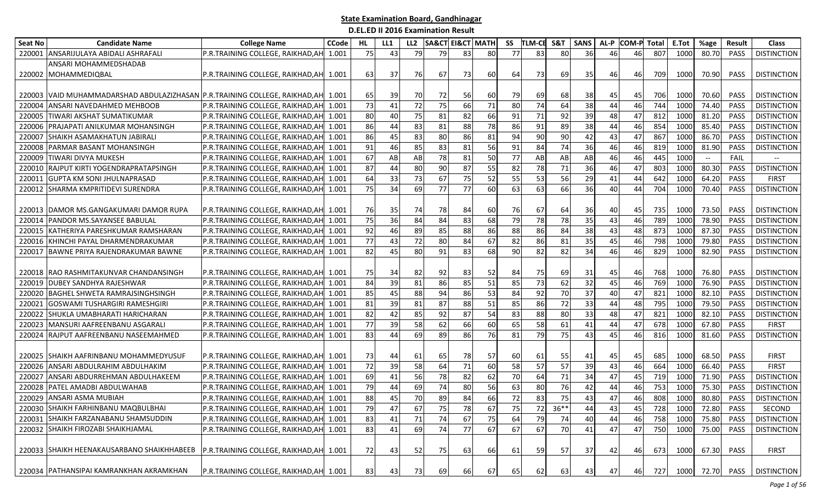| Seat No | <b>Candidate Name</b>                                                      | <b>College Name</b>                     | <b>CCode</b> | HL. | LL1 | LL <sub>2</sub> | <b>SA&amp;CT EI&amp;CT MATH</b> |    |    | SS | <b>TLM-CE</b> | S&T    | <b>SANS</b> | AL-P | <b>COM-P</b> | Total | E.Tot | %age  | <b>Result</b> | <b>Class</b>       |
|---------|----------------------------------------------------------------------------|-----------------------------------------|--------------|-----|-----|-----------------|---------------------------------|----|----|----|---------------|--------|-------------|------|--------------|-------|-------|-------|---------------|--------------------|
| 220001  | ANSARIJULAYA ABIDALI ASHRAFALI                                             | P.R.TRAINING COLLEGE, RAIKHAD, AH       | 1.001        | 75  | 43  | 79              | 79                              | 83 | 80 | 77 | 83            | 80     | 36          | 46   | 46           | 807   | 1000  | 80.70 | PASS          | <b>DISTINCTION</b> |
|         | ANSARI MOHAMMEDSHADAB                                                      |                                         |              |     |     |                 |                                 |    |    |    |               |        |             |      |              |       |       |       |               |                    |
|         | 220002 MOHAMMEDIQBAL                                                       | P.R.TRAINING COLLEGE, RAIKHAD, AH 1.001 |              | 63  | 37  | 76              | 67                              | 73 | 60 | 64 | 73            | 69I    | 35          | 46   | 46           | 709   | 1000  | 70.90 | <b>PASS</b>   | <b>DISTINCTION</b> |
|         |                                                                            |                                         |              |     |     |                 |                                 |    |    |    |               |        |             |      |              |       |       |       |               |                    |
| 220003  | VAID MUHAMMADARSHAD ABDULAZIZHASAN P.R.TRAINING COLLEGE, RAIKHAD, AH 1.001 |                                         |              | 65  | 39  | 70              | 72                              | 56 | 60 | 79 | 69            | 68     | 38          | 45   | 45           | 706   | 1000  | 70.60 | PASS          | <b>DISTINCTION</b> |
| 220004  | ANSARI NAVEDAHMED MEHBOOB                                                  | P.R.TRAINING COLLEGE, RAIKHAD, AH 1.001 |              | 73  | 41  | 72              | 75                              | 66 | 71 | 80 | 74            | 64     | 38          | 44   | 46           | 744   | 1000  | 74.40 | PASS          | <b>DISTINCTION</b> |
| 22000   | TIWARI AKSHAT SUMATIKUMAR                                                  | P.R.TRAINING COLLEGE, RAIKHAD, AH 1.001 |              | 80  | 40  | 75              | 81                              | 82 | 66 | 91 | 71            | 92     | 39          | 48   | 47           | 812   | 1000  | 81.20 | <b>PASS</b>   | <b>DISTINCTION</b> |
| 220006  | PRAJAPATI ANILKUMAR MOHANSINGH                                             | P.R.TRAINING COLLEGE, RAIKHAD, AH       | 1.001        | 86  | 44  | 83              | 81                              | 88 | 78 | 86 | 91            | 89     | 38          | 44   | 46           | 854   | 1000  | 85.40 | PASS          | <b>DISTINCTION</b> |
| 22000   | SHAIKH ASAMAKHATUN JABIRALI                                                | P.R.TRAINING COLLEGE, RAIKHAD, AH       | 1.001        | 86  | 45  | 83              | 80                              | 86 | 81 | 94 | 90            | 90     | 42          | 43   | 47           | 867   | 1000  | 86.70 | PASS          | <b>DISTINCTION</b> |
| 220008  | PARMAR BASANT MOHANSINGH                                                   | P.R.TRAINING COLLEGE, RAIKHAD, AH       | 1.001        | 91  | 46  | 85              | 83                              | 81 | 56 | 91 | 84            | 74     | 36          | 46   | 46           | 819   | 1000  | 81.90 | PASS          | <b>DISTINCTION</b> |
| 220009  | <b>I</b> TIWARI DIVYA MUKESH                                               | P.R.TRAINING COLLEGE, RAIKHAD, AH       | 1.001        | 67  | ABI | AB              | 78                              | 81 | 50 | 77 | AB            | AB     | AB          | 46   | 46           | 445   | 1000  | $- -$ | FAIL          |                    |
| 220010  | RAJPUT KIRTI YOGENDRAPRATAPSINGH                                           | P.R.TRAINING COLLEGE, RAIKHAD, AH       | 1.001        | 87  | 44  | 80              | 90                              | 87 | 55 | 82 | 78            | 71     | 36          | 46   | 47           | 803   | 1000  | 80.30 | PASS          | <b>DISTINCTION</b> |
| 220011  | <b>GUPTA KM SONI JHULNAPRASAD</b>                                          | P.R.TRAINING COLLEGE, RAIKHAD, AH       | 1.001        | 64  | 33  | 73              | 67                              | 75 | 52 | 55 | 53            | 56     | 29          | 41   | 44           | 642   | 1000  | 64.20 | PASS          | <b>FIRST</b>       |
| 220012  | SHARMA KMPRITIDEVI SURENDRA                                                | P.R.TRAINING COLLEGE, RAIKHAD, AH       | 1.001        | 75  | 34  | 69              | 77                              | 77 | 60 | 63 | 63            | 66     | 36          | 40   | 44           | 704   | 1000  | 70.40 | <b>PASS</b>   | <b>DISTINCTION</b> |
|         |                                                                            |                                         |              |     |     |                 |                                 |    |    |    |               |        |             |      |              |       |       |       |               |                    |
| 220013  | <b>DAMOR MS.GANGAKUMARI DAMOR RUPA</b>                                     | P.R.TRAINING COLLEGE, RAIKHAD, AH 1.001 |              | 76  | 35  | 74              | 78                              | 84 | 60 | 76 | 67            | 64     | 36          | 40   | 45           | 735   | 1000  | 73.50 | PASS          | <b>DISTINCTION</b> |
| 22001   | PANDOR MS.SAYANSEE BABULAL                                                 | P.R.TRAINING COLLEGE, RAIKHAD, AH       | 1.001        | 75  | 36  | 84              | 84                              | 83 | 68 | 79 | 78            | 78     | 35          | 43   | 46           | 789   | 1000  | 78.90 | PASS          | <b>DISTINCTION</b> |
| 220015  | KATHERIYA PARESHKUMAR RAMSHARAN                                            | P.R.TRAINING COLLEGE, RAIKHAD, AH       | 1.001        | 92  | 46  | 89              | 85                              | 88 | 86 | 88 | 86            | 84     | 38          | 43   | 48           | 873   | 1000  | 87.30 | <b>PASS</b>   | <b>DISTINCTION</b> |
| 220016  | KHINCHI PAYAL DHARMENDRAKUMAR                                              | P.R.TRAINING COLLEGE, RAIKHAD, AH       | 1.001        | 77  | 43  | 72              | 80                              | 84 | 67 | 82 | 86            | 81     | 35          | 45   | 46           | 798   | 1000  | 79.80 | PASS          | <b>DISTINCTION</b> |
| 220017  | BAWNE PRIYA RAJENDRAKUMAR BAWNE                                            | P.R.TRAINING COLLEGE, RAIKHAD, AH       | 1.001        | 82  | 45  | 80              | 91                              | 83 | 68 | 90 | 82            | 82     | 34          | 46   | 46           | 829   | 1000  | 82.90 | PASS          | <b>DISTINCTION</b> |
|         |                                                                            |                                         |              |     |     |                 |                                 |    |    |    |               |        |             |      |              |       |       |       |               |                    |
|         | 220018 RAO RASHMITAKUNVAR CHANDANSINGH                                     | P.R.TRAINING COLLEGE, RAIKHAD, AH 1.001 |              | 75  | 34  | 82              | 92                              | 83 | 52 | 84 | 75            | 69     | 31          | 45   | 46           | 768   | 1000  | 76.80 | <b>PASS</b>   | <b>DISTINCTION</b> |
| 220019  | <b>DUBEY SANDHYA RAJESHWAR</b>                                             | P.R.TRAINING COLLEGE, RAIKHAD, AH       | 1.001        | 84  | 39  | 81              | 86                              | 85 | 51 | 85 | 73            | 62     | 32          | 45   | 46           | 769   | 1000  | 76.90 | <b>PASS</b>   | <b>DISTINCTION</b> |
| 220020  | <b>BAGHEL SHWETA RAMRAJSINGHSINGH</b>                                      | P.R.TRAINING COLLEGE, RAIKHAD, AH       | 1.001        | 85  | 45  | 88              | 94                              | 86 | 53 | 84 | 92            | 70     | 37          | 40   | 47           | 821   | 1000  | 82.10 | PASS          | <b>DISTINCTION</b> |
| 22002   | GOSWAMI TUSHARGIRI RAMESHGIRI                                              | P.R.TRAINING COLLEGE, RAIKHAD, AH       | 1.001        | 81  | 39  | 81              | 87                              | 88 | 51 | 85 | 86            | 72     | 33          | 44   | 48           | 795   | 1000  | 79.50 | PASS          | <b>DISTINCTION</b> |
| 22002   | SHUKLA UMABHARATI HARICHARAN                                               | P.R.TRAINING COLLEGE, RAIKHAD, AH       | 1.001        | 82  | 42  | 85              | 92                              | 87 | 54 | 83 | 88            | 80     | 33          | 48   | 47           | 821   | 1000  | 82.10 | <b>PASS</b>   | <b>DISTINCTION</b> |
| 220023  | MANSURI AAFREENBANU ASGARALI                                               | P.R.TRAINING COLLEGE, RAIKHAD, AH       | 1.001        | 77  | 39  | 58              | 62                              | 66 | 60 | 65 | 58            | 61     | 41          | 44   | 47           | 678   | 1000  | 67.80 | PASS          | <b>FIRST</b>       |
| 220024  | RAJPUT AAFREENBANU NASEEMAHMED                                             | P.R.TRAINING COLLEGE, RAIKHAD, AH 1.001 |              | 83  | 44  | 69              | 89                              | 86 | 76 | 81 | 79            | 75     | 43          | 45   | 46           | 816   | 1000  | 81.60 | PASS          | <b>DISTINCTION</b> |
|         |                                                                            |                                         |              |     |     |                 |                                 |    |    |    |               |        |             |      |              |       |       |       |               |                    |
|         | 220025 SHAIKH AAFRINBANU MOHAMMEDYUSUF                                     | P.R.TRAINING COLLEGE, RAIKHAD, AH 1.001 |              | 73  | 44  | 61              | 65                              | 78 | 57 | 60 | 61            | 55     | 41          | 45   | 45           | 685   | 1000  | 68.50 | <b>PASS</b>   | <b>FIRST</b>       |
| 220026  | ANSARI ABDULRAHIM ABDULHAKIM                                               | P.R.TRAINING COLLEGE, RAIKHAD, AH       | 1.001        | 72  | 39  | 58              | 64                              | 71 | 60 | 58 | 57            | 57     | 39          | 43   | 46           | 664   | 1000  | 66.40 | PASS          | <b>FIRST</b>       |
| 22002   | ANSARI ABDURREHMAN ABDULHAKEEM                                             | P.R.TRAINING COLLEGE, RAIKHAD, AH       | 1.001        | 69  | 41  | 56              | 78                              | 82 | 62 | 70 | 64            | 71     | 34          | 47   | 45           | 719   | 1000  | 71.90 | PASS          | <b>DISTINCTION</b> |
| 220028  | PATEL AMADBI ABDULWAHAB                                                    | P.R.TRAINING COLLEGE, RAIKHAD, AH       | 1.001        | 79  | 44  | 69              | 74                              | 80 | 56 | 63 | 80            | 76     | 42          | 44   | 46           | 753   | 1000  | 75.30 | PASS          | <b>DISTINCTION</b> |
|         | 220029 ANSARI ASMA MUBIAH                                                  | P.R.TRAINING COLLEGE, RAIKHAD, AH 1.001 |              | 88  | 45  | 70              | 89                              | 84 | 66 | 72 | 83            | 75     | 43          | 47   | 46           | 808   | 1000  | 80.80 | <b>PASS</b>   | <b>DISTINCTION</b> |
|         | 220030 SHAIKH FARHINBANU MAQBULBHAI                                        | P.R.TRAINING COLLEGE, RAIKHAD, AH 1.001 |              | 79  | 47  | 67              | 75                              | 78 | 67 | 75 | 72            | $36**$ | 44          | 43   | 45           | 728   | 1000  | 72.80 | PASS          | SECOND             |
| 220031  | SHAIKH FARZANABANU SHAMSUDDIN                                              | P.R.TRAINING COLLEGE, RAIKHAD, AH 1.001 |              | 83  | 41  | 71              | 74                              | 67 | 75 | 64 | 79            | 74     | 40          | 44   | 46           | 758   | 1000  | 75.80 | PASS          | <b>DISTINCTION</b> |
|         | 220032 SHAIKH FIROZABI SHAIKHJAMAL                                         | P.R.TRAINING COLLEGE, RAIKHAD, AH 1.001 |              | 83  | 41  | 69              | 74                              | 77 | 67 | 67 | 67            | 70     | 41          | 47   | 47           | 750   | 1000  | 75.00 | PASS          | <b>DISTINCTION</b> |
|         |                                                                            |                                         |              |     |     |                 |                                 |    |    |    |               |        |             |      |              |       |       |       |               |                    |
|         | 220033 SHAIKH HEENAKAUSARBANO SHAIKHHABEEB                                 | P.R.TRAINING COLLEGE, RAIKHAD, AH 1.001 |              | 72  | 43  | 52              | 75                              | 63 | 66 | 61 | 59            | 57     | 37          | 42   | 46           | 673   | 1000  | 67.30 | PASS          | <b>FIRST</b>       |
|         |                                                                            |                                         |              |     |     |                 |                                 |    |    |    |               |        |             |      |              |       |       |       |               |                    |
|         | 220034 PATHANSIPAI KAMRANKHAN AKRAMKHAN                                    | P.R.TRAINING COLLEGE, RAIKHAD, AH 1.001 |              | 83  | 43  | 73              | 69                              | 66 | 67 | 65 | 62            | 63     | 43          | 47   | 46           | 727   | 1000  | 72.70 | PASS          | <b>DISTINCTION</b> |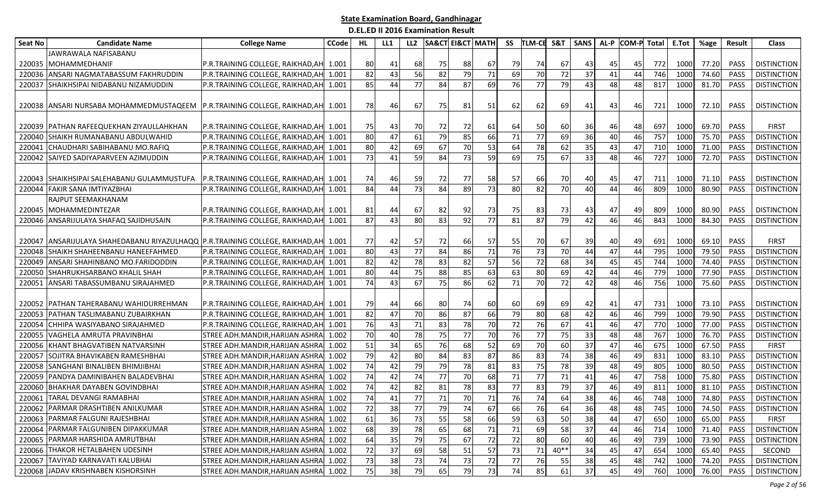| <b>Seat No</b> | <b>Candidate Name</b>                                                  | <b>College Name</b>                     | <b>CCode</b> | HL | LL1 | LL <sub>2</sub> | <b>SA&amp;CT EI&amp;CT MATH</b> |    |                 | SS | <b>TLM-CE</b> | S&T             | <b>SANS</b> | AL-P | <b>COM-P</b> Total |     | E.Tot | %age  | <b>Result</b> | <b>Class</b>       |
|----------------|------------------------------------------------------------------------|-----------------------------------------|--------------|----|-----|-----------------|---------------------------------|----|-----------------|----|---------------|-----------------|-------------|------|--------------------|-----|-------|-------|---------------|--------------------|
|                | JAWRAWALA NAFISABANU                                                   |                                         |              |    |     |                 |                                 |    |                 |    |               |                 |             |      |                    |     |       |       |               |                    |
| 220035         | <b>IMOHAMMEDHANIF</b>                                                  | P.R.TRAINING COLLEGE, RAIKHAD, AH       | 1.001        | 80 | 41  | 68              | 75                              | 88 | 67              | 79 | 74            | 67              | 43          | 45   | 45                 | 772 | 1000  | 77.20 | PASS          | <b>DISTINCTION</b> |
| 220036         | ANSARI NAGMATABASSUM FAKHRUDDIN                                        | P.R.TRAINING COLLEGE, RAIKHAD, AH       | 1.001        | 82 | 43  | 56              | 82                              | 79 | $\overline{71}$ | 69 | 70            | $\overline{72}$ | 37          | 41   | 44                 | 746 | 1000  | 74.60 | PASS          | <b>DISTINCTION</b> |
| 220037         | SHAIKHSIPAI NIDABANU NIZAMUDDIN                                        | P.R.TRAINING COLLEGE, RAIKHAD, AH       | 1.001        | 85 | 44  | 77              | 84                              | 87 | 69              | 76 | 77            | 79              | 43          | 48   | 48                 | 817 | 1000  | 81.70 | <b>PASS</b>   | <b>DISTINCTION</b> |
|                |                                                                        |                                         |              |    |     |                 |                                 |    |                 |    |               |                 |             |      |                    |     |       |       |               |                    |
|                | 220038 JANSARI NURSABA MOHAMMEDMUSTAQEEM                               | P.R.TRAINING COLLEGE, RAIKHAD, AH       | 1.001        | 78 | 46  | 67              | 75                              | 81 | 51              | 62 | 62            | 69              | 41          | 43   | 46                 | 721 | 1000  | 72.10 | <b>PASS</b>   | <b>DISTINCTION</b> |
|                |                                                                        |                                         |              |    |     |                 |                                 |    |                 |    |               |                 |             |      |                    |     |       |       |               |                    |
| 220039         | PATHAN RAFEEQUEKHAN ZIYAULLAHKHAN                                      | P.R.TRAINING COLLEGE, RAIKHAD, AH       | 1.001        | 75 | 431 | 70              | 72                              | 72 | 61              | 64 | 50            | 60              | 36          | 46   | 48                 | 697 | 1000  | 69.70 | <b>PASS</b>   | <b>FIRST</b>       |
| 220040         | ISHAIKH RUMANABANU ABDULWAHID                                          | P.R.TRAINING COLLEGE, RAIKHAD, AH       | 1.001        | 80 | 47  | 61              | 79                              | 85 | 66              | 71 | 77            | 69              | 36          | 40   | 46                 | 757 | 1000  | 75.70 | <b>PASS</b>   | <b>DISTINCTION</b> |
| 22004          | CHAUDHARI SABIHABANU MO.RAFIQ                                          | P.R.TRAINING COLLEGE, RAIKHAD, AH       | 1.001        | 80 | 42  | 69              | 67                              | 70 | 53              | 64 | 78            | 62              | 35          | 43   | 47                 | 710 | 1000  | 71.00 | PASS          | <b>DISTINCTION</b> |
| 220042         | SAIYED SADIYAPARVEEN AZIMUDDIN                                         | P.R.TRAINING COLLEGE, RAIKHAD, AH       | 1.001        | 73 | 41  | 59              | 84                              | 73 | 59              | 69 | 75            | 67              | 33          | 48   | 46                 | 727 | 1000  | 72.70 | PASS          | <b>DISTINCTION</b> |
|                |                                                                        |                                         |              |    |     |                 |                                 |    |                 |    |               |                 |             |      |                    |     |       |       |               |                    |
| 220043         | SHAIKHSIPAI SALEHABANU GULAMMUSTUFA                                    | P.R.TRAINING COLLEGE, RAIKHAD, AH       | 1.001        | 74 | 46  | 59              | 72                              | 77 | 58              | 57 | 66            | 70              | 40          | 45   | 47                 | 711 | 1000  | 71.10 | PASS          | <b>DISTINCTION</b> |
| 220044         | <b>FAKIR SANA IMTIYAZBHAI</b>                                          | P.R.TRAINING COLLEGE, RAIKHAD, AH       | 1.001        | 84 | 44  | 73              | 84                              | 89 | 73              | 80 | 82            | 70              | 40          | 44   | 46                 | 809 | 1000  | 80.90 | PASS          | <b>DISTINCTION</b> |
|                | RAJPUT SEEMAKHANAM                                                     |                                         |              |    |     |                 |                                 |    |                 |    |               |                 |             |      |                    |     |       |       |               |                    |
|                | 220045 MOHAMMEDINTEZAR                                                 | P.R.TRAINING COLLEGE, RAIKHAD, AH 1.001 |              | 81 | 44  | 67              | 82                              | 92 | 73              | 75 | 83            | 73              | 43          | 47   | 49                 | 809 | 1000  | 80.90 | PASS          | <b>DISTINCTION</b> |
| 220046         | ANSARIJULAYA SHAFAQ SAJIDHUSAIN                                        | P.R.TRAINING COLLEGE, RAIKHAD, AH       | 1.001        | 87 | 43  | 80              | 83                              | 92 | 77              | 81 | 87            | 79              | 42          | 46   | 46                 | 843 | 1000  | 84.30 | PASS          | <b>DISTINCTION</b> |
|                |                                                                        |                                         |              |    |     |                 |                                 |    |                 |    |               |                 |             |      |                    |     |       |       |               |                    |
| 220047         | ANSARIJULAYA SHAHEDABANU RIYAZULHAQQ P.R.TRAINING COLLEGE, RAIKHAD, AH |                                         | 1.001        | 77 | 42  | 57              | 72                              | 66 | 57              | 55 | 70            | 67              | 39          | 40   | 49                 | 691 | 1000  | 69.10 | <b>PASS</b>   | <b>FIRST</b>       |
| 220048         | <b>SHAIKH SHAHEENBANU HANEEFAHMED</b>                                  | P.R.TRAINING COLLEGE, RAIKHAD, AH       | 1.001        | 80 | 43  | 77              | 84                              | 86 | $71\,$          | 76 | 73            | 70              | 44          | 47   | 44                 | 795 | 1000  | 79.50 | <b>PASS</b>   | <b>DISTINCTION</b> |
| 220049         | ANSARI SHAHINBANO MO.FARIDODDIN                                        | P.R.TRAINING COLLEGE, RAIKHAD, AH       | 1.001        | 82 | 42  | 78              | 83                              | 82 | 57              | 56 | 72            | 68              | 34          | 45   | 45                 | 744 | 1000  | 74.40 | PASS          | <b>DISTINCTION</b> |
| 220050         | SHAHRUKHSARBANO KHALIL SHAH                                            | P.R.TRAINING COLLEGE, RAIKHAD, AH       | 1.001        | 80 | 44  | 75              | 88                              | 85 | 63              | 63 | 80            | 69              | 42          | 44   | 46                 | 779 | 1000  | 77.90 | PASS          | <b>DISTINCTION</b> |
| 22005          | ANSARI TABASSUMBANU SIRAJAHMED                                         | P.R.TRAINING COLLEGE, RAIKHAD, AH       | 1.001        | 74 | 43  | 67              | 75                              | 86 | 62              | 71 | 70            | 72              | 42          | 48   | 46                 | 756 | 1000  | 75.60 | PASS          | <b>DISTINCTION</b> |
|                |                                                                        |                                         |              |    |     |                 |                                 |    |                 |    |               |                 |             |      |                    |     |       |       |               |                    |
| 220052         | <b>PATHAN TAHERABANU WAHIDURREHMAN</b>                                 | P.R.TRAINING COLLEGE, RAIKHAD, AH 1.001 |              | 79 | 44  | 66              | 80                              | 74 | 60              | 60 | 69            | 69              | 42          | 41   | 47                 | 731 | 1000  | 73.10 | <b>PASS</b>   | <b>DISTINCTION</b> |
| 22005          | PATHAN TASLIMABANU ZUBAIRKHAN                                          | P.R.TRAINING COLLEGE, RAIKHAD, AH       | 1.001        | 82 | 47  | 70              | 86                              | 87 | 66              | 79 | 80            | 68              | 42          | 46   | 46                 | 799 | 1000  | 79.90 | PASS          | <b>DISTINCTION</b> |
| 220054         | CHHIPA WASIYABANO SIRAJAHMED                                           | P.R.TRAINING COLLEGE, RAIKHAD, AH       | 1.001        | 76 | 43  | 71              | 83                              | 78 | 70              | 72 | 76            | 67              | 41          | 46   | 47                 | 770 | 1000  | 77.00 | PASS          | <b>DISTINCTION</b> |
| 220055         | VAGHELA AMRUTA PRAVINBHAI                                              | STREE ADH.MANDIR, HARIJAN ASHRA         | 1.002        | 70 | 40  | 78              | 75                              | 77 | 70              | 76 | 77            | 75              | 33          | 48   | 48                 | 767 | 1000  | 76.70 | PASS          | <b>DISTINCTION</b> |
| 220056         | KHANT BHAGVATIBEN NATVARSINH                                           | STREE ADH.MANDIR, HARIJAN ASHRA         | 1.002        | 51 | 34  | 65              | 76                              | 68 | 52              | 69 | 70            | 60              | 37          | 47   | 46                 | 675 | 1000  | 67.50 | PASS          | <b>FIRST</b>       |
| 22005          | <b>SOJITRA BHAVIKABEN RAMESHBHAI</b>                                   | STREE ADH.MANDIR, HARIJAN ASHRA         | 1.002        | 79 | 42  | 80              | 84                              | 83 | 87              | 86 | 83            | 74              | 38          | 46   | 49                 | 831 | 1000  | 83.10 | PASS          | <b>DISTINCTION</b> |
| 220058         | SANGHANI BINALIBEN BHIMJIBHAI                                          | STREE ADH.MANDIR,HARIJAN ASHRA          | 1.002        | 74 | 42  | 79              | 79                              | 78 | 81              | 83 | 75            | 78              | 39          | 48   | 49                 | 805 | 1000  | 80.50 | PASS          | <b>DISTINCTION</b> |
| 220059         | PANDYA DAMINIBAHEN BALADEVBHAI                                         | STREE ADH.MANDIR, HARIJAN ASHRA         | 1.002        | 74 | 42  | 74              | 77                              | 70 | 68              | 71 | 77            | 71              | 41          | 46   | 47                 | 758 | 1000  | 75.80 | <b>PASS</b>   | <b>DISTINCTION</b> |
| 220060         | <b>BHAKHAR DAYABEN GOVINDBHAI</b>                                      | STREE ADH.MANDIR, HARIJAN ASHRA         | 1.002        | 74 | 42  | 82              | 81                              | 78 | 83              | 77 | 83            | 79              | 37          | 46   | 49                 | 811 | 1000  | 81.10 | PASS          | <b>DISTINCTION</b> |
| 220061         | <b>TARAL DEVANGI RAMABHAI</b>                                          | STREE ADH.MANDIR, HARIJAN ASHRA         | 1.002        | 74 | 41  | 77              | 71                              | 70 | 71              | 76 | 74            | 64              | 38          | 46   | 46                 | 748 | 1000  | 74.80 | PASS          | <b>DISTINCTION</b> |
|                | 220062 PARMAR DRASHTIBEN ANILKUMAR                                     | STREE ADH.MANDIR, HARIJAN ASHRA 1.002   |              | 72 | 38  | 77              | 79                              | 74 | 67              | 66 | 76            | 64              | 36          | 48   | 48                 | 745 | 1000  | 74.50 | PASS          | <b>DISTINCTION</b> |
|                | 220063 PARMAR FALGUNI RAJESHBHAI                                       | STREE ADH.MANDIR, HARIJAN ASHRA 1.002   |              | 61 | 36  | 73              | 55                              | 58 | 66              | 59 | 63            | 50              | 38          | 44   | 47                 | 650 | 1000  | 65.00 | PASS          | <b>FIRST</b>       |
|                | 220064 PARMAR FALGUNIBEN DIPAKKUMAR                                    | STREE ADH.MANDIR, HARIJAN ASHRA 1.002   |              | 68 | 39  | 78              | 65                              | 68 | $71\,$          | 71 | 69            | 58              | 37          | 44   | 46                 | 714 | 1000  | 71.40 | PASS          | <b>DISTINCTION</b> |
|                | 220065 PARMAR HARSHIDA AMRUTBHAI                                       | STREE ADH.MANDIR, HARIJAN ASHRA         | 1.002        | 64 | 35  | 79              | 75                              | 67 | 72              | 72 | 80            | 60              | 40          | 46   | 49                 | 739 | 1000  | 73.90 | PASS          | <b>DISTINCTION</b> |
|                | 220066 THAKOR HETALBAHEN UDESINH                                       | STREE ADH.MANDIR, HARIJAN ASHRA         | 1.002        | 72 | 37  | 69              | 58                              | 51 | 57              | 73 | 71            | $40**$          | 34          | 45   | 47                 | 654 | 1000  | 65.40 | PASS          | SECOND             |
|                | 220067 TAVIYAD KARNAVATI KALUBHAI                                      | STREE ADH.MANDIR, HARIJAN ASHRA 1.002   |              | 73 | 38  | 73              | 74                              | 73 | 72              | 77 | 76            | 55              | 38          | 45   | 48                 | 742 | 1000  | 74.20 | PASS          | <b>DISTINCTION</b> |
|                | 220068 JADAV KRISHNABEN KISHORSINH                                     | STREE ADH.MANDIR, HARIJAN ASHRA         | 1.002        | 75 | 38  | 79              | 65                              | 79 | 73              | 74 | 85            | 61              | 37          | 45   | 49                 | 760 | 1000  | 76.00 | PASS          | <b>DISTINCTION</b> |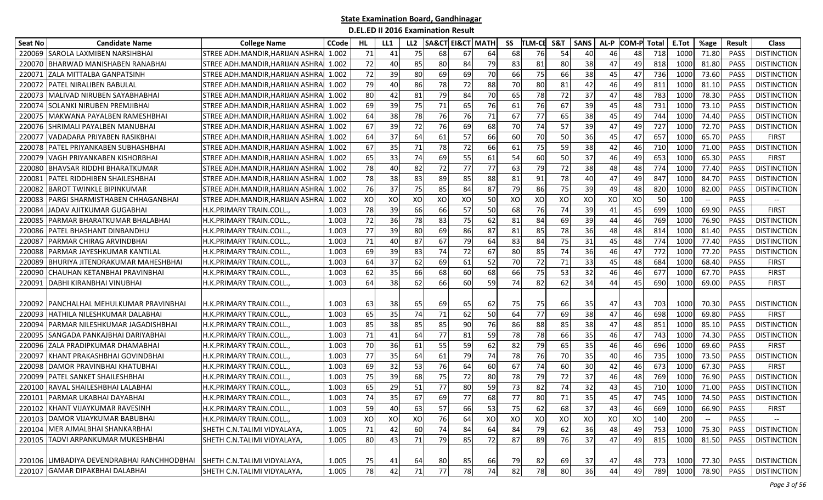| <b>Seat No</b> | <b>Candidate Name</b>                      | <b>College Name</b>             | <b>CCode</b> | HL. | LL1 | LL <sub>2</sub> | <b>SA&amp;CT</b> | EI&CT MATH |    | SS | <b>TLM-CE</b> | S&T | <b>SANS</b> | AL-P | <b>COM-P</b> Total |     | E.Tot | %age  | <b>Result</b> | <b>Class</b>       |
|----------------|--------------------------------------------|---------------------------------|--------------|-----|-----|-----------------|------------------|------------|----|----|---------------|-----|-------------|------|--------------------|-----|-------|-------|---------------|--------------------|
| 220069         | SAROLA LAXMIBEN NARSIHBHAI                 | STREE ADH.MANDIR, HARIJAN ASHRA | 1.002        | 71  | 41  | 75              | 68               | 67         | 64 | 68 | 76            | 54  | 40          | 46   | 48                 | 718 | 1000  | 71.80 | PASS          | <b>DISTINCTION</b> |
| 220070         | BHARWAD MANISHABEN RANABHAI                | STREE ADH.MANDIR,HARIJAN ASHRA  | 1.002        | 72  | 40  | 85              | 80               | 84         | 79 | 83 | 81            | 80  | 38          | 47   | 49                 | 818 | 1000  | 81.80 | PASS          | <b>DISTINCTION</b> |
| 22007          | ZALA MITTALBA GANPATSINH                   | STREE ADH.MANDIR, HARIJAN ASHRA | 1.002        | 72  | 39  | 80              | 69               | 69         | 70 | 66 | 75            | 66  | 38          | 45   | 47                 | 736 | 1000  | 73.60 | PASS          | <b>DISTINCTION</b> |
| 220072         | <b>PATEL NIRALIBEN BABULAL</b>             | STREE ADH.MANDIR, HARIJAN ASHRA | 1.002        | 79  | 40  | 86              | 78               | 72         | 88 | 70 | 80            | 81  | 42          | 46   | 49                 | 811 | 1000  | 81.10 | PASS          | <b>DISTINCTION</b> |
| 22007          | MALIVAD NIRUBEN SAYABHABHAI                | STREE ADH.MANDIR,HARIJAN ASHRA  | 1.002        | 80  | 42  | 81              | 79               | 84         | 70 | 65 | 78            | 72  | 37          | 47   | 48                 | 783 | 1000  | 78.30 | <b>PASS</b>   | <b>DISTINCTION</b> |
| 22007          | ISOLANKI NIRUBEN PREMJIBHAI                | STREE ADH.MANDIR,HARIJAN ASHRA  | 1.002        | 69  | 39  | 75              | 71               | 65         | 76 | 61 | 76            | 67  | 39          | 45   | 48                 | 731 | 1000  | 73.10 | <b>PASS</b>   | <b>DISTINCTION</b> |
| 22007          | MAKWANA PAYALBEN RAMESHBHAI                | STREE ADH.MANDIR, HARIJAN ASHRA | 1.002        | 64  | 38  | 78              | 76               | 76         | 71 | 67 | 77            | 65  | 38          | 45   | 49                 | 744 | 1000  | 74.40 | PASS          | <b>DISTINCTION</b> |
| 220076         | SHRIMALI PAYALBEN MANUBHAI                 | STREE ADH.MANDIR, HARIJAN ASHRA | 1.002        | 67  | 39  | 72              | 76               | 69         | 68 | 70 | 74            | 57  | 39          | 47   | 49                 | 727 | 1000  | 72.70 | PASS          | <b>DISTINCTION</b> |
| 22007          | VADADARA PRIYABEN RASIKBHAI                | STREE ADH.MANDIR,HARIJAN ASHRA  | 1.002        | 64  | 37  | 64              | 61               | 57         | 66 | 60 | 70            | 50  | 36          | 45   | 47                 | 657 | 1000  | 65.70 | PASS          | <b>FIRST</b>       |
| 220078         | PATEL PRIYANKABEN SUBHASHBHAI              | STREE ADH.MANDIR,HARIJAN ASHRA  | 1.002        | 67  | 35  | 71              | 78               | 72         | 66 | 61 | 75            | 59  | 38          | 42   | 46                 | 710 | 1000  | 71.00 | PASS          | <b>DISTINCTION</b> |
| 220079         | VAGH PRIYANKABEN KISHORBHAI                | STREE ADH.MANDIR, HARIJAN ASHRA | 1.002        | 65  | 33  | 74              | 69               | 55         | 61 | 54 | 60            | 50  | 37          | 46   | 49                 | 653 | 1000  | 65.30 | PASS          | <b>FIRST</b>       |
| 22008          | <b>BHAVSAR RIDDHI BHARATKUMAR</b>          | STREE ADH.MANDIR, HARIJAN ASHRA | 1.002        | 78  | 40  | 82              | 72               | 77         | 77 | 63 | 79            | 72  | 38          | 48   | 48                 | 774 | 1000  | 77.40 | PASS          | <b>DISTINCTION</b> |
| 22008          | PATEL RIDDHIBEN SHAILESHBHAI               | STREE ADH.MANDIR, HARIJAN ASHRA | 1.002        | 78  | 38  | 83              | 89               | 85         | 88 | 81 | 91            | 78  | 40          | 47   | 49                 | 847 | 1000  | 84.70 | PASS          | <b>DISTINCTION</b> |
| 220082         | <b>BAROT TWINKLE BIPINKUMAR</b>            | STREE ADH.MANDIR,HARIJAN ASHRA  | 1.002        | 76  | 37  | 75              | 85               | 84         | 87 | 79 | 86            | 75  | 39          | 49   | 48                 | 820 | 1000  | 82.00 | <b>PASS</b>   | <b>DISTINCTION</b> |
| 22008          | PARGI SHARMISTHABEN CHHAGANBHAI            | STREE ADH.MANDIR, HARIJAN ASHRA | 1.002        | XO  | XO  | XO              | XO               | XO         | 50 | XO | XO            | XO  | XO          | XO   | XO                 | 50  | 100   |       | PASS          |                    |
| 220084         | JADAV AJITKUMAR GUGABHAI                   | H.K.PRIMARY TRAIN.COLL.         | 1.003        | 78  | 39  | 66              | 66               | 57         | 50 | 68 | 76            | 74  | 39          | 41   | 45                 | 699 | 1000  | 69.90 | PASS          | <b>FIRST</b>       |
| 22008          | PARMAR BHARATKUMAR BHALABHAI               | H.K.PRIMARY TRAIN.COLL.         | 1.003        | 72  | 36  | 78              | 83               | 75         | 62 | 81 | 84            | 69  | 39          | 44   | 46                 | 769 | 1000  | 76.90 | PASS          | <b>DISTINCTION</b> |
| 220086         | PATEL BHASHANT DINBANDHU                   | H.K.PRIMARY TRAIN.COLL.         | 1.003        | 77  | 39  | 80              | 69               | 86         | 87 | 81 | 85            | 78  | 36          | 48   | 48                 | 814 | 1000  | 81.40 | PASS          | <b>DISTINCTION</b> |
| 22008          | PARMAR CHIRAG ARVINDBHAI                   | H.K. PRIMARY TRAIN. COLL.       | 1.003        | 71  | 40  | 87              | 67               | 79         | 64 | 83 | 84            | 75  | 31          | 45   | 48                 | 774 | 1000  | 77.40 | PASS          | <b>DISTINCTION</b> |
| 22008          | PARMAR JAYESHKUMAR KANTILAL                | H.K.PRIMARY TRAIN.COLL.         | 1.003        | 69  | 39  | 83              | 74               | 72         | 67 | 80 | 85            | 74  | 36          | 46   | 47                 | 772 | 1000  | 77.20 | PASS          | <b>DISTINCTION</b> |
| 220089         | BHURIYA JITENDRAKUMAR MAHESHBHAI           | H.K.PRIMARY TRAIN.COLL.         | 1.003        | 64  | 37  | 62              | 69               | 61         | 52 | 70 | 72            | 71  | 33          | 45   | 48                 | 684 | 1000  | 68.40 | PASS          | <b>FIRST</b>       |
| 220090         | CHAUHAN KETANBHAI PRAVINBHAI               | H.K. PRIMARY TRAIN. COLL.       | 1.003        | 62  | 35  | 66              | 68               | 60         | 68 | 66 | 75            | 53  | 32          | 46   | 46                 | 677 | 100   | 67.70 | PASS          | <b>FIRST</b>       |
| 22009          | DABHI KIRANBHAI VINUBHAI                   | H.K.PRIMARY TRAIN.COLL.         | 1.003        | 64  | 38  | 62              | 66               | 60         | 59 | 74 | 82            | 62  | 34          | 44   | 45                 | 690 | 1000  | 69.00 | PASS          | <b>FIRST</b>       |
|                |                                            |                                 |              |     |     |                 |                  |            |    |    |               |     |             |      |                    |     |       |       |               |                    |
| 220092         | PANCHALHAL MEHULKUMAR PRAVINBHAI           | H.K.PRIMARY TRAIN.COLL.         | 1.003        | 63  | 38  | 65              | 69               | 65         | 62 | 75 | 75            | 66  | 35          | 47   | 43                 | 703 | 1000  | 70.30 | <b>PASS</b>   | <b>DISTINCTION</b> |
| 22009          | HATHILA NILESHKUMAR DALABHAI               | H.K. PRIMARY TRAIN. COLL.       | 1.003        | 65  | 35  | 74              | 71               | 62         | 50 | 64 | 77            | 69  | 38          | 47   | 46                 | 698 | 1000  | 69.80 | <b>PASS</b>   | <b>FIRST</b>       |
| 22009          | PARMAR NILESHKUMAR JAGADISHBHAI            | H.K.PRIMARY TRAIN.COLL.         | 1.003        | 85  | 38  | 85              | 85               | 90         | 76 | 86 | 88            | 85  | 38          | 47   | 48                 | 851 | 1000  | 85.10 | PASS          | <b>DISTINCTION</b> |
| 22009          | SANGADA PANKAJBHAI DARIYABHAI              | H.K.PRIMARY TRAIN.COLL.         | 1.003        | 71  | 41  | 64              | 77               | 81         | 59 | 78 | 78            | 66  | 35          | 46   | 47                 | 743 | 1000  | 74.30 | PASS          | <b>DISTINCTION</b> |
| 220096         | <b>ZALA PRADIPKUMAR DHAMABHAI</b>          | H.K.PRIMARY TRAIN.COLL.         | 1.003        | 70  | 36  | 61              | 55               | 59         | 62 | 82 | 79            | 65  | 35          | 46   | 46                 | 696 | 1000  | 69.60 | PASS          | <b>FIRST</b>       |
| 220097         | KHANT PRAKASHBHAI GOVINDBHAI               | H.K. PRIMARY TRAIN. COLL.       | 1.003        | 77  | 35  | 64              | 61               | 79         | 74 | 78 | 76            | 70  | 35          | 40   | 46                 | 735 | 1000  | 73.50 | PASS          | <b>DISTINCTION</b> |
| 220098         | DAMOR PRAVINBHAI KHATUBHAI                 | H.K.PRIMARY TRAIN.COLL.         | 1.003        | 69  | 32  | 53              | 76               | 64         | 60 | 67 | 74            | 60  | 30          | 42   | 46                 | 673 | 1000  | 67.30 | PASS          | <b>FIRST</b>       |
| 220099         | PATEL SANKET SHAILESHBHAI                  | H.K.PRIMARY TRAIN.COLL.         | 1.003        | 75  | 39  | 68              | 75               | 72         | 80 | 78 | 79            | 72  | 37          | 46   | 48                 | 769 | 1000  | 76.90 | PASS          | <b>DISTINCTION</b> |
| 220100         | RAVAL SHAILESHBHAI LALABHAI                | H.K.PRIMARY TRAIN.COLL.         | 1.003        | 65  | 29  | 51              | 77               | 80         | 59 | 73 | 82            | 74  | 32          | 43   | 45                 | 710 | 1000  | 71.00 | PASS          | <b>DISTINCTION</b> |
| 220101         | PARMAR UKABHAI DAYABHAI                    | H.K.PRIMARY TRAIN.COLL.         | 1.003        | 74  | 35  | 67              | 69               | 77         | 68 | 77 | 80            | 71  | 35          | 45   | 47                 | 745 | 1000  | 74.50 | PASS          | <b>DISTINCTION</b> |
|                | 220102 KHANT VIJAYKUMAR RAVESINH           | H.K.PRIMARY TRAIN.COLL.,        | 1.003        | 59  | 40  | 63              | -57              | 66         | 53 | 75 | 62            | 68  | 37          | 43   | 46                 | 669 | 1000  | 66.90 | PASS          | <b>FIRST</b>       |
|                | 220103 DAMOR VIJAYKUMAR BABUBHAI           | H.K.PRIMARY TRAIN.COLL.,        | 1.003        | XO  | XO  | XO              | 76               | 64         | XO | XO | XO            | XO  | XO          | XO   | XO                 | 140 | 200   |       | PASS          | $\overline{a}$     |
|                | 220104 MER AJMALBHAI SHANKARBHAI           | SHETH C.N.TALIMI VIDYALAYA,     | 1.005        | 71  | 42  | 60              | 74               | 84         | 64 | 84 | 79            | 62  | 36          | 48   | 49                 | 753 | 1000  | 75.30 | PASS          | <b>DISTINCTION</b> |
|                | 220105 TADVI ARPANKUMAR MUKESHBHAI         | SHETH C.N.TALIMI VIDYALAYA,     | 1.005        | 80  | 43  | 71              | 79               | 85         | 72 | 87 | 89            | 76  | 37          | 47   | 49                 | 815 | 1000  | 81.50 | PASS          | <b>DISTINCTION</b> |
|                |                                            |                                 |              |     |     |                 |                  |            |    |    |               |     |             |      |                    |     |       |       |               |                    |
|                | 220106 LIMBADIYA DEVENDRABHAI RANCHHODBHAI | SHETH C.N.TALIMI VIDYALAYA,     | 1.005        | 75  | 41  | 64              | 80               | 85         | 66 | 79 | 82            | 69  | 37          | 47   | 48                 | 773 | 1000  | 77.30 | PASS          | <b>DISTINCTION</b> |
|                | 220107 GAMAR DIPAKBHAI DALABHAI            | SHETH C.N.TALIMI VIDYALAYA,     | 1.005        | 78  | 42  | 71              | 77               | 78         | 74 | 82 | 78            | 80  | 36          | 44   | 49                 | 789 | 1000  | 78.90 | PASS          | <b>DISTINCTION</b> |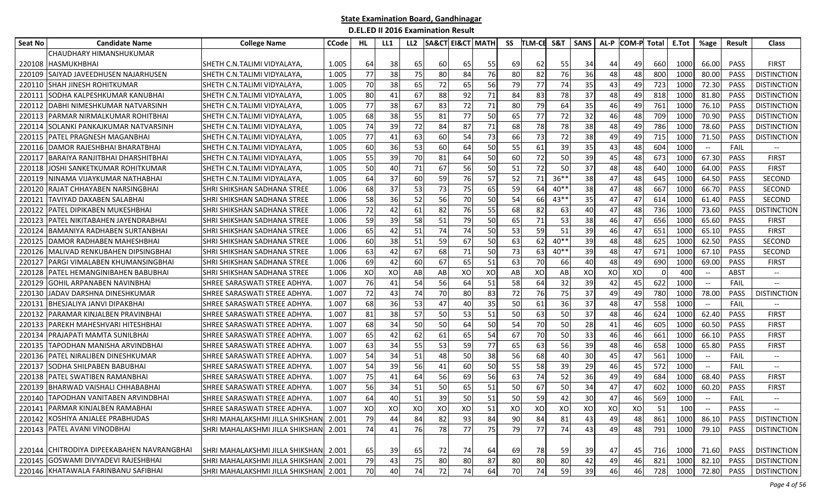| Seat No | <b>Candidate Name</b>                      | <b>College Name</b>                   | <b>CCode</b> | HL | LL1 | LL <sub>2</sub> |    | SA&CT EI&CT   MATH |    | SS | <b>TLM-CE</b> | S&T     | SANS | AL-P | <b>COM-P</b> Total |     | E.Tot | %age                                                | <b>Result</b> | Class                         |
|---------|--------------------------------------------|---------------------------------------|--------------|----|-----|-----------------|----|--------------------|----|----|---------------|---------|------|------|--------------------|-----|-------|-----------------------------------------------------|---------------|-------------------------------|
|         | CHAUDHARY HIMANSHUKUMAR                    |                                       |              |    |     |                 |    |                    |    |    |               |         |      |      |                    |     |       |                                                     |               |                               |
| 220108  | IHASMUKHBHAI                               | ISHETH C.N.TALIMI VIDYALAYA,          | 1.005        | 64 | 38  | 65              | 60 | 65                 | 55 | 69 | 62            | 55      | 34   | 44   | 49                 | 660 | 1000  | 66.00                                               | <b>PASS</b>   | <b>FIRST</b>                  |
| 220109  | SAIYAD JAVEEDHUSEN NAJARHUSEN              | SHETH C.N.TALIMI VIDYALAYA,           | 1.005        | 77 | 38  | 75              | 80 | 84                 | 76 | 80 | 82            | 76      | 36   | 48   | 48                 | 800 | 1000  | 80.00                                               | <b>PASS</b>   | <b>DISTINCTION</b>            |
| 220110  | <b>SHAH JINESH ROHITKUMAR</b>              | ISHETH C.N.TALIMI VIDYALAYA,          | 1.005        | 70 | 38  | 65              | 72 | 65                 | 56 | 79 | 77            | 74      | 35   | 43   | 49                 | 723 | 1000  | 72.30                                               | <b>PASS</b>   | <b>DISTINCTION</b>            |
| 220111  | SODHA KALPESHKUMAR KANUBHAI                | ISHETH C.N.TALIMI VIDYALAYA,          | 1.005        | 80 | 41  | 67              | 88 | 92                 | 71 | 84 | 83            | 78      | 37   | 48   | 49                 | 818 | 1000  | 81.80                                               | <b>PASS</b>   | <b>DISTINCTION</b>            |
| 220112  | DABHI NIMESHKUMAR NATVARSINH               | ISHETH C.N.TALIMI VIDYALAYA           | 1.005        | 77 | 38  | 67              | 83 | 72                 | 71 | 80 | 79            | 64      | 35   | 46   | 49                 | 761 | 1000  | 76.10                                               | <b>PASS</b>   | <b>DISTINCTION</b>            |
| 220113  | <b>PARMAR NIRMALKUMAR ROHITBHAI</b>        | ISHETH C.N.TALIMI VIDYALAYA           | 1.005        | 68 | 38  | 55              | 81 | 77                 | 50 | 65 | 77            | 72      | 32   | 46   | 48                 | 709 | 1000  | 70.90                                               | PASS          | <b>DISTINCTION</b>            |
| 220114  | SOLANKI PANKAJKUMAR NATVARSINH             | ISHETH C.N.TALIMI VIDYALAYA,          | 1.005        | 74 | 39  | 72              | 84 | 87                 | 71 | 68 | 78            | 78      | 38   | 48   | 49                 | 786 | 1000  | 78.60                                               | <b>PASS</b>   | <b>DISTINCTION</b>            |
| 220115  | PATEL PRAGNESH MAGANBHAI                   | ISHETH C.N.TALIMI VIDYALAYA,          | 1.005        | 77 | 41  | 63              | 60 | 54                 | 73 | 66 | 73            | 72      | 38   | 49   | 49                 | 715 | 1000  | 71.50                                               | <b>PASS</b>   | <b>DISTINCTION</b>            |
| 220116  | DAMOR RAJESHBHAI BHARATBHAI                | ISHETH C.N.TALIMI VIDYALAYA,          | 1.005        | 60 | 36  | 53              | 60 | 64                 | 50 | 55 | 61            | 39      | 35   | 43   | 48                 | 604 | 1000  | $\hspace{0.05cm} \dashrightarrow$                   | FAIL          | $\hspace{0.05cm} \textbf{--}$ |
| 22011   | <b>BARAIYA RANJITBHAI DHARSHITBHAI</b>     | SHETH C.N.TALIMI VIDYALAYA,           | 1.005        | 55 | 39  | 70              | 81 | 64                 | 50 | 60 | 72            | 50      | 39   | 45   | 48                 | 673 | 1000  | 67.30                                               | PASS          | <b>FIRST</b>                  |
| 220118  | JOSHI SANKETKUMAR ROHITKUMAR               | ISHETH C.N.TALIMI VIDYALAYA,          | 1.005        | 50 | 40  | 71              | 67 | 56                 | 50 | 51 | 72            | 50      | 37   | 48   | 48                 | 640 | 1000  | 64.00                                               | PASS          | <b>FIRST</b>                  |
| 220119  | NINAMA VIJAYKUMAR NATHABHAI                | ISHETH C.N.TALIMI VIDYALAYA.          | 1.005        | 64 | 37  | 60              | 59 | 76I                | 57 | 52 | 71            | $36***$ | 38   | 47   | 48                 | 645 | 1000  | 64.50                                               | <b>PASS</b>   | <b>SECOND</b>                 |
| 220120  | IRAJAT CHHAYABEN NARSINGBHAI               | <b>SHRI SHIKSHAN SADHANA STREE</b>    | 1.006        | 68 | 37  | 53              | 73 | 75                 | 65 | 59 | 64            | $40**$  | 38   | 47   | 48                 | 667 | 1000  | 66.70                                               | <b>PASS</b>   | SECOND                        |
| 220121  | <b>TAVIYAD DAXABEN SALABHA</b>             | <b>SHRI SHIKSHAN SADHANA STREE</b>    | 1.006        | 58 | 36  | 52              | 56 | <b>70</b>          | 50 | 54 | 66            | $43**$  | 35   | 47   | 47                 | 614 | 1000  | 61.40                                               | PASS          | <b>SECOND</b>                 |
| 220122  | PATEL DIPIKABEN MUKESHBHAI                 | ISHRI SHIKSHAN SADHANA STREE          | 1.006        | 72 | 42  | 61              | 82 | 76                 | 55 | 68 | 82            | 63      | 40   | 47   | 48                 | 736 | 1000  | 73.60                                               | PASS          | <b>DISTINCTION</b>            |
| 220123  | PATEL NIKITABAHEN JAYENDRABHAI             | ISHRI SHIKSHAN SADHANA STREE          | 1.006        | 59 | 39  | 58              | 51 | 79                 | 50 | 65 | 71            | 53      | 38   | 46   | 47                 | 656 | 1000  | 65.60                                               | <b>PASS</b>   | <b>FIRST</b>                  |
| 220124  | <b>BAMANIYA RADHABEN SURTANBHAI</b>        | <b>SHRI SHIKSHAN SADHANA STREE</b>    | 1.006        | 65 | 42  | 51              | 74 | 74                 | 50 | 53 | 59            | 51      | 39   | 46   | 47                 | 651 | 1000  | 65.10                                               | PASS          | <b>FIRST</b>                  |
| 22012   | DAMOR RADHABEN MAHESHBHAI                  | <b>SHRI SHIKSHAN SADHANA STREE</b>    | 1.006        | 60 | 38  | 51              | 59 | 67                 | 50 | 63 | 62            | $40**$  | 39   | 48   | 48                 | 625 | 1000  | 62.50                                               | PASS          | SECOND                        |
| 220126  | MALIVAD RENKUBAHEN DIPSINGBHAI             | ISHRI SHIKSHAN SADHANA STREE          | 1.006        | 63 | 42  | 67              | 68 | 71                 | 50 | 73 | 63            | $40*$   | 39   | 48   | 47                 | 671 | 1000  | 67.10                                               | PASS          | SECOND                        |
| 220127  | PARGI VIMALABEN KHUMANSINGBHAI             | <b>SHRI SHIKSHAN SADHANA STREE</b>    | 1.006        | 69 | 42  | 60              | 67 | 65                 | 51 | 63 | 70            | 66      | 40   | 48   | 49                 | 690 | 1000  | 69.00                                               | <b>PASS</b>   | <b>FIRST</b>                  |
| 220128  | PATEL HEMANGINIBAHEN BABUBHAI              | <b>SHRI SHIKSHAN SADHANA STREE</b>    | 1.006        | XO | XO  | AB              | AB | XO                 | XO | AB | XO            | AB      | XO   | XO   | XO                 |     | 400   | $\overline{\phantom{a}}$                            | ABST          | $\overline{\phantom{a}}$      |
| 220129  | GOHIL ARPANABEN NAVINBHAI                  | <b>SHREE SARASWATI STREE ADHYA</b>    | 1.007        | 76 | 41  | 54              | 56 | 64                 | 51 | 58 | 64            | 32      | 39   | 42   | 45                 | 622 | 1000  |                                                     | FAIL          |                               |
| 220130  | JADAV DARSHNA DINESHKUMAR                  | SHREE SARASWATI STREE ADHYA           | 1.007        | 72 | 43  | 74              | 70 | 80                 | 83 | 72 | 76            | 75      | 37   | 49   | 49                 | 780 | 1000  | 78.00                                               | <b>PASS</b>   | <b>DISTINCTION</b>            |
| 220131  | BHESJALIYA JANVI DIPAKBHAI                 | ISHREE SARASWATI STREE ADHYA          | 1.007        | 68 | 36  | 53              | 47 | 40                 | 35 | 50 | 61            | 36      | 37   | 48   | 47                 | 558 | 1000  | $\overline{\phantom{a}}$                            | FAIL          | $\overline{\phantom{a}}$      |
| 220132  | PARAMAR KINJALBEN PRAVINBHAI               | SHREE SARASWATI STREE ADHYA           | 1.007        | 81 | 38  | 57              | 50 | 53                 | 51 | 50 | 63            | 50      | 37   | 48   | 46                 | 624 | 1000  | 62.40                                               | <b>PASS</b>   | <b>FIRST</b>                  |
| 220133  | PAREKH MAHESHVARI HITESHBHAI               | <b>SHREE SARASWATI STREE ADHYA</b>    | 1.007        | 68 | 34  | 50              | 50 | 64                 | 50 | 54 | 70            | 50      | 28   | 41   | 46                 | 605 | 1000  | 60.50                                               | PASS          | <b>FIRST</b>                  |
| 220134  | PRAJAPATI MAMTA SUNILBHAI                  | ISHREE SARASWATI STREE ADHYA          | 1.007        | 65 | 42  | 62              | 61 | 65                 | 54 | 67 | 70            | 50      | 33   | 46   | 46                 | 661 | 1000  | 66.10                                               | PASS          | <b>FIRST</b>                  |
| 220135  | TAPODHAN MANISHA ARVINDBHAI                | <b>SHREE SARASWATI STREE ADHYA</b>    | 1.007        | 63 | 34  | 55              | 53 | 59                 | 77 | 65 | 63            | 56      | 39   | 48   | 46                 | 658 | 1000  | 65.80                                               | PASS          | <b>FIRST</b>                  |
| 220136  | <b>PATEL NIRALIBEN DINESHKUMAR</b>         | <b>SHREE SARASWATI STREE ADHYA</b>    | 1.007        | 54 | 34  | 51              | 48 | 50                 | 38 | 56 | 68            | 40      | 30   | 45   | 47                 | 561 | 1000  | $\hspace{0.05cm} -\hspace{0.05cm} -\hspace{0.05cm}$ | FAIL          | $\overline{\phantom{a}}$      |
| 220137  | SODHA SHILPABEN BABUBHAI                   | SHREE SARASWATI STREE ADHYA           | 1.007        | 54 | 39  | 56              | 41 | 60                 | 50 | 55 | 58            | 39      | 29   | 46   | 45                 | 572 | 1000  |                                                     | FAIL          |                               |
| 220138  | PATEL SWATIBEN RAMANBHAI                   | ISHREE SARASWATI STREE ADHYA          | 1.007        | 75 | 41  | 64              | 56 | 69                 | 56 | 63 | 74            | 52      | 36   | 49   | 49                 | 684 | 1000  | 68.40                                               | <b>PASS</b>   | <b>FIRST</b>                  |
| 220139  | BHARWAD VAISHALI CHHABABHAI                | <b>SHREE SARASWATI STREE ADHYA</b>    | 1.007        | 56 | 34  | 51              | 50 | 65                 | 51 | 50 | 67            | 50      | 34   | 47   | 47                 | 602 | 1000  | 60.20                                               | PASS          | <b>FIRST</b>                  |
| 220140  | <b>TAPODHAN VANITABEN ARVINDBHAI</b>       | <b>SHREE SARASWATI STREE ADHYA</b>    | 1.007        | 64 | 40  | 51              | 39 | 50                 | 51 | 50 | 59            | 42      | 30   | 47   | 46                 | 569 | 1000  | $\hspace{0.05cm} -\hspace{0.05cm} -\hspace{0.05cm}$ | <b>FAIL</b>   | $\hspace{0.05cm} \ldots$      |
|         | 220141 PARMAR KINJALBEN RAMABHAI           | SHREE SARASWATI STREE ADHYA.          | 1.007        | XO | XO  | XO              | XO | xo                 | 51 | XO | XO            | xo      | XO   | XO   | XO                 | 51  | 100   | $\hspace{0.05cm} \dashrightarrow$                   | PASS          | $\overline{\phantom{a}}$      |
|         | 220142 KOSHIYA ANJALEE PRABHUDAS           | SHRI MAHALAKSHMI JILLA SHIKSHAN       | 2.001        | 79 | 44  | 84              | 82 | 93                 | 84 | 90 | 84            | 81      | 43   | 49   | 48                 | 861 | 1000  | 86.10                                               | PASS          | <b>DISTINCTION</b>            |
|         | 220143 PATEL AVANI VINODBHAI               | SHRI MAHALAKSHMI JILLA SHIKSHAN 2.001 |              | 74 | 41  | 76              | 78 | 77                 | 75 | 79 | 77            | 74      | 43   | 49   | 48                 | 791 | 1000  | 79.10                                               | PASS          | <b>DISTINCTION</b>            |
|         |                                            |                                       |              |    |     |                 |    |                    |    |    |               |         |      |      |                    |     |       |                                                     |               |                               |
|         | 220144 CHITRODIYA DIPEEKABAHEN NAVRANGBHAI | SHRI MAHALAKSHMI JILLA SHIKSHAN 2.001 |              | 65 | 39  | 65              | 72 | 74                 | 64 | 69 | 78            | 59      | 39   | 47   | 45                 | 716 | 1000  | 71.60                                               | PASS          | <b>DISTINCTION</b>            |
| 220145  | <b>GOSWAMI DIVYADEVI RAJESHBHAI</b>        | SHRI MAHALAKSHMI JILLA SHIKSHAN       | 2.001        | 79 | 43  | 75              | 80 | 80                 | 87 | 80 | 80            | 80      | 42   | 49   | 46                 | 821 | 1000  | 82.10                                               | <b>PASS</b>   | <b>DISTINCTION</b>            |
|         | 220146 KHATAWALA FARINBANU SAFIBHAI        | SHRI MAHALAKSHMI JILLA SHIKSHAN 2.001 |              | 70 | 40  | 74              | 72 | 74                 | 64 | 70 | 74            | 59      | 39   | 46   | 46                 | 728 | 1000  | 72.80                                               | PASS          | <b>DISTINCTION</b>            |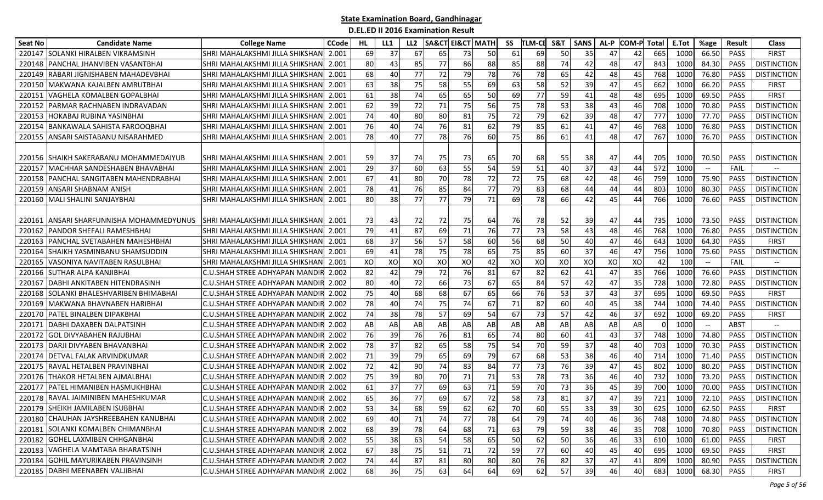| <b>Seat No</b> | <b>Candidate Name</b>                      | <b>College Name</b>                   | <b>CCode</b> | HL | LL1 | LL <sub>2</sub> | <b>SA&amp;CT</b> | <b>EI&amp;CT MATH</b> |          | SS       | <b>TLM-CE</b> | S&T      | <b>SANS</b> | AL-P | <b>COM-P</b> Total |            | E.Tot | %age                          | <b>Result</b>       | <b>Class</b>       |
|----------------|--------------------------------------------|---------------------------------------|--------------|----|-----|-----------------|------------------|-----------------------|----------|----------|---------------|----------|-------------|------|--------------------|------------|-------|-------------------------------|---------------------|--------------------|
| 220147         | SOLANKI HIRALBEN VIKRAMSINH                | SHRI MAHALAKSHMI JILLA SHIKSHAN       | 2.001        | 69 | 37  | 67              | 65               | 73                    | 50       | 61       | 69            | 50       | 35          | 47   | 42                 | 665        | 1000  | 66.50                         | <b>PASS</b>         | <b>FIRST</b>       |
| 220148         | PANCHAL JHANVIBEN VASANTBHAI               | SHRI MAHALAKSHMI JILLA SHIKSHAN       | 2.001        | 80 | 43  | 85              | 77               | 86                    | 88       | 85       | 88            | 74       | 42          | 48   | 47                 | 843        | 1000  | 84.30                         | <b>PASS</b>         | <b>DISTINCTION</b> |
| 220149         | RABARI JIGNISHABEN MAHADEVBHAI             | SHRI MAHALAKSHMI JILLA SHIKSHAN       | 2.001        | 68 | 40  | 77              | 72               | 79                    | 78       | 76       | 78            | 65       | 42          | 48   | 45                 | 768        | 1000  | 76.80                         | PASS                | <b>DISTINCTION</b> |
| 220150         | MAKWANA KAJALBEN AMRUTBHAI                 | SHRI MAHALAKSHMI JILLA SHIKSHAN       | 2.001        | 63 | 38  | 75              | 58               | 55                    | 69       | 63       | 58            | 52       | 39          | 47   | 45                 | 662        | 1000  | 66.20                         | PASS                | <b>FIRST</b>       |
| 22015:         | <b>VAGHELA KOMALBEN GOPALBHAI</b>          | SHRI MAHALAKSHMI JILLA SHIKSHAN       | 2.001        | 61 | 38  | 74              | 65               | 65                    | 50       | 69       | 77            | 59       | 41          | 48   | 48                 | 695        | 1000  | 69.50                         | <b>PASS</b>         | <b>FIRST</b>       |
| 220152         | PARMAR RACHNABEN INDRAVADAN                | SHRI MAHALAKSHMI JILLA SHIKSHAN       | 2.001        | 62 | 39  | 72              | 71               | 75                    | 56       | 75       | 78            | 53       | 38          | 43   | 46                 | 708        | 1000  | 70.80                         | <b>PASS</b>         | <b>DISTINCTION</b> |
| 220153         | <b>HOKABAJ RUBINA YASINBHAI</b>            | SHRI MAHALAKSHMI JILLA SHIKSHAN       | 2.001        | 74 | 40  | 80              | 80               | 81                    | 75       | 72       | 79            | 62       | 39          | 48   | 47                 | 777        | 1000  | 77.70                         | <b>PASS</b>         | <b>DISTINCTION</b> |
| 220154         | BANKAWALA SAHISTA FAROOQBHAI               | SHRI MAHALAKSHMI JILLA SHIKSHAN       | 2.001        | 76 | 40  | 74              | 76               | 81                    | 62       | 79       | 85            | 61       | 41          | 47   | 46                 | 768        | 1000  | 76.80                         | PASS                | <b>DISTINCTION</b> |
| 220155         | ANSARI SAISTABANU NISARAHMED               | SHRI MAHALAKSHMI JILLA SHIKSHAN       | 2.001        | 78 | 40  | 77              | 78               | 76                    | 60       | 75       | 86            | 61       | 41          | 48   | 47                 | 767        | 1000  | 76.70                         | <b>PASS</b>         | <b>DISTINCTION</b> |
|                |                                            |                                       |              |    |     |                 |                  |                       |          |          |               |          |             |      |                    |            |       |                               |                     |                    |
|                | 220156 SHAIKH SAKERABANU MOHAMMEDAIYUB     | ISHRI MAHALAKSHMI JILLA SHIKSHANI     | 2.001        | 59 | 37  | 74<br>60        | 75               | 73<br>55              | 65<br>54 | 70<br>59 | 68            | 55<br>40 | 38<br>37    | 47   | 44                 | 705<br>572 | 1000  | 70.50                         | <b>PASS</b><br>FAIL | <b>DISTINCTION</b> |
| 220157         | MACHHAR SANDESHABEN BHAVABHAI              | SHRI MAHALAKSHMI JILLA SHIKSHAN       | 2.001        | 29 | 37  |                 | 63               | 78                    | 72       |          | 51            |          |             | 43   | 44                 | 759        | 1000  | $\hspace{0.05cm} \textbf{--}$ |                     |                    |
| 220158         | IPANCHAL SANGITABEN MAHENDRABHAI           | ISHRI MAHALAKSHMI JILLA SHIKSHAN      | 2.001        | 67 | 41  | 80              | 70               |                       |          | 72       | 75            | 68       | 42          | 48   | 46                 |            | 1000  | 75.90                         | <b>PASS</b>         | <b>DISTINCTION</b> |
| 220159         | <b>ANSARI SHABNAM ANISH</b>                | SHRI MAHALAKSHMI JILLA SHIKSHAN       | 2.001        | 78 | 41  | 76              | 85               | 84                    | 77       | 79       | 83            | 68       | 44          | 44   | 44                 | 803        | 1000  | 80.30                         | PASS                | <b>DISTINCTION</b> |
| 220160         | MALI SHALINI SANJAYBHAI                    | SHRI MAHALAKSHMI JILLA SHIKSHAN       | 2.001        | 80 | 38  | 77              | 77               | 79                    | 71       | 69       | 78            | 66       | 42          | 45   | 44                 | 766        | 1000  | 76.60                         | PASS                | <b>DISTINCTION</b> |
|                | 220161   ANSARI SHARFUNNISHA MOHAMMEDYUNUS | ISHRI MAHALAKSHMI JILLA SHIKSHANI     | 2.001        | 73 | 43  | 72              | 72               | 75                    | 64       | 76       | 78            | 52       | 39          | 47   | 44                 | 735        | 1000  | 73.50                         | <b>PASS</b>         | <b>DISTINCTION</b> |
| 220162         | PANDOR SHEFALI RAMESHBHAI                  | SHRI MAHALAKSHMI JILLA SHIKSHAN       | 2.001        | 79 | 41  | 87              | 69               | 71                    | 76       | 77       | 73            | 58       | 43          | 48   | 46                 | 768        | 1000  | 76.80                         | PASS                | <b>DISTINCTION</b> |
| 220163         | <b>PANCHAL SVETABAHEN MAHESHBHAI</b>       | SHRI MAHALAKSHMI JILLA SHIKSHAN       | 2.001        | 68 | 37  | 56              | 57               | 58                    | 60       | 56       | 68            | 50       | 40          | 47   | 46                 | 643        | 1000  | 64.30                         | PASS                | <b>FIRST</b>       |
| 220164         | <b>ISHAIKH YASMINBANU SHAMSUDDIN</b>       | SHRI MAHALAKSHMI JILLA SHIKSHAN       | 2.001        | 69 | 41  | 78              | 75               | 78                    | 65       | 75       | 85            | 60       | 37          | 46   | 47                 | 756        | 1000  | 75.60                         | <b>PASS</b>         | <b>DISTINCTION</b> |
| 220165         | IVASONIYA NAVITABEN RASULBHAI              | SHRI MAHALAKSHMI JILLA SHIKSHAN       | 2.001        | XO | XO  | XO              | XO               | XO                    | 42       | XO       | XO            | XO       | XO          | XO   | XO                 | 42         | 100   | $- -$                         | FAIL                |                    |
| 220166         | <b>SUTHAR ALPA KANJIBHAI</b>               | C.U.SHAH STREE ADHYAPAN MANDIR        | 2.002        | 82 | 42  | 79              | 72               | 76                    | 81       | 67       | 82            | 62       | 41          | 47   | 35                 | 766        | 1000  | 76.60                         | <b>PASS</b>         | <b>DISTINCTION</b> |
| 22016          | DABHI ANKITABEN HITENDRASINH               | C.U.SHAH STREE ADHYAPAN MANDIR        | 2.002        | 80 | 40  | 72              | 66               | 73                    | 67       | 65       | 84            | 57       | 42          | 47   | 35                 | 728        | 1000  | 72.80                         | PASS                | <b>DISTINCTION</b> |
| 220168         | SOLANKI BHALESHVARIBEN BHIMABHAI           | C.U.SHAH STREE ADHYAPAN MANDII        | 2.002        | 75 | 40  | 68              | 68               | 67                    | 65       | 66       | 76            | 53       | 37          | 43   | 37                 | 695        | 1000  | 69.50                         | PASS                | <b>FIRST</b>       |
| 220169         | MAKWANA BHAVNABEN HARIBHAI                 | C.U.SHAH STREE ADHYAPAN MANDIR        | 2.002        | 78 | 40  | 74              | 75               | 74                    | 67       | 71       | 82            | 60       | 40          | 45   | 38                 | 744        | 1000  | 74.40                         | PASS                | <b>DISTINCTION</b> |
| 220170         | PATEL BINALBEN DIPAKBHAI                   | C.U.SHAH STREE ADHYAPAN MANDI         | 2.002        | 74 | 38  | 78              | 57               | 69                    | 54       | 67       | 73            | 57       | 42          | 46   | 37                 | 692        | 1000  | 69.20                         | PASS                | <b>FIRST</b>       |
| 22017          | DABHI DAXABEN DALPATSINH                   | C.U.SHAH STREE ADHYAPAN MANDI         | 2.002        | AB | AB  | AB              | AB               | AB                    | AB       | AB       | AB            | AB       | AB          | AB   | AB                 | 0          | 1000  |                               | <b>ABST</b>         |                    |
| 220172         | <b>GOL DIVYABAHEN RAJUBHAI</b>             | C.U.SHAH STREE ADHYAPAN MANDIR        | 2.002        | 76 | 39  | 76              | 76               | 81                    | 65       | 74       | 80            | 60       | 41          | 43   | 37                 | 748        | 1000  | 74.80                         | <b>PASS</b>         | <b>DISTINCTION</b> |
| 220173         | DARJI DIVYABEN BHAVANBHAI                  | C.U.SHAH STREE ADHYAPAN MANDIR        | 2.002        | 78 | 37  | 82              | 65               | 58                    | 75       | 54       | 70            | 59       | 37          | 48   | 40                 | 703        | 1000  | 70.30                         | <b>PASS</b>         | <b>DISTINCTION</b> |
| 220174         | <b>DETVAL FALAK ARVINDKUMAR</b>            | C.U.SHAH STREE ADHYAPAN MANDIR        | 2.002        | 71 | 39  | 79              | 65               | 69                    | 79       | 67       | 68            | 53       | 38          | 46   | 40                 | 714        | 1000  | 71.40                         | PASS                | <b>DISTINCTION</b> |
| 220175         | RAVAL HETALBEN PRAVINBHAI                  | C.U.SHAH STREE ADHYAPAN MANDIR        | 2.002        | 72 | 42  | 90              | 74               | 83                    | 84       | 77       | 73            | 76       | 39          | 47   | 45                 | 802        | 1000  | 80.20                         | <b>PASS</b>         | <b>DISTINCTION</b> |
| 220176         | THAKOR HETALBEN AJMALBHAI                  | C.U.SHAH STREE ADHYAPAN MANDIR        | 2.002        | 75 | 39  | 80              | 70               | 71                    | 71       | 53       | 78            | 73       | 36          | 46   | 40                 | 732        | 1000  | 73.20                         | PASS                | <b>DISTINCTION</b> |
| 220177         | <b>PATEL HIMANIBEN HASMUKHBHAI</b>         | <b>C.U.SHAH STREE ADHYAPAN MANDIR</b> | 2.002        | 61 | 37  | 77              | 69               | 63                    | 71       | 59       | 70            | 73       | 36          | 45   | 39                 | 700        | 1000  | 70.00                         | <b>PASS</b>         | <b>DISTINCTION</b> |
|                | 220178 RAVAL JAIMINIBEN MAHESHKUMAR        | C.U.SHAH STREE ADHYAPAN MANDIR        | 2.002        | 65 | 36  | 77              | 69               | 67                    | 72       | 58       | 73            | 81       | 37          | 47   | 39                 | 721        | 1000  | 72.10                         | PASS                | <b>DISTINCTION</b> |
|                | 220179 SHEIKH JAMILABEN ISUBBHAI           | C.U.SHAH STREE ADHYAPAN MANDIR 2.002  |              | 53 | 34  | 68              | 59               | 62                    | 62       | 70       | 60            | 55       | 33          | 39   | 30                 | 625        | 1000  | 62.50                         | PASS                | <b>FIRST</b>       |
|                | 220180 CHAUHAN JAYSHREEBAHEN KANUBHAI      | C.U.SHAH STREE ADHYAPAN MANDIR 2.002  |              | 69 | 40  | 71              | 74               | 77                    | 78       | 64       | 79            | 74       | 40          | 46   | 36                 | 748        | 1000  | 74.80                         | PASS                | <b>DISTINCTION</b> |
|                | 220181 SOLANKI KOMALBEN CHIMANBHAI         | C.U.SHAH STREE ADHYAPAN MANDIR 2.002  |              | 68 | 39  | 78              | 64               | 68                    | 71       | 63       | 79            | 59       | 38          | 46   | 35                 | 708        | 1000  | 70.80                         | PASS                | <b>DISTINCTION</b> |
|                | 220182 GOHEL LAXMIBEN CHHGANBHAI           | C.U.SHAH STREE ADHYAPAN MANDIR 2.002  |              | 55 | 38  | 63              | 54               | 58                    | 65       | 50       | 62            | 50       | 36          | 46   | 33                 | 610        | 1000  | 61.00                         | PASS                | <b>FIRST</b>       |
|                | 220183 VAGHELA MAMTABA BHARATSINH          | C.U.SHAH STREE ADHYAPAN MANDIR 2.002  |              | 67 | 38  | 75              | 51               | 71                    | 72       | 59       | 77            | 60       | 40          | 45   | 40                 | 695        | 1000  | 69.50                         | PASS                | <b>FIRST</b>       |
|                | 220184 GOHIL MAYURIKABEN PRAVINSINH        | C.U.SHAH STREE ADHYAPAN MANDIR 2.002  |              | 74 | 44  | 87              | 81               | 80                    | 80       | 80       | 76            | 82       | 37          | 47   | 41                 | 809        | 1000  | 80.90                         | PASS                | <b>DISTINCTION</b> |
|                | 220185 DABHI MEENABEN VALJIBHAI            | C.U.SHAH STREE ADHYAPAN MANDIR 2.002  |              | 68 | 36  | 75              | 63               | 64                    | 64       | 69       | 62            | 57       | 39          | 46   | 40                 | 683        | 1000  | 68.30                         | PASS                | <b>FIRST</b>       |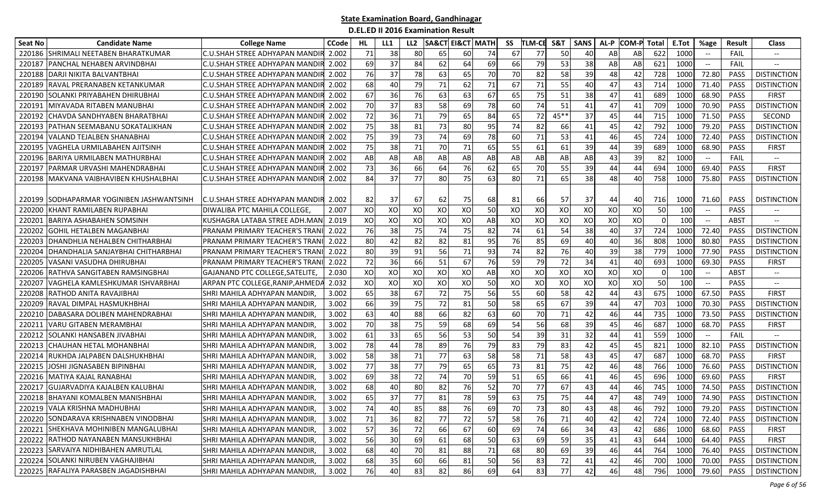| <b>Seat No</b> | <b>Candidate Name</b>                     | <b>College Name</b>                    | <b>CCode</b> | HL | LL1 | LL2 | <b>SA&amp;CT EI&amp;CT MATH</b> |    |    | SS | <b>TLM-CE</b> | <b>S&amp;1</b> | <b>SANS</b> | AL-P | <b>COM-P</b> | Total    | E.Tot | %age                                                | Result      | <b>Class</b>             |
|----------------|-------------------------------------------|----------------------------------------|--------------|----|-----|-----|---------------------------------|----|----|----|---------------|----------------|-------------|------|--------------|----------|-------|-----------------------------------------------------|-------------|--------------------------|
| 220186         | ISHRIMALI NEETABEN BHARATKUMAR            | C.U.SHAH STREE ADHYAPAN MANDI          | 2.002        | 71 | 38  | 80  | 65                              | 60 | 74 | 67 | 77            | 50             | 40          | AB   | AB           | 622      | 1000  | $-\hbox{--}$                                        | FAIL        | $-\!$                    |
| 22018          | PANCHAL NEHABEN ARVINDBHAI                | C.U.SHAH STREE ADHYAPAN MANDI          | 2.002        | 69 | 37  | 84  | 62                              | 64 | 69 | 66 | 79            | 53             | 38          | AB   | AB           | 621      | 1000  | $-\hbox{--}$                                        | FAIL        | $\hspace{0.05cm} \ldots$ |
| 220188         | DARJI NIKITA BALVANTBHAI                  | C.U.SHAH STREE ADHYAPAN MANDIR         | 2.002        | 76 | 37  | 78  | 63                              | 65 | 70 | 70 | 82            | 58             | 39          | 48   | 42           | 728      | 1000  | 72.80                                               | <b>PASS</b> | <b>DISTINCTION</b>       |
| 220189         | RAVAL PRERANABEN KETANKUMAR               | C.U.SHAH STREE ADHYAPAN MANDII         | 2.002        | 68 | 40  | 79  | 71                              | 62 | 71 | 67 | 71            | 55             | 40          | 47   | 43           | 714      | 1000  | 71.40                                               | PASS        | <b>DISTINCTION</b>       |
| 220190         | ISOLANKI PRIYABAHEN DHIRUBHAI             | C.U.SHAH STREE ADHYAPAN MANDIR         | 2.002        | 67 | 36  | 76  | 63                              | 63 | 67 | 65 | 75            | 51             | 38          | 47   | 41           | 689      | 1000  | 68.90                                               | <b>PASS</b> | FIRST                    |
| 22019          | MIYAVADA RITABEN MANUBHAI                 | C.U.SHAH STREE ADHYAPAN MANDIR         | 2.002        | 70 | 37  | 83  | 58                              | 69 | 78 | 60 | 74            | 51             | 41          | 47   | 41           | 709      | 1000  | 70.90                                               | <b>PASS</b> | <b>DISTINCTION</b>       |
| 220192         | CHAVDA SANDHYABEN BHARATBHAI              | C.U.SHAH STREE ADHYAPAN MANDIR         | 2.002        | 72 | 36  | 71  | 79                              | 65 | 84 | 65 | 72            | $45**$         | 37          | 45   | 44           | 715      | 1000  | 71.50                                               | <b>PASS</b> | SECOND                   |
| 22019          | PATHAN SEEMABANU SOKATALIKHAN             | C.U.SHAH STREE ADHYAPAN MANDIR         | 2.002        | 75 | 38  | 81  | 73                              | 80 | 95 | 74 | 82            | 66             | 41          | 45   | 42           | 792      | 1000  | 79.20                                               | <b>PASS</b> | <b>DISTINCTION</b>       |
| 220194         | VALAND TEJALBEN SHANABHAI                 | C.U.SHAH STREE ADHYAPAN MANDIR         | 2.002        | 75 | 39  | 73  | 74                              | 69 | 78 | 60 | 71            | 53             | 41          | 46   | 45           | 724      | 1000  | 72.40                                               | <b>PASS</b> | <b>DISTINCTION</b>       |
| 22019          | VAGHELA URMILABAHEN AJITSINH              | C.U.SHAH STREE ADHYAPAN MANDI          | 2.002        | 75 | 38  | 71  | 70                              | 71 | 65 | 55 | 61            | 61             | 39          | 44   | 39           | 689      | 1000  | 68.90                                               | PASS        | <b>FIRST</b>             |
| 220196         | BARIYA URMILABEN MATHURBHAI               | C.U.SHAH STREE ADHYAPAN MANDII         | 2.002        | AB | AB  | AB  | AB                              | AB | AB | AB | AB            | AB             | AB          | 43   | 39           | 82       | 1000  | $\overline{\phantom{a}}$                            | FAIL        | $-\!$                    |
| 22019          | PARMAR URVASHI MAHENDRABHAI               | C.U.SHAH STREE ADHYAPAN MANDI          | 2.002        | 73 | 36  | 66  | 64                              | 76 | 62 | 65 | 70            | 55             | 39          | 44   | 44           | 694      | 1000  | 69.40                                               | <b>PASS</b> | <b>FIRST</b>             |
| 220198         | MAKVANA VAIBHAVIBEN KHUSHALBHAI           | C.U.SHAH STREE ADHYAPAN MANDIR         | 2.002        | 84 | 37  | 77  | 80                              | 75 | 63 | 80 | 71            | 65             | 38          | 48   | 40           | 758      | 1000  | 75.80                                               | <b>PASS</b> | <b>DISTINCTION</b>       |
|                |                                           |                                        |              |    |     |     |                                 |    |    |    |               |                |             |      |              |          |       |                                                     |             |                          |
|                | 220199 SODHAPARMAR YOGINIBEN JASHWANTSINH | C.U.SHAH STREE ADHYAPAN MANDI <b>R</b> | 2.002        | 82 | 37  | 67  | 62                              | 75 | 68 | 81 | 66            | 57             | 37          | 44   | 40           | 716      | 1000  | 71.60                                               | <b>PASS</b> | <b>DISTINCTION</b>       |
| 22020          | (HANT RAMILABEN RUPABHAI                  | DIWALIBA PTC MAHILA COLLEGE            | 2.007        | XO | XO  | XO  | XO                              | XO | 50 | XO | XO            | XO             | XO          | XO   | XO           | 50       | 100   | $\hspace{0.05cm} \textbf{--}$                       | PASS        |                          |
| 22020          | BARIYA ASHABAHEN SOMSINH                  | KUSHAGRA LATABA STREE ADH.MAN          | 2.019        | XO | XO  | XO  | XO                              | XO | AB | XO | XO            | XO             | XO          | XO   | XO           | $\Omega$ | 100   | $\hspace{0.05cm} -\hspace{0.05cm} -\hspace{0.05cm}$ | ABST        | $\overline{\phantom{a}}$ |
| 22020          | GOHIL HETALBEN MAGANBHAI                  | PRANAM PRIMARY TEACHER'S TRAN          | 2.022        | 76 | 38  | 75  | 74                              | 75 | 82 | 74 | 61            | 54             | 38          | 40   | 37           | 724      | 1000  | 72.40                                               | <b>PASS</b> | <b>DISTINCTION</b>       |
| 22020          | DHANDHLIA NEHALBEN CHITHARBHAI            | PRANAM PRIMARY TEACHER'S TRAN          | 2.022        | 80 | 42  | 82  | 82                              | 81 | 95 | 76 | 85            | 69             | 40          | 40   | 36           | 808      | 1000  | 80.80                                               | <b>PASS</b> | <b>DISTINCTION</b>       |
| 220204         | DHANDHALIA SANJAYBHAI CHITHARBHAI         | PRANAM PRIMARY TEACHER'S TRAN          | 2.022        | 80 | 39  | 91  | 56                              | 71 | 93 | 74 | 82            | 76             | 40          | 39   | 38           | 779      | 1000  | 77.90                                               | <b>PASS</b> | <b>DISTINCTION</b>       |
| 220205         | VASANI VASUDHA DHIRUBHAI                  | PRANAM PRIMARY TEACHER'S TRAN          | 2.022        | 72 | 36  | 66  | 51                              | 67 | 76 | 59 | 79            | 72             | 34          | 41   | 40           | 693      | 1000  | 69.30                                               | <b>PASS</b> | <b>FIRST</b>             |
| 22020          | RATHVA SANGITABEN RAMSINGBHAI             | GAJANAND PTC COLLEGE, SATELITE,        | 2.030        | XO | XO  | XO  | XO                              | XO | AB | XO | XO            | XO             | XO          | XO   | XO           | 0        | 100   | $\overline{\phantom{a}}$                            | <b>ABST</b> | $\overline{\phantom{a}}$ |
| 22020          | VAGHELA KAMLESHKUMAR ISHVARBHAI           | ARPAN PTC COLLEGE, RANIP, AHMED/       | 2.032        | XO | XO  | XO  | XO                              | XO | 50 | XO | XO            | XO             | XO          | XO   | XO           | 50       | 100   | $\overline{\phantom{a}}$                            | <b>PASS</b> |                          |
| 22020          | RATHOD ANITA RAVAJIBHAI                   | SHRI MAHILA ADHYAPAN MANDIR,           | 3.002        | 65 | 38  | 67  | 72                              | 75 | 56 | 55 | 60            | 58             | 42          | 44   | 43           | 675      | 1000  | 67.50                                               | <b>PASS</b> | FIRST                    |
| 22020          | RAVAL DIMPAL HASMUKHBHAI                  | SHRI MAHILA ADHYAPAN MANDIR,           | 3.002        | 66 | 39  | 75  | 72                              | 81 | 50 | 58 | 65            | 67             | 39          | 44   | 47           | 703      | 1000  | 70.30                                               | <b>PASS</b> | <b>DISTINCTION</b>       |
| 22021          | DABASARA DOLIBEN MAHENDRABHAI             | SHRI MAHILA ADHYAPAN MANDIR            | 3.002        | 63 | 40  | 88  | 66                              | 82 | 63 | 60 | 70            | 71             | 42          | 46   | 44           | 735      | 1000  | 73.50                                               | PASS        | <b>DISTINCTION</b>       |
| 22021          | VARU GITABEN MERAMBHAI                    | SHRI MAHILA ADHYAPAN MANDIR,           | 3.002        | 70 | 38  | 75  | 59                              | 68 | 69 | 54 | 56            | 68             | 39          | 45   | 46           | 687      | 1000  | 68.70                                               | <b>PASS</b> | <b>FIRST</b>             |
| 220212         | <b>SOLANKI HANSABEN JIVABHAI</b>          | SHRI MAHILA ADHYAPAN MANDIR.           | 3.002        | 61 | 33  | 65  | 56                              | 53 | 50 | 54 | 39            | 31             | 32          | 44   | 41           | 559      | 1000  | $- -$                                               | FAIL        |                          |
| 220213         | ICHAUHAN HETAL MOHANBHAI                  | SHRI MAHILA ADHYAPAN MANDIR,           | 3.002        | 78 | 44  | 78  | 89                              | 76 | 79 | 83 | 79            | 83             | 42          | 45   | 45           | 821      | 1000  | 82.10                                               | <b>PASS</b> | <b>DISTINCTION</b>       |
| 220214         | RUKHDA JALPABEN DALSHUKHBHAI              | SHRI MAHILA ADHYAPAN MANDIR,           | 3.002        | 58 | 38  | 71  | 77                              | 63 | 58 | 58 | 71            | 58             | 43          | 45   | 47           | 687      | 1000  | 68.70                                               | <b>PASS</b> | <b>FIRST</b>             |
| 220215         | IOSHI JIGNASABEN BIPINBHAI                | SHRI MAHILA ADHYAPAN MANDIR,           | 3.002        | 77 | 38  | 77  | 79                              | 65 | 65 | 73 | 81            | 75             | 42          | 46   | 48           | 766      | 1000  | 76.60                                               | <b>PASS</b> | <b>DISTINCTION</b>       |
| 220216         | MATIYA KAJAL RANABHAI                     | SHRI MAHILA ADHYAPAN MANDIR            | 3.002        | 69 | 38  | 72  | 74                              | 70 | 59 | 51 | 65            | 66             | 41          | 46   | 45           | 696      | 1000  | 69.60                                               | <b>PASS</b> | <b>FIRST</b>             |
| 22021          | GUJARVADIYA KAJALBEN KALUBHAI             | SHRI MAHILA ADHYAPAN MANDIR            | 3.002        | 68 | 40  | 80  | 82                              | 76 | 52 | 70 | 77            | 67             | 43          | 44   | 46           | 745      | 1000  | 74.50                                               | <b>PASS</b> | <b>DISTINCTION</b>       |
| 220218         | <b>BHAYANI KOMALBEN MANISHBHAI</b>        | SHRI MAHILA ADHYAPAN MANDIR            | 3.002        | 65 | 37  | 77  | 81                              | 78 | 59 | 63 | 75            | 75             | 44          | 47   | 48           | 749      | 1000  | 74.90                                               | PASS        | <b>DISTINCTION</b>       |
|                | 220219 VALA KRISHNA MADHUBHAI             | SHRI MAHILA ADHYAPAN MANDIR,           | 3.002        | 74 | 40  | 85  | 88                              | 76 | 69 | 70 | 73            | 80             | 43          | 48   | 46           | 792      | 1000  | 79.20                                               | PASS        | <b>DISTINCTION</b>       |
|                | 220220 SONDARAVA KRISHNABEN VINODBHAI     | SHRI MAHILA ADHYAPAN MANDIR,           | 3.002        | 71 | 36  | 82  | 77                              | 72 | 57 | 58 | 76            | 71             | 40          | 42   | 42           | 724      | 1000  | 72.40                                               | <b>PASS</b> | <b>DISTINCTION</b>       |
|                | 220221 SHEKHAVA MOHINIBEN MANGALUBHAI     | SHRI MAHILA ADHYAPAN MANDIR,           | 3.002        | 57 | 36  | 72  | 66                              | 67 | 60 | 69 | 74            | 66             | 34          | 43   | 42           | 686      | 1000  | 68.60                                               | PASS        | <b>FIRST</b>             |
| 220222         | RATHOD NAYANABEN MANSUKHBHAI              | SHRI MAHILA ADHYAPAN MANDIR,           | 3.002        | 56 | 30  | 69  | 61                              | 68 | 50 | 63 | 69            | 59             | 35          | 41   | 43           | 644      | 1000  | 64.40                                               | PASS        | <b>FIRST</b>             |
|                | 220223 SARVAIYA NIDHIBAHEN AMRUTLAL       | SHRI MAHILA ADHYAPAN MANDIR,           | 3.002        | 68 | 40  | 70  | 81                              | 88 | 71 | 68 | 80 l          | 69             | 39          | 46   | 44           | 764      | 1000  | 76.40                                               | PASS        | <b>DISTINCTION</b>       |
|                | 220224 SOLANKI NIRUBEN VAGHAJIBHAI        | SHRI MAHILA ADHYAPAN MANDIR,           | 3.002        | 68 | 35  | 60  | 66                              | 81 | 50 | 56 | 83            | 72             | 41          | 42   | 46           | 700      | 1000  | 70.00                                               | PASS        | <b>DISTINCTION</b>       |
|                | 220225 RAFALIYA PARASBEN JAGADISHBHAI     | SHRI MAHILA ADHYAPAN MANDIR,           | 3.002        | 76 | 40  | 83  | 82                              | 86 | 69 | 64 | 83            | 77             | 42          | 46   | 48           | 796      | 1000  | 79.60                                               | PASS        | <b>DISTINCTION</b>       |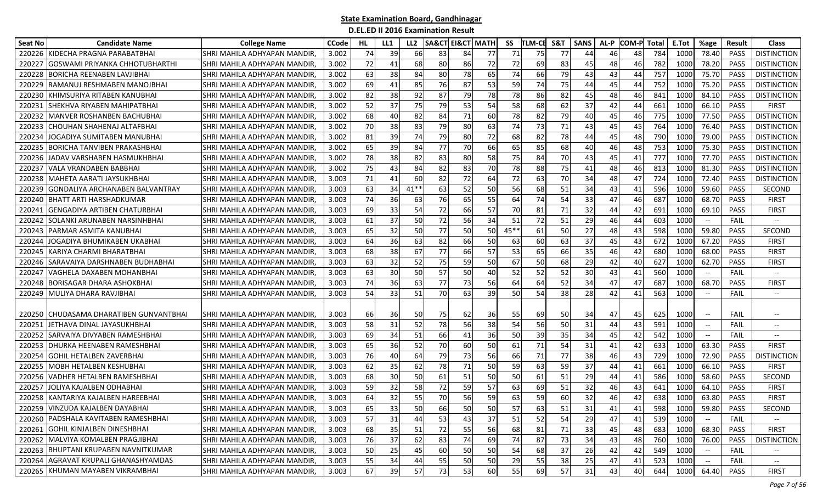| <b>Seat No</b> | <b>Candidate Name</b>                 | <b>College Name</b>          | <b>CCode</b> | HL. | LL1 | LL <sub>2</sub> | SA&CT | <b>EI&amp;CT MATH</b> |    | SS     | <b>TLM-CE</b> | <b>S&amp;1</b> | <b>SANS</b> | AL-P | <b>COM-P</b> | Total | E.Tot | %age                                           | Result      | <b>Class</b>       |
|----------------|---------------------------------------|------------------------------|--------------|-----|-----|-----------------|-------|-----------------------|----|--------|---------------|----------------|-------------|------|--------------|-------|-------|------------------------------------------------|-------------|--------------------|
| 220226         | KIDECHA PRAGNA PARABATBHAI            | SHRI MAHILA ADHYAPAN MANDIR  | 3.002        | 74  | 39  | 66              | 83    | 84                    | 77 | 71     | 75            | 77             | 44          | 46   | 48           | 784   | 1000  | 78.40                                          | <b>PASS</b> | <b>DISTINCTION</b> |
| 22022          | <b>GOSWAMI PRIYANKA CHHOTUBHARTHI</b> | SHRI MAHILA ADHYAPAN MANDIR  | 3.002        | 72  | 41  | 68              | 80    | 86                    | 72 | 72     | 69            | 83             | 45          | 48   | 46           | 782   | 1000  | 78.20                                          | <b>PASS</b> | <b>DISTINCTION</b> |
| 22022          | <b>BORICHA REENABEN LAVJIBHAI</b>     | SHRI MAHILA ADHYAPAN MANDIR  | 3.002        | 63  | 38  | 84              | 80    | 78                    | 65 | 74     | 66            | 79             | 43          | 43   | 44           | 757   | 1000  | 75.70                                          | <b>PASS</b> | <b>DISTINCTION</b> |
| 220229         | RAMANUJ RESHMABEN MANOJBHAI           | SHRI MAHILA ADHYAPAN MANDIR  | 3.002        | 69  | 41  | 85              | 76    | 87                    | 53 | 59     | 74            | 75             | 44          | 45   | 44           | 752   | 1000  | 75.20                                          | <b>PASS</b> | <b>DISTINCTION</b> |
| 220230         | IKHIMSURIYA RITABEN KANUBHAI          | SHRI MAHILA ADHYAPAN MANDIR  | 3.002        | 82  | 38  | 92              | 87    | 79                    | 78 | 78     | 86            | 82             | 45          | 48   | 46           | 841   | 1000  | 84.10                                          | <b>PASS</b> | <b>DISTINCTION</b> |
| 22023:         | ISHEKHVA RIYABEN MAHIPATBHAI          | SHRI MAHILA ADHYAPAN MANDIR  | 3.002        | 52  | 37  | 75              | 79    | 53                    | 54 | 58     | 68            | 62             | 37          | 42   | 44           | 661   | 1000  | 66.10                                          | PASS        | <b>FIRST</b>       |
| 220232         | <b>MANVER ROSHANBEN BACHUBHAI</b>     | SHRI MAHILA ADHYAPAN MANDIR  | 3.002        | 68  | 40  | 82              | 84    | 71                    | 60 | 78     | 82            | 79             | 40          | 45   | 46           | 775   | 1000  | 77.50                                          | <b>PASS</b> | <b>DISTINCTION</b> |
| 220233         | CHOUHAN SHAHENAJ ALTAFBHAI            | SHRI MAHILA ADHYAPAN MANDIR  | 3.002        | 70  | 38  | 83              | 79    | 80                    | 63 | 74     | 73            | 71             | 43          | 45   | 45           | 764   | 1000  | 76.40                                          | <b>PASS</b> | <b>DISTINCTION</b> |
| 220234         | JOGADIYA SUMITABEN MANUBHAI           | SHRI MAHILA ADHYAPAN MANDIR  | 3.002        | 81  | 39  | 74              | 79    | 80                    | 72 | 68     | 82            | 78             | 44          | 45   | 48           | 790   | 1000  | 79.00                                          | <b>PASS</b> | <b>DISTINCTION</b> |
| 22023          | <b>BORICHA TANVIBEN PRAKASHBHAI</b>   | SHRI MAHILA ADHYAPAN MANDIR  | 3.002        | 65  | 39  | 84              | 77    | 70                    | 66 | 65     | 85            | 68             | 40          | 46   | 48           | 753   | 1000  | 75.30                                          | <b>PASS</b> | <b>DISTINCTION</b> |
| 22023          | JADAV VARSHABEN HASMUKHBHAI           | SHRI MAHILA ADHYAPAN MANDIR  | 3.002        | 78  | 38  | 82              | 83    | 80                    | 58 | 75     | 84            | 70             | 43          | 45   | 41           | 777   | 1000  | 77.70                                          | PASS        | <b>DISTINCTION</b> |
| 22023          | <b>VALA VRANDABEN BABBHAI</b>         | SHRI MAHILA ADHYAPAN MANDIR  | 3.002        | 75  | 43  | 84              | 82    | 83                    | 70 | 78     | 88            | 75             | 41          | 48   | 46           | 813   | 1000  | 81.30                                          | <b>PASS</b> | <b>DISTINCTION</b> |
| 220238         | IMAHETA AARATI JAYSUKHBHAI            | SHRI MAHILA ADHYAPAN MANDIR  | 3.003        | 71  | 41  | 60              | 82    | 72                    | 64 | 72     | 63            | 70             | 34          | 48   | 47           | 724   | 1000  | 72.40                                          | <b>PASS</b> | <b>DISTINCTION</b> |
| 220239         | GONDALIYA ARCHANABEN BALVANTRAY       | SHRI MAHILA ADHYAPAN MANDIR  | 3.003        | 63  | 34  | $41**$          | 63    | 52                    | 50 | 56     | 68            | 51             | 34          | 43   | 41           | 596   | 1000  | 59.60                                          | PASS        | SECOND             |
| 220240         | <b>BHATT ARTI HARSHADKUMAR</b>        | SHRI MAHILA ADHYAPAN MANDIR  | 3.003        | 74  | 36  | 63              | 76    | 65                    | 55 | 64     | 74            | 54             | 33          | 47   | 46           | 687   | 1000  | 68.70                                          | PASS        | <b>FIRST</b>       |
| 22024:         | GENGADIYA ARTIBEN CHATURBHAI          | SHRI MAHILA ADHYAPAN MANDIR  | 3.003        | 69  | 33  | 54              | 72    | 66                    | 57 | 70     | 81            | 71             | 32          | 44   | 42           | 691   | 1000  | 69.10                                          | PASS        | <b>FIRST</b>       |
| 220242         | SOLANKI ARUNABEN NARSINHBHAI          | SHRI MAHILA ADHYAPAN MANDIR  | 3.003        | 61  | 37  | 50              | 72    | 56                    | 34 | 51     | 72            | 51             | 29          | 46   | 44           | 603   | 1000  | $\hspace{0.05cm} \textbf{--}$                  | FAIL        |                    |
| 22024          | PARMAR ASMITA KANUBHAI                | SHRI MAHILA ADHYAPAN MANDIR  | 3.003        | 65  | 32  | 50              | 77    | 50                    | 50 | $45**$ | 61            | 50             | 27          | 48   | 43           | 598   | 1000  | 59.80                                          | <b>PASS</b> | <b>SECOND</b>      |
| 22024          | JOGADIYA BHUMIKABEN UKABHAI           | SHRI MAHILA ADHYAPAN MANDIR  | 3.003        | 64  | 36  | 63              | 82    | 66                    | 50 | 63     | 60            | 63             | 37          | 45   | 43           | 672   | 1000  | 67.20                                          | PASS        | <b>FIRST</b>       |
| 220245         | KARIYA CHARMI BHARATBHAI              | SHRI MAHILA ADHYAPAN MANDIR  | 3.003        | 68  | 38  | 67              | 77    | 66                    | 57 | 53     | 65            | 66             | 35          | 46   | 42           | 680   | 1000  | 68.00                                          | PASS        | <b>FIRST</b>       |
| 220246         | ISARAVAIYA DARSHNABEN BUDHABHAI       | SHRI MAHILA ADHYAPAN MANDIR  | 3.003        | 63  | 32  | 52              | 75    | 59                    | 50 | 67     | <b>50</b>     | 68             | 29          | 42   | 40           | 627   | 1000  | 62.70                                          | <b>PASS</b> | <b>FIRST</b>       |
| 220247         | VAGHELA DAXABEN MOHANBHAI             | SHRI MAHILA ADHYAPAN MANDIR  | 3.003        | 63  | 30  | 50              | 57    | 50                    | 40 | 52     | 52            | 52             | 30          | 43   | 41           | 560   | 1000  | $-\hbox{--}$                                   | FAIL        | $-\!$              |
| 220248         | <b>BORISAGAR DHARA ASHOKBHAI</b>      | SHRI MAHILA ADHYAPAN MANDIR  | 3.003        | 74  | 36  | 63              | 77    | 73                    | 56 | 64     | 64            | 52             | 34          | 47   | 47           | 687   | 1000  | 68.70                                          | PASS        | FIRST              |
| 220249         | MULIYA DHARA RAVJIBHAI                | SHRI MAHILA ADHYAPAN MANDIR  | 3.003        | 54  | 33  | 51              | 70    | 63                    | 39 | 50     | 54            | 38             | 28          | 42   | 41           | 563   | 1000  | $-\hbox{--}$                                   | FAIL        | $-\!$              |
|                |                                       |                              |              |     |     |                 |       |                       |    |        |               |                |             |      |              |       |       |                                                |             |                    |
| 220250         | ICHUDASAMA DHARATIBEN GUNVANTBHAI     | ISHRI MAHILA ADHYAPAN MANDIR | 3.003        | 66  | 36  | 50              | 75    | 62                    | 36 | 55     | 69            | 50             | 34          | 47   | 45           | 625   | 1000  | $\hspace{0.1mm}-\hspace{0.1mm}-\hspace{0.1mm}$ | FAIL        | $-\!$              |
| 22025          | JETHAVA DINAL JAYASUKHBHAI            | SHRI MAHILA ADHYAPAN MANDIR  | 3.003        | 58  | 31  | 52              | 78    | 56                    | 38 | 54     | 56            | 50             | 31          | 44   | 43           | 591   | 1000  | $-\hbox{--}$                                   | FAIL        | $-\!$              |
| 220252         | <b>SARVAIYA DIVYABEN RAMESHBHAI</b>   | SHRI MAHILA ADHYAPAN MANDIR  | 3.003        | 69  | 34  | 51              | 66    | 41                    | 36 | 50     | 39            | 35             | 34          | 45   | 42           | 542   | 1000  | $\hspace{0.1mm}-\hspace{0.1mm}-\hspace{0.1mm}$ | FAIL        | $-\!$              |
| 220253         | IDHURKA HEENABEN RAMESHBHAI           | SHRI MAHILA ADHYAPAN MANDIR  | 3.003        | 65  | 36  | 52              | 70    | 60                    | 50 | 61     | 71            | 54             | 31          | 41   | 42           | 633   | 1000  | 63.30                                          | PASS        | <b>FIRST</b>       |
| 220254         | <b>GOHIL HETALBEN ZAVERBHA</b>        | SHRI MAHILA ADHYAPAN MANDIR  | 3.003        | 76  | 40  | 64              | 79    | 73                    | 56 | 66     | 71            | 77             | 38          | 46   | 43           | 729   | 1000  | 72.90                                          | <b>PASS</b> | <b>DISTINCTION</b> |
| 22025          | MOBH HETALBEN KESHUBHAI               | SHRI MAHILA ADHYAPAN MANDIR  | 3.003        | 62  | 35  | 62              | 78    | 71                    | 50 | 59     | 63            | 59             | 37          | 44   | 41           | 661   | 1000  | 66.10                                          | PASS        | FIRST              |
| 220256         | VADHER HETALBEN RAMESHBHAI            | SHRI MAHILA ADHYAPAN MANDIR  | 3.003        | 68  | 30  | 50              | 61    | 51                    | 50 | 50     | 61            | 51             | 29          | 44   | 41           | 586   | 1000  | 58.60                                          | <b>PASS</b> | SECOND             |
| 22025          | JOLIYA KAJALBEN ODHABHAI              | SHRI MAHILA ADHYAPAN MANDIR  | 3.003        | 59  | 32  | 58              | 72    | 59                    | 57 | 63     | 69            | 51             | 32          | 46   | 43           | 641   | 1000  | 64.10                                          | PASS        | <b>FIRST</b>       |
| 220258         | KANTARIYA KAJALBEN HAREEBHAI          | SHRI MAHILA ADHYAPAN MANDIR  | 3.003        | 64  | 32  | 55              | 70    | 56                    | 59 | 63     | 59            | 60             | 32          | 46   | 42           | 638   | 1000  | 63.80                                          | PASS        | <b>FIRST</b>       |
|                | 220259 VINZUDA KAJALBEN DAYABHAI      | SHRI MAHILA ADHYAPAN MANDIR, | 3.003        | 65  | 33  | 50              | 66    | 50                    | 50 | 57     | 63            | 51             | 31          | 41   | 41           | 598   | 1000  | 59.80                                          | PASS        | SECOND             |
|                | 220260 PADSHALA KAVITABEN RAMESHBHAI  | SHRI MAHILA ADHYAPAN MANDIR. | 3.003        | 57  | 31  | 44              | 53    | 43                    | 37 | 51     | 52            | 54             | 29          | 47   | 41           | 539   | 1000  |                                                | <b>FAIL</b> |                    |
|                | 220261 GOHIL KINJALBEN DINESHBHAI     | SHRI MAHILA ADHYAPAN MANDIR, | 3.003        | 68  | 35  | 51              | 72    | 55                    | 56 | 68     | 81            | 71             | 33          | 45   | 48           | 683   | 1000  | 68.30                                          | PASS        | <b>FIRST</b>       |
|                | 220262 MALVIYA KOMALBEN PRAGJIBHAI    | SHRI MAHILA ADHYAPAN MANDIR, | 3.003        | 76  | 37  | 62              | 83    | 74                    | 69 | 74     | 87            | 73             | 34          | 43   | 48           | 760   | 1000  | 76.00                                          | PASS        | <b>DISTINCTION</b> |
|                | 220263 BHUPTANI KRUPABEN NAVNITKUMAR  | SHRI MAHILA ADHYAPAN MANDIR, | 3.003        | 50  | 25  | 45              | 60    | 50                    | 50 | 54     | 68            | 37             | 26          | 421  | 42           | 549   | 1000  | $\hspace{0.05cm} \textbf{--}$                  | FAIL        |                    |
|                | 220264 AGRAVAT KRUPALI GHANASHYAMDAS  | SHRI MAHILA ADHYAPAN MANDIR, | 3.003        | 55  | 34  | 44              | 55    | 50                    | 50 | 29     | 55            | 38             | 25          | 47   | 41           | 523   | 1000  | $\hspace{0.1mm}-\hspace{0.1mm}-\hspace{0.1mm}$ | <b>FAIL</b> | $-\!$ $\!-$        |
|                | 220265 KHUMAN MAYABEN VIKRAMBHAI      | SHRI MAHILA ADHYAPAN MANDIR, | 3.003        | 67  | 39  | 57              | 73    | 53                    | 60 | 55     | <b>69</b>     | 57             | 31          | 43   | 40           | 644   | 1000  | 64.40                                          | PASS        | <b>FIRST</b>       |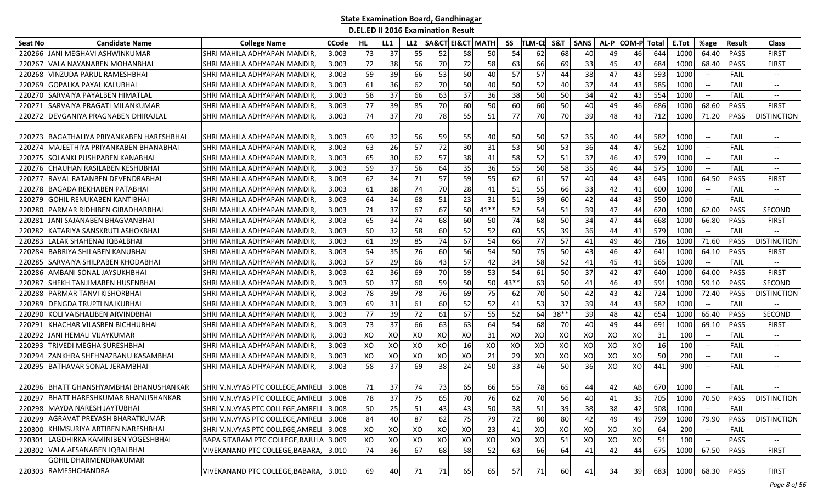| <b>Seat No</b> | <b>Candidate Name</b>                      | <b>College Name</b>                     | <b>CCode</b> | HL | LL1 | LL <sub>2</sub> |    | <b>SA&amp;CT EI&amp;CT MATH</b> |        | SS   | <b>TLM-CE</b> | S&T    | <b>SANS</b> | AL-P | <b>COM-P</b> | Total | E.Tot | %age                                                | <b>Result</b> | <b>Class</b>                      |
|----------------|--------------------------------------------|-----------------------------------------|--------------|----|-----|-----------------|----|---------------------------------|--------|------|---------------|--------|-------------|------|--------------|-------|-------|-----------------------------------------------------|---------------|-----------------------------------|
| 220266         | <b>JANI MEGHAVI ASHWINKUMAR</b>            | SHRI MAHILA ADHYAPAN MANDIR             | 3.003        | 73 | 37  | 55              | 52 | 58                              | 50     | 54   | 62            | 68     | 40          | 49   | 46           | 644   | 1000  | 64.40                                               | PASS          | <b>FIRST</b>                      |
| 220267         | VALA NAYANABEN MOHANBHAI                   | SHRI MAHILA ADHYAPAN MANDIR.            | 3.003        | 72 | 38  | 56              | 70 | 72                              | 58     | 63   | 66            | 69     | 33          | 45   | 42           | 684   | 1000  | 68.40                                               | PASS          | <b>FIRST</b>                      |
| 220268         | <b>VINZUDA PARUL RAMESHBHAI</b>            | SHRI MAHILA ADHYAPAN MANDIR             | 3.003        | 59 | 39  | 66              | 53 | 50                              | 40     | 57   | 57            | 44     | 38          | 47   | 43           | 593   | 1000  | $\overline{\phantom{a}}$                            | FAIL          | $\overline{\phantom{a}}$          |
| 220269         | <b>GOPALKA PAYAL KALUBHAI</b>              | SHRI MAHILA ADHYAPAN MANDIR             | 3.003        | 61 | 36  | 62              | 70 | 50                              | 40     | 50   | 52            | 40     | 37          | 44   | 43           | 585   | 1000  | $\overline{\phantom{a}}$                            | FAIL          | --                                |
| 220270         | <b>SARVAIYA PAYALBEN HIMATLAL</b>          | SHRI MAHILA ADHYAPAN MANDIR             | 3.003        | 58 | 37  | 66              | 63 | 37                              | 36     | 38   | 50            | 50     | 34          | 42   | 43           | 554   | 1000  | $--$                                                | FAIL          | $\overline{\phantom{a}}$          |
| 220271         | ISARVAIYA PRAGATI MILANKUMAR               | SHRI MAHILA ADHYAPAN MANDIR,            | 3.003        | 77 | 39  | 85              | 70 | 60                              | 50     | 60   | 60            | 50     | 40          | 49   | 46           | 686   | 1000  | 68.60                                               | <b>PASS</b>   | <b>FIRST</b>                      |
|                | 220272 DEVGANIYA PRAGNABEN DHIRAJLAL       | SHRI MAHILA ADHYAPAN MANDIR,            | 3.003        | 74 | 37  | 70              | 78 | 55                              | 51     | 77   | 70            | 70     | 39          | 48   | 43           | 712   | 1000  | 71.20                                               | <b>PASS</b>   | <b>DISTINCTION</b>                |
|                | 220273  BAGATHALIYA PRIYANKABEN HARESHBHAI | SHRI MAHILA ADHYAPAN MANDIR.            | 3.003        | 69 | 32  | 56              | 59 | 55                              | 40     | 50   | 50            | 52     | 35          | 40   | 44           | 582   | 1000  | $\overline{\phantom{a}}$                            | FAIL          | --                                |
| 220274         | MAJEETHIYA PRIYANKABEN BHANABHAI           | SHRI MAHILA ADHYAPAN MANDIR.            | 3.003        | 63 | 26  | 57              | 72 | 30                              | 31     | 53   | 50            | 53     | 36          | 44   | 47           | 562   | 1000  | $\hspace{0.05cm} -\hspace{0.05cm} -\hspace{0.05cm}$ | FAIL          | $- -$                             |
| 220275         | <b>SOLANKI PUSHPABEN KANABHAI</b>          | SHRI MAHILA ADHYAPAN MANDIR             | 3.003        | 65 | 30  | 62              | 57 | 38                              | 41     | 58   | 52            | 51     | 37          | 46   | 42           | 579   | 1000  | $\hspace{0.05cm} -\hspace{0.05cm} -\hspace{0.05cm}$ | FAIL          | $-$                               |
| 220276         | <b>CHAUHAN RASILABEN KESHUBHAI</b>         | SHRI MAHILA ADHYAPAN MANDIR             | 3.003        | 59 | 37  | 56              | 64 | 35                              | 36     | 55   | 50            | 58     | 35          | 46   | 44           | 575   | 1000  | $\hspace{0.05cm} -\hspace{0.05cm} -\hspace{0.05cm}$ | FAIL          | $-$                               |
| 220277         | IRAVAL RATANBEN DEVENDRABHAI               | SHRI MAHILA ADHYAPAN MANDIR.            | 3.003        | 62 | 34  | 71              | 57 | 59                              | 55     | 62   | 61            | 57     | 40          | 44   | 43           | 645   | 1000  | 64.50                                               | <b>PASS</b>   | <b>FIRST</b>                      |
| 220278         | <b>BAGADA REKHABEN PATABHAI</b>            | SHRI MAHILA ADHYAPAN MANDIR,            | 3.003        | 61 | 38  | 74              | 70 | 28                              | 41     | 51   | 55            | 66     | 33          | 42   | 41           | 600   | 1000  | $-$                                                 | FAIL          | $\overline{\phantom{a}}$          |
| 220279         | <b>GOHIL RENUKABEN KANTIBHA</b>            | SHRI MAHILA ADHYAPAN MANDIR.            | 3.003        | 64 | 34  | 68              | 51 | 23                              | 31     | 51   | 39            | 60     | 42          | 44   | 43           | 550   | 1000  | $\overline{\phantom{a}}$                            | FAIL          | $-$                               |
| 220280         | PARMAR RIDHIBEN GIRADHARBHAI               | SHRI MAHILA ADHYAPAN MANDIR             | 3.003        | 71 | 37  | 67              | 67 | 50                              | $41**$ | 52   | 54            | 51     | 39          | 47   | 44           | 620   | 1000  | 62.00                                               | <b>PASS</b>   | SECOND                            |
| 220281         | JANI SAJANABEN BHAGVANBHAI                 | SHRI MAHILA ADHYAPAN MANDIR.            | 3.003        | 65 | 34  | 74              | 68 | 60                              | 50     | 74   | 68            | 50     | 34          | 47   | 44           | 668   | 1000  | 66.80                                               | PASS          | <b>FIRST</b>                      |
| 220282         | KATARIYA SANSKRUTI ASHOKBHAI               | SHRI MAHILA ADHYAPAN MANDIR             | 3.003        | 50 | 32  | 58              | 60 | 52                              | 52     | 60   | 55            | 39     | 36          | 44   | 41           | 579   | 1000  | $\overline{\phantom{a}}$                            | FAIL          | $-$                               |
| 220283         | LALAK SHAHENAJ IQBALBHAI                   | SHRI MAHILA ADHYAPAN MANDIR.            | 3.003        | 61 | 39  | 85              | 74 | 67                              | 54     | 66   | 77            | 57     | 41          | 49   | 46           | 716   | 1000  | 71.60                                               | <b>PASS</b>   | <b>DISTINCTION</b>                |
| 220284         | BABRIYA SHILABEN KANUBHAI                  | SHRI MAHILA ADHYAPAN MANDIR.            | 3.003        | 54 | 35  | 76              | 60 | 56                              | 54     | 50   | 75            | 50     | 43          | 46   | 42           | 641   | 1000  | 64.10                                               | <b>PASS</b>   | <b>FIRST</b>                      |
| 220285         | <b>SARVAIYA SHILPABEN KHODABHAI</b>        | SHRI MAHILA ADHYAPAN MANDIR,            | 3.003        | 57 | 29  | 66              | 43 | 57                              | 42     | 34   | 58            | 52     | 41          | 45   | 41           | 565   | 1000  | $--$                                                | FAIL          | $\overline{\phantom{a}}$          |
| 220286         | <b>AMBANI SONAL JAYSUKHBHAI</b>            | SHRI MAHILA ADHYAPAN MANDIR,            | 3.003        | 62 | 36  | 69              | 70 | 59                              | 53     | 54   | 61            | 50     | 37          | 42   | 47           | 640   | 1000  | 64.00                                               | PASS          | <b>FIRST</b>                      |
| 22028          | SHEKH TANJIMABEN HUSENBHAI                 | SHRI MAHILA ADHYAPAN MANDIR,            | 3.003        | 50 | 37  | 60              | 59 | 50                              | 50     | 43** | 63            | 50     | 41          | 46   | 42           | 591   | 1000  | 59.10                                               | <b>PASS</b>   | SECOND                            |
| 220288         | PARMAR TANVI KISHORBHAI                    | SHRI MAHILA ADHYAPAN MANDIR,            | 3.003        | 78 | 39  | 78              | 76 | 69                              | 75     | 62   | 70            | 50     | 42          | 43   | 42           | 724   | 1000  | 72.40                                               | <b>PASS</b>   | <b>DISTINCTION</b>                |
| 220289         | DENGDA TRUPTI NAJKUBHAI                    | SHRI MAHILA ADHYAPAN MANDIR,            | 3.003        | 69 | 31  | 61              | 60 | 52                              | 52     | 41   | 53            | 37     | 39          | 44   | 43           | 582   | 1000  | $\hspace{0.05cm} -\hspace{0.05cm} -\hspace{0.05cm}$ | FAIL          | $\overline{\phantom{a}}$          |
| 220290         | KOLI VAISHALIBEN ARVINDBHAI                | SHRI MAHILA ADHYAPAN MANDIR             | 3.003        | 77 | 39  | 72              | 61 | 67                              | 55     | 52   | 64            | $38**$ | 39          | 48   | 42           | 654   | 1000  | 65.40                                               | <b>PASS</b>   | <b>SECOND</b>                     |
| 22029          | KHACHAR VILASBEN BICHHUBHAI                | SHRI MAHILA ADHYAPAN MANDIR             | 3.003        | 73 | 37  | 66              | 63 | 63                              | 64     | 54   | 68            | 70     | 40          | 49   | 44           | 691   | 1000  | 69.10                                               | PASS          | <b>FIRST</b>                      |
| 220292         | JANI HEMALI VIJAYKUMAR                     | SHRI MAHILA ADHYAPAN MANDIR,            | 3.003        | XO | XO  | XO              | XO | XO                              | 31     | XO   | XO            | XO     | XO          | XO   | XO           | 31    | 100   | $\hspace{0.1mm}-\hspace{0.1mm}-\hspace{0.1mm}$      | FAIL          | $- -$                             |
| 220293         | <b>ITRIVEDI MEGHA SURESHBHAI</b>           | SHRI MAHILA ADHYAPAN MANDIR,            | 3.003        | XO | XO  | XO              | XO | 16                              | XO     | XO   | XO            | XO     | XO          | XO   | XO           | 16    | 100   | $\hspace{0.1mm}-\hspace{0.1mm}-\hspace{0.1mm}$      | FAIL          | $\overline{\phantom{a}}$          |
| 220294         | ZANKHRA SHEHNAZBANU KASAMBHAI              | SHRI MAHILA ADHYAPAN MANDIR             | 3.003        | XO | XO  | XO              | XO | XO                              | 21     | 29   | XO            | XO     | XO          | XO   | XO           | 50    | 200   | $\overline{\phantom{a}}$                            | FAIL          | $\overline{\phantom{a}}$          |
| 220295         | <b>BATHAVAR SONAL JERAMBHAI</b>            | SHRI MAHILA ADHYAPAN MANDIR             | 3.003        | 58 | 37  | 69              | 38 | 24                              | 50     | 33   | 46            | 50     | 36          | XO   | xol          | 441   | 900   |                                                     | FAIL          | --                                |
|                | 220296  BHATT GHANSHYAMBHAI BHANUSHANKAR   | SHRI V.N.VYAS PTC COLLEGE.AMRELI 3.008  |              | 71 | 37  | 74              | 73 | 65                              | 66I    | 55   | 78            | 65     | 44          | 42   | AB           | 670   | 1000  | $\hspace{0.05cm} \dashrightarrow$                   | FAIL          |                                   |
| 220297         | BHATT HARESHKUMAR BHANUSHANKAR             | SHRI V.N.VYAS PTC COLLEGE, AMRELI 3.008 |              | 78 | 37  | 75              | 65 | 70                              | 76     | 62   | 70            | 56     | 40          | 41   | 35           | 705   | 1000  | 70.50                                               | PASS          | <b>DISTINCTION</b>                |
|                | 220298 MAYDA NARESH JAYTUBHAI              | SHRI V.N.VYAS PTC COLLEGE, AMRELI 3.008 |              | 50 | 25  | 51              | 43 | 43                              | 50     | 38   | 51            | 39     | 38          | 38   | 42           | 508   | 1000  | $-\!$                                               | <b>FAIL</b>   | $\hspace{0.05cm} \dashrightarrow$ |
|                | 220299 AGRAVAT PREYASH BHARATKUMAR         | SHRI V.N.VYAS PTC COLLEGE, AMRELI 3.008 |              | 84 | 40  | 87              | 62 | 75                              | 79     | 72   | 80            | 80     | 42          | 49   | 49           | 799   | 1000  | 79.90                                               | PASS          | <b>DISTINCTION</b>                |
|                | 220300 KHIMSURIYA ARTIBEN NARESHBHAI       | SHRI V.N.VYAS PTC COLLEGE, AMRELI 3.008 |              | XO | XO  | XO              | XO | XO                              | 23     | 41   | XO            | XO     | XO          | XO   | XO           | 64    | 200   | $\hspace{0.1mm}-\hspace{0.1mm}-\hspace{0.1mm}$      | <b>FAIL</b>   |                                   |
|                | 220301 LAGDHIRKA KAMINIBEN YOGESHBHAI      | BAPA SITARAM PTC COLLEGE, RAJULA 3.009  |              | XO | XO  | XO              | XO | XO                              | XO     | XO   | XO            | 51     | XO          | XO   | XO           | 51    | 100   |                                                     | PASS          | $\hspace{0.05cm} \textbf{--}$     |
|                | 220302 VALA AFSANABEN IQBALBHAI            | VIVEKANAND PTC COLLEGE, BABARA,         | 3.010        | 74 | 36  | 67              | 68 | 58                              | 52     | 63   | <b>66</b>     | 64     | 41          | 42   | 44           | 675   | 1000  | 67.50                                               | PASS          | <b>FIRST</b>                      |
|                | GOHIL DHARMENDRAKUMAR                      |                                         |              |    |     |                 |    |                                 |        |      |               |        |             |      |              |       |       |                                                     |               |                                   |
|                | 220303 RAMESHCHANDRA                       | VIVEKANAND PTC COLLEGE, BABARA, 3.010   |              | 69 | 40  | 71              | 71 | 65                              | 65     | 57   | <b>71</b>     | 60     | 41          | 34   | 39           | 683   | 1000  |                                                     | 68.30 PASS    | <b>FIRST</b>                      |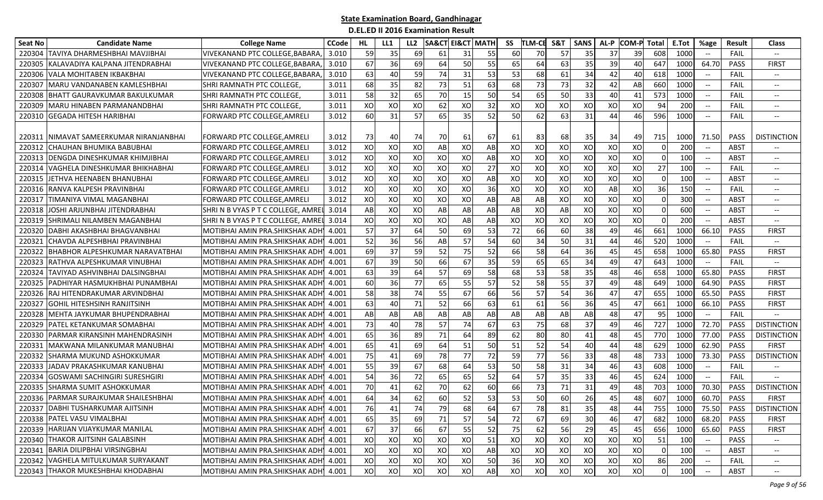| <b>Seat No</b> | <b>Candidate Name</b>                 | <b>College Name</b>                   | <b>CCode</b> | HL  | LL1 | LL <sub>2</sub> | <b>SA&amp;CT EI&amp;CT MATH</b> |    |    | SS | <b>TLM-CE</b> | S&T | <b>SANS</b> | AL-P | <b>COM-P</b> | <b>Total</b> | E.Tot | %age                                                | <b>Result</b> | <b>Class</b>             |
|----------------|---------------------------------------|---------------------------------------|--------------|-----|-----|-----------------|---------------------------------|----|----|----|---------------|-----|-------------|------|--------------|--------------|-------|-----------------------------------------------------|---------------|--------------------------|
| 220304         | TAVIYA DHARMESHBHAI MAVJIBHAI         | VIVEKANAND PTC COLLEGE, BABARA        | 3.010        | 59  | 35  | 69              | 61                              | 31 | 55 | 60 | 70            | 57  | 35          | 37   | 39           | 608          | 1000  |                                                     | FAIL          |                          |
| 22030          | KALAVADIYA KALPANA JITENDRABHAI       | VIVEKANAND PTC COLLEGE,BABARA         | 3.010        | 67  | 36  | 69              | 64                              | 50 | 55 | 65 | 64            | 63  | 35          | 39   | 40           | 647          | 1000  | 64.70                                               | PASS          | FIRST                    |
| 220306         | VALA MOHITABEN IKBAKBHAI              | VIVEKANAND PTC COLLEGE,BABARA         | 3.010        | 63  | 40  | 59              | 74                              | 31 | 53 | 53 | 68            | 61  | 34          | 42   | 40           | 618          | 1000  |                                                     | FAIL          | $\overline{\phantom{a}}$ |
| 22030          | MARU VANDANABEN KAMLESHBHAI           | SHRI RAMNATH PTC COLLEGE,             | 3.011        | 68  | 35  | 82              | 73                              | 51 | 63 | 68 | 73            | 73  | 32          | 42   | AB           | 660          | 1000  |                                                     | FAIL          | $-\!$                    |
| 220308         | <b>IBHATT GAURAVKUMAR BAKULKUMAR</b>  | ISHRI RAMNATH PTC COLLEGE,            | 3.011        | 58  | 32  | 65              | 70                              | 15 | 50 | 54 | 65            | 50  | 33          | 40   | 41           | 573          | 1000  | $- -$                                               | FAIL          | $\overline{\phantom{a}}$ |
| 220309         | MARU HINABEN PARMANANDBHAI            | SHRI RAMNATH PTC COLLEGE,             | 3.011        | XO  | XO  | XO              | 62                              | XO | 32 | XO | XO            | XO  | XO          | XO   | XO           | 94           | 200   | $-\hbox{--}$                                        | FAIL          | $\overline{\phantom{a}}$ |
| 220310         | <b>GEGADA HITESH HARIBHAI</b>         | FORWARD PTC COLLEGE, AMRELI           | 3.012        | 60  | 31  | 57              | 65                              | 35 | 52 | 50 | 62            | 63  | 31          | 44   | 46           | 596          | 1000  | $\overline{\phantom{a}}$                            | FAIL          | $\hspace{0.05cm} \ldots$ |
| 220311         | NIMAVAT SAMEERKUMAR NIRANJANBHAI      | FORWARD PTC COLLEGE.AMRELI            | 3.012        | -73 | 40  | 74              | 70                              | 61 | 67 | 61 | 83            | 68I | 35          | 34   | 49           | 715          | 1000  | 71.50                                               | <b>PASS</b>   | <b>DISTINCTION</b>       |
| 220312         | CHAUHAN BHUMIKA BABUBHAI              | FORWARD PTC COLLEGE, AMRELI           | 3.012        | XO  | XO  | XO              | AB                              | XO | AB | XO | XO            | XO  | XO          | XO   | XO           | $\Omega$     | 200   | $-\hbox{--}$                                        | ABST          | $-\!$                    |
| 220313         | DENGDA DINESHKUMAR KHIMJIBHAI         | FORWARD PTC COLLEGE, AMRELI           | 3.012        | XO  | XO  | XO              | XO                              | XO | AB | XO | XO            | XO  | XO          | XO   | XO           | $\Omega$     | 100   |                                                     | ABST          | $-\!$                    |
| 22031          | VAGHELA DINESHKUMAR BHIKHABHAI        | FORWARD PTC COLLEGE, AMRELI           | 3.012        | XO  | XO  | XO              | XO                              | XO | 27 | XO | XO            | XO  | XO          | XO   | XO           | 27           | 100   |                                                     | FAIL          | $-\!$                    |
| 22031          | JETHVA HEENABEN BHANUBHAI             | FORWARD PTC COLLEGE,AMRELI            | 3.012        | XO  | XO  | XO              | XO                              | XO | AB | XO | XO            | XO  | XO          | XO   | XO           | $\Omega$     | 100   | $\hspace{0.05cm} -\hspace{0.05cm} -\hspace{0.05cm}$ | <b>ABST</b>   | $\overline{\phantom{a}}$ |
| 220316         | RANVA KALPESH PRAVINBHAI              | FORWARD PTC COLLEGE,AMRELI            | 3.012        | XO  | XO  | XO              | XO                              | XO | 36 | XO | XO            | XO  | XO          | AB   | XO           | 36           | 150   | $\overline{\phantom{a}}$                            | FAIL          | $-\!$                    |
| 220317         | TIMANIYA VIMAL MAGANBHAI              | FORWARD PTC COLLEGE, AMRELI           | 3.012        | XO  | XO  | XO              | XO                              | XO | AB | AB | AB            | XO  | XO          | XO   | XO           | $\Omega$     | 300   |                                                     | ABST          | $\overline{\phantom{a}}$ |
| 220318         | JOSHI ARJUNBHAI JITENDRABHAI          | SHRI N B VYAS P T C COLLEGE, AMRE     | 3.014        | AB  | XO  | XO              | AB                              | AB | AB | AB | XO            | AB  | XO          | XO   | XO           |              | 600   | $\overline{\phantom{a}}$                            | <b>ABST</b>   | $\hspace{0.05cm} \ldots$ |
| 220319         | SHRIMALI NILAMBEN MAGANBHAI           | SHRIN B VYAS PT C COLLEGE, AMRE       | 3.014        | XO  | XO  | XO              | XO                              | AB | AB | XO | XO            | XO  | XO          | XO   | XO           |              | 200   | $-\hbox{--}$                                        | ABST          | $-\!$                    |
| 22032          | DABHI AKASHBHAI BHAGVANBHAI           | MOTIBHAI AMIN PRA.SHIKSHAK ADH        | 4.001        | 57  | 37  | 64              | 50                              | 69 | 53 | 72 | 66            | 60  | 38          | 49   | 46           | 661          | 1000  | 66.10                                               | PASS          | <b>FIRST</b>             |
| 22032          | CHAVDA ALPESHBHAI PRAVINBHAI          | MOTIBHAI AMIN PRA.SHIKSHAK ADI        | 4.001        | 52  | 36  | 56              | AB                              | 57 | 54 | 60 | 34            | 50  | 31          | 44   | 46           | 520          | 1000  | $\overline{\phantom{a}}$                            | FAIL          | $-\!$                    |
| 22032          | BHABHOR ALPESHKUMAR NARAVATBHAI       | MOTIBHAI AMIN PRA. SHIKSHAK ADH       | 4.001        | 69  | 37  | 59              | 52                              | 75 | 52 | 66 | 58            | 64  | 36          | 45   | 45           | 658          | 1000  | 65.80                                               | <b>PASS</b>   | <b>FIRST</b>             |
| 220323         | RATHVA ALPESHKUMAR VINUBHAI           | MOTIBHAI AMIN PRA. SHIKSHAK ADH       | 4.001        | 67  | 39  | 50              | 66                              | 67 | 35 | 59 | 65            | 65  | 34          | 49   | 47           | 643          | 1000  | $\hspace{0.05cm} \dashrightarrow$                   | FAIL          | $-\!$                    |
| 220324         | TAVIYAD ASHVINBHAI DALSINGBHAI        | MOTIBHAI AMIN PRA. SHIKSHAK ADH       | 4.001        | 63  | 39  | 64              | 57                              | 69 | 58 | 68 | 53            | 58  | 35          | 48   | 46           | 658          | 1000  | 65.80                                               | PASS          | <b>FIRST</b>             |
| 220325         | PADHIYAR HASMUKHBHAI PUNAMBHAI        | MOTIBHAI AMIN PRA. SHIKSHAK ADH       | 4.001        | 60  | 36  | 77              | 65                              | 55 | 57 | 52 | 58            | 55  | 37          | 49   | 48           | 649          | 1000  | 64.90                                               | PASS          | <b>FIRST</b>             |
| 220326         | RAJ HITENDRAKUMAR ARVINDBHAI          | MOTIBHAI AMIN PRA.SHIKSHAK ADH        | 4.001        | 58  | 38  | 74              | 55                              | 67 | 66 | 56 | 57            | 54  | 36          | 47   | 47           | 655          | 1000  | 65.50                                               | PASS          | <b>FIRST</b>             |
| 22032          | <b>GOHIL HITESHSINH RANJITSINH</b>    | MOTIBHAI AMIN PRA.SHIKSHAK ADH        | 4.001        | 63  | 40  | 71              | 52                              | 66 | 63 | 61 | 61            | 56  | 36          | 45   | 47           | 661          | 1000  | 66.10                                               | <b>PASS</b>   | <b>FIRST</b>             |
| 220328         | MEHTA JAYKUMAR BHUPENDRABHAI          | MOTIBHAI AMIN PRA. SHIKSHAK ADH       | 4.001        | AB  | AB  | AB              | AB                              | AB | AB | AB | AB            | AB  | AB          | 48   | 47           | 95           | 1000  | $\overline{\phantom{a}}$                            | FAIL          |                          |
| 220329         | PATEL KETANKUMAR SOMABHAI             | MOTIBHAI AMIN PRA. SHIKSHAK ADH       | 4.001        | 73  | 40  | 78              | 57                              | 74 | 67 | 63 | 75            | 68  | 37          | 49   | 46           | 727          | 1000  | 72.70                                               | <b>PASS</b>   | <b>DISTINCTION</b>       |
| 220330         | PARMAR KIRANSINH MAHENDRASINH         | MOTIBHAI AMIN PRA.SHIKSHAK ADH        | 4.001        | 65  | 36  | 89              | 71                              | 64 | 89 | 62 | 80            | 80  | 41          | 48   | 45           | 770          | 1000  | 77.00                                               | <b>PASS</b>   | <b>DISTINCTION</b>       |
| 22033          | MAKWANA MILANKUMAR MANUBHAI           | MOTIBHAI AMIN PRA. SHIKSHAK ADH       | 4.001        | 65  | 41  | 69              | 64                              | 51 | 50 | 51 | 52            | 54  | 40          | 44   | 48           | 629          | 1000  | 62.90                                               | PASS          | FIRST                    |
| 220332         | <b>SHARMA MUKUND ASHOKKUMAR</b>       | MOTIBHAI AMIN PRA.SHIKSHAK ADH        | 4.001        | 75  | 41  | 69              | 78                              | 77 | 72 | 59 | 77            | 56  | 33          | 48   | 48           | 733          | 1000  | 73.30                                               | PASS          | <b>DISTINCTION</b>       |
| 220333         | JADAV PRAKASHKUMAR KANUBHAI           | MOTIBHAI AMIN PRA.SHIKSHAK ADH        | 4.001        | 55  | 39  | 67              | 68                              | 64 | 53 | 50 | 58            | 31  | 34          | 46   | 43           | 608          | 1000  | $\overline{\phantom{a}}$                            | FAIL          |                          |
| 220334         | GOSWAMI SACHINGIRI SURESHGIRI         | MOTIBHAI AMIN PRA.SHIKSHAK ADH        | 4.001        | 54  | 36  | 72              | 65                              | 65 | 52 | 64 | 57            | 35  | 33          | 46   | 45           | 624          | 1000  | $-\hbox{--}$                                        | FAIL          |                          |
| 220335         | SHARMA SUMIT ASHOKKUMAR               | MOTIBHAI AMIN PRA.SHIKSHAK ADH        | 4.001        | 70  | 41  | 62              | 70                              | 62 | 60 | 66 | 73            | 71  | 31          | 49   | 48           | 703          | 1000  | 70.30                                               | <b>PASS</b>   | <b>DISTINCTION</b>       |
| 220336         | <b>PARMAR SURAJKUMAR SHAILESHBHAI</b> | MOTIBHAI AMIN PRA. SHIKSHAK ADH       | 4.001        | 64  | 34  | 62              | 60                              | 52 | 53 | 53 | 50            | 60  | 26          | 45   | 48           | 607          | 1000  | 60.70                                               | PASS          | <b>FIRST</b>             |
|                | 220337 DABHI TUSHARKUMAR AJITSINH     | MOTIBHAI AMIN PRA.SHIKSHAK ADH 4.001  |              | 76  | 41  | 74              | 79                              | 68 | 64 | 67 | 78            | 81  | 35          | 48   | 44           | 755          | 1000  | 75.50                                               |               | PASS   DISTINCTION       |
|                | 220338 PATEL VASU VIMALBHAI           | MOTIBHAI AMIN PRA. SHIKSHAK ADH       | 4.001        | 65  | 35  | 69              | 71                              | 57 | 54 | 72 | 67            | 69  | 30          | 46   | 47           | 682          | 1000  | 68.20                                               | PASS          | FIRST                    |
|                | 220339 HARIJAN VIJAYKUMAR MANILAL     | MOTIBHAI AMIN PRA. SHIKSHAK ADH 4.001 |              | 67  | 37  | 66              | 67                              | 55 | 52 | 75 | 62            | 56  | 29          | 45   | 45           | 656          | 1000  | 65.60                                               | PASS          | <b>FIRST</b>             |
|                | 220340 THAKOR AJITSINH GALABSINH      | MOTIBHAI AMIN PRA. SHIKSHAK ADH       | 4.001        | XO  | XO  | XO              | XO                              | XO | 51 | XO | XO            | xol | XO          | XO   | XO           | 51           | 100   |                                                     | PASS          |                          |
|                | 220341 BARIA DILIPBHAI VIRSINGBHAI    | MOTIBHAI AMIN PRA. SHIKSHAK ADH'      | 4.001        | XO  | XO  | XO              | XO                              | XO | AB | XO | XO            | xo  | XO          | XO   | XO           |              | 100   |                                                     | <b>ABST</b>   | $\overline{\phantom{a}}$ |
|                | 220342 VAGHELA MITULKUMAR SURYAKANT   | MOTIBHAI AMIN PRA.SHIKSHAK ADH'       | 4.001        | XO  | XO  | XO              | XO                              | XO | 50 | 36 | XO            | xol | XO          | XO   | XO           | 86           | 200   | $\hspace{0.1mm}-\hspace{0.1mm}-\hspace{0.1mm}$      | <b>FAIL</b>   | $\overline{\phantom{a}}$ |
|                | 220343 THAKOR MUKESHBHAI KHODABHAI    | MOTIBHAI AMIN PRA. SHIKSHAK ADH'      | 4.001        | XO  | XO  | XO              | XO                              | XO | AB | XO | XO            | xol | XO          | XO   | XO           | $\Omega$     | 100   |                                                     | <b>ABST</b>   | $- -$                    |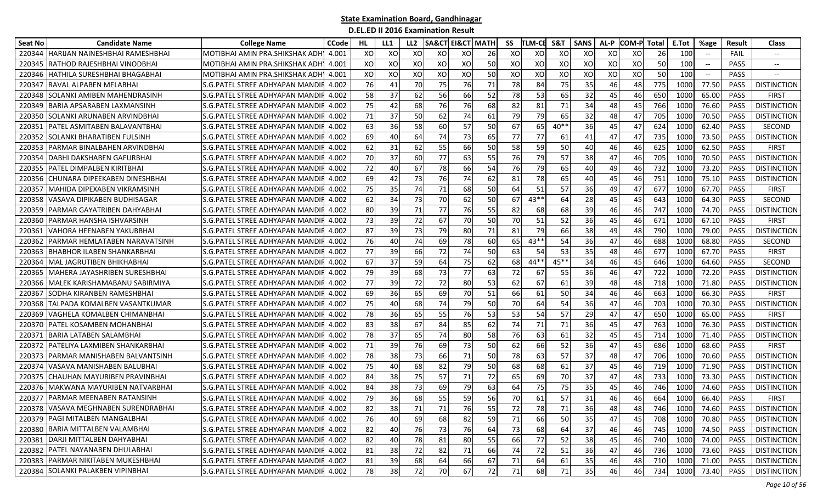| <b>Seat No</b> | <b>Candidate Name</b>                | <b>College Name</b>                    | <b>CCode</b> | HL | LL1 | LL <sub>2</sub> | <b>SA&amp;CT EI&amp;CT MATH</b> |    |    | SS | <b>TLM-CE</b> | S&T    | <b>SANS</b> | AL-P | <b>COM-P</b> | <b>Total</b> | E.Tot | %age                     | Result      | <b>Class</b>       |
|----------------|--------------------------------------|----------------------------------------|--------------|----|-----|-----------------|---------------------------------|----|----|----|---------------|--------|-------------|------|--------------|--------------|-------|--------------------------|-------------|--------------------|
| 220344         | HARIJAN NAINESHBHAI RAMESHBHAI       | MOTIBHAI AMIN PRA.SHIKSHAK ADH         | 4.001        | XO | XO  | XO              | XO                              | XO | 26 | XO | XO            | XO     | XO          | XO   | xо           | 26           | 100   |                          | FAIL        |                    |
| 22034          | RATHOD RAJESHBHAI VINODBHAI          | MOTIBHAI AMIN PRA.SHIKSHAK ADH         | 4.001        | XO | XO  | XO              | XO                              | XO | 50 | XO | XO            | XO     | XO          | XO   | XO           | 50           | 100   | $-\hbox{--}$             | <b>PASS</b> | $- -$              |
| 220346         | HATHILA SURESHBHAI BHAGABHAI         | MOTIBHAI AMIN PRA.SHIKSHAK ADH         | 4.001        | XO | XO  | XO              | XO                              | XO | 50 | XO | XO            | XO     | XO          | XO   | XO           | 50           | 100   | $\overline{\phantom{a}}$ | PASS        |                    |
| 22034          | RAVAL ALPABEN MELABHAI               | S.G.PATEL STREE ADHYAPAN MANDI         | 4.002        | 76 | 41  | 70              | 75                              | 76 | 71 | 78 | 84            | 75     | 35          | 46   | 48           | 775          | 1000  | 77.50                    | <b>PASS</b> | <b>DISTINCTION</b> |
| 220348         | SOLANKI AMIBEN MAHENDRASINH          | S.G.PATEL STREE ADHYAPAN MANDI         | 4.002        | 58 | 37  | 62              | 56                              | 66 | 52 | 78 | 53            | 65     | 32          | 45   | 46           | 650          | 1000  | 65.00                    | <b>PASS</b> | FIRST              |
| 220349         | BARIA APSARABEN LAXMANSINH           | S.G.PATEL STREE ADHYAPAN MANDI         | 4.002        | 75 | 42  | 68              | 76                              | 76 | 68 | 82 | 81            | 71     | 34          | 48   | 45           | 766          | 1000  | 76.60                    | <b>PASS</b> | <b>DISTINCTION</b> |
| 220350         | SOLANKI ARUNABEN ARVINDBHAI          | S.G. PATEL STREE ADHYAPAN MANDI        | 4.002        | 71 | 37  | 50              | 62                              | 74 | 61 | 79 | 79            | 65     | 32          | 48   | 47           | 705          | 1000  | 70.50                    | <b>PASS</b> | <b>DISTINCTION</b> |
| 220351         | PATEL ASMITABEN BALAVANTBHAI         | S.G.PATEL STREE ADHYAPAN MANDI         | 4.002        | 63 | 36  | 58              | 60                              | 57 | 50 | 67 | 65            | $40**$ | 36          | 45   | 47           | 624          | 1000  | 62.40                    | <b>PASS</b> | SECOND             |
| 220352         | SOLANKI BHARATIBEN FULSINH           | S.G.PATEL STREE ADHYAPAN MANDI         | 4.002        | 69 | 40  | 64              | 74                              | 73 | 65 | 77 | 77            | 61     | 41          | 47   | 47           | 735          | 1000  | 73.50                    | <b>PASS</b> | <b>DISTINCTION</b> |
| 22035          | PARMAR BINALBAHEN ARVINDBHAI         | S.G.PATEL STREE ADHYAPAN MANDI         | 4.002        | 62 | 31  | 62              | 55                              | 66 | 50 | 58 | 59            | 50     | 40          | 46   | 46           | 625          | 1000  | 62.50                    | <b>PASS</b> | <b>FIRST</b>       |
| 22035          | DABHI DAKSHABEN GAFURBHAI            | S.G.PATEL STREE ADHYAPAN MANDI         | 4.002        | 70 | 37  | 60              | 77                              | 63 | 55 | 76 | 79            | 57     | 38          | 47   | 46           | 705          | 1000  | 70.50                    | <b>PASS</b> | <b>DISTINCTION</b> |
| 22035          | PATEL DIMPALBEN KIRITBHAI            | S.G.PATEL STREE ADHYAPAN MANDI         | 4.002        | 72 | 40  | 67              | 78                              | 66 | 54 | 76 | 79            | 65     | 40          | 49   | 46           | 732          | 1000  | 73.20                    | <b>PASS</b> | <b>DISTINCTION</b> |
| 220356         | CHUNARA DIPEEKABEN DINESHBHAI        | S.G.PATEL STREE ADHYAPAN MANDI         | 4.002        | 69 | 42  | 73              | 76                              | 74 | 62 | 81 | 78            | 65     | 40          | 45   | 46           | 751          | 1000  | 75.10                    | <b>PASS</b> | <b>DISTINCTION</b> |
| 220357         | MAHIDA DIPEXABEN VIKRAMSINH          | S.G.PATEL STREE ADHYAPAN MANDI         | 4.002        | 75 | 35  | 74              | 71                              | 68 | 50 | 64 | 51            | 57     | 36          | 49   | 47           | 677          | 1000  | 67.70                    | <b>PASS</b> | <b>FIRST</b>       |
| 220358         | VASAVA DIPIKABEN BUDHISAGAR          | S.G.PATEL STREE ADHYAPAN MANDI         | 4.002        | 62 | 34  | 73              | 70                              | 62 | 50 | 67 | 43**          | 64     | 28          | 45   | 45           | 643          | 1000  | 64.30                    | PASS        | SECOND             |
| 220359         | PARMAR GAYATRIBEN DAHYABHAI          | S.G.PATEL STREE ADHYAPAN MANDI         | 4.002        | 80 | 39  | 71              | 77                              | 76 | 55 | 82 | 68            | 68     | 39          | 46   | 46           | 747          | 1000  | 74.70                    | <b>PASS</b> | <b>DISTINCTION</b> |
| 220360         | PARMAR HANSHA ISHVARSINH             | S.G.PATEL STREE ADHYAPAN MANDI         | 4.002        | 73 | 39  | 72              | 67                              | 70 | 50 | 70 | 51            | 52     | 36          | 45   | 46           | 671          | 1000  | 67.10                    | <b>PASS</b> | <b>FIRST</b>       |
| 22036          | VAHORA HEENABEN YAKUBBHAI            | S.G.PATEL STREE ADHYAPAN MANDI         | 4.002        | 87 | 39  | 73              | 79                              | 80 | 71 | 81 | 79            | 66     | 38          | 49   | 48           | 790          | 1000  | 79.00                    | <b>PASS</b> | <b>DISTINCTION</b> |
| 22036          | PARMAR HEMLATABEN NARAVATSINH        | S.G.PATEL STREE ADHYAPAN MANDI         | 4.002        | 76 | 40  | 74              | 69                              | 78 | 60 | 65 | 43**          | 54     | 36          | 47   | 46           | 688          | 1000  | 68.80                    | PASS        | <b>SECOND</b>      |
| 220363         | <b>BHABHOR ILABEN SHANKARBHAI</b>    | S.G.PATEL STREE ADHYAPAN MANDI         | 4.002        | 77 | 39  | 66              | 72                              | 74 | 50 | 63 | 54            | 53     | 35          | 48   | 46           | 677          | 1000  | 67.70                    | <b>PASS</b> | <b>FIRST</b>       |
| 220364         | MAL JAGRUTIBEN BHIKHABHAI            | S.G.PATEL STREE ADHYAPAN MANDI         | 4.002        | 67 | 37  | 59              | 64                              | 75 | 62 | 68 | $44**$        | $45**$ | 34          | 46   | 45           | 646          | 1000  | 64.60                    | <b>PASS</b> | SECOND             |
| 22036          | MAHERA JAYASHRIBEN SURESHBHAI        | S.G.PATEL STREE ADHYAPAN MANDI         | 4.002        | 79 | 39  | 68              | 73                              | 77 | 63 | 72 | 67            | 55     | 36          | 46   | 47           | 722          | 1000  | 72.20                    | <b>PASS</b> | <b>DISTINCTION</b> |
| 220366         | MALEK KARISHAMABANU SABIRMIYA        | S.G.PATEL STREE ADHYAPAN MANDI         | 4.002        | 77 | 39  | 72              | 72                              | 80 | 53 | 62 | 67            | 61     | 39          | 48   | 48           | 718          | 1000  | 71.80                    | <b>PASS</b> | <b>DISTINCTION</b> |
| 220367         | SODHA KIRANBEN RAMESHBHAI            | S.G.PATEL STREE ADHYAPAN MANDI         | 4.002        | 69 | 36  | 65              | 69                              | 70 | 51 | 66 | 61            | 50     | 34          | 46   | 46           | 663          | 1000  | 66.30                    | <b>PASS</b> | <b>FIRST</b>       |
| 220368         | TALPADA KOMALBEN VASANTKUMAR         | S.G.PATEL STREE ADHYAPAN MANDI         | 4.002        | 75 | 40  | 68              | 74                              | 79 | 50 | 70 | 64            | 54     | 36          | 47   | 46           | 703          | 1000  | 70.30                    | PASS        | <b>DISTINCTION</b> |
| 220369         | VAGHELA KOMALBEN CHIMANBHAI          | S.G.PATEL STREE ADHYAPAN MAND          | 4.002        | 78 | 36  | 65              | 55                              | 76 | 53 | 53 | 54            | 57     | 29          | 47   | 47           | 650          | 1000  | 65.00                    | PASS        | <b>FIRST</b>       |
| 220370         | PATEL KOSAMBEN MOHANBHAI             | S.G.PATEL STREE ADHYAPAN MANDI         | 4.002        | 83 | 38  | 67              | 84                              | 85 | 62 | 74 | 71            | 71     | 36          | 45   | 47           | 763          | 1000  | 76.30                    | <b>PASS</b> | <b>DISTINCTION</b> |
| 22037          | <b>BARIA LATABEN SALAMBHAI</b>       | S.G.PATEL STREE ADHYAPAN MANDI         | 4.002        | 78 | 37  | 65              | 74                              | 80 | 58 | 76 | 63            | 61     | 32          | 45   | 45           | 714          | 1000  | 71.40                    | <b>PASS</b> | <b>DISTINCTION</b> |
| 220372         | PATELIYA LAXMIBEN SHANKARBHAI        | S.G. PATEL STREE ADHYAPAN MANDI        | 4.002        | 71 | 39  | 76              | 69                              | 73 | 50 | 62 | 66            | 52     | 36          | 47   | 45           | 686          | 1000  | 68.60                    | PASS        | <b>FIRST</b>       |
| 220373         | PARMAR MANISHABEN BALVANTSINH        | S.G. PATEL STREE ADHYAPAN MANDI        | 4.002        | 78 | 38  | 73              | 66                              | 71 | 50 | 78 | 63            | 57     | 37          | 48   | 47           | 706          | 1000  | 70.60                    | <b>PASS</b> | <b>DISTINCTION</b> |
| 220374         | VASAVA MANISHABEN BALUBHAI           | S.G.PATEL STREE ADHYAPAN MANDI         | 4.002        | 75 | 40  | 68              | 82                              | 79 | 50 | 68 | 68            | 61     | 37          | 45   | 46           | 719          | 1000  | 71.90                    | <b>PASS</b> | <b>DISTINCTION</b> |
| 220375         | CHAUHAN MAYURIBEN PRAVINBHAI         | S.G.PATEL STREE ADHYAPAN MANDI         | 4.002        | 84 | 38  | 75              | 57                              | 71 | 72 | 65 | 69            | 70     | 37          | 47   | 48           | 733          | 1000  | 73.30                    | <b>PASS</b> | <b>DISTINCTION</b> |
| 220376         | MAKWANA MAYURIBEN NATVARBHAI         | S.G.PATEL STREE ADHYAPAN MANDI         | 4.002        | 84 | 38  | 73              | 69                              | 79 | 63 | 64 | 75            | 75     | 35          | 45   | 46           | 746          | 1000  | 74.60                    | <b>PASS</b> | <b>DISTINCTION</b> |
| 220377         | <b>PARMAR MEENABEN RATANSINH</b>     | S.G.PATEL STREE ADHYAPAN MANDI         | 4.002        | 79 | 36  | 68              | 55                              | 59 | 56 | 70 | 61            | 57     | 31          | 46   | 46           | 664          | 1000  | 66.40                    | PASS        | <b>FIRST</b>       |
|                | 220378 VASAVA MEGHNABEN SURENDRABHAI | S.G. PATEL STREE ADHYAPAN MANDIF 4.002 |              | 82 | 38  | 71              | 71                              | 76 | 55 | 72 | 78            | 71     | 36          | 48   | 48           | 746          | 1000  | 74.60                    | PASS        | <b>DISTINCTION</b> |
|                | 220379 PAGI MITALBEN MANGALBHAI      | S.G. PATEL STREE ADHYAPAN MANDIF 4.002 |              | 76 | 40  | 69              | 68                              | 82 | 59 | 71 | 66            | 50     | 35          | 47   | 45           | 708          | 1000  | 70.80                    | PASS        | <b>DISTINCTION</b> |
|                | 220380 BARIA MITTALBEN VALAMBHAI     | S.G. PATEL STREE ADHYAPAN MANDIF 4.002 |              | 82 | 40  | 76              | 73                              | 76 | 64 | 73 | 68            | 64     | 37          | 46   | 46           | 745          | 1000  | 74.50                    | PASS        | <b>DISTINCTION</b> |
|                | 220381 DARJI MITTALBEN DAHYABHAI     | S.G. PATEL STREE ADHYAPAN MANDIR       | 4.002        | 82 | 40  | 78              | 81                              | 80 | 55 | 66 | 77            | 52     | 38          | 45   | 46           | 740          | 1000  | 74.00                    | PASS        | <b>DISTINCTION</b> |
|                | 220382 PATEL NAYANABEN DHULABHAI     | S.G.PATEL STREE ADHYAPAN MANDIR        | 4.002        | 81 | 38  | 72              | 82                              | 71 | 66 | 74 | 72            | 51     | 36          | 47   | 46           | 736          | 1000  | 73.60                    | PASS        | <b>DISTINCTION</b> |
|                | 220383 PARMAR NIKITABEN MUKESHBHAI   | S.G.PATEL STREE ADHYAPAN MANDIF 4.002  |              | 81 | 39  | 68              | 64                              | 66 | 67 | 71 | 64            | 61     | 35          | 46   | 48           | 710          | 1000  | 71.00                    | PASS        | <b>DISTINCTION</b> |
|                | 220384 SOLANKI PALAKBEN VIPINBHAI    | S.G.PATEL STREE ADHYAPAN MANDIF 4.002  |              | 78 | 38  | 72              | 70                              | 67 | 72 | 71 | 68            | $71\,$ | 35          | 46   | 46           | 734          | 1000  | 73.40                    | PASS        | <b>DISTINCTION</b> |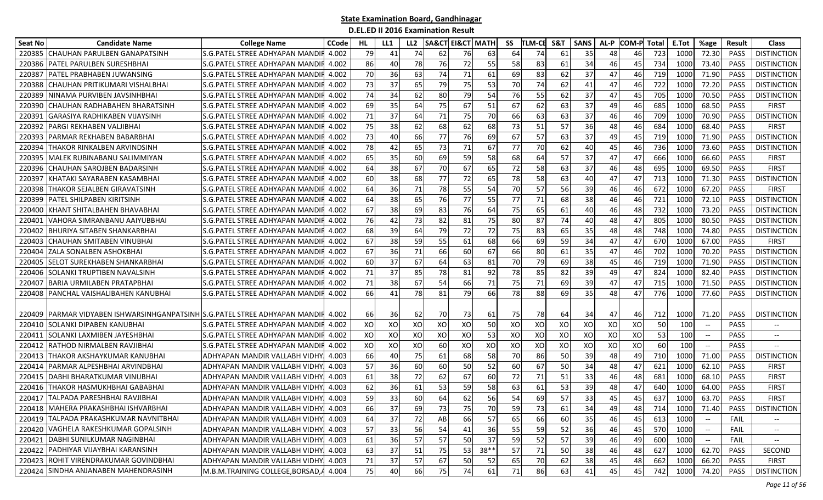| Seat No | <b>Candidate Name</b>                                                 | <b>College Name</b>                   | <b>CCode</b> | HL.       | LL1 | LL <sub>2</sub> | <b>SA&amp;CT EI&amp;CT MATH</b> |    |        | SS | <b>TLM-CE</b> | S&T | <b>SANS</b> | AL-P | <b>COM-P</b> | <b>Total</b> | E.Tot | %age                                                | Result      | <b>Class</b>             |
|---------|-----------------------------------------------------------------------|---------------------------------------|--------------|-----------|-----|-----------------|---------------------------------|----|--------|----|---------------|-----|-------------|------|--------------|--------------|-------|-----------------------------------------------------|-------------|--------------------------|
| 220385  | CHAUHAN PARULBEN GANAPATSINH                                          | S.G.PATEL STREE ADHYAPAN MANDI        | 4.002        | 79        | 41  | 74              | 62                              | 76 | 63     | 64 | 74            | 61  | 35          | 48   | 46           | 723          | 1000  | 72.30                                               | <b>PASS</b> | <b>DISTINCTION</b>       |
| 220386  | PATEL PARULBEN SURESHBHAI                                             | S.G.PATEL STREE ADHYAPAN MANDI        | 4.002        | 86        | 40  | 78              | 76                              | 72 | 55     | 58 | 83            | 61  | 34          | 46   | 45           | 734          | 1000  | 73.40                                               | <b>PASS</b> | <b>DISTINCTION</b>       |
| 22038   | PATEL PRABHABEN JUWANSING                                             | S.G.PATEL STREE ADHYAPAN MANDI        | 4.002        | 70        | 36  | 63              | 74                              | 71 | 61     | 69 | 83            | 62  | 37          | 47   | 46           | 719          | 1000  | 71.90                                               | PASS        | <b>DISTINCTION</b>       |
| 220388  | CHAUHAN PRITIKUMARI VISHALBHAI                                        | S.G.PATEL STREE ADHYAPAN MANDI        | 4.002        | 73        | 37  | 65              | 79                              | 75 | 53     | 70 | 74            | 62  | 41          | 47   | 46           | 722          | 1000  | 72.20                                               | <b>PASS</b> | <b>DISTINCTION</b>       |
| 220389  | NINAMA PURVIBEN JAVSINHBHAI                                           | S.G.PATEL STREE ADHYAPAN MANDI        | 4.002        | 74        | 34  | 62              | 80                              | 79 | 54     | 76 | 55            | 62  | 37          | 47   | 45           | 705          | 1000  | 70.50                                               | <b>PASS</b> | <b>DISTINCTION</b>       |
| 220390  | CHAUHAN RADHABAHEN BHARATSINH                                         | S.G. PATEL STREE ADHYAPAN MANDI       | 4.002        | 69        | 35  | 64              | 75                              | 67 | 51     | 67 | 62            | 63  | 37          | 49   | 46           | 685          | 1000  | 68.50                                               | <b>PASS</b> | <b>FIRST</b>             |
| 22039   | GARASIYA RADHIKABEN VIJAYSINH                                         | S.G.PATEL STREE ADHYAPAN MANDI        | 4.002        | 71        | 37  | 64              | 71                              | 75 | 70     | 66 | 63            | 63  | 37          | 46   | 46           | 709          | 1000  | 70.90                                               | <b>PASS</b> | <b>DISTINCTION</b>       |
| 22039   | PARGI REKHABEN VALJIBHAI                                              | S.G.PATEL STREE ADHYAPAN MANDI        | 4.002        | 75        | 38  | 62              | 68                              | 62 | 68     | 73 | 51            | 57  | 36          | 48   | 46           | 684          | 1000  | 68.40                                               | <b>PASS</b> | <b>FIRST</b>             |
| 22039   | PARMAR REKHABEN BABARBHAI                                             | S.G.PATEL STREE ADHYAPAN MANDI        | 4.002        | 73        | 40  | 66              | 77                              | 76 | 69     | 67 | 57            | 63  | 37          | 49   | 45           | 719          | 1000  | 71.90                                               | <b>PASS</b> | <b>DISTINCTION</b>       |
| 22039   | THAKOR RINKALBEN ARVINDSINH                                           | S.G.PATEL STREE ADHYAPAN MANDI        | 4.002        | 78        | 42  | 65              | 73                              | 71 | 67     | 77 | 70            | 62  | 40          | 45   | 46           | 736          | 1000  | 73.60                                               | <b>PASS</b> | <b>DISTINCTION</b>       |
| 22039   | MALEK RUBINABANU SALIMMIYAN                                           | S.G.PATEL STREE ADHYAPAN MANDI        | 4.002        | 65        | 35  | 60              | 69                              | 59 | 58     | 68 | 64            | 57  | 37          | 47   | 47           | 666          | 1000  | 66.60                                               | PASS        | <b>FIRST</b>             |
| 220396  | CHAUHAN SAROJBEN BADARSINH                                            | S.G.PATEL STREE ADHYAPAN MANDI        | 4.002        | 64        | 38  | 67              | 70                              | 67 | 65     | 72 | 58            | 63  | 37          | 46   | 48           | 695          | 1000  | 69.50                                               | <b>PASS</b> | <b>FIRST</b>             |
| 220397  | KHATAKI SAYARABEN KASAMBHAI                                           | S.G.PATEL STREE ADHYAPAN MANDI        | 4.002        | 60        | 38  | 68              | 77                              | 72 | 65     | 78 | 58            | 63  | 40          | 47   | 47           | 713          | 1000  | 71.30                                               | <b>PASS</b> | <b>DISTINCTION</b>       |
| 220398  | THAKOR SEJALBEN GIRAVATSINH                                           | S.G.PATEL STREE ADHYAPAN MANDI        | 4.002        | 64        | 36  | 71              | 78                              | 55 | 54     | 70 | 57            | 56  | 39          | 46   | 46           | 672          | 1000  | 67.20                                               | PASS        | <b>FIRST</b>             |
| 220399  | PATEL SHILPABEN KIRITSINH                                             | S.G.PATEL STREE ADHYAPAN MANDI        | 4.002        | 64        | 38  | 65              | 76                              | 77 | 55     | 77 | 71            | 68  | 38          | 46   | 46           | 721          | 1000  | 72.10                                               | <b>PASS</b> | <b>DISTINCTION</b>       |
| 220400  | KHANT SHITALBAHEN BHAVABHAI                                           | S.G.PATEL STREE ADHYAPAN MANDI        | 4.002        | 67        | 38  | 69              | 83                              | 76 | 64     | 75 | 65            | 61  | 40          | 46   | 48           | 732          | 1000  | 73.20                                               | <b>PASS</b> | <b>DISTINCTION</b>       |
| 22040   | VAHORA SIMRANBANU AAIYUBBHAI                                          | S.G.PATEL STREE ADHYAPAN MANDI        | 4.002        | 76        | 42  | 73              | 82                              | 81 | 75     | 80 | 87            | 74  | 40          | 48   | 47           | 805          | 1000  | 80.50                                               | <b>PASS</b> | <b>DISTINCTION</b>       |
| 22040   | BHURIYA SITABEN SHANKARBHAI                                           | S.G.PATEL STREE ADHYAPAN MANDI        | 4.002        | 68        | 39  | 64              | 79                              | 72 | 72     | 75 | 83            | 65  | 35          | 48   | 48           | 748          | 1000  | 74.80                                               | <b>PASS</b> | <b>DISTINCTION</b>       |
| 220403  | CHAUHAN SMITABEN VINUBHAI                                             | S.G.PATEL STREE ADHYAPAN MANDI        | 4.002        | 67        | 38  | 59              | 55                              | 61 | 68     | 66 | 69            | 59  | 34          | 47   | 47           | 670          | 1000  | 67.00                                               | <b>PASS</b> | <b>FIRST</b>             |
| 220404  | ZALA SONALBEN ASHOKBHAI                                               | S.G.PATEL STREE ADHYAPAN MANDI        | 4.002        | 67        | 36  | 71              | 66                              | 60 | 67     | 66 | 80            | 61  | 35          | 47   | 46           | 702          | 1000  | 70.20                                               | <b>PASS</b> | <b>DISTINCTION</b>       |
| 220405  | <b>SELOT SUREKHABEN SHANKARBHAI</b>                                   | S.G.PATEL STREE ADHYAPAN MANDI        | 4.002        | 60        | 37  | 67              | 64                              | 63 | 81     | 70 | 79            | 69  | 38          | 45   | 46           | 719          | 1000  | 71.90                                               | <b>PASS</b> | <b>DISTINCTION</b>       |
| 220406  | <b>SOLANKI TRUPTIBEN NAVALSINH</b>                                    | S.G. PATEL STREE ADHYAPAN MANDI       | 4.002        | 71        | 37  | 85              | 78                              | 81 | 92     | 78 | 85            | 82  | 39          | 49   | 47           | 824          | 1000  | 82.40                                               | <b>PASS</b> | <b>DISTINCTION</b>       |
| 220407  | <b>BARIA URMILABEN PRATAPBHAI</b>                                     | S.G.PATEL STREE ADHYAPAN MANDI        | 4.002        | 71        | 38  | 67              | 54                              | 66 | 71     | 75 | 71            | 69  | 39          | 47   | 47           | 715          | 1000  | 71.50                                               | <b>PASS</b> | <b>DISTINCTION</b>       |
| 220408  | PANCHAL VAISHALIBAHEN KANUBHAI                                        | S.G.PATEL STREE ADHYAPAN MANDI        | 4.002        | 66        | 41  | 78              | 81                              | 79 | 66     | 78 | 88            | 69  | 35          | 48   | 47           | 776          | 1000  | 77.60                                               | <b>PASS</b> | <b>DISTINCTION</b>       |
|         |                                                                       |                                       |              |           |     |                 |                                 |    |        |    |               |     |             |      |              |              |       |                                                     |             |                          |
| 220409  | [PARMAR VIDYABEN ISHWARSINHGANPATSINH]S.G.PATEL STREE ADHYAPAN MANDIF |                                       | 4.002        | 66        | 36  | 62              | 70                              | 73 | 61     | 75 | 78            | 64  | 34          | 47   | 46           | 712          | 1000  | 71.20                                               | <b>PASS</b> | <b>DISTINCTION</b>       |
| 220410  | SOLANKI DIPABEN KANUBHA                                               | S.G.PATEL STREE ADHYAPAN MANDI        | 4.002        | XO        | XO  | XO              | XO                              | XO | 50     | XO | XO            | XO  | XO          | XO   | XO           | 50           | 100   | $\hspace{0.05cm} -\hspace{0.05cm} -\hspace{0.05cm}$ | <b>PASS</b> |                          |
| 220411  | SOLANKI LAXMIBEN JAYESHBHAI                                           | S.G.PATEL STREE ADHYAPAN MANDI        | 4.002        | XO        | XO  | XO              | XO                              | XO | 53     | XO | XO            | XO  | XO          | XO   | XO           | 53           | 100   | $ \!-$                                              | <b>PASS</b> | $- -$                    |
| 220412  | RATHOD NIRMALBEN RAVJIBHAI                                            | S.G.PATEL STREE ADHYAPAN MANDI        | 4.002        | XO        | XO  | XO              | 60                              | XO | XO     | XO | XO            | XO  | XO          | XO   | XO           | 60           | 100   | $\overline{\phantom{a}}$                            | <b>PASS</b> |                          |
| 220413  | THAKOR AKSHAYKUMAR KANUBHAI                                           | ADHYAPAN MANDIR VALLABH VIDHY         | 4.003        | 66        | 40  | 75              | 61                              | 68 | 58     | 70 | 86            | 50  | 39          | 48   | 49           | 710          | 1000  | 71.00                                               | <b>PASS</b> | <b>DISTINCTION</b>       |
| 220414  | PARMAR ALPESHBHAI ARVINDBHAI                                          | ADHYAPAN MANDIR VALLABH VIDHY         | 4.003        | 57        | 36  | 60              | 60                              | 50 | 52     | 60 | 67            | 50  | 34          | 48   | 47           | 621          | 1000  | 62.10                                               | <b>PASS</b> | <b>FIRST</b>             |
| 220415  | DABHI BHARATKUMAR VINUBHAI                                            | ADHYAPAN MANDIR VALLABH VIDHY         | 4.003        | 61        | 38  | 72              | 62                              | 67 | 60     | 72 | 71            | 51  | 33          | 46   | 48           | 681          | 1000  | 68.10                                               | <b>PASS</b> | <b>FIRST</b>             |
| 220416  | THAKOR HASMUKHBHAI GABABHAI                                           | ADHYAPAN MANDIR VALLABH VIDHY         | 4.003        | 62        | 36  | 61              | 53                              | 59 | 58     | 63 | 61            | 53  | 39          | 48   | 47           | 640          | 1000  | 64.00                                               | PASS        | <b>FIRST</b>             |
| 220417  | TALPADA PARESHBHAI RAVJIBHAI                                          | ADHYAPAN MANDIR VALLABH VIDHY         | 4.003        | 59        | 33  | 60              | 64                              | 62 | 56     | 54 | 69            | 57  | 33          | 45   | 45           | 637          | 1000  | 63.70                                               | PASS        | FIRST                    |
|         | 220418   MAHERA PRAKASHBHAI ISHVARBHAI                                | ADHYAPAN MANDIR VALLABH VIDHY 4.003   |              | <b>66</b> | 37  | 69              | 73                              | 75 | 70     | 59 | 73            | 61  | 34          | 49   | 48           | 714          | 1000  | 71.40                                               |             | PASS   DISTINCTION       |
|         | 220419 TALPADA PRAKASHKUMAR NAVNITBHAI                                | ADHYAPAN MANDIR VALLABH VIDHY 4.003   |              | 64        | 37  | 72              | AB                              | 66 | 57     | 65 | 66            | 60  | 35          | 46   | 45           | 613          | 1000  |                                                     | <b>FAIL</b> |                          |
|         | 220420 VAGHELA RAKESHKUMAR GOPALSINH                                  | ADHYAPAN MANDIR VALLABH VIDHY 4.003   |              | 57        | 33  | 56              | 54                              | 41 | 36     | 55 | 59            | 52  | 36          | 46   | 45           | 570          | 1000  | $- -$                                               | FAIL        | $\overline{\phantom{a}}$ |
|         | 220421 DABHI SUNILKUMAR NAGINBHAI                                     | ADHYAPAN MANDIR VALLABH VIDHY         | 4.003        | 61        | 36  | 57              | 57                              | 50 | 37     | 59 | 52            | 57  | 39          | 46   | 49           | 600          | 1000  | $- -$                                               | FAIL        |                          |
|         | 220422 PADHIYAR VIJAYBHAI KARANSINH                                   | ADHYAPAN MANDIR VALLABH VIDHY 4.003   |              | 63        | 37  | 51              | 75                              | 53 | $38**$ | 57 | 71            | 50  | 38          | 46   | 48           | 627          | 1000  | 62.70                                               | PASS        | SECOND                   |
|         | 220423 ROHIT VIRENDRAKUMAR GOVINDBHAI                                 | ADHYAPAN MANDIR VALLABH VIDHY 4.003   |              | 71        | 37  | 57              | 67                              | 50 | 52     | 65 | 70            | 62  | 38          | 45   | 48           | 662          | 1000  | 66.20                                               | PASS        | <b>FIRST</b>             |
|         | 220424 SINDHA ANJANABEN MAHENDRASINH                                  | M.B.M.TRAINING COLLEGE, BORSAD, 4.004 |              | 75        | 40  | 66              | 75                              | 74 | 61     | 71 | 86            | 63  | 41          | 45   | 45           | 742          | 1000  | 74.20                                               | PASS        | <b>DISTINCTION</b>       |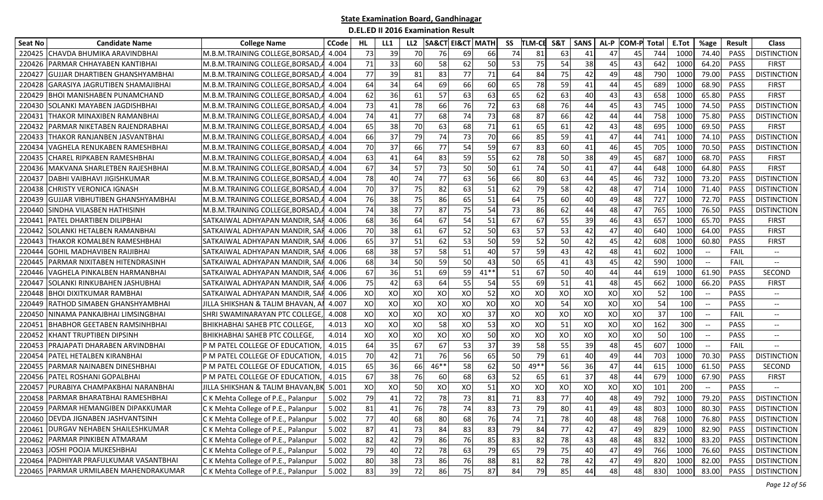| Seat No | <b>Candidate Name</b>                  | <b>College Name</b>                  | <b>CCode</b> | HL. | LL1 | LL <sub>2</sub> | <b>SA&amp;CT EI&amp;CT MATH</b> |    |        | SS | <b>TLM-CE</b> | S&T | <b>SANS</b> | AL-P | <b>COM-P</b> | Total | E.Tot | %age                                                | Result      | <b>Class</b>                  |
|---------|----------------------------------------|--------------------------------------|--------------|-----|-----|-----------------|---------------------------------|----|--------|----|---------------|-----|-------------|------|--------------|-------|-------|-----------------------------------------------------|-------------|-------------------------------|
| 220425  | CHAVDA BHUMIKA ARAVINDBHAI             | M.B.M.TRAINING COLLEGE, BORSAD,      | 4.004        | 73  | 39  | 70              | 76                              | 69 | 66     | 74 | 81            | 63  | 41          | 47   | 45           | 744   | 1000  | 74.40                                               | <b>PASS</b> | <b>DISTINCTION</b>            |
| 220426  | PARMAR CHHAYABEN KANTIBHAI             | M.B.M.TRAINING COLLEGE, BORSAD       | 4.004        | 71  | 33  | 60              | 58                              | 62 | 50     | 53 | 75            | 54  | 38          | 45   | 43           | 642   | 1000  | 64.20                                               | PASS        | <b>FIRST</b>                  |
| 22042   | GUJJAR DHARTIBEN GHANSHYAMBHAI         | M.B.M.TRAINING COLLEGE, BORSAD       | 4.004        | 77  | 39  | 81              | 83                              | 77 | 71     | 64 | 84            | 75  | 42          | 49   | 48           | 790   | 1000  | 79.00                                               | PASS        | <b>DISTINCTION</b>            |
| 220428  | GARASIYA JAGRUTIBEN SHAMAJIBHAI        | M.B.M.TRAINING COLLEGE, BORSAD,      | 4.004        | 64  | 34  | 64              | 69                              | 66 | 60     | 65 | 78            | 59  | 41          | 44   | 45           | 689   | 1000  | 68.90                                               | <b>PASS</b> | <b>FIRST</b>                  |
| 220429  | BHOI MANISHABEN PUNAMCHAND             | M.B.M.TRAINING COLLEGE, BORSAD,      | 4.004        | 62  | 36  | 61              | 57                              | 63 | 63     | 65 | 62            | 63  | 40          | 43   | 43           | 658   | 1000  | 65.80                                               | <b>PASS</b> | <b>FIRST</b>                  |
| 220430  | SOLANKI MAYABEN JAGDISHBHAI            | M.B.M.TRAINING COLLEGE, BORSAD,      | 4.004        | 73  | 41  | 78              | 66                              | 76 | 72     | 63 | 68            | 76  | 44          | 45   | 43           | 745   | 1000  | 74.50                                               | <b>PASS</b> | <b>DISTINCTION</b>            |
| 22043   | THAKOR MINAXIBEN RAMANBHAI             | M.B.M.TRAINING COLLEGE, BORSAD,      | 4.004        | 74  | 41  | 77              | 68                              | 74 | 73     | 68 | 87            | 66  | 42          | 44   | 44           | 758   | 1000  | 75.80                                               | <b>PASS</b> | <b>DISTINCTION</b>            |
| 220432  | PARMAR NIKETABEN RAJENDRABHAI          | M.B.M.TRAINING COLLEGE, BORSAD,      | 4.004        | 65  | 38  | 70              | 63                              | 68 | 71     | 61 | 65            | 61  | 42          | 43   | 48           | 695   | 1000  | 69.50                                               | <b>PASS</b> | <b>FIRST</b>                  |
| 220433  | THAKOR RANJANBEN JASVANTBHAI           | M.B.M.TRAINING COLLEGE.BORSAD        | 4.004        | 66  | 37  | 79              | 74                              | 73 | 70     | 66 | 85            | 59  | 41          | 47   | 44           | 741   | 1000  | 74.10                                               | <b>PASS</b> | <b>DISTINCTION</b>            |
| 22043   | VAGHELA RENUKABEN RAMESHBHAI           | M.B.M.TRAINING COLLEGE, BORSAD       | 4.004        | 70  | 37  | 66              | 77                              | 54 | 59     | 67 | 83            | 60  | 41          | 46   | 45           | 705   | 1000  | 70.50                                               | <b>PASS</b> | <b>DISTINCTION</b>            |
| 22043   | CHAREL RIPKABEN RAMESHBHAI             | M.B.M.TRAINING COLLEGE, BORSAD       | 4.004        | 63  | 41  | 64              | 83                              | 59 | 55     | 62 | 78            | 50  | 38          | 49   | 45           | 687   | 1000  | 68.70                                               | PASS        | <b>FIRST</b>                  |
| 220436  | MAKVANA SHARLETBEN RAJESHBHAI          | M.B.M.TRAINING COLLEGE, BORSAD,      | 4.004        | 67  | 34  | 57              | 73                              | 50 | 50     | 61 | 74            | 50  | 41          | 47   | 44           | 648   | 1000  | 64.80                                               | <b>PASS</b> | <b>FIRST</b>                  |
| 220437  | DABHI VAIBHAVI JIGISHKUMAR             | M.B.M.TRAINING COLLEGE, BORSAD,      | 4.004        | 78  | 40  | 74              | 77                              | 63 | 56     | 66 | 80            | 63  | 44          | 45   | 46           | 732   | 1000  | 73.20                                               | <b>PASS</b> | <b>DISTINCTION</b>            |
| 220438  | CHRISTY VERONICA IGNASH                | M.B.M.TRAINING COLLEGE, BORSAD,      | 4.004        | 70  | 37  | 75              | 82                              | 63 | 51     | 62 | 79            | 58  | 42          | 48   | 47           | 714   | 1000  | 71.40                                               | <b>PASS</b> | <b>DISTINCTION</b>            |
| 220439  | GUJJAR VIBHUTIBEN GHANSHYAMBHAI        | M.B.M.TRAINING COLLEGE, BORSAD,      | 4.004        | 76  | 38  | 75              | 86                              | 65 | 51     | 64 | 75            | 60  | 40          | 49   | 48           | 727   | 1000  | 72.70                                               | PASS        | <b>DISTINCTION</b>            |
| 220440  | SINDHA VILASBEN HATHISINH              | M.B.M.TRAINING COLLEGE.BORSAD.       | 4.004        | 74  | 38  | 77              | 87                              | 75 | 54     | 73 | 86            | 62  | 44          | 48   | 47           | 765   | 1000  | 76.50                                               | <b>PASS</b> | <b>DISTINCTION</b>            |
| 22044   | PATEL DHARTIBEN DILIPBHAI              | SATKAIWAL ADHYAPAN MANDIR, SAI       | 4.006        | 68  | 36  | 64              | 67                              | 54 | 51     | 67 | 67            | 55  | 39          | 46   | 43           | 657   | 1000  | 65.70                                               | PASS        | <b>FIRST</b>                  |
| 22044   | SOLANKI HETALBEN RAMANBHAI             | SATKAIWAL ADHYAPAN MANDIR, SAF       | 4.006        | 70  | 38  | 61              | 67                              | 52 | 50     | 63 | 57            | 53  | 42          | 47   | 40           | 640   | 1000  | 64.00                                               | PASS        | <b>FIRST</b>                  |
| 220443  | THAKOR KOMALBEN RAMESHBHAI             | SATKAIWAL ADHYAPAN MANDIR, SAF       | 4.006        | 65  | 37  | 51              | 62                              | 53 | 50     | 59 | 52            | 50  | 42          | 45   | 42           | 608   | 1000  | 60.80                                               | PASS        | <b>FIRST</b>                  |
| 220444  | GOHIL MADHAVIBEN RAIJIBHAI             | SATKAIWAL ADHYAPAN MANDIR. SAFI      | 4.006        | 68  | 38  | 57              | 58                              | 51 | 40     | 57 | 59            | 43  | 42          | 48   | 41           | 602   | 1000  | $- -$                                               | FAIL        | $\hspace{0.05cm} \textbf{--}$ |
| 220445  | PARMAR NIXITABEN HITENDRASINH          | SATKAIWAL ADHYAPAN MANDIR, SAF 4.006 |              | 68  | 34  | 50              | 59                              | 50 | 43     | 50 | 65            | 41  | 43          | 45   | 42           | 590   | 1000  | $\hspace{0.05cm} -\hspace{0.05cm} -\hspace{0.05cm}$ | FAIL        | $\hspace{0.05cm} \ldots$      |
| 220446  | VAGHELA PINKALBEN HARMANBHAI           | SATKAIWAL ADHYAPAN MANDIR, SAF       | 4.006        | 67  | 36  | 51              | 69                              | 59 | $41**$ | 51 | 67            | 50  | 40          | 44   | 44           | 619   | 1000  | 61.90                                               | PASS        | <b>SECOND</b>                 |
| 220447  | SOLANKI RINKUBAHEN JASHUBHAI           | SATKAIWAL ADHYAPAN MANDIR, SAF       | 4.006        | 75  | 42  | 63              | 64                              | 55 | 54     | 55 | 69            | 51  | 41          | 48   | 45           | 662   | 1000  | 66.20                                               | PASS        | <b>FIRST</b>                  |
| 220448  | BHOI DIXITKUMAR RAMBHAI                | SATKAIWAL ADHYAPAN MANDIR, SAF       | 4.006        | XO  | XO  | XO              | XO                              | XO | 52     | XO | XO            | XO  | XO          | XO   | XO           | 52    | 100   | $\overline{\phantom{a}}$                            | <b>PASS</b> | $-\!$                         |
| 220449  | RATHOD SIMABEN GHANSHYAMBHAI           | JILLA SHIKSHAN & TALIM BHAVAN, A     | 4.007        | XO  | XO  | XO              | XO                              | XO | XO     | XO | XO            | 54  | XO          | XO   | XO           | 54    | 100   | $-\hbox{--}$                                        | <b>PASS</b> | $- -$                         |
| 22045   | NINAMA PANKAJBHAI LIMSINGBHAI          | SHRI SWAMINARAYAN PTC COLLEGE        | 4.008        | XO  | XO  | XO              | XO                              | XO | 37     | XO | XO            | XO  | XO          | XO   | XO           | 37    | 100   |                                                     | FAIL        | $\overline{\phantom{a}}$      |
| 220451  | <b>BHABHOR GEETABEN RAMSINHBHAI</b>    | <b>BHIKHABHAI SAHEB PTC COLLEGE,</b> | 4.013        | XO  | XO  | XO              | 58                              | XO | 53     | XO | XO            | 51  | XO          | XO   | XO           | 162   | 300   | $\overline{\phantom{a}}$                            | <b>PASS</b> | $-\!$                         |
| 220452  | KHANT TRUPTIBEN DIPSINH                | <b>BHIKHABHAI SAHEB PTC COLLEGE,</b> | 4.014        | XO  | XO  | XO              | XO                              | XO | 50     | XO | XO            | XO  | XO          | XO   | XO           | 50    | 100   | $\overline{\phantom{a}}$                            | <b>PASS</b> | $- -$                         |
| 220453  | PRAJAPATI DHARABEN ARVINDBHAI          | P M PATEL COLLEGE OF EDUCATION       | 4.015        | 64  | 35  | 67              | 67                              | 53 | 37     | 39 | 58            | 55  | 39          | 48   | 45           | 607   | 1000  | $\overline{\phantom{a}}$                            | FAIL        |                               |
| 220454  | PATEL HETALBEN KIRANBHAI               | P M PATEL COLLEGE OF EDUCATION       | 4.015        | 70  | 42  | 71              | 76                              | 56 | 65     | 50 | 79            | 61  | 40          | 49   | 44           | 703   | 1000  | 70.30                                               | <b>PASS</b> | <b>DISTINCTION</b>            |
| 220455  | PARMAR NAINABEN DINESHBHAI             | P M PATEL COLLEGE OF EDUCATION       | 4.015        | 65  | 36  | 66              | 46**                            | 58 | 62     | 50 | 49**          | 56  | 36          | 47   | 44           | 615   | 1000  | 61.50                                               | <b>PASS</b> | SECOND                        |
| 220456  | PATEL ROSHANI GOPALBHAI                | P M PATEL COLLEGE OF EDUCATION       | 4.015        | 67  | 38  | 76              | 60                              | 68 | 63     | 52 | 65            | 61  | 37          | 48   | 44           | 679   | 1000  | 67.90                                               | <b>PASS</b> | <b>FIRST</b>                  |
| 22045   | PURABIYA CHAMPAKBHAI NARANBHAI         | JILLA SHIKSHAN & TALIM BHAVAN,BK     | 5.001        | XO  | XO  | 50              | XO                              | XO | 51     | XO | XO            | XO  | XO          | XO   | XO           | 101   | 200   | $\hspace{0.05cm}$ – $\hspace{0.05cm}$               | <b>PASS</b> |                               |
| 220458  | PARMAR BHARATBHAI RAMESHBHAI           | C K Mehta College of P.E., Palanpur  | 5.002        | 79  | 41  | 72              | 78                              | 73 | 81     | 71 | 83            | 77  | 40          | 48   | 49           | 792   | 1000  | 79.20                                               | <b>PASS</b> | <b>DISTINCTION</b>            |
|         | 220459 PARMAR HEMANGIBEN DIPAKKUMAR    | C K Mehta College of P.E., Palanpur  | 5.002        | 81  | 41  | 76              | 78                              | 74 | 83     | 73 | 79            | 80  | 41          | 49   | 48           | 803   | 1000  | 80.30                                               | PASS        | <b>DISTINCTION</b>            |
|         | 220460 DEVDA JIGNABEN JASHVANTSINH     | C K Mehta College of P.E., Palanpur  | 5.002        | 77  | 40  | 68              | 80                              | 68 | 76     | 74 | 71            | 78  | 40          | 48   | 48           | 768   | 1000  | 76.80                                               | PASS        | <b>DISTINCTION</b>            |
|         | 220461 DURGAV NEHABEN SHAILESHKUMAR    | C K Mehta College of P.E., Palanpur  | 5.002        | 87  | 41  | 73              | 84                              | 83 | 83     | 79 | 84            | 77  | 42          | 47   | 49           | 829   | 1000  | 82.90                                               | PASS        | <b>DISTINCTION</b>            |
|         | 220462 PARMAR PINKIBEN ATMARAM         | CK Mehta College of P.E., Palanpur   | 5.002        | 82  | 42  | 79              | 86                              | 76 | 85     | 83 | 82            | 78  | 43          | 48   | 48           | 832   | 1000  | 83.20                                               | PASS        | <b>DISTINCTION</b>            |
|         | 220463 JOSHI POOJA MUKESHBHAI          | CK Mehta College of P.E., Palanpur   | 5.002        | 79  | 40  | 72              | 78                              | 63 | 79     | 65 | 79            | 75  | 40          | 47   | 49           | 766   | 1000  | 76.60                                               | PASS        | <b>DISTINCTION</b>            |
|         | 220464 PADHIYAR PRAFULKUMAR VASANTBHAI | C K Mehta College of P.E., Palanpur  | 5.002        | 80  | 38  | 73              | 86                              | 76 | 88     | 81 | 82            | 78  | 42          | 47   | 49           | 820   | 1000  | 82.00                                               | PASS        | <b>DISTINCTION</b>            |
|         | 220465 PARMAR URMILABEN MAHENDRAKUMAR  | C K Mehta College of P.E., Palanpur  | 5.002        | 83  | 39  | 72              | 86                              | 75 | 87     | 84 | 79            | 85  | 44          | 48   | 48           | 830   | 1000  | 83.00                                               | PASS        | <b>DISTINCTION</b>            |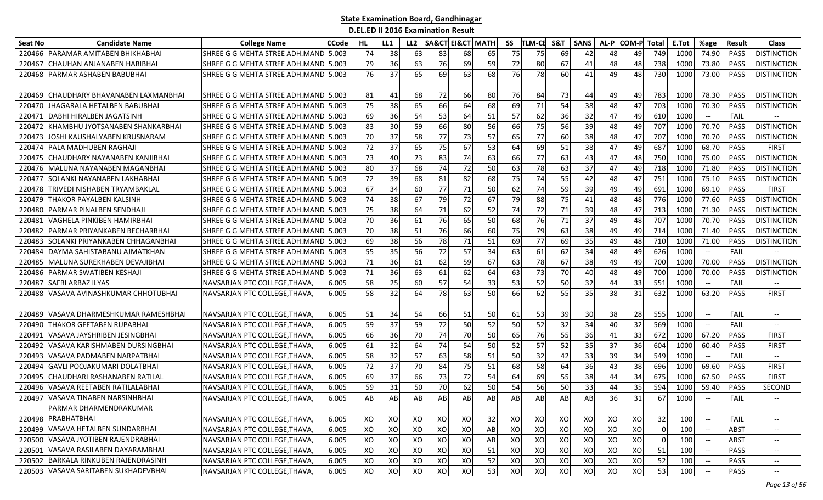| Seat No | <b>Candidate Name</b>                   | <b>College Name</b>                  | <b>CCode</b> | HL | LL1 | LL <sub>2</sub> | <b>SA&amp;CT EI&amp;CT MATH</b> |    |    | SS | <b>TLM-CE</b> | S&T | <b>SANS</b> | AL-P | <b>COM-P</b>    | Total    | E.Tot | %age                                           | Result      | <b>Class</b>                      |
|---------|-----------------------------------------|--------------------------------------|--------------|----|-----|-----------------|---------------------------------|----|----|----|---------------|-----|-------------|------|-----------------|----------|-------|------------------------------------------------|-------------|-----------------------------------|
| 220466  | IPARAMAR AMITABEN BHIKHABHAI            | SHREE G G MEHTA STREE ADH.MAND       | 5.003        | 74 | 38  | 63              | 83                              | 68 | 65 | 75 | 75            | 69  | 42          | 48   | 49              | 749      | 1000  | 74.90                                          | <b>PASS</b> | <b>DISTINCTION</b>                |
| 220467  | CHAUHAN ANJANABEN HARIBHAI              | SHREE G G MEHTA STREE ADH.MAND       | 5.003        | 79 | 36  | 63              | 76                              | 69 | 59 | 72 | 80            | 67  | 41          | 48   | 48              | 738      | 1000  | 73.80                                          | PASS        | <b>DISTINCTION</b>                |
| 220468  | PARMAR ASHABEN BABUBHAI                 | SHREE G G MEHTA STREE ADH.MAND       | 5.003        | 76 | 37  | 65              | 69                              | 63 | 68 | 76 | 78            | 60  | 41          | 49   | 48              | 730      | 1000  | 73.00                                          | <b>PASS</b> | <b>DISTINCTION</b>                |
|         |                                         |                                      |              |    |     |                 |                                 |    |    |    |               |     |             |      |                 |          |       |                                                |             |                                   |
| 220469  | <b>ICHAUDHARY BHAVANABEN LAXMANBHAI</b> | SHREE G G MEHTA STREE ADH.MAND 5.003 |              | 81 | 41  | 68              | 72                              | 66 | 80 | 76 | 84            | 73  | 44          | 49   | 49              | 783      | 1000  | 78.30                                          | <b>PASS</b> | <b>DISTINCTION</b>                |
| 220470  | JHAGARALA HETALBEN BABUBHAI             | SHREE G G MEHTA STREE ADH.MAND 5.003 |              | 75 | 38  | 65              | 66                              | 64 | 68 | 69 | 71            | 54  | 38          | 48   | 47              | 703      | 1000  | 70.30                                          | PASS        | <b>DISTINCTION</b>                |
| 220471  | DABHI HIRALBEN JAGATSINH                | SHREE G G MEHTA STREE ADH.MAND 5.003 |              | 69 | 36  | 54              | 53                              | 64 | 51 | 57 | 62            | 36  | 32          | 47   | 49              | 610      | 1000  | $\hspace{0.05cm} \textbf{--}$                  | FAIL        |                                   |
| 220472  | (HAMBHU JYOTSANABEN SHANKARBHAI         | SHREE G G MEHTA STREE ADH.MAND 5.003 |              | 83 | 30  | 59              | 66                              | 80 | 56 | 66 | 75            | 56  | 39          | 48   | 49              | 707      | 1000  | 70.70                                          | <b>PASS</b> | <b>DISTINCTION</b>                |
| 22047   | JOSHI KAUSHALYABEN KRUSNARAM            | SHREE G G MEHTA STREE ADH.MAND 5.003 |              | 70 | 37  | 58              | 77                              | 73 | 57 | 65 | 77            | 60  | 38          | 48   | 47              | 707      | 1000  | 70.70                                          | <b>PASS</b> | <b>DISTINCTION</b>                |
| 22047   | PALA MADHUBEN RAGHAJI                   | SHREE G G MEHTA STREE ADH.MAND 5.003 |              | 72 | 37  | 65              | 75                              | 67 | 53 | 64 | 69            | 51  | 38          | 47   | 49              | 687      | 1000  | 68.70                                          | PASS        | <b>FIRST</b>                      |
| 22047   | CHAUDHARY NAYANABEN KANJIBHAI           | SHREE G G MEHTA STREE ADH.MAND       | 5.003        | 73 | 40  | 73              | 83                              | 74 | 63 | 66 | 77            | 63  | 43          | 47   | 48              | 750      | 1000  | 75.00                                          | PASS        | <b>DISTINCTION</b>                |
| 220476  | IMALUNA NAYANABEN MAGANBHAI             | SHREE G G MEHTA STREE ADH.MAND 5.003 |              | 80 | 37  | 68              | 74                              | 72 | 50 | 63 | 78            | 63  | 37          | 47   | 49              | 718      | 1000  | 71.80                                          | <b>PASS</b> | <b>DISTINCTION</b>                |
| 22047   | SOLANKI NAYANABEN LAKHABHAI             | SHREE G G MEHTA STREE ADH.MAND 5.003 |              | 72 | 39  | 68              | 81                              | 82 | 68 | 75 | 74            | 55  | 42          | 48   | 47              | 751      | 1000  | 75.10                                          | PASS        | <b>DISTINCTION</b>                |
| 220478  | TRIVEDI NISHABEN TRYAMBAKLAL            | SHREE G G MEHTA STREE ADH.MAND       | 5.003        | 67 | 34  | 60              | 77                              | 71 | 50 | 62 | 74            | 59  | 39          | 49   | 49              | 691      | 1000  | 69.10                                          | PASS        | <b>FIRST</b>                      |
| 220479  | THAKOR PAYALBEN KALSINH                 | SHREE G G MEHTA STREE ADH.MAND       | 5.003        | 74 | 38  | 67              | 79                              | 72 | 67 | 79 | 88            | 75  | 41          | 48   | 48              | 776      | 1000  | 77.60                                          | <b>PASS</b> | <b>DISTINCTION</b>                |
| 220480  | PARMAR PINALBEN SENDHAJI                | SHREE G G MEHTA STREE ADH.MAND       | 5.003        | 75 | 38  | 64              | 71                              | 62 | 52 | 74 | 72            | 71  | 39          | 48   | 47              | 713      | 1000  | 71.30                                          | <b>PASS</b> | <b>DISTINCTION</b>                |
| 22048   | VAGHELA PINKIBEN HAMIRBHAI              | SHREE G G MEHTA STREE ADH.MAND       | 5.003        | 70 | 36  | 61              | 76                              | 65 | 50 | 68 | 76            | 71  | 37          | 49   | 48              | 707      | 1000  | 70.70                                          | PASS        | <b>DISTINCTION</b>                |
| 22048   | PARMAR PRIYANKABEN BECHARBHAI           | SHREE G G MEHTA STREE ADH.MAND       | 5.003        | 70 | 38  | 51              | 76                              | 66 | 60 | 75 | 79            | 63  | 38          | 49   | 49              | 714      | 1000  | 71.40                                          | PASS        | <b>DISTINCTION</b>                |
| 220483  | SOLANKI PRIYANKABEN CHHAGANBHAI         | SHREE G G MEHTA STREE ADH.MAND       | 5.003        | 69 | 38  | 56              | 78                              | 71 | 51 | 69 | 77            | 69  | 35          | 49   | 48              | 710      | 1000  | 71.00                                          | <b>PASS</b> | <b>DISTINCTION</b>                |
| 220484  | DAYMA SAHISTABANU AJMATKHAN             | SHREE G G MEHTA STREE ADH.MAND 5.003 |              | 55 | 35  | 56              | 72                              | 57 | 34 | 63 | 61            | 62  | 34          | 48   | 49              | 626      | 1000  | $- -$                                          | FAIL        |                                   |
| 220485  | MALUNA SUREKHABEN DEVAJIBHAI            | SHREE G G MEHTA STREE ADH.MAND 5.003 |              | 71 | 36  | 61              | 62                              | 59 | 67 | 63 | 78            | 67  | 38          | 49   | 49              | 700      | 1000  | 70.00                                          | PASS        | <b>DISTINCTION</b>                |
| 220486  | <b>PARMAR SWATIBEN KESHAJI</b>          | SHREE G G MEHTA STREE ADH.MAND       | 5.003        | 71 | 36  | 63              | 61                              | 62 | 64 | 63 | 73            | 70  | 40          | 48   | 49              | 700      | 1000  | 70.00                                          | PASS        | <b>DISTINCTION</b>                |
| 220487  | SAFRI ARBAZ ILYAS                       | NAVSARJAN PTC COLLEGE, THAVA,        | 6.005        | 58 | 25  | 60              | 57                              | 54 | 33 | 53 | 52            | 50  | 32          | 44   | 33              | 551      | 1000  | $\overline{\phantom{a}}$                       | FAIL        |                                   |
| 220488  | VASAVA AVINASHKUMAR CHHOTUBHAI          | NAVSARJAN PTC COLLEGE, THAVA,        | 6.005        | 58 | 32  | 64              | 78                              | 63 | 50 | 66 | 62            | 55  | 35          | 38   | 31              | 632      | 1000  | 63.20                                          | <b>PASS</b> | <b>FIRST</b>                      |
|         |                                         |                                      |              |    |     |                 |                                 |    |    |    |               |     |             |      |                 |          |       |                                                |             |                                   |
| 220489  | VASAVA DHARMESHKUMAR RAMESHBHAI         | NAVSARJAN PTC COLLEGE, THAVA         | 6.005        | 51 | 34  | 54              | 66                              | 51 | 50 | 61 | 53            | 39  | 30          | 38   | 28              | 555      | 1000  | $\overline{\phantom{a}}$                       | FAIL        | $-\!$                             |
| 220490  | <b>THAKOR GEETABEN RUPABHAI</b>         | NAVSARJAN PTC COLLEGE, THAVA         | 6.005        | 59 | 37  | 59              | 72                              | 50 | 52 | 50 | 52            | 32  | 34          | 40   | 32              | 569      | 1000  | $-\!$                                          | FAIL        | $\overline{\phantom{a}}$          |
| 220491  | VASAVA JAYSHRIBEN JESINGBHAI            | NAVSARJAN PTC COLLEGE, THAVA,        | 6.005        | 66 | 36  | 70              | 74                              | 70 | 50 | 65 | 76            | 55  | 36          | 41   | 33              | 672      | 1000  | 67.20                                          | PASS        | <b>FIRST</b>                      |
| 220492  | VASAVA KARISHMABEN DURSINGBHAI          | NAVSARJAN PTC COLLEGE, THAVA         | 6.005        | 61 | 32  | 64              | 74                              | 54 | 50 | 52 | 57            | 52  | 35          | 37   | 36              | 604      | 1000  | 60.40                                          | PASS        | <b>FIRST</b>                      |
| 220493  | VASAVA PADMABEN NARPATBHAI              | NAVSARJAN PTC COLLEGE, THAVA         | 6.005        | 58 | 32  | 57              | 63                              | 58 | 51 | 50 | 32            | 42  | 33          | 39   | 34              | 549      | 1000  | $\overline{\phantom{a}}$                       | FAIL        |                                   |
| 220494  | <b>GAVLI POOJAKUMARI DOLATBHAI</b>      | NAVSARJAN PTC COLLEGE, THAVA         | 6.005        | 72 | 37  | 70              | 84                              | 75 | 51 | 68 | 58            | 64  | 36          | 43   | 38 <sup>l</sup> | 696      | 1000  | 69.60                                          | <b>PASS</b> | <b>FIRST</b>                      |
| 220495  | CHAUDHARI RASHANABEN RATILAL            | NAVSARJAN PTC COLLEGE.THAVA          | 6.005        | 69 | 37  | 66              | 73                              | 72 | 54 | 64 | 69            | 55  | 38          | 44   | 34              | 675      | 1000  | 67.50                                          | PASS        | <b>FIRST</b>                      |
| 220496  | VASAVA REETABEN RATILALABHAI            | NAVSARJAN PTC COLLEGE, THAVA         | 6.005        | 59 | 31  | 50              | 70                              | 62 | 50 | 54 | 56            | 50  | 33          | 44   | 35              | 594      | 1000  | 59.40                                          | PASS        | SECOND                            |
| 220497  | VASAVA TINABEN NARSINHBHAI              | NAVSARJAN PTC COLLEGE, THAVA         | 6.005        | AB | AB  | AB              | AB                              | AB | AB | AB | AB            | AB  | AB          | 36   | 31              | 67       | 1000  |                                                | FAIL        |                                   |
|         | PARMAR DHARMENDRAKUMAR                  |                                      |              |    |     |                 |                                 |    |    |    |               |     |             |      |                 |          |       |                                                |             |                                   |
|         | 220498 PRABHATBHAI                      | NAVSARJAN PTC COLLEGE, THAVA,        | 6.005        | XO | XO  | xo              | XO                              | XO | 32 | XO | XO            | XO  | XO          | XO   | XO              | 32       | 100   | $\hspace{0.1mm}-\hspace{0.1mm}-\hspace{0.1mm}$ | FAIL        | $\overline{\phantom{a}}$          |
|         | 220499 VASAVA HETALBEN SUNDARBHAI       | NAVSARJAN PTC COLLEGE, THAVA,        | 6.005        | XO | XO  | XO              | XO                              | XO | AB | XO | XO            | XO  | XO          | XO   | XO              | $\Omega$ | 100   |                                                | ABST        | $\hspace{0.05cm} \dashrightarrow$ |
|         | 220500 VASAVA JYOTIBEN RAJENDRABHAI     | NAVSARJAN PTC COLLEGE, THAVA,        | 6.005        | XO | XO  | XO              | XO                              | XO | AB | XO | XO            | xo  | XO          | XO   | XO              |          | 100   |                                                | <b>ABST</b> | $- -$                             |
| 220501  | VASAVA RASILABEN DAYARAMBHAI            | NAVSARJAN PTC COLLEGE, THAVA,        | 6.005        | XO | XO  | XO              | XO                              | XO | 51 | XO | XO            | XO  | XO          | XO   | XO              | 51       | 100   | $--$                                           | <b>PASS</b> | $-\!$ $\!-$                       |
| 220502  | BARKALA RINKUBEN RAJENDRASINH           | NAVSARJAN PTC COLLEGE, THAVA,        | 6.005        | XO | XO  | XO              | XO                              | XO | 52 | XO | XO            | XO  | XO          | XO   | XO              | 52       | 100   | $- -$                                          | PASS        | $\overline{\phantom{a}}$          |
|         | 220503 VASAVA SARITABEN SUKHADEVBHAI    | NAVSARJAN PTC COLLEGE, THAVA,        | 6.005        | XO | XO  | XO              | XO                              | XO | 53 | XO | XO            | xol | XO          | XO   | XO              | 53       | 100   |                                                | PASS        | $-\!$ –                           |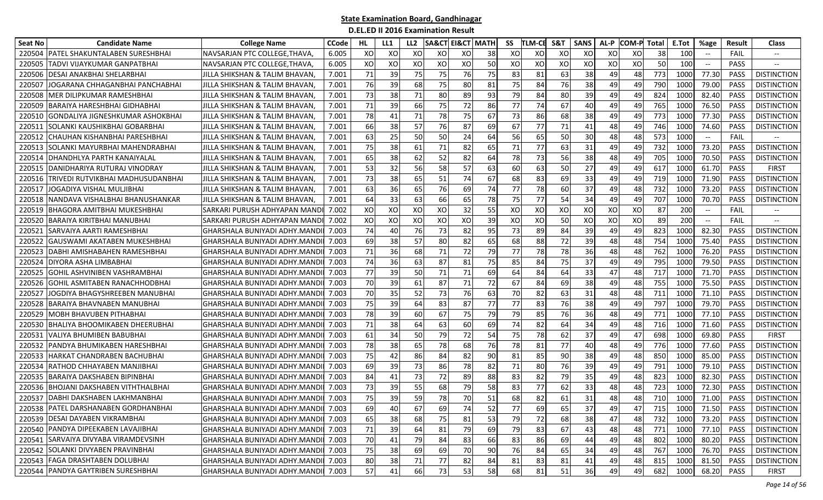| <b>Seat No</b> | <b>Candidate Name</b>                    | <b>College Name</b>                        | <b>CCode</b> | HL.  | LL1 | LL <sub>2</sub> | <b>SA&amp;CT EI&amp;CT   MATH</b> |    |    | SS  | <b>TLM-CE</b> | S&T | <b>SANS</b> | AL-P | <b>COM-P</b> | Total | E.Tot | %age  | Result      | <b>Class</b>                |
|----------------|------------------------------------------|--------------------------------------------|--------------|------|-----|-----------------|-----------------------------------|----|----|-----|---------------|-----|-------------|------|--------------|-------|-------|-------|-------------|-----------------------------|
| 220504         | PATEL SHAKUNTALABEN SURESHBHAI           | NAVSARJAN PTC COLLEGE, THAVA,              | 6.005        | XO   | XO  | xo              | XO                                | XO | 38 | XO  | xо            | XO  | xo          | XO   | XO           | 38    | 100   |       | FAIL        |                             |
| 220505         | TADVI VIJAYKUMAR GANPATBHAI              | NAVSARJAN PTC COLLEGE,THAVA                | 6.005        | XO   | XO  | XO              | XO                                | XO | 50 | XO  | хo            | XO  | XO          | XO   | XO           | 50    | 100   | $-\!$ | <b>PASS</b> | $-\!$                       |
| 220506         | DESAI ANAKBHAI SHELARBHAI                | JILLA SHIKSHAN & TALIM BHAVAN,             | 7.001        | 71   | 39  | 75              | 75                                | 76 | 75 | 83  | 81            | 63  | 38          | 49   | 48           | 773   | 1000  | 77.30 | <b>PASS</b> | <b>DISTINCTION</b>          |
| 22050          | JOGARANA CHHAGANBHAI PANCHABHAI          | JILLA SHIKSHAN & TALIM BHAVAN,             | 7.001        | 76   | 39  | 68              | 75                                | 80 | 81 | 75  | 84            | 76  | 38          | 49   | 49           | 790   | 1000  | 79.00 | <b>PASS</b> | <b>DISTINCTION</b>          |
| 220508         | MER DILIPKUMAR RAMESHBHAI                | JILLA SHIKSHAN & TALIM BHAVAN,             | 7.001        | 73   | 38  | 71              | 80                                | 89 | 93 | 79  | 84            | 80  | 39          | 49   | 49           | 824   | 1000  | 82.40 | <b>PASS</b> | <b>DISTINCTION</b>          |
| 220509         | BARAIYA HARESHBHAI GIDHABHAI             | JILLA SHIKSHAN & TALIM BHAVAN,             | 7.001        | 71   | 39  | 66              | 75                                | 72 | 86 | 77  | 74            | 67  | 40          | 49   | 49           | 765   | 1000  | 76.50 | <b>PASS</b> | <b>DISTINCTION</b>          |
| 220510         | GONDALIYA JIGNESHKUMAR ASHOKBHAI         | JILLA SHIKSHAN & TALIM BHAVAN,             | 7.001        | 78   | 41  | 71              | 78                                | 75 | 67 | 73  | 86            | 68  | 38          | 49   | 49           | 773   | 1000  | 77.30 | <b>PASS</b> | <b>DISTINCTION</b>          |
| 22051          | SOLANKI KAUSHIKBHAI GOBARBHAI            | JILLA SHIKSHAN & TALIM BHAVAN,             | 7.001        | 66   | 38  | 57              | 76                                | 87 | 69 | 67  | 77            | 71  | 41          | 48   | 49           | 746   | 1000  | 74.60 | <b>PASS</b> | <b>DISTINCTION</b>          |
| 220512         | CHAUHAN KISHANBHAI PARESHBHAI            | JILLA SHIKSHAN & TALIM BHAVAN,             | 7.001        | 63   | 25  | 50              | 50                                | 24 | 64 | 56  | 65            | 50  | 30          | 48   | 48           | 573   | 1000  | $-\!$ | FAIL        |                             |
| 22051          | SOLANKI MAYURBHAI MAHENDRABHAI           | <b>JJILLA SHIKSHAN &amp; TALIM BHAVAN.</b> | 7.001        | 75   | 38  | 61              | 71                                | 82 | 65 | 71  | 77            | 63  | 31          | 49   | 49           | 732   | 1000  | 73.20 | <b>PASS</b> | <b>DISTINCTION</b>          |
| 220514         | DHANDHLYA PARTH KANAIYALAL               | <b>JJILLA SHIKSHAN &amp; TALIM BHAVAN.</b> | 7.001        | 65   | 38  | 62              | 52                                | 82 | 64 | 78  | 73            | 56  | 38          | 48   | 49           | 705   | 1000  | 70.50 | <b>PASS</b> | <b>DISTINCTION</b>          |
| 220515         | DANIDHARIYA RUTURAJ VINODRAY             | JILLA SHIKSHAN & TALIM BHAVAN,             | 7.001        | 53   | 32  | 56              | 58                                | 57 | 63 | 60  | 63            | 50  | 27          | 49   | 49           | 617   | 1000  | 61.70 | PASS        | <b>FIRST</b>                |
| 220516         | <b>TRIVEDI RUTVIKBHAI MADHUSUDANBHAI</b> | JILLA SHIKSHAN & TALIM BHAVAN,             | 7.001        | 73   | 38  | 65              | 51                                | 74 | 67 | 68  | 83            | 69  | 33          | 49   | 49           | 719   | 1000  | 71.90 | <b>PASS</b> | <b>DISTINCTION</b>          |
| 220517         | JOGADIYA VISHAL MULJIBHAI                | JILLA SHIKSHAN & TALIM BHAVAN,             | 7.001        | 63   | 36  | 65              | 76                                | 69 | 74 | 77  | 78            | 60  | 37          | 49   | 48           | 732   | 1000  | 73.20 | <b>PASS</b> | <b>DISTINCTION</b>          |
| 220518         | NANDAVA VISHALBHAI BHANUSHANKAR          | JILLA SHIKSHAN & TALIM BHAVAN,             | 7.001        | 64   | 33  | 63              | 66                                | 65 | 78 | 75  | 77            | 54  | 34          | 49   | 49           | 707   | 1000  | 70.70 | PASS        | <b>DISTINCTION</b>          |
| 220519         | 3HAGORA AMITBHAI MUKESHBHAI              | ISARKARI PURUSH ADHYAPAN MANDI             | 7.002        | XO   | XO  | XO              | XO                                | 32 | 55 | XO  | XO            | XO  | XO          | XO   | XO           | 87    | 200   | $-\!$ | FAIL        |                             |
| 220520         | BARAIYA KIRITBHAI MANUBHAI               | ISARKARI PURUSH ADHYAPAN MANDI             | 7.002        | XO   | XO  | xo              | XO                                | XO | 39 | XO  | XO            | 50  | XO          | XO   | XO           | 89    | 200   | $-\!$ | FAIL        |                             |
| 22052          | SARVAIYA AARTI RAMESHBHAI                | GHARSHALA BUNIYADI ADHY.MAND               | 7.003        | 74   | 40  | 76              | 73                                | 82 | 95 | 73  | 89            | 84  | 39          | 49   | 49           | 823   | 1000  | 82.30 | <b>PASS</b> | <b>DISTINCTION</b>          |
| 220522         | GAUSWAMI AKATABEN MUKESHBHAI             | GHARSHALA BUNIYADI ADHY.MAND               | 7.003        | 69   | 38  | 57              | 80                                | 82 | 65 | 68  | 88            | 72  | 39          | 48   | 48           | 754   | 1000  | 75.40 | <b>PASS</b> | <b>DISTINCTION</b>          |
| 220523         | DABHI AMISHABAHEN RAMESHBHAI             | GHARSHALA BUNIYADI ADHY.MAND               | 7.003        | 71   | 36  | 68              | 71                                | 72 | 79 | 77  | 78            | 78  | 36          | 48   | 48           | 762   | 1000  | 76.20 | <b>PASS</b> | <b>DISTINCTION</b>          |
| 220524         | DIYORA ASHA LIMBABHAI                    | GHARSHALA BUNIYADI ADHY.MAND               | 7.003        | 74   | 36  | 63              | 87                                | 81 | 75 | 85  | 84            | 75  | 37          | 49   | 49           | 795   | 1000  | 79.50 | <b>PASS</b> | <b>DISTINCTION</b>          |
| 220525         | GOHIL ASHVINIBEN VASHRAMBHAI             | GHARSHALA BUNIYADI ADHY.MANDI              | 7.003        | 77   | 39  | 50              | 71                                | 71 | 69 | 64  | 84            | 64  | 33          | 47   | 48           | 717   | 1000  | 71.70 | <b>PASS</b> | <b>DISTINCTION</b>          |
| 220526         | GOHIL ASMITABEN RANACHHODBHAI            | GHARSHALA BUNIYADI ADHY.MANDI              | 7.003        | 70   | 39  | 61              | 87                                | 71 | 72 | 67  | 84            | 69  | 38          | 49   | 48           | 755   | 1000  | 75.50 | <b>PASS</b> | <b>DISTINCTION</b>          |
| 22052          | IOGDIYA BHAGYSHREEBEN MANUBHAI           | GHARSHALA BUNIYADI ADHY.MANDI              | 7.003        | 70   | 35  | 52              | 73                                | 76 | 63 | 70  | 82            | 63  | 31          | 48   | 48           | 711   | 1000  | 71.10 | <b>PASS</b> | <b>DISTINCTION</b>          |
| 220528         | BARAIYA BHAVNABEN MANUBHAI               | GHARSHALA BUNIYADI ADHY.MANDI              | 7.003        | 75   | 39  | 64              | 83                                | 87 | 77 | 77  | 83            | 76  | 38          | 49   | 49           | 797   | 1000  | 79.70 | <b>PASS</b> | <b>DISTINCTION</b>          |
| 220529         | MOBH BHAVUBEN PITHABHAI                  | GHARSHALA BUNIYADI ADHY.MAND               | 7.003        | 78   | 39  | 60              | 67                                | 75 | 79 | 79  | 85            | 76  | 36          | 48   | 49           | 771   | 1000  | 77.10 | <b>PASS</b> | <b>DISTINCTION</b>          |
| 220530         | BHALIYA BHOOMIKABEN DHEERUBHAI           | GHARSHALA BUNIYADI ADHY.MAND               | 7.003        | 71   | 38  | 64              | 63                                | 60 | 69 | 74  | 82            | 64  | 34          | 49   | 48           | 716   | 1000  | 71.60 | <b>PASS</b> | <b>DISTINCTION</b>          |
| 220531         | VALIYA BHUMIBEN BABUBHAI                 | GHARSHALA BUNIYADI ADHY.MAND               | 7.003        | 61   | 34  | 50              | 79                                | 72 | 54 | 75  | 78            | 62  | 37          | 49   | 47           | 698   | 1000  | 69.80 | <b>PASS</b> | <b>FIRST</b>                |
| 220532         | PANDYA BHUMIKABEN HARESHBHAI             | GHARSHALA BUNIYADI ADHY.MAND               | 7.003        | 78   | 38  | 65              | 78                                | 68 | 76 | 78  | 81            | 77  | 40          | 48   | 49           | 776   | 1000  | 77.60 | <b>PASS</b> | <b>DISTINCTION</b>          |
| 220533         | HARKAT CHANDRABEN BACHUBHAI              | GHARSHALA BUNIYADI ADHY.MANDI              | 7.003        | 75   | 42  | 86              | 84                                | 82 | 90 | 81  | 85            | 90  | 38          | 49   | 48           | 850   | 1000  | 85.00 | <b>PASS</b> | <b>DISTINCTION</b>          |
| 220534         | RATHOD CHHAYABEN MANJIBHAI               | GHARSHALA BUNIYADI ADHY.MANDI              | 7.003        | 69   | 39  | 73              | 86                                | 78 | 82 | 71  | 80            | 76  | 39          | 49   | 49           | 791   | 1000  | 79.10 | <b>PASS</b> | <b>DISTINCTION</b>          |
| 220535         | BARAIYA DAKSHABEN BIPINBHAI              | GHARSHALA BUNIYADI ADHY.MANDI              | 7.003        | 84   | 41  | 73              | 72                                | 89 | 88 | 83  | 82            | 79  | 35          | 49   | 48           | 823   | 1000  | 82.30 | <b>PASS</b> | <b>DISTINCTION</b>          |
| 220536         | BHOJANI DAKSHABEN VITHTHALBHAI           | GHARSHALA BUNIYADI ADHY.MAND               | 7.003        | 73   | 39  | 55              | 68                                | 79 | 58 | 83  | 77            | 62  | 33          | 48   | 48           | 723   | 1000  | 72.30 | <b>PASS</b> | <b>DISTINCTION</b>          |
| 220537         | DABHI DAKSHABEN LAKHMANBHAI              | GHARSHALA BUNIYADI ADHY.MANDI              | 7.003        | 75   | 39  | 59              | 78                                | 70 | 51 | 68  | 82            | 61  | 31          | 48   | 48           | 710   | 1000  | 71.00 | PASS        | <b>DISTINCTION</b>          |
|                | 220538 PATEL DARSHANABEN GORDHANBHAI     | GHARSHALA BUNIYADI ADHY.MANDI 7.003        |              | -691 | 40  | 67              | 69                                | 74 | 52 | 771 | 69            | 65  | 37          | 49   | 47           | 715   |       |       |             | 1000 71.50 PASS DISTINCTION |
|                | 220539 DESAI DAYABEN VIKRAMBHAI          | GHARSHALA BUNIYADI ADHY.MANDII             | 7.003        | 65   | 38  | 68              | 75                                | 81 | 53 | 79  | 72            | 68  | 38          | 47   | 48           | 732   | 1000  | 73.20 | <b>PASS</b> | <b>DISTINCTION</b>          |
|                | 220540 PANDYA DIPEEKABEN LAVAJIBHAI      | GHARSHALA BUNIYADI ADHY.MANDI 7.003        |              | 71   | 39  | 64              | 81                                | 79 | 69 | 79  | 83            | 67  | 43          | 48   | 48           | 771   | 1000  | 77.10 | PASS        | <b>DISTINCTION</b>          |
|                | 220541 SARVAIYA DIVYABA VIRAMDEVSINH     | GHARSHALA BUNIYADI ADHY.MANDI 7.003        |              | 70   | 41  | 79              | 84                                | 83 | 66 | 83  | 86            | 69  | 44          | 49   | 48           | 802   | 1000  | 80.20 | PASS        | <b>DISTINCTION</b>          |
|                | 220542 SOLANKI DIVYABEN PRAVINBHAI       | GHARSHALA BUNIYADI ADHY.MANDI              | 7.003        | 75   | 38  | 69              | 69                                | 70 | 90 | 76  | 84            | 65  | 34          | 49   | 48           | 767   | 1000  | 76.70 | PASS        | <b>DISTINCTION</b>          |
|                | 220543 FAGA DRASHTABEN DOLUBHAI          | GHARSHALA BUNIYADI ADHY.MANDI              | 7.003        | 80   | 38  | 71              | 77                                | 82 | 84 | 81  | 83            | 81  | 41          | 49   | 48           | 815   | 1000  | 81.50 | PASS        | <b>DISTINCTION</b>          |
|                | 220544 PANDYA GAYTRIBEN SURESHBHAI       | GHARSHALA BUNIYADI ADHY.MANDI 7.003        |              | 57   | 41  | 66              | 73                                | 53 | 58 | 68  | 81            | 51  | 36          | 49   | 49           | 682   | 1000  | 68.20 | PASS        | <b>FIRST</b>                |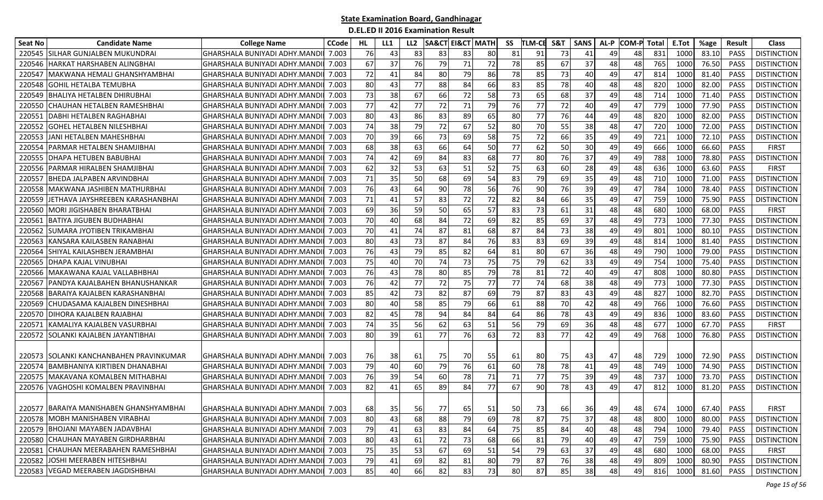| Seat No | <b>Candidate Name</b>                    | <b>College Name</b>                 | <b>CCode</b> | HL. | LL1 | LL <sub>2</sub> | <b>SA&amp;CT EI&amp;CT MATH</b> |    |    | SS | <b>TLM-CE</b> | S&T | <b>SANS</b> | AL-P | <b>COM-P Total</b> |     | E.Tot | %age  | Result      | <b>Class</b>       |
|---------|------------------------------------------|-------------------------------------|--------------|-----|-----|-----------------|---------------------------------|----|----|----|---------------|-----|-------------|------|--------------------|-----|-------|-------|-------------|--------------------|
| 220545  | SILHAR GUNJALBEN MUKUNDRAI               | GHARSHALA BUNIYADI ADHY.MAND        | 7.003        | 76  | 43  | 83              | 83                              | 83 | 80 | 81 | 91            | 73  | 41          | 49   | 48                 | 831 | 1000  | 83.10 | <b>PASS</b> | <b>DISTINCTION</b> |
| 220546  | HARKAT HARSHABEN ALINGBHAI               | GHARSHALA BUNIYADI ADHY.MAND        | 7.003        | 67  | 37  | 76              | 79                              | 71 | 72 | 78 | 85            | 67  | 37          | 48   | 48                 | 765 | 1000  | 76.50 | PASS        | <b>DISTINCTION</b> |
| 22054   | MAKWANA HEMALI GHANSHYAMBHAI             | GHARSHALA BUNIYADI ADHY.MAND        | 7.003        | 72  | 41  | 84              | 80                              | 79 | 86 | 78 | 85            | 73  | 40          | 49   | 47                 | 814 | 1000  | 81.40 | PASS        | <b>DISTINCTION</b> |
| 220548  | <b>GOHIL HETALBA TEMUBHA</b>             | GHARSHALA BUNIYADI ADHY.MAND        | 7.003        | 80  | 43  | 77              | 88                              | 84 | 66 | 83 | 85            | 78  | 40          | 48   | 48                 | 820 | 1000  | 82.00 | <b>PASS</b> | <b>DISTINCTION</b> |
| 220549  | <b>BHALIYA HETALBEN DHIRUBHAI</b>        | GHARSHALA BUNIYADI ADHY.MAND        | 7.003        | 73  | 38  | 67              | 66                              | 72 | 58 | 73 | 65            | 68  | 37          | 49   | 48                 | 714 | 1000  | 71.40 | PASS        | <b>DISTINCTION</b> |
| 220550  | CHAUHAN HETALBEN RAMESHBHAI              | GHARSHALA BUNIYADI ADHY.MAND        | 7.003        | 77  | 42  | 77              | 72                              | 71 | 79 | 76 | 77            | 72  | 40          | 49   | 47                 | 779 | 1000  | 77.90 | PASS        | <b>DISTINCTION</b> |
| 22055   | DABHI HETALBEN RAGHABHAI                 | GHARSHALA BUNIYADI ADHY.MAND        | 7.003        | 80  | 43  | 86              | 83                              | 89 | 65 | 80 | 77            | 76  | 44          | 49   | 48                 | 820 | 1000  | 82.00 | PASS        | <b>DISTINCTION</b> |
| 220552  | <b>GOHEL HETALBEN NILESHBHAI</b>         | GHARSHALA BUNIYADI ADHY.MAND        | 7.003        | 74  | 38  | 79              | 72                              | 67 | 52 | 80 | 70            | 55  | 38          | 48   | 47                 | 720 | 1000  | 72.00 | <b>PASS</b> | <b>DISTINCTION</b> |
| 220553  | JANI HETALBEN MAHESHBHAI                 | GHARSHALA BUNIYADI ADHY.MAND        | 7.003        | 70  | 39  | 66              | 73                              | 69 | 58 | 75 | 72            | 66  | 35          | 49   | 49                 | 721 | 1000  | 72.10 | <b>PASS</b> | <b>DISTINCTION</b> |
| 22055   | PARMAR HETALBEN SHAMJIBHAI               | GHARSHALA BUNIYADI ADHY.MAND        | 7.003        | 68  | 38  | 63              | 66                              | 64 | 50 | 77 | 62            | 50  | 30          | 49   | 49                 | 666 | 1000  | 66.60 | <b>PASS</b> | <b>FIRST</b>       |
| 22055   | DHAPA HETUBEN BABUBHAI                   | GHARSHALA BUNIYADI ADHY.MAND        | 7.003        | 74  | 42  | 69              | 84                              | 83 | 68 | 77 | 80            | 76  | 37          | 49   | 49                 | 788 | 1000  | 78.80 | <b>PASS</b> | <b>DISTINCTION</b> |
| 220556  | PARMAR HIRALBEN SHAMJIBHAI               | GHARSHALA BUNIYADI ADHY.MAND        | 7.003        | 62  | 32  | 53              | 63                              | 51 | 52 | 75 | 63            | 60  | 28          | 49   | 48                 | 636 | 1000  | 63.60 | <b>PASS</b> | <b>FIRST</b>       |
| 220557  | BHEDA JALPABEN ARVINDBHAI                | GHARSHALA BUNIYADI ADHY.MAND        | 7.003        | 71  | 35  | 50              | 68                              | 69 | 54 | 83 | 79            | 69  | 35          | 49   | 48                 | 710 | 1000  | 71.00 | PASS        | <b>DISTINCTION</b> |
| 220558  | MAKWANA JASHIBEN MATHURBHAI              | GHARSHALA BUNIYADI ADHY.MAND        | 7.003        | 76  | 43  | 64              | 90                              | 78 | 56 | 76 | 90            | 76  | 39          | 49   | 47                 | 784 | 1000  | 78.40 | PASS        | <b>DISTINCTION</b> |
| 220559  | JETHAVA JAYSHREEBEN KARASHANBHAI         | GHARSHALA BUNIYADI ADHY.MAND        | 7.003        | 71  | 41  | 57              | 83                              | 72 | 72 | 82 | 84            | 66  | 35          | 49   | 47                 | 759 | 1000  | 75.90 | PASS        | <b>DISTINCTION</b> |
| 220560  | <b>MORI JIGISHABEN BHARATBHAI</b>        | GHARSHALA BUNIYADI ADHY.MAND        | 7.003        | 69  | 36  | 59              | 50                              | 65 | 57 | 83 | 73            | 61  | 31          | 48   | 48                 | 680 | 1000  | 68.00 | PASS        | <b>FIRST</b>       |
| 22056   | <b>BATIYA JIGUBEN BUDHABHAI</b>          | GHARSHALA BUNIYADI ADHY.MAND        | 7.003        | 70  | 40  | 68              | 84                              | 72 | 69 | 82 | 85            | 69  | 37          | 48   | 49                 | 773 | 1000  | 77.30 | <b>PASS</b> | <b>DISTINCTION</b> |
| 220562  | SUMARA JYOTIBEN TRIKAMBHAI               | GHARSHALA BUNIYADI ADHY.MAND        | 7.003        | 70  | 41  | 74              | 87                              | 81 | 68 | 87 | 84            | 73  | 38          | 49   | 49                 | 801 | 1000  | 80.10 | PASS        | <b>DISTINCTION</b> |
| 220563  | KANSARA KAILASBEN RANABHAI               | GHARSHALA BUNIYADI ADHY.MAND        | 7.003        | 80  | 43  | 73              | 87                              | 84 | 76 | 83 | 83            | 69  | 39          | 49   | 48                 | 814 | 1000  | 81.40 | <b>PASS</b> | <b>DISTINCTION</b> |
| 220564  | SHIYAL KAILASHBEN JERAMBHAI              | GHARSHALA BUNIYADI ADHY.MAND        | 7.003        | 76  | 43  | 79              | 85                              | 82 | 64 | 81 | 80            | 67  | 36          | 48   | 49                 | 790 | 1000  | 79.00 | <b>PASS</b> | <b>DISTINCTION</b> |
| 220565  | DHAPA KAJAL VINUBHAI                     | GHARSHALA BUNIYADI ADHY.MAND        | 7.003        | 75  | 40  | 70              | 74                              | 73 | 75 | 75 | 79            | 62  | 33          | 49   | 49                 | 754 | 1000  | 75.40 | PASS        | <b>DISTINCTION</b> |
| 220566  | IMAKAWANA KAJAL VALLABHBHAI              | GHARSHALA BUNIYADI ADHY.MAND        | 7.003        | 76  | 43  | 78              | 80                              | 85 | 79 | 78 | 81            | 72  | 40          | 49   | 47                 | 808 | 1000  | 80.80 | PASS        | <b>DISTINCTION</b> |
| 220567  | PANDYA KAJALBAHEN BHANUSHANKAR           | GHARSHALA BUNIYADI ADHY.MAND        | 7.003        | 76  | 42  | 77              | 72                              | 75 | 77 | 77 | 74            | 68  | 38          | 48   | 49                 | 773 | 1000  | 77.30 | <b>PASS</b> | <b>DISTINCTION</b> |
| 220568  | BARAIYA KAJALBEN KARASHANBHAI            | GHARSHALA BUNIYADI ADHY.MAND        | 7.003        | 85  | 42  | 73              | 82                              | 87 | 69 | 79 | 87            | 83  | 43          | 49   | 48                 | 827 | 1000  | 82.70 | <b>PASS</b> | <b>DISTINCTION</b> |
| 220569  | CHUDASAMA KAJALBEN DINESHBHAI            | GHARSHALA BUNIYADI ADHY.MAND        | 7.003        | 80  | 40  | 58              | 85                              | 79 | 66 | 61 | 88            | 70  | 42          | 48   | 49                 | 766 | 1000  | 76.60 | PASS        | <b>DISTINCTION</b> |
| 220570  | DIHORA KAJALBEN RAJABHAI                 | GHARSHALA BUNIYADI ADHY.MAND        | 7.003        | 82  | 45  | 78              | 94                              | 84 | 84 | 64 | 86            | 78  | 43          | 49   | 49                 | 836 | 1000  | 83.60 | PASS        | <b>DISTINCTION</b> |
| 22057   | KAMALIYA KAJALBEN VASURBHAI              | GHARSHALA BUNIYADI ADHY.MAND        | 7.003        | 74  | 35  | 56              | 62                              | 63 | 51 | 56 | 79            | 69  | 36          | 48   | 48                 | 677 | 1000  | 67.70 | <b>PASS</b> | <b>FIRST</b>       |
| 220572  | ISOLANKI KAJALBEN JAYANTIBHAI            | GHARSHALA BUNIYADI ADHY.MAND        | 7.003        | 80  | 39  | 61              | 77                              | 76 | 63 | 72 | 83            | 77  | 42          | 49   | 49                 | 768 | 1000  | 76.80 | <b>PASS</b> | <b>DISTINCTION</b> |
|         |                                          |                                     |              |     |     |                 |                                 |    |    |    |               |     |             |      |                    |     |       |       |             |                    |
| 220573  | <b>ISOLANKI KANCHANBAHEN PRAVINKUMAR</b> | GHARSHALA BUNIYADI ADHY.MANDII      | 7.003        | 76  | 38  | 61              | 75                              | 70 | 55 | 61 | 80 l          | 75  | 43          | 47   | 48                 | 729 | 1000  | 72.90 | <b>PASS</b> | <b>DISTINCTION</b> |
| 220574  | <b>BAMBHANIYA KIRTIBEN DHANABHAI</b>     | GHARSHALA BUNIYADI ADHY.MAND        | 7.003        | 79  | 40  | 60              | 79                              | 76 | 61 | 60 | 78            | 78  | 41          | 49   | 48                 | 749 | 1000  | 74.90 | PASS        | <b>DISTINCTION</b> |
| 220575  | <b>MAKAVANA KOMALBEN MITHABHAI</b>       | GHARSHALA BUNIYADI ADHY.MAND        | 7.003        | 76  | 39  | 54              | 60                              | 78 | 71 | 71 | 77            | 75  | 39          | 49   | 48                 | 737 | 1000  | 73.70 | <b>PASS</b> | <b>DISTINCTION</b> |
| 220576  | VAGHOSHI KOMALBEN PRAVINBHAI             | GHARSHALA BUNIYADI ADHY.MAND        | 7.003        | 82  | 41  | 65              | 89                              | 84 | 77 | 67 | 90            | 78  | 43          | 49   | 47                 | 812 | 1000  | 81.20 | PASS        | <b>DISTINCTION</b> |
|         |                                          |                                     |              |     |     |                 |                                 |    |    |    |               |     |             |      |                    |     |       |       |             |                    |
|         | 220577 BARAIYA MANISHABEN GHANSHYAMBHAI  | GHARSHALA BUNIYADI ADHY.MANDI 7.003 |              | 68  | 35  | 56              | 77                              | 65 | 51 | 50 | 73 I          | 66  | 36          | 49   | 48                 | 674 | 1000  | 67.40 | <b>PASS</b> | <b>FIRST</b>       |
|         | 220578 MOBH MANISHABEN VIRABHAI          | GHARSHALA BUNIYADI ADHY.MANDII      | 7.003        | 80  | 43  | 68              | 88                              | 79 | 69 | 78 | 87            | 75  | 37          | 48   | 48                 | 800 | 1000  | 80.00 | PASS        | <b>DISTINCTION</b> |
|         | 220579 BHOJANI MAYABEN JADAVBHAI         | GHARSHALA BUNIYADI ADHY.MANDII      | 7.003        | 79  | 41  | 63              | 83                              | 84 | 64 | 75 | 85            | 84  | 40          | 48   | 48                 | 794 | 1000  | 79.40 | PASS        | <b>DISTINCTION</b> |
|         | 220580 CHAUHAN MAYABEN GIRDHARBHAI       | GHARSHALA BUNIYADI ADHY.MANDI       | 7.003        | 80  | 43  | 61              | 72                              | 73 | 68 | 66 | 81            | 79  | 40          | 49   | 47                 | 759 | 1000  | 75.90 | PASS        | <b>DISTINCTION</b> |
| 220581  | L CHAUHAN MEERABAHEN RAMESHBHAI          | GHARSHALA BUNIYADI ADHY.MANDII      | 7.003        | 75  | 35  | 53              | 67                              | 69 | 51 | 54 | 79            | 63  | 37          | 49   | 48                 | 680 | 1000  | 68.00 | PASS        | <b>FIRST</b>       |
|         | 220582 JJOSHI MEERABEN HITESHBHAI        | GHARSHALA BUNIYADI ADHY.MANDII      | 7.003        | 79  | 41  | 69              | 82                              | 81 | 80 | 79 | 87            | 76  | 38          | 48   | 49                 | 809 | 1000  | 80.90 | PASS        | <b>DISTINCTION</b> |
|         | 220583 VEGAD MEERABEN JAGDISHBHAI        | GHARSHALA BUNIYADI ADHY.MANDII      | 7.003        | 85  | 40  | 66              | 82                              | 83 | 73 | 80 | 87            | 85  | 38          | 48   | 49                 | 816 | 1000  | 81.60 | PASS        | <b>DISTINCTION</b> |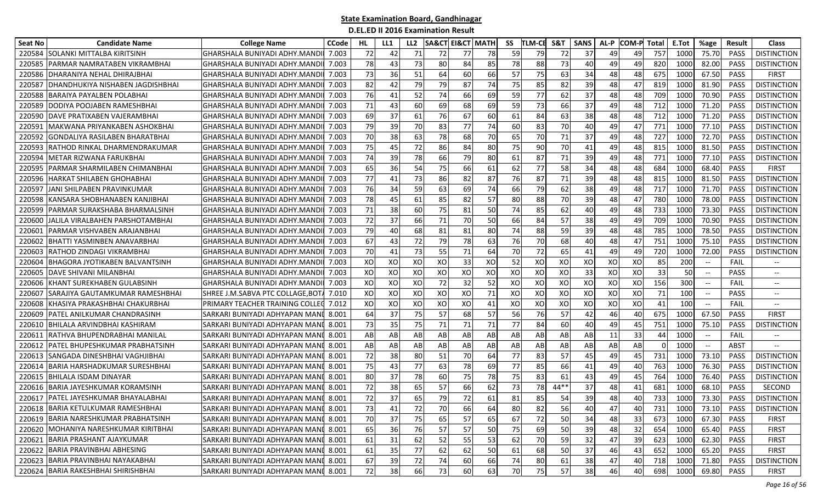| Seat No | <b>Candidate Name</b>                 | <b>College Name</b>                  | <b>CCode</b> | HL | LL1 | LL <sub>2</sub> | SA&CT | EI&CT MATH |    | SS | TLM-CE | <b>S&amp;T</b> | <b>SANS</b> | AL-P | <b>COM-P</b> | Total    | E.Tot           | %age                              | <b>Result</b> | <b>Class</b>                      |
|---------|---------------------------------------|--------------------------------------|--------------|----|-----|-----------------|-------|------------|----|----|--------|----------------|-------------|------|--------------|----------|-----------------|-----------------------------------|---------------|-----------------------------------|
| 220584  | SOLANKI MITTALBA KIRITSINH            | GHARSHALA BUNIYADI ADHY.MAND         | 7.003        | 72 | 42  | 71              | 72    | 77         | 78 | 59 | 79     | 72             | 37          | 49   | 49           | 757      | 1000            | 75.70                             | <b>PASS</b>   | <b>DISTINCTION</b>                |
| 220585  | PARMAR NAMRATABEN VIKRAMBHAI          | GHARSHALA BUNIYADI ADHY.MAND         | 7.003        | 78 | 43  | 73              | 80    | 84         | 85 | 78 | 88     | 73             | 40          | 49   | 49           | 820      | 1000            | 82.00                             | <b>PASS</b>   | <b>DISTINCTION</b>                |
| 220586  | DHARANIYA NEHAL DHIRAJBHAI            | GHARSHALA BUNIYADI ADHY.MAND         | 7.003        | 73 | 36  | 51              | 64    | 60         | 66 | 57 | 75     | 63             | 34          | 48   | 48           | 675      | 1000            | 67.50                             | <b>PASS</b>   | <b>FIRST</b>                      |
| 22058   | DHANDHUKIYA NISHABEN JAGDISHBHAI      | GHARSHALA BUNIYADI ADHY.MAND         | 7.003        | 82 | 42  | 79              | 79    | 87         | 74 | 75 | 85     | 82             | 39          | 481  | 47           | 819      | 1000            | 81.90                             | <b>PASS</b>   | <b>DISTINCTION</b>                |
| 220588  | BARAIYA PAYALBEN POLABHAI             | GHARSHALA BUNIYADI ADHY.MAND         | 7.003        | 76 | 41  | 52              | 74    | 66         | 69 | 59 | 77     | 62             | 37          | 48   | 48           | 709      | 1000            | 70.90                             | <b>PASS</b>   | <b>DISTINCTION</b>                |
| 220589  | DODIYA POOJABEN RAMESHBHAI            | GHARSHALA BUNIYADI ADHY.MAND         | 7.003        | 71 | 43  | 60              | 69    | 68         | 69 | 59 | 73     | 66             | 37          | 49   | 48           | 712      | 1000            | 71.20                             | <b>PASS</b>   | <b>DISTINCTION</b>                |
| 220590  | DAVE PRATIXABEN VAJERAMBHAI           | GHARSHALA BUNIYADI ADHY.MAND         | 7.003        | 69 | 37  | 61              | 76    | 67         | 60 | 61 | 84     | 63             | 38          | 48   | 48           | 712      | 1000            | 71.20                             | <b>PASS</b>   | <b>DISTINCTION</b>                |
| 220591  | MAKWANA PRIYANKABEN ASHOKBHAI         | GHARSHALA BUNIYADI ADHY.MAND         | 7.003        | 79 | 39  | 70              | 83    | 77         | 74 | 60 | 83     | 70             | 40          | 49   | 47           | 771      | 1000            | 77.10                             | <b>PASS</b>   | <b>DISTINCTION</b>                |
| 22059   | GONDALIYA RASILABEN BHARATBHAI        | GHARSHALA BUNIYADI ADHY.MAND         | 7.003        | 70 | 38  | 63              | 78    | 68         | 70 | 65 | 70     | 71             | 37          | 49   | 48           | 727      | 1000            | 72.70                             | <b>PASS</b>   | <b>DISTINCTION</b>                |
| 22059   | RATHOD RINKAL DHARMENDRAKUMAR         | GHARSHALA BUNIYADI ADHY.MAND         | 7.003        | 75 | 45  | 72              | 86    | 84         | 80 | 75 | 90     | 70             | 41          | 49   | 48           | 815      | 1000            | 81.50                             | <b>PASS</b>   | <b>DISTINCTION</b>                |
| 22059   | METAR RIZWANA FARUKBHAI               | GHARSHALA BUNIYADI ADHY.MAND         | 7.003        | 74 | 39  | 78              | 66    | 79         | 80 | 61 | 87     | 71             | 39          | 49   | 48           | 771      | 1000            | 77.10                             | <b>PASS</b>   | <b>DISTINCTION</b>                |
| 22059   | PARMAR SHARMILABEN CHIMANBHAI         | GHARSHALA BUNIYADI ADHY.MAND         | 7.003        | 65 | 36  | 54              | 75    | 66         | 61 | 62 | 77     | 58             | 34          | 481  | 48           | 684      | 1000            | 68.40                             | <b>PASS</b>   | <b>FIRST</b>                      |
| 220596  | HARKAT SHILABEN GHOHABHAI             | GHARSHALA BUNIYADI ADHY.MAND         | 7.003        | 77 | 41  | 73              | 86    | 82         | 87 | 76 | 87     | 71             | 39          | 48   | 48           | 815      | 1000            | 81.50                             | <b>PASS</b>   | <b>DISTINCTION</b>                |
| 22059   | JANI SHILPABEN PRAVINKUMAR            | GHARSHALA BUNIYADI ADHY.MAND         | 7.003        | 76 | 34  | 59              | 63    | 69         | 74 | 66 | 79     | 62             | 38          | 49   | 48           | 717      | 1000            | 71.70                             | <b>PASS</b>   | <b>DISTINCTION</b>                |
| 220598  | KANSARA SHOBHANABEN KANJIBHAI         | GHARSHALA BUNIYADI ADHY.MAND         | 7.003        | 78 | 45  | 61              | 85    | 82         | 57 | 80 | 88     | 70             | 39          | 48   | 47           | 780      | 1000            | 78.00                             | <b>PASS</b>   | <b>DISTINCTION</b>                |
| 220599  | PARMAR SURAKSHABA BHARMALSINH         | GHARSHALA BUNIYADI ADHY.MAND         | 7.003        | 71 | 38  | 60              | 75    | 81         | 50 | 74 | 85     | 62             | 40          | 49   | 48           | 733      | 1000            | 73.30                             | <b>PASS</b>   | <b>DISTINCTION</b>                |
| 22060   | JALILA VIRALBAHEN PARSHOTAMBHAI       | GHARSHALA BUNIYADI ADHY.MAND         | 7.003        | 72 | 37  | 66              | 71    | 70         | 50 | 66 | 84     | 57             | 38          | 49   | 49           | 709      | 1000            | 70.90                             | <b>PASS</b>   | <b>DISTINCTION</b>                |
| 22060   | PARMAR VISHVABEN ARAJANBHAI           | GHARSHALA BUNIYADI ADHY.MAND         | 7.003        | 79 | 40  | 68              | 81    | 81         | 80 | 74 | 88     | 59             | 39          | 48   | 48           | 785      | 1000            | 78.50                             | <b>PASS</b>   | <b>DISTINCTION</b>                |
| 22060   | BHATTI YASMINBEN ANAVARBHAI           | GHARSHALA BUNIYADI ADHY.MAND         | 7.003        | 67 | 43  | 72              | 79    | 78         | 63 | 76 | 70     | 68             | 40          | 48   | 47           | 751      | 1000            | 75.10                             | <b>PASS</b>   | <b>DISTINCTION</b>                |
| 220603  | RATHOD ZINDAGI VIKRAMBHAI             | GHARSHALA BUNIYADI ADHY.MAND         | 7.003        | 70 | 41  | 73              | 55    | 71         | 64 | 70 | 72     | 65             | 41          | 49   | 49           | 720      | 1000            | 72.00                             | <b>PASS</b>   | <b>DISTINCTION</b>                |
| 220604  | BHAGORA JYOTIKABEN BALVANTSINH        | GHARSHALA BUNIYADI ADHY.MAND         | 7.003        | XO | XO  | XO              | XO    | 33         | XO | 52 | XO     | XO             | XO          | XO   | XO           | 85       | 200             |                                   | FAIL          |                                   |
| 22060   | DAVE SHIVANI MILANBHAI                | GHARSHALA BUNIYADI ADHY.MAND         | 7.003        | XO | XO  | XO              | XO    | XO         | XO | XO | XO     | XO             | 33          | XO   | XO           | 33       | 50              |                                   | <b>PASS</b>   | $\overline{\phantom{a}}$          |
| 220606  | (HANT SUREKHABEN GULABSINH            | GHARSHALA BUNIYADI ADHY.MAND         | 7.003        | XO | XO  | XO              | 72    | 32         | 52 | XO | XO     | XO             | XO          | XO   | XO           | 156      | 300             |                                   | FAIL          | $--$                              |
| 22060   | SARAJIYA GAUTAMKUMAR RAMESHBHAI       | SHREE J.M.SABVA PTC COLLAGE,BOT      | 7.010        | XO | XO  | XO              | XO    | XO         | 71 | XO | XO     | XO             | XO          | XO   | XO           | 71       | 10 <sub>C</sub> | $-\hbox{--}$                      | <b>PASS</b>   | $\hspace{0.05cm} \dashrightarrow$ |
| 220608  | KHASIYA PRAKASHBHAI CHAKURBHAI        | PRIMARY TEACHER TRAINING COLLE       | 7.012        | XO | XO  | XO              | XO    | XO         | 41 | XO | XO     | XO             | XO          | XO   | XO           | 41       | 100             | $\overline{\phantom{a}}$          | FAIL          | $\hspace{0.05cm} \ldots$          |
| 220609  | PATEL ANILKUMAR CHANDRASINH           | SARKARI BUNIYADI ADHYAPAN MAN        | 8.001        | 64 | 37  | 75              | 57    | 68         | 57 | 56 | 76     | 57             | 42          | 46   | 40           | 675      | 1000            | 67.50                             | PASS          | <b>FIRST</b>                      |
| 220610  | BHILALA ARVINDBHAI KASHIRAM           | SARKARI BUNIYADI ADHYAPAN MANI       | 8.001        | 73 | 35  | 75              | 71    | 71         | 71 | 77 | 84     | 60             | 40          | 49   | 45           | 751      | 1000            | 75.10                             | <b>PASS</b>   | <b>DISTINCTION</b>                |
| 22061   | RATHVA BHUPENDRABHAI MANILAL          | SARKARI BUNIYADI ADHYAPAN MAN        | 8.001        | AB | AB  | AB              | AB    | AB         | AB | AB | AB     | AB             | AB          | 11   | 33           | 44       | 1000            | $\hspace{0.05cm} \dashrightarrow$ | FAIL          |                                   |
| 220612  | <b>PATEL BHUPESHKUMAR PRABHATSINH</b> | SARKARI BUNIYADI ADHYAPAN MAN        | 8.001        | AB | AB  | AB              | AB    | AB         | AB | AB | AB     | AB             | AB          | AB   | AB           | $\Omega$ | 1000            | $\overline{\phantom{a}}$          | ABST          |                                   |
| 220613  | SANGADA DINESHBHAI VAGHJIBHAI         | SARKARI BUNIYADI ADHYAPAN MAN        | 8.001        | 72 | 38  | 80              | 51    | 70         | 64 | 77 | 83     | 57             | 45          | 49   | 45           | 731      | 1000            | 73.10                             | <b>PASS</b>   | <b>DISTINCTION</b>                |
| 220614  | BARIA HARSHADKUMAR SURESHBHAI         | SARKARI BUNIYADI ADHYAPAN MANI       | 8.001        | 75 | 43  | 77              | 63    | 78         | 69 | 77 | 85     | 66             | 41          | 49   | 40           | 763      | 1000            | 76.30                             | <b>PASS</b>   | <b>DISTINCTION</b>                |
| 22061   | BHILALA ISDAM DINAYAR                 | SARKARI BUNIYADI ADHYAPAN MAN        | 8.001        | 80 | 37  | 78              | 60    | 75         | 78 | 75 | 83     | 61             | 43          | 49   | 45           | 764      | 1000            | 76.40                             | <b>PASS</b>   | <b>DISTINCTION</b>                |
| 220616  | <b>BARIA JAYESHKUMAR KORAMSINH</b>    | SARKARI BUNIYADI ADHYAPAN MAN        | 8.001        | 72 | 38  | 65              | 57    | 66         | 62 | 73 | 78     | $44**$         | 37          | 48   | 41           | 681      | 1000            | 68.10                             | PASS          | SECOND                            |
| 220617  | <b>PATEL JAYESHKUMAR BHAYALABHAI</b>  | SARKARI BUNIYADI ADHYAPAN MAN        | 8.001        | 72 | 37  | 65              | 79    | 72         | 61 | 81 | 85     | 54             | 39          | 48   | 40           | 733      | 1000            | 73.30                             | <b>PASS</b>   | <b>DISTINCTION</b>                |
|         | 220618 BARIA KETULKUMAR RAMESHBHAI    | SARKARI BUNIYADI ADHYAPAN MANI 8.001 |              | 73 | 41  | 72              | 70    | 66         | 64 | 80 | 82     | 56             | 40          | 47   | 40           | 731      | 1000            | 73.10                             | PASS          | <b>DISTINCTION</b>                |
|         | 220619 BARIA NARESHKUMAR PRABHATSINH  | SARKARI BUNIYADI ADHYAPAN MANI 8.001 |              | 70 | 37  | 75              | 65    | 57         | 65 | 67 | 72     | 50             | 34          | 48   | 33           | 673      | 1000            | 67.30                             | PASS          | <b>FIRST</b>                      |
|         | 220620 MOHANIYA NARESHKUMAR KIRITBHAI | SARKARI BUNIYADI ADHYAPAN MANI 8.001 |              | 65 | 36  | 76              | 57    | 57         | 50 | 75 | 69     | 50             | 39          | 48   | 32           | 654      | 1000            | 65.40                             | PASS          | <b>FIRST</b>                      |
| 220621  | BARIA PRASHANT AJAYKUMAR              | SARKARI BUNIYADI ADHYAPAN MANI 8.001 |              | 61 | 31  | 62              | 52    | 55         | 53 | 62 | 70     | 59             | 32          | 47   | 39           | 623      | 1000            | 62.30                             | PASS          | <b>FIRST</b>                      |
|         | 220622 BARIA PRAVINBHAI ABHESING      | SARKARI BUNIYADI ADHYAPAN MANI 8.001 |              | 61 | 35  | 77              | 62    | 62         | 50 | 61 | 68     | 50             | 37          | 46   | 43           | 652      | 1000            | 65.20                             | PASS          | <b>FIRST</b>                      |
|         | 220623 BARIA PRAVINBHAI NAYAKABHAI    | SARKARI BUNIYADI ADHYAPAN MANI 8.001 |              | 67 | 39  | 72              | 74    | 60         | 66 | 74 | 80     | 61             | 38          | 47   | 40           | 718      | 1000            | 71.80                             | PASS          | <b>DISTINCTION</b>                |
|         | 220624 BARIA RAKESHBHAI SHIRISHBHAI   | SARKARI BUNIYADI ADHYAPAN MANI 8.001 |              | 72 | 38  | 66              | 73    | 60         | 63 | 70 | 75     | 57             | 38          | 46   | 40           | 698      | 1000            | 69.80                             | PASS          | <b>FIRST</b>                      |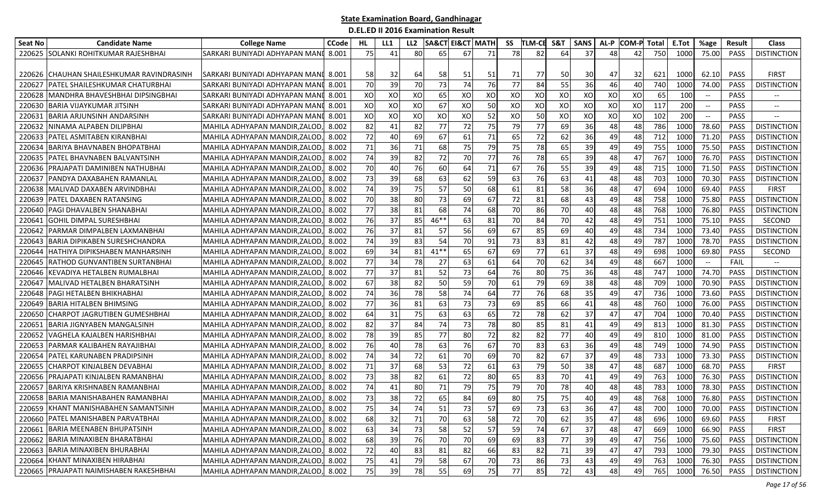| Seat No | <b>Candidate Name</b>                      | <b>College Name</b>                  | <b>CCode</b> | HL | LL1             | LL2 |        | <b>SA&amp;CT EI&amp;CT MATH</b> |    | SS | <b>TLM-CE</b> | S&T | <b>SANS</b> | AL-P | <b>COM-P</b> | Total | E.Tot | %age                                           | <b>Result</b> | <b>Class</b>             |
|---------|--------------------------------------------|--------------------------------------|--------------|----|-----------------|-----|--------|---------------------------------|----|----|---------------|-----|-------------|------|--------------|-------|-------|------------------------------------------------|---------------|--------------------------|
|         | 220625 SOLANKI ROHITKUMAR RAJESHBHAI       | SARKARI BUNIYADI ADHYAPAN MANI       | 8.001        | 75 | 41              | 80  | 65     | 67                              | 71 | 78 | 82            | 64  | 37          | 48   | 42           | 750   | 1000  | 75.00                                          | <b>PASS</b>   | <b>DISTINCTION</b>       |
|         |                                            |                                      |              |    |                 |     |        |                                 |    |    |               |     |             |      |              |       |       |                                                |               |                          |
|         | 220626 ICHAUHAN SHAILESHKUMAR RAVINDRASINH | SARKARI BUNIYADI ADHYAPAN MANI 8.001 |              | 58 | 32              | 64  | 58     | 51                              | 51 | 71 | 77            | 50  | 30          | 47   | 32           | 621   | 1000  | 62.10                                          | <b>PASS</b>   | <b>FIRST</b>             |
| 220627  | PATEL SHAILESHKUMAR CHATURBHAI             | SARKARI BUNIYADI ADHYAPAN MAN        | 8.001        | 70 | 39              | 70  | 73     | 74                              | 76 | 77 | 84            | 55  | 36          | 46   | 40           | 740   | 1000  | 74.00                                          | PASS          | <b>DISTINCTION</b>       |
| 220628  | MANDHRA BHAVESHBHAI DIPSINGBHAI            | SARKARI BUNIYADI ADHYAPAN MAN        | 8.001        | XO | XO              | XO  | 65     | XO                              | XO | XO | XO            | XO  | XO          | XO   | XO           | 65    | 100   | $--$                                           | PASS          |                          |
| 220630  | IBARIA VIJAYKUMAR JITSINH                  | SARKARI BUNIYADI ADHYAPAN MAN        | 8.001        | XO | XO              | XO  | 67     | XO                              | 50 | XO | XO            | XO  | XO          | XO   | XO           | 117   | 200   | $\hspace{0.1mm}-\hspace{0.1mm}-\hspace{0.1mm}$ | <b>PASS</b>   | $\overline{\phantom{a}}$ |
| 220631  | <b>BARIA ARJUNSINH ANDARSINH</b>           | SARKARI BUNIYADI ADHYAPAN MANI       | 8.001        | XO | XO              | XO  | XO     | XO                              | 52 | XO | 50            | XO  | XO          | XO   | XO           | 102   | 200   | --                                             | <b>PASS</b>   |                          |
| 220632  | NINAMA ALPABEN DILIPBHAI                   | MAHILA ADHYAPAN MANDIR,ZALOD,        | 8.002        | 82 | 41              | 82  | 77     | 72                              | 75 | 79 | 77            | 69  | 36          | 48   | 48           | 786   | 1000  | 78.60                                          | <b>PASS</b>   | <b>DISTINCTION</b>       |
| 220633  | PATEL ASMITABEN KIRANBHAI                  | MAHILA ADHYAPAN MANDIR,ZALOD         | 8.002        | 72 | 40              | 69  | 67     | 61                              | 71 | 65 | 72            | 62  | 36          | 49   | 48           | 712   | 1000  | 71.20                                          | <b>PASS</b>   | <b>DISTINCTION</b>       |
| 220634  | <b>BARIYA BHAVNABEN BHOPATBHAI</b>         | VIAHILA ADHYAPAN MANDIR.ZALOD        | 8.002        | 71 | 36 <sup>I</sup> | 71  | 68     | 75                              | 79 | 75 | 78            | 65  | 39          | 49   | 49           | 755   | 1000  | 75.50                                          | <b>PASS</b>   | <b>DISTINCTION</b>       |
| 220635  | PATEL BHAVNABEN BALVANTSINH                | MAHILA ADHYAPAN MANDIR,ZALOD         | 8.002        | 74 | 39I             | 82  | 72     | 70                              | 77 | 76 | 78            | 65  | 39          | 48   | 47           | 767   | 1000  | 76.70                                          | <b>PASS</b>   | <b>DISTINCTION</b>       |
| 220636  | <b>PRAJAPATI DAMINIBEN NATHUBHAI</b>       | MAHILA ADHYAPAN MANDIR,ZALOD         | 8.002        | 70 | 40              | 76  | 60     | 64                              | 71 | 67 | 76            | 55  | 39          | 49   | 48           | 715   | 1000  | 71.50                                          | PASS          | <b>DISTINCTION</b>       |
| 220637  | PANDYA DAXABAHEN RAMANLAL                  | MAHILA ADHYAPAN MANDIR,ZALOD         | 8.002        | 73 | 39              | 68  | 63     | 62                              | 59 | 63 | 76            | 63  | 41          | 48   | 48           | 703   | 1000  | 70.30                                          | <b>PASS</b>   | <b>DISTINCTION</b>       |
| 220638  | MALIVAD DAXABEN ARVINDBHAI                 | MAHILA ADHYAPAN MANDIR,ZALOD         | 8.002        | 74 | 39              | 75  | 57     | 50                              | 68 | 61 | 81            | 58  | 36          | 48   | 47           | 694   | 1000  | 69.40                                          | PASS          | <b>FIRST</b>             |
| 220639  | <b>IPATEL DAXABEN RATANSING</b>            | MAHILA ADHYAPAN MANDIR,ZALOD,        | 8.002        | 70 | -38 l           | 80  | 73     | 69                              | 67 | 72 | 81            | 68  | 43          | 49   | 48           | 758   | 1000  | 75.80                                          | <b>PASS</b>   | <b>DISTINCTION</b>       |
| 220640  | <b>PAGI DHAVALBEN SHANABHAI</b>            | MAHILA ADHYAPAN MANDIR,ZALOD         | 8.002        | 77 | 38              | 81  | 68     | 74                              | 68 | 70 | 86            | 70  | 40          | 48   | 48           | 768   | 1000  | 76.80                                          | <b>PASS</b>   | <b>DISTINCTION</b>       |
| 220641  | <b>GOHIL DIMPAL SURESHBHAI</b>             | MAHILA ADHYAPAN MANDIR,ZALOD         | 8.002        | 76 | 37              | 85  | 46**   | 63                              | 81 | 70 | 84            | 70  | 42          | 48   | 49           | 751   | 1000  | 75.10                                          | PASS          | SECOND                   |
| 220642  | PARMAR DIMPALBEN LAXMANBHAI                | MAHILA ADHYAPAN MANDIR.ZALOD         | 8.002        | 76 | 37              | 81  | 57     | 56                              | 69 | 67 | 85            | 69  | 40          | 49   | 48           | 734   | 1000  | 73.40                                          | <b>PASS</b>   | <b>DISTINCTION</b>       |
| 220643  | <b>BARIA DIPIKABEN SURESHCHANDRA</b>       | MAHILA ADHYAPAN MANDIR,ZALOD         | 8.002        | 74 | 39              | 83  | 54     | <b>70</b>                       | 91 | 73 | 83            | 81  | 42          | 48   | 49           | 787   | 1000  | 78.70                                          | PASS          | <b>DISTINCTION</b>       |
| 220644  | <b>HATHIYA DIPIKSHABEN MANHARSINH</b>      | MAHILA ADHYAPAN MANDIR,ZALOD         | 8.002        | 69 | 34              | 81  | $41**$ | 65                              | 67 | 69 | 77            | 61  | 37          | 48   | 49           | 698   | 1000  | 69.80                                          | PASS          | SECOND                   |
| 220645  | IRATHOD GUNVANTIBEN SURTANBHAI             | MAHILA ADHYAPAN MANDIR.ZALOD         | 8.002        | 77 | 34              | 78  | 27     | 63                              | 61 | 64 | 70            | 62  | 34          | 49   | 48           | 667   | 1000  | $\hspace{0.1mm}-\hspace{0.1mm}-\hspace{0.1mm}$ | FAIL          |                          |
| 220646  | IKEVADIYA HETALBEN RUMALBHAI               | MAHILA ADHYAPAN MANDIR,ZALOD         | 8.002        | 77 | 37              | 81  | 52     | 73                              | 64 | 76 | 80            | 75  | 36          | 48   | 48           | 747   | 1000  | 74.70                                          | <b>PASS</b>   | <b>DISTINCTION</b>       |
| 220647  | MALIVAD HETALBEN BHARATSINH                | MAHILA ADHYAPAN MANDIR,ZALOD         | 8.002        | 67 | 38 <sup>l</sup> | 82  | 50     | 59                              | 70 | 61 | 79            | 69  | 38          | 48   | 48           | 709   | 1000  | 70.90                                          | <b>PASS</b>   | <b>DISTINCTION</b>       |
| 220648  | <b>PAGI HETALBEN BHIKHABHAI</b>            | MAHILA ADHYAPAN MANDIR,ZALOD         | 8.002        | 74 | 36              | 78  | 58     | 74                              | 64 | 77 | 76            | 68  | 35          | 49   | 47           | 736   | 1000  | 73.60                                          | <b>PASS</b>   | <b>DISTINCTION</b>       |
| 220649  | IBARIA HITALBEN BHIMSING                   | MAHILA ADHYAPAN MANDIR,ZALOD         | 8.002        | 77 | 36              | 81  | 63     | 73                              | 73 | 69 | 85            | 66  | 41          | 48   | 48           | 760   | 1000  | 76.00                                          | <b>PASS</b>   | <b>DISTINCTION</b>       |
| 220650  | <b>CHARPOT JAGRUTIBEN GUMESHBHAI</b>       | MAHILA ADHYAPAN MANDIR,ZALOD         | 8.002        | 64 | 31              | 75  | 63     | 63                              | 65 | 72 | 78            | 62  | 37          | 47   | 47           | 704   | 1000  | 70.40                                          | PASS          | <b>DISTINCTION</b>       |
| 220651  | <b>BARIA JIGNYABEN MANGALSINH</b>          | MAHILA ADHYAPAN MANDIR,ZALOD         | 8.002        | 82 | 37              | 84  | 74     | 73                              | 78 | 80 | 85            | 81  | 41          | 49   | 49           | 813   | 1000  | 81.30                                          | PASS          | <b>DISTINCTION</b>       |
| 220652  | VAGHELA KAJALBEN HARISHBHAI                | MAHILA ADHYAPAN MANDIR,ZALOD         | 8.002        | 78 | 39              | 85  | 77     | 80                              | 72 | 82 | 82            | 77  | 40          | 49   | 49           | 810   | 1000  | 81.00                                          | PASS          | <b>DISTINCTION</b>       |
| 220653  | <b>PARMAR KALIBAHEN RAYAJIBHAI</b>         | MAHILA ADHYAPAN MANDIR,ZALOD         | 8.002        | 76 | 40l             | 78  | 63     | 76                              | 67 | 70 | 83            | 63  | 36          | 49   | 48           | 749   | 1000  | 74.90                                          | <b>PASS</b>   | <b>DISTINCTION</b>       |
| 220654  | PATEL KARUNABEN PRADIPSINH                 | MAHILA ADHYAPAN MANDIR,ZALOD         | 8.002        | 74 | 34              | 72  | 61     | 70                              | 69 | 70 | 82            | 67  | 37          | 49   | 48           | 733   | 1000  | 73.30                                          | <b>PASS</b>   | <b>DISTINCTION</b>       |
| 220655  | <b>CHARPOT KINJALBEN DEVABHAI</b>          | MAHILA ADHYAPAN MANDIR,ZALOD         | 8.002        | 71 | 37              | 68  | 53     | 72                              | 61 | 63 | 79            | 50  | 38          | 47   | 48           | 687   | 1000  | 68.70                                          | PASS          | <b>FIRST</b>             |
| 220656  | <b>PRAJAPATI KINJALBEN RAMANBHAI</b>       | MAHILA ADHYAPAN MANDIR,ZALOD         | 8.002        | 73 | 38              | 82  | 61     | 72                              | 80 | 65 | 83            | 70  | 41          | 49   | 49           | 763   | 1000  | 76.30                                          | PASS          | <b>DISTINCTION</b>       |
| 220657  | <b>BARIYA KRISHNABEN RAMANBHAI</b>         | MAHILA ADHYAPAN MANDIR,ZALOD         | 8.002        | 74 | 41              | 80  | 71     | 79                              | 75 | 79 | 70            | 78  | 40          | 48   | 48           | 783   | 1000  | 78.30                                          | <b>PASS</b>   | <b>DISTINCTION</b>       |
| 220658  | BARIA MANISHABAHEN RAMANBHAI               | MAHILA ADHYAPAN MANDIR,ZALOD         | 8.002        | 73 | 38              | 72  | 65     | 84                              | 69 | 80 | 75            | 75  | 40          | 49   | 48           | 768   | 1000  | 76.80                                          | PASS          | <b>DISTINCTION</b>       |
|         | 220659 KHANT MANISHABAHEN SAMANTSINH       | MAHILA ADHYAPAN MANDIR, ZALOD, 8.002 |              | 75 | 34              | 74  | 51     | 73                              | 57 | 69 | 73 <b>I</b>   | -63 | 36 <b>J</b> | 47   | 48           | 700   |       | 1000 70.00                                     | PASS          | <b>DISTINCTION</b>       |
|         | 220660 PATEL MANISHABEN PARVATBHAI         | MAHILA ADHYAPAN MANDIR,ZALOD,        | 8.002        | 68 | 32 <sub>l</sub> | 71  | 70     | 63                              | 58 | 72 | 70            | 62  | 35          | 47   | 48           | 696   | 1000  | 69.60                                          | PASS          | <b>FIRST</b>             |
|         | 220661 BARIA MEENABEN BHUPATSINH           | MAHILA ADHYAPAN MANDIR,ZALOD,        | 8.002        | 63 | 34              | 73  | 58     | 52                              | 57 | 59 | 74            | 67  | 37          | 48   | 47           | 669   | 1000  | 66.90                                          | PASS          | <b>FIRST</b>             |
|         | 220662 BARIA MINAXIBEN BHARATBHAI          | MAHILA ADHYAPAN MANDIR,ZALOD,        | 8.002        | 68 | 39              | 76  | 70     | 70                              | 69 | 69 | 83            | 77  | 39          | 49   | 47           | 756   | 1000  | 75.60                                          | PASS          | <b>DISTINCTION</b>       |
|         | 220663 BARIA MINAXIBEN BHURABHAI           | MAHILA ADHYAPAN MANDIR,ZALOD,        | 8.002        | 72 | 40              | 83  | 81     | 82                              | 66 | 83 | 82            | 71  | 39          | 47   | 47           | 793   | 1000  | 79.30                                          | PASS          | <b>DISTINCTION</b>       |
|         | 220664 KHANT MINAXIBEN HIRABHAI            | MAHILA ADHYAPAN MANDIR,ZALOD,        | 8.002        | 75 | 41              | 79  | 58     | 67                              | 70 | 73 | 86            | 73  | 43          | 49   | 49           | 763   | 1000  | 76.30                                          | PASS          | <b>DISTINCTION</b>       |
|         | 220665 PRAJAPATI NAIMISHABEN RAKESHBHAI    | MAHILA ADHYAPAN MANDIR, ZALOD, 8.002 |              | 75 | 39              | 78  | 55     | 69                              | 75 | 77 | 85            | 72  | 43          | 48   | 49           | 765   | 1000  | 76.50                                          | <b>PASS</b>   | <b>DISTINCTION</b>       |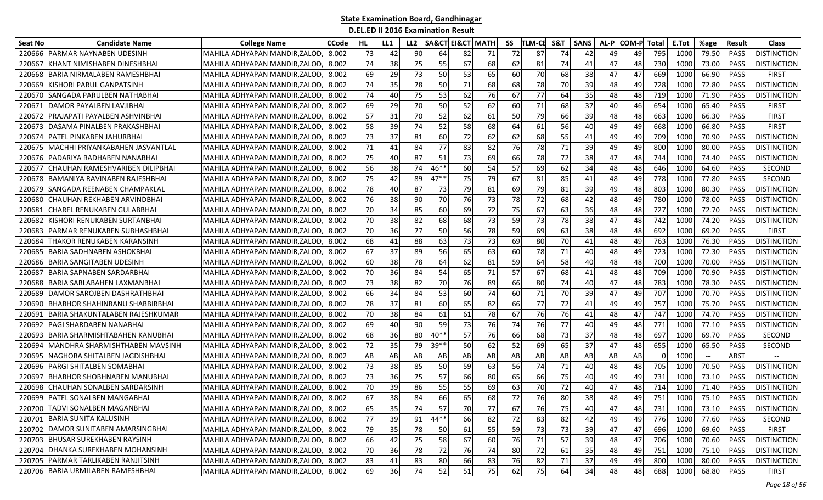| Seat No | <b>Candidate Name</b>               | <b>College Name</b>                  | <b>CCode</b> | HL | LL1 | LL2 | <b>SA&amp;CT EI&amp;CT MATH</b> |    |              | SS | <b>TLM-CE</b> | <b>S&amp;1</b> | <b>SANS</b> | AL-P | <b>COM-P</b> | Total | E.Tot | %age                     | Result      | <b>Class</b>       |
|---------|-------------------------------------|--------------------------------------|--------------|----|-----|-----|---------------------------------|----|--------------|----|---------------|----------------|-------------|------|--------------|-------|-------|--------------------------|-------------|--------------------|
| 220666  | PARMAR NAYNABEN UDESINH             | MAHILA ADHYAPAN MANDIR,ZALOD         | 8.002        | 73 | 42  | 90  | 64                              | 82 | 71           | 72 | 87            | 74             | 42          | 49   | 49           | 795   | 1000  | 79.50                    | <b>PASS</b> | <b>DISTINCTION</b> |
| 22066   | (HANT NIMISHABEN DINESHBHAI         | MAHILA ADHYAPAN MANDIR,ZALOD         | 8.002        | 74 | 38  | 75  | 55                              | 67 | 68           | 62 | 81            | 74             | 41          | 47   | 48           | 730   | 1000  | 73.00                    | <b>PASS</b> | <b>DISTINCTION</b> |
| 220668  | BARIA NIRMALABEN RAMESHBHAI         | MAHILA ADHYAPAN MANDIR,ZALOD         | 8.002        | 69 | 29  | 73  | 50                              | 53 | 65           | 60 | 70            | 68             | 38          | 47   | 47           | 669   | 1000  | 66.90                    | <b>PASS</b> | <b>FIRST</b>       |
| 220669  | (ISHORI PARUL GANPATSINH            | MAHILA ADHYAPAN MANDIR.ZALOD         | 8.002        | 74 | 35  | 78  | 50                              | 71 | 68           | 68 | 78            | 70             | 39          | 48   | 49           | 728   | 1000  | 72.80                    | <b>PASS</b> | <b>DISTINCTION</b> |
| 220670  | ISANGADA PARULBEN NATHABHAI         | MAHILA ADHYAPAN MANDIR,ZALOD         | 8.002        | 74 | 40  | 75  | 53                              | 62 | 76           | 67 | 77            | 64             | 35          | 48   | 48           | 719   | 1000  | 71.90                    | <b>PASS</b> | <b>DISTINCTION</b> |
| 22067   | DAMOR PAYALBEN LAVJIBHAI            | MAHILA ADHYAPAN MANDIR,ZALOD         | 8.002        | 69 | 29  | 70  | 50                              | 52 | 62           | 60 | 71            | 68             | 37          | 40   | 46           | 654   | 1000  | 65.40                    | <b>PASS</b> | <b>FIRST</b>       |
| 220672  | PRAJAPATI PAYALBEN ASHVINBHAI       | MAHILA ADHYAPAN MANDIR,ZALOD         | 8.002        | 57 | 31  | 70  | 52                              | 62 | 61           | 50 | 79            | 66             | 39          | 48   | 48           | 663   | 1000  | 66.30                    | PASS        | FIRST              |
| 220673  | DASAMA PINALBEN PRAKASHBHAI         | MAHILA ADHYAPAN MANDIR,ZALOD         | 8.002        | 58 | 39  | 74  | 52                              | 58 | 68           | 64 | 61            | 56             | 40          | 49   | 49           | 668   | 1000  | 66.80                    | <b>PASS</b> | <b>FIRST</b>       |
| 22067   | PATEL PINKABEN JAHURBHAI            | MAHILA ADHYAPAN MANDIR,ZALOD         | 8.002        | 73 | 37  | 81  | 60                              | 72 | 62           | 62 | 68            | 55             | 41          | 49   | 49           | 709   | 1000  | 70.90                    | <b>PASS</b> | <b>DISTINCTION</b> |
| 22067   | MACHHI PRIYANKABAHEN JASVANTLAL     | MAHILA ADHYAPAN MANDIR,ZALOD         | 8.002        | 71 | 41  | 84  | 77                              | 83 | 82           | 76 | 78            | 71             | 39          | 49   | 49           | 800   | 1000  | 80.00                    | <b>PASS</b> | <b>DISTINCTION</b> |
| 220676  | PADARIYA RADHABEN NANABHAI          | MAHILA ADHYAPAN MANDIR,ZALOD         | 8.002        | 75 | 40  | 87  | 51                              | 73 | 69           | 66 | 78            | 72             | 38          | 47   | 48           | 744   | 1000  | 74.40                    | <b>PASS</b> | <b>DISTINCTION</b> |
| 22067   | CHAUHAN RAMESHVARIBEN DILIPBHAI     | MAHILA ADHYAPAN MANDIR,ZALOD         | 8.002        | 56 | 38  | 74  | $46**$                          | 60 | 54           | 57 | 69            | 62             | 34          | 48   | 48           | 646   | 1000  | 64.60                    | <b>PASS</b> | <b>SECOND</b>      |
| 220678  | BAMANIYA RAVINABEN RAJESHBHAI       | MAHILA ADHYAPAN MANDIR,ZALOD         | 8.002        | 75 | 42  | 89  | $47**$                          | 75 | 79           | 67 | 81            | 85             | 41          | 48   | 49           | 778   | 1000  | 77.80                    | <b>PASS</b> | SECOND             |
| 220679  | <b>SANGADA REENABEN CHAMPAKLAL</b>  | MAHILA ADHYAPAN MANDIR,ZALOD         | 8.002        | 78 | 40  | 87  | 73                              | 79 | 81           | 69 | 79            | 81             | 39          | 49   | 48           | 803   | 1000  | 80.30                    | <b>PASS</b> | <b>DISTINCTION</b> |
| 220680  | CHAUHAN REKHABEN ARVINDBHAI         | MAHILA ADHYAPAN MANDIR,ZALOD         | 8.002        | 76 | 38  | 90  | 70                              | 76 | 73           | 78 | 72            | 68             | 42          | 48   | 49           | 780   | 1000  | 78.00                    | <b>PASS</b> | <b>DISTINCTION</b> |
| 22068   | CHAREL RENUKABEN GULABBHAI          | MAHILA ADHYAPAN MANDIR,ZALOD         | 8.002        | 70 | 34  | 85  | 60                              | 69 | 72           | 75 | 67            | 63             | 36          | 48   | 48           | 727   | 1000  | 72.70                    | <b>PASS</b> | <b>DISTINCTION</b> |
| 22068   | (ISHORI RENUKABEN SURTANBHAI        | MAHILA ADHYAPAN MANDIR,ZALOD         | 8.002        | 70 | 38  | 82  | 68                              | 68 | 73           | 59 | 73            | 78             | 38          | 47   | 48           | 742   | 1000  | 74.20                    | <b>PASS</b> | <b>DISTINCTION</b> |
| 22068   | PARMAR RENUKABEN SUBHASHBHAI        | MAHILA ADHYAPAN MANDIR,ZALOD         | 8.002        | 70 | 36  | 77  | 50                              | 56 | 78           | 59 | 69            | 63             | 38          | 48   | 48           | 692   | 1000  | 69.20                    | <b>PASS</b> | <b>FIRST</b>       |
| 220684  | THAKOR RENUKABEN KARANSINH          | MAHILA ADHYAPAN MANDIR.ZALOD         | 8.002        | 68 | 41  | 88  | 63                              | 73 | 73           | 69 | 80            | 70             | 41          | 48   | 49           | 763   | 1000  | 76.30                    | <b>PASS</b> | <b>DISTINCTION</b> |
| 220685  | BARIA SADHNABEN ASHOKBHAI           | MAHILA ADHYAPAN MANDIR,ZALOD         | 8.002        | 67 | 37  | 89  | 56                              | 65 | 63           | 60 | 78            | 71             | 40          | 48   | 49           | 723   | 1000  | 72.30                    | <b>PASS</b> | <b>DISTINCTION</b> |
| 220686  | BARIA SANGITABEN UDESINH            | MAHILA ADHYAPAN MANDIR, ZALOD        | 8.002        | 60 | 38  | 78  | 64                              | 62 | 81           | 59 | 64            | 58             | 40          | 48   | 48           | 700   | 1000  | 70.00                    | <b>PASS</b> | <b>DISTINCTION</b> |
| 22068   | BARIA SAPNABEN SARDARBHAI           | MAHILA ADHYAPAN MANDIR,ZALOD         | 8.002        | 70 | 36  | 84  | 54                              | 65 | 71           | 57 | 67            | 68             | 41          | 48   | 48           | 709   | 1000  | 70.90                    | <b>PASS</b> | <b>DISTINCTION</b> |
| 220688  | BARIA SARLABAHEN LAXMANBHAI         | MAHILA ADHYAPAN MANDIR,ZALOD         | 8.002        | 73 | 38  | 82  | 70                              | 76 | 89           | 66 | 80            | 74             | 40          | 47   | 48           | 783   | 1000  | 78.30                    | <b>PASS</b> | <b>DISTINCTION</b> |
| 220689  | DAMOR SAROJBEN DASHRATHBHAI         | MAHILA ADHYAPAN MANDIR,ZALOD         | 8.002        | 66 | 34  | 84  | 53                              | 60 | 74           | 60 | 71            | 70             | 39          | 47   | 49           | 707   | 1000  | 70.70                    | <b>PASS</b> | <b>DISTINCTION</b> |
| 22069   | BHABHOR SHAHINBANU SHABBIRBHAI      | MAHILA ADHYAPAN MANDIR, ZALOD        | 8.002        | 78 | 37  | 81  | 60                              | 65 | 82           | 66 | 77            | 72             | 41          | 49   | 49           | 757   | 1000  | 75.70                    | <b>PASS</b> | <b>DISTINCTION</b> |
| 22069   | BARIA SHAKUNTALABEN RAJESHKUMAR     | MAHILA ADHYAPAN MANDIR, ZALOD        | 8.002        | 70 | 38  | 84  | 61                              | 61 | 78           | 67 | 76            | 76             | 41          | 48   | 47           | 747   | 1000  | 74.70                    | <b>PASS</b> | <b>DISTINCTION</b> |
| 22069   | PAGI SHARDABEN NANABHAI             | MAHILA ADHYAPAN MANDIR,ZALOD         | 8.002        | 69 | 40  | 90  | 59                              | 73 | 76           | 74 | 76            | 77             | 40          | 49   | 48           | 771   | 1000  | 77.10                    | <b>PASS</b> | <b>DISTINCTION</b> |
| 220693  | BARIA SHARMISHTABAHEN KANUBHAI      | MAHILA ADHYAPAN MANDIR.ZALOD         | 8.002        | 68 | 36  | 80  | 40**                            | 57 | 76           | 66 | 68            | 73             | 37          | 48   | 48           | 697   | 1000  | 69.70                    | <b>PASS</b> | <b>SECOND</b>      |
| 220694  | MANDHRA SHARMISHTHABEN MAVSINH      | MAHILA ADHYAPAN MANDIR, ZALOD        | 8.002        | 72 | 35  | 79  | $39$ *'                         | 50 | 62           | 52 | 69            | 65             | 37          | 47   | 48           | 655   | 1000  | 65.50                    | <b>PASS</b> | SECOND             |
| 22069   | NAGHORA SHITALBEN JAGDISHBHAI       | MAHILA ADHYAPAN MANDIR,ZALOD         | 8.002        | AB | AB  | AB  | AB                              | AB | AB           | AB | AB            | AB             | AB          | AB   | AB           |       | 1000  | $\overline{\phantom{a}}$ | ABST        |                    |
| 220696  | PARGI SHITALBEN SOMABHAI            | MAHILA ADHYAPAN MANDIR,ZALOD         | 8.002        | 73 | 38  | 85  | 50                              | 59 | 63           | 56 | 74            | 71             | 40          | 48   | 48           | 705   | 1000  | 70.50                    | PASS        | <b>DISTINCTION</b> |
| 22069   | BHABHOR SHOBHNABEN MANUBHAI         | MAHILA ADHYAPAN MANDIR,ZALOD         | 8.002        | 73 | 36  | 75  | 57                              | 66 | 80           | 65 | 66            | 75             | 40          | 49   | 49           | 731   | 1000  | 73.10                    | <b>PASS</b> | <b>DISTINCTION</b> |
| 220698  | CHAUHAN SONALBEN SARDARSINH         | MAHILA ADHYAPAN MANDIR,ZALOD         | 8.002        | 70 | 39  | 86  | 55                              | 55 | 69           | 63 | 70            | 72             | 40          | 47   | 48           | 714   | 1000  | 71.40                    | <b>PASS</b> | <b>DISTINCTION</b> |
| 220699  | PATEL SONALBEN MANGABHAI            | MAHILA ADHYAPAN MANDIR,ZALOD         | 8.002        | 67 | 38  | 84  | 66                              | 65 | 68           | 72 | 76            | 80             | 38          | 48   | 49           | 751   | 1000  | 75.10                    | <b>PASS</b> | <b>DISTINCTION</b> |
|         | 220700 TADVI SONALBEN MAGANBHAI     | MAHILA ADHYAPAN MANDIR, ZALOD, 8.002 |              | 65 | 35  | 74  | 57                              | 70 | -77 <b>I</b> | 67 | 76            | 75             | 40          | 47   | 48           | 731   | 1000  | 73.10                    | PASS        | <b>DISTINCTION</b> |
| 220701  | BARIA SUNITA KALUSINH               | MAHILA ADHYAPAN MANDIR, ZALOD,       | 8.002        | 77 | 39  | 91  | $44**$                          | 66 | 82           | 72 | 83            | 82             | 42          | 49   | 49           | 776   | 1000  | 77.60                    | PASS        | SECOND             |
|         | 220702 DAMOR SUNITABEN AMARSINGBHAI | MAHILA ADHYAPAN MANDIR, ZALOD,       | 8.002        | 79 | 35  | 78  | 50                              | 61 | 55           | 59 | 73            | 73             | 39          | 47   | 47           | 696   | 1000  | 69.60                    | PASS        | <b>FIRST</b>       |
|         | 220703 BHUSAR SUREKHABEN RAYSINH    | MAHILA ADHYAPAN MANDIR, ZALOD,       | 8.002        | 66 | 42  | 75  | 58                              | 67 | 60           | 76 | 71            | 57             | 39          | 48   | 47           | 706   | 1000  | 70.60                    | PASS        | <b>DISTINCTION</b> |
| 220704  | DHANKA SUREKHABEN MOHANSINH         | MAHILA ADHYAPAN MANDIR,ZALOD,        | 8.002        | 70 | 36  | 78  | 72                              | 76 | 74           | 80 | 72            | 61             | 35          | 48   | 49           | 751   | 1000  | 75.10                    | PASS        | <b>DISTINCTION</b> |
| 220705  | <b>PARMAR TARLIKABEN RANJITSINH</b> | MAHILA ADHYAPAN MANDIR,ZALOD,        | 8.002        | 83 | 41  | 83  | 80                              | 66 | 83           | 76 | 82            | 71             | 37          | 49   | 49           | 800   | 1000  | 80.00                    | PASS        | <b>DISTINCTION</b> |
|         | 220706 BARIA URMILABEN RAMESHBHAI   | MAHILA ADHYAPAN MANDIR, ZALOD, 8.002 |              | 69 | 36  | 74  | 52                              | 51 | 75           | 62 | 75            | 64             | 34          | 48   | 48           | 688   | 1000  | 68.80                    | PASS        | <b>FIRST</b>       |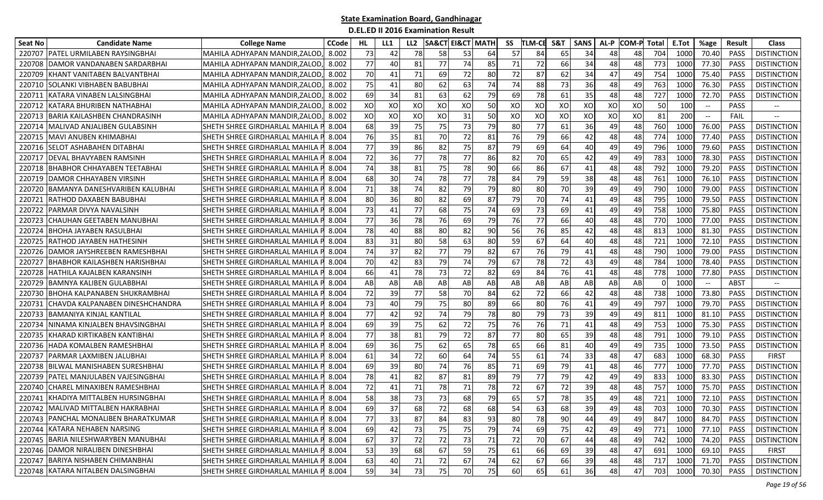| Seat No | <b>Candidate Name</b>                | <b>College Name</b>                   | <b>CCode</b> | HL | LL1 | LL2 | <b>SA&amp;CT EI&amp;CT MATH</b> |    |        | SS | <b>TLM-CE</b> | <b>S&amp;1</b> | <b>SANS</b> | AL-P | <b>COM-P</b> | Total | E.Tot | %age                                                | Result      | <b>Class</b>       |
|---------|--------------------------------------|---------------------------------------|--------------|----|-----|-----|---------------------------------|----|--------|----|---------------|----------------|-------------|------|--------------|-------|-------|-----------------------------------------------------|-------------|--------------------|
| 220707  | PATEL URMILABEN RAYSINGBHAI          | MAHILA ADHYAPAN MANDIR,ZALOD          | 8.002        | 73 | 42  | 78  | 58                              | 53 | 64     | 57 | 84            | 65             | 34          | 48   | 48           | 704   | 1000  | 70.40                                               | <b>PASS</b> | <b>DISTINCTION</b> |
| 22070   | DAMOR VANDANABEN SARDARBHAI          | MAHILA ADHYAPAN MANDIR,ZALOD          | 8.002        | 77 | 40  | 81  | 77                              | 74 | 85     | 71 | 72            | 66             | 34          | 48   | 48           | 773   | 1000  | 77.30                                               | <b>PASS</b> | <b>DISTINCTION</b> |
| 220709  | KHANT VANITABEN BALVANTBHAI          | MAHILA ADHYAPAN MANDIR,ZALOD          | 8.002        | 70 | 41  | 71  | 69                              | 72 | 80     | 72 | 87            | 62             | 34          | 47   | 49           | 754   | 1000  | 75.40                                               | <b>PASS</b> | <b>DISTINCTION</b> |
| 220710  | SOLANKI VIBHABEN BABUBHAI            | MAHILA ADHYAPAN MANDIR.ZALOD          | 8.002        | 75 | 41  | 80  | 62                              | 63 | 74     | 74 | 88            | 73             | 36          | 48   | 49           | 763   | 1000  | 76.30                                               | <b>PASS</b> | <b>DISTINCTION</b> |
| 22071   | KATARA VINABEN LALSINGBHAI           | MAHILA ADHYAPAN MANDIR,ZALOD          | 8.002        | 69 | 34  | 81  | 63                              | 62 | 79     | 69 | 78            | 61             | 35          | 48   | 48           | 727   | 1000  | 72.70                                               | <b>PASS</b> | <b>DISTINCTION</b> |
| 220712  | KATARA BHURIBEN NATHABHAI            | MAHILA ADHYAPAN MANDIR,ZALOD          | 8.002        | XO | XO  | XO  | XO                              | XO | 50     | XO | XO            | XO             | XO          | XO   | XO           | 50    | 100   | $\hspace{0.05cm} -\hspace{0.05cm} -\hspace{0.05cm}$ | <b>PASS</b> |                    |
| 22071   | BARIA KAILASHBEN CHANDRASINH         | MAHILA ADHYAPAN MANDIR,ZALOD          | 8.002        | XO | XO  | XO  | XO                              | 31 | 50     | XO | XO            | XO             | XO          | XO   | XO           | 81    | 200   |                                                     | FAIL        |                    |
| 220714  | MALIVAD ANJALIBEN GULABSINH          | SHETH SHREE GIRDHARLAL MAHILA         | 8.004        | 68 | 39  | 75  | 75                              | 73 | 79     | 80 | 77            | 61             | 36          | 49   | 48           | 760   | 1000  | 76.00                                               | PASS        | <b>DISTINCTION</b> |
| 220715  | MAVI ANUBEN KHIMABHAI                | SHETH SHREE GIRDHARLAL MAHILA         | 8.004        | 76 | 35  | 81  | 70                              | 72 | 81     | 76 | 79            | 66             | 42          | 48   | 48           | 774   | 1000  | 77.40                                               | <b>PASS</b> | <b>DISTINCTION</b> |
| 22071   | SELOT ASHABAHEN DITABHAI             | SHETH SHREE GIRDHARLAL MAHILA         | 8.004        | 77 | 39  | 86  | 82                              | 75 | 87     | 79 | 69            | 64             | 40          | 49   | 49           | 796   | 1000  | 79.60                                               | <b>PASS</b> | <b>DISTINCTION</b> |
| 22071   | DEVAL BHAVYABEN RAMSINH              | SHETH SHREE GIRDHARLAL MAHILA         | 8.004        | 72 | 36  | 77  | 78                              | 77 | 86     | 82 | 70I           | 65             | 42          | 49   | 49           | 783   | 1000  | 78.30                                               | <b>PASS</b> | <b>DISTINCTION</b> |
| 220718  | ЗНАВНОR СННАҮАВЕN ТЕЕТАВНАІ          | SHETH SHREE GIRDHARLAL MAHILA         | 8.004        | 74 | 38  | 81  | 75                              | 78 | 90     | 66 | 86            | 67             | 41          | 48   | 48           | 792   | 1000  | 79.20                                               | <b>PASS</b> | <b>DISTINCTION</b> |
| 220719  | IDAMOR CHHAYABEN VIRSINH             | SHETH SHREE GIRDHARLAL MAHILA P       | 8.004        | 68 | 30  | 74  | 78                              | 77 | 78     | 84 | 79            | 59             | 38          | 48   | 48           | 761   | 1000  | 76.10                                               | <b>PASS</b> | <b>DISTINCTION</b> |
| 220720  | BAMANYA DANESHVARIBEN KALUBHAI       | SHETH SHREE GIRDHARLAL MAHILA         | 8.004        | 71 | 38  | 74  | 82                              | 79 | 79     | 80 | 80            | 70             | 39          | 49   | 49           | 790   | 1000  | 79.00                                               | <b>PASS</b> | <b>DISTINCTION</b> |
| 22072   | RATHOD DAXABEN BABUBHAI              | SHETH SHREE GIRDHARLAL MAHILA P       | 8.004        | 80 | 36  | 80  | 82                              | 69 | 87     | 79 | 70            | 74             | 41          | 49   | 48           | 795   | 1000  | 79.50                                               | <b>PASS</b> | <b>DISTINCTION</b> |
| 220722  | PARMAR DIVYA NAVALSINH               | SHETH SHREE GIRDHARLAL MAHILA         | 8.004        | 73 | 41  | 77  | 68                              | 75 | 74     | 69 | 73            | 69             | 41          | 49   | 49           | 758   | 1000  | 75.80                                               | <b>PASS</b> | <b>DISTINCTION</b> |
| 220723  | CHAUHAN GEETABEN MANUBHAI            | SHETH SHREE GIRDHARLAL MAHILA         | 8.004        | 77 | 36  | 78  | 76                              | 69 | 79     | 76 | 77            | 66             | 40          | 48   | 48           | 770   | 1000  | 77.00                                               | <b>PASS</b> | <b>DISTINCTION</b> |
| 22072   | BHOHA JAYABEN RASULBHAI              | SHETH SHREE GIRDHARLAL MAHILA         | 8.004        | 78 | 40  | 88  | 80                              | 82 | 90     | 56 | 76            | 85             | 42          | 48   | 48           | 813   | 1000  | 81.30                                               | <b>PASS</b> | <b>DISTINCTION</b> |
| 220725  | RATHOD JAYABEN HATHESINH             | SHETH SHREE GIRDHARLAL MAHILA         | 8.004        | 83 | 31  | 80  | 58                              | 63 | 80     | 59 | 67            | 64             | 40          | 48   | 48           | 721   | 1000  | 72.10                                               | <b>PASS</b> | <b>DISTINCTION</b> |
| 220726  | IDAMOR JAYSHREEBEN RAMESHBHAI        | SHETH SHREE GIRDHARLAL MAHILA         | 8.004        | 74 | 37  | 82  | 77                              | 79 | 82     | 67 | 76            | 79             | 41          | 48   | 48           | 790   | 1000  | 79.00                                               | <b>PASS</b> | <b>DISTINCTION</b> |
| 22072   | BHABHOR KAILASHBEN HARISHBHAI        | SHETH SHREE GIRDHARLAL MAHILA         | 8.004        | 70 | 42  | 83  | 79                              | 74 | 79     | 67 | 78            | 72             | 43          | 49   | 48           | 784   | 1000  | 78.40                                               | <b>PASS</b> | <b>DISTINCTION</b> |
| 220728  | HATHILA KAJALBEN KARANSINH           | SHETH SHREE GIRDHARLAL MAHILA P       | 8.004        | 66 | 41  | 78  | 73                              | 72 | 82     | 69 | 84            | 76             | 41          | 48   | 48           | 778   | 1000  | 77.80                                               | <b>PASS</b> | <b>DISTINCTION</b> |
| 220729  | BAMNYA KALIBEN GULABBHAI             | SHETH SHREE GIRDHARLAL MAHILA P       | 8.004        | AB | AB  | AB  | AB                              | AB | AB     | AB | AB            | AB             | AB          | AB   | AB           |       | 1000  | $\overline{\phantom{m}}$                            | <b>ABST</b> |                    |
| 22073(  | 3HOHA KALPANABEN SHUKRAMBHAI         | SHETH SHREE GIRDHARLAL MAHILA         | 8.004        | 72 | 39  | 77  | 58                              | 70 | 84     | 62 | 72            | 66             | 42          | 48   | 48           | 738   | 1000  | 73.80                                               | <b>PASS</b> | <b>DISTINCTION</b> |
| 22073   | CHAVDA KALPANABEN DINESHCHANDRA      | SHETH SHREE GIRDHARLAL MAHILA         | 8.004        | 73 | 40  | 79  | 75                              | 80 | 89     | 66 | 80            | 76             | 41          | 49   | 49           | 797   | 1000  | 79.70                                               | <b>PASS</b> | <b>DISTINCTION</b> |
| 220733  | BAMANIYA KINJAL KANTILAL             | SHETH SHREE GIRDHARLAL MAHILA         | 8.004        | 77 | 42  | 92  | 74                              | 79 | 78     | 80 | 79            | 73             | 39          | 49   | 49           | 811   | 1000  | 81.10                                               | <b>PASS</b> | <b>DISTINCTION</b> |
| 220734  | VINAMA KINJALBEN BHAVSINGBHAI        | SHETH SHREE GIRDHARLAL MAHILA         | 8.004        | 69 | 39  | 75  | 62                              | 72 | 75     | 76 | 76            | 71             | 41          | 48   | 49           | 753   | 1000  | 75.30                                               | <b>PASS</b> | <b>DISTINCTION</b> |
| 220735  | (HARAD KIRTIKABEN KANTIBHAI          | SHETH SHREE GIRDHARLAL MAHILA P       | 8.004        | 77 | 38  | 81  | 79                              | 72 | 87     | 77 | 80            | 65             | 39          | 48   | 48           | 791   | 1000  | 79.10                                               | <b>PASS</b> | <b>DISTINCTION</b> |
| 220736  | HADA KOMALBEN RAMESHBHAI             | SHETH SHREE GIRDHARLAL MAHILA         | 8.004        | 69 | 36  | 75  | 62                              | 65 | 78     | 65 | 66            | 81             | 40          | 49   | 49           | 735   | 1000  | 73.50                                               | <b>PASS</b> | <b>DISTINCTION</b> |
| 22073   | PARMAR LAXMIBEN JALUBHAI             | SHETH SHREE GIRDHARLAL MAHILA P       | 8.004        | 61 | 34  | 72  | 60                              | 64 | 74     | 55 | 61            | 74             | 33          | 48   | 47           | 683   | 1000  | 68.30                                               | <b>PASS</b> | <b>FIRST</b>       |
| 220738  | BILWAL MANISHABEN SURESHBHAI         | SHETH SHREE GIRDHARLAL MAHILA         | 8.004        | 69 | 39  | 80  | 74                              | 76 | 85     | 71 | 69            | 79             | 41          | 48   | 46           | 777   | 1000  | 77.70                                               | <b>PASS</b> | <b>DISTINCTION</b> |
| 220739  | PATEL MANJULABEN VAJESINGBHAI        | SHETH SHREE GIRDHARLAL MAHILA         | 8.004        | 78 | 41  | 82  | 87                              | 81 | 89     | 79 | 77            | 79             | 42          | 49   | 49           | 833   | 1000  | 83.30                                               | <b>PASS</b> | <b>DISTINCTION</b> |
| 22074   | <b>CHAREL MINAXIBEN RAMESHBHAI</b>   | SHETH SHREE GIRDHARLAL MAHILA         | 8.004        | 72 | 41  | 71  | 78                              | 71 | 78     | 72 | 67            | 72             | 39          | 48   | 48           | 757   | 1000  | 75.70                                               | <b>PASS</b> | <b>DISTINCTION</b> |
| 220741  | KHADIYA MITTALBEN HURSINGBHAI        | SHETH SHREE GIRDHARLAL MAHILA         | 8.004        | 58 | 38  | 73  | 73                              | 68 | 79     | 65 | 57            | 78             | 35          | 49   | 48           | 721   | 1000  | 72.10                                               | <b>PASS</b> | <b>DISTINCTION</b> |
|         | 220742 MALIVAD MITTALBEN HAKRABHAI   | SHETH SHREE GIRDHARLAL MAHILA P 8.004 |              | 69 | 37  | 68  | 72                              | 68 | 68     | 54 | 63            | 68             | 39          | 49   | 48           | 703   | 1000  | 70.30                                               | PASS        | <b>DISTINCTION</b> |
|         | 220743 PANCHAL MONALIBEN BHARATKUMAR | SHETH SHREE GIRDHARLAL MAHILA P 8.004 |              | 77 | 33  | 87  | 84                              | 83 | 93     | 80 | 78            | 90             | 44          | 49   | 49           | 847   | 1000  | 84.70                                               | <b>PASS</b> | <b>DISTINCTION</b> |
|         | 220744 KATARA NEHABEN NARSING        | SHETH SHREE GIRDHARLAL MAHILA P 8.004 |              | 69 | 42  | 73  | 75                              | 75 | 79     | 74 | 69            | 75             | 42          | 49   | 49           | 771   | 1000  | 77.10                                               | PASS        | <b>DISTINCTION</b> |
|         | 220745 BARIA NILESHWARYBEN MANUBHAI  | SHETH SHREE GIRDHARLAL MAHILA P 8.004 |              | 67 | 37  | 72  | 72                              | 73 | $71\,$ | 72 | 70            | 67             | 44          | 48   | 49           | 742   | 1000  | 74.20                                               | PASS        | <b>DISTINCTION</b> |
|         | 220746 DAMOR NIRALIBEN DINESHBHAI    | SHETH SHREE GIRDHARLAL MAHILA P 8.004 |              | 53 | 39  | 68  | 67                              | 59 | 75     | 61 | 66            | 69             | 39          | 48   | 47           | 691   | 1000  | 69.10                                               | PASS        | <b>FIRST</b>       |
|         | 220747 BARIYA NISHABEN CHIMANBHAI    | SHETH SHREE GIRDHARLAL MAHILA P 8.004 |              | 63 | 40  | 71  | 72                              | 67 | 74     | 62 | 67            | 66             | 39          | 48   | 48           | 717   | 1000  | 71.70                                               | PASS        | <b>DISTINCTION</b> |
|         | 220748 KATARA NITALBEN DALSINGBHAI   | SHETH SHREE GIRDHARLAL MAHILA P 8.004 |              | 59 | 34  | 73  | 75                              | 70 | 75     | 60 | 65            | 61             | 36          | 48   | 47           | 703   | 1000  | 70.30                                               | PASS        | <b>DISTINCTION</b> |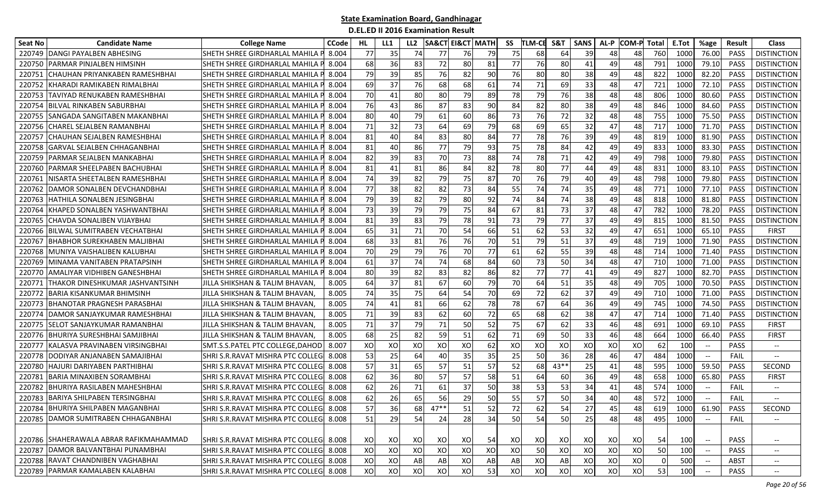| Seat No | <b>Candidate Name</b>                  | <b>College Name</b>                     | CCode | HL | LL1 | LL <sub>2</sub> | SA&CT  | <b>EI&amp;CT MATH</b> |    | SS | TLM-CE | S&T    | <b>SANS</b> | AL-P | COM-P Total |     | E.Tot | %age                                                | Result      | <b>Class</b>                      |
|---------|----------------------------------------|-----------------------------------------|-------|----|-----|-----------------|--------|-----------------------|----|----|--------|--------|-------------|------|-------------|-----|-------|-----------------------------------------------------|-------------|-----------------------------------|
| 220749  | <b>DANGI PAYALBEN ABHESING</b>         | SHETH SHREE GIRDHARLAL MAHILA           | 8.004 | 77 | 35  | 74              | 77     | 76                    | 79 | 75 | 68     | 64     | 39          | 48   | 48          | 760 | 1000  | 76.00                                               | <b>PASS</b> | <b>DISTINCTION</b>                |
| 22075   | PARMAR PINJALBEN HIMSINH               | SHETH SHREE GIRDHARLAL MAHILA           | 8.004 | 68 | 36  | 83              | 72     | 80                    | 81 | 77 | 76     | 80     | 41          | 49   | 48          | 791 | 1000  | 79.10                                               | PASS        | <b>DISTINCTION</b>                |
| 22075   | CHAUHAN PRIYANKABEN RAMESHBHAI         | SHETH SHREE GIRDHARLAL MAHILA           | 8.004 | 79 | 39  | 85              | 76     | 82                    | 90 | 76 | 80     | 80     | 38          | 49   | 48          | 822 | 1000  | 82.20                                               | PASS        | <b>DISTINCTION</b>                |
| 22075   | KHARADI RAMIKABEN RIMALBHAI            | SHETH SHREE GIRDHARLAL MAHILA           | 8.004 | 69 | 37  | 76              | 68     | 68                    | 61 | 74 | 71     | 69     | 33          | 48   | 47          | 721 | 1000  | 72.10                                               | <b>PASS</b> | <b>DISTINCTION</b>                |
| 220753  | ITAVIYAD RENUKABEN RAMESHBHAI          | SHETH SHREE GIRDHARLAL MAHILA           | 8.004 | 70 | 41  | 80              | 80     | 79                    | 89 | 78 | 79     | 76     | 38          | 48   | 48          | 806 | 1000  | 80.60                                               | <b>PASS</b> | <b>DISTINCTION</b>                |
| 220754  | BILVAL RINKABEN SABURBHAI              | SHETH SHREE GIRDHARLAL MAHILA           | 8.004 | 76 | 43  | 86              | 87     | 83                    | 90 | 84 | 82     | 80     | 38          | 49   | 48          | 846 | 1000  | 84.60                                               | <b>PASS</b> | <b>DISTINCTION</b>                |
| 22075   | <b>SANGADA SANGITABEN MAKANBHAI</b>    | SHETH SHREE GIRDHARLAL MAHILA           | 8.004 | 80 | 40  | 79              | 61     | 60                    | 86 | 73 | 76     | 72     | 32          | 48   | 48          | 755 | 1000  | 75.50                                               | <b>PASS</b> | <b>DISTINCTION</b>                |
| 220756  | CHAREL SEJALBEN RAMANBHAI              | SHETH SHREE GIRDHARLAL MAHILA           | 8.004 | 71 | 32  | 73              | 64     | 69                    | 79 | 68 | 69     | 65     | 32          | 47   | 48          | 717 | 1000  | 71.70                                               | <b>PASS</b> | <b>DISTINCTION</b>                |
| 22075   | CHAUHAN SEJALBEN RAMESHBHAI            | SHETH SHREE GIRDHARLAL MAHILA           | 8.004 | 81 | 40  | 84              | 83     | 80                    | 84 | 77 | 78     | 76     | 39          | 49   | 48          | 819 | 1000  | 81.90                                               | <b>PASS</b> | <b>DISTINCTION</b>                |
| 22075   | GARVAL SEJALBEN CHHAGANBHAI            | SHETH SHREE GIRDHARLAL MAHILA           | 8.004 | 81 | 40  | 86              | 77     | 79                    | 93 | 75 | 78     | 84     | 42          | 49   | 49          | 833 | 1000  | 83.30                                               | <b>PASS</b> | <b>DISTINCTION</b>                |
| 22075   | PARMAR SEJALBEN MANKABHAI              | SHETH SHREE GIRDHARLAL MAHILA           | 8.004 | 82 | 39  | 83              | 70     | 73                    | 88 | 74 | 78     | 71     | 42          | 49   | 49          | 798 | 100   | 79.80                                               | PASS        | <b>DISTINCTION</b>                |
| 22076   | PARMAR SHEELPABEN BACHUBHAI            | SHETH SHREE GIRDHARLAL MAHILA           | 8.004 | 81 | 41  | 81              | 86     | 84                    | 82 | 78 | 80     | 77     | 44          | 49   | 48          | 831 | 1000  | 83.10                                               | <b>PASS</b> | <b>DISTINCTION</b>                |
| 22076   | VISARTA SHEETALBEN RAMESHBHAI          | SHETH SHREE GIRDHARLAL MAHILA           | 8.004 | 74 | 39  | 82              | 79     | 75                    | 87 | 70 | 76     | 79     | 40          | 49   | 48          | 798 | 1000  | 79.80                                               | <b>PASS</b> | <b>DISTINCTION</b>                |
| 220762  | DAMOR SONALBEN DEVCHANDBHAI            | SHETH SHREE GIRDHARLAL MAHILA           | 8.004 | 77 | 38  | 82              | 82     | 73                    | 84 | 55 | 74     | 74     | 35          | 49   | 48          | 771 | 1000  | 77.10                                               | PASS        | <b>DISTINCTION</b>                |
| 220763  | HATHILA SONALBEN JESINGBHAI            | SHETH SHREE GIRDHARLAL MAHILA P         | 8.004 | 79 | 39  | 82              | 79     | 80                    | 92 | 74 | 84     | 74     | 38          | 49   | 48          | 818 | 1000  | 81.80                                               | <b>PASS</b> | <b>DISTINCTION</b>                |
| 220764  | KHAPED SONALBEN YASHWANTBHAI           | SHETH SHREE GIRDHARLAL MAHILA           | 8.004 | 73 | 39  | 79              | 79     | 75                    | 84 | 67 | -81    | 73     | 37          | 48   | 47          | 782 | 1000  | 78.20                                               | <b>PASS</b> | <b>DISTINCTION</b>                |
| 220765  | CHAVDA SONALIBEN VIJAYBHAI             | SHETH SHREE GIRDHARLAL MAHILA           | 8.004 | 81 | 39  | 83              | 79     | 78                    | 91 | 73 | 79     | 77     | 37          | 49   | 49          | 815 | 1000  | 81.50                                               | <b>PASS</b> | <b>DISTINCTION</b>                |
| 220766  | BILWAL SUMITRABEN VECHATBHAI           | SHETH SHREE GIRDHARLAL MAHILA           | 8.004 | 65 | 31  | 71              | 70     | 54                    | 66 | 51 | 62     | 53     | 32          | 49   | 47          | 651 | 1000  | 65.10                                               | PASS        | <b>FIRST</b>                      |
| 22076   | BHABHOR SUREKHABEN MALJIBHAI           | SHETH SHREE GIRDHARLAL MAHILA           | 8.004 | 68 | 33  | 81              | 76     | 76                    | 70 | 51 | 79     | 51     | 37          | 49   | 48          | 719 | 1000  | 71.90                                               | <b>PASS</b> | <b>DISTINCTION</b>                |
| 220768  | MUNIYA VAISHALIBEN KALUBHAI            | SHETH SHREE GIRDHARLAL MAHILA           | 8.004 | 70 | 29  | 79              | 76     | 70                    | 77 | 61 | 62     | 55     | 39          | 48   | 48          | 714 | 1000  | 71.40                                               | <b>PASS</b> | <b>DISTINCTION</b>                |
| 220769  | MINAMA VANITABEN PRATAPSINH            | SHETH SHREE GIRDHARLAL MAHILA           | 8.004 | 61 | 37  | 74              | 74     | 68                    | 84 | 60 | 73     | 50     | 34          | 48   | 47          | 710 | 1000  | 71.00                                               | PASS        | <b>DISTINCTION</b>                |
| 220770  | AMALIYAR VIDHIBEN GANESHBHAI           | SHETH SHREE GIRDHARLAL MAHILA           | 8.004 | 80 | 39  | 82              | 83     | 82                    | 86 | 82 | 77     | 77     | 41          | 49   | 49          | 827 | 1000  | 82.70                                               | PASS        | <b>DISTINCTION</b>                |
| 22077   | THAKOR DINESHKUMAR JASHVANTSINH        | JILLA SHIKSHAN & TALIM BHAVAN,          | 8.005 | 64 | 37  | 81              | 67     | 60                    | 79 | 70 | 64     | 51     | 35          | 48   | 49          | 705 | 1000  | 70.50                                               | <b>PASS</b> | <b>DISTINCTION</b>                |
| 22077.  | BARIA KISANKUMAR BHIMSINH              | JILLA SHIKSHAN & TALIM BHAVAN,          | 8.005 | 74 | 35  | 75              | 64     | 54                    | 70 | 69 | 72     | 62     | 37          | 49   | 49          | 710 | 1000  | 71.00                                               | <b>PASS</b> | <b>DISTINCTION</b>                |
| 22077   | BHANOTAR PRAGNESH PARASBHAI            | JILLA SHIKSHAN & TALIM BHAVAN,          | 8.005 | 74 | 41  | 81              | 66     | 62                    | 78 | 78 | 67     | 64     | 36          | 49   | 49          | 745 | 1000  | 74.50                                               | <b>PASS</b> | <b>DISTINCTION</b>                |
| 22077   | DAMOR SANJAYKUMAR RAMESHBHAI           | JILLA SHIKSHAN & TALIM BHAVAN,          | 8.005 | 71 | 39  | 83              | 62     | 60                    | 72 | 65 | 68     | 62     | 38          | 47   | 47          | 714 | 1000  | 71.40                                               | PASS        | <b>DISTINCTION</b>                |
| 220775  | <b>SELOT SANJAYKUMAR RAMANBHAI</b>     | JILLA SHIKSHAN & TALIM BHAVAN,          | 8.005 | 71 | 37  | 79              | 71     | 50                    | 52 | 75 | 67     | 62     | 33          | 46   | 48          | 691 | 1000  | 69.10                                               | <b>PASS</b> | <b>FIRST</b>                      |
| 220776  | BHURIYA SURESHBHAI SAMJIBHAI           | JILLA SHIKSHAN & TALIM BHAVAN,          | 8.005 | 68 | 25  | 82              | 59     | 51                    | 62 | 71 | 69     | 50     | 33          | 46   | 48          | 664 | 1000  | 66.40                                               | <b>PASS</b> | <b>FIRST</b>                      |
| 22077   | KALASVA PRAVINABEN VIRSINGBHAI         | SMT.S.S.PATEL PTC COLLEGE,DAHOD         | 8.007 | XO | XO  | XO              | XO     | XO                    | 62 | XO | XO     | XO     | XO          | XO   | XO          | 62  | 100   | $\hspace{0.05cm} \ldots$                            | PASS        | $--$                              |
| 220778  | DODIYAR ANJANABEN SAMAJIBHAI           | SHRI S.R. RAVAT MISHRA PTC COLLEG       | 8.008 | 53 | 25  | 64              | 40     | 35                    | 35 | 25 | 50     | 36     | 28          | 46   | 47          | 484 | 1000  |                                                     | FAIL        |                                   |
| 22078   | HAJURI DARIYABEN PARTHIBHAI            | SHRI S.R.RAVAT MISHRA PTC COLLEGI       | 8.008 | 57 | 31  | 65              | 57     | 51                    | 57 | 52 | 68     | $43**$ | 25          | 41   | 48          | 595 | 1000  | 59.50                                               | PASS        | SECOND                            |
| 22078   | BARIA MINAXIBEN SORAMBHAI              | SHRI S.R.RAVAT MISHRA PTC COLLEG        | 8.008 | 62 | 36  | 80              | 57     | 57                    | 58 | 51 | 64     | 60     | 36          | 49   | 48          | 658 | 1000  | 65.80                                               | <b>PASS</b> | <b>FIRST</b>                      |
| 22078   | BHURIYA RASILABEN MAHESHBHAI           | SHRI S.R. RAVAT MISHRA PTC COLLEG       | 8.008 | 62 | 26  | 71              | 61     | 37                    | 50 | 38 | 53     | 53     | 34          | 41   | 48          | 574 | 1000  | $\hspace{0.05cm} \ldots$                            | FAIL        | $\hspace{0.05cm} \dashrightarrow$ |
| 220783  | <b>BARIYA SHILPABEN TERSINGBHAI</b>    | SHRI S.R.RAVAT MISHRA PTC COLLEG        | 8.008 | 62 | 26  | 65              | 56     | 29                    | 50 | 55 | 57     | 50     | 34          | 40   | 48          | 572 | 1000  |                                                     | FAIL        |                                   |
|         | 220784 BHURIYA SHILPABEN MAGANBHAI     | SHRI S.R. RAVAT MISHRA PTC COLLEG 8.008 |       | 57 | 36  | 68              | $47**$ | 51                    | 52 | 72 | 62     | 54     | 27          | 45   | 48          | 619 | 1000  | 61.90                                               | <b>PASS</b> | SECOND                            |
|         | 220785 DAMOR SUMITRABEN CHHAGANBHAI    | SHRI S.R.RAVAT MISHRA PTC COLLEG 8.008  |       | 51 | 29  | 54              | 24     | 28                    | 34 | 50 | 54     | 50     | 25          | 48   | 48          | 495 | 1000  |                                                     | FAIL        |                                   |
|         | 220786 SHAHERAWALA ABRAR RAFIKMAHAMMAD | SHRI S.R. RAVAT MISHRA PTC COLLEG 8.008 |       | XO | XO  | XO              | XO     | XO                    | 54 | XO | xo     | XO     | XO          | XO   | XO          | 54  | 100   | $\hspace{0.05cm} -\hspace{0.05cm} -\hspace{0.05cm}$ | PASS        | $-\!$                             |
| 220787  | DAMOR BALVANTBHAI PUNAMBHAI            | SHRI S.R.RAVAT MISHRA PTC COLLEG 8.008  |       | XO | XO  | xol             | XO     | XO                    | XO | XO | 50     | XO     | XO          | XO   | xol         | 50  | 100   |                                                     | <b>PASS</b> | $- -$                             |
| 220788  | RAVAT CHANDNIBEN VAGHABHAI             | SHRI S.R.RAVAT MISHRA PTC COLLEG 8.008  |       | XO | XO  | AB              | AB     | XO                    | AB | AB | XO     | AB     | XO          | XO   | XO          |     | 500   |                                                     | ABST        | $\overline{\phantom{a}}$          |
|         | 220789 PARMAR KAMALABEN KALABHAI       | SHRI S.R.RAVAT MISHRA PTC COLLEG 8.008  |       | XO | xo  | XO              | XO     | XO                    | 53 | XO | XO     | XO     | XO          | XO   | XO          | 53  | 100   |                                                     | PASS        | $- -$                             |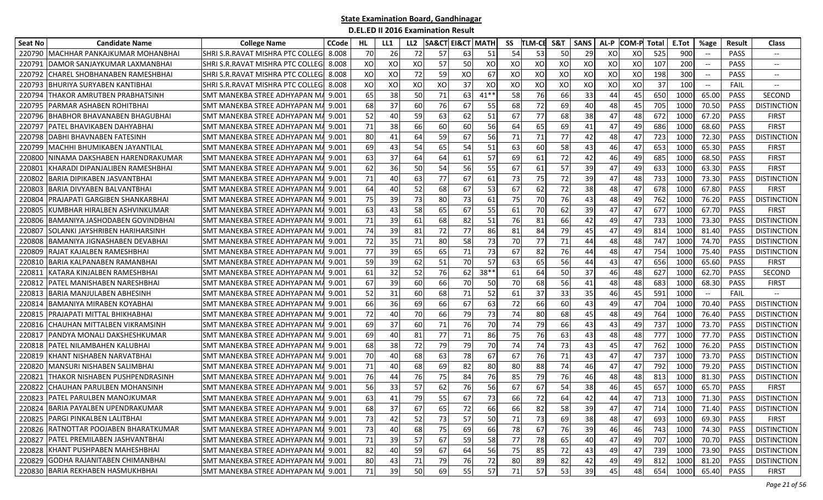| Seat No | <b>Candidate Name</b>                 | <b>College Name</b>                   | <b>CCode</b> | HL. | LL1 | LL <sub>2</sub> | <b>SA&amp;CT EI&amp;CT MATH</b> |    |        | SS | <b>TLM-CE</b> | S&T       | <b>SANS</b> | AL-P | <b>COM-P</b> | Total | E.Tot | %age                     | Result      | <b>Class</b>             |
|---------|---------------------------------------|---------------------------------------|--------------|-----|-----|-----------------|---------------------------------|----|--------|----|---------------|-----------|-------------|------|--------------|-------|-------|--------------------------|-------------|--------------------------|
| 220790  | MACHHAR PANKAJKUMAR MOHANBHAI         | SHRI S.R.RAVAT MISHRA PTC COLLEG      | 8.008        | 70  | 26  | 72              | 57                              | 63 | 51     | 54 | 53            | <b>50</b> | 29          | XO   | XO           | 525   | 900   |                          | <b>PASS</b> | $-\!$                    |
| 22079   | DAMOR SANJAYKUMAR LAXMANBHAI          | SHRI S.R.RAVAT MISHRA PTC COLLEG      | 8.008        | XO  | XO  | XO              | 57                              | 50 | XO     | XO | XO            | XO        | XO          | XO   | XO           | 107   | 200   | $\overline{\phantom{a}}$ | <b>PASS</b> | $\overline{\phantom{a}}$ |
| 22079   | CHAREL SHOBHANABEN RAMESHBHAI         | SHRI S.R.RAVAT MISHRA PTC COLLEG      | 8.008        | XO  | XO  | 72              | 59                              | XO | 67     | XO | XO            | XO        | XO          | XO   | XO           | 198   | 300   | $\overline{\phantom{a}}$ | <b>PASS</b> | $-\!$                    |
| 22079   | BHURIYA SURYABEN KANTIBHAI            | SHRI S.R. RAVAT MISHRA PTC COLLEG     | 8.008        | XO  | XO  | XO              | XO                              | 37 | XO     | XO | XO            | XO        | XO          | XO   | XO           | 37    | 100   | $- -$                    | FAIL        | $-\!$                    |
| 220794  | THAKOR AMRUTBEN PRABHATSINH           | SMT MANEKBA STREE ADHYAPAN MA         | 9.001        | 65  | 38  | 50              | 71                              | 63 | $41**$ | 58 | 76            | 66        | 33          | 44   | 45           | 650   | 1000  | 65.00                    | <b>PASS</b> | <b>SECOND</b>            |
| 220795  | PARMAR ASHABEN ROHITBHAI              | SMT MANEKBA STREE ADHYAPAN MA 9.001   |              | 68  | 37  | 60              | 76                              | 67 | 55     | 68 | 72            | 69        | 40          | 48   | 45           | 705   | 1000  | 70.50                    | <b>PASS</b> | <b>DISTINCTION</b>       |
| 220796  | BHABHOR BHAVANABEN BHAGUBHAI          | SMT MANEKBA STREE ADHYAPAN M <i>A</i> | 9.001        | 52  | 40  | 59              | 63                              | 62 | 51     | 67 | 77            | 68        | 38          | 47   | 48           | 672   | 1000  | 67.20                    | <b>PASS</b> | FIRST                    |
| 22079   | PATEL BHAVIKABEN DAHYABHAI            | SMT MANEKBA STREE ADHYAPAN M/         | 9.001        | 71  | 38  | 66              | 60                              | 60 | 56     | 64 | 65            | 69        | 41          | 47   | 49           | 686   | 1000  | 68.60                    | <b>PASS</b> | <b>FIRST</b>             |
| 220798  | DABHI BHAVNABEN FATESINH              | SMT MANEKBA STREE ADHYAPAN M <i>A</i> | 9.001        | 80  | 41  | 64              | 59                              | 67 | 56     | 71 | 71            | 77        | 42          | 48   | 47           | 723   | 1000  | 72.30                    | <b>PASS</b> | <b>DISTINCTION</b>       |
| 22079   | MACHHI BHUMIKABEN JAYANTILAL          | SMT MANEKBA STREE ADHYAPAN M          | 9.001        | 69  | 43  | 54              | 65                              | 54 | 51     | 63 | 60            | 58        | 43          | 46   | 47           | 653   | 1000  | 65.30                    | PASS        | <b>FIRST</b>             |
| 22080   | NINAMA DAKSHABEN HARENDRAKUMAR        | SMT MANEKBA STREE ADHYAPAN M.         | 9.001        | 63  | 37  | 64              | 64                              | 61 | 57     | 69 | 61            | 72        | 42          | 46   | 49           | 685   | 1000  | 68.50                    | PASS        | <b>FIRST</b>             |
| 22080   | KHARADI DIPANJALIBEN RAMESHBHAI       | SMT MANEKBA STREE ADHYAPAN M.         | 9.001        | 62  | 36  | 50              | 54                              | 56 | 55     | 67 | 61            | 57        | 39          | 47   | 49           | 633   | 1000  | 63.30                    | PASS        | <b>FIRST</b>             |
| 220802  | BARIA DIPIKABEN JASVANTBHAI           | SMT MANEKBA STREE ADHYAPAN MA 9.001   |              | 71  | 40  | 63              | 77                              | 67 | 61     | 73 | 75            | 72        | 39          | 47   | 48           | 733   | 1000  | 73.30                    | <b>PASS</b> | <b>DISTINCTION</b>       |
| 220803  | BARIA DIVYABEN BALVANTBHAI            | SMT MANEKBA STREE ADHYAPAN MA 9.001   |              | 64  | 40  | 52              | 68                              | 67 | 53     | 67 | 62            | 72        | 38          | 48   | 47           | 678   | 1000  | 67.80                    | PASS        | <b>FIRST</b>             |
| 220804  | PRAJAPATI GARGIBEN SHANKARBHAI        | SMT MANEKBA STREE ADHYAPAN M <i>A</i> | 9.001        | 75  | 39  | 73              | 80                              | 73 | 61     | 75 | 70            | 76        | 43          | 48   | 49           | 762   | 1000  | 76.20                    | <b>PASS</b> | <b>DISTINCTION</b>       |
| 220805  | KUMBHAR HIRALBEN ASHVINKUMAR          | SMT MANEKBA STREE ADHYAPAN MA 9.001   |              | 63  | 43  | 58              | 65                              | 67 | 55     | 61 | 70            | 62        | 39          | 47   | 47           | 677   | 1000  | 67.70                    | <b>PASS</b> | FIRST                    |
| 220806  | BAMANIYA JASHODABEN GOVINDBHAI        | SMT MANEKBA STREE ADHYAPAN MA         | 9.001        | 71  | 39  | 61              | 68                              | 82 | 51     | 76 | 81            | 66        | 42          | 49   | 47           | 733   | 1000  | 73.30                    | <b>PASS</b> | <b>DISTINCTION</b>       |
| 22080   | SOLANKI JAYSHRIBEN HARIHARSINH        | SMT MANEKBA STREE ADHYAPAN MA         | 9.001        | 74  | 39  | 81              | 72                              | 77 | 86     | 81 | 84            | 79        | 45          | 47   | 49           | 814   | 1000  | 81.40                    | <b>PASS</b> | <b>DISTINCTION</b>       |
| 220808  | BAMANIYA JIGNASHABEN DEVABHAI         | SMT MANEKBA STREE ADHYAPAN M.         | 9.001        | 72  | 35  | 71              | 80                              | 58 | 73     | 70 | 77            | 71        | 44          | 48   | 48           | 747   | 1000  | 74.70                    | <b>PASS</b> | <b>DISTINCTION</b>       |
| 220809  | RAJAT KAJALBEN RAMESHBHAI             | SMT MANEKBA STREE ADHYAPAN MA 9.001   |              | 77  | 39  | 65              | 65                              | 71 | 73     | 67 | 82            | 76        | 44          | 48   | 47           | 754   | 1000  | 75.40                    | <b>PASS</b> | <b>DISTINCTION</b>       |
| 220810  | BARIA KALPANABEN RAMANBHAI            | SMT MANEKBA STREE ADHYAPAN MA 9.001   |              | 59  | 39  | 62              | 51                              | 70 | 57     | 63 | 65            | 56        | 44          | 43   | 47           | 656   | 1000  | 65.60                    | <b>PASS</b> | <b>FIRST</b>             |
| 22081   | KATARA KINJALBEN RAMESHBHAI           | SMT MANEKBA STREE ADHYAPAN MA 9.001   |              | 61  | 32  | 52              | 76                              | 62 | $38**$ | 61 | 64            | 50        | 37          | 46   | 48           | 627   | 1000  | 62.70                    | PASS        | <b>SECOND</b>            |
| 220812  | PATEL MANISHABEN NARESHBHAI           | SMT MANEKBA STREE ADHYAPAN M <i>A</i> | 9.001        | 67  | 39  | 60              | 66                              | 70 | 50     | 70 | 68            | 56        | 41          | 48   | 48           | 683   | 1000  | 68.30                    | PASS        | <b>FIRST</b>             |
| 220813  | <b>BARIA MANJULABEN ABHESINH</b>      | SMT MANEKBA STREE ADHYAPAN MA'9.001   |              | 52  | 31  | 60              | 68                              | 71 | 52     | 61 | 37            | 33        | 35          | 46   | 45           | 591   | 1000  | $-\hbox{--}$             | FAIL        |                          |
| 22081   | <b>BAMANIYA MIRABEN KOYABHAI</b>      | SMT MANEKBA STREE ADHYAPAN MA         | 9.001        | 66  | 36  | 69              | 66                              | 67 | 63     | 72 | 66            | 60        | 43          | 49   | 47           | 704   | 1000  | 70.40                    | <b>PASS</b> | <b>DISTINCTION</b>       |
| 22081   | PRAJAPATI MITTAL BHIKHABHAI           | SMT MANEKBA STREE ADHYAPAN M.         | 9.001        | 72  | 40  | 70              | 66                              | 79 | 73     | 74 | 80            | 68        | 45          | 48   | 49           | 764   | 1000  | 76.40                    | <b>PASS</b> | <b>DISTINCTION</b>       |
| 220816  | CHAUHAN MITTALBEN VIKRAMSINH          | SMT MANEKBA STREE ADHYAPAN M.         | 9.001        | 69  | 37  | 60              | 71                              | 76 | 70     | 74 | 79            | 66        | 43          | 43   | 49           | 737   | 1000  | 73.70                    | <b>PASS</b> | <b>DISTINCTION</b>       |
| 220817  | PANDYA MONALI DAKSHESHKUMAR           | SMT MANEKBA STREE ADHYAPAN MA 9.001   |              | 69  | 40  | 81              | 77                              | 71 | 86     | 75 | 76            | 63        | 43          | 48   | 48           | 777   | 1000  | 77.70                    | <b>PASS</b> | <b>DISTINCTION</b>       |
| 220818  | PATEL NILAMBAHEN KALUBHAI             | SMT MANEKBA STREE ADHYAPAN MA 9.001   |              | 68  | 38  | 72              | 79                              | 79 | 70     | 74 | 74            | 73        | 43          | 45   | 47           | 762   | 1000  | 76.20                    | <b>PASS</b> | <b>DISTINCTION</b>       |
| 220819  | KHANT NISHABEN NARVATBHAI             | SMT MANEKBA STREE ADHYAPAN MA         | 9.001        | 70  | 40  | 68              | 63                              | 78 | 67     | 67 | 76            | 71        | 43          | 47   | 47           | 737   | 1000  | 73.70                    | <b>PASS</b> | <b>DISTINCTION</b>       |
| 220820  | MANSURI NISHABEN SALIMBHAI            | SMT MANEKBA STREE ADHYAPAN M          | 9.001        | 71  | 40. | 68              | 69                              | 82 | 80     | 80 | 88            | 74        | 46          | 47   | 47           | 792   | 1000  | 79.20                    | <b>PASS</b> | <b>DISTINCTION</b>       |
| 220821  | THAKOR NISHABEN PUSHPENDRASINH        | <b>SMT MANEKBA STREE ADHYAPAN MA</b>  | 9.001        | 76  | 44  | 76              | 75                              | 84 | 76     | 85 | 79            | 76        | 46          | 48   | 48           | 813   | 1000  | 81.30                    | <b>PASS</b> | <b>DISTINCTION</b>       |
| 22082   | CHAUHAN PARULBEN MOHANSINH            | SMT MANEKBA STREE ADHYAPAN M          | 9.001        | 56  | 33  | 57              | 62                              | 76 | 56     | 67 | 67            | 54        | 38          | 46   | 45           | 657   | 1000  | 65.70                    | PASS        | <b>FIRST</b>             |
| 220823  | <b>PATEL PARULBEN MANOJKUMAR</b>      | SMT MANEKBA STREE ADHYAPAN MA         | 9.001        | 63  | 41  | 79              | 55                              | 67 | 73     | 66 | 72            | 64        | 42          | 44   | 47           | 713   | 1000  | 71.30                    | <b>PASS</b> | <b>DISTINCTION</b>       |
|         | 220824 BARIA PAYALBEN UPENDRAKUMAR    | SMT MANEKBA STREE ADHYAPAN MA 9.001   |              | 68  | 37  | 67              | 65                              | 72 | 66     | 66 | 82            | 58        | 39          | 47   | 47           | 714   | 1000  | 71.40                    | PASS        | <b>DISTINCTION</b>       |
|         | 220825 PARGI PINKALBEN LALITBHAI      | SMT MANEKBA STREE ADHYAPAN MA 9.001   |              | 73  | 42  | 52              | 73                              | 57 | 50     | 71 | 73            | 69        | 38          | 48   | 47           | 693   | 1000  | 69.30                    | PASS        | <b>FIRST</b>             |
|         | 220826 RATNOTTAR POOJABEN BHARATKUMAR | SMT MANEKBA STREE ADHYAPAN MA 9.001   |              | 73  | 40  | 68              | 75                              | 69 | 66     | 78 | 67            | 76        | 39          | 46   | 46           | 743   | 1000  | 74.30                    | PASS        | <b>DISTINCTION</b>       |
|         | 220827 PATEL PREMILABEN JASHVANTBHAI  | SMT MANEKBA STREE ADHYAPAN MA 9.001   |              | 71  | 39  | 57              | 67                              | 59 | 58     | 77 | 78            | 65        | 40          | 47   | 49           | 707   | 1000  | 70.70                    | PASS        | <b>DISTINCTION</b>       |
|         | 220828 KHANT PUSHPABEN MAHESHBHAI     | SMT MANEKBA STREE ADHYAPAN MA 9.001   |              | 82  |     | 59              | 67                              | 64 | 56     | 75 | 85            | 72        | 43          | 49   | 47           | 739   | 1000  | 73.90                    | PASS        | <b>DISTINCTION</b>       |
|         | 220829 GODHA RAJANITABEN CHIMANBHAI   | SMT MANEKBA STREE ADHYAPAN MA 9.001   |              | 80  | 43  | 71              | 79                              | 76 | 72     | 80 | 89            | 82        | 42          | 49   | 49           | 812   | 1000  | 81.20                    | PASS        | <b>DISTINCTION</b>       |
|         | 220830 BARIA REKHABEN HASMUKHBHAI     | SMT MANEKBA STREE ADHYAPAN MA 9.001   |              | 71  | 39  | 50              | 69                              | 55 | 57     | 71 | 57            | 53        | 39          | 45   | 48           | 654   | 1000  | 65.40                    | PASS        | <b>FIRST</b>             |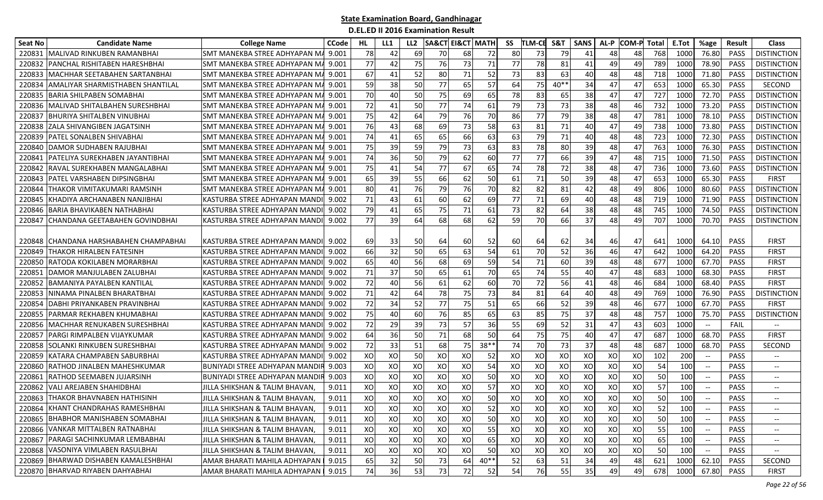| Seat No | <b>Candidate Name</b>                   | <b>College Name</b>                   | <b>CCode</b> | HL. | LL1 | LL <sub>2</sub> | SA&CT | <b>EI&amp;CT MATH</b> |        | SS | <b>TLM-CE</b> | S&T    | <b>SANS</b> | AL-P | <b>COM-P</b> Total |     | E.Tot | %age                                           | Result      | <b>Class</b>                      |
|---------|-----------------------------------------|---------------------------------------|--------------|-----|-----|-----------------|-------|-----------------------|--------|----|---------------|--------|-------------|------|--------------------|-----|-------|------------------------------------------------|-------------|-----------------------------------|
| 220831  | MALIVAD RINKUBEN RAMANBHAI              | <b>SMT MANEKBA STREE ADHYAPAN M</b>   | 9.001        | 78  | 42  | 69              | 70    | 68                    | 72     | 80 | 73            | 79     | 41          | 48   | 48                 | 768 | 1000  | 76.80                                          | <b>PASS</b> | <b>DISTINCTION</b>                |
| 220832  | PANCHAL RISHITABEN HARESHBHAI           | SMT MANEKBA STREE ADHYAPAN M          | 9.001        | 77  | 42  | 75              | 76    | 73                    | 71     | 77 | 78            | 81     | 41          | 49   | 49                 | 789 | 1000  | 78.90                                          | PASS        | <b>DISTINCTION</b>                |
| 220833  | MACHHAR SEETABAHEN SARTANBHAI           | SMT MANEKBA STREE ADHYAPAN M          | 9.001        | 67  | 41  | 52              | 80    | 71                    | 52     | 73 | 83            | 63     | 40          | 48   | 48                 | 718 | 1000  | 71.80                                          | <b>PASS</b> | <b>DISTINCTION</b>                |
| 220834  | <b>AMALIYAR SHARMISTHABEN SHANTILAL</b> | SMT MANEKBA STREE ADHYAPAN M.         | 9.001        | 59  | 38  | 50              | 77    | 65                    | 57     | 64 | 75            | $40**$ | 34          | 47   | 47                 | 653 | 1000  | 65.30                                          | <b>PASS</b> | SECOND                            |
| 220835  | BARIA SHILPABEN SOMABHAI                | SMT MANEKBA STREE ADHYAPAN M          | 9.001        | 70  | 40  | 50              | 75    | 69                    | 65     | 78 | 83            | 65     | 38          | 47   | 47                 | 727 | 1000  | 72.70                                          | <b>PASS</b> | <b>DISTINCTION</b>                |
| 220836  | MALIVAD SHITALBAHEN SURESHBHAI          | SMT MANEKBA STREE ADHYAPAN M/         | 9.001        | 72  | 41  | 50              | 77    | 74                    | 61     | 79 | 73            | 73     | 38          | 48   | 46                 | 732 | 1000  | 73.20                                          | <b>PASS</b> | <b>DISTINCTION</b>                |
| 220837  | <b>BHURIYA SHITALBEN VINUBHAI</b>       | SMT MANEKBA STREE ADHYAPAN M/         | 9.001        | 75  | 42  | 64              | 79    | 76                    | 70     | 86 | 77            | 79     | 38          | 48   | 47                 | 781 | 1000  | 78.10                                          | <b>PASS</b> | <b>DISTINCTION</b>                |
| 220838  | <b>ZALA SHIVANGIBEN JAGATSINH</b>       | SMT MANEKBA STREE ADHYAPAN M <i>i</i> | 9.001        | 76  | 43  | 68              | 69    | 73                    | 58     | 63 | 81            | 71     | 40          | 47   | 49                 | 738 | 1000  | 73.80                                          | <b>PASS</b> | <b>DISTINCTION</b>                |
| 220839  | PATEL SONALBEN SHIVABHAI                | SMT MANEKBA STREE ADHYAPAN M          | 9.001        | 74  | 41  | 65              | 65    | 66                    | 63     | 63 | 79            | 71     | 40          | 48   | 48                 | 723 | 1000  | 72.30                                          | PASS        | <b>DISTINCTION</b>                |
| 220840  | <b>DAMOR SUDHABEN RAJUBHAI</b>          | <b>SMT MANEKBA STREE ADHYAPAN M</b>   | 9.001        | 75  | 39  | 59              | 79    | 73                    | 63     | 83 | 78            | 80     | 39          | 48   | 47                 | 763 | 1000  | 76.30                                          | PASS        | <b>DISTINCTION</b>                |
| 220841  | <b>PATELIYA SUREKHABEN JAYANTIBHAI</b>  | SMT MANEKBA STREE ADHYAPAN M          | 9.001        | 74  | 36  | 50              | 79    | 62                    | 60     | 77 | 77            | 66     | 39          | 47   | 48                 | 715 | 1000  | 71.50                                          | <b>PASS</b> | <b>DISTINCTION</b>                |
| 220842  | RAVAL SUREKHABEN MANGALABHAI            | <b>SMT MANEKBA STREE ADHYAPAN M.</b>  | 9.001        | 75  | 41  | 54              | 77    | 67                    | 65     | 74 | 78            | 72     | 38          | 48   | 47                 | 736 | 1000  | 73.60                                          | <b>PASS</b> | <b>DISTINCTION</b>                |
| 220843  | IPATEL VARSHABEN DIPSINGBHAI            | ISMT MANEKBA STREE ADHYAPAN M.        | 9.001        | 65  | 39  | 55              | 66    | 62                    | 50     | 61 | 71            | 50     | 39          | 48   | 47                 | 653 | 1000  | 65.30                                          | PASS        | <b>FIRST</b>                      |
| 220844  | THAKOR VIMITAKUMARI RAMSINH             | SMT MANEKBA STREE ADHYAPAN M.         | 9.001        | 80  | 41  | 76              | 79    | 76                    | 70     | 82 | 82            | 81     | 42          | 48   | 49                 | 806 | 1000  | 80.60                                          | PASS        | <b>DISTINCTION</b>                |
| 220845  | KHADIYA ARCHANABEN NANJIBHAI            | KASTURBA STREE ADHYAPAN MAND          | 9.002        | 71  | 43  | 61              | 60    | 62                    | 69     | 77 | 71            | 69     | 40          | 48   | 48                 | 719 | 1000  | 71.90                                          | PASS        | <b>DISTINCTION</b>                |
| 220846  | <b>BARIA BHAVIKABEN NATHABHAI</b>       | KASTURBA STREE ADHYAPAN MAND          | 9.002        | 79  | 41  | 65              | 75    | 71                    | 61     | 73 | 82            | 64     | 38          | 48   | 48                 | 745 | 1000  | 74.50                                          | <b>PASS</b> | <b>DISTINCTION</b>                |
| 220847  | CHANDANA GEETABAHEN GOVINDBHAI          | KASTURBA STREE ADHYAPAN MAND          | 9.002        | 77  | 39  | 64              | 68    | 68                    | 62     | 59 | 70            | 66     | 37          | 48   | 49                 | 707 | 1000  | 70.70                                          | <b>PASS</b> | <b>DISTINCTION</b>                |
|         |                                         |                                       |              |     |     |                 |       |                       |        |    |               |        |             |      |                    |     |       |                                                |             |                                   |
|         | 220848  CHANDANA HARSHABAHEN CHAMPABHAI | KASTURBA STREE ADHYAPAN MANDI         | 9.002        | 69  | 33  | 50              | 64    | 60                    | 52     | 60 | 64            | 62     | 34          | 46   | 47                 | 641 | 1000  | 64.10                                          | <b>PASS</b> | <b>FIRST</b>                      |
| 220849  | <b>THAKOR HIRALBEN FATESINH</b>         | KASTURBA STREE ADHYAPAN MAND          | 9.002        | 66  | 32  | 50              | 65    | 63                    | 54     | 61 | 70            | 52     | 36          | 46   | 47                 | 642 | 1000  | 64.20                                          | PASS        | <b>FIRST</b>                      |
| 220850  | RATODA KOKILABEN MORARBHAI              | KASTURBA STREE ADHYAPAN MAND          | 9.002        | 65  | 40  | 56              | 68    | 69                    | 59     | 54 | 71            | 60     | 39          | 48   | 48                 | 677 | 1000  | 67.70                                          | PASS        | <b>FIRST</b>                      |
| 22085   | DAMOR MANJULABEN ZALUBHAI               | KASTURBA STREE ADHYAPAN MAND          | 9.002        | 71  | 37  | 50              | 65    | 61                    | 70     | 65 | 74            | 55     | 40          | 47   | 48                 | 683 | 1000  | 68.30                                          | PASS        | <b>FIRST</b>                      |
| 220852  | <b>BAMANIYA PAYALBEN KANTILAL</b>       | KASTURBA STREE ADHYAPAN MAND          | 9.002        | 72  | 40  | 56              | 61    | 62                    | 60     | 70 | 72            | 56     | 41          | 48   | 46                 | 684 | 1000  | 68.40                                          | PASS        | <b>FIRST</b>                      |
| 220853  | NINAMA PINALBEN BHARATBHAI              | KASTURBA STREE ADHYAPAN MAND          | 9.002        | 71  | 42  | 64              | 78    | 75                    | 73     | 84 | 81            | 64     | 40          | 48   | 49                 | 769 | 1000  | 76.90                                          | <b>PASS</b> | <b>DISTINCTION</b>                |
| 22085   | DABHI PRIYANKABEN PRAVINBHAI            | KASTURBA STREE ADHYAPAN MAND          | 9.002        | 72  | 34  | 52              | 77    | 75                    | 51     | 65 | 66            | 52     | 39          | 48   | 46                 | 677 | 1000  | 67.70                                          | PASS        | <b>FIRST</b>                      |
| 220855  | PARMAR REKHABEN KHUMABHAI               | KASTURBA STREE ADHYAPAN MAND          | 9.002        | 75  | 40  | 60              | 76    | 85                    | 65     | 63 | 85            | 75     | 37          | 48   | 48                 | 757 | 1000  | 75.70                                          | <b>PASS</b> | <b>DISTINCTION</b>                |
| 220856  | MACHHAR RENUKABEN SURESHBHAI            | KASTURBA STREE ADHYAPAN MAND          | 9.002        | 72  | 29  | 39              | 73    | 57                    | 36     | 55 | 69            | 52     | 31          | 47   | 43                 | 603 | 1000  | $\hspace{0.05cm} \textbf{--}$                  | FAIL        |                                   |
| 220857  | IPARGI RIMPALBEN VIJAYKUMAR             | KASTURBA STREE ADHYAPAN MAND          | 9.002        | 64  | 36  | 50              | 71    | 68                    | 50     | 64 | 75            | 75     | 40          | 47   | 47                 | 687 | 1000  | 68.70                                          | PASS        | <b>FIRST</b>                      |
| 220858  | <b>SOLANKI RINKUBEN SURESHBHAI</b>      | KASTURBA STREE ADHYAPAN MAND          | 9.002        | 72  | 33  | 51              | 68    | 75                    | $38**$ | 74 | 70            | 73     | 37          | 48   | 48                 | 687 | 1000  | 68.70                                          | PASS        | SECOND                            |
| 220859  | KATARA CHAMPABEN SABURBHAI              | KASTURBA STREE ADHYAPAN MAND          | 9.002        | XO  | XO  | 50              | XO    | XO                    | 52     | XO | XO            | XO     | XO          | XO   | XO                 | 102 | 200   |                                                | <b>PASS</b> |                                   |
| 220860  | RATHOD JINALBEN MAHESHKUMAR             | BUNIYADI STREE ADHYAPAN MANDI         | 9.003        | XO  | XO  | XO              | XO    | XO                    | 54     | XO | XO            | XO     | XO          | XO   | XO                 | 54  | 100   | $\overline{\phantom{a}}$                       | <b>PASS</b> |                                   |
| 22086   | RATHOD SEEMABEN JUJARSINH               | <b>BUNIYADI STREE ADHYAPAN MANDI</b>  | 9.003        | XO  | XO  | XO              | XO    | XO                    | 50     | XO | XO            | XO     | XO          | XO   | XO                 | 50  | 100   | $\overline{\phantom{a}}$                       | <b>PASS</b> | $- -$                             |
| 220862  | <b>VALI AREJABEN SHAHIDBHAI</b>         | JILLA SHIKSHAN & TALIM BHAVAN,        | 9.011        | XO  | XO  | XO              | XO    | XO                    | 57     | XO | XO            | XO     | XO          | XO   | XO                 | 57  | 100   |                                                | <b>PASS</b> | $\hspace{0.05cm} \dashrightarrow$ |
|         | 220863 THAKOR BHAVNABEN HATHISINH       | JILLA SHIKSHAN & TALIM BHAVAN,        | 9.011        | XO  | XO  | XO              | XO    | XO                    | 50     | XO | XO            | XO     | XO          | XO   | XO                 | 50  | 100   |                                                | <b>PASS</b> |                                   |
|         | 220864 KHANT CHANDRAHAS RAMESHBHAI      | JILLA SHIKSHAN & TALIM BHAVAN,        | 9.011        | xol | XO  | xo              | XO    | XO                    | 52     | XO | XO            | xol    | XO          | XO   | XO                 | 52  | 100   | $\hspace{0.1mm}-\hspace{0.1mm}-\hspace{0.1mm}$ | PASS        | $\overline{\phantom{a}}$          |
|         | 220865 BHABHOR MANISHABEN SOMABHAI      | JILLA SHIKSHAN & TALIM BHAVAN,        | 9.011        | XO  | XO  | XO              | XO    | XO                    | 50     | XO | xol           | XO     | XO          | xol  | XO                 | 50  | 100   |                                                | PASS        |                                   |
|         | 220866 VANKAR MITTALBEN RATNABHAI       | JILLA SHIKSHAN & TALIM BHAVAN,        | 9.011        | XO  | XO  | xo              | XO    | XO                    | 55     | XO | XO            | XO     | XO          | xo   | XO                 | 55  | 100   |                                                | PASS        | $\hspace{0.05cm} \dashrightarrow$ |
|         | 220867 PARAGI SACHINKUMAR LEMBABHAI     | JILLA SHIKSHAN & TALIM BHAVAN,        | 9.011        | XO  | XO  | XO              | XO    | XO                    | 65     | XO | XO            | XO     | XO          | XO   | XO                 | 65  | 100   |                                                | PASS        | $- -$                             |
|         | 220868 VASONIYA VIMLABEN RASULBHAI      | JILLA SHIKSHAN & TALIM BHAVAN,        | 9.011        | XO  | XO  | XO              | XO    | XO                    | 50     | XO | XO            | XO     | XO          | XO   | xol                | 50  | 100   |                                                | PASS        | $- -$                             |
|         | 220869 BHARWAD DISHABEN KAMALESHBHAI    | AMAR BHARATI MAHILA ADHYAPAN          | 9.015        | 65  | 32  | 50              | 73    | 64                    | $40**$ | 52 | 63            | 51     | 34          | 49   | 48                 | 621 | 1000  | 62.10                                          | PASS        | SECOND                            |
|         | 220870 BHARVAD RIYABEN DAHYABHAI        | AMAR BHARATI MAHILA ADHYAPAN          | 9.015        | 74  | 36  | 53              | 73    | 72                    | 52     | 54 | 76            | 55     | 35          | 49   | 49                 | 678 | 1000  | 67.80                                          | PASS        | <b>FIRST</b>                      |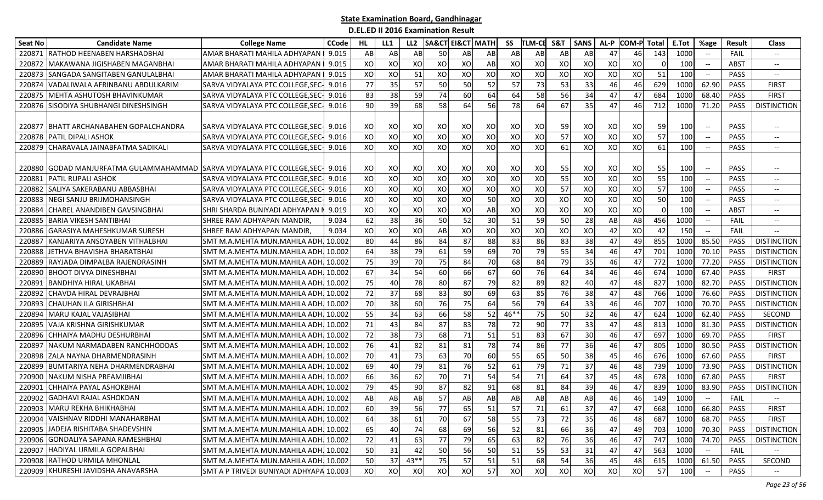| <b>Seat No</b> | <b>Candidate Name</b>                                                   | <b>College Name</b>                     | <b>CCode</b> | HL | LL1 | LL <sub>2</sub> | <b>SA&amp;CT EI&amp;CT MATH</b> |    |            | SS   | TLM-CE    | S&T | <b>SANS</b> | AL-P | <b>COM-P</b> | Total    | E.Tot | %age                                                | Result      | Class                                 |
|----------------|-------------------------------------------------------------------------|-----------------------------------------|--------------|----|-----|-----------------|---------------------------------|----|------------|------|-----------|-----|-------------|------|--------------|----------|-------|-----------------------------------------------------|-------------|---------------------------------------|
| 220871         | <b>RATHOD HEENABEN HARSHADBHAI</b>                                      | AMAR BHARATI MAHILA ADHYAPAN            | 9.015        | AB | AB  | AB              | 50                              | AB | AB         | AB   | AB        | AB  | AB          | 47   | 46           | 143      | 1000  |                                                     | <b>FAIL</b> |                                       |
| 220872         | MAKAWANA JIGISHABEN MAGANBHAI                                           | AMAR BHARATI MAHILA ADHYAPAN            | 9.015        | XO | XO  | XO              | XO                              | XO | AB         | XO   | XO        | XO  | XO          | XO   | XO           |          | 100   | $\hspace{0.05cm} -\hspace{0.05cm} -\hspace{0.05cm}$ | ABST        | $\hspace{0.05cm} \textbf{--}$         |
| 220873         | SANGADA SANGITABEN GANULALBHAI                                          | AMAR BHARATI MAHILA ADHYAPAN            | 9.015        | XO | XO  | 51              | XO                              | XO | XO         | XO   | XO        | XO  | XO          | XO   | XO           | 51       | 100   | --                                                  | <b>PASS</b> | $\overline{\phantom{a}}$              |
| 220874         | VADALIWALA AFRINBANU ABDULKARIM                                         | SARVA VIDYALAYA PTC COLLEGE, SEC        | 9.016        | 77 | 35  | 57              | 50                              | 50 | 52         | 57   | 73        | 53  | 33          | 46   | 46           | 629      | 1000  | 62.90                                               | <b>PASS</b> | <b>FIRST</b>                          |
| 220875         | <b>IMEHTA ASHUTOSH BHAVINKUMAR</b>                                      | SARVA VIDYALAYA PTC COLLEGE, SEC-       | 9.016        | 83 | 38  | 59              | 74                              | 60 | 64         | 64   | -58 l     | 56  | 34          | 47   | 47           | 684      | 1000  | 68.40                                               | <b>PASS</b> | <b>FIRST</b>                          |
|                | 220876 SISODIYA SHUBHANGI DINESHSINGH                                   | SARVA VIDYALAYA PTC COLLEGE, SEC- 9.016 |              | 90 | 39  | 68              | 58                              | 64 | 56         | 78   | 64        | 67  | 35          | 47   | 46           | 712      | 1000  | 71.20                                               | <b>PASS</b> | <b>DISTINCTION</b>                    |
|                |                                                                         |                                         |              |    |     |                 |                                 |    |            |      |           |     |             |      |              |          |       |                                                     |             |                                       |
|                | 220877 BHATT ARCHANABAHEN GOPALCHANDRA                                  | SARVA VIDYALAYA PTC COLLEGE, SEC- 9.016 |              | XO | xol | XO              | XO                              | XO | XO         | XO   | XO        | 59  | XO          | XO   | XO           | 59       | 100   | $-$                                                 | <b>PASS</b> | $\overline{\phantom{m}}$              |
| 220878         | <b>PATIL DIPALI ASHOK</b>                                               | SARVA VIDYALAYA PTC COLLEGE, SEC-       | 9.016        | XO | XO  | XO              | XO                              | XO | XO         | XO   | XO        | 57  | XO          | XO   | XO           | 57       | 100   | $\overline{\phantom{a}}$                            | <b>PASS</b> | $--$                                  |
|                | 220879 CHARAVALA JAINABFATMA SADIKALI                                   | SARVA VIDYALAYA PTC COLLEGE.SEC-        | 9.016        | XO | XO  | XO              | XO                              | XO | XO         | XO   | XO        | 61  | XO          | XO   | XO           | 61       | 100   | $\hspace{0.05cm} -\hspace{0.05cm} -\hspace{0.05cm}$ | <b>PASS</b> | --                                    |
|                |                                                                         |                                         |              |    |     |                 |                                 |    |            |      |           |     |             |      |              |          |       |                                                     |             |                                       |
| 220880         | GODAD MANJURFATMA GULAMMAHAMMAD SARVA VIDYALAYA PTC COLLEGE, SEC- 9.016 |                                         |              | хo | xol | xo              | xo                              | xo | XO         | XO   | xo        | 55  | XO          | XO   | XO           | 55       | 100   |                                                     | <b>PASS</b> | $\overline{\phantom{m}}$              |
| 220881         | <b>PATIL RUPALI ASHOK</b>                                               | SARVA VIDYALAYA PTC COLLEGE, SEC-       | 9.016        | XO | XO  | XO              | XO                              | XO | XO         | XO   | XO        | 55  | XO          | XO   | XO           | 55       | 100   |                                                     | <b>PASS</b> | $\overline{\phantom{a}}$              |
| 220882         | ISALIYA SAKERABANU ABBASBHAI                                            | SARVA VIDYALAYA PTC COLLEGE, SEC- 9.016 |              | XO | XO  | XO              | XO                              | XO | XO         | XO   | XO        | 57  | XO          | XO   | xol          | 57       | 100   | $\hspace{0.05cm} -\hspace{0.05cm} -\hspace{0.05cm}$ | <b>PASS</b> | $\overline{\phantom{a}}$              |
| 220883         | <b>NEGI SANJU BRIJMOHANSINGH</b>                                        | SARVA VIDYALAYA PTC COLLEGE, SEC- 9.016 |              | XO | XO  | XO              | XO                              | XO | 50         | XO   | XO        | XO  | XO          | XO   | XO           | 50       | 100   |                                                     | <b>PASS</b> | $\overline{\phantom{a}}$              |
| 220884         | <b>CHAREL ANANDIBEN GAVSINGBHAI</b>                                     | SHRI SHARDA BUNIYADI ADHYAPAN N         | 9.019        | XO | XO  | XO              | XO                              | XO | ${\sf AB}$ | XO   | XO        | XO  | XO          | XO   | XO           | $\Omega$ | 100   |                                                     | <b>ABST</b> | $-$                                   |
| 220885         | <b>BARIA VIKESH SANTIBHAI</b>                                           | SHREE RAM ADHYAPAN MANDIR               | 9.034        | 62 | 38  | 36              | 50                              | 52 | 30         | 51   | 59        | 50  | 28          | AB   | AB           | 456      | 1000  | $\hspace{0.1mm}-\hspace{0.1mm}-\hspace{0.1mm}$      | FAIL        | $\hspace{0.05cm}$ – $\hspace{0.05cm}$ |
| 220886         | <b>GARASIYA MAHESHKUMAR SURESH</b>                                      | SHREE RAM ADHYAPAN MANDIR               | 9.034        | XO | XO  | XO              | AB                              | XO | XO         | XO   | XO        | XO  | XO          | 42   | XO           | 42       | 150   | $\hspace{0.05cm} -\hspace{0.05cm} -\hspace{0.05cm}$ | FAIL        | $-$                                   |
| 22088          | KANJARIYA ANSOYABEN VITHALBHAI                                          | SMT M.A.MEHTA MUN.MAHILA ADH            | 10.002       | 80 | 44  | 86              | 84                              | 87 | 88         | 83   | 86        | 83  | 38          | 47   | 49           | 855      | 1000  | 85.50                                               | PASS        | <b>DISTINCTION</b>                    |
| 220888         | JETHVA BHAVISHA BHARATBHAI                                              | SMT M.A.MEHTA MUN.MAHILA ADH            | 10.002       | 64 | 38  | 79              | 61                              | 59 | 69         | 70   | 79        | 55  | 34          | 46   | 47           | 701      | 1000  | 70.10                                               | PASS        | <b>DISTINCTION</b>                    |
| 220889         | RAYJADA DIMPALBA RAJENDRASINH                                           | SMT M.A.MEHTA MUN.MAHILA ADH.           | . 10.002     | 75 | 39  | 70              | 75                              | 84 | 70         | 68   | 84        | 79  | 35          | 46   | 47           | 772      | 1000  | 77.20                                               | <b>PASS</b> | <b>DISTINCTION</b>                    |
| 220890         | <b>BHOOT DIVYA DINESHBHAI</b>                                           | SMT M.A.MEHTA MUN.MAHILA ADH            | 10.002       | 67 | 34  | 54              | 60                              | 66 | 67         | 60   | 76        | 64  | 34          | 46   | 46           | 674      | 1000  | 67.40                                               | PASS        | <b>FIRST</b>                          |
| 22089          | <b>BANDHIYA HIRAL UKABHAI</b>                                           | SMT M.A.MEHTA MUN.MAHILA ADH.           | . 10.002     | 75 | 40  | 78              | 80                              | 87 | 79         | 82   | 89        | 82  | 40          | 47   | 48           | 827      | 1000  | 82.70                                               | PASS        | <b>DISTINCTION</b>                    |
| 220892         | CHAVDA HIRAL DEVRAJBHAI                                                 | SMT M.A.MEHTA MUN.MAHILA ADH.           | 10.002       | 72 | 37  | 68              | 83                              | 80 | 69         | 63   | 85        | 76  | 38          | 47   | 48           | 766      | 1000  | 76.60                                               | PASS        | <b>DISTINCTION</b>                    |
| 220893         | <b>CHAUHAN ILA GIRISHBHAI</b>                                           | SMT M.A.MEHTA MUN.MAHILA ADH. 10.002    |              | 70 | 38  | 60              | 76                              | 75 | 64         | 56   | 79        | 64  | 33          | 46   | 46           | 707      | 1000  | 70.70                                               | <b>PASS</b> | <b>DISTINCTION</b>                    |
| 22089          | MARU KAJAL VAJASIBHAI                                                   | SMT M.A.MEHTA MUN.MAHILA ADH            | 10.002       | 55 | 34  | 63              | 66                              | 58 | 52         | 46** | 75        | 50  | 32          | 46   | 47           | 624      | 1000  | 62.40                                               | PASS        | SECOND                                |
| 220895         | VAJA KRISHNA GIRISHKUMAR                                                | SMT M.A.MEHTA MUN.MAHILA ADH            | 10.002       | 71 | 43  | 84              | 87                              | 83 | 78         | 72   | 90        | 77  | 33          | 47   | 48           | 813      | 1000  | 81.30                                               | PASS        | <b>DISTINCTION</b>                    |
| 220896         | CHHAIYA MADHU DESHURBHAI                                                | SMT M.A.MEHTA MUN.MAHILA ADH.           | 10.002       | 72 | 38  | 73              | 68                              | 71 | 51         | 51   | 83        | 67  | 30          | 46   | 47           | 697      | 1000  | 69.70                                               | PASS        | <b>FIRST</b>                          |
| 220897         | NAKUM NARMADABEN RANCHHODDAS                                            | SMT M.A.MEHTA MUN.MAHILA ADH.           | . 10.002     | 76 | 41  | 82              | 81                              | 81 | 78         | 74   | 86        | 77  | 36          | 46   | 47           | 805      | 1000  | 80.50                                               | <b>PASS</b> | <b>DISTINCTION</b>                    |
| 220898         | <b>ZALA NAYNA DHARMENDRASINH</b>                                        | SMT M.A.MEHTA MUN.MAHILA ADH            | 10.002       | 70 | 41  | 73              | 63                              | 70 | 60         | 55   | 65        | 50  | 38          | 45   | 46           | 676      | 1000  | 67.60                                               | PASS        | <b>FIRST</b>                          |
| 220899         | <b>BUMTARIYA NEHA DHARMENDRABHAI</b>                                    | SMT M.A.MEHTA MUN.MAHILA ADH.           | 10.002       | 69 | 40  | 79              | 81                              | 76 | 52         | 61   | 79        | 71  | 37          | 46   | 48           | 739      | 1000  | 73.90                                               | PASS        | <b>DISTINCTION</b>                    |
| 220900         | NAKUM NISHA PREAMJIBHAI                                                 | SMT M.A.MEHTA MUN.MAHILA ADH            | 10.002       | 66 | 36  | 62              | 70                              | 71 | 54         | 54   | 71        | 64  | 37          | 45   | 48           | 678      | 1000  | 67.80                                               | PASS        | <b>FIRST</b>                          |
| 220901         | CHHAIYA PAYAL ASHOKBHAI                                                 | SMT M.A.MEHTA MUN.MAHILA ADH            | 10.002       | 79 | 45  | 90              | 87                              | 82 | 91         | 68   | 81        | 84  | 39          | 46   | 47           | 839      | 1000  | 83.90                                               | <b>PASS</b> | <b>DISTINCTION</b>                    |
| 220902         | <b>GADHAVI RAJAL ASHOKDAN</b>                                           | SMT M.A.MEHTA MUN.MAHILA ADH.           | . 10.002     | AB | ABI | AB              | 57                              | AB | AB         | AB   | AB        | AB  | AB          | 46   | 46           | 149      | 1000  | $--$                                                | FAIL        | $-$                                   |
|                | 220903 MARU REKHA BHIKHABHAI                                            | SMT M.A.MEHTA MUN.MAHILA ADH. 10.002    |              | 60 | 39  | 56              | 77                              | 65 | 51         | 57   | <b>71</b> | 61  | 37 I        | 47   | 47           | 668      | 1000  | 66.80                                               | PASS        | <b>FIRST</b>                          |
|                | 220904 VAISHNAV RIDDHI MANAHARBHAI                                      | SMT M.A.MEHTA MUN.MAHILA ADH. 10.002    |              | 64 | 38  | 61              | 70                              | 67 | 58         | 55   | 73        | 72  | 35          | 46   | 48           | 687      | 1000  | 68.70                                               | PASS        | <b>FIRST</b>                          |
|                | 220905 JADEJA RISHITABA SHADEVSHIN                                      | SMT M.A.MEHTA MUN.MAHILA ADH. 10.002    |              | 65 | 40  | 74              | 68                              | 69 | 56         | 52   | 81        | 66  | 36          | 47   | 49           | 703      | 1000  | 70.30                                               | PASS        | <b>DISTINCTION</b>                    |
|                | 220906 GONDALIYA SAPANA RAMESHBHAI                                      | SMT M.A.MEHTA MUN.MAHILA ADH. 10.002    |              | 72 | 41  | 63              | 77                              | 79 | 65         | 63   | 82        | 76  | 36          | 46   | 47           | 747      | 1000  | 74.70                                               | PASS        | <b>DISTINCTION</b>                    |
|                | 220907 HADIYAL URMILA GOPALBHAI                                         | SMT M.A.MEHTA MUN.MAHILA ADH. 10.002    |              | 50 | 31  | 42              | 50                              | 56 | 50         | 51   | 55        | 53  | 31          | 47   | 47           | 563      | 1000  |                                                     | FAIL        |                                       |
|                | 220908 RATHOD URMILA MHONLAL                                            | SMT M.A.MEHTA MUN.MAHILA ADH. 10.002    |              | 50 | 37  | $43**$          | 75                              | 57 | 51         | 51   | 68        | 54  | 36          | 45   | 48           | 615      | 1000  | 61.50                                               | PASS        | SECOND                                |
|                | 220909 KHURESHI JAVIDSHA ANAVARSHA                                      | SMT A P TRIVEDI BUNIYADI ADHYAPA 10.003 |              | XO | XO  | xo              | XO                              | XO | 57         | XO   | XO        | XO  | XO          | xo   | xol          | 57       | 100   | $\hspace{0.05cm} \dashrightarrow$                   | PASS        | $\overline{\phantom{a}}$              |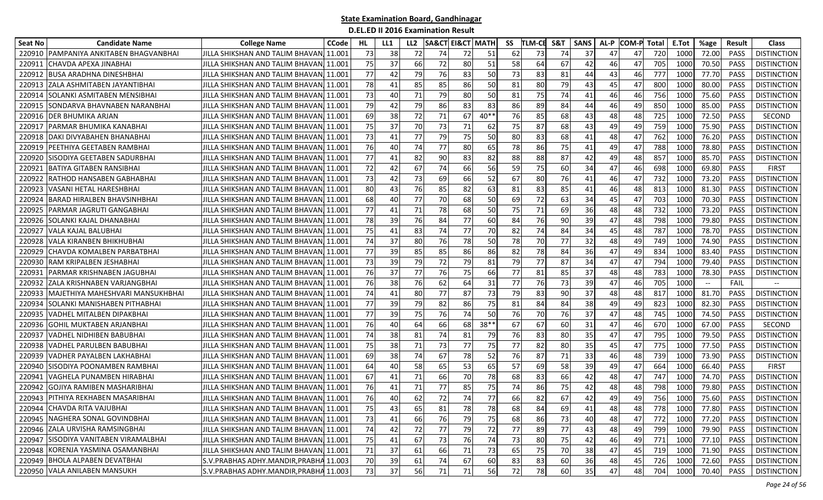| Seat No | <b>Candidate Name</b>                 | <b>College Name</b>                      | <b>CCode</b> | HL. | LL1 | LL <sub>2</sub> |        |    | <b>SA&amp;CT EI&amp;CT MATH</b> | SS | TLM-CE | S&T | <b>SANS</b> | AL-P | <b>COM-P</b> | <b>Total</b> | E.Tot | %age  | <b>Result</b> | <b>Class</b>       |
|---------|---------------------------------------|------------------------------------------|--------------|-----|-----|-----------------|--------|----|---------------------------------|----|--------|-----|-------------|------|--------------|--------------|-------|-------|---------------|--------------------|
| 220910  | [PAMPANIYA ANKITABEN BHAGVANBHAI      | JILLA SHIKSHAN AND TALIM BHAVAN          | 11.001       | 73  | 38  | 72              | 74     | 72 | 51                              | 62 | 73     | 74  | 37          | 47   | 47           | 720          | 1000  | 72.00 | <b>PASS</b>   | <b>DISTINCTION</b> |
| 22091   | CHAVDA APEXA JINABHAI                 | JILLA SHIKSHAN AND TALIM BHAVAN,         | 11.001       | 75  | 37  | 66              | 72     | 80 | 51                              | 58 | 64     | 67  | 42          | 46   | 47           | 705          | 1000  | 70.50 | PASS          | <b>DISTINCTION</b> |
| 220912  | <b>BUSA ARADHNA DINESHBHAI</b>        | JILLA SHIKSHAN AND TALIM BHAVAN,         | 11.001       | 77  | 42  | 79              | 76     | 83 | 50                              | 73 | 83     | 81  | 44          | 43   | 46           | 777          | 1000  | 77.70 | <b>PASS</b>   | <b>DISTINCTION</b> |
| 220913  | ZALA ASHMITABEN JAYANTIBHAI           | JILLA SHIKSHAN AND TALIM BHAVAN,         | 11.001       | 78  | 41  | 85              | 85     | 86 | 50                              | 81 | 80     | 79  | 43          | 45   | 47           | 800          | 1000  | 80.00 | <b>PASS</b>   | <b>DISTINCTION</b> |
| 220914  | ISOLANKI ASMITABEN MENSIBHAI          | JILLA SHIKSHAN AND TALIM BHAVANJ 11.001  |              | 73  | 40  | 71              | 79     | 80 | 50                              | 81 | 75     | 74  | 41          | 46   | 46           | 756          | 1000  | 75.60 | <b>PASS</b>   | <b>DISTINCTION</b> |
| 220915  | SONDARVA BHAVNABEN NARANBHAI          | JILLA SHIKSHAN AND TALIM BHAVAN 11.001   |              | 79  | 42  | 79              | 86     | 83 | 83                              | 86 | 89     | 84  | 44          | 46   | 49           | 850          | 1000  | 85.00 | <b>PASS</b>   | <b>DISTINCTION</b> |
| 220916  | <b>DER BHUMIKA ARJAN</b>              | JILLA SHIKSHAN AND TALIM BHAVANJ 11.001  |              | 69  | 38  | 72              | 71     | 67 | $40**$                          | 76 | 85     | 68  | 43          | 48   | 48           | 725          | 1000  | 72.50 | PASS          | SECOND             |
| 220917  | PARMAR BHUMIKA KANABHAI               | JILLA SHIKSHAN AND TALIM BHAVAN, 11.001  |              | 75  | 37  | 70              | 73     | 71 | 62                              | 75 | 87     | 68  | 43          | 49   | 49           | 759          | 1000  | 75.90 | <b>PASS</b>   | <b>DISTINCTION</b> |
| 220918  | DAKI DIVYABAHEN BHANABHAI             | JILLA SHIKSHAN AND TALIM BHAVANI 11.001  |              | 73  | 41  | 77              | 79     | 75 | 50                              | 80 | 83     | 68  | 41          | 48   | 47           | 762          | 1000  | 76.20 | <b>PASS</b>   | <b>DISTINCTION</b> |
| 220919  | PEETHIYA GEETABEN RAMBHAI             | JILLA SHIKSHAN AND TALIM BHAVAN 11.001   |              | 76  | 40  | 74              | 77     | 80 | 65                              | 78 | 86     | 75  | 41          | 49   | 47           | 788          | 1000  | 78.80 | <b>PASS</b>   | <b>DISTINCTION</b> |
| 220920  | SISODIYA GEETABEN SADURBHAI           | <b>JJILLA SHIKSHAN AND TALIM BHAVAN</b>  | 11.001       | 77  | 41  | 82              | 90     | 83 | 82                              | 88 | 88     | 87  | 42          | 49   | 48           | 857          | 1000  | 85.70 | <b>PASS</b>   | <b>DISTINCTION</b> |
| 22092   | BATIYA GITABEN RANSIBHAI              | JILLA SHIKSHAN AND TALIM BHAVAN,         | 11.001       | 72  | 42  | 67              | 74     | 66 | 56                              | 59 | 75     | 60  | 34          | 47   | 46           | 698          | 1000  | 69.80 | PASS          | <b>FIRST</b>       |
| 220922  | RATHOD HANSABEN GABHABHAI             | IJILLA SHIKSHAN AND TALIM BHAVANI 11.001 |              | 73  | 42  | 73              | 69     | 66 | 52                              | 67 | 80     | 76  | 41          | 46   | 47           | 732          | 1000  | 73.20 | <b>PASS</b>   | <b>DISTINCTION</b> |
| 220923  | <b>VASANI HETAL HARESHBHAI</b>        | IJILLA SHIKSHAN AND TALIM BHAVAN.        | 11.001       | 80  | 43  | 76              | 85     | 82 | 63                              | 81 | 83     | 85  | 41          | 46   | 48           | 813          | 1000  | 81.30 | <b>PASS</b>   | <b>DISTINCTION</b> |
| 220924  | <b>BARAD HIRALBEN BHAVSINHBHAI</b>    | JILLA SHIKSHAN AND TALIM BHAVAN          | 11.001       | 68  | 40  | 77              | 70     | 68 | 50                              | 69 | 72     | 63  | 34          | 45   | 47           | 703          | 1000  | 70.30 | <b>PASS</b>   | <b>DISTINCTION</b> |
| 220925  | PARMAR JAGRUTI GANGABHAI              | JILLA SHIKSHAN AND TALIM BHAVAN 11.001   |              | 77  | 41  | 71              | 78     | 68 | 50                              | 75 | 71     | 69  | 36          | 48   | 48           | 732          | 1000  | 73.20 | <b>PASS</b>   | <b>DISTINCTION</b> |
| 220926  | SOLANKI KAJAL DHANABHAI               | JILLA SHIKSHAN AND TALIM BHAVAN 11.001   |              | 78  | 39  | 76              | 84     | 77 | 60                              | 84 | 76     | 90  | 39          | 47   | 48           | 798          | 1000  | 79.80 | <b>PASS</b>   | <b>DISTINCTION</b> |
| 22092   | VALA KAJAL BALUBHAI                   | JILLA SHIKSHAN AND TALIM BHAVAN          | 11.001       | 75  | 41  | 83              | 74     | 77 | 70                              | 82 | 74     | 84  | 34          | 45   | 48           | 787          | 1000  | 78.70 | PASS          | <b>DISTINCTION</b> |
| 220928  | VALA KIRANBEN BHIKHUBHAI              | <b>JILLA SHIKSHAN AND TALIM BHAVAN</b>   | 11.001       | 74  | 37  | 80              | 76     | 78 | 50                              | 78 | 70     | 77  | 32          | 48   | 49           | 749          | 1000  | 74.90 | PASS          | <b>DISTINCTION</b> |
| 220929  | CHAVDA KOMALBEN PARBATBHAI            | IJILLA SHIKSHAN AND TALIM BHAVAN.        | 11.001       | 77  | 39  | 85              | 85     | 86 | 86                              | 82 | 78     | 84  | 36          | 47   | 49           | 834          | 1000  | 83.40 | <b>PASS</b>   | <b>DISTINCTION</b> |
| 220930  | <b>RAM KRIPALBEN JESHABHAI</b>        | JILLA SHIKSHAN AND TALIM BHAVANI 11.001  |              | 73  | 39  | 79              | 72     | 79 | 81                              | 79 | 77     | 87  | 34          | 47   | 47           | 794          | 1000  | 79.40 | <b>PASS</b>   | <b>DISTINCTION</b> |
| 22093   | PARMAR KRISHNABEN JAGUBHAI            | JILLA SHIKSHAN AND TALIM BHAVAN, 11.001  |              | 76  | 37  | 77              | 76     | 75 | 66                              | 77 | 81     | 85  | 37          | 48   | 48           | 783          | 1000  | 78.30 | <b>PASS</b>   | <b>DISTINCTION</b> |
| 220932  | ZALA KRISHNABEN VARJANGBHAI           | IJILLA SHIKSHAN AND TALIM BHAVAN.        | 11.001       | 76  | 38  | 76              | 62     | 64 | 31                              | 77 | 76     | 73  | 39          | 47   | 46           | 705          | 1000  | $-\!$ | FAIL          |                    |
| 220933  | MAJETHIYA MAHESHVARI MANSUKHBHAI      | JILLA SHIKSHAN AND TALIM BHAVAN 11.001   |              | 74  | 41  | 80              | 77     | 87 | 73                              | 79 | 83     | 90  | 37          | 48   | 48           | 817          | 1000  | 81.70 | <b>PASS</b>   | <b>DISTINCTION</b> |
| 220934  | SOLANKI MANISHABEN PITHABHAI          | IJILLA SHIKSHAN AND TALIM BHAVAN.        | 11.001       | 77  | 39  | 79              | 82     | 86 | 75                              | 81 | 84     | 84  | 38          | 49   | 49           | 823          | 1000  | 82.30 | <b>PASS</b>   | <b>DISTINCTION</b> |
| 220935  | VADHEL MITALBEN DIPAKBHAI             | JILLA SHIKSHAN AND TALIM BHAVAN          | 11.001       | 77  | 39  | 75              | 76     | 74 | 50                              | 76 | 70     | 76  | 37          | 47   | 48           | 745          | 1000  | 74.50 | <b>PASS</b>   | <b>DISTINCTION</b> |
| 220936  | <b>GOHIL MUKTABEN ARJANBHAI</b>       | JILLA SHIKSHAN AND TALIM BHAVAN,         | 11.001       | 76  | 40  | 64              | 66     | 68 | 38**                            | 67 | 67     | 60  | 31          | 47   | 46           | 670          | 1000  | 67.00 | PASS          | SECOND             |
| 220937  | <b>VADHEL NIDHIBEN BABUBHAI</b>       | IJILLA SHIKSHAN AND TALIM BHAVANI 11.001 |              | 74  | 38  | 81              | 74     | 81 | 79                              | 76 | 83     | 80  | 35          | 47   | 47           | 795          | 1000  | 79.50 | <b>PASS</b>   | <b>DISTINCTION</b> |
| 220938  | VADHEL PARULBEN BABUBHAI              | JILLA SHIKSHAN AND TALIM BHAVAN, 11.001  |              | 75  | 38  | 71              | 73     | 77 | 75                              | 77 | 82     | 80  | 35          | 45   | 47           | 775          | 1000  | 77.50 | PASS          | <b>DISTINCTION</b> |
| 220939  | <b>VADHER PAYALBEN LAKHABHAI</b>      | JILLA SHIKSHAN AND TALIM BHAVAN 11.001   |              | 69  | 38  | 74              | 67     | 78 | 52                              | 76 | 87     | 71  | 33          | 46   | 48           | 739          | 1000  | 73.90 | PASS          | <b>DISTINCTION</b> |
| 220940  | SISODIYA POONAMBEN RAMBHAI            | JILLA SHIKSHAN AND TALIM BHAVAN, 11.001  |              | 64  | 40  | 58              | 65     | 53 | 65                              | 57 | 69     | 58  | 39          | 49   | 47           | 664          | 1000  | 66.40 | PASS          | <b>FIRST</b>       |
| 220941  | VAGHELA PUNAMBEN HIRABHAI             | JILLA SHIKSHAN AND TALIM BHAVAN, 11.001  |              | 67  | 41  | 71              | 66     | 70 | 78                              | 68 | 83     | 66  | 42          | 48   | 47           | 747          | 1000  | 74.70 | <b>PASS</b>   | <b>DISTINCTION</b> |
| 220942  | GOJIYA RAMIBEN MASHARIBHAI            | JILLA SHIKSHAN AND TALIM BHAVAN          | 11.001       | 76  | 41  | 71              | 77     | 85 | 75                              | 74 | 86     | 75  | 42          | 48   | 48           | 798          | 1000  | 79.80 | <b>PASS</b>   | <b>DISTINCTION</b> |
|         | 220943 PITHIYA REKHABEN MASARIBHAI    | JILLA SHIKSHAN AND TALIM BHAVAN,         | 11.001       | 76  | 40  | 62              | 72     | 74 | $\overline{77}$                 | 66 | 82     | 67  | 42          | 49   | 49           | 756          | 1000  | 75.60 | <b>PASS</b>   | <b>DISTINCTION</b> |
|         | 220944 CHAVDA RITA VAJUBHAI           | JILLA SHIKSHAN AND TALIM BHAVAN 11.001   |              | 75  | 43  | 65              | 81     | 78 | 78                              | 68 | 84     | 69  | 41          | 48   | 48           | 778          | 1000  | 77.80 | PASS          | <b>DISTINCTION</b> |
|         | 220945 NAGHERA SONAL GOVINDBHAI       | JILLA SHIKSHAN AND TALIM BHAVAN 11.001   |              | 73  | 41  | 66              | 76     | 79 | 75                              | 68 | 86     | 73  | 40          | 48   | 47           | 772          | 1000  | 77.20 | <b>PASS</b>   | <b>DISTINCTION</b> |
|         | 220946 ZALA URVISHA RAMSINGBHAI       | JILLA SHIKSHAN AND TALIM BHAVAN 11.001   |              | 74  | 42  | 72              | 77     | 79 | 72                              | 77 | 89     | 77  | 43          | 48   | 49           | 799          | 1000  | 79.90 | PASS          | <b>DISTINCTION</b> |
|         | 220947 SISODIYA VANITABEN VIRAMALBHAI | JILLA SHIKSHAN AND TALIM BHAVAN 11.001   |              | 75  | 41  | 67              | 73     | 76 | 74                              | 73 | 80     | 75  | 42          | 46   | 49           | 771          | 1000  | 77.10 | PASS          | <b>DISTINCTION</b> |
|         | 220948 KORENJA YASMINA OSAMANBHAI     | JILLA SHIKSHAN AND TALIM BHAVAN 11.001   |              | 71  | 37  | 61              | 66     | 71 | 73                              | 65 | 75     | 70  | 38          | 47   | 45           | 719          | 1000  | 71.90 | PASS          | <b>DISTINCTION</b> |
|         | 220949 BHOLA ALPABEN DEVATBHAI        | S.V. PRABHAS ADHY. MANDIR, PRABHA 11.003 |              | 70  | 39  | 61              | 74     | 67 | 60                              | 83 | 83     | 60  | 36          | 48   | 45           | 726          | 1000  | 72.60 | PASS          | <b>DISTINCTION</b> |
|         | 220950 VALA ANILABEN MANSUKH          | S.V. PRABHAS ADHY. MANDIR, PRABHA 11.003 |              | 73  | 37  | 56              | $71\,$ | 71 | 56                              | 72 | 78     | 60  | 35          | 47   | 48           | 704          | 1000  | 70.40 | PASS          | <b>DISTINCTION</b> |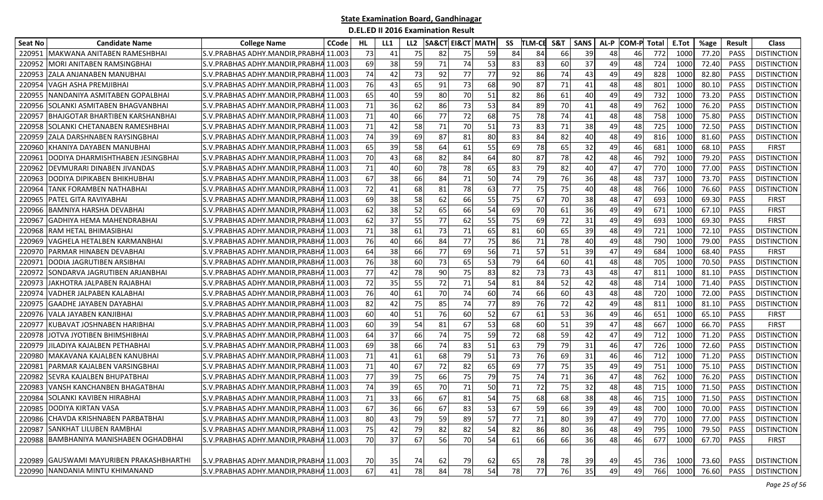| Seat No | <b>Candidate Name</b>                    | <b>College Name</b>                      | <b>CCode</b> | HL. | LL1 | LL <sub>2</sub> | <b>SA&amp;CT</b> | EI&CT MATH |    | SS | <b>TLM-CE</b> | <b>S&amp;T</b> | <b>SANS</b> | AL-P | <b>COM-P Total</b> |     | E.Tot | %age  | Result      | <b>Class</b>       |
|---------|------------------------------------------|------------------------------------------|--------------|-----|-----|-----------------|------------------|------------|----|----|---------------|----------------|-------------|------|--------------------|-----|-------|-------|-------------|--------------------|
| 22095   | MAKWANA ANITABEN RAMESHBHAI              | S.V.PRABHAS ADHY.MANDIR, PRABHA          | 11.003       | 73  | 41  | 75              | 82               | 75         | 59 | 84 | 84            | 66             | 39          | 48   | 46                 | 772 | 1000  | 77.20 | <b>PASS</b> | <b>DISTINCTION</b> |
| 22095   | MORI ANITABEN RAMSINGBHAI                | S.V.PRABHAS ADHY.MANDIR, PRABHA          | 11.003       | 69  | 38  | 59              | 71               | 74         | 53 | 83 | 83            | 60             | 37          | 49   | 48                 | 724 | 1000  | 72.40 | PASS        | <b>DISTINCTION</b> |
| 22095   | ZALA ANJANABEN MANUBHAI                  | S.V.PRABHAS ADHY.MANDIR, PRABHA          | 11.003       | 74  | 42  | 73              | 92               | 77         | 77 | 92 | 86            | 74             | 43          | 49   | 49                 | 828 | 1000  | 82.80 | PASS        | <b>DISTINCTION</b> |
| 220954  | VAGH ASHA PREMJIBHAI                     | S.V.PRABHAS ADHY.MANDIR,PRABHA 11.003    |              | 76  | 43  | 65              | 91               | 73         | 68 | 90 | 87            | 71             | 41          | 48   | 48                 | 801 | 1000  | 80.10 | <b>PASS</b> | <b>DISTINCTION</b> |
| 22095   | NANDANIYA ASMITABEN GOPALBHAI            | S.V. PRABHAS ADHY. MANDIR, PRABHA 11.003 |              | 65  | 40  | 59              | 80               | 70         | 51 | 82 | 86            | 61             | 40          | 49   | 49                 | 732 | 1000  | 73.20 | <b>PASS</b> | <b>DISTINCTION</b> |
| 220956  | SOLANKI ASMITABEN BHAGVANBHAI            | S.V.PRABHAS ADHY.MANDIR,PRABHA 11.003    |              | 71  | 36  | 62              | 86               | 73         | 53 | 84 | 89            | 70             | 41          | 48   | 49                 | 762 | 1000  | 76.20 | <b>PASS</b> | <b>DISTINCTION</b> |
| 22095   | BHAJGOTAR BHARTIBEN KARSHANBHAI          | S.V.PRABHAS ADHY.MANDIR,PRABHA           | 11.003       | 71  | 40  | 66              | 77               | 72         | 68 | 75 | 78            | 74             | 41          | 48   | 48                 | 758 | 1000  | 75.80 | PASS        | <b>DISTINCTION</b> |
| 220958  | SOLANKI CHETANABEN RAMESHBHAI            | S.V.PRABHAS ADHY.MANDIR,PRABHA           | 11.003       | 71  | 42  | 58              | 71               | 70         | 51 | 73 | 83            | 71             | 38          | 49   | 48                 | 725 | 100   | 72.50 | <b>PASS</b> | <b>DISTINCTION</b> |
| 220959  | ZALA DARSHNABEN RAYSINGBHAI              | S.V.PRABHAS ADHY.MANDIR.PRABHA           | 11.003       | 74  | 39  | 69              | 87               | 81         | 80 | 83 | 84            | 82             | 40          | 48   | 49                 | 816 | 1000  | 81.60 | <b>PASS</b> | <b>DISTINCTION</b> |
| 220960  | KHANIYA DAYABEN MANUBHAI                 | S.V. PRABHAS ADHY. MANDIR, PRABHA        | 11.003       | 65  | 39  | 58              | 64               | 61         | 55 | 69 | 78            | 65             | 32          | 49   | 46                 | 681 | 1000  | 68.10 | PASS        | <b>FIRST</b>       |
| 22096   | DODIYA DHARMISHTHABEN JESINGBHAI         | S.V. PRABHAS ADHY. MANDIR, PRABHA        | 11.003       | 70  | 43  | 68              | 82               | 84         | 64 | 80 | 87            | 78             | 42          | 48   | 46                 | 792 | 100   | 79.20 | PASS        | <b>DISTINCTION</b> |
| 220962  | DEVMURARI DINABEN JIVANDAS               | S.V.PRABHAS ADHY.MANDIR,PRABHA 11.003    |              | 71  | 40  | 60              | 78               | 78         | 65 | 83 | 79            | 82             | 40          | 47   | 47                 | 770 | 1000  | 77.00 | PASS        | <b>DISTINCTION</b> |
| 220963  | DODIYA DIPIKABEN BHIKHUBHAI              | S.V.PRABHAS ADHY.MANDIR.PRABHA 11.003    |              | 67  | 38  | 66              | 84               | 71         | 50 | 74 | 79            | 76             | 36          | 48   | 48                 | 737 | 1000  | 73.70 | PASS        | <b>DISTINCTION</b> |
| 220964  | TANK FORAMBEN NATHABHAI                  | S.V.PRABHAS ADHY.MANDIR,PRABHA 11.003    |              | 72  | 41  | 68              | 81               | 78         | 63 | 77 | 75            | 75             | 40          | 48   | 48                 | 766 | 1000  | 76.60 | PASS        | <b>DISTINCTION</b> |
| 220965  | <b>PATEL GITA RAVIYABHAI</b>             | S.V. PRABHAS ADHY. MANDIR, PRABHA 11.003 |              | 69  | 38  | 58              | 62               | 66         | 55 | 75 | 67            | 70             | 38          | 48   | 47                 | 693 | 1000  | 69.30 | PASS        | <b>FIRST</b>       |
| 220966  | BAMNIYA HARSHA DEVABHAI                  | S.V.PRABHAS ADHY.MANDIR.PRABHA 11.003    |              | 62  | 38  | 52              | 65               | 66         | 54 | 69 | 70            | 61             | 36          | 49   | 49                 | 671 | 1000  | 67.10 | PASS        | <b>FIRST</b>       |
| 220967  | GADHIYA HEMA MAHENDRABHAI                | S.V. PRABHAS ADHY. MANDIR. PRABHA        | 11.003       | 62  | 37  | 55              | 77               | 62         | 55 | 75 | 69            | 72             | 31          | 49   | 49                 | 693 | 1000  | 69.30 | PASS        | <b>FIRST</b>       |
| 220968  | RAM HETAL BHIMASIBHAI                    | S.V. PRABHAS ADHY. MANDIR. PRABHA        | 11.003       | 71  | 38  | 61              | 73               | 71         | 65 | 81 | 60            | 65             | 39          | 48   | 49                 | 721 | 1000  | 72.10 | PASS        | <b>DISTINCTION</b> |
| 220969  | VAGHELA HETALBEN KARMANBHAI              | S.V. PRABHAS ADHY. MANDIR, PRABHA        | 11.003       | 76  | 40  | 66              | 84               | 77         | 75 | 86 | 71            | 78             | 40          | 49   | 48                 | 790 | 1000  | 79.00 | <b>PASS</b> | <b>DISTINCTION</b> |
| 220970  | IPARMAR HINABEN DEVABHAI                 | S.V.PRABHAS ADHY.MANDIR.PRABHA 11.003    |              | 64  | 38  | 66              | 77               | 69         | 56 | 71 | 57            | 51             | 39          | 47   | 49                 | 684 | 1000  | 68.40 | <b>PASS</b> | <b>FIRST</b>       |
| 22097   | <b>DODIA JAGRUTIBEN ARSIBHAI</b>         | S.V. PRABHAS ADHY. MANDIR, PRABHA 11.003 |              | 76  | 38  | 60              | 73               | 65         | 53 | 79 | 64            | 60             | 41          | 48   | 48                 | 705 | 1000  | 70.50 | PASS        | <b>DISTINCTION</b> |
| 220972  | SONDARVA JAGRUTIBEN ARJANBHAI            | S.V. PRABHAS ADHY. MANDIR, PRABHA 11.003 |              | 77  | 42  | 78              | 90               | 75         | 83 | 82 | 73            | 73             | 43          | 48   | 47                 | 811 | 1000  | 81.10 | PASS        | <b>DISTINCTION</b> |
| 22097   | JAKHOTRA JALPABEN RAJABHAI               | S.V. PRABHAS ADHY. MANDIR, PRABHA 11.003 |              | 72  | 35  | 55              | 72               | 71         | 54 | 81 | 84            | 52             | 42          | 48   | 48                 | 714 | 1000  | 71.40 | PASS        | <b>DISTINCTION</b> |
| 220974  | VADHER JALPABEN KALABHAI                 | S.V.PRABHAS ADHY.MANDIR,PRABHA 11.003    |              | 76  | 40  | 61              | 70               | 74         | 60 | 74 | 66            | 60             | 43          | 48   | 48                 | 720 | 1000  | 72.00 | <b>PASS</b> | <b>DISTINCTION</b> |
| 22097   | <b>GAADHE JAYABEN DAYABHAI</b>           | S.V. PRABHAS ADHY. MANDIR, PRABHA        | 11.003       | 82  | 42  | 75              | 85               | 74         | 77 | 89 | 76            | 72             | 42          | 49   | 48                 | 811 | 1000  | 81.10 | <b>PASS</b> | <b>DISTINCTION</b> |
| 220976  | VALA JAYABEN KANJIBHAI                   | S.V. PRABHAS ADHY. MANDIR, PRABHA        | 11.003       | 60  | 40  | 51              | 76               | 60         | 52 | 67 | 61            | 53             | 36          | 49   | 46                 | 651 | 1000  | 65.10 | PASS        | <b>FIRST</b>       |
| 22097   | KUBAVAT JOSHNABEN HARIBHAI               | S.V.PRABHAS ADHY.MANDIR,PRABHA 11.003    |              | 60  | 39  | 54              | 81               | 67         | 53 | 68 | 60            | 51             | 39          | 47   | 48                 | 667 | 1000  | 66.70 | PASS        | <b>FIRST</b>       |
| 220978  | JOTVA JYOTIBEN BHIMSHIBHAI               | S.V.PRABHAS ADHY.MANDIR,PRABHA 11.003    |              | 64  | 37  | 66              | 74               | 75         | 59 | 72 | 68            | 59             | 42          | 47   | 49                 | 712 | 1000  | 71.20 | PASS        | <b>DISTINCTION</b> |
| 220979  | JILADIYA KAJALBEN PETHABHAI              | S.V.PRABHAS ADHY.MANDIR, PRABHA 11.003   |              | 69  | 38  | 66              | 74               | 83         | 51 | 63 | 79            | 79             | 31          | 46   | 47                 | 726 | 1000  | 72.60 | PASS        | <b>DISTINCTION</b> |
| 220980  | MAKAVANA KAJALBEN KANUBHAI               | S.V.PRABHAS ADHY.MANDIR,PRABHA           | 11.003       | 71  | 41  | 61              | 68               | 79         | 51 | 73 | 76            | 69             | 31          | 46   | 46                 | 712 | 1000  | 71.20 | PASS        | <b>DISTINCTION</b> |
| 22098   | PARMAR KAJALBEN VARSINGBHAI              | S.V.PRABHAS ADHY.MANDIR,PRABHA           | 11.003       | 71  | 40  | 67              | 72               | 82         | 65 | 69 | 77            | 75             | 35          | 49   | 49                 | 751 | 1000  | 75.10 | PASS        | <b>DISTINCTION</b> |
| 220982  | SEVRA KAJALBEN BHUPATBHAI                | S.V.PRABHAS ADHY.MANDIR,PRABHA           | 11.003       | 77  | 39  | 75              | 66               | 75         | 79 | 75 | 74            | 71             | 36          | 47   | 48                 | 762 | 1000  | 76.20 | <b>PASS</b> | <b>DISTINCTION</b> |
| 22098   | VANSH KANCHANBEN BHAGATBHAI              | S.V. PRABHAS ADHY. MANDIR, PRABHA        | 11.003       | 74  | 39  | 65              | 70               | 71         | 50 | 71 | 72            | 75             | 32          | 48   | 48                 | 715 | 1000  | 71.50 | PASS        | <b>DISTINCTION</b> |
| 220984  | <b>SOLANKI KAVIBEN HIRABHAI</b>          | S.V.PRABHAS ADHY.MANDIR, PRABHA 11.003   |              | 71  | 33  | 66              | 67               | 81         | 54 | 75 | 68            | 68             | 38          | 48   | 46                 | 715 | 1000  | 71.50 | PASS        | <b>DISTINCTION</b> |
|         | 220985 DODIYA KIRTAN VASA                | S.V. PRABHAS ADHY. MANDIR, PRABHA 11.003 |              | 67  | 36  | 66              | 67               | 83         | 53 | 67 | 59            | 66             | 39          | 49   | 48                 | 700 | 1000  | 70.00 | PASS        | <b>DISTINCTION</b> |
| 220986  | CHAVDA KRISHNABEN PARBATBHAI             | S.V.PRABHAS ADHY.MANDIR, PRABHA 11.003   |              | 80  | 43  | 79              | 59               | 89         | 57 | 77 | 71            | 80             | 39          | 47   | 49                 | 770 | 1000  | 77.00 | PASS        | <b>DISTINCTION</b> |
| 220987  | SANKHAT LILUBEN RAMBHAI                  | S.V.PRABHAS ADHY.MANDIR, PRABHA 11.003   |              | 75  | 42  | 79              | 82               | 82         | 54 | 82 | 86            | 80             | 36          | 48   | 49                 | 795 | 1000  | 79.50 | PASS        | <b>DISTINCTION</b> |
|         | 220988 BAMBHANIYA MANISHABEN OGHADBHAI   | S.V. PRABHAS ADHY. MANDIR, PRABHA 11.003 |              | 70  | 37  | 67              | 56               | 70         | 54 | 61 | 66            | 66             | 36          | 48   | 46                 | 677 | 1000  | 67.70 | PASS        | <b>FIRST</b>       |
|         |                                          |                                          |              |     |     |                 |                  |            |    |    |               |                |             |      |                    |     |       |       |             |                    |
|         | 220989 GAUSWAMI MAYURIBEN PRAKASHBHARTHI | S.V. PRABHAS ADHY. MANDIR, PRABHA 11.003 |              | 70  | 35  | 74              | 62               | 79         | 62 | 65 | 78            | 78             | 39          | 49   | 45                 | 736 | 1000  | 73.60 | PASS        | <b>DISTINCTION</b> |
|         | 220990 NANDANIA MINTU KHIMANAND          | S.V.PRABHAS ADHY.MANDIR, PRABHA 11.003   |              | 67  | 41  | 78              | 84               | 78         | 54 | 78 | 77            | 76             | 35          | 49   | 49                 | 766 | 1000  | 76.60 | PASS        | <b>DISTINCTION</b> |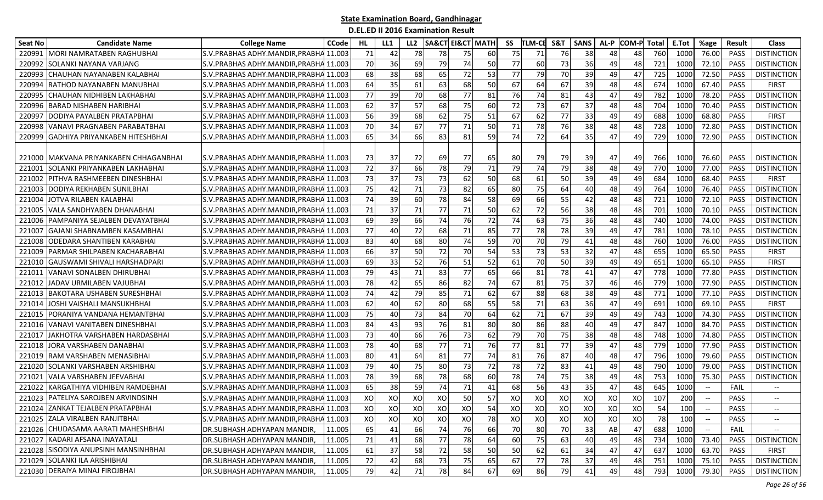| Seat No | <b>Candidate Name</b>                  | <b>College Name</b>                      | <b>CCode</b> | HL  | LL1 | LL2 |     | <b>SA&amp;CT EI&amp;CT MATH</b> |    | SS | <b>TLM-CE</b> | S&T | <b>SANS</b> | AL-P | <b>COM-P Total</b> |     | E.Tot | %age                          | Result      | <b>Class</b>             |
|---------|----------------------------------------|------------------------------------------|--------------|-----|-----|-----|-----|---------------------------------|----|----|---------------|-----|-------------|------|--------------------|-----|-------|-------------------------------|-------------|--------------------------|
| 220991  | MORI NAMRATABEN RAGHUBHAI              | S.V. PRABHAS ADHY. MANDIR, PRABHA        | 11.003       | 71  | 42  | 78  | 78  | 75                              | 60 | 75 | 71            | 76  | 38          | 48   | 48                 | 760 | 1000  | 76.00                         | PASS        | <b>DISTINCTION</b>       |
| 220992  | SOLANKI NAYANA VARJANG                 | S.V. PRABHAS ADHY. MANDIR, PRABHA 11.003 |              | 70  | 36  | 69  | 79  | 74                              | 50 | 77 | 60            | 73  | 36          | 49   | 48                 | 721 | 1000  | 72.10                         | PASS        | <b>DISTINCTION</b>       |
| 220993  | CHAUHAN NAYANABEN KALABHAI             | S.V. PRABHAS ADHY. MANDIR, PRABHA 11.003 |              | 68  | 38  | 68  | 65  | 72                              | 53 | 77 | 79            | 70  | 39          | 49   | 47                 | 725 | 1000  | 72.50                         | PASS        | <b>DISTINCTION</b>       |
| 22099   | RATHOD NAYANABEN MANUBHAI              | S.V. PRABHAS ADHY. MANDIR, PRABHA 11.003 |              | 64  | 35  | 61  | 63  | 68                              | 50 | 67 | 64            | 67  | 39          | 48   | 48                 | 674 | 1000  | 67.40                         | <b>PASS</b> | <b>FIRST</b>             |
| 220995  | CHAUHAN NIDHIBEN LAKHABHAI             | S.V. PRABHAS ADHY. MANDIR, PRABHA 11.003 |              | 77  | 39  | 70  | 68  | 77                              | 81 | 76 | 74            | 81  | 43          | 47   | 49                 | 782 | 1000  | 78.20                         | PASS        | <b>DISTINCTION</b>       |
| 220996  | <b>BARAD NISHABEN HARIBHAI</b>         | S.V. PRABHAS ADHY. MANDIR, PRABHA 11.003 |              | 62  | 37  | 57  | 68  | 75                              | 60 | 72 | 73            | 67  | 37          | 48   | 48                 | 704 | 1000  | 70.40                         | <b>PASS</b> | <b>DISTINCTION</b>       |
| 220997  | <b>DODIYA PAYALBEN PRATAPBHAI</b>      | S.V. PRABHAS ADHY. MANDIR, PRABHA 11.003 |              | 56  | 39  | 68  | 62  | 75                              | 51 | 67 | 62            | 77  | 33          | 49   | 49                 | 688 | 1000  | 68.80                         | <b>PASS</b> | <b>FIRST</b>             |
| 220998  | VANAVI PRAGNABEN PARABATBHAI           | S.V. PRABHAS ADHY. MANDIR, PRABHA 11.003 |              | 70  | 34  | 67  | 77  | 71                              | 50 | 71 | 78            | 76  | 38          | 48   | 48                 | 728 | 1000  | 72.80                         | PASS        | <b>DISTINCTION</b>       |
| 220999  | GADHIYA PRIYANKABEN HITESHBHAI         | S.V. PRABHAS ADHY. MANDIR, PRABHA 11.003 |              | 65  | 34  | 66  | 83  | 81                              | 59 | 74 | 72            | 64  | 35          | 47   | 49                 | 729 | 1000  | 72.90                         | PASS        | <b>DISTINCTION</b>       |
|         | 221000 MAKVANA PRIYANKABEN CHHAGANBHAI | S.V. PRABHAS ADHY. MANDIR, PRABHA 11.003 |              | 73  | 37  | 72  | 69  | 77                              | 65 | 80 | 79            | 79  | 39          | 47   | 49                 | 766 | 1000  | 76.60                         | <b>PASS</b> | <b>DISTINCTION</b>       |
| 22100:  | SOLANKI PRIYANKABEN LAKHABHAI          | S.V. PRABHAS ADHY. MANDIR, PRABHA 11.003 |              | 72  | 37  | 66  | 78  | 79                              | 71 | 79 | 74            | 79  | 38          | 48   | 49                 | 770 | 1000  | 77.00                         | PASS        | <b>DISTINCTION</b>       |
| 221002  | PITHVA RASHMEEBEN DINESHBHAI           | S.V. PRABHAS ADHY. MANDIR, PRABHA 11.003 |              | 73  | 37  | 73  | 73  | 62                              | 50 | 68 | 61            | 50  | 39          | 49   | 49                 | 684 | 1000  | 68.40                         | PASS        | <b>FIRST</b>             |
| 221003  | <b>DODIYA REKHABEN SUNILBHAI</b>       | S.V.PRABHAS ADHY.MANDIR,PRABHA 11.003    |              | 75  | 42  | 71  | 73  | 82                              | 65 | 80 | 75            | 64  | 40          | 48   | 49                 | 764 | 1000  | 76.40                         | <b>PASS</b> | <b>DISTINCTION</b>       |
| 221004  | JOTVA RILABEN KALABHAI                 | S.V. PRABHAS ADHY. MANDIR, PRABHA 11.003 |              | 74  | 39  | 60  | 78  | 84                              | 58 | 69 | 66            | 55  | 42          | 48   | 48                 | 721 | 1000  | 72.10                         | <b>PASS</b> | <b>DISTINCTION</b>       |
| 221005  | VALA SANDHYABEN DHANABHAI              | S.V.PRABHAS ADHY.MANDIR,PRABHA 11.003    |              | 71  | 37  | 71  | 77  | 71                              | 50 | 62 | 72            | 56  | 38          | 48   | 48                 | 701 | 1000  | 70.10                         | PASS        | <b>DISTINCTION</b>       |
| 221006  | <b>PAMPANIYA SEJALBEN DEVAYATBHAI</b>  | S.V.PRABHAS ADHY.MANDIR,PRABHA 11.003    |              | 69  | 39  | 66  | 74  | 76                              | 72 | 74 | 63            | 75  | 36          | 48   | 48                 | 740 | 1000  | 74.00                         | PASS        | <b>DISTINCTION</b>       |
| 22100   | GAJANI SHABNAMBEN KASAMBHAI            | S.V.PRABHAS ADHY.MANDIR.PRABHA 11.003    |              | 77  | 40  | 72  | 68  | 71                              | 85 | 77 | 78            | 78  | 39          | 49   | 47                 | 781 | 1000  | 78.10                         | <b>PASS</b> | <b>DISTINCTION</b>       |
| 221008  | ODEDARA SHANTIBEN KARABHAI             | S.V. PRABHAS ADHY. MANDIR, PRABHA 11.003 |              | 83  | 40  | 68  | 80  | 74                              | 59 | 70 | 70            | 79  | 41          | 48   | 48                 | 760 | 1000  | 76.00                         | <b>PASS</b> | <b>DISTINCTION</b>       |
| 221009  | PARMAR SHILPABEN KACHARABHAI           | S.V. PRABHAS ADHY. MANDIR, PRABHA 11.003 |              | 66  | 37  | 50  | 72  | 70                              | 54 | 53 | 73            | 53  | 32          | 47   | 48                 | 655 | 1000  | 65.50                         | PASS        | <b>FIRST</b>             |
| 221010  | <b>GAUSWAMI SHIVALI HARSHADPARI</b>    | S.V. PRABHAS ADHY. MANDIR, PRABHA 11.003 |              | 69  | 33  | 52  | 76  | 51                              | 52 | 61 | 70            | 50  | 39          | 49   | 49                 | 651 | 1000  | 65.10                         | PASS        | <b>FIRST</b>             |
| 22101   | IVANAVI SONALBEN DHIRUBHAI             | S.V.PRABHAS ADHY.MANDIR,PRABHA 11.003    |              | 79  | 43  | 71  | 83  | 77                              | 65 | 66 | 81            | 78  | 41          | 47   | 47                 | 778 | 1000  | 77.80                         | <b>PASS</b> | <b>DISTINCTION</b>       |
| 221012  | JADAV URMILABEN VAJUBHAI               | S.V. PRABHAS ADHY. MANDIR, PRABHA 11.003 |              | 78  | 42  | 65  | 86  | 82                              | 74 | 67 | 81            | 75  | 37          | 46   | 46                 | 779 | 1000  | 77.90                         | PASS        | <b>DISTINCTION</b>       |
| 221013  | <b>BAKOTARA USHABEN SURESHBHAI</b>     | S.V.PRABHAS ADHY.MANDIR,PRABHA 11.003    |              | 74  | 42  | 79  | 85  | 71                              | 62 | 67 | 88            | 68  | 38          | 49   | 48                 | 771 | 1000  | 77.10                         | PASS        | <b>DISTINCTION</b>       |
| 22101   | JOSHI VAISHALI MANSUKHBHAI             | S.V.PRABHAS ADHY.MANDIR,PRABHA 11.003    |              | 62  | 40  | 62  | 80  | 68                              | 55 | 58 | 71            | 63  | 36          | 47   | 49                 | 691 | 1000  | 69.10                         | PASS        | <b>FIRST</b>             |
| 22101   | PORANIYA VANDANA HEMANTBHAI            | S.V.PRABHAS ADHY.MANDIR,PRABHA 11.003    |              | 75  | 40  | 73  | 84  | 70                              | 64 | 62 | 71            | 67  | 39          | 49   | 49                 | 743 | 1000  | 74.30                         | <b>PASS</b> | <b>DISTINCTION</b>       |
| 221016  | VANAVI VANITABEN DINESHBHAI            | S.V. PRABHAS ADHY. MANDIR, PRABHA 11.003 |              | 84  | 43  | 93  | 76  | 81                              | 80 | 80 | 86            | 88  | 40          | 49   | 47                 | 847 | 1000  | 84.70                         | PASS        | <b>DISTINCTION</b>       |
| 22101   | JAKHOTRA VARSHABEN HARDASBHAI          | S.V. PRABHAS ADHY. MANDIR, PRABHA 11.003 |              | 73  | 40  | 66  | 76  | 73                              | 62 | 79 | 70            | 75  | 38          | 48   | 48                 | 748 | 1000  | 74.80                         | PASS        | <b>DISTINCTION</b>       |
| 221018  | JORA VARSHABEN DANABHAI                | S.V. PRABHAS ADHY. MANDIR, PRABHA 11.003 |              | 78  | 40  | 68  | 77  | 71                              | 76 | 77 | 81            | 77  | 39          | 47   | 48                 | 779 | 1000  | 77.90                         | PASS        | <b>DISTINCTION</b>       |
| 221019  | RAM VARSHABEN MENASIBHAI               | S.V. PRABHAS ADHY. MANDIR, PRABHA 11.003 |              | 80  | 41  | 64  | 81  | 77                              | 74 | 81 | 76            | 87  | 40          | 48   | 47                 | 796 | 1000  | 79.60                         | PASS        | <b>DISTINCTION</b>       |
| 221020  | SOLANKI VARSHABEN ARSHIBHAI            | S.V. PRABHAS ADHY. MANDIR, PRABHA 11.003 |              | 79  | 40  | 75  | 80  | 73                              | 72 | 78 | 72            | 83  | 41          | 49   | 48                 | 790 | 1000  | 79.00                         | PASS        | <b>DISTINCTION</b>       |
| 22102   | VALA VARSHABEN JEEVABHAI               | S.V. PRABHAS ADHY. MANDIR, PRABHA 11.003 |              | 78  | 39  | 68  | 78  | 68                              | 60 | 78 | 74            | 75  | 38          | 49   | 48                 | 753 | 1000  | 75.30                         | PASS        | <b>DISTINCTION</b>       |
| 221022  | KARGATHIYA VIDHIBEN RAMDEBHAI          | S.V.PRABHAS ADHY.MANDIR, PRABHA 11.003   |              | 65  | 38  | 59  | 74  | 71                              | 41 | 68 | 56            | 43  | 35          | 47   | 48                 | 645 | 1000  | $\overline{\phantom{a}}$      | <b>FAIL</b> |                          |
| 221023  | <b>PATELIYA SAROJBEN ARVINDSINH</b>    | S.V. PRABHAS ADHY. MANDIR. PRABHA 11.003 |              | XO  | XO  | XO  | XO  | 50                              | 57 | XO | XO            | XO  | XO          | XO   | xol                | 107 | 200   | $\hspace{0.05cm} \textbf{--}$ | <b>PASS</b> |                          |
|         | 221024 ZANKAT TEJALBEN PRATAPBHAI      | S.V. PRABHAS ADHY. MANDIR, PRABHA 11.003 |              | XOI | XO  | xol | XOI | XO                              | 54 | XO | XO            | XO  | xol         | XO   | XO                 | 54  | 100   | $- -$                         | PASS        | $- -$                    |
|         | 221025 ZALA VIRALBEN RANJITBHAI        | S.V.PRABHAS ADHY.MANDIR, PRABHA 11.003   |              | XO  | XO  | XO  | XO  | XO                              | 78 | XO | xol           | XO  | XO          | XO   | xol                | 78  | 100   |                               | PASS        | $\overline{\phantom{a}}$ |
|         | 221026 CHUDASAMA AARATI MAHESHBHAI     | DR.SUBHASH ADHYAPAN MANDIR,              | 11.005       | 65  | 41  | 66  | 74  | 76                              | 66 | 70 | 80            | 70  | 33          | AB   | 47                 | 688 | 1000  |                               | FAIL        |                          |
|         | 221027 KADARI AFSANA INAYATALI         | DR.SUBHASH ADHYAPAN MANDIR,              | 11.005       | 71  | 41  | 68  | 77  | 78                              | 64 | 60 | 75            | 63  | 40          | 49   | 48                 | 734 | 1000  | 73.40                         | PASS        | <b>DISTINCTION</b>       |
|         | 221028 SISODIYA ANUPSINH MANSINHBHAI   | DR.SUBHASH ADHYAPAN MANDIR,              | 11.005       | 61  | 37  | 58  | 72  | 58                              | 50 | 50 | 62            | 61  | 34          | 47   | 47                 | 637 | 1000  | 63.70                         | PASS        | <b>FIRST</b>             |
|         | 221029 SOLANKI ILA ARISHIBHAI          | DR.SUBHASH ADHYAPAN MANDIR,              | 11.005       | 72  | 42  | 68  | 73  | 75                              | 65 | 67 | 77            | 78  | 37          | 49   | 48                 | 751 | 1000  | 75.10                         | PASS        | <b>DISTINCTION</b>       |
|         | 221030 DERAIYA MINAJ FIROJBHAI         | DR.SUBHASH ADHYAPAN MANDIR,              | 11.005       | 79  | 42  | 71  | 78  | 84                              | 67 | 69 | -861          | 79  | 41          | 49   | 48                 | 793 | 1000  | 79.30                         | PASS        | <b>DISTINCTION</b>       |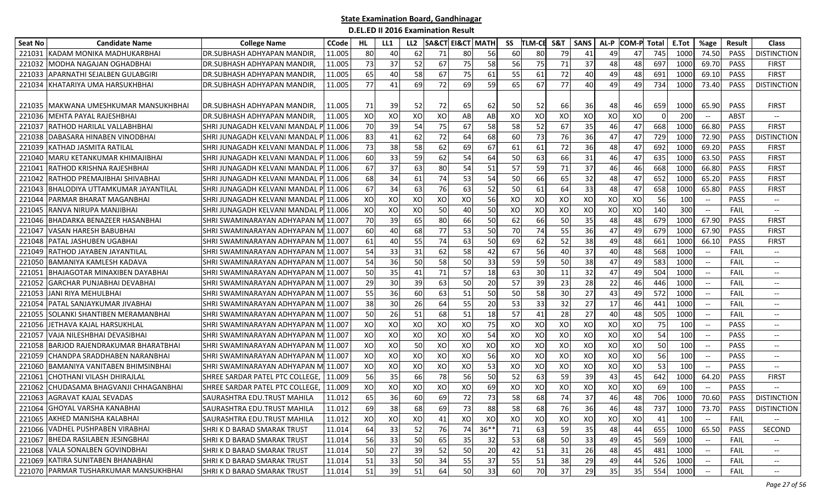| Seat No | <b>Candidate Name</b>                  | <b>College Name</b>                          | <b>CCode</b> | HL.       | LL1 | LL <sub>2</sub> | <b>SA&amp;CT EI&amp;CT MATH</b> |    |           | SS | TLM-CE    | S&T | <b>SANS</b> | AL-P | <b>COM-P Total</b> |          | E.Tot | %age                                             | Result      | Class                                               |
|---------|----------------------------------------|----------------------------------------------|--------------|-----------|-----|-----------------|---------------------------------|----|-----------|----|-----------|-----|-------------|------|--------------------|----------|-------|--------------------------------------------------|-------------|-----------------------------------------------------|
| 221031  | IKADAM MONIKA MADHUKARBHAI             | DR.SUBHASH ADHYAPAN MANDIR.                  | 11.005       | 80        | 40  | 62              | 71                              | 80 | <b>56</b> | 60 | 80        | 79  | 41          | 49   | 47                 | 745      | 1000  | 74.50                                            | <b>PASS</b> | <b>DISTINCTION</b>                                  |
| 221032  | MODHA NAGAJAN OGHADBHAI                | DR.SUBHASH ADHYAPAN MANDIR,                  | 11.005       | 73        | 37  | 52              | 67                              | 75 | 58        | 56 | 75        | 71  | 37          | 48   | 48                 | 697      | 1000  | 69.70                                            | PASS        | <b>FIRST</b>                                        |
| 221033  | APARNATHI SEJALBEN GULABGIRI           | DR.SUBHASH ADHYAPAN MANDIR,                  | 11.005       | 65        | 40  | 58              | 67                              | 75 | 61        | 55 | 61        | 72  | 40          | 49   | 48                 | 691      | 1000  | 69.10                                            | PASS        | <b>FIRST</b>                                        |
| 221034  | KHATARIYA UMA HARSUKHBHAI              | DR.SUBHASH ADHYAPAN MANDIR,                  | 11.005       | 77        | 41  | 69              | 72                              | 69 | 59        | 65 | 67        | 77  | 40          | 49   | 49                 | 734      | 1000  | 73.40                                            | <b>PASS</b> | <b>DISTINCTION</b>                                  |
|         |                                        |                                              |              |           |     |                 |                                 |    |           |    |           |     |             |      |                    |          |       |                                                  |             |                                                     |
|         | 221035 IMAKWANA UMESHKUMAR MANSUKHBHAI | DR.SUBHASH ADHYAPAN MANDIR,                  | 11.005       | 71        | 39  | 52              | 72                              | 65 | 62        | 50 | 52        | 66  | 36          | 48   | 461                | 659      | 1000  | 65.90                                            | <b>PASS</b> | <b>FIRST</b>                                        |
| 221036  | MEHTA PAYAL RAJESHBHAI                 | DR.SUBHASH ADHYAPAN MANDIR,                  | 11.005       | XO        | XO  | XO              | XO                              | AB | AB        | XO | XO        | XO  | XO          | XO   | XO                 | $\Omega$ | 200   |                                                  | <b>ABST</b> | $-$                                                 |
| 221037  | RATHOD HARILAL VALLABHBHAI             | SHRI JUNAGADH KELVANI MANDAL P               | 11.006       | 70        | 39  | 54              | 75                              | 67 | 58        | 58 | 52        | 67  | 35          | 46   | 47                 | 668      | 1000  | 66.80                                            | PASS        | <b>FIRST</b>                                        |
| 221038  | DABASARA HINABEN VINODBHAI             | SHRI JUNAGADH KELVANI MANDAL PI 11.006       |              | 83        | 41  | 62              | 72                              | 64 | 68        | 60 | 73        | 76  | 36          | 47   | 47                 | 729      | 1000  | 72.90                                            | <b>PASS</b> | <b>DISTINCTION</b>                                  |
| 221039  | KATHAD JASMITA RATILAL                 | SHRI JUNAGADH KELVANI MANDAL P               | 11.006       | 73        | 38  | 58              | 62                              | 69 | 67        | 61 | 61        | 72  | 36          | 48   | 47                 | 692      | 1000  | 69.20                                            | PASS        | <b>FIRST</b>                                        |
| 221040  | MARU KETANKUMAR KHIMAJIBHAI            | SHRI JUNAGADH KELVANI MANDAL P               | 11.006       | 60        | 33  | 59              | 62                              | 54 | 64        | 50 | 63        | 66  | 31          | 46   | 47                 | 635      | 1000  | 63.50                                            | PASS        | <b>FIRST</b>                                        |
| 221041  | <b>RATHOD KRISHNA RAJESHBHAI</b>       | SHRI JUNAGADH KELVANI MANDAL P               | 11.006       | 67        | 37  | 63              | 80                              | 54 | 51        | 57 | 59        | 71  | 37          | 46   | 46                 | 668      | 1000  | 66.80                                            | PASS        | <b>FIRST</b>                                        |
| 221042  | IRATHOD PREMAJIBHAI SHIVABHAI          | SHRI JUNAGADH KELVANI MANDAL P 11.006        |              | 68        | 34  | 61              | 74                              | 53 | 54        | 50 | 66        | 65  | 32          | 48   | 47                 | 652      | 1000  | 65.20                                            | PASS        | <b>FIRST</b>                                        |
| 221043  | <b>BHALODIYA UTTAMKUMAR JAYANTILAL</b> | SHRI JUNAGADH KELVANI MANDAL P 11.006        |              | 67        | 34  | 63              | 76                              | 63 | 52        | 50 | 61        | 64  | 33          | 48   | 47                 | 658      | 1000  | 65.80                                            | PASS        | <b>FIRST</b>                                        |
| 221044  | IPARMAR BHARAT MAGANBHAI               | SHRI JUNAGADH KELVANI MANDAL P 11.006        |              | XO        | XO  | XO              | XO                              | XO | 56        | XO | XO        | XO  | XO          | XO   | XO                 | 56       | 100   |                                                  | <b>PASS</b> | $\overline{\phantom{a}}$                            |
| 221045  | RANVA NIRUPA MANJIBHAI                 | SHRI JUNAGADH KELVANI MANDAL PI 11.006       |              | XO        | XO  | XO              | 50                              | 40 | 50        | XO | XO        | XO  | XO          | XO   | XO                 | 140      | 300   |                                                  | FAIL        | $\overline{\phantom{a}}$                            |
| 221046  | BHADARKA BENAZEER HASANBHAI            | SHRI SWAMINARAYAN ADHYAPAN M <b>I</b> 11.007 |              | 70        | 39  | 65              | 80                              | 66 | 50        | 62 | 66        | 50  | 35          | 48   | 48                 | 679      | 1000  | 67.90                                            | <b>PASS</b> | <b>FIRST</b>                                        |
| 22104   | <b>VASAN HARESH BABUBHAI</b>           | SHRI SWAMINARAYAN ADHYAPAN M                 | 11.007       | 60        | 40  | 68              | 77                              | 53 | 50        | 70 | 74        | 55  | 36          | 47   | 49                 | 679      | 1000  | 67.90                                            | PASS        | <b>FIRST</b>                                        |
| 221048  | <b>PATAL JASHUBEN UGABHAI</b>          | SHRI SWAMINARAYAN ADHYAPAN M                 | 11.007       | 61        | 40  | 55              | 74                              | 63 | 50        | 69 | 62        | 52  | 38          | 49   | 48                 | 661      | 1000  | 66.10                                            | <b>PASS</b> | <b>FIRST</b>                                        |
| 221049  | RATHOD JAYABEN JAYANTILAL              | SHRI SWAMINARAYAN ADHYAPAN M 11.007          |              | 54        | 33  | 31              | 62                              | 58 | 42        | 67 | - 56 l    | 40  | 37          | 40   | 48                 | 568      | 1000  | $-$                                              | <b>FAIL</b> | $\hspace{0.05cm} -\hspace{0.05cm} -\hspace{0.05cm}$ |
| 221050  | <b>BAMANIYA KAMLESH KADAVA</b>         | SHRI SWAMINARAYAN ADHYAPAN M 11.007          |              | 54        | 36  | 50              | 58                              | 50 | 33        | 59 | 59        | 50  | 38          | 47   | 49                 | 583      | 1000  | $\hspace{0.1mm}-\hspace{0.1mm}-\hspace{0.1mm}$   | <b>FAIL</b> | $\overline{\phantom{a}}$                            |
| 22105   | <b>BHAJAGOTAR MINAXIBEN DAYABHAI</b>   | SHRI SWAMINARAYAN ADHYAPAN M                 | 11.007       | 50        | 35  | 41              | 71                              | 57 | 18        | 63 | 30        | 11  | 32          | 47   | 49                 | 504      | 1000  |                                                  | FAIL        | $\overline{\phantom{a}}$                            |
| 221052  | GARCHAR PUNJABHAI DEVABHAI             | SHRI SWAMINARAYAN ADHYAPAN M                 | 11.007       | 29        | 30  | 39              | 63                              | 50 | 20        | 57 | 39        | 23  | 28          | 22   | 46                 | 446      | 1000  |                                                  | FAIL        | $-$                                                 |
| 221053  | JANI RIYA MEHULBHAI                    | SHRI SWAMINARAYAN ADHYAPAN M 11.007          |              | 55        | 36  | 60              | 63                              | 51 | 50        | 50 | 58        | 30  | 27          | 43   | 49                 | 572      | 1000  | $-\hbox{--}$                                     | FAIL        | $\overline{\phantom{a}}$                            |
| 22105   | PATAL SANJAYKUMAR JIVABHAI             | SHRI SWAMINARAYAN ADHYAPAN M                 | 11.007       | 38        | 30  | 26              | 64                              | 55 | 20        | 53 | 33        | 32  | 27          | 17   | 46                 | 441      | 1000  | $-$                                              | FAIL        | --                                                  |
| 221055  | SOLANKI SHANTIBEN MERAMANBHAI          | SHRI SWAMINARAYAN ADHYAPAN M                 | 11.007       | 50        | 26  | 51              | 68                              | 51 | 18        | 57 | 41        | 28  | 27          | 40   | 48                 | 505      | 1000  |                                                  | <b>FAIL</b> | $\overline{\phantom{a}}$                            |
| 221056  | JETHAVA KAJAL HARSUKHLAL               | SHRI SWAMINARAYAN ADHYAPAN M                 | 11.007       | XO        | XO  | XO              | XO                              | XO | 75        | XO | XO        | XO  | XO          | XO   | XO                 | 75       | 100   | $-$                                              | <b>PASS</b> | $\overline{\phantom{a}}$                            |
| 221057  | IVAJA NILESHBHAI DEVASIBHAI            | SHRI SWAMINARAYAN ADHYAPAN MI 11.007         |              | XO        | XO  | XO              | XO                              | XO | 54        | XO | XO        | XO  | XO          | XO   | XO                 | 54       | 100   | $\hspace{0.1mm}-\hspace{0.1mm}-\hspace{0.1mm}$   | <b>PASS</b> | $\hspace{0.05cm} -\hspace{0.05cm} -\hspace{0.05cm}$ |
| 221058  | <b>BARJOD RAJENDRAKUMAR BHARATBHAI</b> | SHRI SWAMINARAYAN ADHYAPAN M                 | 11.007       | XO        | XO  | 50              | XO                              | XO | XO        | XO | XO        | XO  | XO          | XO   | XO                 | 50       | 100   | $\overline{\phantom{a}}$                         | <b>PASS</b> | $\overline{\phantom{a}}$                            |
| 221059  | CHANDPA SRADDHABEN NARANBHAI           | SHRI SWAMINARAYAN ADHYAPAN M                 | 11.007       | XO        | XO  | XO              | XO                              | XO | 56        | XO | XO        | XO  | XO          | XO   | XO                 | 56       | 100   |                                                  | <b>PASS</b> | $\overline{\phantom{a}}$                            |
| 221060  | BAMANIYA VANITABEN BHIMSINBHAI         | SHRI SWAMINARAYAN ADHYAPAN M                 | 11.007       | XO        | XO  | XO              | XO                              | XO | 53        | XO | XO        | XO  | XO          | XO   | XO                 | 53       | 100   |                                                  | <b>PASS</b> | $\overline{\phantom{a}}$                            |
| 221061  | CHOTHANI VILASH DHIRAJLAL              | SHREE SARDAR PATEL PTC COLLEGE,              | 11.009       | 56        | 35  | 66              | 78                              | 56 | 50        | 52 | 63        | 59  | 39          | 43   | 45                 | 642      | 1000  | 64.20                                            | <b>PASS</b> | <b>FIRST</b>                                        |
| 221062  | CHUDASAMA BHAGVANJI CHHAGANBHAI        | SHREE SARDAR PATEL PTC COLLEGE,              | 11.009       | XO        | XO  | XO              | XO                              | XO | 69        | XO | XO        | XO  | XO          | XO   | XO                 | 69       | 100   | $\overline{\phantom{a}}$                         | <b>PASS</b> | $\overline{\phantom{a}}$                            |
|         | 221063 AGRAVAT KAJAL SEVADAS           | SAURASHTRA EDU.TRUST MAHILA                  | 11.012       | 65        | 36  | 60              | 69                              | 72 | 73        | 58 | 68        | 74  | 37          | 46   | 48                 | 706      | 1000  | 70.60                                            | <b>PASS</b> | <b>DISTINCTION</b>                                  |
|         | 221064 GHOYAL VARSHA KANABHAI          | SAURASHTRA EDU.TRUST MAHILA                  | 11.012       | <b>69</b> | 38  | <b>68</b>       | 69                              | 73 | 88        | 58 | <b>68</b> | 76  | <b>36</b>   | 46   | 48                 | 737      | 1000  | 73.70                                            | PASS        | <b>DISTINCTION</b>                                  |
|         | 221065 AKHED MANISHA KALABHAI          | SAURASHTRA EDU.TRUST MAHILA                  | 11.012       | XO        | XO  | XO              | 41                              | XO | XO        | XO | XO        | XO  | XO          | XO   | XO                 | 41       | 100   |                                                  | FAIL        |                                                     |
|         | 221066 VADHEL PUSHPABEN VIRABHAI       | SHRI K D BARAD SMARAK TRUST                  | 11.014       | 64        | 33  | 52              | 76                              | 74 | $36**$    | 71 | 63        | 59  | 35          | 48   | 44                 | 655      | 1000  | 65.50                                            | PASS        | SECOND                                              |
|         | 221067 BHEDA RASILABEN JESINGBHAI      | SHRI K D BARAD SMARAK TRUST                  | 11.014       | 56        | 33  | 50              | 65                              | 35 | 32        | 53 | 68        | 50  | 33          | 49   | 45                 | 569      | 1000  |                                                  | FAIL        |                                                     |
|         | 221068 VALA SONALBEN GOVINDBHAI        | SHRI K D BARAD SMARAK TRUST                  | 11.014       | 50        | 27  | 39              | 52                              | 50 | 20        | 42 | 51        | 31  | 26          | 48   | 45                 | 481      | 1000  |                                                  | FAIL        | <b>--</b>                                           |
|         | 221069 KATIRA SUNITABEN BHANABHAI      | SHRI K D BARAD SMARAK TRUST                  | 11.014       | 51        | 33  | 50              | 34                              | 55 | 37        | 55 | 51        | 38  | 29          | 49   | 44                 | 526      | 1000  | $\hspace{0.1mm}-\hspace{-0.1mm}-\hspace{-0.1mm}$ | FAIL        | $- -$                                               |
|         | 221070 PARMAR TUSHARKUMAR MANSUKHBHAI  | SHRIK D BARAD SMARAK TRUST                   | 11.014       | 51        | 39  | 51              | 64                              | 50 | 33        | 60 | 70        | 37  | 29          | 35   | 35                 | 554      | 1000  |                                                  | FAIL        | $\overline{\phantom{a}}$                            |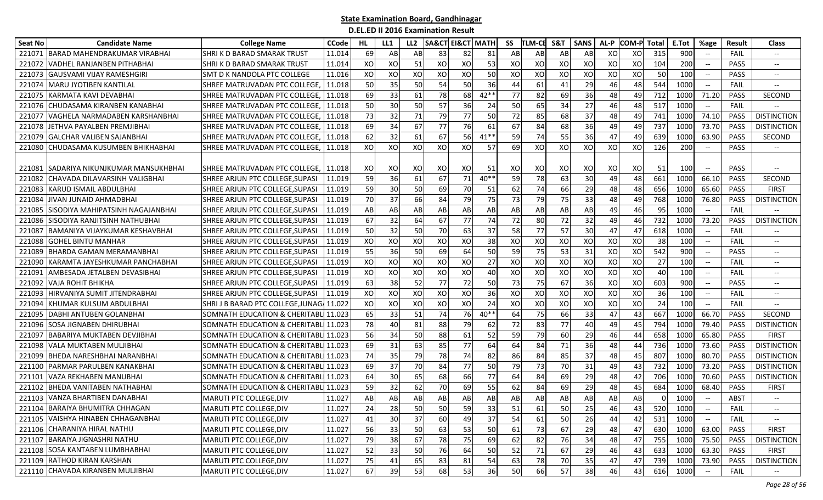| Seat No | <b>Candidate Name</b>                  | <b>College Name</b>                       | <b>CCode</b> | HL | LL1 | LL <sub>2</sub> |    | <b>SA&amp;CT EI&amp;CT MATH</b> |        | SS | <b>TLM-CE</b> | S&T | <b>SANS</b> | AL-P | <b>COM-P Total</b> |     | E.Tot | %age                     | Result      | <b>Class</b>                      |
|---------|----------------------------------------|-------------------------------------------|--------------|----|-----|-----------------|----|---------------------------------|--------|----|---------------|-----|-------------|------|--------------------|-----|-------|--------------------------|-------------|-----------------------------------|
| 221071  | IBARAD MAHENDRAKUMAR VIRABHAI          | SHRI K D BARAD SMARAK TRUST               | 11.014       | 69 | AB  | AB              | 83 | 82                              | 81     | AB | AB            | AB  | AB          | XO   | XO                 | 315 | 900   | $\overline{\phantom{a}}$ | <b>FAIL</b> | $- -$                             |
| 22107   | VADHEL RANJANBEN PITHABHAI             | SHRI K D BARAD SMARAK TRUST               | 11.014       | XO | XO  | 51              | XO | XO                              | 53     | XO | XO            | XO  | XO          | XO   | XO                 | 104 | 200   | $\hspace{0.05cm} \ldots$ | <b>PASS</b> | $\overline{\phantom{a}}$          |
| 221073  | <b>GAUSVAMI VIJAY RAMESHGIRI</b>       | SMT D K NANDOLA PTC COLLEGE               | 11.016       | XO | XO  | XO              | XO | XO                              | 50     | XO | XO            | XO  | XO          | XO   | XO                 | 50  | 100   |                          | <b>PASS</b> | $-$                               |
| 221074  | MARU JYOTIBEN KANTILAL                 | SHREE MATRUVADAN PTC COLLEGE.             | 11.018       | 50 | 35  | 50              | 54 | 50                              | 36     | 44 | 61            | 41  | 29          | 46   | 48                 | 544 | 1000  |                          | FAIL        | $-\!$                             |
| 221075  | <b>KARMATA KAVI DEVABHAI</b>           | SHREE MATRUVADAN PTC COLLEGE. 11.018      |              | 69 | 33  | 61              | 78 | 68                              | $42**$ | 77 | 82            | 69  | 36          | 48   | 49                 | 712 | 1000  | 71.20                    | <b>PASS</b> | SECOND                            |
| 221076  | CHUDASAMA KIRANBEN KANABHAI            | SHREE MATRUVADAN PTC COLLEGE,             | 11.018       | 50 | 30  | 50              | 57 | 36                              | 24     | 50 | 65            | 34  | 27          | 46   | 48                 | 517 | 1000  | $\overline{\phantom{a}}$ | FAIL        |                                   |
| 22107   | VAGHELA NARMADABEN KARSHANBHAI         | SHREE MATRUVADAN PTC COLLEGE,             | 11.018       | 73 | 32  | 71              | 79 | 77                              | 50     | 72 | 85            | 68  | 37          | 48   | 49                 | 741 | 1000  | 74.10                    | PASS        | <b>DISTINCTION</b>                |
| 221078  | JETHVA PAYALBEN PREMJIBHAI             | SHREE MATRUVADAN PTC COLLEGE,             | 11.018       | 69 | 34  | 67              | 77 | 76                              | 61     | 67 | 84            | 68  | 36          | 49   | 49                 | 737 | 1000  | 73.70                    | PASS        | <b>DISTINCTION</b>                |
| 221079  | <b>GALCHAR VALIBEN SAJANBHAI</b>       | SHREE MATRUVADAN PTC COLLEGE,             | 11.018       | 62 | 32  | 61              | 67 | 56                              | $41**$ | 59 | 74            | 55  | 36          | 47   | 49                 | 639 | 1000  | 63.90                    | PASS        | SECOND                            |
| 221080  | CHUDASAMA KUSUMBEN BHIKHABHAI          | SHREE MATRUVADAN PTC COLLEGE,             | 11.018       | XO | XO  | XO              | XO | XO                              | 57     | 69 | XO            | XO  | XO          | XO   | XO                 | 126 | 200   | $\overline{\phantom{a}}$ | <b>PASS</b> | $\overline{\phantom{a}}$          |
|         |                                        |                                           |              |    |     |                 |    |                                 |        |    |               |     |             |      |                    |     |       |                          |             |                                   |
| 221081  | ISADARIYA NIKUNJKUMAR MANSUKHBHAI      | SHREE MATRUVADAN PTC COLLEGE, 11.018      |              | XO | XO  | XO              | XO | XO                              | 51     | XO | XO            | XO  | XO          | XO   | XO                 | 51  | 100   |                          | <b>PASS</b> |                                   |
| 221082  | <b>I</b> CHAVADA DILAVARSINH VALIGBHAI | SHREE ARJUN PTC COLLEGE, SUPASI           | 11.019       | 59 | 36  | 61              | 67 | 71                              | $40**$ | 59 | 78            | 63  | 30          | 49   | 48                 | 661 | 1000  | 66.10                    | <b>PASS</b> | SECOND                            |
| 221083  | <b>KARUD ISMAIL ABDULBHAI</b>          | SHREE ARJUN PTC COLLEGE, SUPASI           | 11.019       | 59 | 30  | 50              | 69 | 70                              | 51     | 62 | 74            | 66  | 29          | 48   | 48                 | 656 | 1000  | 65.60                    | PASS        | <b>FIRST</b>                      |
| 221084  | JIVAN JUNAID AHMADBHAI                 | SHREE ARJUN PTC COLLEGE, SUPASI           | 11.019       | 70 | 37  | 66              | 84 | 79                              | 75     | 73 | 79            | 75  | 33          | 48   | 49                 | 768 | 1000  | 76.80                    | <b>PASS</b> | <b>DISTINCTION</b>                |
| 221085  | SISODIYA MAHIPATSINH NAGAJANBHAI       | SHREE ARJUN PTC COLLEGE, SUPASI           | 11.019       | AB | AB  | AB              | AB | AB                              | AB     | AB | AB            | AB  | AB          | 49   | 46                 | 95  | 1000  | $\overline{\phantom{a}}$ | FAIL        |                                   |
| 221086  | SISODIYA RANJITSINH NATHUBHAI          | SHREE ARJUN PTC COLLEGE.SUPASI            | 11.019       | 67 | 32  | 64              | 67 | 77                              | 74     | 72 | 80            | 72  | 32          | 49   | 46                 | 732 | 1000  | 73.20                    | <b>PASS</b> | <b>DISTINCTION</b>                |
| 22108   | BAMANIYA VIJAYKUMAR KESHAVBHAI         | SHREE ARJUN PTC COLLEGE, SUPASI           | 11.019       | 50 | 32  | 50              | 70 | 63                              | 37     | 58 | 77            | 57  | 30          | 47   | 47                 | 618 | 1000  | $\hspace{0.05cm} \ldots$ | FAIL        |                                   |
| 221088  | <b>GOHEL BINTU MANHAR</b>              | SHREE ARJUN PTC COLLEGE, SUPASI           | 11.019       | XO | XO  | XO              | XO | XO                              | 38     | XO | XO            | XO  | XO          | XO   | XO                 | 38  | 100   |                          | FAIL        | $-\!$                             |
| 221089  | BHARDA GAMAN MERAMANBHAI               | SHREE ARJUN PTC COLLEGE, SUPASI           | 11.019       | 55 | 36  | 50              | 69 | 64                              | 50     | 59 | 75            | 53  | 31          | XO   | XO                 | 542 | 900   |                          | <b>PASS</b> | $\hspace{0.05cm} \textbf{--}$     |
| 221090  | KARAMTA JAYESHKUMAR PANCHABHAI         | SHREE ARJUN PTC COLLEGE, SUPASI           | 11.019       | XO | XO  | XO              | XO | XO                              | 27     | XO | XO            | XO  | XO          | XO   | XO                 | 27  | 100   | $-\!$                    | FAIL        | $\overline{\phantom{a}}$          |
| 22109:  | AMBESADA JETALBEN DEVASIBHAI           | SHREE ARJUN PTC COLLEGE, SUPASI           | 11.019       | XO | XO  | XO              | XO | XO                              | 40     | XO | XO            | XO  | XO          | XO   | XO                 | 40  | 100   | $\hspace{0.05cm} \ldots$ | FAIL        | $\hspace{0.05cm} \ldots$          |
| 221092  | <b>VAJA ROHIT BHIKHA</b>               | SHREE ARJUN PTC COLLEGE, SUPASI           | 11.019       | 63 | 38  | 52              | 77 | 72                              | 50     | 73 | 75            | 67  | 36          | XO   | XO                 | 603 | 900   |                          | <b>PASS</b> | $-\!$                             |
| 221093  | HIRVANIYA SUMIT JITENDRABHAI           | SHREE ARJUN PTC COLLEGE, SUPASI           | 11.019       | XO | XO  | XO              | XO | XO                              | 36     | XO | XO            | XO  | XO          | XO   | XO                 | 36  | 100   | $-\!$                    | <b>FAIL</b> | $-\!$                             |
| 22109   | KHUMAR KULSUM ABDULBHAI                | SHRI J B BARAD PTC COLLEGE, JUNAG, 11.022 |              | XO | XO  | XO              | XO | XO                              | 24     | XO | XO            | XO  | XO          | XO   | XO                 | 24  | 100   | $--$                     | <b>FAIL</b> | --                                |
| 221095  | DABHI ANTUBEN GOLANBHAI                | SOMNATH EDUCATION & CHERITABL 11.023      |              | 65 | 33  | 51              | 74 | 76                              | 40**   | 64 | 75            | 66  | 33          | 47   | 43                 | 667 | 1000  | 66.70                    | <b>PASS</b> | <b>SECOND</b>                     |
| 221096  | <b>SOSA JIGNABEN DHIRUBHAI</b>         | SOMNATH EDUCATION & CHERITABL 11.023      |              | 78 | 40  | 81              | 88 | 79                              | 62     | 72 | 83            | 77  | 40          | 49   | 45                 | 794 | 1000  | 79.40                    | <b>PASS</b> | <b>DISTINCTION</b>                |
| 221097  | <b>BABARIYA MUKTABEN DEVJIBHAI</b>     | SOMNATH EDUCATION & CHERITABL 11.023      |              | 56 | 34  | 50              | 88 | 61                              | 52     | 59 | 79            | 60  | 29          | 46   | 44                 | 658 | 1000  | 65.80                    | PASS        | <b>FIRST</b>                      |
| 221098  | VALA MUKTABEN MULJIBHAI                | SOMNATH EDUCATION & CHERITABL 11.023      |              | 69 | 31  | 63              | 85 | 77                              | 64     | 64 | 84            | 71  | 36          | 48   | 44                 | 736 | 1000  | 73.60                    | PASS        | <b>DISTINCTION</b>                |
| 221099  | <b>BHEDA NARESHBHAI NARANBHAI</b>      | SOMNATH EDUCATION & CHERITABL 11.023      |              | 74 | 35  | 79              | 78 | 74                              | 82     | 86 | 84            | 85  | 37          | 48   | 45                 | 807 | 1000  | 80.70                    | PASS        | <b>DISTINCTION</b>                |
| 221100  | PARMAR PARULBEN KANAKBHAI              | SOMNATH EDUCATION & CHERITABL 11.023      |              | 69 | 37  | 70              | 84 | 77                              | 50     | 79 | 73            | 70  | 31          | 49   | 43                 | 732 | 1000  | 73.20                    | PASS        | <b>DISTINCTION</b>                |
| 221101  | VAZA REKHABEN MANUBHAI                 | SOMNATH EDUCATION & CHERITABL 11.023      |              | 64 | 30  | 65              | 68 | 66                              | 77     | 64 | 84            | 69  | 29          | 48   | 42                 | 706 | 1000  | 70.60                    | PASS        | <b>DISTINCTION</b>                |
| 221102  | <b>BHEDA VANITABEN NATHABHA</b>        | SOMNATH EDUCATION & CHERITABL 11.023      |              | 59 | 32  | 62              | 70 | 69                              | 55     | 62 | 84            | 69  | 29          | 48   | 45                 | 684 | 1000  | 68.40                    | PASS        | <b>FIRST</b>                      |
|         | 221103 VANZA BHARTIBEN DANABHAI        | <b>MARUTI PTC COLLEGE, DIV</b>            | 11.027       | AB | AB  | AB              | AB | AB                              | AB     | AB | AB            | AB  | AB          | AB   | AB                 |     | 1000  |                          | ABST        | $\overline{\phantom{a}}$          |
|         | 221104 BARAIYA BHUMITRA CHHAGAN        | MARUTI PTC COLLEGE, DIV                   | 11.027       | 24 | 28  | 50              | 50 | 59                              | 33     | 51 | 61            | 50  | 25          | 46   | 43                 | 520 | 1000  | $- -$                    | <b>FAIL</b> | $-\!$                             |
|         | 221105 VAISHYA HINABEN CHHAGANBHAI     | <b>MARUTI PTC COLLEGE, DIV</b>            | 11.027       | 41 | 30  | 37              | 60 | 49                              | 37     | 54 | 61            | 50  | 26          | 44   | 42                 | 531 | 1000  |                          | FAIL        |                                   |
|         | 221106 CHARANIYA HIRAL NATHU           | MARUTI PTC COLLEGE, DIV                   | 11.027       | 56 | 33  | 50              | 63 | 53                              | 50     | 61 | 73            | 67  | 29          | 48   | 47                 | 630 | 1000  | 63.00                    | PASS        | <b>FIRST</b>                      |
|         | 221107 BARAIYA JIGNASHRI NATHU         | MARUTI PTC COLLEGE, DIV                   | 11.027       | 79 | 38  | 67              | 78 | 75                              | 69     | 62 | 82            | 76  | 34          | 48   | 47                 | 755 | 1000  | 75.50                    | PASS        | <b>DISTINCTION</b>                |
|         | 221108 SOSA KANTABEN LUMBHABHAI        | MARUTI PTC COLLEGE, DIV                   | 11.027       | 52 | 33  | 50              | 76 | 64                              | 50     | 52 | 71            | 67  | 29          | 46   | 43                 | 633 | 1000  | 63.30                    | PASS        | <b>FIRST</b>                      |
|         | 221109 RATHOD KIRAN KARSHAN            | MARUTI PTC COLLEGE, DIV                   | 11.027       | 75 | 41  | 65              | 83 | 81                              | 54     | 63 | 78            | 70  | 35          | 47   | 47                 | 739 | 1000  | 73.90                    | PASS        | <b>DISTINCTION</b>                |
|         | 221110 CHAVADA KIRANBEN MULJIBHAI      | MARUTI PTC COLLEGE, DIV                   | 11.027       | 67 | 39  | 53              | 68 | 53                              | 36     | 50 | 66            | 57  | 38          | 46   | 43                 | 616 | 1000  | $\overline{\phantom{a}}$ | FAIL        | $\hspace{0.05cm} \dashrightarrow$ |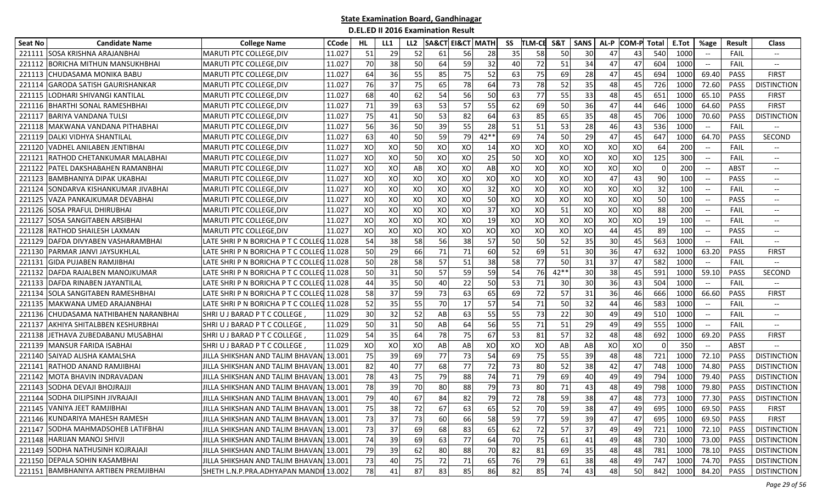| Seat No | <b>Candidate Name</b>                | <b>College Name</b>                       | <b>CCode</b> | HL. | LL1 | LL <sub>2</sub> | SA&CT | <b>EI&amp;CT MATH</b> |        | SS | <b>ITLM-CB</b> | <b>S&amp;T</b> | <b>SANS</b> | AL-P            | <b>COM-P</b> | Total    | E.Tot           | %age                                             | Result      | <b>Class</b>             |
|---------|--------------------------------------|-------------------------------------------|--------------|-----|-----|-----------------|-------|-----------------------|--------|----|----------------|----------------|-------------|-----------------|--------------|----------|-----------------|--------------------------------------------------|-------------|--------------------------|
| 221111  | <b>ISOSA KRISHNA ARAJANBHAI</b>      | <b>MARUTI PTC COLLEGE, DIV</b>            | 11.027       | 51  | 29  | 52              | 61    | 56                    | 28     | 35 | 58             | 50             | 30          | 47              | 43           | 540      | 1000            | $\hspace{0.1mm}-\hspace{0.1mm}-\hspace{0.1mm}$   | FAIL        | $- -$                    |
| 221112  | <b>BORICHA MITHUN MANSUKHBHAI</b>    | <b>MARUTI PTC COLLEGE, DIV</b>            | 11.027       | 70  | 38  | 50              | 64    | 59                    | 32     | 40 | 72             | 51             | 34          | 47              | 47           | 604      | 1000            | $-\hbox{--}$                                     | FAIL        | $-\!$                    |
| 221113  | <b>CHUDASAMA MONIKA BABU</b>         | MARUTI PTC COLLEGE, DIV                   | 11.027       | 64  | 36  | 55              | 85    | 75                    | 52     | 63 | 75             | 69             | 28          | 471             | 45           | 694      | 1000            | 69.40                                            | PASS        | <b>FIRST</b>             |
|         | 221114 GARODA SATISH GAURISHANKAR    | MARUTI PTC COLLEGE, DIV                   | 11.027       | 76  | 37  | 75              | 65    | 78                    | 64     | 73 | 78             | 52             | 35          | 48              | 45           | 726      | 1000            | 72.60                                            | <b>PASS</b> | <b>DISTINCTION</b>       |
|         | 221115 LODHARI SHIVANGI KANTILAL     | <b>MARUTI PTC COLLEGE, DIV</b>            | 11.027       | 68  | 40  | 62              | 54    | 56                    | 50     | 63 | 77             | 55             | 33          | 48              | 45           | 651      | 1000            | 65.10                                            | PASS        | <b>FIRST</b>             |
|         | 221116 BHARTHI SONAL RAMESHBHAI      | MARUTI PTC COLLEGE, DIV                   | 11.027       | 71  | 39  | 63              | 53    | 57                    | 55     | 62 | 69             | 50             | 36          | 47              | 44           | 646      | 1000            | 64.60                                            | PASS        | <b>FIRST</b>             |
| 221117  | <b>BARIYA VANDANA TULSI</b>          | MARUTI PTC COLLEGE, DIV                   | 11.027       | 75  | 41  | 50              | 53    | 82                    | 64     | 63 | 85             | 65             | 35          | 48              | 45           | 706      | 1000            | 70.60                                            | <b>PASS</b> | <b>DISTINCTION</b>       |
| 221118  | IMAKWANA VANDANA PITHABHAI           | <b>MARUTI PTC COLLEGE, DIV</b>            | 11.027       | 56  | 36  | 50              | 39    | 55                    | 28     | 51 | 51             | 53             | 28          | 46              | 43           | 536      | 1000            | $\hspace{0.05cm} \textbf{--}$                    | FAIL        |                          |
| 221119  | DALKI VIDHYA SHANTILAL               | MARUTI PTC COLLEGE, DIV                   | 11.027       | 63  | 40  | 50              | 59    | 79                    | $42**$ | 69 | 74             | 50             | 29          | 47              | 45           | 647      | 1000            | 64.70                                            | <b>PASS</b> | SECOND                   |
| 221120  | <b>VADHEL ANILABEN JENTIBHAI</b>     | MARUTI PTC COLLEGE, DIV                   | 11.027       | XO  | XO  | 50              | XO    | XO                    | 14     | XO | XO             | XO             | XO          | XO              | XO           | 64       | 200             | $-$                                              | FAIL        | $\overline{\phantom{a}}$ |
| 221121  | <b>RATHOD CHETANKUMAR MALABHAI</b>   | MARUTI PTC COLLEGE, DIV                   | 11.027       | XO  | XO  | 50              | XO    | XO                    | 25     | 50 | XO             | XO             | XO          | XO              | XO           | 125      | 300             |                                                  | FAIL        | $-\!$                    |
| 221122  | <b>PATEL DAKSHABAHEN RAMANBHAI</b>   | <b>MARUTI PTC COLLEGE, DIV</b>            | 11.027       | XO  | XO  | AB              | XO    | XO                    | AB     | XO | XO             | XO             | XO          | XO              | XO           | $\Omega$ | 200             | $\hspace{0.1mm}-\hspace{0.1mm}-\hspace{0.1mm}$   | ABST        | $\overline{\phantom{a}}$ |
| 221123  | BAMBHANIYA DIPAK UKABHAI             | <b>MARUTI PTC COLLEGE, DIV</b>            | 11.027       | XO  | XO  | XO              | XO    | XO                    | XO     | XO | XO             | XO             | XO          | 47              | 43           | 90       | 100             | $\hspace{0.1mm}-\hspace{0.1mm}-\hspace{0.1mm}$   | <b>PASS</b> | $\overline{\phantom{a}}$ |
| 221124  | <b>SONDARVA KISHANKUMAR JIVABHAI</b> | MARUTI PTC COLLEGE, DIV                   | 11.027       | XO  | XO  | XO              | XO    | XO                    | 32     | XO | XO             | XO             | XO          | XO              | XO           | 32       | 100             | $\overline{\phantom{a}}$                         | FAIL        | $\hspace{0.05cm} \ldots$ |
| 221125  | VAZA PANKAJKUMAR DEVABHAI            | MARUTI PTC COLLEGE, DIV                   | 11.027       | XO  | XO  | XO              | XO    | XO                    | 50     | XO | XO             | XO             | XO          | XO              | XO           | 50       | 100             | $\overline{\phantom{a}}$                         | <b>PASS</b> | $-\!$                    |
| 221126  | <b>SOSA PRAFUL DHIRUBHAI</b>         | <b>MARUTI PTC COLLEGE, DIV</b>            | 11.027       | XO  | XO  | XO              | XO    | XO                    | 37     | XO | XO             | 51             | XO          | XO              | XO           | 88       | 200             | $-\hbox{--}$                                     | FAIL        | $- -$                    |
| 221127  | <b>SOSA SANGITABEN ARSIBHAI</b>      | MARUTI PTC COLLEGE, DIV                   | 11.027       | XO  | XO  | XO              | XO    | XO                    | 19     | XO | XO             | XO             | XO          | XO              | XO           | 19       | 100             | $\overline{\phantom{a}}$                         | FAIL        | $-\!$                    |
| 221128  | <b>RATHOD SHAILESH LAXMAN</b>        | MARUTI PTC COLLEGE, DIV                   | 11.027       | XO  | XO  | XO              | XO    | XO                    | XO     | XO | XO             | XO             | XO          | 44              | 45           | 89       | 10 <sub>C</sub> | $\overline{\phantom{a}}$                         | PASS        | $-\!$                    |
| 221129  | DAFDA DIVYABEN VASHARAMBHAI          | LATE SHRI P N BORICHA P T C COLLEG 11.028 |              | 54  | 38  | 58              | 56    | 38                    | 57     | 50 | 50             | 52             | 35          | 30              | 45           | 563      | 1000            | $\hspace{0.1mm}-\hspace{0.1mm}-\hspace{0.1mm}$   | FAIL        | $-\!$                    |
| 221130  | <b>PARMAR JANVI JAYSUKHLAL</b>       | LATE SHRI P N BORICHA P T C COLLEG 11.028 |              | 50  | 29  | 66              | 71    | 71                    | 60     | 52 | 69             | 51             | 30          | 36              | 47           | 632      | 1000            | 63.20                                            | <b>PASS</b> | FIRST                    |
| 221131  | <b>GIDA PUJABEN RAMJIBHAI</b>        | LATE SHRIP N BORICHA PT C COLLEG 11.028   |              | 50  | 28  | 58              | 57    | 51                    | 38     | 58 | 77             | 50             | 31          | 37              | 47           | 582      | 1000            | $-\hbox{--}$                                     | FAIL        | $\overline{\phantom{a}}$ |
|         | 221132 DAFDA RAJALBEN MANOJKUMAR     | LATE SHRI P N BORICHA P T C COLLEG 11.028 |              | 50  | 31  | 50              | 57    | 59                    | 59     | 54 | 76             | $42**$         | 30          | 38              | 45           | 591      | 1000            | 59.10                                            | PASS        | <b>SECOND</b>            |
| 221133  | <b>IDAFDA RINABEN JAYANTILAI</b>     | LATE SHRI P N BORICHA P T C COLLEG 11.028 |              | 44  | 35  | 50              | 40    | 22                    | 50     | 53 | 71             | 30             | 30          | 36 <sup>I</sup> | 43           | 504      | 1000            | $\hspace{0.05cm} \textbf{--}$                    | FAIL        |                          |
| 221134  | <b>SOLA SANGITABEN RAMESHBHAI</b>    | LATE SHRI P N BORICHA P T C COLLEG 11.028 |              | 58  | 37  | 59              | 73    | 63                    | 65     | 69 | 72             | 57             | 31          | 36 <sup>I</sup> | 46           | 666      | 1000            | 66.60                                            | <b>PASS</b> | <b>FIRST</b>             |
| 221135  | MAKWANA UMED ARAJANBHAI              | LATE SHRI P N BORICHA P T C COLLEG 11.028 |              | 52  | 35  | 55              | 70    | 17                    | 57     | 54 | 71             | 50             | 32          | 44              | 46           | 583      | 1000            | $\overline{\phantom{a}}$                         | FAIL        | $\overline{\phantom{a}}$ |
| 221136  | CHUDASAMA NATHIBAHEN NARANBHAI       | SHRIU J BARAD P T C COLLEGE               | 11.029       | 30  | 32  | 52              | AB    | 63                    | 55     | 55 | 73             | 22             | 30          | 49              | 49           | 510      | 1000            | $-\hbox{--}$                                     | <b>FAIL</b> | $-\!$                    |
| 221137  | <b>AKHIYA SHITALBBEN KESHURBHAI</b>  | SHRI U J BARAD P T C COLLEGE ,            | 11.029       | 50  | 31  | 50              | AB    | 64                    | 56     | 55 | 71             | 51             | 29          | 49              | 49           | 555      | 1000            | $\hspace{0.1mm}-\hspace{-0.1mm}-\hspace{-0.1mm}$ | FAIL        | $-\!$                    |
|         | 221138 JETHAVA ZUBEDABANU MUSABHAI   | SHRIU J BARAD P T C COLLEGE               | 11.029       | 54  | 35  | 64              | 78    | 75                    | 67     | 53 | 81             | 57             | 32          | 48              | 48           | 692      | 1000            | 69.20                                            | PASS        | <b>FIRST</b>             |
| 221139  | MANSUR FARIDA ISABHAI                | SHRIU J BARAD P T C COLLEGE               | 11.029       | XO  | XO  | XO              | AB    | AB                    | XO     | XO | XO             | AB             | AB          | XO              | XO           | $\Omega$ | 350             | $-\hbox{--}$                                     | <b>ABST</b> |                          |
| 221140  | SAIYAD ALISHA KAMALSHA               | JILLA SHIKSHAN AND TALIM BHAVAN,          | 13.001       | 75  | 39  | 69              | 77    | 73                    | 54     | 69 | 75             | 55             | 39          | 48              | 48           | 721      | 1000            | 72.10                                            | <b>PASS</b> | <b>DISTINCTION</b>       |
| 221141  | <b>RATHOD ANAND RAMJIBHAI</b>        | JILLA SHIKSHAN AND TALIM BHAVAN, 13.001   |              | 82  | 40  | 77              | 68    | 77                    | 72     | 73 | 80             | 52             | 38          | 42 <sub>l</sub> | 47           | 748      | 1000            | 74.80                                            | <b>PASS</b> | <b>DISTINCTION</b>       |
|         | 221142 MOTA BHAVIN INDRAVADAN        | JILLA SHIKSHAN AND TALIM BHAVAN, 13.001   |              | 78  | 43  | 75              | 79    | 88                    | 74     | 71 | 79             | 69             | 40          | 49              | 49           | 794      | 1000            | 79.40                                            | PASS        | <b>DISTINCTION</b>       |
|         | 221143 SODHA DEVAJI BHOJRAJJI        | JILLA SHIKSHAN AND TALIM BHAVAN,          | 13.001       | 78  | 39  | 70              | 80    | 88                    | 79     | 73 | 80             | 71             | 43          | 48              | 49           | 798      | 1000            | 79.80                                            | <b>PASS</b> | <b>DISTINCTION</b>       |
|         | 221144 SODHA DILIPSINH JIVRAJAJI     | JILLA SHIKSHAN AND TALIM BHAVAN, 13.001   |              | 79  | 40  | 67              | 84    | 82                    | 79     | 72 | 78             | 59             | 38          | 47              | 48           | 773      | 1000            | 77.30                                            | PASS        | <b>DISTINCTION</b>       |
|         | 221145 VANIYA JEET RAMJIBHAI         | JILLA SHIKSHAN AND TALIM BHAVAN 13.001    |              | 75  | 38  | 72              | 67    | 63                    | 65     | 52 | 70             | 59             | 38          | 47              | 49           | 695      | 1000            | 69.50                                            | PASS        | <b>FIRST</b>             |
|         | 221146 KUNDARIYA MAHESH RAMESH       | JILLA SHIKSHAN AND TALIM BHAVAN, 13.001   |              | 73  | 37  | 73              | 60    | 66                    | 58     | 59 | 77             | 59             | 39          | 47              | 47           | 695      | 1000            | 69.50                                            | PASS        | <b>FIRST</b>             |
|         | 221147 SODHA MAHMADSOHEB LATIFBHAI   | JILLA SHIKSHAN AND TALIM BHAVAN, 13.001   |              | 73  | 37  | 69              | 68    | 83                    | 65     | 62 | 72             | 57             | 37          | 49              | 49           | 721      | 1000            | 72.10                                            | PASS        | <b>DISTINCTION</b>       |
|         | 221148 HARIJAN MANOJ SHIVJI          | JILLA SHIKSHAN AND TALIM BHAVAN, 13.001   |              | 74  | 39  | 69              | 63    | 77                    | 64     | 70 | 75             | 61             | 41          | 49              | 48           | 730      | 1000            | 73.00                                            | PASS        | <b>DISTINCTION</b>       |
|         | 221149 SODHA NATHUSINH KOJRAJAJI     | JILLA SHIKSHAN AND TALIM BHAVAN, 13.001   |              | 79  | 39  | 62              | 80    | 88                    | 70     | 82 | 81             | 69             | 35          | 48              | 48           | 781      | 1000            | 78.10                                            | PASS        | <b>DISTINCTION</b>       |
|         | 221150 DEPALA SOHIN KASAMBHAI        | JILLA SHIKSHAN AND TALIM BHAVAN, 13.001   |              | 73  | 40  | 75              | 72    | 71                    | 65     | 76 | 79             | 61             | 38          | 48              | 49           | 747      | 1000            | 74.70                                            | PASS        | <b>DISTINCTION</b>       |
|         | 221151 BAMBHANIYA ARTIBEN PREMJIBHAI | SHETH L.N.P.PRA.ADHYAPAN MANDII 13.002    |              | 78  | 41  | 87              | 83    | 85                    | 86     | 82 | 85             | 74             | 43          | 48              | 50           | 842      | 1000            | 84.20                                            | PASS        | <b>DISTINCTION</b>       |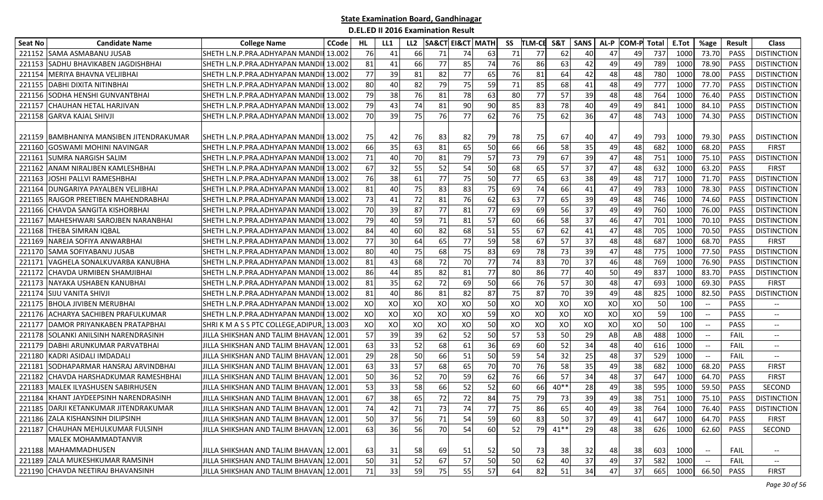| Seat No | <b>Candidate Name</b>                    | <b>College Name</b>                     | <b>CCode</b> | HL  | LL1 | LL <sub>2</sub> |    | <b>SA&amp;CT EI&amp;CT MATH</b> |    | SS | <b>TLM-CE</b> | S&T    | <b>SANS</b> | AL-P | <b>COM-P Total</b> |     | E.Tot | %age                              | <b>Result</b> | <b>Class</b>                      |
|---------|------------------------------------------|-----------------------------------------|--------------|-----|-----|-----------------|----|---------------------------------|----|----|---------------|--------|-------------|------|--------------------|-----|-------|-----------------------------------|---------------|-----------------------------------|
|         | 221152 SAMA ASMABANU JUSAB               | SHETH L.N.P.PRA.ADHYAPAN MANDII         | 13.002       | 76  | 41  | 66              | 71 | 74                              | 63 | 71 | 77            | 62     | 40          | 47   | 49                 | 737 | 1000  | 73.70                             | PASS          | <b>DISTINCTION</b>                |
|         | 221153 SADHU BHAVIKABEN JAGDISHBHAI      | SHETH L.N.P.PRA.ADHYAPAN MANDII 13.002  |              | 81  | 41  | 66              | 77 | 85                              | 74 | 76 | 86            | 63     | 42          | 49   | 49                 | 789 | 1000  | 78.90                             | PASS          | <b>DISTINCTION</b>                |
| 221154  | MERIYA BHAVNA VELJIBHAI                  | SHETH L.N.P.PRA.ADHYAPAN MANDII 13.002  |              | 77  | 39  | 81              | 82 | 77                              | 65 | 76 | 81            | 64     | 42          | 48   | 48                 | 780 | 1000  | 78.00                             | PASS          | <b>DISTINCTION</b>                |
| 221155  | <b>DABHI DIXITA NITINBHAI</b>            | SHETH L.N.P.PRA.ADHYAPAN MANDII 13.002  |              | 80  | 40  | 82              | 79 | 75                              | 59 | 71 | 85            | 68     | 41          | 48   | 49                 | 777 | 1000  | 77.70                             | PASS          | <b>DISTINCTION</b>                |
| 221156  | <b>SODHA HENSHI GUNVANTBHAI</b>          | SHETH L.N.P.PRA.ADHYAPAN MANDII 13.002  |              | 79  | 38  | 76              | 81 | 78                              | 63 | 80 | 77            | 57     | 39          | 48   | 48                 | 764 | 1000  | 76.40                             | <b>PASS</b>   | <b>DISTINCTION</b>                |
| 221157  | <b>CHAUHAN HETAL HARJIVAN</b>            | SHETH L.N.P.PRA.ADHYAPAN MANDII 13.002  |              | 79  | 43  | 74              | 81 | 90                              | 90 | 85 | 83            | 78     | 40          | 49   | 49                 | 841 | 1000  | 84.10                             | <b>PASS</b>   | <b>DISTINCTION</b>                |
|         | 221158 GARVA KAJAL SHIVJI                | SHETH L.N.P.PRA.ADHYAPAN MANDII 13.002  |              | 70  | 39  | 75              | 76 | 77                              | 62 | 76 | 75            | 62     | 36          | 47   | 48                 | 743 | 1000  | 74.30                             | <b>PASS</b>   | <b>DISTINCTION</b>                |
|         | 221159 BAMBHANIYA MANSIBEN JITENDRAKUMAR | SHETH L.N.P.PRA.ADHYAPAN MANDII 13.002  |              | 75  | 42  | 76              | 83 | 82                              | 79 | 78 | 75            | 67     | 40          | 47   | 49                 | 793 | 1000  | 79.30                             | <b>PASS</b>   | <b>DISTINCTION</b>                |
| 221160  | IGOSWAMI MOHINI NAVINGAR                 | SHETH L.N.P.PRA.ADHYAPAN MANDII 13.002  |              | 66  | 35  | 63              | 81 | 65                              | 50 | 66 | 66            | 58     | 35          | 49   | 48                 | 682 | 1000  | 68.20                             | <b>PASS</b>   | <b>FIRST</b>                      |
| 22116   | <b>SUMRA NARGISH SALIM</b>               | SHETH L.N.P.PRA.ADHYAPAN MANDII 13.002  |              | 71  | 40  | 70              | 81 | 79                              | 57 | 73 | 79            | 67     | 39          | 47   | 48                 | 751 | 1000  | 75.10                             | <b>PASS</b>   | <b>DISTINCTION</b>                |
| 221162  | ANAM NIRALIBEN KAMLESHBHAI               | SHETH L.N.P.PRA.ADHYAPAN MANDII 13.002  |              | 67  | 32  | 55              | 52 | 54                              | 50 | 68 | 65            | 57     | 37          | 47   | 48                 | 632 | 1000  | 63.20                             | PASS          | <b>FIRST</b>                      |
| 221163  | JOSHI PALLVI RAMESHBHAI                  | SHETH L.N.P.PRA.ADHYAPAN MANDII 13.002  |              | 76  | 38  | 61              | 77 | 75                              | 50 | 77 | 65            | 63     | 38          | 49   | 48                 | 717 | 1000  | 71.70                             | PASS          | <b>DISTINCTION</b>                |
| 221164  | <b>JOUNGARIYA PAYALBEN VELJIBHAI</b>     | SHETH L.N.P.PRA.ADHYAPAN MANDII 13.002  |              | 81  | 40  | 75              | 83 | 83                              | 75 | 69 | 74            | 66     | 41          | 47   | 49                 | 783 | 1000  | 78.30                             | <b>PASS</b>   | <b>DISTINCTION</b>                |
| 221165  | <b>IRAJGOR PREETIBEN MAHENDRABHAI</b>    | SHETH L.N.P.PRA.ADHYAPAN MANDII 13.002  |              | 73  | 41  | 72              | 81 | 76                              | 62 | 63 | 77            | 65     | 39          | 49   | 48                 | 746 | 1000  | 74.60                             | PASS          | <b>DISTINCTION</b>                |
| 221166  | <b>CHAVDA SANGITA KISHORBHAI</b>         | SHETH L.N.P.PRA.ADHYAPAN MANDII 13.002  |              | 70  | 39  | 87              | 77 | 81                              | 77 | 69 | 69            | 56     | 37          | 49   | 49                 | 760 | 1000  | 76.00                             | PASS          | <b>DISTINCTION</b>                |
| 221167  | MAHESHWARI SAROJBEN NARANBHAI            | SHETH L.N.P.PRA.ADHYAPAN MANDII 13.002  |              | 79  | 40  | 59              | 71 | 81                              | 57 | 60 | 66            | 58     | 37          | 46   | 47                 | 701 | 1000  | 70.10                             | PASS          | <b>DISTINCTION</b>                |
| 221168  | <b>THEBA SIMRAN IQBAL</b>                | SHETH L.N.P.PRA.ADHYAPAN MANDII 13.002  |              | 84  | 40  | 60              | 82 | 68                              | 51 | 55 | 67            | 62     | 41          | 47   | 48                 | 705 | 1000  | 70.50                             | PASS          | <b>DISTINCTION</b>                |
| 221169  | NAREJA SOFIYA ANWARBHAI                  | SHETH L.N.P.PRA.ADHYAPAN MANDI          | 13.002       | 77  | 30  | 64              | 65 | 77                              | 59 | 58 | 67            | 57     | 37          | 48   | 48                 | 687 | 1000  | 68.70                             | PASS          | <b>FIRST</b>                      |
| 221170  | <b>SAMA SOFIYABANU JUSAB</b>             | SHETH L.N.P.PRA.ADHYAPAN MANDII         | 13.002       | 80  | 40  | 75              | 68 | 75                              | 83 | 69 | 78            | 73     | 39          | 47   | 48                 | 775 | 1000  | 77.50                             | PASS          | <b>DISTINCTION</b>                |
| 22117:  | VAGHELA SONALKUVARBA KANUBHA             | SHETH L.N.P.PRA.ADHYAPAN MANDII 13.002  |              | 81  | 43  | 68              | 72 | 70                              | 77 | 74 | 83            | 70     | 37          | 46   | 48                 | 769 | 1000  | 76.90                             | <b>PASS</b>   | <b>DISTINCTION</b>                |
| 221172  | ICHAVDA URMIBEN SHAMJIBHAI               | SHETH L.N.P.PRA.ADHYAPAN MANDII 13.002  |              | 86  | 44  | 85              | 82 | 81                              | 77 | 80 | 86            | 77     | 40          | 50   | 49                 | 837 | 1000  | 83.70                             | <b>PASS</b>   | <b>DISTINCTION</b>                |
| 221173  | NAYAKA USHABEN KANUBHAI                  | SHETH L.N.P.PRA.ADHYAPAN MANDII 13.002  |              | 81  | 35  | 62              | 72 | 69                              | 50 | 66 | 76            | 57     | 30          | 48   | 47                 | 693 | 1000  | 69.30                             | PASS          | <b>FIRST</b>                      |
| 221174  | <b>SIJU VANITA SHIVJ</b>                 | SHETH L.N.P.PRA.ADHYAPAN MANDII 13.002  |              | 81  | 40  | 86              | 81 | 82                              | 87 | 75 | 87            | 70     | 39          | 49   | 48                 | 825 | 1000  | 82.50                             | PASS          | <b>DISTINCTION</b>                |
| 221175  | <b>BHOLA JIVIBEN MERUBHAI</b>            | SHETH L.N.P.PRA.ADHYAPAN MANDII 13.002  |              | XO  | XO  | XO              | XO | XO                              | 50 | XO | XO            | XO     | XO          | XO   | XO                 | 50  | 100   | $-\!$                             | PASS          | $--$                              |
| 221176  | ACHARYA SACHIBEN PRAFULKUMAR             | SHETH L.N.P.PRA.ADHYAPAN MANDII 13.002  |              | XO  | xo  | XO              | XO | XO                              | 59 | XO | XO            | XO     | XO          | XO   | XO                 | 59  | 100   | $-\!$                             | <b>PASS</b>   | $- -$                             |
| 221177  | DAMOR PRIYANKABEN PRATAPBHAI             | SHRIK MASS PTC COLLEGE, ADIPUR,         | , 13.003     | XO  | XO  | XO              | XO | XO                              | 50 | XO | XO            | XO     | XO          | XO   | XO                 | 50  | 100   |                                   | PASS          | $-\!$                             |
| 221178  | SOLANKI ANILSINH NARENDRASINH            | JILLA SHIKSHAN AND TALIM BHAVAN  12.001 |              | 57  | 39  | 39              | 62 | 52                              | 50 | 57 | 53            | 50     | 29          | AB   | AB                 | 488 | 1000  |                                   | FAIL          | $-\!$                             |
| 221179  | DABHI ARUNKUMAR PARVATBHAI               | JILLA SHIKSHAN AND TALIM BHAVANJ 12.001 |              | 63  | 33  | 52              | 68 | 61                              | 36 | 69 | 60            | 52     | 34          | 48   | 40                 | 616 | 1000  | $\hspace{0.05cm} \dashrightarrow$ | FAIL          | $\hspace{0.05cm} \dashrightarrow$ |
| 221180  | IKADRI ASIDALI IMDADALI                  | JILLA SHIKSHAN AND TALIM BHAVAN. 12.001 |              | 29  | 28  | 50              | 66 | 51                              | 50 | 59 | 54            | 32     | 25          | 48   | 37                 | 529 | 1000  | $\overline{\phantom{a}}$          | <b>FAIL</b>   | $\overline{\phantom{a}}$          |
| 221181  | SODHAPARMAR HANSRAJ ARVINDBHAI           | JILLA SHIKSHAN AND TALIM BHAVAN. 12.001 |              | 63  | 33  | 57              | 68 | 65                              | 70 | 70 | 76            | 58     | 35          | 49   | 38                 | 682 | 1000  | 68.20                             | PASS          | <b>FIRST</b>                      |
| 221182  | CHAVDA HARSHADKUMAR RAMESHBHAI           | JILLA SHIKSHAN AND TALIM BHAVAN, 12.001 |              | 50  | 36  | 52              | 70 | 59                              | 62 | 76 | 66            | 57     | 34          | 48   | 37                 | 647 | 1000  | 64.70                             | PASS          | <b>FIRST</b>                      |
| 221183  | <b>MALEK ILYASHUSEN SABIRHUSEN</b>       | IILLA SHIKSHAN AND TALIM BHAVANI 12.001 |              | 53  | 33  | 58              | 66 | 52                              | 52 | 60 | 66            | $40**$ | 28          | 49   | 38                 | 595 | 1000  | 59.50                             | PASS          | SECOND                            |
| 221184  | KHANT JAYDEEPSINH NARENDRASINH           | JILLA SHIKSHAN AND TALIM BHAVAN. 12.001 |              | 67  | 38  | 65              | 72 | 72                              | 84 | 75 | 79            | 73     | 39          | 49   | 38                 | 751 | 1000  | 75.10                             | <b>PASS</b>   | <b>DISTINCTION</b>                |
|         | 221185 DARJI KETANKUMAR JITENDRAKUMAR    | JILLA SHIKSHAN AND TALIM BHAVAN, 12.001 |              | 741 | 42  | 71              | 73 | 74                              | 77 | 75 | 86            | 65     | 40          | 49   | 38                 | 764 | 1000  | 76.40                             |               | PASS   DISTINCTION                |
|         | 221186 ZALA KISHANSINH DILIPSINH         | JILLA SHIKSHAN AND TALIM BHAVAN 12.001  |              | 50  | 37  | 56              | 71 | 54                              | 59 | 60 | 83            | 50     | 37          | 49   | 41                 | 647 | 1000  | 64.70                             | PASS          | <b>FIRST</b>                      |
|         | 221187 CHAUHAN MEHULKUMAR FULSINH        | JILLA SHIKSHAN AND TALIM BHAVAN, 12.001 |              | 63  | 36  | 56              | 70 | 54                              | 60 | 52 | 79            | $41**$ | 29          | 48   | 38                 | 626 | 1000  | 62.60                             | PASS          | SECOND                            |
|         | MALEK MOHAMMADTANVIR                     |                                         |              |     |     |                 |    |                                 |    |    |               |        |             |      |                    |     |       |                                   |               |                                   |
|         | 221188 MAHAMMADHUSEN                     | JILLA SHIKSHAN AND TALIM BHAVAN, 12.001 |              | 63  | 31  | 58              | 69 | 51                              | 52 | 50 | 73            | 38     | 32          | 48   | 38                 | 603 | 1000  | $-\!$                             | FAIL          | $\overline{\phantom{a}}$          |
|         | 221189 ZALA MUKESHKUMAR RAMSINH          | JILLA SHIKSHAN AND TALIM BHAVAN, 12.001 |              | 50  | 31  | 52              | 67 | 57                              | 50 | 50 | 62            | 40     | 37          | 49   | 37                 | 582 | 1000  |                                   | FAIL          |                                   |
|         | 221190 CHAVDA NEETIRAJ BHAVANSINH        | JILLA SHIKSHAN AND TALIM BHAVAN 12.001  |              | 71  | 33  | 59              | 75 | 55                              | 57 | 64 | 82            | 51     | 34          | 47   | 37                 | 665 | 1000  | 66.50                             | PASS          | <b>FIRST</b>                      |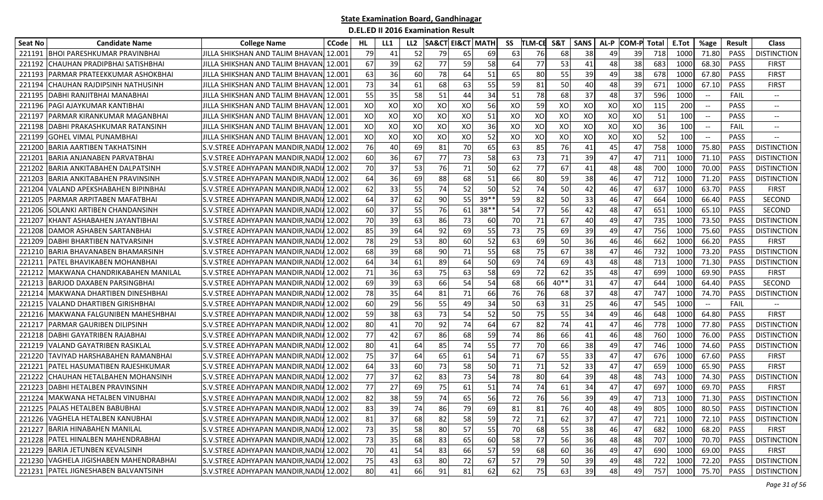| <b>Seat No</b> | <b>Candidate Name</b>                  | <b>College Name</b>                     | <b>CCode</b> | HL | LL1 | LL <sub>2</sub> | <b>SA&amp;CT EI&amp;CT MATH</b> |    |       | SS | <b>TLM-CE</b> | S&T    | <b>SANS</b> | AL-P | <b>COM-P</b> | Total | E.Tot | %age                                                | Result      | <b>Class</b>             |
|----------------|----------------------------------------|-----------------------------------------|--------------|----|-----|-----------------|---------------------------------|----|-------|----|---------------|--------|-------------|------|--------------|-------|-------|-----------------------------------------------------|-------------|--------------------------|
| 221191         | BHOI PARESHKUMAR PRAVINBHAI            | IILLA SHIKSHAN AND TALIM BHAVAN         | 12.001       | 79 | 41  | 52              | 79                              | 65 | 69    | 63 | 76            | 68     | 38          | 49   | 39           | 718   | 1000  | 71.80                                               | <b>PASS</b> | <b>DISTINCTION</b>       |
| 221192         | CHAUHAN PRADIPBHAI SATISHBHAI          | JILLA SHIKSHAN AND TALIM BHAVAN         | 12.001       | 67 | 39  | 62              | 77                              | 59 | 58    | 64 | 77            | 53     | 41          | 48   | 38           | 683   | 1000  | 68.30                                               | PASS        | <b>FIRST</b>             |
| 221193         | PARMAR PRATEEKKUMAR ASHOKBHAI          | JILLA SHIKSHAN AND TALIM BHAVAN         | 12.001       | 63 | 36  | 60              | 78                              | 64 | 51    | 65 | 80            | 55     | 39          | 49   | 38           | 678   | 1000  | 67.80                                               | PASS        | <b>FIRST</b>             |
| 221194         | CHAUHAN RAJDIPSINH NATHUSINH           | JILLA SHIKSHAN AND TALIM BHAVAN         | 12.001       | 73 | 34  | 61              | 68                              | 63 | 55    | 59 | 81            | 50     | 40          | 48   | 39           | 671   | 1000  | 67.10                                               | PASS        | <b>FIRST</b>             |
| 221195         | DABHI RANJITBHAI MANABHAI              | JILLA SHIKSHAN AND TALIM BHAVAN] 12.001 |              | 55 | 35  | 58              | 51                              | 44 | 34    | 51 | 78            | 68     | 37          | 48   | 37           | 596   | 1000  | $- -$                                               | FAIL        | $- -$                    |
| 221196         | PAGI AJAYKUMAR KANTIBHAI               | JILLA SHIKSHAN AND TALIM BHAVAN, 12.001 |              | XO | XO  | XO              | XO                              | XO | 56    | XO | 59            | XO     | XO          | XO   | XO           | 115   | 200   | $\hspace{0.05cm} -\hspace{0.05cm} -\hspace{0.05cm}$ | <b>PASS</b> | $\overline{\phantom{a}}$ |
| 22119          | PARMAR KIRANKUMAR MAGANBHAI            | JILLA SHIKSHAN AND TALIM BHAVAN. 12.001 |              | XO | XO  | XO              | XO                              | XO | 51    | XO | XO            | XO     | XO          | XO   | XO           | 51    | 100   | $\overline{\phantom{a}}$                            | <b>PASS</b> | $-\!$                    |
| 221198         | DABHI PRAKASHKUMAR RATANSINH           | JILLA SHIKSHAN AND TALIM BHAVAN. 12.001 |              | XO | XO  | XO              | XO                              | XO | 36    | XO | XO            | XO     | XO          | XO   | XO           | 36    | 100   | $\overline{\phantom{a}}$                            | FAIL        |                          |
| 221199         | GOHEL VIMAL PUNAMBHAI                  | IILLA SHIKSHAN AND TALIM BHAVANI 12.001 |              | XO | XO  | XO              | XO                              | XO | 52    | XO | XO            | XO     | XO          | XO   | XO           | 52    | 100   | $\overline{\phantom{a}}$                            | PASS        |                          |
| 22120          | <b>BARIA AARTIBEN TAKHATSINH</b>       | S.V.STREE ADHYAPAN MANDIR, NADIA 12.002 |              | 76 | 40  | 69              | 81                              | 70 | 65    | 63 | 85            | 76     | 41          | 45   | 47           | 758   | 1000  | 75.80                                               | <b>PASS</b> | <b>DISTINCTION</b>       |
| 22120          | BARIA ANJANABEN PARVATBHAI             | S.V.STREE ADHYAPAN MANDIR, NADIA 12.002 |              | 60 | 36  | 67              | 77                              | 73 | 58    | 63 | 73            | 71     | 39          | 47   | 47           | 711   | 1000  | 71.10                                               | <b>PASS</b> | <b>DISTINCTION</b>       |
| 22120          | BARIA ANKITABAHEN DALPATSINH           | S.V.STREE ADHYAPAN MANDIR, NADIA 12.002 |              | 70 | 37  | 53              | 76                              | 71 | 50    | 62 | 77            | 67     | 41          | 48   | 48           | 700   | 1000  | 70.00                                               | <b>PASS</b> | <b>DISTINCTION</b>       |
| 221203         | BARIA ANKITABAHEN PRAVINSINH           | S.V.STREE ADHYAPAN MANDIR, NADIA 12.002 |              | 64 | 36  | 69              | 88                              | 68 | 51    | 66 | 80            | 59     | 38          | 46   | 47           | 712   | 1000  | 71.20                                               | <b>PASS</b> | <b>DISTINCTION</b>       |
| 221204         | VALAND APEKSHABAHEN BIPINBHAI          | S.V.STREE ADHYAPAN MANDIR, NADIA 12.002 |              | 62 | 33  | 55              | 74                              | 52 | 50    | 52 | 74            | 50     | 42          | 46   | 47           | 637   | 1000  | 63.70                                               | <b>PASS</b> | <b>FIRST</b>             |
| 221205         | PARMAR ARPITABEN MAFATBHAI             | S.V.STREE ADHYAPAN MANDIR, NADIA 12.002 |              | 64 | 37  | 62              | 90                              | 55 | $39*$ | 59 | 82            | 50     | 33          | 46   | 47           | 664   | 1000  | 66.40                                               | <b>PASS</b> | <b>SECOND</b>            |
| 221206         | SOLANKI ARTIBEN CHANDANSINH            | S.V.STREE ADHYAPAN MANDIR,NADI4 12.002  |              | 60 | 37  | 55              | 76                              | 61 | $38*$ | 54 | 77            | 56     | 42          | 48   | 47           | 651   | 1000  | 65.10                                               | <b>PASS</b> | SECOND                   |
| 22120          | (HANT ASHABAHEN JAYANTIBHAI            | S.V.STREE ADHYAPAN MANDIR.NADIA 12.002  |              | 70 | 39  | 63              | 86                              | 73 | 60    | 70 | 71            | 67     | 40          | 49   | 47           | 735   | 1000  | 73.50                                               | <b>PASS</b> | <b>DISTINCTION</b>       |
| 221208         | <b>DAMOR ASHABEN SARTANBHAI</b>        | S.V.STREE ADHYAPAN MANDIR, NADIA 12.002 |              | 85 | 39  | 64              | 92                              | 69 | 55    | 73 | 75            | 69     | 39          | 49   | 47           | 756   | 1000  | 75.60                                               | <b>PASS</b> | <b>DISTINCTION</b>       |
| 221209         | <b>DABHI BHARTIBEN NATVARSINH</b>      | S.V.STREE ADHYAPAN MANDIR, NADIA 12.002 |              | 78 | 29  | 53              | 80                              | 60 | 52    | 63 | 69            | 50     | 36          | 46   | 46           | 662   | 1000  | 66.20                                               | PASS        | <b>FIRST</b>             |
| 221210         | BARIA BHAVANABEN BHAMARSINH            | S.V.STREE ADHYAPAN MANDIR, NADIA 12.002 |              | 68 | 39  | 68              | 90                              | 71 | 55    | 68 | 75            | 67     | 38          | 47   | 46           | 732   | 1000  | 73.20                                               | <b>PASS</b> | <b>DISTINCTION</b>       |
| 221211         | PATEL BHAVIKABEN MOHANBHAI             | S.V.STREE ADHYAPAN MANDIR,NADI4 12.002  |              | 64 | 34  | 61              | 89                              | 64 | 50    | 69 | 74            | 69     | 43          | 48   | 48           | 713   | 1000  | 71.30                                               | <b>PASS</b> | <b>DISTINCTION</b>       |
| 221212         | MAKWANA CHANDRIKABAHEN MANILAL         | S.V.STREE ADHYAPAN MANDIR, NADIA 12.002 |              | 71 | 36  | 63              | 75                              | 63 | 58    | 69 | 72            | 62     | 35          | 48   | 47           | 699   | 1000  | 69.90                                               | <b>PASS</b> | <b>FIRST</b>             |
| 221213         | BARJOD DAXABEN PARSINGBHAI             | S.V.STREE ADHYAPAN MANDIR, NADIA 12.002 |              | 69 | 39  | 63              | 66                              | 54 | 54    | 68 | 66            | $40**$ | 31          | 47   | 47           | 644   | 1000  | 64.40                                               | PASS        | <b>SECOND</b>            |
| 221214         | MAKWANA DHARTIBEN DINESHBHAI           | S.V.STREE ADHYAPAN MANDIR,NADI4 12.002  |              | 78 | 35  | 64              | 81                              | 71 | 66    | 76 | 76            | 68     | 37          | 48   | 47           | 747   | 1000  | 74.70                                               | <b>PASS</b> | <b>DISTINCTION</b>       |
| 22121          | VALAND DHARTIBEN GIRISHBHAI            | S.V.STREE ADHYAPAN MANDIR,NADI4 12.002  |              | 60 | 29  | 56              | 55                              | 49 | 34    | 50 | 63            | 31     | 25          | 46   | 47           | 545   | 1000  | $- -$                                               | FAIL        | $-\!$                    |
| 221216         | MAKWANA FALGUNIBEN MAHESHBHAI          | S.V.STREE ADHYAPAN MANDIR, NADI         | 12.002       | 59 | 38  | 63              | 73                              | 54 | 52    | 50 | 75            | 55     | 34          | 49   | 46           | 648   | 1000  | 64.80                                               | PASS        | <b>FIRST</b>             |
| 22121          | PARMAR GAURIBEN DILIPSINH              | S.V.STREE ADHYAPAN MANDIR, NADIA 12.002 |              | 80 | 41  | 70              | 92                              | 74 | 64    | 67 | 82            | 74     | 41          | 47   | 46           | 778   | 1000  | 77.80                                               | <b>PASS</b> | <b>DISTINCTION</b>       |
| 221218         | DABHI GAYATRIBEN RAJABHAI              | S.V.STREE ADHYAPAN MANDIR, NADIA 12.002 |              | 77 | 42  | 67              | 86                              | 68 | 59    | 74 | 86            | 66     | 41          | 46   | 48           | 760   | 1000  | 76.00                                               | <b>PASS</b> | <b>DISTINCTION</b>       |
| 221219         | VALAND GAYATRIBEN RASIKLAL             | S.V.STREE ADHYAPAN MANDIR, NADIA 12.002 |              | 80 | 41  | 64              | 85                              | 74 | 55    | 77 | 70            | 66     | 38          | 49   | 47           | 746   | 1000  | 74.60                                               | PASS        | <b>DISTINCTION</b>       |
| 221220         | TAVIYAD HARSHABAHEN RAMANBHAI          | S.V.STREE ADHYAPAN MANDIR, NADIA 12.002 |              | 75 | 37  | 64              | 65                              | 61 | 54    | 71 | 67            | 55     | 33          | 47   | 47           | 676   | 1000  | 67.60                                               | PASS        | <b>FIRST</b>             |
| 22122          | PATEL HASUMATIBEN RAJESHKUMAR          | S.V.STREE ADHYAPAN MANDIR, NADIA 12.002 |              | 64 | 33  | 60              | 73                              | 58 | 50    | 71 | 71            | 52     | 33          | 47   | 47           | 659   | 1000  | 65.90                                               | PASS        | FIRST                    |
| 221222         | CHAUHAN HETALBAHEN MOHANSINH           | S.V.STREE ADHYAPAN MANDIR, NADIA 12.002 |              | 77 | 37  | 62              | 83                              | 73 | 54    | 78 | 80            | 64     | 39          | 48   | 48           | 743   | 1000  | 74.30                                               | <b>PASS</b> | <b>DISTINCTION</b>       |
| 22122          | DABHI HETALBEN PRAVINSINH              | S.V.STREE ADHYAPAN MANDIR.NADIA 12.002  |              | 77 | 27  | 69              | 75                              | 61 | 51    | 74 | 74            | 61     | 34          | 47   | 47           | 697   | 1000  | 69.70                                               | <b>PASS</b> | <b>FIRST</b>             |
| 221224         | <b>MAKWANA HETALBEN VINUBHAI</b>       | S.V.STREE ADHYAPAN MANDIR, NADIA 12.002 |              | 82 | 38  | 59              | 74                              | 65 | 56    | 72 | 76            | 56     | 39          | 49   | 47           | 713   | 1000  | 71.30                                               | <b>PASS</b> | <b>DISTINCTION</b>       |
|                | 221225 PALAS HETALBEN BABUBHAI         | S.V.STREE ADHYAPAN MANDIR, NADIA 12.002 |              | 83 | 39  | 74              | 86                              | 79 | 69    | 81 | 81            | 76     | 40          | 48   | 49           | 805   | 1000  | 80.50                                               | PASS        | <b>DISTINCTION</b>       |
|                | 221226 VAGHELA HETALBEN KANUBHAI       | S.V.STREE ADHYAPAN MANDIR, NADIA 12.002 |              | 81 | 37  | 68              | 82                              | 58 | 59    | 72 | 71            | 62     | 37          | 47   | 47           | 721   | 1000  | 72.10                                               | PASS        | <b>DISTINCTION</b>       |
|                | 221227 BARIA HINABAHEN MANILAL         | S.V.STREE ADHYAPAN MANDIR, NADIA 12.002 |              | 73 | 35  | 58              | 80                              | 57 | 55    | 70 | 68            | 55     | 38          | 46   | 47           | 682   | 1000  | 68.20                                               | PASS        | <b>FIRST</b>             |
|                | 221228 PATEL HINALBEN MAHENDRABHAI     | S.V.STREE ADHYAPAN MANDIR, NADIA 12.002 |              | 73 | 35  | 68              | 83                              | 65 | 60    | 58 | 77            | 56     | 36          | 48   | 48           | 707   | 1000  | 70.70                                               | PASS        | <b>DISTINCTION</b>       |
|                | 221229 BARIA JETUNBEN KEVALSINH        | S.V.STREE ADHYAPAN MANDIR, NADIA 12.002 |              | 70 | 41  | 54              | 83                              | 66 | 57    | 59 | 68            | 60     | 36          | 49   | 47           | 690   | 1000  | 69.00                                               | PASS        | <b>FIRST</b>             |
|                | 221230 VAGHELA JIGISHABEN MAHENDRABHAI | S.V.STREE ADHYAPAN MANDIR, NADIA 12.002 |              | 75 | 43  | 63              | 80                              | 72 | 67    | 57 | 79            | 50     | 39          | 49   | 48           | 722   | 1000  | 72.20                                               | PASS        | <b>DISTINCTION</b>       |
|                | 221231 PATEL JIGNESHABEN BALVANTSINH   | S.V.STREE ADHYAPAN MANDIR, NADIA 12.002 |              | 80 | 41  | 66              | 91                              | 81 | 62    | 62 | 75            | 63     | 39          | 48   | 49           | 757   | 1000  | 75.70                                               | PASS        | <b>DISTINCTION</b>       |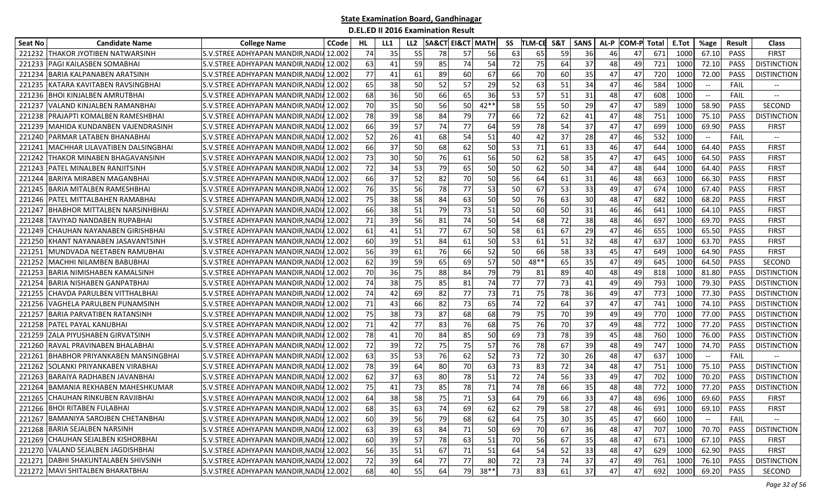| <b>Seat No</b> | <b>Candidate Name</b>                | <b>College Name</b>                     | <b>CCode</b> | HL. | LL1 | LL2 |    | <b>SA&amp;CT EI&amp;CT   MATH</b> |         | SS | <b>TLM-CE</b> | S&T | <b>SANS</b>     | AL-P | <b>COM-P</b> | Total | E.Tot | %age                                           | Result      | Class                    |
|----------------|--------------------------------------|-----------------------------------------|--------------|-----|-----|-----|----|-----------------------------------|---------|----|---------------|-----|-----------------|------|--------------|-------|-------|------------------------------------------------|-------------|--------------------------|
| 221232         | <b>THAKOR JYOTIBEN NATWARSINH</b>    | S.V.STREE ADHYAPAN MANDIR, NADIA 12.002 |              | 74  | 35  | 55  | 78 | 57                                | 56      | 63 | 65            | 59  | 36              |      | 47           | 671   | 1000  | 67.10                                          | PASS        | <b>FIRST</b>             |
| 221233         | PAGI KAILASBEN SOMABHAI              | S.V.STREE ADHYAPAN MANDIR.NADIA 12.002  |              | 63  | 41  | 59  | 85 | 74                                | 54      | 72 | 75            | 64  | 37              | 48   | 49           | 721   | 1000  | 72.10                                          | <b>PASS</b> | <b>DISTINCTION</b>       |
| 22123          | BARIA KALPANABEN ARATSINH            | S.V.STREE ADHYAPAN MANDIR, NADIA 12.002 |              | 77  | 41  | 61  | 89 | 60                                | 67      | 66 | 70            | 60  | 35              | 47   | 47           | 720   | 1000  | 72.00                                          | PASS        | <b>DISTINCTION</b>       |
| 22123          | KATARA KAVITABEN RAVSINGBHAI         | S.V.STREE ADHYAPAN MANDIR, NADIA 12.002 |              | 65  | 38  | 50  | 52 | 57                                | 29      | 52 | 63            | 51  | 34              | 47   | 46           | 584   | 1000  |                                                | FAIL        |                          |
| 221236         | <b>BHOI KINJALBEN AMRUTBHAI</b>      | S.V.STREE ADHYAPAN MANDIR, NADIA 12.002 |              | 68  | 36  | 50  | 66 | 65                                | 36      | 53 | 57            | 51  | 31              | 48   | 47           | 608   | 1000  |                                                | <b>FAIL</b> | $\overline{\phantom{a}}$ |
| 221237         | VALAND KINJALBEN RAMANBHAI           | S.V.STREE ADHYAPAN MANDIR, NADIA 12.002 |              | 70  | 35  | 50  | 56 | 50                                | $42**$  | 58 | 55            | 50  | 29              | 47   | 47           | 589   | 1000  | 58.90                                          | <b>PASS</b> | SECOND                   |
| 221238         | PRAJAPTI KOMALBEN RAMESHBHAI         | S.V.STREE ADHYAPAN MANDIR, NADIA 12.002 |              | 78  | 39  | 58  | 84 | 79                                | 77      | 66 | 72            | 62  | 41              | 47   | 48           | 751   | 1000  | 75.10                                          | PASS        | <b>DISTINCTION</b>       |
| 221239         | MAHIDA KUNDANBEN VAJENDRASINH        | S.V.STREE ADHYAPAN MANDIR, NADIA 12.002 |              | 66  | 39  | 57  | 74 | 77                                | 64      | 59 | 78            | 54  | 37              | 47   | 47           | 699   | 1000  | 69.90                                          | PASS        | <b>FIRST</b>             |
| 221240         | PARMAR LATABEN BHANABHAI             | S.V.STREE ADHYAPAN MANDIR, NADIA 12.002 |              | 52  | 26  | 41  | 68 | 54                                | 51      | 40 | 42            | 37  | 28              | 47   | 46           | 532   | 1000  | $\hspace{0.1mm}-\hspace{0.1mm}-\hspace{0.1mm}$ | FAIL        | $\overline{\phantom{a}}$ |
| 22124          | MACHHAR LILAVATIBEN DALSINGBHAI      | S.V.STREE ADHYAPAN MANDIR, NADIA 12.002 |              | 66  | 37  | 50  | 68 | 62                                | 50      | 53 | 71            | 61  | 33              | 46   | 47           | 644   | 1000  | 64.40                                          | <b>PASS</b> | <b>FIRST</b>             |
| 22124          | THAKOR MINABEN BHAGAVANSINH          | S.V.STREE ADHYAPAN MANDIR, NADIA 12.002 |              | 73  | 30  | 50  | 76 | 61                                | 56      | 50 | 62            | 58  | 35              | 47   | 47           | 645   | 1000  | 64.50                                          | <b>PASS</b> | <b>FIRST</b>             |
| 22124          | PATEL MINALBEN RANJITSINH            | S.V.STREE ADHYAPAN MANDIR, NADIA 12.002 |              | 72  | 34  | 53  | 79 | 65                                | 50      | 50 | 62            | 50  | 34              | 47   | 48           | 644   | 1000  | 64.40                                          | PASS        | FIRST                    |
| 221244         | BARIYA MIRABEN MAGANBHAI             | S.V.STREE ADHYAPAN MANDIR, NADIA 12.002 |              | 66  | 37  | 52  | 82 | 70                                | 50      | 56 | 64            | 61  | 31              | 46   | 48           | 663   | 1000  | 66.30                                          | PASS        | <b>FIRST</b>             |
| 221245         | BARIA MITALBEN RAMESHBHAI            | S.V.STREE ADHYAPAN MANDIR, NADIA 12.002 |              | 76  | 35  | 56  | 78 | 77                                | 53      | 50 | 67            | 53  | 33              | 49   | 47           | 674   | 1000  | 67.40                                          | PASS        | <b>FIRST</b>             |
| 221246         | <b> PATEL MITTALBAHEN RAMABHAI</b>   | S.V.STREE ADHYAPAN MANDIR, NADIA 12.002 |              | 75  | 38  | 58  | 84 | 63                                | 50      | 50 | 76            | 63  | 30              | 48   | 47           | 682   | 1000  | 68.20                                          | PASS        | <b>FIRST</b>             |
| 221247         | <b>BHABHOR MITTALBEN NARSINHBHAI</b> | S.V.STREE ADHYAPAN MANDIR, NADIA 12.002 |              | 66  | 38  | 51  | 79 | 73                                | 51      | 50 | 60            | 50  | 31              | 46   | 46           | 641   | 1000  | 64.10                                          | PASS        | <b>FIRST</b>             |
| 221248         | TAVIYAD NANDABEN RUPABHAI            | S.V.STREE ADHYAPAN MANDIR, NADIA 12.002 |              | 71  | 39  | 56  | 81 | 74                                | 50      | 54 | 68            | 72  | 38              | 48   | 46           | 697   | 1000  | 69.70                                          | <b>PASS</b> | <b>FIRST</b>             |
| 221249         | CHAUHAN NAYANABEN GIRISHBHAI         | S.V.STREE ADHYAPAN MANDIR, NADIA 12.002 |              | 61  | 41  | 51  | 77 | 67                                | 50      | 58 | 61            | 67  | 29              | 47   | 46           | 655   | 1000  | 65.50                                          | PASS        | <b>FIRST</b>             |
| 221250         | KHANT NAYANABEN JASAVANTSINH         | S.V.STREE ADHYAPAN MANDIR, NADIA 12.002 |              | 60  | 39  | 51  | 84 | 61                                | 50      | 53 | 61            | 51  | 32              | 48   | 47           | 637   | 1000  | 63.70                                          | PASS        | <b>FIRST</b>             |
| 22125          | MUNDVADA NEETABEN RAMUBHAI           | S.V.STREE ADHYAPAN MANDIR, NADIA 12.002 |              | 56  | 39  | 61  | 76 | 66                                | 52      | 50 | 66            | 58  | 33              | 45   | 47           | 649   | 1000  | 64.90                                          | <b>PASS</b> | <b>FIRST</b>             |
| 221252         | MACHHI NILAMBEN BABUBHAI             | S.V.STREE ADHYAPAN MANDIR, NADIA 12.002 |              | 62  | 39  | 59  | 65 | 69                                | 57      | 50 | 48**          | 65  | 35              | 47   | 49           | 645   | 1000  | 64.50                                          | <b>PASS</b> | SECOND                   |
| 221253         | BARIA NIMISHABEN KAMALSINH           | S.V.STREE ADHYAPAN MANDIR, NADIA 12.002 |              | 70  | 36  | 75  | 88 | 84                                | 79      | 79 | 81            | 89  | 40              | 48   | 49           | 818   | 1000  | 81.80                                          | <b>PASS</b> | <b>DISTINCTION</b>       |
| 221254         | <b>BARIA NISHABEN GANPATBHAI</b>     | S.V.STREE ADHYAPAN MANDIR, NADIA 12.002 |              | 74  | 38  | 75  | 85 | 81                                | 74      | 77 | 77            | 73  | 41              | 49   | 49           | 793   | 1000  | 79.30                                          | PASS        | <b>DISTINCTION</b>       |
| 221255         | CHAVDA PARULBEN VITTHALBHAI          | S.V.STREE ADHYAPAN MANDIR, NADIA 12.002 |              | 74  | 42  | 69  | 82 | 77                                | 73      | 71 | 75            | 78  | 36              | 49   | 47           | 773   | 1000  | 77.30                                          | <b>PASS</b> | <b>DISTINCTION</b>       |
| 221256         | VAGHELA PARULBEN PUNAMSINH           | S.V.STREE ADHYAPAN MANDIR, NADIA 12.002 |              | 71  | 43  | 66  | 82 | 73                                | 65      | 74 | 72            | 64  | 37              | 47   | 47           | 741   | 1000  | 74.10                                          | <b>PASS</b> | <b>DISTINCTION</b>       |
| 22125          | <b>BARIA PARVATIBEN RATANSINH</b>    | S.V.STREE ADHYAPAN MANDIR, NADIA 12.002 |              | 75  | 38  | 73  | 87 | 68                                | 68      | 79 | 75            | 70  | 39              | 49   | 49           | 770   | 1000  | 77.00                                          | PASS        | <b>DISTINCTION</b>       |
| 221258         | PATEL PAYAL KANUBHAI                 | S.V.STREE ADHYAPAN MANDIR, NADIA 12.002 |              | 71  | 42  | 77  | 83 | 76                                | 68      | 75 | 76            | 70  | 37              | 49   | 48           | 772   | 1000  | 77.20                                          | PASS        | <b>DISTINCTION</b>       |
| 221259         | ZALA PIYUSHABEN GIRVATSINH           | S.V.STREE ADHYAPAN MANDIR, NADIA 12.002 |              | 78  | 41  | 70  | 84 | 85                                | 50      | 69 | 73            | 78  | 39              | 45   | 48           | 760   | 1000  | 76.00                                          | PASS        | <b>DISTINCTION</b>       |
| 221260         | RAVAL PRAVINABEN BHALABHAI           | S.V.STREE ADHYAPAN MANDIR, NADIA 12.002 |              | 72  | 39  | 72  | 75 | 75                                | 57      | 76 | 78            | 67  | 39              | 48   | 49           | 747   | 1000  | 74.70                                          | <b>PASS</b> | <b>DISTINCTION</b>       |
| 22126          | BHABHOR PRIYANKABEN MANSINGBHAI      | S.V.STREE ADHYAPAN MANDIR, NADIA 12.002 |              | 63  | 35  | 53  | 76 | 62                                | 52      | 73 | 72            | 30  | 26              | 48   | 47           | 637   | 1000  | $\hspace{0.1mm}-\hspace{0.1mm}-\hspace{0.1mm}$ | <b>FAIL</b> |                          |
| 221262         | SOLANKI PRIYANKABEN VIRABHAI         | S.V.STREE ADHYAPAN MANDIR.NADIA 12.002  |              | 78  | 39  | 64  | 80 | 70                                | 63      | 73 | 83            | 72  | 34              | 48   | 47           | 751   | 1000  | 75.10                                          | <b>PASS</b> | <b>DISTINCTION</b>       |
| 221263         | <b>BARAIYA RADHABEN JAVANBHAI</b>    | S.V.STREE ADHYAPAN MANDIR,NADI4 12.002  |              | 62  | 37  | 63  | 80 | 78                                | 51      | 72 | 74            | 56  | 33              | 49   | 47           | 702   | 1000  | 70.20                                          | PASS        | <b>DISTINCTION</b>       |
| 221264         | BAMANIA REKHABEN MAHESHKUMAR         | S.V.STREE ADHYAPAN MANDIR, NADIA 12.002 |              | 75  | 41  | 73  | 85 | 78                                | 71      | 74 | 78            | 66  | 35              | 48   | 48           | 772   | 1000  | 77.20                                          | <b>PASS</b> | <b>DISTINCTION</b>       |
| 221265         | CHAUHAN RINKUBEN RAVJIBHAI           | S.V.STREE ADHYAPAN MANDIR, NADIA 12.002 |              | 64  | 38  | 58  | 75 | 71                                | 53      | 64 | 79            | 66  | 33              | 47   | 48           | 696   | 1000  | 69.60                                          | PASS        | <b>FIRST</b>             |
|                | 221266 BHOI RITABEN FULABHAI         | S.V.STREE ADHYAPAN MANDIR, NADIA 12.002 |              | 68  | 35  | 63  | 74 | 69                                | 62      | 62 | 79            | 58  | 27 <sub>l</sub> | 48   | 46           | 691   | 1000  | 69.10                                          | PASS        | <b>FIRST</b>             |
| 221267         | <b>BAMANIYA SAROJBEN CHETANBHAI</b>  | S.V.STREE ADHYAPAN MANDIR, NADIA 12.002 |              | 60  | 39  | 56  | 79 | 68                                | 62      | 64 | 75            | 30  | 35              | 45   | 47           | 660   | 1000  |                                                | FAIL        |                          |
|                | 221268 BARIA SEJALBEN NARSINH        | S.V.STREE ADHYAPAN MANDIR, NADIA 12.002 |              | 63  | 39  | 63  | 84 | 71                                | 50      | 69 | 70            | 67  | 36              | 48   | 47           | 707   | 1000  | 70.70                                          | PASS        | <b>DISTINCTION</b>       |
|                | 221269 CHAUHAN SEJALBEN KISHORBHAI   | S.V.STREE ADHYAPAN MANDIR, NADIA 12.002 |              | 60  | 39  | 57  | 78 | 63                                | 51      | 70 | 56            | 67  | 35              | 48   | 47           | 671   | 1000  | 67.10                                          | PASS        | <b>FIRST</b>             |
|                | 221270 VALAND SEJALBEN JAGDISHBHAI   | S.V.STREE ADHYAPAN MANDIR, NADIA 12.002 |              | 56  | 35  | 51  | 67 | 71                                | 51      | 64 | 54            | 52  | 33              | 48   | 47           | 629   | 1000  | 62.90                                          | PASS        | <b>FIRST</b>             |
|                | 221271 DABHI SHAKUNTALABEN SHIVSINH  | S.V.STREE ADHYAPAN MANDIR, NADIA 12.002 |              | 72  | 39  | 64  | 77 | 77                                | 80      | 72 | 73            | 74  | 37              | 47   | 49           | 761   | 1000  | 76.10                                          | PASS        | <b>DISTINCTION</b>       |
|                | 221272 MAVI SHITALBEN BHARATBHAI     | S.V.STREE ADHYAPAN MANDIR, NADIA 12.002 |              | 68  | 40  | 55  | 64 |                                   | 79 38** | 73 | 83            | 61  | 37              | 47   | 47           | 692   | 1000  | 69.20                                          | PASS        | SECOND                   |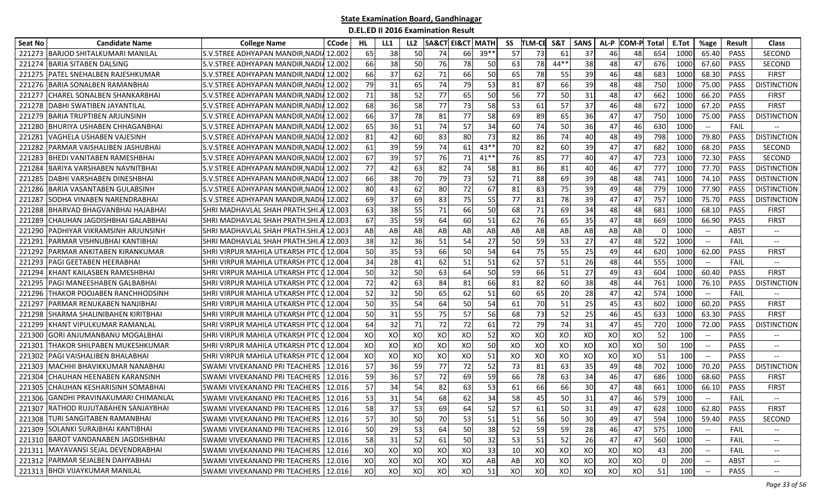| <b>Seat No</b> | <b>Candidate Name</b>                | <b>College Name</b>                     | <b>CCode</b> | HL | LL1 | LL <sub>2</sub> | <b>SA&amp;CT</b> | <b>EI&amp;CT MATH</b> |        | SS | TLM-CE | S&T    | <b>SANS</b> | AL-P | COM-P Total |     | E.Tot | %age                     | <b>Result</b> | <b>Class</b>                      |
|----------------|--------------------------------------|-----------------------------------------|--------------|----|-----|-----------------|------------------|-----------------------|--------|----|--------|--------|-------------|------|-------------|-----|-------|--------------------------|---------------|-----------------------------------|
| 221273         | BARJOD SHITALKUMARI MANILAL          | S.V.STREE ADHYAPAN MANDIR, NADIA 12.002 |              | 65 | 38  | 50              | 74               | 66                    | $39*$  | 57 | 73     | -61    | 37          | 46   | 48          | 654 | 1000  | 65.40                    | <b>PASS</b>   | <b>SECOND</b>                     |
| 221274         | 3ARIA SITABEN DALSING                | S.V.STREE ADHYAPAN MANDIR.NADIA 12.002  |              | 66 | 38  | 50              | 76               | 78                    | 50     | 63 | 78     | $44**$ | 38          | 48   | 47          | 676 | 1000  | 67.60                    | <b>PASS</b>   | <b>SECOND</b>                     |
| 221275         | PATEL SNEHALBEN RAJESHKUMAR          | S.V.STREE ADHYAPAN MANDIR, NADI         | 12.002       | 66 | 37  | 62              | 71               | 66                    | 50     | 65 | 78     | 55     | 39          | 46   | 48          | 683 | 1000  | 68.30                    | PASS          | <b>FIRST</b>                      |
| 221276         | BARIA SONALBEN RAMANBHAI             | S.V.STREE ADHYAPAN MANDIR, NADIA        | 12.002       | 79 | 31  | 65              | 74               | 79                    | 53     | 81 | 87     | 66     | 39          | 48   | 48          | 750 | 1000  | 75.00                    | <b>PASS</b>   | <b>DISTINCTION</b>                |
| 22127          | <b>CHAREL SONALBEN SHANKARBHAI</b>   | S.V.STREE ADHYAPAN MANDIR.NADIA 12.002  |              | 71 | 38  | 52              | 77               | 65                    | 50     | 56 | 77     | 50     | 31          | 48   | 47          | 662 | 1000  | 66.20                    | <b>PASS</b>   | <b>FIRST</b>                      |
| 221278         | DABHI SWATIBEN JAYANTILAL            | S.V.STREE ADHYAPAN MANDIR, NADIA 12.002 |              | 68 | 36  | 58              | 77               | 73                    | 58     | 53 | 61     | 57     | 37          | 46   | 48          | 672 | 1000  | 67.20                    | PASS          | <b>FIRST</b>                      |
| 221279         | BARIA TRUPTIBEN ARJUNSINH            | S.V.STREE ADHYAPAN MANDIR, NADIA 12.002 |              | 66 | 37  | 78              | 81               | 77                    | 58     | 69 | 89     | 65     | 36          | 47   | 47          | 750 | 1000  | 75.00                    | PASS          | <b>DISTINCTION</b>                |
| 22128          | BHURIYA USHABEN CHHAGANBHAI          | S.V.STREE ADHYAPAN MANDIR, NADIA 12.002 |              | 65 | 36  | 51              | 74               | 57                    | 34     | 60 | 74     | 50     | 36          | 47   | 46          | 630 | 1000  | $-\!$                    | FAIL          |                                   |
| 22128          | /AGHELA USHABEN VAJESINH             | S.V.STREE ADHYAPAN MANDIR, NADIA 12.002 |              | 81 | 42  | 60              | 83               | 80                    | 73     | 82 | 86     | 74     | 40          | 48   | 49          | 798 | 1000  | 79.80                    | <b>PASS</b>   | <b>DISTINCTION</b>                |
| 22128          | PARMAR VAISHALIBEN JASHUBHAI         | S.V.STREE ADHYAPAN MANDIR, NADIA 12.002 |              | 61 | 39  | 59              | 74               | 61                    | $43**$ | 70 | 82     | 60     | 39          | 47   | 47          | 682 | 1000  | 68.20                    | <b>PASS</b>   | <b>SECOND</b>                     |
| 22128          | <b>BHEDI VANITABEN RAMESHBHAI</b>    | S.V.STREE ADHYAPAN MANDIR.NADI          | 12.002       | 67 | 39  | 57              | 76               | 71                    | $41**$ | 76 | 85     | 77     | 40          | 47   | 47          | 723 | 1000  | 72.30                    | PASS          | <b>SECOND</b>                     |
| 22128          | BARIYA VARSHABEN NAVNITBHAI          | S.V.STREE ADHYAPAN MANDIR, NADIA        | 12.002       | 77 | 42  | 63              | 82               | 74                    | 58     | 81 | 86     | 81     | 40          | 46   | 47          | 777 | 1000  | 77.70                    | <b>PASS</b>   | <b>DISTINCTION</b>                |
| 22128          | IDABHI VARSHABEN DINESHBHAI          | S.V.STREE ADHYAPAN MANDIR, NADIA 12.002 |              | 66 | 38  | 70              | 79               | 73                    | 52     | 71 | 88     | 69     | 39          | 48   | 48          | 741 | 1000  | 74.10                    | <b>PASS</b>   | <b>DISTINCTION</b>                |
| 221286         | BARIA VASANTABEN GULABSINH           | S.V.STREE ADHYAPAN MANDIR, NADIA 12.002 |              | 80 | 43  | 62              | 80               | 72                    | 67     | 81 | 83     | 75     | 39          | 49   | 48          | 779 | 1000  | 77.90                    | PASS          | <b>DISTINCTION</b>                |
| 22128          | SODHA VINABEN NARENDRABHAI           | S.V.STREE ADHYAPAN MANDIR, NADI         | 12.002       | 69 | 37  | 69              | 83               | 75                    | 55     | 77 | 81     | 78     | 39          | 47   | 47          | 757 | 1000  | 75.70                    | PASS          | <b>DISTINCTION</b>                |
| 221288         | BHARVAD BHAGVANBHAI HAJABHAI         | SHRI MADHAVLAL SHAH PRATH.SHI.          | 12.003       | 63 | 38  | 55              | 71               | 66                    | 50     | 68 | 71     | 69     | 34          | 48   | 48          | 681 | 1000  | 68.10                    | PASS          | <b>FIRST</b>                      |
| 22128          | CHAUHAN JAGDISHBHAI GALABBHAI        | SHRI MADHAVLAL SHAH PRATH.SHI.          | 12.003       | 67 | 35  | 59              | 64               | 60                    | 51     | 62 | 76     | 65     | 35          | 47   | 48          | 669 | 1000  | 66.90                    | <b>PASS</b>   | <b>FIRST</b>                      |
| 22129          | PADHIYAR VIKRAMSINH ARJUNSINH        | SHRI MADHAVLAL SHAH PRATH.SHI.          | 12.003       | AB | AB  | AB              | AB               | AB                    | AB     | AB | AB     | AB     | AB          | AB   | AB          |     | 1000  | $\hspace{0.05cm} \ldots$ | <b>ABST</b>   | $\hspace{0.05cm} \dashrightarrow$ |
| 22129          | PARMAR VISHNUBHAI KANTIBHAI          | SHRI MADHAVLAL SHAH PRATH.SHI           | 12.003       | 38 | 32  | 36              | 51               | 54                    | 27     | 50 | 59     | 53     | 27          | 47   | 48          | 522 | 1000  | $-\!$                    | FAIL          | $-\!$                             |
| 22129          | PARMAR ANKITABEN KIRANKUMAR          | SHRI VIRPUR MAHILA UTKARSH PTC          | 12.004       | 50 | 35  | 53              | 66               | 50                    | 54     | 64 | 75     | 55     | 25          | 49   | 44          | 620 | 1000  | 62.00                    | <b>PASS</b>   | <b>FIRST</b>                      |
| 22129          | PAGI GEETABEN HEERABHAI              | SHRI VIRPUR MAHILA UTKARSH PTC 0 12.004 |              | 34 | 28  | 41              | 62               | 51                    | 51     | 62 | 57     | 51     | 26          | 48   | 44          | 555 | 1000  | $-\!$                    | FAIL          | $-\!$                             |
| 221294         | KHANT KAILASBEN RAMESHBHAI           | SHRI VIRPUR MAHILA UTKARSH PTC O        | 12.004       | 50 | 32  | 50              | 63               | 64                    | 50     | 59 | 66     | 51     | 27          | 49   | 43          | 604 | 1000  | 60.40                    | PASS          | <b>FIRST</b>                      |
| 22129          | PAGI MANEESHABEN GALBABHAI           | SHRI VIRPUR MAHILA UTKARSH PTC (        | 12.004       | 72 | 42  | 63              | 84               | 81                    | 66     | 81 | 82     | 60     | 38          | 48   | 44          | 761 | 1000  | 76.10                    | PASS          | <b>DISTINCTION</b>                |
| 22129          | THAKOR POOJABEN RANCHHODSINH         | SHRI VIRPUR MAHILA UTKARSH PTC (        | 12.004       | 52 | 32  | 50              | 65               | 62                    | 51     | 60 | 65     | 20     | 28          | 47   | 42          | 574 | 1000  | $-\!$                    | FAIL          |                                   |
| 22129          | PARMAR RENUKABEN NANJIBHAI           | SHRI VIRPUR MAHILA UTKARSH PTC (        | 12.004       | 50 | 35  | 54              | 64               | 50                    | 54     | 61 | 70     | 51     | 25          | 45   | 43          | 602 | 1000  | 60.20                    | <b>PASS</b>   | <b>FIRST</b>                      |
| 22129          | SHARMA SHALINIBAHEN KIRITBHAI        | SHRI VIRPUR MAHILA UTKARSH PTC          | 12.004       | 50 | 31  | 55              | 75               | 57                    | 56     | 68 | 73     | 52     | 25          | 46   | 45          | 633 | 100   | 63.30                    | PASS          | <b>FIRST</b>                      |
| 22129          | KHANT VIPULKUMAR RAMANLAL            | SHRI VIRPUR MAHILA UTKARSH PTC          | 12.004       | 64 | 32  | 71              | 72               | 72                    | 61     | 72 | 79     | 74     | 31          | 47   | 45          | 720 | 1000  | 72.00                    | <b>PASS</b>   | <b>DISTINCTION</b>                |
| 22130          | GORI ANJUMANBANU MOGALBHAI           | SHRI VIRPUR MAHILA UTKARSH PTC Q        | 12.004       | XO | XO  | XO              | XO               | XO                    | 52     | XO | XO     | XO     | XO          | XO   | XO          | 52  | 100   | $-\!$                    | <b>PASS</b>   |                                   |
| 22130          | THAKOR SHILPABEN MUKESHKUMAR         | SHRI VIRPUR MAHILA UTKARSH PTC Q 12.004 |              | XO | XO  | XO              | XO               | XO                    | 50     | XO | XO     | XO     | XO          | XO   | XO          | 50  | 100   | $\overline{\phantom{a}}$ | <b>PASS</b>   | $\hspace{0.05cm} \dashrightarrow$ |
| 22130          | PAGI VAISHALIBEN BHALABHAI           | SHRI VIRPUR MAHILA UTKARSH PTC Q        | 12.004       | XO | XO  | XO              | XO               | XO                    | 51     | XO | XO     | XO     | XO          | XO   | XO          | 51  | 100   |                          | <b>PASS</b>   | $-$                               |
| 221303         | MACHHI BHAVIKKUMAR NANABHAI          | SWAMI VIVEKANAND PRI TEACHERS           | 12.016       | 57 | 36  | 59              | 77               | 72                    | 52     | 73 | 81     | 63     | 35          | 49   | 48          | 702 | 1000  | 70.20                    | <b>PASS</b>   | <b>DISTINCTION</b>                |
| 221304         | CHAUHAN HEENABEN KARANSINH           | SWAMI VIVEKANAND PRI TEACHERS           | 12.016       | 59 | 36  | 57              | 72               | 69                    | 59     | 66 | 78     | 63     | 34          | 46   | 47          | 686 | 1000  | 68.60                    | <b>PASS</b>   | <b>FIRST</b>                      |
| 22130          | CHAUHAN KESHARISINH SOMABHAI         | SWAMI VIVEKANAND PRI TEACHERS           | 12.016       | 57 | 34  | 54              | 82               | 63                    | 53     | 61 | 66     | 66     | 30          | 47   | 48          | 661 | 1000  | 66.10                    | <b>PASS</b>   | <b>FIRST</b>                      |
| 221306         | GANDHI PRAVINAKUMARI CHIMANLAL       | SWAMI VIVEKANAND PRI TEACHERS           | 12.016       | 53 | 31  | 54              | 68               | 62                    | 34     | 58 | 45     | 50     | 31          | 47   | 46          | 579 | 1000  |                          | FAIL          |                                   |
|                | 221307 RATHOD RUJUTABAHEN SANJAYBHAI | SWAMI VIVEKANAND PRI TEACHERS   12.016  |              | 58 | 37  | 53              | 69               | 64                    | 52     | 57 | 61     | 50     | 31          | 49   | 47          | 628 | 1000  | 62.80                    | PASS          | <b>FIRST</b>                      |
|                | 221308 TURI SANGITABEN RAMANBHAI     | SWAMI VIVEKANAND PRI TEACHERS   12.016  |              | 57 | 30  | 50              | 70               | 53                    | 51     | 51 | 56     | 50     | 30          | 49   | 47          | 594 | 1000  | 59.40                    | PASS          | SECOND                            |
|                | 221309 SOLANKI SURAJBHAI KANTIBHAI   | SWAMI VIVEKANAND PRI TEACHERS   12.016  |              | 50 | 29  | 53              | 64               | 50                    | 38     | 52 | 59     | 59     | 28          | 46   | 47          | 575 | 1000  |                          | FAIL          |                                   |
|                | 221310 BAROT VANDANABEN JAGDISHBHAI  | SWAMI VIVEKANAND PRI TEACHERS 12.016    |              | 58 | 31  | 52              | 61               | 50                    | 32     | 53 | 51     | 52     | 26          | 47   | 47          | 560 | 1000  |                          | FAIL          | $\hspace{0.05cm} \textbf{--}$     |
| 221311         | MAYAVANSI SEJAL DEVENDRABHAI         | SWAMI VIVEKANAND PRI TEACHERS   12.016  |              | XO | XO  | XO              | XO               | XO                    | 33     | 10 | XO     | XO     | XO          | XO   | XO          | 43  | 200   |                          | FAIL          | $\hspace{0.05cm} \textbf{--}$     |
|                | 221312 PARMAR SEJALBEN DAHYABHAI     | SWAMI VIVEKANAND PRI TEACHERS   12.016  |              | XO | XO  | XO              | XO               | XO                    | AB     | AB | XO     | XO     | XO          | XO   | XO          |     | 200   | $\overline{\phantom{a}}$ | <b>ABST</b>   | $--$                              |
|                | 221313 BHOI VIJAYKUMAR MANILAL       | SWAMI VIVEKANAND PRI TEACHERS   12.016  |              | XO | XO  | XO              | XO               | XO                    | 51     | XO | XO     | XO     | XO          | XO   | xo          | 51  | 100   |                          | PASS          | $- -$                             |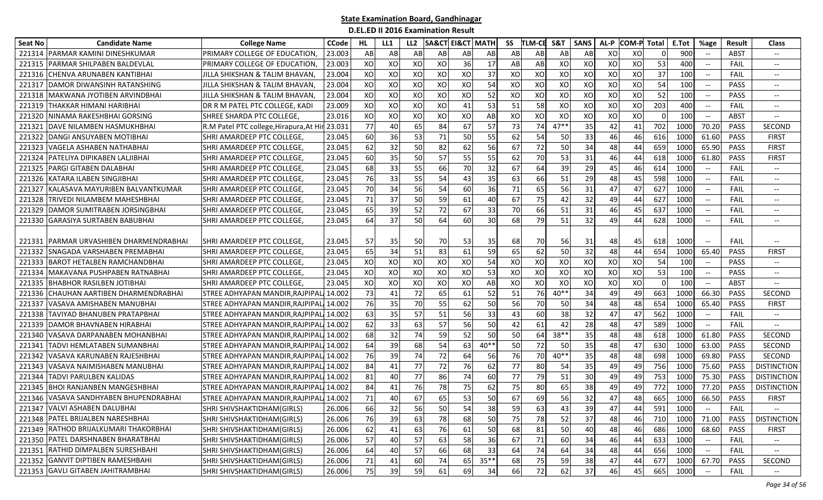| <b>Seat No</b> | <b>Candidate Name</b>                    | <b>College Name</b>                     | <b>CCode</b> | HL. | LL1 | LL <sub>2</sub> | <b>SA&amp;CT</b> | <b>EI&amp;CT MATH</b> |            | SS | <b>TLM-CE</b> | S&T    | <b>SANS</b> | AL-P | <b>COM-P</b> | Total    | E.Tot           | %age                                                | <b>Result</b> | <b>Class</b>                      |
|----------------|------------------------------------------|-----------------------------------------|--------------|-----|-----|-----------------|------------------|-----------------------|------------|----|---------------|--------|-------------|------|--------------|----------|-----------------|-----------------------------------------------------|---------------|-----------------------------------|
| 221314         | <b>PARMAR KAMINI DINESHKUMAR</b>         | PRIMARY COLLEGE OF EDUCATION,           | 23.003       | AB  | AB  | AB              | AB               | AB                    | AB         | AB | AB            | AB     | AB          | XO   | XO           |          | 900             |                                                     | ABST          |                                   |
| 221315         | PARMAR SHILPABEN BALDEVLAL               | PRIMARY COLLEGE OF EDUCATION,           | 23.003       | XO  | XO  | XO              | XO               | 36                    | 17         | AB | AB            | XO     | XO          | XO   | XO           | 53       | 400             | $-\hbox{--}$                                        | FAIL          | $- -$                             |
| 221316         | CHENVA ARUNABEN KANTIBHAI                | JILLA SHIKSHAN & TALIM BHAVAN,          | 23.004       | XO  | XO  | XO              | XO               | XO                    | 37         | XO | XO            | XO     | XO          | XO   | XO           | 37       | 100             | $\overline{\phantom{a}}$                            | FAIL          | $-\!$                             |
| 221317         | DAMOR DIWANSINH RATANSHING               | JILLA SHIKSHAN & TALIM BHAVAN,          | 23.004       | XO  | XO  | XO              | XO               | XO                    | 54         | XO | XO            | XO     | XO          | XO   | XO           | 54       | 100             |                                                     | <b>PASS</b>   | $-\!$                             |
| 221318         | MAKWANA JYOTIBEN ARVINDBHAI              | JILLA SHIKSHAN & TALIM BHAVAN,          | 23.004       | XO  | XO  | XO              | XO               | XO                    | 52         | XO | XO            | XO     | XO          | XO   | XO           | 52       | 10 <sub>C</sub> | $\hspace{0.1mm}-\hspace{0.1mm}-\hspace{0.1mm}$      | <b>PASS</b>   | $\overline{\phantom{a}}$          |
| 221319         | <b>THAKKAR HIMANI HARIBHAI</b>           | DR R M PATEL PTC COLLEGE, KADI          | 23.009       | XO  | XO  | XO              | XO               | 41                    | 53         | 51 | 58            | XO     | XO          | XO   | XO           | 203      | 400             | $\hspace{0.1mm}-\hspace{0.1mm}-\hspace{0.1mm}$      | FAIL          | $\overline{\phantom{a}}$          |
| 221320         | NINAMA RAKESHBHAI GORSING                | SHREE SHARDA PTC COLLEGE,               | 23.016       | XO  | XO  | XO              | XO               | XO                    | AB         | XO | XO            | XO     | XO          | XO   | XO           | $\Omega$ | 100             | $\overline{\phantom{a}}$                            | ABST          |                                   |
| 22132          | DAVE NILAMBEN HASMUKHBHAI                | R.M Patel PTC college, Hirapura, At Hir | 23.031       | 77  | 40  | 65              | 84               | 67                    | 57         | 73 | 74            | $47**$ | 35          | 42   | 41           | 702      | 1000            | 70.20                                               | <b>PASS</b>   | SECOND                            |
| 221322         | DANGI ANSUYABEN MOTIBHAI                 | SHRI AMARDEEP PTC COLLEGE,              | 23.045       | 60  | 36  | 53              | 71               | 50                    | 55         | 62 | 54            | 50     | 33          | 46   | 46           | 616      | 1000            | 61.60                                               | <b>PASS</b>   | FIRST                             |
| 221323         | VAGELA ASHABEN NATHABHAI                 | SHRI AMARDEEP PTC COLLEGE,              | 23.045       | 62  | 32  | 50              | 82               | 62                    | 56         | 67 | 72            | 50     | 34          | 48   | 44           | 659      | 1000            | 65.90                                               | PASS          | <b>FIRST</b>                      |
| 221324         | PATELIYA DIPIKABEN LALJIBHAI             | SHRI AMARDEEP PTC COLLEGE,              | 23.045       | 60  | 35  | 50              | 57               | 55                    | 55         | 62 | 70            | 53     | 31          | 46   | 44           | 618      | 1000            | 61.80                                               | PASS          | <b>FIRST</b>                      |
| 221325         | <b>PARGI GITABEN DALABHAI</b>            | SHRI AMARDEEP PTC COLLEGE,              | 23.045       | 68  | 33  | 55              | 66               | 70                    | 32         | 67 | 64            | 39     | 29          | 45   | 46           | 614      | 1000            | $-\hbox{--}$                                        | FAIL          | $-\!$                             |
| 221326         | IKATARA ILABEN SINGJIBHAI                | SHRI AMARDEEP PTC COLLEGE,              | 23.045       | 76  | 33  | 55              | 54               | 43                    | 35         | 63 | 66            | 51     | 29          | 48   | 45           | 598      | 1000            | $\hspace{0.05cm} -\hspace{0.05cm} -\hspace{0.05cm}$ | FAIL          | $\hspace{0.05cm} \dashrightarrow$ |
| 221327         | KALASAVA MAYURIBEN BALVANTKUMAR          | SHRI AMARDEEP PTC COLLEGE,              | 23.045       | 70  | 34  | 56              | 54               | 60                    | 36         | 71 | 65            | 56     | 31          | 47   | 47           | 627      | 1000            | $\overline{\phantom{a}}$                            | FAIL          | $\overline{\phantom{a}}$          |
| 221328         | <b>TRIVEDI NILAMBEM MAHESHBHAI</b>       | SHRI AMARDEEP PTC COLLEGE,              | 23.045       | 71  | 37  | 50              | 59               | 61                    | 40         | 67 | 75            | 42     | 32          | 49   | 44           | 627      | 1000            | $\overline{\phantom{a}}$                            | FAIL          | $\hspace{0.05cm} \ldots$          |
| 221329         | DAMOR SUMITRABEN JORSINGBHAI             | SHRI AMARDEEP PTC COLLEGE,              | 23.045       | 65  | 39  | 52              | 72               | 67                    | 33         | 70 | 66            | 51     | 31          | 46   | 45           | 637      | 1000            | $-\hbox{--}$                                        | FAIL          | $-\!$                             |
|                | 221330 GARASIYA SURTABEN BABUBHAI        | SHRI AMARDEEP PTC COLLEGE,              | 23.045       | 64  | 37  | 50              | 64               | 60                    | 30         | 68 | 79            | 51     | 32          | 49   | 44           | 628      | 1000            | $\hspace{0.1mm}-\hspace{0.1mm}-\hspace{0.1mm}$      | FAIL          | $\overline{\phantom{a}}$          |
|                |                                          |                                         |              |     |     |                 |                  |                       |            |    |               |        |             |      |              |          |                 |                                                     |               |                                   |
| 221331         | <b>IPARMAR URVASHIBEN DHARMENDRABHAI</b> | SHRI AMARDEEP PTC COLLEGE,              | 23.045       | 57  | 35  | 50              | 70               | 53                    | 35         | 68 | 70            | 56     | 31          | 48   | 45           | 618      | 1000            | $\overline{\phantom{a}}$                            | FAIL          |                                   |
| 221332         | SNAGADA VARSHABEN PREMABHAI              | SHRI AMARDEEP PTC COLLEGE.              | 23.045       | 65  | 34  | 51              | 83               | 61                    | 59         | 65 | 62            | 50     | 32          | 48   | 44           | 654      | 1000            | 65.40                                               | <b>PASS</b>   | <b>FIRST</b>                      |
| 221333         | <b>BAROT HETALBEN RAMCHANDBHAI</b>       | SHRI AMARDEEP PTC COLLEGE,              | 23.045       | XO  | XO  | XO              | XO               | XO                    | 54         | XO | XO            | XO     | XO          | xol  | XO           | 54       | 100             | $--$                                                | <b>PASS</b>   | $\overline{\phantom{a}}$          |
| 221334         | MAKAVANA PUSHPABEN RATNABHAI             | SHRI AMARDEEP PTC COLLEGE.              | 23.045       | XO  | XO  | XO              | XO               | XO                    | 53         | XO | XO            | XO     | XO          | XO   | XO           | 53       | 100             | $\overline{\phantom{a}}$                            | <b>PASS</b>   | $-\!$                             |
| 221335         | <b>BHABHOR RASILBEN JOTIBHAI</b>         | SHRI AMARDEEP PTC COLLEGE,              | 23.045       | XO  | XO  | XO              | XO               | XO                    | ${\sf AB}$ | XO | XO            | XO     | XO          | XO   | XO           | $\Omega$ | 100             |                                                     | ABST          |                                   |
| 221336         | CHAUHAN AARTIBEN DHARMENDRABHAI          | STREE ADHYAPAN MANDIR, RAJPIPAL         | 14.002       | 73  | 41  | 72              | 65               | 61                    | 52         | 51 | 76            | $40**$ | 34          | 49   | 49           | 663      | 1000            | 66.30                                               | <b>PASS</b>   | SECOND                            |
| 221337         | VASAVA AMISHABEN MANUBHAI                | STREE ADHYAPAN MANDIR, RAJPIPAL         | 14.002       | 76  | 35  | 70              | 55               | 62                    | 50         | 56 | 70            | 50     | 34          | 48   | 48           | 654      | 1000            | 65.40                                               | <b>PASS</b>   | <b>FIRST</b>                      |
| 221338         | TAVIYAD BHANUBEN PRATAPBHAI              | STREE ADHYAPAN MANDIR, RAJPIPAL         | 14.002       | 63  | 35  | 57              | 51               | 56                    | 33         | 43 | 60            | 38     | 32          | 47   | 47           | 562      | 1000            | $-\hbox{--}$                                        | FAIL          | $\hspace{0.05cm} \dashrightarrow$ |
| 221339         | DAMOR BHAVNABEN HIRABHAI                 | STREE ADHYAPAN MANDIR, RAJPIPAL         | 14.002       | 62  | 33  | 63              | 57               | 56                    | 50         | 42 | 61            | 42     | 28          | 48   | 47           | 589      | 1000            | $-\hbox{--}$                                        | FAIL          |                                   |
| 221340         | VASAVA DARPANABEN MOHANBHAI              | STREE ADHYAPAN MANDIR, RAJPIPAL         | 14.002       | 68  | 32  | 74              | 59               | 52                    | 50         | 50 | 64            | $38**$ | 35          | 48   | 48           | 618      | 1000            | 61.80                                               | <b>PASS</b>   | <b>SECOND</b>                     |
| 221341         | <b>TADVI HEMLATABEN SUMANBHAI</b>        | STREE ADHYAPAN MANDIR, RAJPIPAL 14.002  |              | 64  | 39  | 68              | 54               | 63                    | $40**$     | 50 | 72            | 50     | 35          | 48   | 47           | 630      | 1000            | 63.00                                               | PASS          | <b>SECOND</b>                     |
| 221342         | VASAVA KARUNABEN RAJESHBHAI              | STREE ADHYAPAN MANDIR, RAJPIPAL 14.002  |              | 76  | 39  | 74              | 72               | 64                    | 56         | 76 | 70            | $40**$ | 35          | 48   | 48           | 698      | 1000            | 69.80                                               | PASS          | SECOND                            |
| 221343         | VASAVA NAIMISHABEN MANUBHAI              | STREE ADHYAPAN MANDIR, RAJPIPAL         | 14.002       | 84  | 41  | 77              | 72               | 76                    | 62         | 77 | 80            | 54     | 35          | 49   | 49           | 756      | 1000            | 75.60                                               | PASS          | <b>DISTINCTION</b>                |
| 221344         | TADVI PARULBEN KALIDAS                   | STREE ADHYAPAN MANDIR.RAJPIPAL          | 14.002       | 81  | 40  | 77              | 86               | 74                    | 60         | 77 | 79            | 51     | 30          | 49   | 49           | 753      | 1000            | 75.30                                               | <b>PASS</b>   | <b>DISTINCTION</b>                |
| 221345         | <b>BHOI RANJANBEN MANGESHBHAI</b>        | STREE ADHYAPAN MANDIR.RAJPIPAL          | 14.002       | 84  | 41  | 76              | 78               | 75                    | 62         | 75 | 80            | 65     | 38          | 49   | 49           | 772      | 1000            | 77.20                                               | PASS          | <b>DISTINCTION</b>                |
|                | 221346 VASAVA SANDHYABEN BHUPENDRABHAI   | STREE ADHYAPAN MANDIR, RAJPIPAL         | 14.002       | 71  | 40  | 67              | 65               | 53                    | 50         | 67 | 69            | 56     | 32          | 47   | 48           | 665      | 1000            | 66.50                                               | PASS          | <b>FIRST</b>                      |
|                | 221347 VALVI ASHABEN DALUBHAI            | SHRI SHIVSHAKTIDHAM(GIRLS)              | 26.006       | 66  | 32  | 56              | 50               | 54                    | 38         | 59 | 63            | 43     | 39          | 47   | 44           | 591      | 1000            | $\hspace{0.05cm} \textbf{--}$                       | <b>FAIL</b>   | $\overline{\phantom{a}}$          |
|                | 221348 PATEL BRIJALBEN NARESHBHAI        | SHRI SHIVSHAKTIDHAM(GIRLS)              | 26.006       | 76  | 39  | 63              | 78               | 68                    | 50         | 75 | 78            | 52     | 37          | 48   | 46           | 710      | 1000            | 71.00                                               | PASS          | <b>DISTINCTION</b>                |
|                | 221349 RATHOD BRIJALKUMARI THAKORBHAI    | SHRI SHIVSHAKTIDHAM(GIRLS)              | 26.006       | 62  | 41  | 63              | 76               | 61                    | 50         | 68 | 81            | 50     | 40          | 48   | 46           | 686      | 1000            | 68.60                                               | PASS          | <b>FIRST</b>                      |
|                | 221350 PATEL DARSHNABEN BHARATBHAI       | SHRI SHIVSHAKTIDHAM(GIRLS)              | 26.006       | 57  | 40  | 57              | 63               | 58                    | 36         | 67 | 71            | 60     | 34          | 46   | 44           | 633      | 1000            |                                                     | FAIL          |                                   |
|                | 221351 RATHID DIMPALBEN SURESHBAHI       | SHRI SHIVSHAKTIDHAM(GIRLS)              | 26.006       | 64  | 40  | 57              | 66               | 68                    | 33         | 64 | 74            | 64     | 34          | 48   | 44           | 656      | 1000            | $\hspace{0.05cm} \textbf{--}$                       | FAIL          |                                   |
|                | 221352 GANVIT DIPTIBEN RAMESHBAHI        | SHRI SHIVSHAKTIDHAM(GIRLS)              | 26.006       | 71  | 41  | 60              | 74               | 65                    | $35***$    | 68 | 75            | 59     | 38          | 47   | 44           | 677      | 1000            | 67.70                                               | PASS          | SECOND                            |
|                | 221353 GAVLI GITABEN JAHITRAMBHAI        | SHRI SHIVSHAKTIDHAM(GIRLS)              | 26.006       | 75  | 39  | 59              | 61               | 69                    | 34         | 66 | 72            | 62     | 37          | 46   | 45           | 665      | 1000            | $\hspace{0.05cm} \textbf{--}$                       | FAIL          | $\overline{\phantom{a}}$          |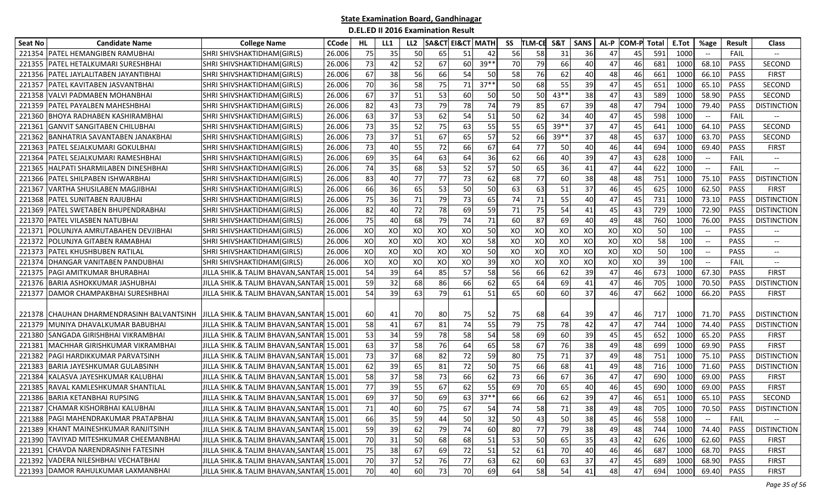| <b>Seat No</b> | <b>Candidate Name</b>                  | <b>College Name</b>                      | <b>CCode</b> | HL. | LL1 | LL <sub>2</sub> | SA&CT | <b>EI&amp;CT MATH</b> |         | SS | <b>TLM-CE</b> | S&T    | <b>SANS</b> | AL-P | COM-P | <b>Total</b> | E.Tot           | %age                                                | <b>Result</b> | <b>Class</b>             |
|----------------|----------------------------------------|------------------------------------------|--------------|-----|-----|-----------------|-------|-----------------------|---------|----|---------------|--------|-------------|------|-------|--------------|-----------------|-----------------------------------------------------|---------------|--------------------------|
| 221354         | <b>PATEL HEMANGIBEN RAMUBHA</b>        | SHRI SHIVSHAKTIDHAM(GIRLS)               | 26.006       | 75  | 35  | 50              | 65    | 51                    | 42      | 56 | 58            | 31     | 36          | 47   | 45    | 591          | 1000            |                                                     | FAIL          |                          |
| 221355         | PATEL HETALKUMARI SURESHBHAI           | SHRI SHIVSHAKTIDHAM(GIRLS)               | 26.006       | 73  | 42  | 52              | 67    | 60                    | 39**    | 70 | 79            | 66     | 40          | 47   | 46    | 681          | 1000            | 68.10                                               | PASS          | SECOND                   |
| 221356         | PATEL JAYLALITABEN JAYANTIBHAI         | SHRI SHIVSHAKTIDHAM(GIRLS)               | 26.006       | 67  | 38  | 56              | 66    | 54                    | 50      | 58 | 76            | 62     | 40          | 48   | 46    | 661          | 1000            | 66.10                                               | PASS          | <b>FIRST</b>             |
| 22135          | PATEL KAVITABEN JASVANTBHAI            | SHRI SHIVSHAKTIDHAM(GIRLS)               | 26.006       | 70  | 36  | 58              | 75    | 71                    | $37***$ | 50 | 68            | 55     | 39          | 47   | 45    | 651          | 1000            | 65.10                                               | PASS          | SECOND                   |
| 221358         | VALVI PADMABEN MOHANBHAI               | SHRI SHIVSHAKTIDHAM(GIRLS)               | 26.006       | 67  | 37  | 51              | 53    | 60                    | 50      | 50 | <b>50</b>     | 43**   | 38          | 47   | 43    | 589          | 1000            | 58.90                                               | <b>PASS</b>   | SECOND                   |
| 221359         | PATEL PAYALBEN MAHESHBHAI              | SHRI SHIVSHAKTIDHAM(GIRLS)               | 26.006       | 82  | 43  | 73              | 79    | 78                    | 74      | 79 | 85            | 67     | 39          | 48   | 47    | 794          | 1000            | 79.40                                               | PASS          | <b>DISTINCTION</b>       |
| 221360         | BHOYA RADHABEN KASHIRAMBHAI            | SHRI SHIVSHAKTIDHAM(GIRLS)               | 26.006       | 63  | 37  | 53              | 62    | 54                    | 51      | 50 | 62            | 34     | 40          | 47   | 45    | 598          | 1000            | $-\hbox{--}$                                        | FAIL          |                          |
| 22136          | GANVIT SANGITABEN CHILUBHAI            | SHRI SHIVSHAKTIDHAM(GIRLS)               | 26.006       | 73  | 35  | 52              | 75    | 63                    | 55      | 55 | 65            | $39**$ | 37          | 47   | 45    | 641          | 1000            | 64.10                                               | PASS          | SECOND                   |
| 221362         | BANHATRIA SAVANTABEN JANAKBHAI         | SHRI SHIVSHAKTIDHAM(GIRLS)               | 26.006       | 73  | 37  | 51              | 67    | 65                    | 57      | 52 | 66            | $39**$ | 37          | 48   | 45    | 637          | 1000            | 63.70                                               | <b>PASS</b>   | <b>SECOND</b>            |
| 22136          | PATEL SEJALKUMARI GOKULBHAI            | SHRI SHIVSHAKTIDHAM(GIRLS)               | 26.006       | 73  | 40  | 55              | 72    | 66                    | 67      | 64 | 77            | 50     | 40          | 46   | 44    | 694          | 1000            | 69.40                                               | PASS          | <b>FIRST</b>             |
| 221364         | PATEL SEJALKUMARI RAMESHBHAI           | SHRI SHIVSHAKTIDHAM(GIRLS)               | 26.006       | 69  | 35  | 64              | 63    | 64                    | 36      | 62 | 66            | 40     | 39          | 47   | 43    | 628          | 1000            | $-\hbox{--}$                                        | FAIL          | $\overline{\phantom{a}}$ |
| 221365         | HALPATI SHARMILABEN DINESHBHAI         | SHRI SHIVSHAKTIDHAM(GIRLS)               | 26.006       | 74  | 35  | 68              | 53    | 52                    | 57      | 50 | 65            | 36     | 41          | 47   | 44    | 622          | 1000            | $-\hbox{--}$                                        | FAIL          | $-$                      |
| 221366         | PATEL SHILPABEN ISHWARBHAI             | SHRI SHIVSHAKTIDHAM(GIRLS)               | 26.006       | 83  | 40  | 77              | 77    | 73                    | 62      | 68 | 77            | 60     | 38          | 48   | 48    | 751          | 1000            | 75.10                                               | <b>PASS</b>   | <b>DISTINCTION</b>       |
| 221367         | VARTHA SHUSILABEN MAGJIBHAI            | SHRI SHIVSHAKTIDHAM(GIRLS)               | 26.006       | 66  | 36  | 65              | 53    | 50                    | 50      | 63 | 63            | 51     | 37          | 46   | 45    | 625          | 1000            | 62.50                                               | PASS          | <b>FIRST</b>             |
| 221368         | <b>PATEL SUNITABEN RAJUBHAI</b>        | SHRI SHIVSHAKTIDHAM(GIRLS)               | 26.006       | 75  | 36  | 71              | 79    | 73                    | 65      | 74 | 71            | 55     | 40          | 47   | 45    | 731          | 1000            | 73.10                                               | PASS          | <b>DISTINCTION</b>       |
| 221369         | PATEL SWETABEN BHUPENDRABHAI           | SHRI SHIVSHAKTIDHAM(GIRLS)               | 26.006       | 82  | 40  | 72              | 78    | 69                    | 59      | 71 | 75            | 54     | 41          | 45   | 43    | 729          | 1000            | 72.90                                               | <b>PASS</b>   | <b>DISTINCTION</b>       |
| 221370         | PATEL VILASBEN NATUBHAI                | SHRI SHIVSHAKTIDHAM(GIRLS)               | 26.006       | 75  | 40  | 68              | 79    | 74                    | 71      | 60 | 87            | 69     | 40          | 49   | 48    | 760          | 1000            | 76.00                                               | <b>PASS</b>   | <b>DISTINCTION</b>       |
| 22137          | POLUNJYA AMRUTABAHEN DEVJIBHAI         | SHRI SHIVSHAKTIDHAM(GIRLS)               | 26.006       | XO  | XO  | XO              | XO    | XO                    | 50      | XO | XO            | XO     | XO          | XO   | XO    | 50           | 10 <sub>C</sub> | $\overline{\phantom{a}}$                            | <b>PASS</b>   |                          |
| 22137          | POLUNJYA GITABEN RAMABHAI              | SHRI SHIVSHAKTIDHAM(GIRLS)               | 26.006       | XO  | XO  | XO              | XO    | XO                    | 58      | XO | XO            | XO     | XO          | XO   | XO    | 58           | 100             | $\overline{\phantom{a}}$                            | <b>PASS</b>   | $-\!$                    |
| 221373         | PATEL KHUSHBUBEN RATILAL               | SHRI SHIVSHAKTIDHAM(GIRLS)               | 26.006       | XO  | XO  | XO              | XO    | XO                    | 50      | XO | XO            | XO     | XO          | XO   | XO    | 50           | 10 <sub>C</sub> | $\hspace{0.05cm} -\hspace{0.05cm} -\hspace{0.05cm}$ | <b>PASS</b>   | $\overline{\phantom{a}}$ |
| 221374         | DHANGAR VANITABEN PANDUBHAI            | SHRI SHIVSHAKTIDHAM(GIRLS)               | 26.006       | XO  | XO  | XO              | XO    | XO                    | 39      | XO | XO            | XO     | XO          | XO   | XO    | 39           | 10 <sub>C</sub> | $\hspace{0.05cm} -\hspace{0.05cm} -\hspace{0.05cm}$ | FAIL          | $\overline{\phantom{a}}$ |
| 221375         | PAGI AMITKUMAR BHURABHAI               | JILLA SHIK.& TALIM BHAVAN,SANTAR         | 15.001       | 54  | 39  | 64              | 85    | 57                    | 58      | 56 | 66            | 62     | 39          | 47   | 46    | 673          | 1000            | 67.30                                               | PASS          | <b>FIRST</b>             |
| 221376         | BARIA ASHOKKUMAR JASHUBHAI             | JILLA SHIK.& TALIM BHAVAN,SANTAR         | 15.001       | 59  | 32  | 68              | 86    | 66                    | 62      | 65 | 64            | 69     | 41          | 47   | 46    | 705          | 1000            | 70.50                                               | PASS          | <b>DISTINCTION</b>       |
| 221377         | DAMOR CHAMPAKBHAI SURESHBHAI           | JILLA SHIK.& TALIM BHAVAN,SANTAR         | 15.001       | 54  | 39  | 63              | 79    | 61                    | 51      | 65 | 60            | 60     | 37          | 46   | 47    | 662          | 1000            | 66.20                                               | <b>PASS</b>   | <b>FIRST</b>             |
|                |                                        |                                          |              |     |     |                 |       |                       |         |    |               |        |             |      |       |              |                 |                                                     |               |                          |
| 221378         | CHAUHAN DHARMENDRASINH BALVANTSINH     | JILLA SHIK.& TALIM BHAVAN, SANTAR 15.001 |              | 60  | 41  | 70              | 80    | 75                    | 52      | 75 | 68            | 64     | 39          | 47   | 46    | 717          | 1000            | 71.70                                               | PASS          | <b>DISTINCTION</b>       |
| 221379         | MUNIYA DHAVALKUMAR BABUBHAI            | JILLA SHIK.& TALIM BHAVAN, SANTAR        | 15.001       | 58  | 41  | 67              | 81    | 74                    | 55      | 79 | 75            | 78     | 42          | 47   | 47    | 744          | 1000            | 74.40                                               | <b>PASS</b>   | <b>DISTINCTION</b>       |
| 221380         | <b>SANGADA GIRISHBHAI VIKRAMBHAI</b>   | JILLA SHIK.& TALIM BHAVAN,SANTAR  15.001 |              | 53  | 34  | 59              | 78    | 58                    | 54      | 58 | 69            | 60     | 39          | 45   | 45    | 652          | 1000            | 65.20                                               | <b>PASS</b>   | FIRST                    |
| 22138          | MACHHAR GIRISHKUMAR VIKRAMBHAI         | JILLA SHIK.& TALIM BHAVAN, SANTAR 15.001 |              | 63  | 37  | 58              | 76    | 64                    | 65      | 58 | 67            | 76     | 38          | 49   | 48    | 699          | 1000            | 69.90                                               | PASS          | <b>FIRST</b>             |
| 221382         | PAGI HARDIKKUMAR PARVATSINH            | JILLA SHIK.& TALIM BHAVAN,SANTAR 15.001  |              | 73  | 37  | 68              | 82    | 72                    | 59      | 80 | 75            | 71     | 37          | 49   | 48    | 751          | 1000            | 75.10                                               | PASS          | <b>DISTINCTION</b>       |
| 221383         | BARIA JAYESHKUMAR GULABSINH            | JILLA SHIK.& TALIM BHAVAN,SANTAR         | 15.001       | 62  | 39  | 65              | 81    | 72                    | 50      | 75 | 66            | 68     | 41          | 49   | 48    | 716          | 1000            | 71.60                                               | <b>PASS</b>   | <b>DISTINCTION</b>       |
| 221384         | KALASVA JAYESHKUMAR KALUBHAI           | JILLA SHIK.& TALIM BHAVAN,SANTAR  15.001 |              | 58  | 37  | 58              | 73    | 66                    | 62      | 73 | 66            | 67     | 36          | 47   | 47    | 690          | 1000            | 69.00                                               | <b>PASS</b>   | FIRST                    |
| 221385         | RAVAL KAMLESHKUMAR SHANTILAL           | JILLA SHIK.& TALIM BHAVAN,SANTAR         | 15.001       | 77  | 39  | 55              | 67    | 62                    | 55      | 69 | 70            | 65     | 40          | 46   | 45    | 690          | 1000            | 69.00                                               | PASS          | <b>FIRST</b>             |
| 221386         | <b>BARIA KETANBHAI RUPSING</b>         | JILLA SHIK.& TALIM BHAVAN,SANTAR         | 15.001       | 69  | 37  | 50              | 69    | 63                    | $37**$  | 66 | 66            | 62     | 39          | 47   | 46    | 651          | 1000            | 65.10                                               | PASS          | SECOND                   |
|                | 221387 CHAMAR KISHORBHAI KALUBHAI      | JILLA SHIK.& TALIM BHAVAN, SANTAR 15.001 |              | 71  | 40  | 60              | 75    | 67                    | 54      | 74 | 58            | 71     | 38          | 49   | 48    | 705          | 1000            | 70.50                                               |               | PASS   DISTINCTION       |
|                | 221388 PAGI MAHENDRAKUMAR PRATAPBHAI   | JILLA SHIK.& TALIM BHAVAN,SANTAR 15.001  |              | 66  | 35  | 59              | 44    | 50                    | 32      | 50 | 43            | 50     | 38          | 45   | 46    | 558          | 1000            | $\hspace{0.05cm} -\hspace{0.05cm} -\hspace{0.05cm}$ | FAIL          |                          |
|                | 221389 KHANT MAINESHKUMAR RANJITSINH   | JILLA SHIK.& TALIM BHAVAN,SANTAR 15.001  |              | 59  | 39  | 62              | 79    | 74                    | 60      | 80 | 77            | 79     | 38          | 49   | 48    | 744          | 1000            | 74.40                                               | PASS          | <b>DISTINCTION</b>       |
|                | 221390 TAVIYAD MITESHKUMAR CHEEMANBHAI | JILLA SHIK.& TALIM BHAVAN,SANTAR 15.001  |              | 70  | 31  | 50              | 68    | 68                    | 51      | 53 | 50            | 65     | 35          | 43   | 42    | 626          | 1000            | 62.60                                               | PASS          | <b>FIRST</b>             |
| 221391         | CHAVDA NARENDRASINH FATESINH           | JILLA SHIK.& TALIM BHAVAN,SANTAR 15.001  |              | 75  | 38  | 67              | 69    | 72                    | 51      | 52 | 61            | 70     | 40          | 46   | 46    | 687          | 1000            | 68.70                                               | PASS          | <b>FIRST</b>             |
|                | 221392 VADERA NILESHBHAI VECHATBHAI    | JILLA SHIK.& TALIM BHAVAN,SANTAR 15.001  |              | 70  | 37  | 52              | 76    | 77                    | 63      | 62 | 60            | 63     | 37          | 47   | 45    | 689          | 1000            | 68.90                                               | PASS          | <b>FIRST</b>             |
|                | 221393 DAMOR RAHULKUMAR LAXMANBHAI     | JILLA SHIK.& TALIM BHAVAN, SANTAR 15.001 |              | 70  | 40  | 60              | 73    | 70                    | 69      | 64 | 58            | 54     | 41          | 48   | 47    | 694          | 1000            | 69.40                                               | PASS          | <b>FIRST</b>             |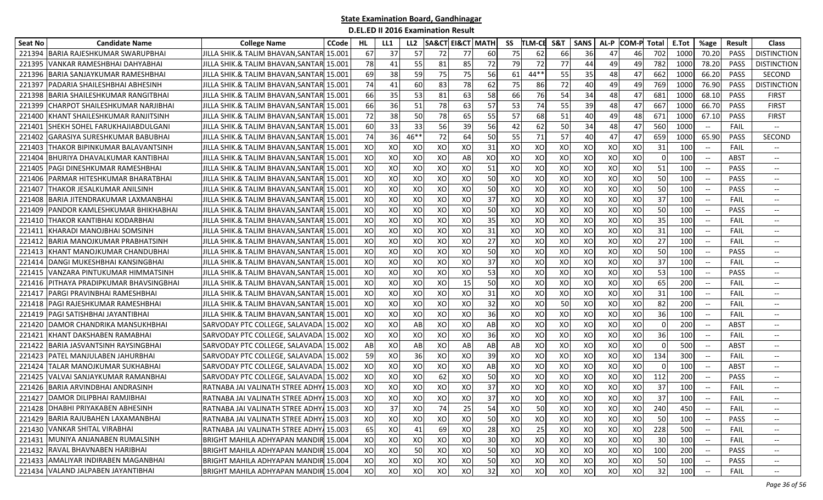| Seat No | <b>Candidate Name</b>                 | <b>College Name</b>                      | CCode  | HL. | LL1 | LL <sub>2</sub> | <b>SA&amp;CT</b> | <b>EI&amp;CT MATH</b> |    | SS | <b>TLM-CB</b> | <b>S&amp;1</b> | <b>SANS</b> | AL-P | <b>COM-P Total</b> |          | E.Tot           | %age                                                | <b>Result</b> | <b>Class</b>                      |
|---------|---------------------------------------|------------------------------------------|--------|-----|-----|-----------------|------------------|-----------------------|----|----|---------------|----------------|-------------|------|--------------------|----------|-----------------|-----------------------------------------------------|---------------|-----------------------------------|
| 221394  | BARIA RAJESHKUMAR SWARUPBHAI          | JILLA SHIK.& TALIM BHAVAN,SANTAR         | 15.001 | 67  | 37  | 57              | 72               | 77                    | 60 | 75 | 62            | 66             | 36          | 47   | 46                 | 702      | 1000            | 70.20                                               | <b>PASS</b>   | <b>DISTINCTION</b>                |
| 22139   | <b>VANKAR RAMESHBHAI DAHYABHAI</b>    | JILLA SHIK.& TALIM BHAVAN,SANTAR         | 15.001 | 78  | 41  | 55              | 81               | 85                    | 72 | 79 | 72            | 77             | 44          | 49   | 49                 | 782      | 1000            | 78.20                                               | PASS          | <b>DISTINCTION</b>                |
| 22139   | BARIA SANJAYKUMAR RAMESHBHAI          | JILLA SHIK.& TALIM BHAVAN,SANTAR         | 15.001 | 69  | 38  | 59              | 75               | 75                    | 56 | 61 | $44**$        | 55             | 35          | 48   | 47                 | 662      | 1000            | 66.20                                               | <b>PASS</b>   | <b>SECOND</b>                     |
| 22139   | PADARIA SHAILESHBHAI ABHESINH         | JILLA SHIK.& TALIM BHAVAN, SANTAR        | 15.001 | 74  | 41  | 60              | 83               | 78                    | 62 | 75 | 86            | 72             | 40          | 49   | 49                 | 769      | 1000            | 76.90                                               | <b>PASS</b>   | <b>DISTINCTION</b>                |
| 221398  | BARIA SHAILESHKUMAR RANGITBHAI        | JILLA SHIK.& TALIM BHAVAN,SANTAR 15.001  |        | 66  | 35  | 53              | 81               | 63                    | 58 | 66 | 76            | 54             | 34          | 48   | 47                 | 681      | 1000            | 68.10                                               | <b>PASS</b>   | <b>FIRST</b>                      |
| 221399  | CHARPOT SHAILESHKUMAR NARJIBHAI       | JILLA SHIK.& TALIM BHAVAN,SANTAR         | 15.001 | 66  | 36  | 51              | 78               | 63                    | 57 | 53 | 74            | 55             | 39          | 48   | 47                 | 667      | 1000            | 66.70                                               | PASS          | <b>FIRST</b>                      |
| 22140   | KHANT SHAILESHKUMAR RANJITSINH        | JILLA SHIK.& TALIM BHAVAN,SANTAR         | 15.001 | 72  | 38  | 50              | 78               | 65                    | 55 | 57 | 68            | 51             | 40          | 49   | 48                 | 671      | 1000            | 67.10                                               | PASS          | <b>FIRST</b>                      |
| 221401  | SHEKH SOHEL FARUKHAJIABDULGANI        | JILLA SHIK.& TALIM BHAVAN,SANTAR         | 15.001 | 60  | 33  | 33              | 56               | 39                    | 56 | 42 | 62            | 50             | 34          | 48   | 47                 | 560      | 1000            | $\hspace{0.05cm} \textbf{--}$                       | FAIL          |                                   |
| 221402  | GARASIYA SURESHKUMAR BABUBHAI         | JILLA SHIK.& TALIM BHAVAN,SANTAR         | 15.001 | 74  | 36  | $46**$          | 72               | 64                    | 50 | 55 | 71            | 57             | 40          | 47   | 47                 | 659      | 1000            | 65.90                                               | <b>PASS</b>   | <b>SECOND</b>                     |
| 22140   | THAKOR BIPINKUMAR BALAVANTSINH        | JILLA SHIK.& TALIM BHAVAN,SANTAR         | 15.001 | XO  | XO  | XO              | XO               | XO                    | 31 | XO | XO            | XO             | XO          | XO   | XO                 | 31       | 100             | $-\hbox{--}$                                        | FAIL          | $-\!$                             |
| 22140   | BHURIYA DHAVALKUMAR KANTIBHAI         | JILLA SHIK.& TALIM BHAVAN, SANTAR        | 15.001 | XO  | XO  | XO              | XO               | AB                    | XO | XO | XO            | XO             | XO          | XO   | XO                 | 0        | 100             | $\overline{\phantom{a}}$                            | ABST          | $-\!$                             |
| 221405  | PAGI DINESHKUMAR RAMESHBHAI           | JILLA SHIK.& TALIM BHAVAN, SANTAR        | 15.001 | XO  | XO  | XO              | XO               | XO                    | 51 | XO | XO            | XO             | XO          | XO   | XO                 | 51       | 100             | $\hspace{0.1mm}-\hspace{0.1mm}-\hspace{0.1mm}$      | <b>PASS</b>   | $-\!$                             |
| 221406  | PARMAR HITESHKUMAR BHARATBHAI         | JILLA SHIK.& TALIM BHAVAN,SANTAR 15.001  |        | XO  | XO  | XO              | XO               | XO                    | 50 | XO | XO            | XO             | XO          | XO   | XO                 | 50       | 100             | $--$                                                | <b>PASS</b>   | $\hspace{0.05cm} \textbf{--}$     |
| 221407  | THAKOR JESALKUMAR ANILSINH            | JILLA SHIK.& TALIM BHAVAN,SANTAR         | 15.001 | XO  | XO  | XO              | XO               | XO                    | 50 | XO | XO            | XO             | XO          | XO   | XO                 | 50       | 100             |                                                     | <b>PASS</b>   | $-\!$                             |
| 221408  | <b>BARIA JITENDRAKUMAR LAXMANBHAI</b> | JILLA SHIK.& TALIM BHAVAN,SANTAR         | 15.001 | XO  | XO  | XO              | XO               | XO                    | 37 | XO | XO            | XO             | XO          | XO   | XO                 | 37       | 100             |                                                     | FAIL          | $-\!$                             |
| 221409  | PANDOR KAMLESHKUMAR BHIKHABHAI        | JILLA SHIK.& TALIM BHAVAN.SANTARI 15.001 |        | XO  | XO  | XO              | XO               | XO                    | 50 | XO | XO            | XO             | XO          | XO   | XO                 | 50       | 10 <sub>C</sub> | $-\hbox{--}$                                        | <b>PASS</b>   | $\hspace{0.05cm} \dashrightarrow$ |
| 221410  | THAKOR KANTIBHAI KODARBHAI            | JILLA SHIK.& TALIM BHAVAN.SANTAR         | 15.001 | XO  | XO  | XO              | XO               | XO                    | 35 | XO | XO            | XO             | XO          | XO   | XO                 | 35       | 100             | $\hspace{0.05cm} -\hspace{0.05cm} -\hspace{0.05cm}$ | FAIL          | $\overline{\phantom{a}}$          |
| 22141   | KHARADI MANOJBHAI SOMSINH             | JILLA SHIK.& TALIM BHAVAN,SANTAR         | 15.001 | XO  | XO  | XO              | XO               | XO                    | 31 | XO | XO            | XO             | XO          | XO   | XO                 | 31       | 100             | $\hspace{0.05cm}$ $\hspace{0.05cm}$                 | FAIL          | $-\!$                             |
| 221412  | <b>BARIA MANOJKUMAR PRABHATSINH</b>   | JILLA SHIK.& TALIM BHAVAN.SANTAR         | 15.001 | XO  | XO  | XO              | XO               | XO                    | 27 | XO | XO            | XO             | XO          | XO   | XO                 | 27       | 100             | $\overline{\phantom{a}}$                            | FAIL          | $\hspace{0.05cm} \dashrightarrow$ |
| 221413  | KHANT MANOJKUMAR CHANDUBHAI           | JILLA SHIK.& TALIM BHAVAN,SANTAR 15.001  |        | XO  | XO  | XO              | XO               | XO                    | 50 | XO | XO            | XO             | XO          | XO   | XO                 | 50       | 100             | $\hspace{0.1mm}-\hspace{-0.1mm}-\hspace{-0.1mm}$    | <b>PASS</b>   | $-\!$ –                           |
| 221414  | DANGI MUKESHBHAI KANSINGBHAI          | JILLA SHIK.& TALIM BHAVAN, SANTAR        | 15.001 | XO  | XO  | XO              | XO               | XO                    | 37 | XO | XO            | XO             | XO          | XO   | XO                 | 37       | 100             | $\hspace{0.05cm} -\hspace{0.05cm} -\hspace{0.05cm}$ | FAIL          | $\overline{\phantom{a}}$          |
| 221415  | VANZARA PINTUKUMAR HIMMATSINH         | JILLA SHIK.& TALIM BHAVAN, SANTAR        | 15.001 | XO  | XO  | XO              | XO               | XO                    | 53 | XO | XO            | XO             | XO          | XO   | XO                 | 53       | 100             |                                                     | <b>PASS</b>   | $-\!$                             |
| 221416  | PITHAYA PRADIPKUMAR BHAVSINGBHAI      | JILLA SHIK.& TALIM BHAVAN,SANTAR         | 15.001 | XO  | XO  | XO              | XO               | 15                    | 50 | XO | XO            | XO             | XO          | XO   | XO                 | 65       | 200             |                                                     | FAIL          | $\hspace{0.05cm} \ldots$          |
| 221417  | PARGI PRAVINBHAI RAMESHBHAI           | JILLA SHIK.& TALIM BHAVAN,SANTAR  15.001 |        | XO  | XO  | XO              | XO               | XO                    | 31 | XO | XO            | XO             | XO          | XO   | XO                 | 31       | 100             | $-\hbox{--}$                                        | FAIL          | $-\!$ –                           |
| 221418  | PAGI RAJESHKUMAR RAMESHBHAI           | JILLA SHIK.& TALIM BHAVAN,SANTAR  15.001 |        | XO  | XO  | XO              | XO               | XO                    | 32 | XO | XO            | 50             | XO          | XO   | XO                 | 82       | 200             | $-\hbox{--}$                                        | FAIL          | $- -$                             |
| 221419  | PAGI SATISHBHAI JAYANTIBHAI           | JILLA SHIK.& TALIM BHAVAN,SANTAR         | 15.001 | XO  | XO  | XO              | XO               | XO                    | 36 | XO | XO            | XO             | XO          | XO   | XO                 | 36       | 100             | $\overline{\phantom{a}}$                            | FAIL          | $-\!$                             |
| 221420  | DAMOR CHANDRIKA MANSUKHBHAI           | SARVODAY PTC COLLEGE, SALAVADA           | 15.002 | XO  | XO  | AB              | XO               | XO                    | AB | XO | XO            | XO             | XO          | XO   | XO                 | $\Omega$ | 200             | $\hspace{0.05cm} -\hspace{0.05cm} -\hspace{0.05cm}$ | <b>ABST</b>   | $-\!$                             |
| 221421  | KHANT DAKSHABEN RAMABHAI              | SARVODAY PTC COLLEGE, SALAVADA           | 15.002 | XO  | XO  | XO              | XO               | XO                    | 36 | XO | XO            | XO             | XO          | XO   | XO                 | 36       | 100             | $\hspace{0.05cm} -\hspace{0.05cm} -\hspace{0.05cm}$ | FAIL          | $-\!$                             |
| 221422  | <b>BARIA JASVANTSINH RAYSINGBHAI</b>  | SARVODAY PTC COLLEGE, SALAVADA           | 15.002 | AB  | XO  | AB              | XO               | AB                    | AB | AB | XO            | XO             | XO          | XO   | XO                 | $\Omega$ | 500             | $\overline{\phantom{a}}$                            | ABST          | $-\!$                             |
| 221423  | <b>PATEL MANJULABEN JAHURBHAI</b>     | SARVODAY PTC COLLEGE, SALAVADA           | 15.002 | 59  | XO  | 36              | XO               | XO                    | 39 | XO | XO            | XO             | XO          | XO   | XO                 | 134      | 300             | $\overline{\phantom{a}}$                            | FAIL          | $-\!$                             |
| 221424  | TALAR MANOJKUMAR SUKHABHAI            | SARVODAY PTC COLLEGE, SALAVADA           | 15.002 | XO  | XO  | XO              | XO               | XO                    | AB | XO | XO            | XO             | XO          | XO   | XO                 |          | 10 <sub>C</sub> | $\overline{\phantom{a}}$                            | <b>ABST</b>   | $-\!$                             |
| 221425  | IVALVAI SANJAYKUMAR RAMANBHAI         | SARVODAY PTC COLLEGE, SALAVADA           | 15.002 | XO  | XO  | XO              | 62               | XO                    | 50 | XO | XO            | XO             | XO          | XO   | XO                 | 112      | 200             | $\hspace{0.05cm} -\hspace{0.05cm} -\hspace{0.05cm}$ | PASS          | $-\!$ –                           |
| 221426  | <b>BARIA ARVINDBHAI ANDRASINH</b>     | RATNABA JAI VALINATH STREE ADHY          | 15.003 | XO  | XO  | XO              | XO               | XO                    | 37 | XO | XO            | XO             | XO          | XO   | XO                 | 37       | 100             | $\overline{\phantom{a}}$                            | FAIL          | $\overline{\phantom{a}}$          |
|         | 221427 DAMOR DILIPBHAI RAMJIBHAI      | RATNABA JAI VALINATH STREE ADHY.         | 15.003 | XO  | XO  | XO              | XO               | XO                    | 37 | XO | XO            | XO             | XO          | XO   | XO                 | 37       | 100             |                                                     | FAIL          |                                   |
|         | 221428 DHABHI PRIYAKABEN ABHESINH     | RATNABA JAI VALINATH STREE ADHY 15.003   |        | XO  | 37  | XO              | 74               | 25                    | 54 | XO | 50            | XO             | XO          | xol  | xol                | 240      | 450             |                                                     | <b>FAIL</b>   | $-\!$                             |
|         | 221429 BARIA RAJUBAHEN LAXAMANBHAI    | RATNABA JAI VALINATH STREE ADHY 15.003   |        | XO  | XO  | XO              | XO               | xol                   | 50 | XO | XO            | XO             | XO          | xol  | XO                 | 50       | 100             |                                                     | PASS          | $--$                              |
|         | 221430 VANKAR SHITAL VIRABHAI         | RATNABA JAI VALINATH STREE ADHY 15.003   |        | 65  | XO  | 41              | 69               | xo                    | 28 | XO | 25            | XO             | XO          | XO   | XO                 | 228      | 500             |                                                     | FAIL          | $\overline{\phantom{a}}$          |
|         | 221431 MUNIYA ANJANABEN RUMALSINH     | BRIGHT MAHILA ADHYAPAN MANDIR 15.004     |        | XO  | XO  | XO              | XO               | xo                    | 30 | XO | XO            | XO             | XO          | XO   | XO                 | 30       | 100             | $\hspace{0.05cm} -\hspace{0.05cm} -\hspace{0.05cm}$ | FAIL          | $-\!$                             |
|         | 221432 RAVAL BHAVNABEN HARIBHAI       | BRIGHT MAHILA ADHYAPAN MANDIR 15.004     |        | XO  | XO  | 50              | XO               | XO                    | 50 | XO | XO            | XO             | XO          | XO   | XO                 | 100      | 200             |                                                     | <b>PASS</b>   | $-\!$ $\!-$                       |
|         | 221433 AMALIYAR INDIRABEN MAGANBHAI   | BRIGHT MAHILA ADHYAPAN MANDIR 15.004     |        | XO  | XO  | XO              | XO               | XO                    | 50 | XO | XO            | XO             | XO          | XO   | XO                 | 50       | 100             | $\hspace{0.1mm}-\hspace{0.1mm}-\hspace{0.1mm}$      | PASS          | $- -$                             |
|         | 221434 VALAND JALPABEN JAYANTIBHAI    | BRIGHT MAHILA ADHYAPAN MANDIR 15.004     |        | XO  | xo  | xol             | XO               | xo                    | 32 | XO | XO            | XO             | XO          | XO   | XO                 | 32       | 100             | $-\hbox{--}$                                        | FAIL          | $\overline{\phantom{a}}$          |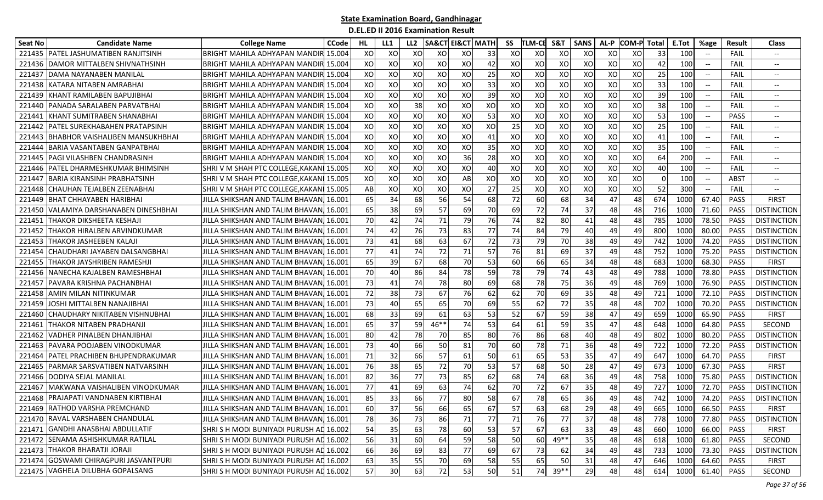| Seat No | <b>Candidate Name</b>                 | <b>College Name</b>                     | <b>CCode</b> | HL. | LL1 | LL <sub>2</sub> | <b>SA&amp;CT</b> | <b>EI&amp;CT MATH</b> |               | SS  | <b>TLM-CE</b> | S&T    | <b>SANS</b> | AL-P | COM-Pl Total |          | E.Tot | %age                     | <b>Result</b> | <b>Class</b>                      |
|---------|---------------------------------------|-----------------------------------------|--------------|-----|-----|-----------------|------------------|-----------------------|---------------|-----|---------------|--------|-------------|------|--------------|----------|-------|--------------------------|---------------|-----------------------------------|
| 221435  | IPATEL JASHUMATIBEN RANJITSINH        | BRIGHT MAHILA ADHYAPAN MANDII           | 15.004       | XO  | XO  | XO              | XO               | XO                    | 33            | XO  | XO            | XO     | XO          | XO   | XO           | 33       | 100   |                          | FAIL          |                                   |
| 221436  | DAMOR MITTALBEN SHIVNATHSINH          | BRIGHT MAHILA ADHYAPAN MANDIR           | 15.004       | XO  | XO  | XO              | XO               | XO                    | 42            | XO  | XO            | xo     | XO          | XO   | XO           | 42       | 100   |                          | <b>FAIL</b>   | $\overline{\phantom{m}}$          |
| 221437  | DAMA NAYANABEN MANILAL                | BRIGHT MAHILA ADHYAPAN MANDIF           | 15.004       | XO  | XO  | XO              | XO               | XO                    | 25            | XO  | XO            | XO     | XO          | XO   | XO           | 25       | 100   | $-\!$                    | FAIL          | $- -$                             |
| 221438  | KATARA NITABEN AMRABHAI               | BRIGHT MAHILA ADHYAPAN MANDIF           | 15.004       | XO  | XO  | XO              | XO               | XO                    | 33            | XO  | XO            | XO     | XO          | XO   | XO           | 33       | 100   |                          | FAIL          | $-\!$                             |
| 221439  | KHANT RAMILABEN BAPUJIBHA             | BRIGHT MAHILA ADHYAPAN MANDIF           | 15.004       | XO  | XO  | XO              | XO               | XO                    | 39            | XO  | XO            | XO     | XO          | XO   | XO           | 39       | 100   |                          | FAIL          | $-\!$                             |
| 221440  | PANADA SARALABEN PARVATBHAI           | BRIGHT MAHILA ADHYAPAN MANDIF           | 15.004       | XO  | XO  | 38              | XO               | XO                    | XO            | XO  | XO            | XO     | XO          | XO   | XO           | 38       | 100   | $\overline{\phantom{a}}$ | FAIL          | $\overline{\phantom{a}}$          |
| 221441  | KHANT SUMITRABEN SHANABHAI            | BRIGHT MAHILA ADHYAPAN MANDIR           | 15.004       | XO  | XO  | XO              | XO               | XO                    | 53            | XO  | XO            | XO     | XO          | XO   | XO           | 53       | 100   |                          | <b>PASS</b>   | $\hspace{0.05cm} \dashrightarrow$ |
| 221442  | PATEL SUREKHABAHEN PRATAPSINH         | BRIGHT MAHILA ADHYAPAN MANDIR           | 15.004       | XO  | XO  | XO              | XO               | XO                    | XO            | 25  | XO            | XO     | XO          | XO   | XO           | 25       | 100   |                          | FAIL          | $\overline{\phantom{a}}$          |
| 221443  | BHABHOR VAISHALIBEN MANSUKHBHAI       | BRIGHT MAHILA ADHYAPAN MANDIR           | 15.004       | XO  | XO  | XO              | XO               | XO                    | 41            | XO  | XO            | XO     | XO          | XO   | XO           | 41       | 100   |                          | FAIL          | $-\!$                             |
| 221444  | BARIA VASANTABEN GANPATBHAI           | BRIGHT MAHILA ADHYAPAN MANDIR           | 15.004       | XO  | XO  | XO              | XO               | XO                    | 35            | XO  | XO            | XO     | XO          | XO   | XO           | 35       | 100   |                          | FAIL          | $-\!$                             |
| 22144   | PAGI VILASHBEN CHANDRASINH            | BRIGHT MAHILA ADHYAPAN MANDIF           | 15.004       | XO  | XO  | XO              | XO               | 36                    | 28            | XO  | XO            | XO     | XO          | XO   | XO           | 64       | 200   | $-\!$                    | FAIL          | $- -$                             |
| 221446  | PATEL DHARMESHKUMAR BHIMSINH          | SHRIV M SHAH PTC COLLEGE, KAKAN         | 15.005       | XO  | XO  | XO              | XO               | XO                    | 40            | XO  | XO            | XO     | XO          | XO   | XO           | 40       | 100   |                          | FAIL          | $-\!$                             |
| 22144   | <b>BARIA KIRANSINH PRABHATSINH</b>    | SHRI V M SHAH PTC COLLEGE, KAKAN        | 15.005       | XO  | XO  | XO              | XO               | AB                    | XO            | XO  | XO            | XO     | XO          | XO   | XO           | $\Omega$ | 100   |                          | <b>ABST</b>   | $-\!$                             |
| 221448  | CHAUHAN TEJALBEN ZEENABHAI            | SHRI V M SHAH PTC COLLEGE,KAKAN         | l 15.005     | AB  | XO  | XO              | XO               | XO                    | 27            | 25  | XO            | XO     | XO          | XO   | XO           | 52       | 300   |                          | FAIL          | $-\!$                             |
| 221449  | <b>BHAT CHHAYABEN HARIBHAI</b>        | JILLA SHIKSHAN AND TALIM BHAVAN         | 16.001       | 65  | 34  | 68              | 56               | 54                    | 68            | 72  | 60            | 68     | 34          | 47   | 48           | 674      | 1000  | 67.40                    | PASS          | <b>FIRST</b>                      |
| 221450  | VALAMIYA DARSHANABEN DINESHBHAI       | JILLA SHIKSHAN AND TALIM BHAVAN         | 16.001       | 65  | 38  | 69              | 57               | 69                    | 70            | 69  | 72            | 74     | 37          | 48   | 48           | 716      | 1000  | 71.60                    | PASS          | <b>DISTINCTION</b>                |
| 22145   | THAKOR DIKSHEETA KESHAJI              | IILLA SHIKSHAN AND TALIM BHAVAN         | 16.001       | 70  | 42  | 74              | 71               | 79                    | 76            | 74  | 82            | 80     | 41          | 48   | 48           | 785      | 1000  | 78.50                    | PASS          | <b>DISTINCTION</b>                |
| 221452  | THAKOR HIRALBEN ARVINDKUMAR           | IILLA SHIKSHAN AND TALIM BHAVAN         | 16.001       | 74  | 42  | 76              | 73               | 83                    | 77            | 74  | 84            | 79     | 40          | 49   | 49           | 800      | 1000  | 80.00                    | <b>PASS</b>   | <b>DISTINCTION</b>                |
| 22145   | THAKOR JASHEEBEN KALAJI               | JILLA SHIKSHAN AND TALIM BHAVAN         | 16.001       | 73  | 41  | 68              | 63               | 67                    | 72            | 73  | 79            | 70     | 38          | 49   | 49           | 742      | 1000  | 74.20                    | PASS          | <b>DISTINCTION</b>                |
| 22145   | CHAUDHARI JAYABEN DALSANGBHAI         | JILLA SHIKSHAN AND TALIM BHAVAN         | 16.001       | 77  | 41  | 74              | 72               | 71                    | 57            | 76  | 81            | 69     | 37          | 49   | 48           | 752      | 1000  | 75.20                    | PASS          | <b>DISTINCTION</b>                |
| 221455  | THAKOR JAYSHRIBEN RAMESHJI            | JILLA SHIKSHAN AND TALIM BHAVAN         | 16.001       | 65  | 39  | 67              | 68               | 70                    | 53            | 60  | 66            | 65     | 34          | 48   | 48           | 683      | 1000  | 68.30                    | <b>PASS</b>   | <b>FIRST</b>                      |
| 221456  | NANECHA KAJALBEN RAMESHBHAI           | JILLA SHIKSHAN AND TALIM BHAVAN         | 16.001       | 70  | 40  | 86              | 84               | 78                    | 59            | 78  | 79            | 74     | 43          | 48   | 49           | 788      | 1000  | 78.80                    | <b>PASS</b>   | <b>DISTINCTION</b>                |
| 221457  | PAVARA KRISHNA PACHANBHAI             | JILLA SHIKSHAN AND TALIM BHAVAN         | 16.001       | 73  | 41  | 74              | 78               | 80                    | 69            | 68  | 78            | 75     | 36          | 49   | 48           | 769      | 1000  | 76.90                    | PASS          | <b>DISTINCTION</b>                |
| 221458  | AMIN MILAN NITINKUMAR                 | JILLA SHIKSHAN AND TALIM BHAVAN         | 16.001       | 72  | 38  | 73              | 67               | 76                    | 62            | 62  | 70            | 69     | 35          | 48   | 49           | 721      | 100   | 72.10                    | PASS          | <b>DISTINCTION</b>                |
| 221459  | IOSHI MITTALBEN NANAJIBHAI            | JILLA SHIKSHAN AND TALIM BHAVAN         | 16.001       | 73  | 40  | 65              | 65               | 70                    | 69            | 55  | 62            | 72     | 35          | 48   | 48           | 702      | 100   | 70.20                    | <b>PASS</b>   | <b>DISTINCTION</b>                |
| 221460  | CHAUDHARY NIKITABEN VISHNUBHAI        | JILLA SHIKSHAN AND TALIM BHAVAN         | 16.001       | 68  | 33  | 69              | 61               | 63                    | 53            | 52  | 67            | 59     | 38          | 47   | 49           | 659      | 1000  | 65.90                    | <b>PASS</b>   | <b>FIRST</b>                      |
| 22146   | THAKOR NITABEN PRADHANJI              | JILLA SHIKSHAN AND TALIM BHAVAN         | 16.001       | 65  | 37  | 59              | 46**             | 74                    | 53            | 64  | 61            | 59     | 35          | 47   | 48           | 648      | 1000  | 64.80                    | PASS          | SECOND                            |
| 221462  | VADHER PINALBEN DHANJIBHAI            | JILLA SHIKSHAN AND TALIM BHAVAN         | 16.001       | 80  | 42  | 78              | 70               | 85                    | 80            | 76  | 86            | 68     | 40          | 48   | 49           | 802      | 1000  | 80.20                    | <b>PASS</b>   | <b>DISTINCTION</b>                |
| 221463  | PAVARA POOJABEN VINODKUMAR            | JILLA SHIKSHAN AND TALIM BHAVAN         | 16.001       | 73  | 40  | 66              | 50               | 81                    | 70            | 60  | 78            | 71     | 36          | 48   | 49           | 722      | 1000  | 72.20                    | <b>PASS</b>   | <b>DISTINCTION</b>                |
| 221464  | PATEL PRACHIBEN BHUPENDRAKUMAR        | JILLA SHIKSHAN AND TALIM BHAVANI 16.001 |              | 71  | 32  | 66              | 57               | 61                    | 50            | 61  | 65            | 53     | 35          | 47   | 49           | 647      | 1000  | 64.70                    | PASS          | <b>FIRST</b>                      |
| 221465  | PARMAR SARSVATIBEN NATVARSINH         | JILLA SHIKSHAN AND TALIM BHAVAN         | 16.001       | 76  | 38  | 65              | 72               | 70                    | 53            | 57  | 68            | 50     | 28          | 47   | 49           | 673      | 1000  | 67.30                    | PASS          | <b>FIRST</b>                      |
| 221466  | DODIYA SEJAL MANILAL                  | JILLA SHIKSHAN AND TALIM BHAVAN         | 16.001       | 82  | 36  | 77              | 73               | 85                    | 62            | 68  | 74            | 68     | 36          | 49   | 48           | 758      | 1000  | 75.80                    | <b>PASS</b>   | <b>DISTINCTION</b>                |
| 221467  | MAKWANA VAISHALIBEN VINODKUMAR        | IILLA SHIKSHAN AND TALIM BHAVAN         | 16.001       | 77  | 41  | 69              | 63               | 74                    | 62            | 70  | 72            | 67     | 35          | 48   | 49           | 727      | 1000  | 72.70                    | <b>PASS</b>   | <b>DISTINCTION</b>                |
| 221468  | <b>PRAJAPATI VANDNABEN KIRTIBHAI</b>  | JILLA SHIKSHAN AND TALIM BHAVAN,        | 16.001       | 85  | 33  | 66              | 77               | 80                    | 58            | 67  | 78            | 65     | 36          | 49   | 48           | 742      | 1000  | 74.20                    | <b>PASS</b>   | <b>DISTINCTION</b>                |
|         | 221469 RATHOD VARSHA PREMCHAND        | JILLA SHIKSHAN AND TALIM BHAVAN 16.001  |              | 60  | 37  | 56              | 66               | 65                    | <sup>67</sup> | -57 | 63            | 68     | 29          | 48   | 49           | 665      | 1000  | 66.50 PASS               |               | <b>FIRST</b>                      |
|         | 221470 RAVAL VARSHABEN CHANDULAL      | JILLA SHIKSHAN AND TALIM BHAVAN 16.001  |              | 78  | 36  | 73              | 86               | 71                    | 77            | 71  | 76            | 77     | 37          | 48   | 48           | 778      | 1000  | 77.80                    | PASS          | <b>DISTINCTION</b>                |
|         | 221471 GANDHI ANASBHAI ABDULLATIF     | SHRISH MODI BUNIYADI PURUSH AD 16.002   |              | 54  | 35  | 63              | 78               | 60                    | 53            | 57  | 67            | 63     | 33          | 49   | 48           | 660      | 1000  | 66.00                    | PASS          | <b>FIRST</b>                      |
|         | 221472 SENAMA ASHISHKUMAR RATILAL     | SHRISH MODI BUNIYADI PURUSH AD 16.002   |              | 56  | 31  | 60              | 64               | 59                    | 58            | 50  | 60            | 49**   | 35          | 48   | 48           | 618      | 1000  | 61.80                    | PASS          | SECOND                            |
|         | 221473 THAKOR BHARATJI JORAJI         | SHRISH MODI BUNIYADI PURUSH AD 16.002   |              | 66  | 36  | 69              | 83               | 77                    | 69            | 67  | 73            | 62     | 34          | 49   | 48           | 733      | 1000  | 73.30                    | PASS          | <b>DISTINCTION</b>                |
|         | 221474 GOSWAMI CHIRAGPURI JASVANTPURI | SHRISH MODI BUNIYADI PURUSH AD 16.002   |              | 63  | 35  | 55              | 70               | 69                    | 58            | 55  | 65            | 50     | 31          | 48   | 47           | 646      | 1000  | 64.60                    | PASS          | <b>FIRST</b>                      |
|         | 221475 VAGHELA DILUBHA GOPALSANG      | SHRISH MODI BUNIYADI PURUSH AD 16.002   |              | 57  | 30  | 63              | <b>72</b>        | 53                    | 50            | 51  | 74            | $39**$ | 29          | 48   | 48           | 614      | 1000  | 61.40                    | PASS          | SECOND                            |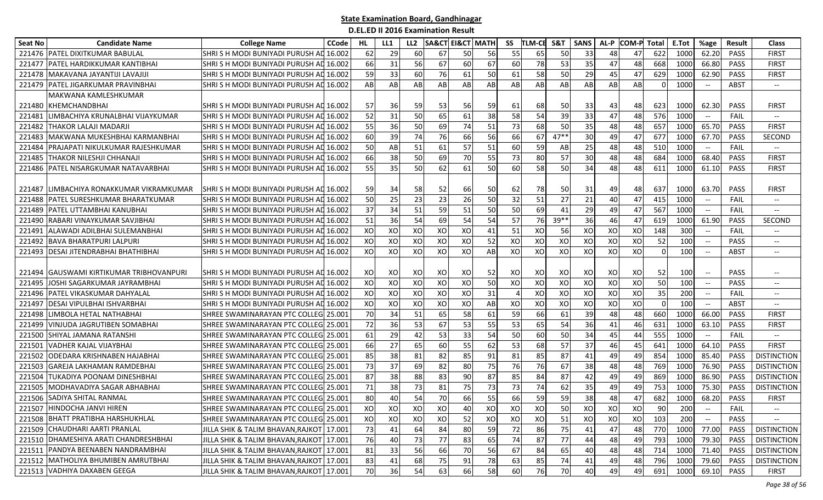| <b>Seat No</b> | <b>Candidate Name</b>                    | <b>College Name</b>                        | <b>CCode</b> | HL | LL1 | LL <sub>2</sub> |    | <b>SA&amp;CT EI&amp;CT MATH</b> |    | SS | <b>TLM-CE</b> | S&T    | <b>SANS</b> | AL-P | <b>COM-P Total</b> |          | E.Tot           | %age                                                | Result      | <b>Class</b>                  |
|----------------|------------------------------------------|--------------------------------------------|--------------|----|-----|-----------------|----|---------------------------------|----|----|---------------|--------|-------------|------|--------------------|----------|-----------------|-----------------------------------------------------|-------------|-------------------------------|
| 221476         | <b>PATEL DIXITKUMAR BABULAL</b>          | SHRISH MODI BUNIYADI PURUSH A              | 16.002       | 62 | 29  | 60              | 67 | 50                              | 56 | 55 | 65            | 50     | 33          | 48   | 47                 | 622      | 1000            | 62.20                                               | PASS        | <b>FIRST</b>                  |
| 221477         | PATEL HARDIKKUMAR KANTIBHAI              | SHRISH MODI BUNIYADI PURUSH AD             | 16.002       | 66 | 31  | 56              | 67 | 60                              | 67 | 60 | 78            | 53     | 35          | 47   | 48                 | 668      | 1000            | 66.80                                               | PASS        | <b>FIRST</b>                  |
| 221478         | MAKAVANA JAYANTIJI LAVAJIJI              | SHRISH MODI BUNIYADI PURUSH AD             | 16.002       | 59 | 33  | 60              | 76 | 61                              | 50 | 61 | 58            | 50     | 29          | 45   | 47                 | 629      | 1000            | 62.90                                               | PASS        | <b>FIRST</b>                  |
| 221479         | <b>PATEL JIGARKUMAR PRAVINBHAI</b>       | SHRISH MODI BUNIYADI PURUSH AD 16.002      |              | AB | AB  | AB              | AB | AB                              | AB | AB | AB            | AB     | AB          | AB   | AB                 | $\Omega$ | 1000            | $-\hbox{--}$                                        | ABST        | $\overline{\phantom{a}}$      |
|                | MAKWANA KAMLESHKUMAR                     |                                            |              |    |     |                 |    |                                 |    |    |               |        |             |      |                    |          |                 |                                                     |             |                               |
| 221480         | KHEMCHANDBHAI                            | ISHRI S H MODI BUNIYADI PURUSH AD 16.002   |              | 57 | 36  | 59              | 53 | 56                              | 59 | 61 | 68            | 50     | 33          | 43   | 48                 | 623      | 1000            | 62.30                                               | PASS        | <b>FIRST</b>                  |
| 221481         | LIMBACHIYA KRUNALBHAI VIJAYKUMAR         | SHRI S H MODI BUNIYADI PURUSH AD           | 16.002       | 52 | 31  | 50              | 65 | 61                              | 38 | 58 | 54            | 39     | 33          | 47   | 48                 | 576      | 1000            | $\overline{\phantom{m}}$                            | FAIL        | $\overline{\phantom{a}}$      |
| 221482         | THAKOR LALAJI MADARJI                    | SHRISH MODI BUNIYADI PURUSH AD 16.002      |              | 55 | 36  | 50              | 69 | 74                              | 51 | 73 | 68            | 50     | 35          | 48   | 48                 | 657      | 1000            | 65.70                                               | PASS        | <b>FIRST</b>                  |
| 221483         | MAKWANA MUKESHBHAI KARMANBHAI            | SHRISH MODI BUNIYADI PURUSH AD             | 16.002       | 60 | 39  | 74              | 76 | 66                              | 56 | 66 | 67            | $47**$ | 30          | 49   | 47                 | 677      | 1000            | 67.70                                               | PASS        | SECOND                        |
| 221484         | PRAJAPATI NIKULKUMAR RAJESHKUMAR         | SHRISH MODI BUNIYADI PURUSH AD             | 16.002       | 50 | AB  | 51              | 61 | 57                              | 51 | 60 | 59            | AB     | 25          | 48   | 48                 | 510      | 1000            | $\overline{\phantom{m}}$                            | FAIL        | $\overline{\phantom{a}}$      |
| 221485         | THAKOR NILESHJI CHHANAJI                 | SHRI S H MODI BUNIYADI PURUSH AD           | 16.002       | 66 | 38  | 50              | 69 | 70                              | 55 | 73 | 80            | 57     | 30          | 48   | 48                 | 684      | 1000            | 68.40                                               | PASS        | <b>FIRST</b>                  |
| 221486         | <b>PATEL NISARGKUMAR NATAVARBHAI</b>     | SHRISH MODI BUNIYADI PURUSH AD 16.002      |              | 55 | 35  | 50              | 62 | 61                              | 50 | 60 | 58            | 50     | 34          | 48   | 48                 | 611      | 1000            | 61.10                                               | <b>PASS</b> | <b>FIRST</b>                  |
|                |                                          |                                            |              |    |     |                 |    |                                 |    |    |               |        |             |      |                    |          |                 |                                                     |             |                               |
| 221487         | LIMBACHIYA RONAKKUMAR VIKRAMKUMAR        | SHRI S H MODI BUNIYADI PURUSH AD 16.002    |              | 59 | 34  | 58              | 52 | 66                              | 50 | 62 | 78            | 50     | 31          | 49   | 48                 | 637      | 1000            | 63.70                                               | <b>PASS</b> | <b>FIRST</b>                  |
| 221488         | PATEL SURESHKUMAR BHARATKUMAR            | SHRISH MODI BUNIYADI PURUSH AD 16.002      |              | 50 | 25  | 23              | 23 | 26                              | 50 | 32 | 51            | 27     | 21          | 40   | 47                 | 415      | 1000            | $-\hbox{--}$                                        | FAIL        | $-\!$ –                       |
| 221489         | PATEL UTTAMBHAI KANUBHAI                 | SHRISH MODI BUNIYADI PURUSH AD 16.002      |              | 37 | 34  | 51              | 59 | 51                              | 50 | 50 | 69            | 41     | 29          | 49   | 47                 | 567      | 1000            | $\hspace{0.05cm} \dashrightarrow$                   | FAIL        | $\overline{\phantom{a}}$      |
| 221490         | RABARI VINAYKUMAR SAVJIBHAI              | SHRISH MODI BUNIYADI PURUSH AD 16.002      |              | 51 | 36  | 54              | 69 | 54                              | 54 | 57 | 76            | $39**$ | 36          | 46   | 47                 | 619      | 1000            | 61.90                                               | PASS        | <b>SECOND</b>                 |
| 221491         | ALAWADI ADILBHAI SULEMANBHAI             | SHRISH MODI BUNIYADI PURUSH AD 16.002      |              | XO | XO  | XO              | XO | XO                              | 41 | 51 | XO            | 56     | XO          | XO   | XO                 | 148      | 300             | $-\hbox{--}$                                        | FAIL        | $\overline{\phantom{a}}$      |
| 221492         | <b>BAVA BHARATPURI LALPURI</b>           | SHRISH MODI BUNIYADI PURUSH AD 16.002      |              | XO | XO  | XO              | XO | XO                              | 52 | XO | XO            | XO     | XO          | XO   | XO                 | 52       | 100             | $-\hbox{--}$                                        | <b>PASS</b> | $\hspace{0.05cm} \textbf{--}$ |
| 221493         | <b>DESAI JITENDRABHAI BHATHIBHAI</b>     | SHRISH MODI BUNIYADI PURUSH AL 16.002      |              | XO | XO  | XO              | XO | XO                              | AB | XO | XO            | XO     | XO          | XO   | XO                 | $\Omega$ | 10 <sup>C</sup> | $-\hbox{--}$                                        | <b>ABST</b> | $\overline{\phantom{a}}$      |
|                |                                          |                                            |              |    |     |                 |    |                                 |    |    |               |        |             |      |                    |          |                 |                                                     |             |                               |
| 221494         | <b>GAUSWAMI KIRTIKUMAR TRIBHOVANPURI</b> | SHRI S H MODI BUNIYADI PURUSH AD 16.002    |              | XO | XO  | XO              | XO | XO                              | 52 | XO | XO            | XO     | XO          | XO   | XO                 | 52       | 100             |                                                     | <b>PASS</b> |                               |
| 221495         | JOSHI SAGARKUMAR JAYRAMBHAI              | SHRISH MODI BUNIYADI PURUSH AD 16.002      |              | XO | XO  | XO              | XO | XO                              | 50 | XO | XO            | XO     | XO          | XO   | xol                | 50       | 10 <sup>C</sup> | $-\hbox{--}$                                        | <b>PASS</b> | $\overline{\phantom{a}}$      |
| 221496         | PATEL VIKASKUMAR DAHYALAL                | SHRISH MODI BUNIYADI PURUSH AD 16.002      |              | XO | XO  | XO              | XO | XO                              | 31 |    | XO            | XO     | XO          | XO   | XO                 | 35       | 200             | $\hspace{0.05cm} -\hspace{0.05cm} -\hspace{0.05cm}$ | <b>FAIL</b> | $\overline{\phantom{a}}$      |
| 221497         | DESAI VIPULBHAI ISHVARBHAI               | SHRISH MODI BUNIYADI PURUSH AD             | 16.002       | XO | XO  | XO              | XO | XO                              | AB | XO | XO            | XO     | XO          | XO   | XO                 | $\Omega$ | 100             | $\overline{\phantom{a}}$                            | ABST        | $\hspace{0.05cm} \textbf{--}$ |
| 221498         | LIMBOLA HETAL NATHABHAI                  | SHREE SWAMINARAYAN PTC COLLEG 25.001       |              | 70 | 34  | 51              | 65 | 58                              | 61 | 59 | 66            | 61     | 39          | 48   | 48                 | 660      | 1000            | 66.00                                               | PASS        | <b>FIRST</b>                  |
| 221499         | VINJUDA JAGRUTIBEN SOMABHAI              | SHREE SWAMINARAYAN PTC COLLEG 25.001       |              | 72 | 36  | 53              | 67 | 53                              | 55 | 53 | 65            | 54     | 36          | 41   | 46                 | 631      | 1000            | 63.10                                               | PASS        | <b>FIRST</b>                  |
| 221500         | SHIYAL JAMANA RATANSHI                   | SHREE SWAMINARAYAN PTC COLLEG 25.001       |              | 61 | 29  | 42              | 53 | 33                              | 54 | 50 | <b>60</b>     | 50     | 34          | 45   | 44                 | 555      | 1000            | $\hspace{0.05cm} -\hspace{0.05cm} -\hspace{0.05cm}$ | FAIL        | $\overline{\phantom{a}}$      |
| 221501         | <b>VADHER KAJAL VIJAYBHAI</b>            | SHREE SWAMINARAYAN PTC COLLEG 25.001       |              | 66 | 27  | 65              | 60 | 55                              | 62 | 53 | 68            | 57     | 37          | 46   | 45                 | 641      | 1000            | 64.10                                               | PASS        | <b>FIRST</b>                  |
| 221502         | ODEDARA KRISHNABEN HAJABHAI              | SHREE SWAMINARAYAN PTC COLLEG 25.001       |              | 85 | 38  | 81              | 82 | 85                              | 91 | 81 | 85            | 87     | 41          | 49   | 49                 | 854      | 1000            | 85.40                                               | PASS        | <b>DISTINCTION</b>            |
| 221503         | GAREJA LAKHAMAN RAMDEBHAI                | SHREE SWAMINARAYAN PTC COLLEG 25.001       |              | 73 | 37  | 69              | 82 | 80                              | 75 | 76 | 76            | 67     | 38          | 48   | 48                 | 769      | 1000            | 76.90                                               | PASS        | <b>DISTINCTION</b>            |
| 221504         | TUKADIYA POONAM DINESHBHAI               | SHREE SWAMINARAYAN PTC COLLEG 25.001       |              | 87 | 38  | 88              | 83 | 90                              | 87 | 85 | 84            | 87     | 42          | 49   | 49                 | 869      | 1000            | 86.90                                               | PASS        | <b>DISTINCTION</b>            |
| 221505         | MODHAVADIYA SAGAR ABHABHAI               | SHREE SWAMINARAYAN PTC COLLEG 25.001       |              | 71 | 38  | 73              | 81 | 75                              | 73 | 73 | 74            | 62     | 35          | 49   | 49                 | 753      | 1000            | 75.30                                               | PASS        | <b>DISTINCTION</b>            |
|                | 221506 SADIYA SHITAL RANMAL              | SHREE SWAMINARAYAN PTC COLLEG 25.001       |              | 80 | 40  | 54              | 70 | 66                              | 55 | 66 | 59            | 59     | 38          | 48   | 47                 | 682      | 1000            | 68.20                                               | PASS        | <b>FIRST</b>                  |
|                | 221507 HINDOCHA JANVI HIREN              | SHREE SWAMINARAYAN PTC COLLEG 25.001       |              | XO | xol | XO              | XO | 40                              | XO | XO | XO            | 50     | XO          | XO   | XO                 | 90       | 200             | $\hspace{0.1mm}-\hspace{0.1mm}-\hspace{0.1mm}$      | <b>FAIL</b> | $\overline{\phantom{a}}$      |
|                | 221508 BHATT PRATIBHA HARSHUKHLAL        | SHREE SWAMINARAYAN PTC COLLEG 25.001       |              | XO | XO  | XO              | XO | 52                              | XO | XO | xol           | 51     | XO          | XO   | XO                 | 103      | 200             |                                                     | PASS        |                               |
|                | 221509 CHAUDHARI AARTI PRANLAL           | JILLA SHIK & TALIM BHAVAN, RAJKOT   17.001 |              | 73 | 41  | 64              | 84 | 80                              | 59 | 72 | 86            | 75     | 41          | 47   | 48                 | 770      | 1000            | 77.00                                               | PASS        | <b>DISTINCTION</b>            |
|                | 221510 DHAMESHIYA ARATI CHANDRESHBHAI    | JILLA SHIK & TALIM BHAVAN, RAJKOT 17.001   |              | 76 | 40  | 73              | 77 | 83                              | 65 | 74 | 87            | 77     | 44          | 48   | 49                 | 793      | 1000            | 79.30                                               | PASS        | <b>DISTINCTION</b>            |
|                | 221511 PANDYA BEENABEN NANDRAMBHAI       | JILLA SHIK & TALIM BHAVAN, RAJKOT 17.001   |              | 81 | 33  | 56              | 66 | 70                              | 56 | 67 | 84            | 65     | 40          | 48   | 48                 | 714      | 1000            | 71.40                                               | PASS        | <b>DISTINCTION</b>            |
|                | 221512 MATHOLIYA BHUMIBEN AMRUTBHAI      | JILLA SHIK & TALIM BHAVAN, RAJKOT 17.001   |              | 83 | 41  | 68              | 75 | 91                              | 78 | 63 | 85            | 74     | 41          | 49   | 48                 | 796      | 1000            | 79.60                                               | PASS        | <b>DISTINCTION</b>            |
|                | 221513 VADHIYA DAXABEN GEEGA             | JILLA SHIK & TALIM BHAVAN, RAJKOT 17.001   |              | 70 | 36  | 54              | 63 | 66                              | 58 | 60 | 76            | 70     | 40          | 49   | 49                 | 691      | 1000            | 69.10                                               | PASS        | <b>FIRST</b>                  |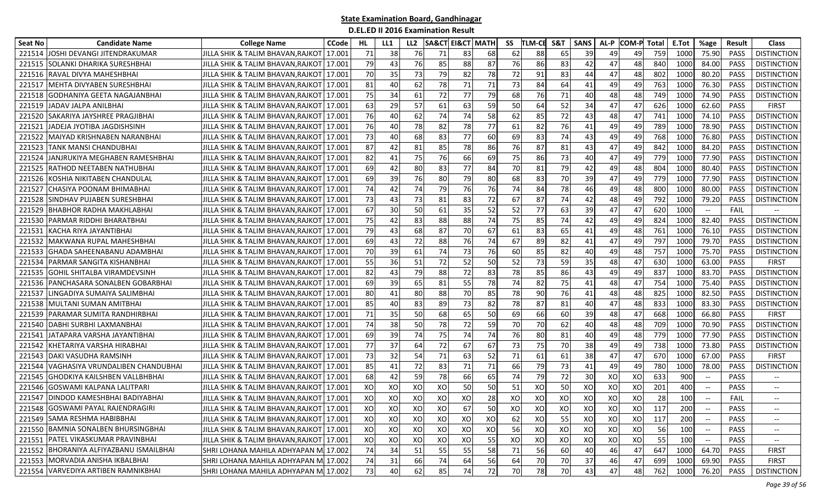| Seat No | <b>Candidate Name</b>                   | <b>College Name</b>                        | <b>CCode</b> | HL | LL1 | LL <sub>2</sub> |    | <b>SA&amp;CT EI&amp;CT MATH</b> |    | SS | TLM-CE | S&T | <b>SANS</b> | AL-P | <b>COM-P Total</b> |     | E.Tot | %age                          | Result      | <b>Class</b>                      |
|---------|-----------------------------------------|--------------------------------------------|--------------|----|-----|-----------------|----|---------------------------------|----|----|--------|-----|-------------|------|--------------------|-----|-------|-------------------------------|-------------|-----------------------------------|
| 221514  | LJOSHI DEVANGI JITENDRAKUMAR            | JILLA SHIK & TALIM BHAVAN.RAJKOT           | 17.001       | 71 | 38  | 76              | 71 | 83                              | 68 | 62 | 88     | 65  | 39          | 49   | 49                 | 759 | 1000  | 75.90                         | <b>PASS</b> | <b>DISTINCTION</b>                |
| 221515  | <b>SOLANKI DHARIKA SURESHBHAI</b>       | JILLA SHIK & TALIM BHAVAN,RAJKOT           | 17.001       | 79 | 43  | 76              | 85 | 88                              | 87 | 76 | 86     | 83  | 42          | 47   | 48                 | 840 | 1000  | 84.00                         | PASS        | <b>DISTINCTION</b>                |
| 221516  | RAVAL DIVYA MAHESHBHAI                  | JILLA SHIK & TALIM BHAVAN, RAJKOT          | 17.001       | 70 | 35  | 73              | 79 | 82                              | 78 | 72 | 91     | 83  | 44          | 47   | 48                 | 802 | 1000  | 80.20                         | PASS        | <b>DISTINCTION</b>                |
| 221517  | MEHTA DIVYABEN SURESHBHAI               | JILLA SHIK & TALIM BHAVAN,RAJKOT           | 17.001       | 81 | 40  | 62              | 78 | 71                              | 71 | 73 | 84     | 64  | 41          | 49   | 49                 | 763 | 1000  | 76.30                         | PASS        | <b>DISTINCTION</b>                |
| 221518  | GODHANIYA GEETA NAGAJANBHAI             | JILLA SHIK & TALIM BHAVAN,RAJKOT   17.001  |              | 75 | 34  | 61              | 72 | 77                              | 79 | 68 | 76     | 71  | 40          | 48   | 48                 | 749 | 1000  | 74.90                         | <b>PASS</b> | <b>DISTINCTION</b>                |
| 221519  | JADAV JALPA ANILBHAI                    | JILLA SHIK & TALIM BHAVAN,RAJKOT   17.001  |              | 63 | 29  | 57              | 61 | 63                              | 59 | 50 | 64     | 52  | 34          | 47   | 47                 | 626 | 1000  | 62.60                         | PASS        | <b>FIRST</b>                      |
| 221520  | SAKARIYA JAYSHREE PRAGJIBHAI            | JILLA SHIK & TALIM BHAVAN,RAJKOT           | 17.001       | 76 | 40  | 62              | 74 | 74                              | 58 | 62 | 85     | 72  | 43          | 48   | 47                 | 741 | 1000  | 74.10                         | PASS        | <b>DISTINCTION</b>                |
| 22152   | JADEJA JYOTIBA JAGDISHSINH              | JILLA SHIK & TALIM BHAVAN,RAJKOT   17.001  |              | 76 | 40  | 78              | 82 | 78                              | 77 | 61 | 82     | 76  | 41          | 49   | 49                 | 789 | 1000  | 78.90                         | PASS        | <b>DISTINCTION</b>                |
| 221522  | MAIYAD KRISHNABEN NARANBHAI             | JILLA SHIK & TALIM BHAVAN.RAJKOT   17.001  |              | 73 | 40  | 68              | 83 | 77                              | 60 | 69 | 83     | 74  | 43          | 49   | 49                 | 768 | 1000  | 76.80                         | <b>PASS</b> | <b>DISTINCTION</b>                |
| 221523  | TANK MANSI CHANDUBHAI                   | JILLA SHIK & TALIM BHAVAN, RAJKOT          | 17.001       | 87 | 42  | 81              | 85 | 78                              | 86 | 76 | 87     | 81  | 43          | 47   | 49                 | 842 | 1000  | 84.20                         | PASS        | <b>DISTINCTION</b>                |
| 221524  | JANJRUKIYA MEGHABEN RAMESHBHAI          | JILLA SHIK & TALIM BHAVAN, RAJKOT          | 17.001       | 82 | 41  | 75              | 76 | 66                              | 69 | 75 | 86     | 73  | 40          | 47   | 49                 | 779 | 1000  | 77.90                         | PASS        | <b>DISTINCTION</b>                |
| 221525  | <b>RATHOD NEETABEN NATHUBHAI</b>        | JILLA SHIK & TALIM BHAVAN,RAJKOT           | 17.001       | 69 | 42  | 80              | 83 | 77                              | 84 | 70 | 81     | 79  | 42          | 49   | 48                 | 804 | 1000  | 80.40                         | PASS        | <b>DISTINCTION</b>                |
| 221526  | KOSHIA NIKITABEN CHANDULAL              | JILLA SHIK & TALIM BHAVAN,RAJKOT   17.001  |              | 69 | 39  | 76              | 80 | 79                              | 80 | 68 | 83     | 70  | 39          | 47   | 49                 | 779 | 1000  | 77.90                         | <b>PASS</b> | <b>DISTINCTION</b>                |
| 221527  | CHASIYA POONAM BHIMABHAI                | JILLA SHIK & TALIM BHAVAN,RAJKOT   17.001  |              | 74 | 42  | 74              | 79 | 76                              | 76 | 74 | 84     | 78  | 46          | 49   | 48                 | 800 | 1000  | 80.00                         | <b>PASS</b> | <b>DISTINCTION</b>                |
| 221528  | <b>ISINDHAV PUJABEN SURESHBHAI</b>      | JILLA SHIK & TALIM BHAVAN,RAJKOT           | 17.001       | 73 | 43  | 73              | 81 | 83                              | 72 | 67 | 87     | 74  | 42          | 48   | 49                 | 792 | 1000  | 79.20                         | PASS        | <b>DISTINCTION</b>                |
| 221529  | <b>BHABHOR RADHA MAKHLABHAI</b>         | JILLA SHIK & TALIM BHAVAN,RAJKOT   17.001  |              | 67 | 30  | 50              | 61 | 35                              | 52 | 52 | 77     | 63  | 39          | 47   | 47                 | 620 | 1000  | $\hspace{0.05cm} \textbf{--}$ | FAIL        |                                   |
| 221530  | PARMAR RIDDHI BHARATBHAI                | JILLA SHIK & TALIM BHAVAN,RAJKOT           | 17.001       | 75 | 42  | 83              | 88 | 88                              | 74 | 75 | 85     | 74  | 42          | 49   | 49                 | 824 | 1000  | 82.40                         | <b>PASS</b> | <b>DISTINCTION</b>                |
| 22153   | KACHA RIYA JAYANTIBHAI                  | JILLA SHIK & TALIM BHAVAN,RAJKOT   17.001  |              | 79 | 43  | 68              | 87 | 70                              | 67 | 61 | 83     | 65  | 41          | 49   | 48                 | 761 | 1000  | 76.10                         | PASS        | <b>DISTINCTION</b>                |
| 221532  | MAKWANA RUPAL MAHESHBHAI                | JILLA SHIK & TALIM BHAVAN, RAJKOT          | 17.001       | 69 | 43  | 72              | 88 | 76                              | 74 | 67 | 89     | 82  | 41          | 47   | 49                 | 797 | 1000  | 79.70                         | <b>PASS</b> | <b>DISTINCTION</b>                |
| 221533  | GHADA SAHEENABANU ADAMBHAI              | JILLA SHIK & TALIM BHAVAN.RAJKOT 17.001    |              | 70 | 39  | 61              | 74 | 73                              | 76 | 60 | 85     | 82  | 40          | 49   | 48                 | 757 | 1000  | 75.70                         | <b>PASS</b> | <b>DISTINCTION</b>                |
| 221534  | <b>PARMAR SANGITA KISHANBHAI</b>        | JILLA SHIK & TALIM BHAVAN,RAJKOT           | 17.001       | 55 | 36  | 51              | 72 | 52                              | 50 | 52 | 73     | 59  | 35          | 48   | 47                 | 630 | 1000  | 63.00                         | <b>PASS</b> | <b>FIRST</b>                      |
| 221535  | <b>GOHIL SHITALBA VIRAMDEVSINH</b>      | JILLA SHIK & TALIM BHAVAN,RAJKOT   17.001  |              | 82 | 43  | 79              | 88 | 72                              | 83 | 78 | 85     | 86  | 43          | 49   | 49                 | 837 | 1000  | 83.70                         | PASS        | <b>DISTINCTION</b>                |
| 221536  | <b>PANCHASARA SONALBEN GOBARBHAI</b>    | JILLA SHIK & TALIM BHAVAN, RAJKOT          | 17.001       | 69 | 39  | 65              | 81 | 55                              | 78 | 74 | 82     | 75  | 41          | 48   | 47                 | 754 | 1000  | 75.40                         | PASS        | <b>DISTINCTION</b>                |
| 221537  | LINGADIYA SUMAIYA SALIMBHAI             | JILLA SHIK & TALIM BHAVAN,RAJKOT   17.001  |              | 80 | 41  | 80              | 88 | 70                              | 85 | 78 | 90     | 76  | 41          | 48   | 48                 | 825 | 1000  | 82.50                         | PASS        | <b>DISTINCTION</b>                |
| 221538  | MULTANI SUMAN AMITBHAI                  | JILLA SHIK & TALIM BHAVAN,RAJKOT           | 17.001       | 85 | 40  | 83              | 89 | 73                              | 82 | 78 | 87     | 81  | 40          | 47   | 48                 | 833 | 1000  | 83.30                         | PASS        | <b>DISTINCTION</b>                |
| 221539  | PARAMAR SUMITA RANDHIRBHAI              | JILLA SHIK & TALIM BHAVAN,RAJKOT           | 17.001       | 71 | 35  | 50              | 68 | 65                              | 50 | 69 | 66     | 60  | 39          | 48   | 47                 | 668 | 1000  | 66.80                         | PASS        | <b>FIRST</b>                      |
| 221540  | DABHI SURBHI LAXMANBHAI                 | JILLA SHIK & TALIM BHAVAN,RAJKOT           | 17.001       | 74 | 38  | 50              | 78 | 72                              | 59 | 70 | 70     | 62  | 40          | 48   | 48                 | 709 | 1000  | 70.90                         | PASS        | <b>DISTINCTION</b>                |
| 221541  | LJATAPARA VARSHA JAYANTIBHAI            | JILLA SHIK & TALIM BHAVAN,RAJKOT   17.001  |              | 69 | 39  | 74              | 75 | 74                              | 74 | 76 | 80     | 81  | 40          | 49   | 48                 | 779 | 1000  | 77.90                         | <b>PASS</b> | <b>DISTINCTION</b>                |
|         | 221542 KHETARIYA VARSHA HIRABHAI        | JILLA SHIK & TALIM BHAVAN,RAJKOT   17.001  |              | 77 | 37  | 64              | 72 | 67                              | 67 | 73 | 75     | 70  | 38          | 49   | 49                 | 738 | 1000  | 73.80                         | PASS        | <b>DISTINCTION</b>                |
| 221543  | DAKI VASUDHA RAMSINH                    | JILLA SHIK & TALIM BHAVAN,RAJKOT           | 17.001       | 73 | 32  | 54              | 71 | 63                              | 52 | 71 | 61     | 61  | 38          | 47   | 47                 | 670 | 1000  | 67.00                         | PASS        | <b>FIRST</b>                      |
| 221544  | VAGHASIYA VRUNDALIBEN CHANDUBHAI        | JILLA SHIK & TALIM BHAVAN,RAJKOT           | 17.001       | 85 | 41  | 72              | 83 | 71                              | 71 | 66 | 79     | 73  | 41          | 49   | 49                 | 780 | 1000  | 78.00                         | PASS        | <b>DISTINCTION</b>                |
| 221545  | <b>GHODKIYA KAILSHBEN VALLBHBHAI</b>    | JILLA SHIK & TALIM BHAVAN.RAJKOT           | 17.001       | 68 | 42  | 59              | 78 | 66                              | 65 | 74 | 79     | 72  | 30          | XO   | XO                 | 633 | 900   | $\overline{\phantom{a}}$      | <b>PASS</b> | $\overline{\phantom{a}}$          |
| 221546  | <b>GOSWAMI KALPANA LALITPARI</b>        | JILLA SHIK & TALIM BHAVAN,RAJKOT           | 17.001       | XO | XO  | XO              | XO | 50                              | 50 | 51 | XO     | 50  | XO          | XO   | XO                 | 201 | 400   |                               | <b>PASS</b> | $\hspace{0.05cm} \dashrightarrow$ |
|         | 221547 DINDOD KAMESHBHAI BADIYABHAI     | JILLA SHIK & TALIM BHAVAN,RAJKOT   17.001  |              | XO | XO  | XO              | XO | XO                              | 28 | XO | XO     | XO  | XO          | XO   | XO                 | 28  | 100   |                               | FAIL        |                                   |
|         | 221548 GOSWAMI PAYAL RAJENDRAGIRI       | JILLA SHIK & TALIM BHAVAN, RAJKOT   17.001 |              | XO | xol | xol             | XO | 67                              | 50 | XO | XO     | xo  | XO          | XO   | XO                 | 117 | 200   |                               | <b>PASS</b> | $- -$                             |
|         | 221549 SAMA RESHMA HABIBBHAI            | JILLA SHIK & TALIM BHAVAN,RAJKOT 17.001    |              | XO | XO  | XO              | XO | XO                              | XO | 62 | xol    | 55  | XO          | xol  | XO                 | 117 | 200   |                               | PASS        |                                   |
|         | 221550 BAMNIA SONALBEN BHURSINGBHAI     | JILLA SHIK & TALIM BHAVAN,RAJKOT 17.001    |              | XO | XO  | XO              | XO | XO                              | XO | 56 | xo     | XO  | XO          | XO   | XO                 | 56  | 100   |                               | PASS        | $\overline{\phantom{a}}$          |
|         | 221551 PATEL VIKASKUMAR PRAVINBHAI      | JILLA SHIK & TALIM BHAVAN,RAJKOT 17.001    |              | XO | XO  | XO              | XO | XO                              | 55 | XO | XO     | XO  | XO          | XO   | XO                 | 55  | 100   |                               | PASS        |                                   |
|         | 221552 BHORANIYA ALFIYAZBANU ISMAILBHAI | SHRI LOHANA MAHILA ADHYAPAN M 17.002       |              | 74 | 34  | 51              | 55 | 55                              | 58 | 71 | 56     | 60  | 40          | 46   | 47                 | 647 | 1000  | 64.70                         | PASS        | <b>FIRST</b>                      |
|         | 221553 MORVADIA ANISHA IKBALBHAI        | SHRI LOHANA MAHILA ADHYAPAN M 17.002       |              | 74 | 31  | 66              | 74 | 64                              | 56 | 64 | 70     | 70  | 37          | 46   | 47                 | 699 | 1000  | 69.90                         | PASS        | <b>FIRST</b>                      |
|         | 221554 VARVEDIYA ARTIBEN RAMNIKBHAI     | SHRI LOHANA MAHILA ADHYAPAN M 17.002       |              | 73 | 40  | 62              | 85 | 74                              | 72 | 70 | 78     | 70  | 43          | 47   | 48                 | 762 | 1000  | 76.20                         | PASS        | <b>DISTINCTION</b>                |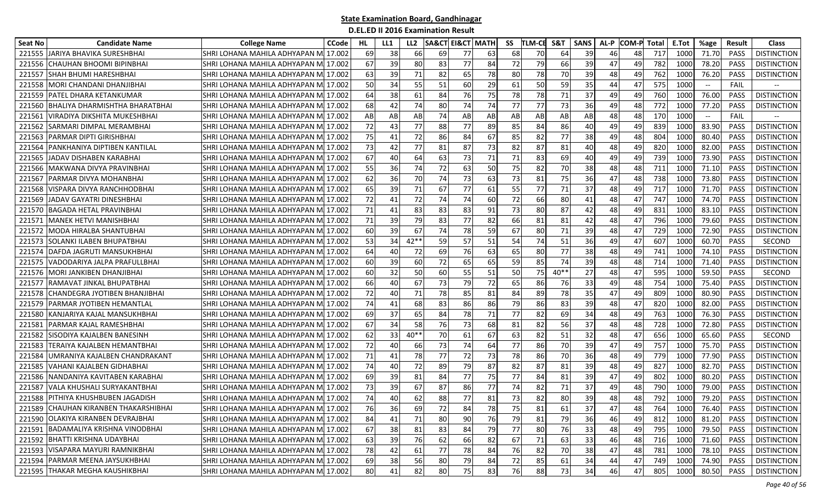| Seat No | <b>Candidate Name</b>                 | <b>College Name</b>                   | <b>CCode</b> | HL  | LL1 | LL <sub>2</sub> |    | <b>SA&amp;CT EI&amp;CT MATH</b> |    | SS | TLM-CE | S&T    | <b>SANS</b> | AL-P | <b>COM-P Total</b> |     | E.Tot | %age  | Result      | <b>Class</b>       |
|---------|---------------------------------------|---------------------------------------|--------------|-----|-----|-----------------|----|---------------------------------|----|----|--------|--------|-------------|------|--------------------|-----|-------|-------|-------------|--------------------|
|         | 221555 JARIYA BHAVIKA SURESHBHAI      | SHRI LOHANA MAHILA ADHYAPAN M         | 17.002       | 69  | 38  | 66              | 69 | 77                              | 63 | 68 | 70     | 64     | 39          | 46   | 48                 | 717 | 1000  | 71.70 | <b>PASS</b> | <b>DISTINCTION</b> |
| 221556  | CHAUHAN BHOOMI BIPINBHAI              | SHRI LOHANA MAHILA ADHYAPAN MI 17.002 |              | 67  | 39  | 80              | 83 | 77                              | 84 | 72 | 79     | 66     | 39          | 47   | 49                 | 782 | 1000  | 78.20 | PASS        | <b>DISTINCTION</b> |
| 221557  | <b>SHAH BHUMI HARESHBHAI</b>          | SHRI LOHANA MAHILA ADHYAPAN MI 17.002 |              | 63  | 39  | 71              | 82 | 65                              | 78 | 80 | 78     | 70     | 39          | 48   | 49                 | 762 | 1000  | 76.20 | PASS        | <b>DISTINCTION</b> |
| 221558  | MORI CHANDANI DHANJIBHAI              | SHRI LOHANA MAHILA ADHYAPAN MI 17.002 |              | 50  | 34  | 55              | 51 | 60                              | 29 | 61 | 50     | 59     | 35          | 44   | 47                 | 575 | 1000  | $- -$ | FAIL        |                    |
| 221559  | <b>PATEL DHARA KETANKUMAR</b>         | SHRI LOHANA MAHILA ADHYAPAN MI 17.002 |              | 64  | 38  | 61              | 84 | 76                              | 75 | 78 | 78     | 71     | 37          | 49   | 49                 | 760 | 1000  | 76.00 | <b>PASS</b> | <b>DISTINCTION</b> |
| 221560  | BHALIYA DHARMISHTHA BHARATBHAI        | SHRI LOHANA MAHILA ADHYAPAN M 17.002  |              | 68  | 42  | 74              | 80 | 74                              | 74 | 77 | 77     | 73     | 36          | 49   | 48                 | 772 | 1000  | 77.20 | PASS        | <b>DISTINCTION</b> |
| 22156   | VIRADIYA DIKSHITA MUKESHBHAI          | SHRI LOHANA MAHILA ADHYAPAN MI 17.002 |              | AB  | AB  | AB              | 74 | AB                              | AB | AB | AB     | AB     | AB          | 48   | 48                 | 170 | 1000  | $-\!$ | FAIL        |                    |
| 221562  | SARMARI DIMPAL MERAMBHAI              | SHRI LOHANA MAHILA ADHYAPAN MI 17.002 |              | 72  | 43  | 77              | 88 | 77                              | 89 | 85 | 84     | 86     | 40          | 49   | 49                 | 839 | 1000  | 83.90 | <b>PASS</b> | <b>DISTINCTION</b> |
| 221563  | PARMAR DIPTI GIRISHBHAI               | SHRI LOHANA MAHILA ADHYAPAN MI 17.002 |              | 75  | 41  | 72              | 86 | 84                              | 67 | 85 | 82     | 77     | 38          | 49   | 48                 | 804 | 1000  | 80.40 | <b>PASS</b> | <b>DISTINCTION</b> |
| 221564  | PANKHANIYA DIPTIBEN KANTILAL          | SHRI LOHANA MAHILA ADHYAPAN MI 17.002 |              | 73  | 42  | 77              | 81 | 87                              | 73 | 82 | 87     | 81     | 40          | 48   | 49                 | 820 | 1000  | 82.00 | PASS        | <b>DISTINCTION</b> |
| 221565  | JADAV DISHABEN KARABHAI               | SHRI LOHANA MAHILA ADHYAPAN MI 17.002 |              | 67  | 40  | 64              | 63 | 73                              | 71 | 71 | 83     | 69     | 40          | 49   | 49                 | 739 | 1000  | 73.90 | PASS        | <b>DISTINCTION</b> |
| 221566  | MAKWANA DIVYA PRAVINBHAI              | SHRI LOHANA MAHILA ADHYAPAN MI 17.002 |              | 55  | 36  | 74              | 72 | 63                              | 50 | 75 | 82     | 70     | 38          | 48   | 48                 | 711 | 1000  | 71.10 | PASS        | <b>DISTINCTION</b> |
| 221567  | IPARMAR DIVYA MOHANBHAI               | SHRI LOHANA MAHILA ADHYAPAN MI 17.002 |              | 62  | 36  | 70              | 74 | 73                              | 63 | 73 | 81     | 75     | 36          | 47   | 48                 | 738 | 1000  | 73.80 | PASS        | <b>DISTINCTION</b> |
| 221568  | VISPARA DIVYA RANCHHODBHAI            | SHRI LOHANA MAHILA ADHYAPAN M 17.002  |              | 65  | 39  | 71              | 67 | 77                              | 61 | 55 | 77     | 71     | 37          | 48   | 49                 | 717 | 1000  | 71.70 | <b>PASS</b> | <b>DISTINCTION</b> |
| 221569  | JADAV GAYATRI DINESHBHAI              | SHRI LOHANA MAHILA ADHYAPAN MI 17.002 |              | 72  | 41  | 72              | 74 | 74                              | 60 | 72 | 66     | 80     | 41          | 48   | 47                 | 747 | 1000  | 74.70 | PASS        | <b>DISTINCTION</b> |
| 221570  | <b>BAGADA HETAL PRAVINBHAI</b>        | SHRI LOHANA MAHILA ADHYAPAN MI 17.002 |              | 71  | 41  | 83              | 83 | 83                              | 91 | 73 | 80     | 87     | 42          | 48   | 49                 | 831 | 1000  | 83.10 | PASS        | <b>DISTINCTION</b> |
| 221571  | <b>MANEK HETVI MANISHBHAI</b>         | SHRI LOHANA MAHILA ADHYAPAN M 17.002  |              | 71  | 39  | 79              | 83 | 77                              | 82 | 66 | 81     | 81     | 42          | 48   | 47                 | 796 | 1000  | 79.60 | PASS        | <b>DISTINCTION</b> |
| 221572  | <b>MODA HIRALBA SHANTUBHAI</b>        | SHRI LOHANA MAHILA ADHYAPAN MI 17.002 |              | 60  | 39  | 67              | 74 | 78                              | 59 | 67 | 80     | 71     | 39          | 48   | 47                 | 729 | 1000  | 72.90 | PASS        | <b>DISTINCTION</b> |
| 221573  | <b>SOLANKI ILABEN BHUPATBHAI</b>      | SHRI LOHANA MAHILA ADHYAPAN M 17.002  |              | 53  | 34  | $42**$          | 59 | 57                              | 51 | 54 | 74     | 51     | 36          | 49   | 47                 | 607 | 1000  | 60.70 | PASS        | SECOND             |
| 221574  | IDAFDA JAGRUTI MANSUKHBHAI            | SHRI LOHANA MAHILA ADHYAPAN MI 17.002 |              | 64  | 40  | 72              | 69 | 76                              | 63 | 65 | 80     | 77     | 38          | 48   | 49                 | 741 | 1000  | 74.10 | <b>PASS</b> | <b>DISTINCTION</b> |
| 221575  | VADODARIYA JALPA PRAFULLBHAI          | SHRI LOHANA MAHILA ADHYAPAN M 17.002  |              | 60  | 39  | 60              | 72 | 65                              | 65 | 59 | 85     | 74     | 39          | 48   | 48                 | 714 | 1000  | 71.40 | PASS        | <b>DISTINCTION</b> |
| 221576  | <b>MORI JANKIBEN DHANJIBHAI</b>       | SHRI LOHANA MAHILA ADHYAPAN MI 17.002 |              | 60  | 32  | 50              | 60 | 55                              | 51 | 50 | 75     | $40**$ | 27          | 48   | 47                 | 595 | 1000  | 59.50 | PASS        | <b>SECOND</b>      |
| 221577  | RAMAVAT JINKAL BHUPATBHAI             | SHRI LOHANA MAHILA ADHYAPAN MI 17.002 |              | 66  | 40  | 67              | 73 | 79                              | 72 | 65 | 86     | 76     | 33          | 49   | 48                 | 754 | 1000  | 75.40 | PASS        | <b>DISTINCTION</b> |
| 221578  | CHANDEGRA JYOTIBEN BHANJIBHAI         | SHRI LOHANA MAHILA ADHYAPAN MI 17.002 |              | 72  | 40  | 71              | 78 | 85                              | 81 | 84 | 89     | 78     | 35          | 47   | 49                 | 809 | 1000  | 80.90 | <b>PASS</b> | <b>DISTINCTION</b> |
| 221579  | PARMAR JYOTIBEN HEMANTLAL             | SHRI LOHANA MAHILA ADHYAPAN M 17.002  |              | 74  | 41  | 68              | 83 | 86                              | 86 | 79 | 86     | 83     | 39          | 48   | 47                 | 820 | 1000  | 82.00 | <b>PASS</b> | <b>DISTINCTION</b> |
| 221580  | KANJARIYA KAJAL MANSUKHBHAI           | SHRI LOHANA MAHILA ADHYAPAN MI 17.002 |              | 69  | 37  | 65              | 84 | 78                              | 71 | 77 | 82     | 69     | 34          | 48   | 49                 | 763 | 1000  | 76.30 | PASS        | <b>DISTINCTION</b> |
| 22158   | PARMAR KAJAL RAMESHBHAI               | SHRI LOHANA MAHILA ADHYAPAN M 17.002  |              | 67  | 34  | 58              | 76 | 73                              | 68 | 81 | 82     | 56     | 37          | 48   | 48                 | 728 | 1000  | 72.80 | PASS        | <b>DISTINCTION</b> |
| 221582  | ISISODIYA KAJALBEN BANESINH           | SHRI LOHANA MAHILA ADHYAPAN MI 17.002 |              | 62  | 33  | $40**$          | 70 | 61                              | 67 | 63 | 82     | 51     | 32          | 48   | 47                 | 656 | 1000  | 65.60 | PASS        | <b>SECOND</b>      |
| 221583  | ITERAIYA KAJALBEN HEMANTBHAI          | SHRI LOHANA MAHILA ADHYAPAN M 17.002  |              | 72  | 40  | 66              | 73 | 74                              | 64 | 77 | 86     | 70     | 39          | 47   | 49                 | 757 | 1000  | 75.70 | PASS        | <b>DISTINCTION</b> |
| 221584  | UMRANIYA KAJALBEN CHANDRAKANT         | SHRI LOHANA MAHILA ADHYAPAN M 17.002  |              | 71  | 41  | 78              | 77 | 72                              | 73 | 78 | 86     | 70     | 36          | 48   | 49                 | 779 | 1000  | 77.90 | PASS        | <b>DISTINCTION</b> |
| 221585  | VAHANI KAJALBEN GIDHABHAI             | SHRI LOHANA MAHILA ADHYAPAN MI 17.002 |              | 74  | 40  | 72              | 89 | 79                              | 87 | 82 | 87     | 81     | 39          | 48   | 49                 | 827 | 1000  | 82.70 | PASS        | <b>DISTINCTION</b> |
| 221586  | NANDANIYA KAVITABEN KARABHAI          | SHRI LOHANA MAHILA ADHYAPAN MI 17.002 |              | 69  | 39  | 81              | 84 | 77                              | 75 | 77 | 84     | 81     | 39          | 47   | 49                 | 802 | 1000  | 80.20 | PASS        | <b>DISTINCTION</b> |
| 221587  | VALA KHUSHALI SURYAKANTBHAI           | SHRI LOHANA MAHILA ADHYAPAN M 17.002  |              | 73  | 39  | 67              | 87 | 86                              | 77 | 74 | 82     | 71     | 37          | 49   | 48                 | 790 | 1000  | 79.00 | PASS        | <b>DISTINCTION</b> |
|         | 221588 PITHIYA KHUSHBUBEN JAGADISH    | SHRI LOHANA MAHILA ADHYAPAN M 17.002  |              | 74  | 40  | 62              | 88 | 77                              | 81 | 73 | 82     | 80     | 39          | 48   | 48                 | 792 | 1000  | 79.20 | PASS        | <b>DISTINCTION</b> |
|         | 221589 CHAUHAN KIRANBEN THAKARSHIBHAI | SHRI LOHANA MAHILA ADHYAPAN M. 17.002 |              | 761 | 36  | 69              | 72 | 84                              | 78 | 75 | 81     | 61     | 37          | 47   | 48                 | 764 | 1000  | 76.40 | PASS        | <b>DISTINCTION</b> |
|         | 221590 OLAKIYA KIRANBEN DEVRAJBHAI    | SHRI LOHANA MAHILA ADHYAPAN M 17.002  |              | 84  | 41  | 71              | 80 | 90                              | 76 | 79 | 81     | 79     | 36          | 46   | 49                 | 812 | 1000  | 81.20 | PASS        | <b>DISTINCTION</b> |
|         | 221591 BADAMALIYA KRISHNA VINODBHAI   | SHRI LOHANA MAHILA ADHYAPAN M 17.002  |              | 67  | 38  | 81              | 83 | 84                              | 79 | 77 | 80     | 76     | 33          | 48   | 49                 | 795 | 1000  | 79.50 | PASS        | <b>DISTINCTION</b> |
|         | 221592 BHATTI KRISHNA UDAYBHAI        | SHRI LOHANA MAHILA ADHYAPAN M 17.002  |              | 63  | 39  | 76              | 62 | 66                              | 82 | 67 | 71     | 63     | 33          | 46   | 48                 | 716 | 1000  | 71.60 | PASS        | <b>DISTINCTION</b> |
|         | 221593 VISAPARA MAYURI RAMNIKBHAI     | SHRI LOHANA MAHILA ADHYAPAN M 17.002  |              | 78  | 42  | 61              | 77 | 78                              | 84 | 76 | 82     | 70     | 38          | 47   | 48                 | 781 | 1000  | 78.10 | PASS        | <b>DISTINCTION</b> |
|         | 221594 PARMAR MEENA JAYSUKHBHAI       | SHRI LOHANA MAHILA ADHYAPAN M 17.002  |              | 69  | 38  | 56              | 80 | 79                              | 84 | 72 | 85     | 61     | 34          | 44   | 47                 | 749 | 1000  | 74.90 | PASS        | <b>DISTINCTION</b> |
|         | 221595 THAKAR MEGHA KAUSHIKBHAI       | SHRI LOHANA MAHILA ADHYAPAN M 17.002  |              | 80  | 41  | 82              | 80 | 75                              | 83 | 76 | 88     | 73     | 34          | 46   | 47                 | 805 | 1000  | 80.50 | PASS        | <b>DISTINCTION</b> |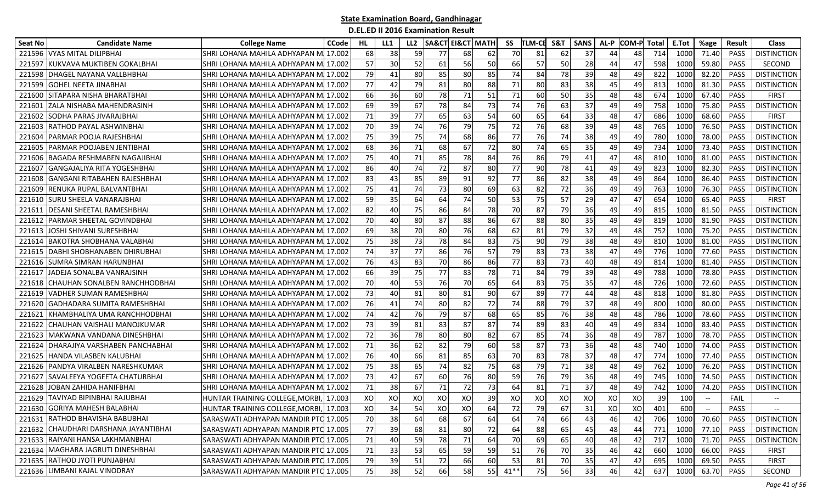| Seat No | <b>Candidate Name</b>                 | <b>College Name</b>                    | <b>CCode</b> | HL | LL1 | LL <sub>2</sub> |    | <b>SA&amp;CT EI&amp;CT MATH</b> | SS           | TLM-CE | S&T | <b>SANS</b> | AL-P | COM-P | Total | E.Tot | %age         | Result      | <b>Class</b>             |
|---------|---------------------------------------|----------------------------------------|--------------|----|-----|-----------------|----|---------------------------------|--------------|--------|-----|-------------|------|-------|-------|-------|--------------|-------------|--------------------------|
|         | 221596 VYAS MITAL DILIPBHAI           | SHRI LOHANA MAHILA ADHYAPAN M          | 17.002       | 68 | 38  | 59              | 77 | 68                              | 70<br>62     | 81     | 62  | 37          | 44   | 48    | 714   | 1000  | 71.40        | <b>PASS</b> | <b>DISTINCTION</b>       |
| 221597  | KUKVAVA MUKTIBEN GOKALBHAI            | SHRI LOHANA MAHILA ADHYAPAN M          | 17.002       | 57 | 30  | 52              | 61 | 56                              | 50<br>66     | 57     | 50  | 28          | 44   | 47    | 598   | 1000  | 59.80        | PASS        | <b>SECOND</b>            |
| 221598  | <b>DHAGEL NAYANA VALLBHBHAI</b>       | SHRI LOHANA MAHILA ADHYAPAN M 17.002   |              | 79 | 41  | 80              | 85 | 80                              | 85<br>74     | 84     | 78  | 39          | 48   | 49    | 822   | 1000  | 82.20        | PASS        | <b>DISTINCTION</b>       |
| 221599  | <b>GOHEL NEETA JINABHAI</b>           | SHRI LOHANA MAHILA ADHYAPAN MI 17.002  |              | 77 | 42  | 79              | 81 | 80                              | 88<br>71     | 80     | 83  | 38          | 45   | 49    | 813   | 1000  | 81.30        | <b>PASS</b> | <b>DISTINCTION</b>       |
| 221600  | <b>SITAPARA NISHA BHARATBHAI</b>      | SHRI LOHANA MAHILA ADHYAPAN M 17.002   |              | 66 | 36  | 60              | 78 | 71                              | 51<br>71     | 60     | 50  | 35          | 48   | 48    | 674   | 1000  | 67.40        | PASS        | <b>FIRST</b>             |
| 221601  | <b>ZALA NISHABA MAHENDRASINH</b>      | SHRI LOHANA MAHILA ADHYAPAN MI 17.002  |              | 69 | 39  | 67              | 78 | 84                              | 73<br>74     | 76     | 63  | 37          | 49   | 49    | 758   | 1000  | 75.80        | PASS        | <b>DISTINCTION</b>       |
| 221602  | SODHA PARAS JIVARAJBHAI               | SHRI LOHANA MAHILA ADHYAPAN M 17.002   |              | 71 | 39  | 77              | 65 | 63                              | 54<br>60     | 65     | 64  | 33          | 48   | 47    | 686   | 1000  | 68.60        | PASS        | <b>FIRST</b>             |
| 221603  | RATHOD PAYAL ASHWINBHAI               | SHRI LOHANA MAHILA ADHYAPAN MI 17.002  |              | 70 | 39  | 74              | 76 | 79                              | 75<br>72     | 76     | 68  | 39          | 49   | 48    | 765   | 1000  | 76.50        | PASS        | <b>DISTINCTION</b>       |
| 22160   | PARMAR POOJA RAJESHBHAI               | SHRI LOHANA MAHILA ADHYAPAN MI 17.002  |              | 75 | 39  | 75              | 74 | 68                              | 86<br>77     | 76     | 74  | 38          | 49   | 49    | 780   | 1000  | 78.00        | <b>PASS</b> | <b>DISTINCTION</b>       |
| 22160   | PARMAR POOJABEN JENTIBHAI             | SHRI LOHANA MAHILA ADHYAPAN MI 17.002  |              | 68 | 36  | 71              | 68 | 67                              | 72<br>80     | 74     | 65  | 35          | 49   | 49    | 734   | 1000  | 73.40        | PASS        | <b>DISTINCTION</b>       |
| 221606  | <b>BAGADA RESHMABEN NAGAJIBHAI</b>    | SHRI LOHANA MAHILA ADHYAPAN MI 17.002  |              | 75 | 40  | 71              | 85 | 78                              | 84<br>76     | 86     | 79  | 41          | 47   | 48    | 810   | 1000  | 81.00        | PASS        | <b>DISTINCTION</b>       |
| 221607  | IGANGAJALIYA RITA YOGESHBHAI          | SHRI LOHANA MAHILA ADHYAPAN MI 17.002  |              | 86 | 40  | 74              | 72 | 87                              | 80<br>77     | 90     | 78  | 41          | 49   | 49    | 823   | 1000  | 82.30        | <b>PASS</b> | <b>DISTINCTION</b>       |
| 221608  | IGANGANI RITABAHEN RAJESHBHAI         | SHRI LOHANA MAHILA ADHYAPAN MI 17.002  |              | 83 | 43  | 85              | 89 | 91                              | 77<br>92     | 86     | 82  | 38          | 49   | 49    | 864   | 1000  | 86.40        | PASS        | <b>DISTINCTION</b>       |
| 221609  | RENUKA RUPAL BALVANTBHAI              | SHRI LOHANA MAHILA ADHYAPAN M 17.002   |              | 75 | 41  | 74              | 73 | 80                              | 69<br>63     | 82     | 72  | 36          | 49   | 49    | 763   | 1000  | 76.30        | PASS        | <b>DISTINCTION</b>       |
| 221610  | <b>SURU SHEELA VANARAJBHAI</b>        | SHRI LOHANA MAHILA ADHYAPAN MI 17.002  |              | 59 | 35  | 64              | 64 | 74                              | 50<br>53     | 75     | 57  | 29          | 47   | 47    | 654   | 1000  | 65.40        | PASS        | <b>FIRST</b>             |
| 22161   | DESANI SHEETAL RAMESHBHAI             | SHRI LOHANA MAHILA ADHYAPAN MI 17.002  |              | 82 | 40  | 75              | 86 | 84                              | 78<br>70     | 87     | 79  | 36          | 49   | 49    | 815   | 1000  | 81.50        | <b>PASS</b> | <b>DISTINCTION</b>       |
| 221612  | PARMAR SHEETAL GOVINDBHAI             | SHRI LOHANA MAHILA ADHYAPAN M 17.002   |              | 70 | 40  | 80              | 87 | 88                              | 86<br>67     | 88     | 80  | 35          | 49   | 49    | 819   | 1000  | 81.90        | PASS        | <b>DISTINCTION</b>       |
| 221613  | JOSHI SHIVANI SURESHBHAI              | SHRI LOHANA MAHILA ADHYAPAN MI 17.002  |              | 69 | 38  | 70              | 80 | 76                              | 68<br>62     | 81     | 79  | 32          | 49   | 48    | 752   | 1000  | 75.20        | PASS        | <b>DISTINCTION</b>       |
| 221614  | BAKOTRA SHOBHANA VALABHAI             | SHRI LOHANA MAHILA ADHYAPAN M 17.002   |              | 75 | 38  | 73              | 78 | 84                              | 83<br>75     | 90     | 79  | 38          | 48   | 49    | 810   | 1000  | 81.00        | PASS        | <b>DISTINCTION</b>       |
| 221615  | <b>IDABHI SHOBHANABEN DHIRUBHAI</b>   | SHRI LOHANA MAHILA ADHYAPAN MI 17.002  |              | 74 | 37  | 77              | 86 | 76                              | 57<br>79     | 83     | 73  | 38          | 47   | 49    | 776   | 1000  | 77.60        | PASS        | <b>DISTINCTION</b>       |
| 221616  | <b>SUMRA SIMRAN HARUNBHAI</b>         | SHRI LOHANA MAHILA ADHYAPAN M 17.002   |              | 76 | 43  | 83              | 70 | 86                              | 86<br>77     | 83     | 73  | 40          | 48   | 49    | 814   | 1000  | 81.40        | PASS        | <b>DISTINCTION</b>       |
| 22161   | JADEJA SONALBA VANRAJSINH             | SHRI LOHANA MAHILA ADHYAPAN MI 17.002  |              | 66 | 39  | 75              | 77 | 83                              | 78<br>71     | 84     | 79  | 39          | 48   | 49    | 788   | 1000  | 78.80        | PASS        | <b>DISTINCTION</b>       |
| 221618  | CHAUHAN SONALBEN RANCHHODBHAI         | SHRI LOHANA MAHILA ADHYAPAN M 17.002   |              | 70 | 40  | 53              | 76 | 70                              | 65<br>64     | 83     | 75  | 35          | 47   | 48    | 726   | 1000  | 72.60        | PASS        | <b>DISTINCTION</b>       |
| 221619  | <b>VADHER SUMAN RAMESHBHAI</b>        | SHRI LOHANA MAHILA ADHYAPAN MI 17.002  |              | 73 | 40  | 81              | 80 | 81                              | 90<br>67     | 89     | 77  | 44          | 48   | 48    | 818   | 1000  | 81.80        | <b>PASS</b> | <b>DISTINCTION</b>       |
| 221620  | GADHADARA SUMITA RAMESHBHAI           | SHRI LOHANA MAHILA ADHYAPAN M          | 17.002       | 76 | 41  | 74              | 80 | 82                              | 72<br>74     | 88     | 79  | 37          | 48   | 49    | 800   | 1000  | 80.00        | PASS        | <b>DISTINCTION</b>       |
| 22162   | KHAMBHALIYA UMA RANCHHODBHAI          | SHRI LOHANA MAHILA ADHYAPAN M 17.002   |              | 74 | 42  | 76              | 79 | 87                              | 68<br>65     | 85     | 76  | 38          | 48   | 48    | 786   | 1000  | 78.60        | PASS        | <b>DISTINCTION</b>       |
| 221622  | CHAUHAN VAISHALI MANOJKUMAR           | SHRI LOHANA MAHILA ADHYAPAN MI 17.002  |              | 73 | 39  | 81              | 83 | 87                              | 87<br>74     | 89     | 83  | 40          | 49   | 49    | 834   | 1000  | 83.40        | <b>PASS</b> | <b>DISTINCTION</b>       |
| 221623  | IMAKWANA VANDANA DINESHBHAI           | SHRI LOHANA MAHILA ADHYAPAN MI 17.002  |              | 72 | 36  | 78              | 80 | 80                              | 82<br>67     | 85     | 74  | 36          | 48   | 49    | 787   | 1000  | 78.70        | PASS        | <b>DISTINCTION</b>       |
| 221624  | <b>DHARAJIYA VARSHABEN PANCHABHAI</b> | SHRI LOHANA MAHILA ADHYAPAN MI 17.002  |              | 71 | 36  | 62              | 82 | 79                              | 60<br>58     | 87     | 73  | 36          | 48   | 48    | 740   | 1000  | 74.00        | PASS        | <b>DISTINCTION</b>       |
| 221625  | <b>HANDA VILASBEN KALUBHAI</b>        | SHRI LOHANA MAHILA ADHYAPAN MI 17.002  |              | 76 | 40  | 66              | 81 | 85                              | 63<br>70     | 83     | 78  | 37          | 48   | 47    | 774   | 1000  | 77.40        | PASS        | <b>DISTINCTION</b>       |
| 221626  | PANDYA VIRALBEN NARESHKUMAR           | SHRI LOHANA MAHILA ADHYAPAN MI 17.002  |              | 75 | 38  | 65              | 74 | 82                              | 75<br>68     | 79     | 71  | 38          | 48   | 49    | 762   | 1000  | 76.20        | PASS        | <b>DISTINCTION</b>       |
| 221627  | SAVALEEYA YOGEETA CHATURBHAI          | SHRI LOHANA MAHILA ADHYAPAN M 17.002   |              | 73 | 42  | 67              | 60 | 76                              | 80<br>59     | 76     | 79  | 36          | 48   | 49    | 745   | 1000  | 74.50        | PASS        | <b>DISTINCTION</b>       |
| 221628  | JOBAN ZAHIDA HANIFBHAI                | SHRI LOHANA MAHILA ADHYAPAN MI 17.002  |              | 71 | 38  | 67              | 71 | 72                              | 73<br>64     | 81     | 71  | 37          | 48   | 49    | 742   | 1000  | 74.20        | PASS        | <b>DISTINCTION</b>       |
|         | 221629 TAVIYAD BIPINBHAI RAJUBHAI     | HUNTAR TRAINING COLLEGE, MORBI, 17.003 |              | XO | XO  | XO              | XO | XO                              | 39<br>XO     | XO     | XO  | XO          | XO   | XO    | 39    | 100   |              | FAIL        |                          |
|         | 221630 GORIYA MAHESH BALABHAI         | HUNTAR TRAINING COLLEGE, MORBI, 17.003 |              | XO | 34  | 54              | XO | XO                              | 64<br>72     | 79     | 67  | 31          | XO   | XO    | 401   | 600   | $-\hbox{--}$ | PASS        | $\overline{\phantom{a}}$ |
|         | 221631 RATHOD BHAVISHA BABUBHAI       | SARASWATI ADHYAPAN MANDIR PTC 17.005   |              | 70 | 38  | 64              | 68 | 67                              | 64<br>64     | 74     | 66  | 43          | 46   | 42    | 706   | 1000  | 70.60        | PASS        | <b>DISTINCTION</b>       |
|         | 221632 CHAUDHARI DARSHANA JAYANTIBHAI | SARASWATI ADHYAPAN MANDIR PTC 17.005   |              | 77 | 39  | 68              | 81 | 80                              | 72<br>64     | 88     | 65  | 45          | 48   | 44    | 771   | 1000  | 77.10        | PASS        | <b>DISTINCTION</b>       |
|         | 221633 RAIYANI HANSA LAKHMANBHAI      | SARASWATI ADHYAPAN MANDIR PTC 17.005   |              | 71 | 40  | 59              | 78 | $71\,$                          | 64<br>70     | 69     | 65  | 40          | 48   | 42    | 717   | 1000  | 71.70        | PASS        | <b>DISTINCTION</b>       |
|         | 221634 MAGHARA JAGRUTI DINESHBHAI     | SARASWATI ADHYAPAN MANDIR PTC 17.005   |              | 71 | 33  | 53              | 65 | 59                              | 59<br>51     | 76     | 70  | 35          | 46   | 42    | 660   | 1000  | 66.00        | PASS        | <b>FIRST</b>             |
|         | 221635 RATHOD JYOTI PUNJABHAI         | SARASWATI ADHYAPAN MANDIR PTC 17.005   |              | 79 | 39  | 51              | 72 | 66                              | 60<br>53     | 81     | 70  | 35          | 47   | 42    | 695   | 1000  | 69.50        | PASS        | <b>FIRST</b>             |
|         | 221636 LIMBANI KAJAL VINODRAY         | SARASWATI ADHYAPAN MANDIR PTC 17.005   |              | 75 | 38  | 52              | 66 | 58                              | 55<br>$41**$ | 75     | 56  | 33          | 46   | 42    | 637   | 1000  | 63.70        | PASS        | SECOND                   |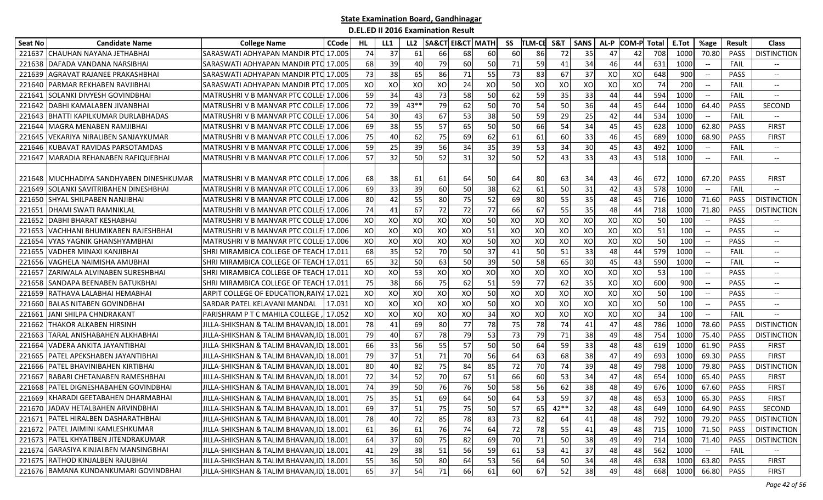| <b>Seat No</b> | <b>Candidate Name</b>                    | <b>College Name</b>                            | <b>CCode</b> | HL | LL1 | LL <sub>2</sub> | <b>SA&amp;CT EI&amp;CT MATH</b> |    |    | SS | <b>TLM-CE</b> | S&T  | <b>SANS</b> | AL-P | <b>COM-P Total</b> |     | E.Tot | %age                                                | Result      | <b>Class</b>                  |
|----------------|------------------------------------------|------------------------------------------------|--------------|----|-----|-----------------|---------------------------------|----|----|----|---------------|------|-------------|------|--------------------|-----|-------|-----------------------------------------------------|-------------|-------------------------------|
| 221637         | ICHAUHAN NAYANA JETHABHAI                | SARASWATI ADHYAPAN MANDIR PT <b>C</b> I 17.005 |              | 74 | 37  | 61              | 66                              | 68 | 60 | 60 | 86            | 72   | 35          | 47   | 42                 | 708 | 1000  | 70.80                                               | <b>PASS</b> | <b>DISTINCTION</b>            |
| 221638         | DAFADA VANDANA NARSIBHAI                 | SARASWATI ADHYAPAN MANDIR PTC 17.005           |              | 68 | 39  | 40              | 79                              | 60 | 50 | 71 | 59            | 41   | 34          | 46   | 44                 | 631 | 1000  | $\hspace{0.05cm} \ldots$                            | FAIL        | $- -$                         |
| 221639         | AGRAVAT RAJANEE PRAKASHBHAI              | SARASWATI ADHYAPAN MANDIR PTC                  | 17.005       | 73 | 38  | 65              | 86                              | 71 | 55 | 73 | 83            | 67   | 37          | XO   | XO                 | 648 | 900   |                                                     | <b>PASS</b> | --                            |
| 221640         | <b>PARMAR REKHABEN RAVJIBHAI</b>         | SARASWATI ADHYAPAN MANDIR PTC 17.005           |              | XO | XO  | XO              | XO                              | 24 | XO | 50 | XO            | XO   | XO          | XO   | XO                 | 74  | 200   | $\hspace{0.05cm} -\hspace{0.05cm} -\hspace{0.05cm}$ | FAIL        | $\overline{\phantom{a}}$      |
| 221641         | <b>SOLANKI DIVYESH GOVINDBHAI</b>        | MATRUSHRIV B MANVAR PTC COLLE 17.006           |              | 59 | 34  | 43              | 73                              | 58 | 50 | 62 | 59            | 35   | 33          | 44   | 44                 | 594 | 1000  | $--$                                                | FAIL        | --                            |
|                | 221642 DABHI KAMALABEN JIVANBHAI         | MATRUSHRI V B MANVAR PTC COLLE 17.006          |              | 72 | 39  | $43**$          | 79                              | 62 | 50 | 70 | 54            | 50   | 36          | 44   | 45                 | 644 | 1000  | 64.40                                               | PASS        | SECOND                        |
| 221643         | <b>BHATTI KAPILKUMAR DURLABHADAS</b>     | MATRUSHRIV B MANVAR PTC COLLE 17.006           |              | 54 | 30  | 43              | 67                              | 53 | 38 | 50 | 59            | 29   | 25          | 42   | 44                 | 534 | 1000  | $\overline{\phantom{a}}$                            | FAIL        | $- -$                         |
| 221644         | MAGRA MENABEN RAMJIBHAI                  | <b>MATRUSHRI V B MANVAR PTC COLLE</b>          | 17.006       | 69 | 38  | 55              | 57                              | 65 | 50 | 50 | 66            | 54   | 34          | 45   | 45                 | 628 | 1000  | 62.80                                               | <b>PASS</b> | <b>FIRST</b>                  |
| 221645         | <b>VEKARIYA NIRALIBEN SANJAYKUMAR</b>    | MATRUSHRIV B MANVAR PTC COLLE 17.006           |              | 75 | 40  | 62              | 75                              | 69 | 62 | 61 | 61            | 60   | 33          | 46   | 45                 | 689 | 1000  | 68.90                                               | <b>PASS</b> | <b>FIRST</b>                  |
| 221646         | KUBAVAT RAVIDAS PARSOTAMDAS              | MATRUSHRI V B MANVAR PTC COLLE                 | 17.006       | 59 | 25  | 39              | 56                              | 34 | 35 | 39 | 53            | 34   | 30          | 45   | 43                 | 492 | 1000  | $\overline{\phantom{a}}$                            | FAIL        | $\overline{\phantom{a}}$      |
| 221647         | MARADIA REHANABEN RAFIQUEBHAI            | MATRUSHRI V B MANVAR PTC COLLE                 | 17.006       | 57 | 32  | 50              | 52                              | 31 | 32 | 50 | 52            | 43   | 33          | 43   | 43                 | 518 | 1000  | $\overline{\phantom{a}}$                            | FAIL        | $-$                           |
|                |                                          |                                                |              |    |     |                 |                                 |    |    |    |               |      |             |      |                    |     |       |                                                     |             |                               |
|                | 221648 MUCHHADIYA SANDHYABEN DINESHKUMAR | MATRUSHRIV B MANVAR PTC COLLE 17.006           |              | 68 | 38I | 61              | 61                              | 64 | 50 | 64 | 80            | 63   | 34          | 43   | 46                 | 672 | 1000  | 67.20                                               | <b>PASS</b> | <b>FIRST</b>                  |
|                | 221649 SOLANKI SAVITRIBAHEN DINESHBHAI   | MATRUSHRI V B MANVAR PTC COLLE 17.006          |              | 69 | 33  | 39              | 60                              | 50 | 38 | 62 | 61            | 50   | 31          | 42   | 43                 | 578 | 1000  | $\overline{\phantom{a}}$                            | FAIL        |                               |
| 221650         | <b>SHYAL SHILPABEN NANJIBHAI</b>         | MATRUSHRIV B MANVAR PTC COLLE 17.006           |              | 80 | 42  | 55              | 80                              | 75 | 52 | 69 | 80            | 55   | 35          | 48   | 45                 | 716 | 1000  | 71.60                                               | PASS        | <b>DISTINCTION</b>            |
| 221651         | <b>IDHAMI SWATI RAMNIKLAL</b>            | MATRUSHRI V B MANVAR PTC COLLE 17.006          |              | 74 | 41  | 67              | 72                              | 72 | 77 | 66 | 67            | 55   | 35          | 48   | 44                 | 718 | 1000  | 71.80                                               | <b>PASS</b> | <b>DISTINCTION</b>            |
| 221652         | <b>DABHI BHARAT KESHABHAI</b>            | MATRUSHRI V B MANVAR PTC COLLE                 | 17.006       | XO | XO  | XO              | XO                              | XO | 50 | XO | XO            | XO   | XO          | XO   | XO                 | 50  | 100   | $ \!-$                                              | <b>PASS</b> | --                            |
| 221653         | VACHHANI BHUMIKABEN RAJESHBHAI           | MATRUSHRI V B MANVAR PTC COLLE                 | 17.006       | XO | XO  | XO              | XO                              | XO | 51 | XO | XO            | XO   | XO          | XO   | XO                 | 51  | 100   | $\overline{\phantom{a}}$                            | <b>PASS</b> | $\overline{\phantom{a}}$      |
| 221654         | VYAS YAGNIK GHANSHYAMBHAI                | MATRUSHRIV B MANVAR PTC COLLE 17.006           |              | XO | XO  | XO              | XO                              | XO | 50 | XO | XO            | XO   | XO          | XO   | XO                 | 50  | 100   |                                                     | PASS        | $-$                           |
| 221655         | VADHER MINAXI KANJIBHAI                  | SHRI MIRAMBICA COLLEGE OF TEACH 17.011         |              | 68 | 35  | 52              | 70                              | 50 | 37 | 41 | 50            | 51   | 33          | 48   | 44                 | 579 | 1000  | $\hspace{0.1mm}-\hspace{0.1mm}-\hspace{0.1mm}$      | FAIL        | $\overline{\phantom{a}}$      |
| 221656         | VAGHELA NAIMISHA AMUBHAI                 | SHRI MIRAMBICA COLLEGE OF TEACH 17.011         |              | 65 | 32  | 50              | 63                              | 50 | 39 | 50 | 58            | 65   | 30          | 45   | 43                 | 590 | 1000  | $--$                                                | FAIL        | $\hspace{0.05cm} \textbf{--}$ |
| 221657         | <b>ZARIWALA ALVINABEN SURESHBHAI</b>     | SHRI MIRAMBICA COLLEGE OF TEACH 17.011         |              | XO | XO  | 53              | XO                              | XO | XO | XO | XO            | XO   | XO          | XO   | xol                | 53  | 100   | $\overline{\phantom{a}}$                            | <b>PASS</b> | $-$                           |
| 221658         | SANDAPA BEENABEN BATUKBHAI               | SHRI MIRAMBICA COLLEGE OF TEACH 17.011         |              | 75 | 38  | 66              | 75                              | 62 | 51 | 59 | 77            | 62   | 35          | XO   | XO                 | 600 | 900   |                                                     | PASS        | $- -$                         |
| 221659         | RATHAVA LALABHAI HEMABHAI                | ARPIT COLLEGE OF EDUCATION,RAIY4 17.021        |              | XO | XO  | XO              | XO                              | XO | 50 | XO | XO            | XO   | XO          | XO   | XO                 | 50  | 100   | $\overline{\phantom{a}}$                            | <b>PASS</b> | --                            |
| 221660         | <b>BALAS NITABEN GOVINDBHAI</b>          | SARDAR PATEL KELAVANI MANDAL                   | 17.031       | XO | XO  | XO              | XO                              | XO | 50 | XO | XO            | XO   | XO          | XO   | XO                 | 50  | 100   | $\hspace{0.05cm} \dashrightarrow$                   | <b>PASS</b> | $\overline{\phantom{a}}$      |
| 221661         | JANI SHILPA CHNDRAKANT                   | PARISHRAM P T C MAHILA COLLEGE                 | 17.052       | XO | XO  | XO              | XO                              | XO | 34 | XO | XO            | XO   | XO          | XO   | XO                 | 34  | 100   |                                                     | FAIL        | $- -$                         |
| 221662         | <b>THAKOR ALKABEN HIRSINH</b>            | JILLA-SHIKSHAN & TALIM BHAVAN,ID               | 18.001       | 78 | 41  | 69              | 80                              | 77 | 78 | 75 | 78            | 74   | 41          | 47   | 48                 | 786 | 1000  | 78.60                                               | <b>PASS</b> | <b>DISTINCTION</b>            |
| 221663         | TARAL ANISHABAHEN ALKHABHAI              | JILLA-SHIKSHAN & TALIM BHAVAN,ID 18.001        |              | 79 | 40  | 67              | 78                              | 79 | 53 | 73 | 79            | 71   | 38          | 49   | 48                 | 754 | 1000  | 75.40                                               | <b>PASS</b> | <b>DISTINCTION</b>            |
| 221664         | VADERA ANKITA JAYANTIBHAI                | JILLA-SHIKSHAN & TALIM BHAVAN,ID.              | 18.001       | 66 | 33  | 56              | 55                              | 57 | 50 | 50 | 64            | 59   | 33          | 48   | 48                 | 619 | 1000  | 61.90                                               | PASS        | <b>FIRST</b>                  |
| 221665         | PATEL APEKSHABEN JAYANTIBHAI             | JILLA-SHIKSHAN & TALIM BHAVAN,ID               | 18.001       | 79 | 37  | 51              | 71                              | 70 | 56 | 64 | 63            | 68   | 38          | 47   | 49                 | 693 | 1000  | 69.30                                               | PASS        | <b>FIRST</b>                  |
| 221666         | PATEL BHAVINIBAHEN KIRTIBHAI             | JILLA-SHIKSHAN & TALIM BHAVAN,ID               | 18.001       | 80 | 40  | 82              | 75                              | 84 | 85 | 72 | 70            | 74   | 39          | 48   | 49                 | 798 | 1000  | 79.80                                               | <b>PASS</b> | <b>DISTINCTION</b>            |
| 221667         | RABARI CHETANABEN RAMESHBHAI             | JILLA-SHIKSHAN & TALIM BHAVAN,ID               | 18.001       | 72 | 34  | 52              | 70                              | 67 | 51 | 66 | 60            | 53   | 34          | 47   | 48                 | 654 | 1000  | 65.40                                               | <b>PASS</b> | <b>FIRST</b>                  |
| 221668         | <b>PATEL DIGNESHABAHEN GOVINDBHAI</b>    | JILLA-SHIKSHAN & TALIM BHAVAN,II               | 18.001       | 74 | 39  | 50              | 76                              | 76 | 50 | 58 | 56            | 62   | 38          | 48   | 49                 | 676 | 1000  | 67.60                                               | PASS        | <b>FIRST</b>                  |
|                | 221669 KHARADI GEETABAHEN DHARMABHAI     | JILLA-SHIKSHAN & TALIM BHAVAN,ID,              | 18.001       | 75 | 35  | 51              | 69                              | 64 | 50 | 64 | 53            | 59   | 37          | 48   | 48                 | 653 | 1000  | 65.30                                               | PASS        | <b>FIRST</b>                  |
|                | 221670 JADAV HETALBAHEN ARVINDBHAI       | JILLA-SHIKSHAN & TALIM BHAVAN, ID 18.001       |              | 69 | 37  | 51              | 75                              | 75 | 50 | 57 | 65            | 42** | 32          | 48   | 48                 | 649 | 1000  | 64.90                                               | <b>PASS</b> | SECOND                        |
|                | 221671 PATEL HIRALBEN DASHARATHBHAI      | JILLA-SHIKSHAN & TALIM BHAVAN,ID. 18.001       |              | 78 | 40  | 72              | 85                              | 78 | 83 | 73 | 82            | 64   | 41          | 48   | 48                 | 792 | 1000  | 79.20                                               | PASS        | <b>DISTINCTION</b>            |
|                | 221672 PATEL JAIMINI KAMLESHKUMAR        | JILLA-SHIKSHAN & TALIM BHAVAN,ID. 18.001       |              | 61 | 36  | 61              | 76                              | 74 | 64 | 72 | 78            | 55   | 41          | 49   | 48                 | 715 | 1000  | 71.50                                               | PASS        | <b>DISTINCTION</b>            |
|                | 221673 PATEL KHYATIBEN JITENDRAKUMAR     | JILLA-SHIKSHAN & TALIM BHAVAN,ID. 18.001       |              | 64 | 37  | 60              | 75                              | 82 | 69 | 70 | 71            | 50   | 38          | 49   | 49                 | 714 | 1000  | 71.40                                               | PASS        | <b>DISTINCTION</b>            |
|                | 221674 GARASIYA KINJALBEN MANSINGBHAI    | JILLA-SHIKSHAN & TALIM BHAVAN,ID 18.001        |              | 41 | 29  | 38              | 51                              | 56 | 59 | 61 | 53            | 41   | 37          | 48   | 48                 | 562 | 1000  | $\hspace{0.05cm}$ – $\hspace{0.05cm}$               | <b>FAIL</b> | $\overline{\phantom{a}}$      |
|                | 221675 RATHOD KINJALBEN RAJUBHAI         | JILLA-SHIKSHAN & TALIM BHAVAN, ID 18.001       |              | 55 | 36  | 50              | 80                              | 64 | 53 | 56 | 64            | 50   | 34          | 48   | 48                 | 638 | 1000  | 63.80                                               | PASS        | <b>FIRST</b>                  |
|                | 221676 BAMANA KUNDANKUMARI GOVINDBHAI    | JILLA-SHIKSHAN & TALIM BHAVAN, ID 18.001       |              | 65 | 37  | 54              | 71                              | 66 | 61 | 60 | 67            | 52   | 38          | 49   | 48                 | 668 | 1000  | 66.80                                               | PASS        | <b>FIRST</b>                  |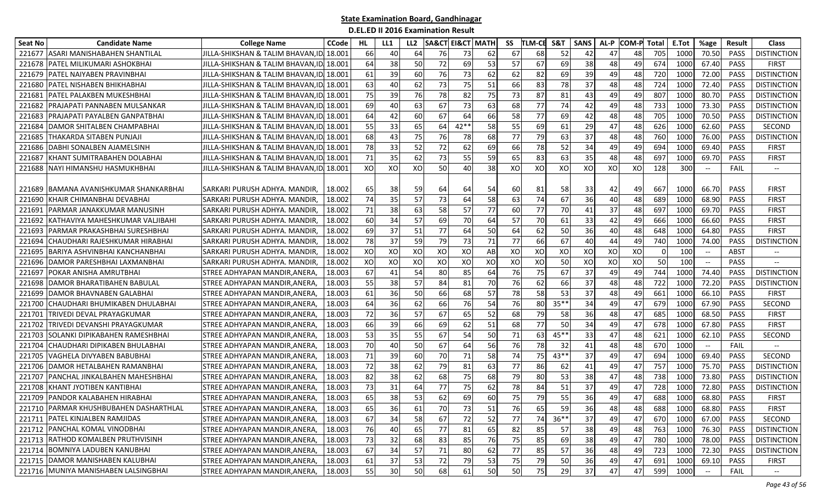| Seat No | <b>Candidate Name</b>                  | <b>College Name</b>                      | <b>CCode</b> | HL. | LL1 | LL <sub>2</sub> | <b>SA&amp;CT</b> | EI&CT MATH |    | SS | <b>TLM-CE</b> | <b>S&amp;1</b> | <b>SANS</b> | AL-P | <b>COM-P</b> Total |     | E.Tot           | %age                                             | <b>Result</b> | <b>Class</b>             |
|---------|----------------------------------------|------------------------------------------|--------------|-----|-----|-----------------|------------------|------------|----|----|---------------|----------------|-------------|------|--------------------|-----|-----------------|--------------------------------------------------|---------------|--------------------------|
| 221677  | IASARI MANISHABAHEN SHANTILAL          | JILLA-SHIKSHAN & TALIM BHAVAN,ID         | 18.001       | 66  | 40  | 64              | 76               | 73         | 62 | 67 | 68            | 52             | 42          | 47   | 48                 | 705 | 1000            | 70.50                                            | <b>PASS</b>   | <b>DISTINCTION</b>       |
| 221678  | PATEL MILIKUMARI ASHOKBHAI             | JILLA-SHIKSHAN & TALIM BHAVAN,ID         | 18.001       | 64  | 38  | 50              | 72               | 69         | 53 | 57 | 67            | 69             | 38          | 48   | 49                 | 674 | 1000            | 67.40                                            | PASS          | <b>FIRST</b>             |
| 221679  | <b>PATEL NAIYABEN PRAVINBHAI</b>       | JILLA-SHIKSHAN & TALIM BHAVAN,ID         | 18.001       | 61  | 39  | 60              | 76               | 73         | 62 | 62 | 82            | 69             | 39          | 49   | 48                 | 720 | 1000            | 72.00                                            | PASS          | <b>DISTINCTION</b>       |
| 221680  | PATEL NISHABEN BHIKHABHAI              | JILLA-SHIKSHAN & TALIM BHAVAN,ID         | 18.001       | 63  | 40  | 62              | 73               | 75         | 51 | 66 | 83            | 78             | 37          | 48   | 48                 | 724 | 1000            | 72.40                                            | <b>PASS</b>   | <b>DISTINCTION</b>       |
| 22168:  | <b>PATEL PALAKBEN MUKESHBHAI</b>       | JILLA-SHIKSHAN & TALIM BHAVAN.ID  18.001 |              | 75  | 39  | 76              | 78               | 82         | 75 | 73 | 87            | 81             | 43          | 49   | 49                 | 807 | 1000            | 80.70                                            | <b>PASS</b>   | <b>DISTINCTION</b>       |
| 221682  | PRAJAPATI PANNABEN MULSANKAR           | JILLA-SHIKSHAN & TALIM BHAVAN,ID         | 18.001       | 69  | 40  | 63              | 67               | 73         | 63 | 68 | 77            | 74             | 42          | 49   | 48                 | 733 | 1000            | 73.30                                            | <b>PASS</b>   | <b>DISTINCTION</b>       |
| 221683  | <b>PRAJAPATI PAYALBEN GANPATBHAI</b>   | JILLA-SHIKSHAN & TALIM BHAVAN,ID.        | 18.001       | 64  | 42  | 60              | 67               | 64         | 66 | 58 | 77            | 69             | 42          | 48   | 48                 | 705 | 1000            | 70.50                                            | <b>PASS</b>   | <b>DISTINCTION</b>       |
| 221684  | DAMOR SHITALBEN CHAMPABHAI             | JILLA-SHIKSHAN & TALIM BHAVAN,ID         | 18.001       | 55  | 33  | 65              | 64               | $42**$     | 58 | 55 | 69            | 61             | 29          | 47   | 48                 | 626 | 1000            | 62.60                                            | <b>PASS</b>   | SECOND                   |
| 221685  | THAKARDA SITABEN PUNJAJI               | JILLA-SHIKSHAN & TALIM BHAVAN,ID.        | 18.001 /     | 68  | 43  | 75              | 76               | 78         | 68 | 77 | 79            | 63             | 37          | 48   | 48                 | 760 | 1000            | 76.00                                            | <b>PASS</b>   | <b>DISTINCTION</b>       |
| 221686  | DABHI SONALBEN AJAMELSINH              | JILLA-SHIKSHAN & TALIM BHAVAN,ID         | 18.001       | 78  | 33  | 52              | 72               | 62         | 69 | 66 | 78            | 52             | 34          | 49   | 49                 | 694 | 1000            | 69.40                                            | PASS          | <b>FIRST</b>             |
| 22168   | KHANT SUMITRABAHEN DOLABHAI            | JILLA-SHIKSHAN & TALIM BHAVAN,ID         | 18.001       | 71  | 35  | 62              | 73               | 55         | 59 | 65 | 83            | 63             | 35          | 48   | 48                 | 697 | 1000            | 69.70                                            | PASS          | <b>FIRST</b>             |
| 221688  | NAYI HIMANSHU HASMUKHBHAI              | JILLA-SHIKSHAN & TALIM BHAVAN,ID         | 18.001       | XO  | XO  | XO              | 50               | 40         | 38 | XO | XO            | XO             | XO          | XO   | XO                 | 128 | 300             | $-\hbox{--}$                                     | FAIL          | $\overline{\phantom{a}}$ |
|         |                                        |                                          |              |     |     |                 |                  |            |    |    |               |                |             |      |                    |     |                 |                                                  |               |                          |
| 221689  | IBAMANA AVANISHKUMAR SHANKARBHAI       | ISARKARI PURUSH ADHYA. MANDIR,           | 18.002       | 65  | 38  | 59              | 64               | 64         | 54 | 60 | 81            | 58             | 33          | 42   | 49                 | 667 | 1000            | 66.70                                            | <b>PASS</b>   | <b>FIRST</b>             |
| 221690  | KHAIR CHIMANBHAI DEVABHAI              | SARKARI PURUSH ADHYA. MANDIR,            | 18.002       | 74  | 35  | 57              | 73               | 64         | 58 | 63 | 74            | 67             | 36          | 40   | 48                 | 689 | 1000            | 68.90                                            | PASS          | <b>FIRST</b>             |
| 22169:  | PARMAR JANAKKUMAR MANUSINH             | SARKARI PURUSH ADHYA. MANDIR,            | 18.002       | 71  | 38  | 63              | 58               | 57         | 77 | 60 | 77            | 70             | 41          | 37   | 48                 | 697 | 1000            | 69.70                                            | <b>PASS</b>   | <b>FIRST</b>             |
| 221692  | KATHAVIYA MAHESHKUMAR VALJIBAHI        | SARKARI PURUSH ADHYA. MANDIR,            | 18.002       | 60  | 34  | 57              | 69               | 70         | 64 | 57 | <b>70</b>     | 61             | 33          | 42   | 49                 | 666 | 1000            | 66.60                                            | PASS          | <b>FIRST</b>             |
| 22169   | PARMAR PRAKASHBHAI SURESHBHAI          | ISARKARI PURUSH ADHYA. MANDIR.           | 18.002       | 69  | 37  | 51              | 77               | 64         | 50 | 64 | 62            | 50             | 36          | 40   | 48                 | 648 | 1000            | 64.80                                            | PASS          | <b>FIRST</b>             |
| 221694  | CHAUDHARI RAJESHKUMAR HIRABHAI         | SARKARI PURUSH ADHYA. MANDIR,            | 18.002       | 78  | 37  | 59              | 79               | 73         | 71 | 77 | 66            | 67             | 40          | 44   | 49                 | 740 | 1000            | 74.00                                            | PASS          | <b>DISTINCTION</b>       |
| 221695  | BARIYA ASHVINBHAI KANCHANBHAI          | ISARKARI PURUSH ADHYA. MANDIR,           | 18.002       | XO  | XO  | XO              | XO               | XO         | AB | XO | XO            | XO             | XO          | XO   | XO                 | 0   | 10 <sub>C</sub> | $\hspace{0.1mm}-\hspace{-0.1mm}-\hspace{-0.1mm}$ | ABST          | $-\!$                    |
| 221696  | DAMOR PARESHBHAI LAXMANBHAI            | SARKARI PURUSH ADHYA. MANDIR,            | 18.002       | XO  | XO  | XO              | XO               | XO         | XO | XO | XO            | 50             | XO          | XO   | XO                 | 50  | 100             | $--$                                             | <b>PASS</b>   | $\overline{\phantom{a}}$ |
| 221697  | POKAR ANISHA AMRUTBHAI                 | STREE ADHYAPAN MANDIR, ANERA,            | 18.003       | 67  | 41  | 54              | 80               | 85         | 64 | 76 | 75            | 67             | 37          | 49   | 49                 | 744 | 1000            | 74.40                                            | <b>PASS</b>   | <b>DISTINCTION</b>       |
| 221698  | DAMOR BHARATIBAHEN BABULAL             | STREE ADHYAPAN MANDIR,ANERA,             | 18.003       | 55  | 38  | 57              | 84               | 81         | 70 | 76 | 62            | 66             | 37          | 48   | 48                 | 722 | 1000            | 72.20                                            | <b>PASS</b>   | <b>DISTINCTION</b>       |
| 221699  | DAMOR BHAVNABEN GALABHAI               | STREE ADHYAPAN MANDIR, ANERA,            | 18.003       | 61  | 36  | 50              | 66               | 68         | 57 | 78 | 58            | 53             | 37          | 48   | 49                 | 661 | 1000            | 66.10                                            | <b>PASS</b>   | <b>FIRST</b>             |
| 22170   | CHAUDHARI BHUMIKABEN DHULABHAI         | STREE ADHYAPAN MANDIR, ANERA,            | 18.003       | 64  | 36  | 62              | 66               | 76         | 54 | 76 | 80            | $35**$         | 34          | 49   | 47                 | 679 | 1000            | 67.90                                            | <b>PASS</b>   | <b>SECOND</b>            |
| 22170   | TRIVEDI DEVAL PRAYAGKUMAR              | STREE ADHYAPAN MANDIR, ANERA             | 18.003       | 72  | 36  | 57              | 67               | 65         | 52 | 68 | 79            | 58             | 36          | 48   | 47                 | 685 | 1000            | 68.50                                            | PASS          | <b>FIRST</b>             |
| 221702  | TRIVEDI DEVANSHI PRAYAGKUMAR           | STREE ADHYAPAN MANDIR, ANERA,            | 18.003       | 66  | 39  | 66              | 69               | 62         | 51 | 68 | 77            | 50             | 34          | 49   | 47                 | 678 | 1000            | 67.80                                            | PASS          | <b>FIRST</b>             |
| 221703  | SOLANKI DIPIKABAHEN RAMESHBHAI         | ISTREE ADHYAPAN MANDIR,ANERA,            | 18.003       | 53  | 35  | 55              | 67               | 54         | 50 | 71 | 63            | $45**$         | 33          | 47   | 48                 | 621 | 1000            | 62.10                                            | <b>PASS</b>   | <b>SECOND</b>            |
| 221704  | CHAUDHARI DIPIKABEN BHULABHAI          | STREE ADHYAPAN MANDIR, ANERA,            | 18.003       | 70  | 40  | 50              | 67               | 64         | 56 | 76 | 78            | 32             | 41          | 48   | 48                 | 670 | 1000            | $\hspace{0.1mm}-\hspace{0.1mm}-\hspace{0.1mm}$   | <b>FAIL</b>   |                          |
| 22170   | <b>VAGHELA DIVYABEN BABUBHAI</b>       | STREE ADHYAPAN MANDIR, ANERA             | 18.003       | 71  | 39  | 60              | 70               | 71         | 58 | 74 | 75            | 43**           | 37          | 49   | 47                 | 694 | 1000            | 69.40                                            | PASS          | SECOND                   |
| 221706  | DAMOR HETALBAHEN RAMANBHAI             | STREE ADHYAPAN MANDIR,ANERA,             | 18.003       | 72  | 38  | 62              | 79               | 81         | 63 | 77 | 86            | 62             | 41          | 49   | 47                 | 757 | 1000            | 75.70                                            | <b>PASS</b>   | <b>DISTINCTION</b>       |
| 221707  | PANCHAL JINKALBAHEN MAHESHBHAI         | STREE ADHYAPAN MANDIR, ANERA,            | 18.003       | 82  | 38  | 62              | 68               | 75         | 68 | 79 | 80            | 53             | 38          | 47   | 48                 | 738 | 1000            | 73.80                                            | <b>PASS</b>   | <b>DISTINCTION</b>       |
| 221708  | <b>KHANT JYOTIBEN KANTIBHAI</b>        | STREE ADHYAPAN MANDIR, ANERA,            | 18.003       | 73  | 31  | 64              | 77               | 75         | 62 | 78 | 84            | 51             | 37          | 49   | 47                 | 728 | 1000            | 72.80                                            | <b>PASS</b>   | <b>DISTINCTION</b>       |
|         | 221709 PANDOR KALABAHEN HIRABHAI       | STREE ADHYAPAN MANDIR.ANERA              | 18.003       | 65  | 38  | 53              | 62               | 69         | 60 | 75 | 79            | 55             | 36          | 49   | 47                 | 688 | 1000            | 68.80                                            | <b>PASS</b>   | <b>FIRST</b>             |
|         | 221710 PARMAR KHUSHBUBAHEN DASHARTHLAL | STREE ADHYAPAN MANDIR, ANERA,            | 18.003       | 65  | 36  | 61              | 70               | 73         | 51 | 76 | 65            | 59             | 36          | 48   | 48                 | 688 | 1000            | 68.80                                            | PASS          | <b>FIRST</b>             |
|         | 221711 PATEL KINJALBEN RAMJIDAS        | STREE ADHYAPAN MANDIR, ANERA,            | 18.003       | 67  | 34  | 58              | 67               | 72         | 52 | 77 | 74            | $36***$        | 37          | 49   | 47                 | 670 | 1000            | 67.00                                            | PASS          | SECOND                   |
|         | 221712 PANCHAL KOMAL VINODBHAI         | STREE ADHYAPAN MANDIR, ANERA,            | 18.003       | 76  | 40  | 65              | 77               | 81         | 65 | 82 | 85            | 57             | 38          | 49   | 48                 | 763 | 1000            | 76.30                                            | PASS          | <b>DISTINCTION</b>       |
|         | 221713 RATHOD KOMALBEN PRUTHVISINH     | STREE ADHYAPAN MANDIR, ANERA,            | 18.003       | 73  | 32  | 68              | 83               | 85         | 76 | 75 | 85            | 69             | 38          | 49   | 47                 | 780 | 1000            | 78.00                                            | PASS          | <b>DISTINCTION</b>       |
|         | 221714 BOMNIYA LADUBEN KANUBHAI        | STREE ADHYAPAN MANDIR, ANERA,            | 18.003       | 67  | 34  | 57              | 71               | 80         | 62 | 77 | 85            | 57             | 36          | 48   | 49                 | 723 | 1000            | 72.30                                            | PASS          | <b>DISTINCTION</b>       |
|         | 221715 DAMOR MANISHABEN KALUBHAI       | STREE ADHYAPAN MANDIR, ANERA,            | 18.003       | 61  | 37  | 53              | 72               | 79         | 53 | 75 | 79            | 50             | 36          | 49   | 47                 | 691 | 1000            | 69.10                                            | PASS          | <b>FIRST</b>             |
|         | 221716 MUNIYA MANISHABEN LALSINGBHAI   | STREE ADHYAPAN MANDIR, ANERA,            | 18.003       | 55  | 30  | 50              | 68               | 61         | 50 | 50 | 75            | 29             | 37          | 47   | 47                 | 599 | 1000            | $-\!$                                            | FAIL          | $ -$                     |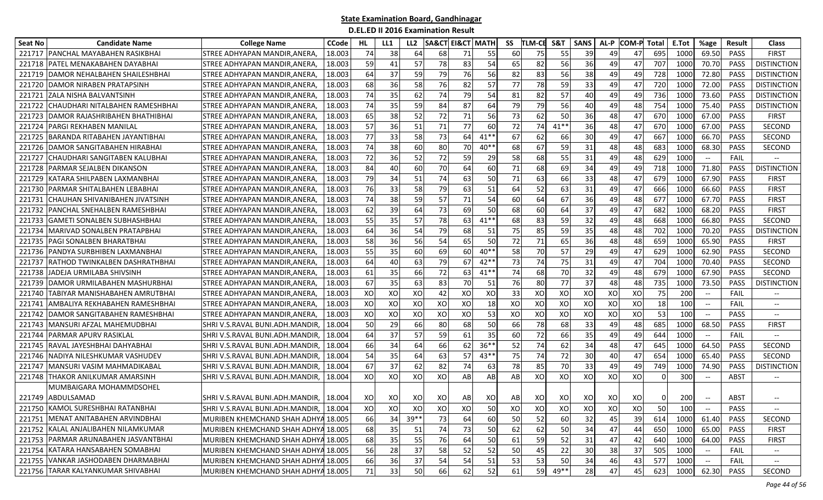| <b>Seat No</b> | <b>Candidate Name</b>                  | <b>College Name</b>                      | <b>CCode</b> | HL  | LL1 | LL <sub>2</sub> |    | <b>SA&amp;CT EI&amp;CT MATH</b> |        | SS | TLM-CE | S&T    | <b>SANS</b> | AL-P | <b>COM-P Total</b> |          | E.Tot | %age                                           | Result      | <b>Class</b>                  |
|----------------|----------------------------------------|------------------------------------------|--------------|-----|-----|-----------------|----|---------------------------------|--------|----|--------|--------|-------------|------|--------------------|----------|-------|------------------------------------------------|-------------|-------------------------------|
| 221717         | PANCHAL MAYABAHEN RASIKBHAI            | STREE ADHYAPAN MANDIR, ANERA             | 18.003       | 74  | 38  | 64              | 68 | 71                              | 55     | 60 | 75     | 55     | 39          | 49   | 47                 | 695      | 1000  | 69.50                                          | <b>PASS</b> | <b>FIRST</b>                  |
| 221718         | <b>PATEL MENAKABAHEN DAYABHAI</b>      | STREE ADHYAPAN MANDIR.ANERA              | 18.003       | 59  | 41  | 57              | 78 | 83                              | 54     | 65 | 82     | 56     | 36          | 49   | 47                 | 707      | 1000  | 70.70                                          | PASS        | <b>DISTINCTION</b>            |
| 221719         | DAMOR NEHALBAHEN SHAILESHBHAI          | STREE ADHYAPAN MANDIR, ANERA,            | 18.003       | 64  | 37  | 59              | 79 | 76                              | 56     | 82 | 83     | 56     | 38          | 49   | 49                 | 728      | 1000  | 72.80                                          | <b>PASS</b> | <b>DISTINCTION</b>            |
| 221720         | <b>DAMOR NIRABEN PRATAPSINH</b>        | STREE ADHYAPAN MANDIR,ANERA,             | 18.003       | 68  | 36  | 58              | 76 | 82                              | 57     | 77 | 78     | 59     | 33          | 49   | 47                 | 720      | 1000  | 72.00                                          | <b>PASS</b> | <b>DISTINCTION</b>            |
|                | 221721 ZALA NISHA BALVANTSINH          | STREE ADHYAPAN MANDIR, ANERA,            | 18.003       | 74  | 35  | 62              | 74 | 79                              | 54     | 81 | 82     | 57     | 40          | 49   | 49                 | 736      | 1000  | 73.60                                          | <b>PASS</b> | <b>DISTINCTION</b>            |
|                | 221722 CHAUDHARI NITALBAHEN RAMESHBHAI | STREE ADHYAPAN MANDIR, ANERA,            | 18.003       | 74  | 35  | 59              | 84 | 87                              | 64     | 79 | 79     | 56     | 40          | 49   | 48                 | 754      | 1000  | 75.40                                          | <b>PASS</b> | <b>DISTINCTION</b>            |
| 221723         | DAMOR RAJASHRIBAHEN BHATHIBHAI         | STREE ADHYAPAN MANDIR,ANERA,             | 18.003       | 65  | 38  | 52              | 72 | 71                              | 56     | 73 | 62     | 50     | 36          | 48   | 47                 | 670      | 1000  | 67.00                                          | PASS        | <b>FIRST</b>                  |
| 221724         | <b>PARGI REKHABEN MANILAL</b>          | STREE ADHYAPAN MANDIR,ANERA,             | 18.003       | 57  | 36  | 51              | 71 | 77                              | 60     | 72 | 74     | $41**$ | 36          | 48   | 47                 | 670      | 1000  | 67.00                                          | <b>PASS</b> | <b>SECOND</b>                 |
| 221725         | <b>BARANDA RITABAHEN JAYANTIBHAI</b>   | STREE ADHYAPAN MANDIR, ANERA,            | 18.003       | 77  | 33  | 58              | 73 | 64                              | $41**$ | 67 | 62     | 66     | 30          | 49   | 47                 | 667      | 1000  | 66.70                                          | <b>PASS</b> | SECOND                        |
| 221726         | DAMOR SANGITABAHEN HIRABHAI            | STREE ADHYAPAN MANDIR, ANERA,            | 18.003       | 74  | 38  | 60              | 80 | 70                              | $40**$ | 68 | 67     | 59     | 31          | 48   | 48                 | 683      | 1000  | 68.30                                          | PASS        | SECOND                        |
| 221727         | CHAUDHARI SANGITABEN KALUBHAI          | STREE ADHYAPAN MANDIR, ANERA,            | 18.003       | 72  | 36  | 52              | 72 | 59                              | 29     | 58 | 68     | 55     | 31          | 49   | 48                 | 629      | 1000  | $\hspace{0.05cm} \textbf{--}$                  | <b>FAIL</b> | $\overline{\phantom{a}}$      |
| 221728         | <b>PARMAR SEJALBEN DIKANSON</b>        | STREE ADHYAPAN MANDIR,ANERA,             | 18.003       | 84  | 40  | 60              | 70 | 64                              | 60     | 71 | 68     | 69     | 34          | 49   | 49                 | 718      | 1000  | 71.80                                          | <b>PASS</b> | <b>DISTINCTION</b>            |
| 221729         | KATARA SHILPABEN LAXMANBHAI            | STREE ADHYAPAN MANDIR, ANERA,            | 18.003       | 79  | 34  | 51              | 74 | 63                              | 50     | 71 | 63     | 66     | 33          | 48   | 47                 | 679      | 1000  | 67.90                                          | PASS        | <b>FIRST</b>                  |
| 221730         | PARMAR SHITALBAHEN LEBABHAI            | STREE ADHYAPAN MANDIR, ANERA             | 18.003       | 76  | 33  | 58              | 79 | 63                              | 51     | 64 | 52     | 63     | 31          | 49   | 47                 | 666      | 1000  | 66.60                                          | PASS        | <b>FIRST</b>                  |
| 221731         | CHAUHAN SHIVANIBAHEN JIVATSINH         | STREE ADHYAPAN MANDIR.ANERA.             | 18.003       | 74  | 38  | 59              | 57 | 71                              | 54     | 60 | 64     | 67     | 36          | 49   | 48                 | 677      | 1000  | 67.70                                          | PASS        | <b>FIRST</b>                  |
| 221732         | PANCHAL SNEHALBEN RAMESHBHAI           | STREE ADHYAPAN MANDIR.ANERA              | 18.003       | 62  | 39  | 64              | 73 | 69                              | 50     | 68 | 60     | 64     | 37          | 49   | 47                 | 682      | 1000  | 68.20                                          | PASS        | <b>FIRST</b>                  |
| 221733         | <b>GAMETI SONALBEN SUBHASHBHAI</b>     | STREE ADHYAPAN MANDIR, ANERA             | 18.003       | 55  | 35  | 57              | 78 | 63                              | $41**$ | 68 | 83     | 59     | 32          | 49   | 48                 | 668      | 1000  | 66.80                                          | PASS        | SECOND                        |
| 221734         | MARIVAD SONALBEN PRATAPBHAI            | STREE ADHYAPAN MANDIR, ANERA             | 18.003       | 64  | 36  | 54              | 79 | 68                              | 51     | 75 | 85     | 59     | 35          | 48   | 48                 | 702      | 1000  | 70.20                                          | PASS        | <b>DISTINCTION</b>            |
| 221735         | <b>PAGI SONALBEN BHARATBHAI</b>        | STREE ADHYAPAN MANDIR.ANERA              | 18.003       | 58  | 36  | 56              | 54 | 65                              | 50     | 72 | 71     | 65     | 36          | 48   | 48                 | 659      | 1000  | 65.90                                          | PASS        | <b>FIRST</b>                  |
|                | 221736 PANDYA SURBHIBEN LAXMANBHAI     | STREE ADHYAPAN MANDIR,ANERA,             | 18.003       | 55  | 35  | 60              | 69 | 60                              | $40**$ | 58 | 70     | 57     | 29          | 49   | 47                 | 629      | 1000  | 62.90                                          | <b>PASS</b> | SECOND                        |
| 221737         | <b>RATHOD TWINKALBEN DASHRATHBHAI</b>  | STREE ADHYAPAN MANDIR, ANERA,            | 18.003       | 64  | 40  | 63              | 79 | 67                              | $42**$ | 73 | 74     | 75     | 31          | 49   | 47                 | 704      | 1000  | 70.40                                          | PASS        | SECOND                        |
| 221738         | JADEJA URMILABA SHIVSINH               | STREE ADHYAPAN MANDIR, ANERA             | 18.003       | 61  | 35  | 66              | 72 | 63                              | $41**$ | 74 | 68     | 70     | 32          | 49   | 48                 | 679      | 1000  | 67.90                                          | PASS        | SECOND                        |
| 221739         | DAMOR URMILABAHEN MASHURBHAI           | STREE ADHYAPAN MANDIR,ANERA,             | 18.003       | 67  | 35  | 63              | 83 | 70                              | 51     | 76 | 80     | 77     | 37          | 48   | 48                 | 735      | 1000  | 73.50                                          | <b>PASS</b> | <b>DISTINCTION</b>            |
| 221740         | TABIYAR MANISHABAHEN AMRUTBHAI         | STREE ADHYAPAN MANDIR,ANERA,             | 18.003       | XO  | XO  | XO              | 42 | XO                              | XO     | 33 | XO     | XO     | XO          | XO   | XO                 | 75       | 200   | $\hspace{0.05cm} \textbf{--}$                  | FAIL        | $\hspace{0.05cm} \textbf{--}$ |
| 221741         | AMBALIYA REKHABAHEN RAMESHBHAI         | STREE ADHYAPAN MANDIR, ANERA,            | 18.003       | XO  | XO  | XO              | XO | XO                              | 18     | XO | XO     | XO     | XO          | XO   | XO                 | 18       | 100   | $\overline{\phantom{a}}$                       | FAIL        | $\overline{\phantom{a}}$      |
| 221742         | DAMOR SANGITABAHEN RAMESHBHAI          | STREE ADHYAPAN MANDIR, ANERA,            | 18.003       | XO  | XO  | XO              | XO | XO                              | 53     | XO | XO     | XO     | XO          | XO   | XO                 | 53       | 100   |                                                | PASS        | $\overline{\phantom{a}}$      |
|                | 221743 MANSURI AFZAL MAHEMUDBHAI       | SHRI V.S.RAVAL BUNI.ADH.MANDIR,          | 18.004       | 50  | 29  | 66              | 80 | 68                              | 50     | 66 | 78     | 68     | 33          | 49   | 48                 | 685      | 1000  | 68.50                                          | <b>PASS</b> | <b>FIRST</b>                  |
| 221744         | IPARMAR APURV RASIKLAL                 | SHRI V.S.RAVAL BUNI.ADH.MANDIR,          | 18.004       | 64  | 37  | 57              | 59 | 61                              | 35     | 60 | 72     | 66     | 35          | 49   | 49                 | 644      | 1000  | $\hspace{0.05cm} \textbf{--}$                  | <b>FAIL</b> | $\hspace{0.05cm} \ldots$      |
| 221745         | RAVAL JAYESHBHAI DAHYABHAI             | SHRI V.S.RAVAL BUNI.ADH.MANDIR,          | 18.004       | 66  | 34  | 64              | 66 | 62                              | $36**$ | 52 | 74     | 62     | 34          | 48   | 47                 | 645      | 1000  | 64.50                                          | PASS        | SECOND                        |
| 221746         | NADIYA NILESHKUMAR VASHUDEV            | SHRI V.S.RAVAL BUNI.ADH.MANDIR,          | 18.004       | 54  | 35  | 64              | 63 | 57                              | $43**$ | 75 | 74     | 72     | 30          | 40   | 47                 | 654      | 1000  | 65.40                                          | PASS        | SECOND                        |
| 221747         | MANSURI VASIM MAHMADIKABAL             | SHRI V.S.RAVAL BUNI.ADH.MANDIR.          | 18.004       | 67  | 37  | 62              | 82 | 74                              | 63     | 78 | 85     | 70     | 33          | 49   | 49                 | 749      | 1000  | 74.90                                          | <b>PASS</b> | <b>DISTINCTION</b>            |
| 221748         | THAKOR ANILKUMAR AMARSINH              | SHRI V.S.RAVAL BUNI.ADH.MANDIR,          | 18.004       | XO  | хo  | XO              | XO | AB                              | AB     | AB | XO     | XO     | XO          | XO   | XO                 | $\Omega$ | 300   | $\hspace{0.05cm} \textbf{--}$                  | ABST        | $\hspace{0.05cm} \textbf{--}$ |
|                | MUMBAIGARA MOHAMMDSOHEL                |                                          |              |     |     |                 |    |                                 |        |    |        |        |             |      |                    |          |       |                                                |             |                               |
|                | 221749 ABDULSAMAD                      | SHRI V.S.RAVAL BUNI.ADH.MANDIR, 18.004   |              | xol | XO  | xol             | XO | AB                              | XO     | AB | XO     | XO     | xol         | XO   | xol                | $\Omega$ | 200   |                                                | ABST        |                               |
|                | 221750 KAMOL SURESHBHAI RATANBHAI      | SHRI V.S.RAVAL BUNI.ADH.MANDIR,   18.004 |              | XOI | XO  | xol             | XO | XO                              | 50     | XO | XO     | xo     | XO          | XO   | XO                 | 50       | 100   | $\hspace{0.1mm}-\hspace{0.1mm}-\hspace{0.1mm}$ | PASS        | $\overline{\phantom{a}}$      |
|                | 221751 MENAT ANITABAHEN ARVINDBHAI     | MURIBEN KHEMCHAND SHAH ADHYA 18.005      |              | 66  | 34  | $39**$          | 73 | 64                              | 60     | 50 | 52     | 60     | 32          | 45   | 39                 | 614      | 1000  | 61.40                                          | PASS        | SECOND                        |
|                | 221752 KALAL ANJALIBAHEN NILAMKUMAR    | MURIBEN KHEMCHAND SHAH ADHYA 18.005      |              | 68  | 35  | 51              | 74 | 73                              | 50     | 62 | 62     | 50     | 34          | 47   | 44                 | 650      | 1000  | 65.00                                          | PASS        | <b>FIRST</b>                  |
|                | 221753 PARMAR ARUNABAHEN JASVANTBHAI   | MURIBEN KHEMCHAND SHAH ADHYA 18.005      |              | 68  | 35  | 55              | 76 | 64                              | 50     | 61 | 59     | 52     | 31          | 47   | 42                 | 640      | 1000  | 64.00                                          | PASS        | <b>FIRST</b>                  |
|                | 221754 KATARA HANSABAHEN SOMABHAI      | MURIBEN KHEMCHAND SHAH ADHYA 18.005      |              | 56  | 28  | 37              | 58 | 52                              | 52     | 50 | 45     | 22     | 30          | 38   | 37                 | 505      | 1000  | $\hspace{0.05cm} \textbf{--}$                  | FAIL        | $- -$                         |
|                | 221755 VANKAR JASHODABEN DHARMABHAI    | MURIBEN KHEMCHAND SHAH ADHYA 18.005      |              | 66  | 36  | 37              | 54 | 54                              | 51     | 53 | 53     | 50     | 34          | 46   | 43                 | 577      | 1000  | $\hspace{0.05cm} \textbf{--}$                  | FAIL        | $- -$                         |
|                | 221756 TARAR KALYANKUMAR SHIVABHAI     | MURIBEN KHEMCHAND SHAH ADHYA 18.005      |              | 71  | 33  | 50              | 66 | 62                              | 52     | 61 | 59     | 49**   | 28          | 47   | 45                 | 623      | 1000  | 62.30                                          | PASS        | SECOND                        |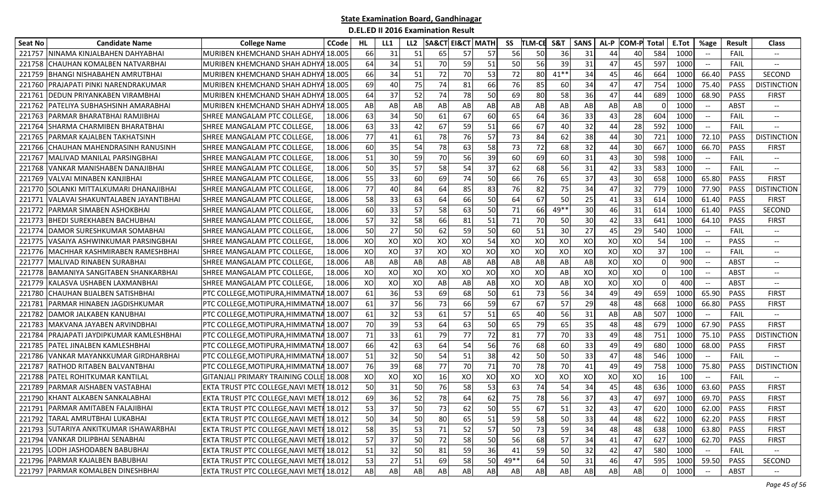| Seat No | <b>Candidate Name</b>                  | <b>College Name</b>                      | <b>CCode</b> | HL | LL1 | LL <sub>2</sub> | <b>SA&amp;CT EI&amp;CT MATH</b> |    |    | SS   | <b>TLM-CE</b> | S&T    | <b>SANS</b> | AL-P | <b>COM-P</b> | Total    | E.Tot           | %age                                                | <b>Result</b> | <b>Class</b>                      |
|---------|----------------------------------------|------------------------------------------|--------------|----|-----|-----------------|---------------------------------|----|----|------|---------------|--------|-------------|------|--------------|----------|-----------------|-----------------------------------------------------|---------------|-----------------------------------|
| 221757  | NINAMA KINJALBAHEN DAHYABHAI           | MURIBEN KHEMCHAND SHAH ADHYA             | 18.00!       | 66 | 31  | 51              | 65                              | 57 | 57 | 56   | 50            | 36     | 31          | 44   | 40           | 584      | 1000            | $\overline{\phantom{m}}$                            | FAIL          |                                   |
| 221758  | CHAUHAN KOMALBEN NATVARBHAI            | MURIBEN KHEMCHAND SHAH ADHYA 18.005      |              | 64 | 34  | 51              | 70                              | 59 | 51 | 50   | 56            | 39     | 31          | 47   | 45           | 597      | 1000            | $- -$                                               | <b>FAIL</b>   | $\hspace{0.05cm} \dashrightarrow$ |
| 221759  | <b>BHANGI NISHABAHEN AMRUTBHAI</b>     | MURIBEN KHEMCHAND SHAH ADHYA             | 18.005       | 66 | 34  | 51              | 72                              | 70 | 53 | 72   | 80            | $41**$ | 34          | 45   | 46           | 664      | 1000            | 66.40                                               | PASS          | <b>SECOND</b>                     |
| 221760  | PRAJAPATI PINKI NARENDRAKUMAR          | MURIBEN KHEMCHAND SHAH ADHYA             | 18.005       | 69 | 40  | 75              | 74                              | 81 | 66 | 76   | 85            | 60     | 34          | 47   | 47           | 754      | 1000            | 75.40                                               | <b>PASS</b>   | <b>DISTINCTION</b>                |
| 221761  | DEDUN PRIYANKABEN VIRAMBHAI            | MURIBEN KHEMCHAND SHAH ADHYA 18.005      |              | 64 | 37  | 52              | 74                              | 78 | 50 | 69   | 80            | 58     | 36          | 471  | 44           | 689      | 1000            | 68.90                                               | <b>PASS</b>   | <b>FIRST</b>                      |
| 221762  | PATELIYA SUBHASHSINH AMARABHAI         | MURIBEN KHEMCHAND SHAH ADHYA 18.005      |              | AB | AB  | AB              | AB                              | AB | AB | AB   | AB            | AB     | AB          | AB   | AB           | $\Omega$ | 1000            | $\hspace{0.05cm} -\hspace{0.05cm} -\hspace{0.05cm}$ | ABST          | $\hspace{0.05cm} \dashrightarrow$ |
| 221763  | JPARMAR BHARATBHAI RAMJIBHAI           | SHREE MANGALAM PTC COLLEGE,              | 18.006       | 63 | 34  | 50              | 61                              | 67 | 60 | 65   | 64            | 36     | 33          | 43   | 28           | 604      | 1000            | $\hspace{0.05cm} -\hspace{0.05cm} -\hspace{0.05cm}$ | FAIL          | $\hspace{0.05cm} \ldots$          |
| 221764  | SHARMA CHARMIBEN BHARATBHAI            | <b>SHREE MANGALAM PTC COLLEGE</b>        | 18.006       | 63 | 33  | 42              | 67                              | 59 | 51 | 66   | 67            | 40     | 32          | 44   | 28           | 592      | 1000            | $-\!$ $\!-$                                         | FAIL          |                                   |
| 221765  | PARMAR KAJALBEN TAKHATSINH             | ISHREE MANGALAM PTC COLLEGE.             | 18.006       | 77 | 41  | 61              | 78                              | 76 | 57 | 73   | 84            | 62     | 38          | 44   | 30           | 721      | 1000            | 72.10                                               | <b>PASS</b>   | <b>DISTINCTION</b>                |
| 221766  | CHAUHAN MAHENDRASINH RANUSINH          | <b>SHREE MANGALAM PTC COLLEGE</b>        | 18.006       | 60 | 35  | 54              | 78                              | 63 | 58 | 73   | 72            | 68     | 32          | 44   | 30           | 667      | 1000            | 66.70                                               | <b>PASS</b>   | <b>FIRST</b>                      |
| 221767  | <b>MALIVAD MANILAL PARSINGBHAI</b>     | <b>SHREE MANGALAM PTC COLLEGE</b>        | 18.006       | 51 | 30  | 59              | 70                              | 56 | 39 | 60   | 69            | 60     | 31          | 43   | 30           | 598      | 1000            | $\overline{\phantom{a}}$                            | <b>FAIL</b>   | $-\hbox{--}$                      |
| 221768  | VANKAR MANISHABEN DANAJIBHAI           | <b>SHREE MANGALAM PTC COLLEGE</b>        | 18.006       | 50 | 35  | 57              | 58                              | 54 | 37 | 62   | 68            | 56     | 31          | 42   | 33           | 583      | 1000            | $\hspace{0.05cm} -\hspace{0.05cm} -\hspace{0.05cm}$ | <b>FAIL</b>   | $\overline{\phantom{a}}$          |
| 221769  | VALVAI MINABEN KANJIBHAI               | ISHREE MANGALAM PTC COLLEGE.             | 18.006       | 55 | 33  | 60              | 69                              | 74 | 50 | 66   | 76            | 65     | 37          | 43   | 30           | 658      | 1000            | 65.80                                               | <b>PASS</b>   | <b>FIRST</b>                      |
| 221770  | SOLANKI MITTALKUMARI DHANAJIBHAI       | ISHREE MANGALAM PTC COLLEGE.             | 18.006       | 77 | 40  | 84              | 64                              | 85 | 83 | 76   | 82            | 75     | 34          | 47   | 32           | 779      | 1000            | 77.90                                               | <b>PASS</b>   | <b>DISTINCTION</b>                |
| 22177   | VALAVAI SHAKUNTALABEN JAYANTIBHAI      | <b>SHREE MANGALAM PTC COLLEGE</b>        | 18.006       | 58 | 33  | 63              | 64                              | 66 | 50 | 64   | 67            | 50     | 25          | 41   | 33           | 614      | 1000            | 61.40                                               | PASS          | <b>FIRST</b>                      |
| 221772  | PARMAR SIMABEN ASHOKBHAI               | SHREE MANGALAM PTC COLLEGE,              | 18.006       | 60 | 33  | 57              | 58                              | 63 | 50 | 71   | 66            | $49**$ | 30          | 46   | 31           | 614      | 1000            | 61.40                                               | PASS          | <b>SECOND</b>                     |
| 221773  | BHEDI SUREKHABEN BACHUBHAI             | SHREE MANGALAM PTC COLLEGE               | 18.006       | 57 | 32  | 58              | 66                              | 81 | 51 | 71   | <b>70</b>     | 50     | 30          | 42   | 33           | 641      | 1000            | 64.10                                               | PASS          | <b>FIRST</b>                      |
| 221774  | DAMOR SURESHKUMAR SOMABHAI             | <b>I</b> SHREE MANGALAM PTC COLLEGE      | 18.006       | 50 | 27  | 50              | 62                              | 59 | 50 | 60   | 51            | 30     | 27          | 45   | 29           | 540      | 1000            | $\overline{\phantom{a}}$                            | FAIL          | $\hspace{0.05cm} \ldots$          |
| 221775  | VASAIYA ASHWINKUMAR PARSINGBHAI        | <b>I</b> SHREE MANGALAM PTC COLLEGE      | 18.006       | XO | XO  | XO              | XO                              | XO | 54 | XO   | XO            | XO     | XO          | XO   | XO           | 54       | 100             | $\overline{\phantom{a}}$                            | PASS          | $\overline{\phantom{m}}$          |
| 221776  | MACHHAR KASHMIRABEN RAMESHBHAI         | ISHREE MANGALAM PTC COLLEGE.             | 18.006       | XO | XO  | 37              | XO                              | XO | XO | XO   | XO            | XO     | XO          | XO   | XO           | 37       | 10 <sup>C</sup> | $\hspace{0.05cm} -\hspace{0.05cm} -\hspace{0.05cm}$ | FAIL          | $- -$                             |
| 221777  | MALIVAD RINABEN SURABHAI               | ISHREE MANGALAM PTC COLLEGE.             | 18.006       | AB | AB  | AB              | AB                              | AB | AB | AB   | AB            | AB     | AB          | XO   | XO           | $\Omega$ | 90C             | $-\hbox{--}$                                        | ABST          | $- -$                             |
| 221778  | <b>BAMANIYA SANGITABEN SHANKARBHAI</b> | ISHREE MANGALAM PTC COLLEGE.             | 18.006       | XO | XO  | XO              | XO                              | XO | XO | XO   | XO            | AB     | XO          | XO   | XO           | $\Omega$ | 100             | $\overline{\phantom{a}}$                            | ABST          | $\hspace{0.05cm} \ldots$          |
| 221779  | KALASVA USHABEN LAXMANBHAI             | SHREE MANGALAM PTC COLLEGE               | 18.006       | XO | XO  | XO              | AB                              | AB | AB | XO   | XO            | AB     | XO          | XO   | XO           | $\Omega$ | 400             |                                                     | <b>ABST</b>   | $\overline{\phantom{a}}$          |
| 221780  | CHAUHAN BIJALBEN SATISHBHAI            | PTC COLLEGE, MOTIPURA, HIMMATNA 18.007   |              | 61 | 36  | 53              | 69                              | 68 | 50 | 61   | 73            | 56     | 34          | 49   | 49           | 659      | 1000            | 65.90                                               | <b>PASS</b>   | <b>FIRST</b>                      |
| 221781  | PARMAR HINABEN JAGDISHKUMAR            | PTC COLLEGE, MOTIPURA, HIMMATNA 18.007   |              | 61 | 37  | 56              | 73                              | 66 | 59 | 67   | 67            | 57     | 29          | 48   | 48           | 668      | 1000            | 66.80                                               | <b>PASS</b>   | <b>FIRST</b>                      |
| 221782  | DAMOR JALKABEN KANUBHAI                | PTC COLLEGE, MOTIPURA, HIMMATNA          | 18.007       | 61 | 32  | 53              | 61                              | 57 | 51 | 65   | 40            | 56     | 31          | AB   | AB           | 507      | 1000            | $\overline{\phantom{m}}$                            | <b>FAIL</b>   | $\overline{\phantom{a}}$          |
| 221783  | MAKVANA JAYABEN ARVINDBHAI             | PTC COLLEGE, MOTIPURA, HIMMATNA 18.007   |              | 70 | 39  | 53              | 64                              | 63 | 50 | 65   | 79            | 65     | 35          | 48   | 48           | 679      | 1000            | 67.90                                               | PASS          | <b>FIRST</b>                      |
| 221784  | PRAJAPATI JAYDIPKUMAR KAMLESHBHAI      | PTC COLLEGE,MOTIPURA,HIMMATNA 18.007     |              | 71 | 33  | 61              | 79                              | 77 | 72 | 81   | 77            | 70     | 33          | 49   | 48           | 751      | 1000            | 75.10                                               | <b>PASS</b>   | <b>DISTINCTION</b>                |
| 221785  | PATEL JINALBEN KAMLESHBHAI             | PTC COLLEGE, MOTIPURA, HIMMATNA 18.007   |              | 66 | 42  | 63              | 64                              | 54 | 56 | 76   | 68            | 60     | 33          | 49   | 49           | 680      | 1000            | 68.00                                               | PASS          | <b>FIRST</b>                      |
| 221786  | VANKAR MAYANKKUMAR GIRDHARBHAI         | PTC COLLEGE, MOTIPURA, HIMMATNA 18.007   |              | 51 | 32  | 50              | 54                              | 51 | 38 | 42   | 50            | 50     | 33          | 47   | 48           | 546      | 1000            | $-\hbox{--}$                                        | <b>FAIL</b>   |                                   |
| 221787  | RATHOD RITABEN BALVANTBHAI             | PTC COLLEGE, MOTIPURA, HIMMATNA 18.007   |              | 76 | 39  | 68              | 77                              | 70 | 71 | 70   | 78            | 70     | 41          | 49   | 49           | 758      | 1000            | 75.80                                               | <b>PASS</b>   | <b>DISTINCTION</b>                |
| 221788  | PATEL ROHITKUMAR KANTILAL              | GITANJALI PRIMARY TRAINING COLLE 18.008  |              | XO | XO  | XO              | 16                              | XO | XO | XO   | XO            | XO     | XO          | XO   | XO           | 16       | 100             | $-\!$ $\!-$                                         | FAIL          |                                   |
| 221789  | PARMAR AISHABEN VASTABHAI              | EKTA TRUST PTC COLLEGE, NAVI MET         | 18.012       | 50 | 31  | 50              | 76                              | 58 | 53 | 63   | 74            | 54     | 34          | 45   | 48           | 636      | 1000            | 63.60                                               | PASS          | <b>FIRST</b>                      |
|         | 221790 KHANT ALKABEN SANKALABHAI       | EKTA TRUST PTC COLLEGE, NAVI METI 18.012 |              | 69 | 36  | 52              | 78                              | 64 | 62 | 75   | 78            | 56     | 37          | 43   | 47           | 697      | 1000            | 69.70                                               | PASS          | <b>FIRST</b>                      |
|         | 221791 PARMAR AMITABEN FALAJIBHAI      | EKTA TRUST PTC COLLEGE, NAVI METI 18.012 |              | 53 | 37  | 50              | 73                              | 62 | 50 | 55   | 67            | 51     | 32          | 43   | 47           | 620      | 1000            | 62.00                                               | PASS          | <b>FIRST</b>                      |
|         | 221792 TARAL AMRUTBHAI LUKABHAI        | EKTA TRUST PTC COLLEGE, NAVI METI 18.012 |              | 50 | 34  | 50              | 80                              | 65 | 51 | 59   | 58            | 50     | 33          | 44   | 48           | 622      | 1000            | 62.20                                               | PASS          | <b>FIRST</b>                      |
|         | 221793 SUTARIYA ANKITKUMAR ISHAWARBHAI | EKTA TRUST PTC COLLEGE, NAVI METI 18.012 |              | 58 | 35  | 53              | 71                              | 52 | 57 | 50   | 73            | 59     | 34          | 48   | 48           | 638      | 1000            | 63.80                                               | PASS          | <b>FIRST</b>                      |
|         | 221794 VANKAR DILIPBHAI SENABHAI       | EKTA TRUST PTC COLLEGE, NAVI METI 18.012 |              | 57 | 37  | 50              | 72                              | 58 | 50 | 56   | 68            | 57     | 34          | 41   | 47           | 627      | 1000            | 62.70                                               | PASS          | <b>FIRST</b>                      |
|         | 221795 LODH JASHODABEN BABUBHAI        | EKTA TRUST PTC COLLEGE, NAVI METI 18.012 |              | 51 | 32  | 50              | 81                              | 59 | 36 | 41   | 59            | 50     | 32          | 42   | 47           | 580      | 1000            |                                                     | FAIL          |                                   |
|         | 221796 PARMAR KAJALBEN BABUBHAI        | EKTA TRUST PTC COLLEGE, NAVI METI 18.012 |              | 53 | 27  | 51              | 69                              | 58 | 50 | 49** | 64            | 50     | 31          | 46   | 47           | 595      | 1000            | 59.50                                               | PASS          | SECOND                            |
|         | 221797 PARMAR KOMALBEN DINESHBHAI      | EKTA TRUST PTC COLLEGE, NAVI METI 18.012 |              | AB | AB  | AB              | AB                              | AB | AB | AB   | AB            | AB     | AB          | AB   | AB           |          | 1000            | $- -$                                               | ABST          | $- -$                             |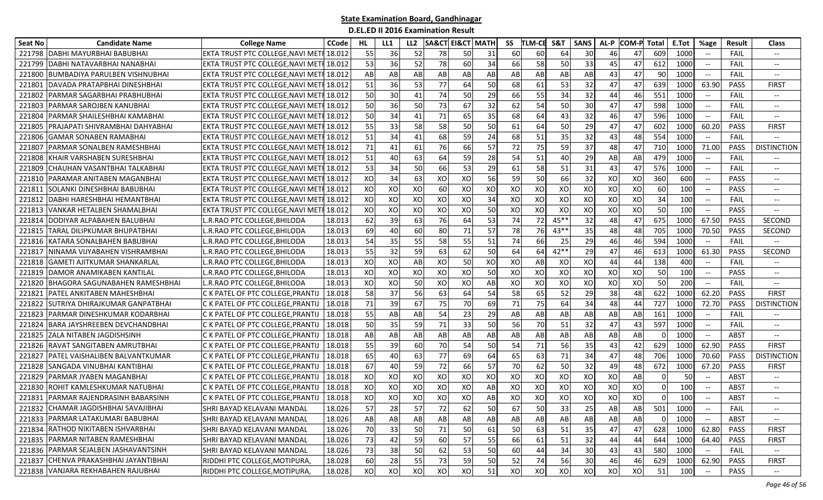| <b>Seat No</b> | <b>Candidate Name</b>                | <b>College Name</b>               | <b>CCode</b> | HL | LL1 | LL <sub>2</sub>        | <b>SA&amp;CT</b> | <b>EI&amp;CT MATH</b> |    | SS | <b>TLM-CE</b> | S&T    | <b>SANS</b> | AL-P | COM-P Total |          | E.Tot | %age                          | <b>Result</b> | <b>Class</b>                      |
|----------------|--------------------------------------|-----------------------------------|--------------|----|-----|------------------------|------------------|-----------------------|----|----|---------------|--------|-------------|------|-------------|----------|-------|-------------------------------|---------------|-----------------------------------|
| 221798         | DABHI MAYURBHAI BABUBHAI             | EKTA TRUST PTC COLLEGE, NAVI MET  | 18.012       | 55 | 36  | 52                     | 78               | 50                    | 31 | 60 | 60            | 64     | 30          | 46   | 47          | 609      | 1000  |                               | FAIL          | $\overline{\phantom{a}}$          |
| 221799         | DABHI NATAVARBHAI NANABHAI           | EKTA TRUST PTC COLLEGE, NAVI MET  | 18.012       | 53 | 36  | 52                     | 78               | 60                    | 34 | 66 | 58            | 50     | 33          | 45   | 47          | 612      | 1000  | $-\!$                         | FAIL          | $- -$                             |
| 22180          | BUMBADIYA PARULBEN VISHNUBHAI        | EKTA TRUST PTC COLLEGE, NAVI MET  | 18.012       | AB | AB  | AB                     | AB               | AB                    | AB | AB | AB            | AB     | AB          | 43   | 47          | 90       | 1000  | $\overline{\phantom{a}}$      | FAIL          | $-\!$                             |
| 22180          | DAVADA PRATAPBHAI DINESHBHAI         | EKTA TRUST PTC COLLEGE, NAVI MET  | 18.012       | 51 | 36  | 53                     | 77               | 64                    | 50 | 68 | 61            | 53     | 32          | 47   | 47          | 639      | 1000  | 63.90                         | PASS          | <b>FIRST</b>                      |
| 221802         | PARMAR SAGARBHAI PRABHUBHAI          | EKTA TRUST PTC COLLEGE, NAVI METI | 18.012       | 50 | 30  | 41                     | 74               | 50                    | 29 | 66 | 55            | 34     | 32          | 44   | 46          | 551      | 1000  |                               | FAIL          | $- -$                             |
| 22180          | PARMAR SAROJBEN KANUBHAI             | EKTA TRUST PTC COLLEGE, NAVI METI | 18.012       | 50 | 36  | 50                     | 73               | 67                    | 32 | 62 | 54            | 50     | 30          | 47   | 47          | 598      | 1000  | $-\!$                         | FAIL          | $\hspace{0.05cm} \dashrightarrow$ |
| 22180          | PARMAR SHAILESHBHAI KAMABHAI         | EKTA TRUST PTC COLLEGE, NAVI METI | 18.012       | 50 | 34  | 41                     | 71               | 65                    | 35 | 68 | 64            | 43     | 32          | 46   | 47          | 596      | 1000  | $-\!$                         | FAIL          | $\hspace{0.05cm} \ldots$          |
| 22180          | PRAJAPATI SHIVRAMBHAI DAHYABHAI      | EKTA TRUST PTC COLLEGE, NAVI MET  | 18.012       | 55 | 33  | 58                     | 58               | 50                    | 50 | 61 | 64            | 50     | 29          | 47   | 47          | 602      | 1000  | 60.20                         | PASS          | <b>FIRST</b>                      |
| 22180(         | GAMAR SONABEN RAMABHAI               | EKTA TRUST PTC COLLEGE, NAVI METI | 18.012       | 51 | 34  | 41                     | 68               | 59                    | 24 | 68 | 51            | 35     | 32          | 43   | 48          | 554      | 1000  | $-\!$                         | FAIL          | $-\!$                             |
| 22180          | PARMAR SONALBEN RAMESHBHAI           | EKTA TRUST PTC COLLEGE, NAVI MET  | 18.012       | 71 | 41  | 61                     | 76               | 66                    | 57 | 72 | 75            | 59     | 37          | 48   | 47          | 710      | 1000  | 71.00                         | <b>PASS</b>   | <b>DISTINCTION</b>                |
| 22180          | (HAIR VARSHABEN SURESHBHAI           | EKTA TRUST PTC COLLEGE, NAVI MET  | 18.012       | 51 | 40  | 63                     | 64               | 59                    | 28 | 54 | 51            | 40     | 29          | AB   | AB          | 479      | 1000  | $\hspace{0.05cm} \ldots$      | FAIL          | $\overline{\phantom{a}}$          |
| 221809         | CHAUHAN VASANTBHAI TALKABHAI         | EKTA TRUST PTC COLLEGE, NAVI MET  | 18.012       | 53 | 34  | 50                     | 66               | 53                    | 29 | 61 | 58            | 51     | 31          | 43   | 47          | 576      | 1000  |                               | FAIL          | $-\!$                             |
| 221810         | PARAMAR ANITABEN MAGANBHAI           | EKTA TRUST PTC COLLEGE, NAVI METI | 18.012       | XO | 34  | 63                     | XO               | XO                    | 56 | 59 | 50            | 66     | 32          | XO   | XO          | 360      | 600   | $\overline{\phantom{a}}$      | <b>PASS</b>   | $\overline{\phantom{a}}$          |
| 22181          | SOLANKI DINESHBHAI BABUBHAI          | EKTA TRUST PTC COLLEGE, NAVI MET  | 18.012       | XO | XO  | XO                     | 60               | XO                    | XO | XO | XO            | XO     | XO          | XO   | XO          | 60       | 100   |                               | <b>PASS</b>   | $\overline{\phantom{a}}$          |
| 22181          | DABHI HARESHBHAI HEMANTBHAI          | EKTA TRUST PTC COLLEGE, NAVI MET  | 18.012       | XO | XO  | XO                     | XO               | XO                    | 34 | XO | XO            | XO     | XO          | XO   | XO          | 34       | 100   |                               | FAIL          | $\hspace{0.05cm} \ldots$          |
| 221813         | VANKAR HETALBEN SHAMALBHAI           | EKTA TRUST PTC COLLEGE,NAVI MET   | 18.012       | XO | XO  | XO                     | XO               | XO                    | 50 | XO | XO            | XO     | XO          | XO   | XO          | 50       | 100   |                               | <b>PASS</b>   |                                   |
| 22181          | DODIYAR ALPABAHEN BALUBHAI           | R.RAO PTC COLLEGE,BHILODA         | 18.013       | 62 | 39  | 63                     | 76               | 64                    | 53 | 74 | 72            | $45**$ | 32          | 48   | 47          | 675      | 1000  | 67.50                         | <b>PASS</b>   | <b>SECOND</b>                     |
| 22181          | <b>TARAL DILIPKUMAR BHUPATBHAI</b>   | R.RAO PTC COLLEGE.BHILODA         | 18.013       | 69 | 40  | 60                     | 80               | 71                    | 57 | 78 | 76            | $43*$  | 35          | 48   | 48          | 705      | 1000  | 70.50                         | PASS          | SECOND                            |
| 221816         | KATARA SONALBAHEN BABUBHAI           | R.RAO PTC COLLEGE,BHILODA         | 18.013       | 54 | 35  | 55                     | 58               | 55                    | 51 | 74 | 66 l          | 25     | 29          | 46   | 46          | 594      | 1000  | $-\!$                         | FAIL          |                                   |
| 22181          | NINAMA VIJYABAHEN VISHRAMBHAI        | .R.RAO PTC COLLEGE.BHILODA        | 18.013       | 55 | 32  | 59                     | 63               | 62                    | 50 | 64 | 64            | $42**$ | 29          | 47   | 46          | 613      | 1000  | 61.30                         | PASS          | SECOND                            |
| 221818         | GAMETI AJITKUMAR SHANKARLAL          | R.RAO PTC COLLEGE.BHILODA         | 18.013       | XO | XO  | AB                     | XO               | 50                    | XO | XO | AB            | XO     | XO          | 44   | 44          | 138      | 400   |                               | FAIL          | $--$                              |
| 221819         | DAMOR ANAMIKABEN KANTILAL            | R.RAO PTC COLLEGE,BHILODA         | 18.013       | XO | XO  | XO                     | XO               | XO                    | 50 | XO | XO            | XO     | XO          | XO   | XO          | 50       | 100   |                               | <b>PASS</b>   | $--$                              |
| 221820         | 3HAGORA SAGUNABAHEN RAMESHBHAI       | R.RAO PTC COLLEGE,BHILODA         | 18.013       | XO | XO  | 50                     | XO               | XO                    | AB | XO | XO            | XO     | XO          | XO   | XO          | 50       | 200   |                               | FAIL          | $\overline{\phantom{a}}$          |
| 22182          | PATEL ANKITABEN MAHESHBHAI           | C K PATEL OF PTC COLLEGE, PRANTIJ | 18.018       | 58 | 37  | 56                     | 63               | 64                    | 54 | 58 | 65            | 52     | 29          | 38   | 48          | 622      | 1000  | 62.20                         | PASS          | <b>FIRST</b>                      |
| 221822         | SUTRIYA DHIRAJKUMAR GANPATBHAI       | C K PATEL OF PTC COLLEGE,PRANTIJ  | 18.018       | 71 | 39  | 67                     | 75               | 70                    | 69 | 71 | 75            | 64     | 34          | 48   | 44          | 727      | 1000  | 72.70                         | <b>PASS</b>   | <b>DISTINCTION</b>                |
| 221823         | PARMAR DINESHKUMAR KODARBHAI         | C K PATEL OF PTC COLLEGE, PRANTIJ | 18.018       | 55 | AB  | AB                     | 54               | 23                    | 29 | AB | AB            | AB     | AB          | AB   | AB          | 161      | 1000  | $\overline{\phantom{a}}$      | FAIL          | $\overline{\phantom{a}}$          |
| 221824         | BARA JAYSHREEBEN DEVCHANDBHAI        | C K PATEL OF PTC COLLEGE, PRANTIJ | 18.018       | 50 | 35  | 59                     | 71               | 33                    | 50 | 56 | 70            | 51     | 32          | 47   | 43          | 597      | 1000  |                               | FAIL          | $-\!$                             |
| 221825         | <b>ZALA NITABEN JAGDISHSINH</b>      | C K PATEL OF PTC COLLEGE, PRANTIJ | 18.018       | AB | AB  | AB                     | AB               | AB                    | AB | AB | AB            | AB     | AB          | AB   | AB          |          | 1000  | $-\!$                         | <b>ABST</b>   | $\hspace{0.05cm} \dashrightarrow$ |
| 221826         | RAVAT SANGITABEN AMRUTBHAI           | C K PATEL OF PTC COLLEGE, PRANTIJ | 18.018       | 55 | 39  | 60                     | 70               | 54                    | 50 | 54 | 71            | 56     | 35          | 43   | 42          | 629      | 1000  | 62.90                         | <b>PASS</b>   | <b>FIRST</b>                      |
| 22182          | PATEL VAISHALIBEN BALVANTKUMAR       | C K PATEL OF PTC COLLEGE, PRANTIJ | 18.018       | 65 | 40  | 63                     | 77               | 69                    | 64 | 65 | 63            | 71     | 34          | 47   | 48          | 706      | 1000  | 70.60                         | <b>PASS</b>   | <b>DISTINCTION</b>                |
| 221828         | SANGADA VINUBHAI KANTIBHAI           | C K PATEL OF PTC COLLEGE, PRANTIJ | 18.018       | 67 | 40  | 59                     | 72               | 66                    | 57 | 70 | 62            | 50     | 32          | 49   | 48          | 672      | 1000  | 67.20                         | <b>PASS</b>   | <b>FIRST</b>                      |
| 221829         | PARMAR JYABEN MAGANBHAI              | C K PATEL OF PTC COLLEGE,PRANTIJ  | 18.018       | XO | XO  | XO                     | XO               | XO                    | XO | XO | XO            | XO     | XO          | XO   | AB          |          | 50    | $-\!$                         | ABST          | $\overline{\phantom{a}}$          |
| 221830         | ROHIT KAMLESHKUMAR NATUBHAI          | C K PATEL OF PTC COLLEGE,PRANTIJ  | 18.018       | XO | xo  | XO                     | XO               | XO                    | AB | XO | XO            | XO     | XO          | XO   | XO          | - 0      | 100   |                               | <b>ABST</b>   | $- -$                             |
| 22183          | PARMAR RAJENDRASINH BABARSINH        | C K PATEL OF PTC COLLEGE.PRANTIJ  | 18.018       | XO | XO  | XO                     | XO               | XO                    | AB | XO | XO            | XO     | XO          | XO   | XO          | $\Omega$ | 100   |                               | <b>ABST</b>   |                                   |
|                | 221832 CHAMAR JAGDISHBHAI SAVAJIBHAI | SHRI BAYAD KELAVANI MANDAL        | 18.026       | 57 | 28  | 57                     | 72               | 62                    | 50 | 67 | 50            | 33     | 25          | AB   | AB          | 501      | 1000  |                               | <b>FAIL</b>   | $--$                              |
|                | 221833 PARMAR LATAKUMARI BABUBHAI    | SHRI BAYAD KELAVANI MANDAL        | 18.026       | AB | AB  | $\mathsf{A}\mathsf{B}$ | AB               | AB                    | AB | AB | AB            | AB     | AB          | AB   | AB          |          | 1000  |                               | <b>ABST</b>   |                                   |
| 221834         | <b>RATHOD NIKITABEN ISHVARBHAI</b>   | SHRI BAYAD KELAVANI MANDAL        | 18.026       | 70 | 33  | 50                     | 71               | 50                    | 61 | 50 | 63            | 51     | 35          | 47   | 47          | 628      | 1000  | 62.80                         | PASS          | <b>FIRST</b>                      |
|                | 221835 PARMAR NITABEN RAMESHBHAI     | SHRI BAYAD KELAVANI MANDAL        | 18.026       | 73 | 42  | 59                     | 60               | 57                    | 55 | 66 | 61            | 51     | 32          | 44   | 44          | 644      | 1000  | 64.40                         | PASS          | <b>FIRST</b>                      |
|                | 221836 PARMAR SEJALBEN JASHAVANTSINH | SHRI BAYAD KELAVANI MANDAL        | 18.026       | 73 | 38  | 50                     | 62               | 53                    | 50 | 60 | 44            | 34     | 30          | 43   | 43          | 580      | 1000  |                               | FAIL          |                                   |
| 221837         | CHENVA PRAKASHBHAI JAYANTIBHAI       | RIDDHI PTC COLLEGE, MOTIPURA,     | 18.028       | 60 | 28  | 55                     | 73               | 59                    | 50 | 52 | 74            | 56     | 30          | 46   | 46          | 629      | 1000  | 62.90                         | PASS          | <b>FIRST</b>                      |
|                | 221838 VANJARA REKHABAHEN RAJUBHAI   | RIDDHI PTC COLLEGE, MOTIPURA,     | 18.028       | XO | XO  | XO                     | XO               | XO                    | 51 | XO | XO            | XO     | XO          | XO   | XO          | 51       | 100   | $\hspace{0.05cm} \textbf{--}$ | PASS          | $- -$                             |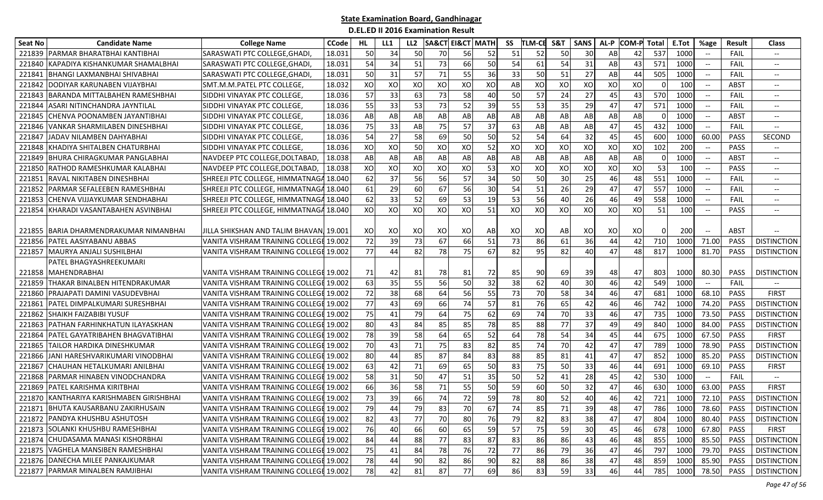| <b>Seat No</b> | <b>Candidate Name</b>                  | <b>College Name</b>                     | <b>CCode</b> | HL. | LL1 | LL <sub>2</sub> | <b>SA&amp;CT</b> | <b>EI&amp;CT MATH</b>  |    | SS | <b>TLM-CE</b> | S&T | <b>SANS</b> | AL-P | COM-P Total |     | E.Tot | %age                     | <b>Result</b> | <b>Class</b>                      |
|----------------|----------------------------------------|-----------------------------------------|--------------|-----|-----|-----------------|------------------|------------------------|----|----|---------------|-----|-------------|------|-------------|-----|-------|--------------------------|---------------|-----------------------------------|
| 221839         | PARMAR BHARATBHAI KANTIBHAI            | SARASWATI PTC COLLEGE, GHADI            | 18.031       | 50  | 34  | 50              | 70               | 56                     | 52 | 51 | 52            | 50  | 30          | AB   | 42          | 537 | 1000  |                          | FAIL          | $\overline{\phantom{a}}$          |
| 221840         | KAPADIYA KISHANKUMAR SHAMALBHAI        | SARASWATI PTC COLLEGE, GHADI            | 18.031       | 54  | 34  | 51              | 73               | 66                     | 50 | 54 | 61            | 54  | 31          | AB   | 43          | 571 | 1000  | $-\!$                    | FAIL          | $- -$                             |
| 22184          | BHANGI LAXMANBHAI SHIVABHAI            | SARASWATI PTC COLLEGE, GHADI            | 18.031       | 50  | 31  | 57              | 71               | 55                     | 36 | 33 | 50            | 51  | 27          | AB   | 44          | 505 | 1000  | $\overline{\phantom{a}}$ | FAIL          | $-\!$                             |
| 221842         | DODIYAR KARUNABEN VIJAYBHAI            | SMT.M.M.PATEL PTC COLLEGE,              | 18.032       | XO  | XO  | XO              | XO               | XO                     | XO | AB | XO            | XO  | XO          | XO   | XO          |     | 100   |                          | <b>ABST</b>   | $-\!$                             |
| 221843         | <b>BARANDA MITTALBAHEN RAMESHBHAI</b>  | SIDDHI VINAYAK PTC COLLEGE,             | 18.036       | 57  | 33  | 63              | 73               | 58                     | 40 | 50 | 57            | 24  | 27          | 45   | 43          | 570 | 1000  | $\overline{\phantom{a}}$ | FAIL          | $- -$                             |
| 221844         | ASARI NITINCHANDRA JAYNTILAL           | SIDDHI VINAYAK PTC COLLEGE,             | 18.036       | 55  | 33  | 53              | 73               | 52                     | 39 | 55 | 53            | 35  | 29          | 47   | 47          | 571 | 1000  | $-\!$                    | FAIL          | $\hspace{0.05cm} \dashrightarrow$ |
| 221845         | <b>CHENVA POONAMBEN JAYANTIBHAI</b>    | SIDDHI VINAYAK PTC COLLEGE,             | 18.036       | AB  | AB  | AB              | AB               | AB                     | AB | AB | AB            | AB  | AB          | AB   | AB          |     | 1000  | $\overline{\phantom{a}}$ | ABST          | $-\!$                             |
| 221846         | VANKAR SHARMILABEN DINESHBHAI          | SIDDHI VINAYAK PTC COLLEGE,             | 18.036       | 75  | 33  | AB              | 75               | 57                     | 37 | 63 | AB            | AB  | AB          | 47   | 45          | 432 | 1000  |                          | FAIL          |                                   |
| 221847         | JADAV NILAMBEN DAHYABHAI               | SIDDHI VINAYAK PTC COLLEGE.             | 18.036       | 54  | 27  | 58              | 69               | 50                     | 50 | 52 | 54            | 64  | 32          | 45   | 45          | 600 | 1000  | 60.00                    | <b>PASS</b>   | <b>SECOND</b>                     |
| 221848         | (HADIYA SHITALBEN CHATURBHAI           | SIDDHI VINAYAK PTC COLLEGE,             | 18.036       | XO  | XO  | 50              | XO               | XO                     | 52 | XO | XO            | XO  | XO          | XO   | XO          | 102 | 200   | $-\!$                    | <b>PASS</b>   | $- -$                             |
| 221849         | BHURA CHIRAGKUMAR PANGLABHAI           | NAVDEEP PTC COLLEGE, DOLTABAD,          | 18.038       | AB  | AB  | AB              | AB               | $\mathsf{A}\mathsf{B}$ | AB | AB | AB            | AB  | AB          | AB   | AB          | - 0 | 1000  | $\overline{\phantom{a}}$ | <b>ABST</b>   | $\hspace{0.05cm} \dashrightarrow$ |
| 221850         | RATHOD RAMESHKUMAR KALABHAI            | NAVDEEP PTC COLLEGE, DOLTABAD,          | 18.038       | XO  | XO  | XO              | XO               | XO                     | 53 | XO | XO            | XO  | XO          | XO   | XO          | 53  | 100   |                          | <b>PASS</b>   | $-\!$                             |
| 22185          | RAVAL NIKITABEN DINESHBHAI             | SHREEJI PTC COLLEGE, HIMMATNAG/         | 18.040       | 62  | 37  | 56              | 56               | 57                     | 34 | 50 | 50            | 30  | 25          | 46   | 48          | 551 | 1000  | $-\!$                    | FAIL          | $\hspace{0.05cm} \textbf{--}$     |
| 221852         | PARMAR SEFALEEBEN RAMESHBHAI           | SHREEJI PTC COLLEGE, HIMMATNAGA         | 18.040       | 61  | 29  | 60              | 67               | 56                     | 30 | 54 | 51            | 26  | 29          | 47   | 47          | 557 | 1000  |                          | FAIL          | $\overline{\phantom{a}}$          |
| 221853         | <b>CHENVA VIJJAYKUMAR SENDHABHAI</b>   | SHREEJI PTC COLLEGE, HIMMATNAG/         | 18.040       | 62  | 33  | 52              | 69               | 53                     | 19 | 53 | 56            | 40  | 26          | 46   | 49          | 558 | 1000  |                          | FAIL          | $\hspace{0.05cm} \ldots$          |
| 221854         | KHARADI VASANTABAHEN ASVINBHAI         | SHREEJI PTC COLLEGE, HIMMATNAGA         | 18.040       | XO  | XO  | XO              | XO               | XO                     | 51 | XO | XO            | XO  | XO          | XO   | XO          | 51  | 100   |                          | <b>PASS</b>   | $--$                              |
|                |                                        |                                         |              |     |     |                 |                  |                        |    |    |               |     |             |      |             |     |       |                          |               |                                   |
| 221855         | <b>BARIA DHARMENDRAKUMAR NIMANBHAI</b> | JILLA SHIKSHAN AND TALIM BHAVANJ 19.001 |              | XO  | XO  | XO              | XO               | XO                     | AB | XO | XO            | AB  | XO          | XO   | XO          | - 0 | 200   | $\overline{\phantom{a}}$ | ABST          |                                   |
| 221856         | <b>PATEL AASIYABANU ABBAS</b>          | VANITA VISHRAM TRAINING COLLEGI         | 19.002       | 72  | 39  | 73              | 67               | 66                     | 51 | 73 | 86            | 61  | 36          | 44   | 42          | 710 | 1000  | 71.00                    | PASS          | <b>DISTINCTION</b>                |
| 221857         | <b>MAURYA ANJALI SUSHILBHAI</b>        | VANITA VISHRAM TRAINING COLLEGI         | 19.002       | 77  | 44  | 82              | 78               | 75                     | 67 | 82 | 95            | 82  | 40          | 47   | 48          | 817 | 1000  | 81.70                    | <b>PASS</b>   | <b>DISTINCTION</b>                |
|                | PATEL BHAGYASHREEKUMARI                |                                         |              |     |     |                 |                  |                        |    |    |               |     |             |      |             |     |       |                          |               |                                   |
| 221858         | <b>MAHENDRABHAI</b>                    | VANITA VISHRAM TRAINING COLLEGE 19.002  |              | 71  | 42  | 81              | 78               | 81                     | 72 | 85 | 90            | 69  | 39          | 48   | 47          | 803 | 1000  | 80.30                    | <b>PASS</b>   | <b>DISTINCTION</b>                |
| 221859         | <b>THAKAR BINALBEN HITENDRAKUMAR</b>   | <b>VANITA VISHRAM TRAINING COLLEGE</b>  | 19.002       | 63  | 35  | 55              | 56               | 50                     | 32 | 38 | 62            | 40  | 30          | 46   | 42          | 549 | 1000  | $-\!$                    | FAIL          |                                   |
| 221860         | PRAJAPATI DAMINI VASUDEVBHAI           | VANITA VISHRAM TRAINING COLLEGE         | 19.002       | 72  | 38  | 68              | 64               | 56                     | 55 | 73 | 70            | 58  | 34          | 46   | 47          | 681 | 1000  | 68.10                    | PASS          | <b>FIRST</b>                      |
| 22186          | PATEL DIMPALKUMARI SURESHBHAI          | VANITA VISHRAM TRAINING COLLEGE         | 19.002       | 77  | 43  | 69              | 66               | 74                     | 57 | 81 | 76            | 65  | 42          | 46   | 46          | 742 | 1000  | 74.20                    | <b>PASS</b>   | <b>DISTINCTION</b>                |
| 221862         | SHAIKH FAIZABIBI YUSUF                 | VANITA VISHRAM TRAINING COLLEGI         | 19.002       | 75  | 41  | 79              | 64               | 75                     | 62 | 69 | 74            | 70  | 33          | 46   | 47          | 735 | 1000  | 73.50                    | PASS          | <b>DISTINCTION</b>                |
| 221863         | PATHAN FARHINKHATUN ILAYASKHAN         | VANITA VISHRAM TRAINING COLLEGI         | 19.002       | 80  | 43  | 84              | 85               | 85                     | 78 | 85 | 88            | 77  | 37          | 49   | 49          | 840 | 1000  | 84.00                    | PASS          | <b>DISTINCTION</b>                |
| 221864         | PATEL GAYATRIBAHEN BHAGVATIBHAI        | VANITA VISHRAM TRAINING COLLEGE 19.002  |              | 78  | 39  | 58              | 64               | 65                     | 52 | 64 | 78            | 54  | 34          | 45   | 44          | 675 | 1000  | 67.50                    | PASS          | <b>FIRST</b>                      |
| 221865         | <b>I</b> TAILOR HARDIKA DINESHKUMAR    | VANITA VISHRAM TRAINING COLLEGE 19.002  |              | 70  | 43  | 71              | 75               | 83                     | 82 | 85 | 74            | 70  | 42          | 47   | 47          | 789 | 1000  | 78.90                    | PASS          | <b>DISTINCTION</b>                |
| 221866         | JANI HARESHVARIKUMARI VINODBHAI        | VANITA VISHRAM TRAINING COLLEGE         | 19.002       | 80  | 44  | 85              | 87               | 84                     | 83 | 88 | 85            | 81  | 41          | 47   | 47          | 852 | 1000  | 85.20                    | PASS          | <b>DISTINCTION</b>                |
| 22186          | CHAUHAN HETALKUMARI ANILBHAI           | <b>VANITA VISHRAM TRAINING COLLEGE</b>  | 19.002       | 63  | 42  | 71              | 69               | 65                     | 50 | 83 | 75            | 50  | 33          | 46   | 44          | 691 | 1000  | 69.10                    | PASS          | <b>FIRST</b>                      |
| 221868         | PARMAR HINABEN VINODCHANDRA            | VANITA VISHRAM TRAINING COLLEGI         | 19.002       | 58  | 31  | 50              | 47               | 51                     | 35 | 50 | 52            | 41  | 28          | 45   | 42          | 530 | 1000  | $- -$                    | FAIL          | $-\!$                             |
| 221869         | PATEL KARISHMA KIRITBHAI               | <b>VANITA VISHRAM TRAINING COLLEGI</b>  | 19.002       | 66  | 36  | 58              | 71               | 55                     | 50 | 59 | 60            | 50  | 32          | 47   | 46          | 630 | 1000  | 63.00                    | PASS          | <b>FIRST</b>                      |
| 221870         | KANTHARIYA KARISHMABEN GIRISHBHAI      | VANITA VISHRAM TRAINING COLLEGE         | 19.002       | 73  | 39  | 66              | 74               | 72                     | 59 | 78 | 80            | 52  | 40          | 46   | 42          | 721 | 1000  | 72.10                    | PASS          | <b>DISTINCTION</b>                |
|                | 221871 BHUTA KAUSARBANU ZAKIRHUSAIN    | VANITA VISHRAM TRAINING COLLEGE 19.002  |              | 79  | 44  | 79              | 83               | 70                     | 67 | 74 | 85            | 71  | 39          | 48   | 47          | 786 | 1000  | 78.60                    | PASS          | <b>DISTINCTION</b>                |
|                | 221872 PANDYA KHUSHBU ASHUTOSH         | VANITA VISHRAM TRAINING COLLEGE 19.002  |              | 82  | 43  | 77              | 70               | 80                     | 76 | 79 | 82            | 83  | 38          | 47   | 47          | 804 | 1000  | 80.40                    | <b>PASS</b>   | <b>DISTINCTION</b>                |
|                | 221873 SOLANKI KHUSHBU RAMESHBHAI      | VANITA VISHRAM TRAINING COLLEGE 19.002  |              | 76  | 40  | 66              | 60               | 65                     | 59 | 57 | 75            | 59  | 30          | 45   | 46          | 678 | 1000  | 67.80                    | PASS          | <b>FIRST</b>                      |
| 221874         | CHUDASAMA MANASI KISHORBHAI            | VANITA VISHRAM TRAINING COLLEGE 19.002  |              | 84  | 44  | 88              | 77               | 83                     | 87 | 83 | 86            | 86  | 43          | 46   | 48          | 855 | 1000  | 85.50                    | PASS          | <b>DISTINCTION</b>                |
|                | 221875 VAGHELA MANSIBEN RAMESHBHAI     | VANITA VISHRAM TRAINING COLLEGE 19.002  |              | 75  |     | 84              | 78               | 76                     | 72 | 77 | 86            | 79  | 36          | 47   | 46          | 797 | 1000  | 79.70                    | PASS          | <b>DISTINCTION</b>                |
|                | 221876 DANECHA MILEE PANKAJKUMAR       | VANITA VISHRAM TRAINING COLLEGE 19.002  |              | 78  | 44  | 90              | 82               | 86                     | 90 | 82 | 88            | 86  | 38          | 47   | 48          | 859 | 1000  | 85.90                    | PASS          | <b>DISTINCTION</b>                |
|                | 221877 PARMAR MINALBEN RAMJIBHAI       | VANITA VISHRAM TRAINING COLLEGE 19.002  |              | 78  | 42  | 81              | 87               | 77                     | 69 | 86 | 83            | 59  | 33          | 46   | 44          | 785 | 1000  | 78.50                    | PASS          | <b>DISTINCTION</b>                |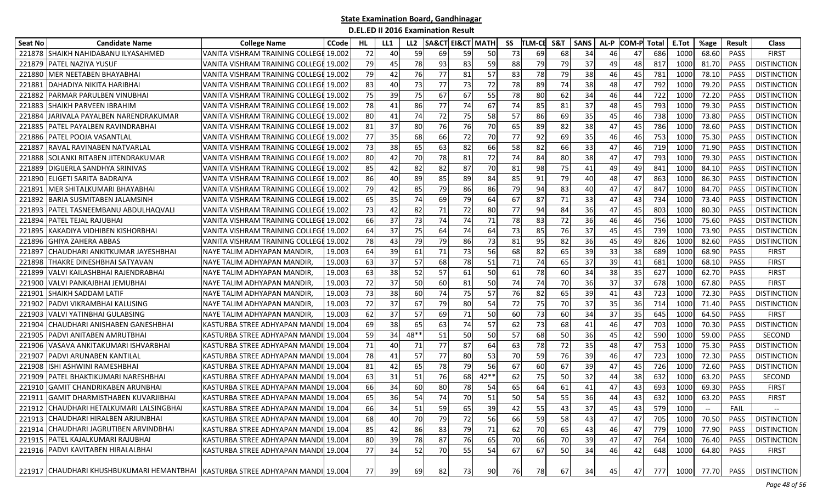| Seat No | <b>Candidate Name</b>                                                          | <b>College Name</b>                    | <b>CCode</b> | HL        | LL1 | LL <sub>2</sub> |    | <b>SA&amp;CT EI&amp;CT MATH</b> |        | SS | TLM-CE | S&T | <b>SANS</b> | AL-P | <b>COM-P</b> | Total | E.Tot | %age  | <b>Result</b> | <b>Class</b>             |
|---------|--------------------------------------------------------------------------------|----------------------------------------|--------------|-----------|-----|-----------------|----|---------------------------------|--------|----|--------|-----|-------------|------|--------------|-------|-------|-------|---------------|--------------------------|
| 221878  | <b>SHAIKH NAHIDABANU ILYASAHMED</b>                                            | VANITA VISHRAM TRAINING COLLEGI        | 19.002       | 72        | 40  | 59              | 69 | 59                              | 50     | 73 | 69     | 68  | 34          | 46   | 47           | 686   | 1000  | 68.60 | <b>PASS</b>   | <b>FIRST</b>             |
| 221879  | PATEL NAZIYA YUSUF                                                             | VANITA VISHRAM TRAINING COLLEGI 19.002 |              | 79        | 45  | 78              | 93 | 83                              | 59     | 88 | 79     | 79  | 37          | 49   | 48           | 817   | 1000  | 81.70 | <b>PASS</b>   | <b>DISTINCTION</b>       |
| 221880  | MER NEETABEN BHAYABHAI                                                         | VANITA VISHRAM TRAINING COLLEGI 19.002 |              | 79        | 42  | 76              | 77 | 81                              | 57     | 83 | 78     | 79  | 38          | 46   | 45           | 781   | 1000  | 78.10 | PASS          | <b>DISTINCTION</b>       |
| 22188   | DAHADIYA NIKITA HARIBHAI                                                       | VANITA VISHRAM TRAINING COLLEGI 19.002 |              | 83        | 40  | 73              | 77 | 73                              | 72     | 78 | 89     | 74  | 38          | 48   | 47           | 792   | 1000  | 79.20 | <b>PASS</b>   | <b>DISTINCTION</b>       |
| 221882  | PARMAR PARULBEN VINUBHAI                                                       | VANITA VISHRAM TRAINING COLLEGI 19.002 |              | 75        | 39  | 75              | 67 | 67                              | 55     | 78 | 80     | 62  | 34          | 46   | 44           | 722   | 1000  | 72.20 | <b>PASS</b>   | <b>DISTINCTION</b>       |
| 221883  | <b>SHAIKH PARVEEN IBRAHIM</b>                                                  | VANITA VISHRAM TRAINING COLLEGE 19.002 |              | 78        | 41  | 86              | 77 | 74                              | 67     | 74 | 85     | 81  | 37          | 48   | 45           | 793   | 1000  | 79.30 | PASS          | <b>DISTINCTION</b>       |
| 221884  | JARIVALA PAYALBEN NARENDRAKUMAR                                                | VANITA VISHRAM TRAINING COLLEGE 19.002 |              | 80        | 41  | 74              | 72 | 75                              | 58     | 57 | 86     | 69  | 35          | 45   | 46           | 738   | 1000  | 73.80 | PASS          | <b>DISTINCTION</b>       |
| 221885  | PATEL PAYALBEN RAVINDRABHAI                                                    | VANITA VISHRAM TRAINING COLLEGI 19.002 |              | 81        | 37  | 80              | 76 | 76                              | 70     | 65 | 89     | 82  | 38          | 47   | 45           | 786   | 1000  | 78.60 | <b>PASS</b>   | <b>DISTINCTION</b>       |
| 221886  | PATEL POOJA VASANTLAL                                                          | VANITA VISHRAM TRAINING COLLEGI 19.002 |              | 77        | 35  | 68              | 66 | 72                              | 70     | 77 | 92     | 69  | 35          | 46   | 46           | 753   | 1000  | 75.30 | <b>PASS</b>   | <b>DISTINCTION</b>       |
| 22188   | RAVAL RAVINABEN NATVARLAL                                                      | VANITA VISHRAM TRAINING COLLEGI 19.002 |              | 73        | 38  | 65              | 63 | 82                              | 66     | 58 | 82     | 66  | 33          | 47   | 46           | 719   | 1000  | 71.90 | <b>PASS</b>   | <b>DISTINCTION</b>       |
| 221888  | SOLANKI RITABEN JITENDRAKUMAR                                                  | VANITA VISHRAM TRAINING COLLEGE 19.002 |              | 80        | 42  | 70              | 78 | 81                              | 72     | 74 | 84     | 80  | 38          | 47   | 47           | 793   | 1000  | 79.30 | PASS          | <b>DISTINCTION</b>       |
| 221889  | DIGIJERLA SANDHYA SRINIVAS                                                     | VANITA VISHRAM TRAINING COLLEGE        | 19.002       | 85        | 42  | 82              | 82 | 87                              | 70     | 81 | 98     | 75  | 41          | 49   | 49           | 841   | 1000  | 84.10 | <b>PASS</b>   | <b>DISTINCTION</b>       |
| 221890  | IELIGETI SARITA BADRAIYA                                                       | VANITA VISHRAM TRAINING COLLEGE 19.002 |              | 86        | 40  | 89              | 85 | 89                              | 84     | 85 | 91     | 79  | 40          | 48   | 47           | 863   | 1000  | 86.30 | <b>PASS</b>   | <b>DISTINCTION</b>       |
| 22189:  | MER SHITALKUMARI BHAYABHAI                                                     | VANITA VISHRAM TRAINING COLLEGI 19.002 |              | 79        | 42  | 85              | 79 | 86                              | 86     | 79 | 94     | 83  | 40          | 47   | 47           | 847   | 1000  | 84.70 | PASS          | <b>DISTINCTION</b>       |
| 221892  | IBARIA SUSMITABEN JALAMSINH                                                    | VANITA VISHRAM TRAINING COLLEGE 19.002 |              | 65        | 35  | 74              | 69 | 79                              | 64     | 67 | 87     | 71  | 33          | 47   | 43           | 734   | 1000  | 73.40 | PASS          | <b>DISTINCTION</b>       |
| 221893  | <b>PATEL TASNEEMBANU ABDULHAQVALI</b>                                          | VANITA VISHRAM TRAINING COLLEGI 19.002 |              | 73        | 42  | 82              | 71 | 72                              | 80     | 77 | 94     | 84  | 36          | 47   | 45           | 803   | 1000  | 80.30 | PASS          | <b>DISTINCTION</b>       |
| 221894  | PATEL TEJAL RAJUBHAI                                                           | VANITA VISHRAM TRAINING COLLEGE 19.002 |              | 66        | 37  | 73              | 74 | 74                              | 71     | 78 | 83     | 72  | 36          | 46   | 46           | 756   | 1000  | 75.60 | <b>PASS</b>   | <b>DISTINCTION</b>       |
| 221895  | KAKADIYA VIDHIBEN KISHORBHAI                                                   | VANITA VISHRAM TRAINING COLLEGE        | 19.002       | 64        | 37  | 75              | 64 | 74                              | 64     | 73 | 85     | 76  | 37          | 45   | 45           | 739   | 1000  | 73.90 | PASS          | <b>DISTINCTION</b>       |
| 221896  | <b>GHIYA ZAHERA ABBAS</b>                                                      | VANITA VISHRAM TRAINING COLLEGE        | 19.002       | 78        | 43  | 79              | 79 | 86                              | 73     | 81 | 95     | 82  | 36          | 45   | 49           | 826   | 1000  | 82.60 | PASS          | <b>DISTINCTION</b>       |
| 22189   | CHAUDHARI ANKITKUMAR JAYESHBHAI                                                | NAYE TALIM ADHYAPAN MANDIR             | 19.003       | 64        | 39  | 61              | 71 | 73                              | 56     | 68 | 82     | 65  | 39          | 33   | 38           | 689   | 1000  | 68.90 | <b>PASS</b>   | <b>FIRST</b>             |
| 221898  | THAKRE DINESHBHAI SATYAVAN                                                     | NAYE TALIM ADHYAPAN MANDIR             | 19.003       | 63        | 37  | 57              | 68 | 78                              | 51     | 71 | 74     | 65  | 37          | 39   | 41           | 681   | 1000  | 68.10 | <b>PASS</b>   | <b>FIRST</b>             |
| 221899  | VALVI KAILASHBHAI RAJENDRABHAI                                                 | NAYE TALIM ADHYAPAN MANDIR             | 19.003       | 63        | 38  | 52              | 57 | 61                              | 50     | 61 | 78     | 60  | 34          | 38   | 35           | 627   | 1000  | 62.70 | PASS          | <b>FIRST</b>             |
| 22190   | VALVI PANKAJBHAI JEMUBHAI                                                      | NAYE TALIM ADHYAPAN MANDIR             | 19.003       | 72        | 37  | 50              | 60 | 81                              | 50     | 74 | 74     | 70  | 36          | 37   | 37           | 678   | 1000  | 67.80 | <b>PASS</b>   | <b>FIRST</b>             |
| 22190   | SHAIKH SADDAM LATIF                                                            | NAYE TALIM ADHYAPAN MANDIR             | 19.003       | 73        | 38  | 60              | 74 | 75                              | 57     | 76 | 82     | 65  | 39          | 41   | 43           | 723   | 1000  | 72.30 | PASS          | <b>DISTINCTION</b>       |
| 221902  | PADVI VIKRAMBHAI KALUSING                                                      | NAYE TALIM ADHYAPAN MANDIR             | 19.003       | 72        | 37  | 67              | 79 | 80                              | 54     | 72 | 75     | 70  | 37          | 35   | 36           | 714   | 1000  | 71.40 | <b>PASS</b>   | <b>DISTINCTION</b>       |
| 22190   | VALVI YATINBHAI GULABSING                                                      | NAYE TALIM ADHYAPAN MANDIR             | 19.003       | 62        | 37  | 57              | 69 | 71                              | 50     | 60 | 73     | 60  | 34          | 37   | 35           | 645   | 1000  | 64.50 | PASS          | <b>FIRST</b>             |
| 221904  | CHAUDHARI ANISHABEN GANESHBHAI                                                 | KASTURBA STREE ADHYAPAN MAND           | 19.004       | 69        | 38  | 65              | 63 | 74                              | 57     | 62 | 73     | 68  | 41          | 46   | 47           | 703   | 1000  | 70.30 | <b>PASS</b>   | <b>DISTINCTION</b>       |
| 221905  | PADVI ANITABEN AMRUTBHAI                                                       | KASTURBA STREE ADHYAPAN MANDI          | 19.004       | 59        | 34  | 48**            | 51 | 50                              | 50     | 57 | 68     | 50  | 36          | 45   | 42           | 590   | 1000  | 59.00 | <b>PASS</b>   | <b>SECOND</b>            |
| 221906  | VASAVA ANKITAKUMARI ISHVARBHAI                                                 | KASTURBA STREE ADHYAPAN MANDI          | 19.004       | 71        | 40  | 71              | 77 | 87                              | 64     | 63 | 78     | 72  | 35          | 48   | 47           | 753   | 1000  | 75.30 | <b>PASS</b>   | <b>DISTINCTION</b>       |
| 22190   | PADVI ARUNABEN KANTILAL                                                        | KASTURBA STREE ADHYAPAN MANDI          | 19.004       | 78        | 41  | 57              | 77 | 80                              | 53     | 70 | 59     | 76  | 39          | 46   | 47           | 723   | 1000  | 72.30 | PASS          | <b>DISTINCTION</b>       |
| 221908  | ISHI ASHWINI RAMESHBHAI                                                        | KASTURBA STREE ADHYAPAN MANDI          | 19.004       | 81        | 42  | 65              | 78 | 79                              | 56     | 67 | 60     | 67  | 39          | 47   | 45           | 726   | 1000  | 72.60 | PASS          | <b>DISTINCTION</b>       |
| 221909  | PATEL BHAKTIKUMARI NARESHBHAI                                                  | KASTURBA STREE ADHYAPAN MANDI          | 19.004       | 63        | 31  | 51              | 76 | 68                              | $42**$ | 62 | 75     | 50  | 32          | 44   | 38           | 632   | 1000  | 63.20 | PASS          | SECOND                   |
| 221910  | <b>GAMIT CHANDRIKABEN ARUNBHAI</b>                                             | KASTURBA STREE ADHYAPAN MANDI          | 19.004       | 66        | 34  | 60              | 80 | 78                              | 54     | 65 | 64     | 61  | 41          | 47   | 43           | 693   | 1000  | 69.30 | <b>PASS</b>   | <b>FIRST</b>             |
| 221911  | <b>GAMIT DHARMISTHABEN KUVARJIBHAI</b>                                         | KASTURBA STREE ADHYAPAN MANDII 19.004  |              | 65        | 36  | 54              | 74 | 70                              | 51     | 50 | 54     | 55  | 36          | 44   | 43           | 632   | 1000  | 63.20 | PASS          | <b>FIRST</b>             |
|         | 221912 CHAUDHARI HETALKUMARI LALSINGBHAI                                       | KASTURBA STREE ADHYAPAN MANDI 19.004   |              | <b>66</b> | 34  | 51              | 59 | 65                              | 39     | 42 | 55     | 43  | 37          | 45   | 43           | 579   | 1000  | $-\!$ | <b>FAIL</b>   | $\overline{\phantom{a}}$ |
|         | 221913 CHAUDHARI HIRALBEN ARJUNBHAI                                            | KASTURBA STREE ADHYAPAN MANDI 19.004   |              | 68        | 40  | 70              | 79 | 72                              | 56     | 66 | 59     | 58  | 43          | 47   | 47           | 705   | 1000  | 70.50 | PASS          | <b>DISTINCTION</b>       |
|         | 221914 CHAUDHARI JAGRUTIBEN ARVINDBHAI                                         | KASTURBA STREE ADHYAPAN MANDI 19.004   |              | 85        | 42  | 86              | 83 | 79                              | 71     | 62 | 70     | 65  | 43          | 46   | 47           | 779   | 1000  | 77.90 | PASS          | <b>DISTINCTION</b>       |
|         | 221915 PATEL KAJALKUMARI RAJUBHAI                                              | KASTURBA STREE ADHYAPAN MANDI 19.004   |              | 80        | 39  | 78              | 87 | 76                              | 65     | 70 | 66     | 70  | 39          | 47   | 47           | 764   | 1000  | 76.40 | PASS          | <b>DISTINCTION</b>       |
|         | 221916 PADVI KAVITABEN HIRALALBHAI                                             | KASTURBA STREE ADHYAPAN MANDI 19.004   |              | 77        | 34  | 52              | 70 | 55                              | 54     | 67 | 67     | 50  | 34          | 46   | 42           | 648   | 1000  | 64.80 | PASS          | <b>FIRST</b>             |
|         | 221917 CHAUDHARI KHUSHBUKUMARI HEMANTBHAI KASTURBA STREE ADHYAPAN MANDI 19.004 |                                        |              | 77        | 39  | 69              | 82 | 73                              | 90     | 76 | 78     | 67  | 34          | 45   | 47           | 777   | 1000  |       | 77.70 PASS    | <b>DISTINCTION</b>       |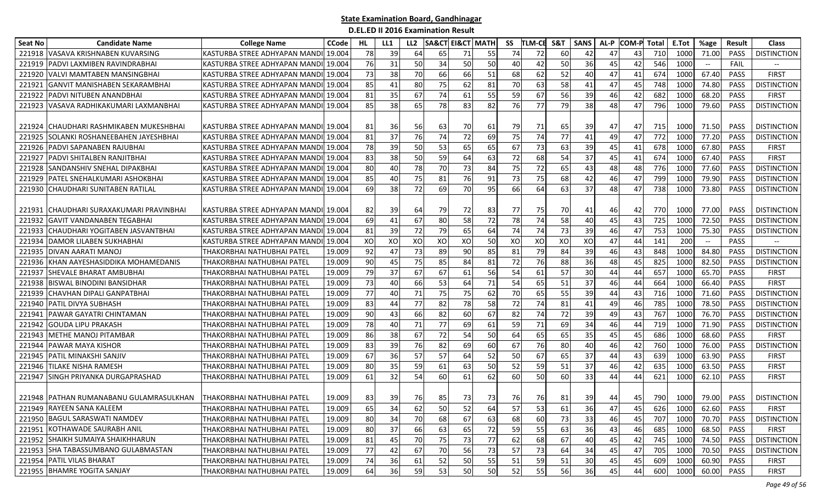| <b>Seat No</b> | <b>Candidate Name</b>                                                | <b>College Name</b>                    | CCode  | HL | LL1 | LL <sub>2</sub> | <b>SA&amp;CT EI&amp;CT MATH</b> |    |    | SS | <b>TLM-CE</b> | S&T | <b>SANS</b> | AL-P | <b>COM-P</b> | Total | E.Tot | %age                                                | <b>Result</b> | <b>Class</b>       |
|----------------|----------------------------------------------------------------------|----------------------------------------|--------|----|-----|-----------------|---------------------------------|----|----|----|---------------|-----|-------------|------|--------------|-------|-------|-----------------------------------------------------|---------------|--------------------|
| 221918         | VASAVA KRISHNABEN KUVARSING                                          | KASTURBA STREE ADHYAPAN MANDI          | 19.004 | 78 | 39  | 64              | 65                              | 71 | 55 | 74 | 72            | 60  | 42          | 47   | 43           | 710   | 1000  | 71.00                                               | <b>PASS</b>   | <b>DISTINCTION</b> |
| 221919         | PADVI LAXMIBEN RAVINDRABHAI                                          | KASTURBA STREE ADHYAPAN MANDI 19.004   |        | 76 | 31  | 50              | 34                              | 50 | 50 | 40 | 42            | 50  | 36          | 45   | 42           | 546   | 1000  | $- -$                                               | FAIL          |                    |
| 221920         | VALVI MAMTABEN MANSINGBHAI                                           | KASTURBA STREE ADHYAPAN MANDI          | 19.004 | 73 | 38  | 70              | 66                              | 66 | 51 | 68 | 62            | 52  | 40          | 47   | 41           | 674   | 1000  | 67.40                                               | PASS          | <b>FIRST</b>       |
| 221921         | <b>GANVIT MANISHABEN SEKARAMBHAI</b>                                 | KASTURBA STREE ADHYAPAN MANDI          | 19.004 | 85 | 41  | 80              | 75                              | 62 | 81 | 70 | 63            | 58  | 41          | 47   | 45           | 748   | 1000  | 74.80                                               | PASS          | <b>DISTINCTION</b> |
| 221922         | PADVI NITUBEN ANANDBHAI                                              | KASTURBA STREE ADHYAPAN MANDI          | 19.004 | 81 | 35  | 67              | 74                              | 61 | 55 | 59 | 67            | 56  | 39          | 46   | 42           | 682   | 1000  | 68.20                                               | <b>PASS</b>   | <b>FIRST</b>       |
|                | 221923 VASAVA RADHIKAKUMARI LAXMANBHAI                               | KASTURBA STREE ADHYAPAN MANDI 19.004   |        | 85 | 38  | 65              | 78                              | 83 | 82 | 76 | 77            | 79  | 38          | 48   | 47           | 796   | 1000  | 79.60                                               | <b>PASS</b>   | <b>DISTINCTION</b> |
|                |                                                                      |                                        |        |    |     |                 |                                 |    |    |    |               |     |             |      |              |       |       |                                                     |               |                    |
| 221924         | ICHAUDHARI RASHMIKABEN MUKESHBHAI                                    | IKASTURBA STREE ADHYAPAN MANDII 19.004 |        | 81 | 36  | 56              | 63                              | 70 | 61 | 79 | 71            | 65  | 39          | 47   | 47           | 715   | 1000  | 71.50                                               | PASS          | <b>DISTINCTION</b> |
| 221925         | SOLANKI ROSHANEEBAHEN JAYESHBHAI                                     | KASTURBA STREE ADHYAPAN MANDI 19.004   |        | 81 | 37  | 76              | 74                              | 72 | 69 | 75 | 74            | 77  | 41          | 49   | 47           | 772   | 1000  | 77.20                                               | PASS          | <b>DISTINCTION</b> |
| 221926         | PADVI SAPANABEN RAJUBHAI                                             | KASTURBA STREE ADHYAPAN MANDI 19.004   |        | 78 | 39  | 50              | 53                              | 65 | 65 | 67 | 73            | 63  | 39          | 45   | 41           | 678   | 1000  | 67.80                                               | <b>PASS</b>   | <b>FIRST</b>       |
| 221927         | PADVI SHITALBEN RANJITBHAI                                           | KASTURBA STREE ADHYAPAN MANDI          | 19.004 | 83 | 38  | 50              | 59                              | 64 | 63 | 72 | 68            | 54  | 37          | 45   | 41           | 674   | 1000  | 67.40                                               | PASS          | <b>FIRST</b>       |
| 221928         | SANDANSHIV SNEHAL DIPAKBHAI                                          | KASTURBA STREE ADHYAPAN MANDI          | 19.004 | 80 | 40  | 78              | 70                              | 73 | 84 | 75 | 72            | 65  | 43          | 48   | 48           | 776   | 1000  | 77.60                                               | PASS          | <b>DISTINCTION</b> |
| 221929         | PATEL SNEHALKUMARI ASHOKBHAI                                         | KASTURBA STREE ADHYAPAN MANDI          | 19.004 | 85 | 40  | 75              | 81                              | 76 | 91 | 73 | 75            | 68  | 42          | 46   | 47           | 799   | 1000  | 79.90                                               | <b>PASS</b>   | <b>DISTINCTION</b> |
| 221930         | <b>CHAUDHARI SUNITABEN RATILAL</b>                                   | KASTURBA STREE ADHYAPAN MANDI 19.004   |        | 69 | 38  | 72              | 69                              | 70 | 95 | 66 | 64            | 63  | 37          | 48   | 47           | 738   | 1000  | 73.80                                               | PASS          | <b>DISTINCTION</b> |
|                |                                                                      |                                        |        |    |     |                 |                                 |    |    |    |               |     |             |      |              |       |       |                                                     |               |                    |
| 221931         | ICHAUDHARI SURAXAKUMARI PRAVINBHAI                                   | KASTURBA STREE ADHYAPAN MANDI 19.004   |        | 82 | 39  | 64              | 79                              | 72 | 83 | 77 | 75            | 70  | 41          | 46   | 42           | 770   | 1000  | 77.00                                               | <b>PASS</b>   | <b>DISTINCTION</b> |
| 221932         | <b>GAVIT VANDANABEN TEGABHAI</b>                                     | KASTURBA STREE ADHYAPAN MANDI 19.004   |        | 69 | 41  | 67              | 80                              | 58 | 72 | 78 | 74            | 58  | 40          | 45   | 43           | 725   | 1000  | 72.50                                               | <b>PASS</b>   | <b>DISTINCTION</b> |
| 221933         | CHAUDHARI YOGITABEN JASVANTBHAI                                      | KASTURBA STREE ADHYAPAN MANDI 19.004   |        | 81 | 39  | 72              | 79                              | 65 | 64 | 74 | 74            | 73  | 39          | 46   | 47           | 753   | 1000  | 75.30                                               | <b>PASS</b>   | <b>DISTINCTION</b> |
| 221934         | DAMOR LILABEN SUKHABHAI                                              | KASTURBA STREE ADHYAPAN MANDI          | 19.004 | XO | XO  | XO              | XO                              | XO | 50 | XO | XO            | XO  | XO          | 47   | 44           | 141   | 200   | $\hspace{0.05cm} -\hspace{0.05cm} -\hspace{0.05cm}$ | PASS          |                    |
| 221935         | <b>DIVAN AARATI MANOJ</b>                                            | THAKORBHAI NATHUBHAI PATEL             | 19.009 | 92 | 47  | 73              | 89                              | 90 | 85 | 81 | 79            | 84  | 39          | 46   | 43           | 848   | 1000  | 84.80                                               | PASS          | <b>DISTINCTION</b> |
| 221936         | KHAN AAYESHASIDDIKA MOHAMEDANIS                                      | THAKORBHAI NATHUBHAI PATEL             | 19.009 | 90 | 45  | 75              | 85                              | 84 | 81 | 72 | 76            | 88  | 36          | 48   | 45           | 825   | 1000  | 82.50                                               | <b>PASS</b>   | <b>DISTINCTION</b> |
| 221937         | <b>SHEVALE BHARAT AMBUBHAI</b>                                       | THAKORBHAI NATHUBHAI PATEL             | 19.009 | 79 | 37  | 67              | 67                              | 61 | 56 | 54 | 61            | 57  | 30          | 44   | 44           | 657   | 1000  | 65.70                                               | PASS          | <b>FIRST</b>       |
| 221938         | <b>BISWAL BINODINI BANSIDHAR</b>                                     | THAKORBHAI NATHUBHAI PATEL             | 19.009 | 73 | 40  | 66              | 53                              | 64 | 71 | 54 | 65            | 51  | 37          | 46   | 44           | 664   | 1000  | 66.40                                               | PASS          | <b>FIRST</b>       |
| 221939         | CHAVHAN DIPALI GANPATBHAI                                            | THAKORBHAI NATHUBHAI PATEL             | 19.009 | 77 | 40  | 71              | 75                              | 75 | 62 | 70 | 65            | 55  | 39          | 44   | 43           | 716   | 1000  | 71.60                                               | PASS          | <b>DISTINCTION</b> |
| 221940         | PATIL DIVYA SUBHASH                                                  | THAKORBHAI NATHUBHAI PATEL             | 19.009 | 83 | 44  | 77              | 82                              | 78 | 58 | 72 | 74            | 81  | 41          | 49   | 46           | 785   | 1000  | 78.50                                               | <b>PASS</b>   | <b>DISTINCTION</b> |
| 221941         | PAWAR GAYATRI CHINTAMAN                                              | THAKORBHAI NATHUBHAI PATEL             | 19.009 | 90 | 43  | 66              | 82                              | 60 | 67 | 82 | 74            | 72  | 39          | 49   | 43           | 767   | 1000  | 76.70                                               | PASS          | <b>DISTINCTION</b> |
| 221942         | <b>GOUDA LIPU PRAKASH</b>                                            | THAKORBHAI NATHUBHAI PATEL             | 19.009 | 78 | 40  | 71              | 77                              | 69 | 61 | 59 | 71            | 69  | 34          | 46   | 44           | 719   | 1000  | 71.90                                               | PASS          | <b>DISTINCTION</b> |
| 221943         | <b>METHE MANOJ PITAMBAR</b>                                          | THAKORBHAI NATHUBHAI PATEL             | 19.009 | 86 | 38  | 67              | 72                              | 54 | 50 | 64 | 65            | 65  | 35          | 45   | 45           | 686   | 1000  | 68.60                                               | PASS          | <b>FIRST</b>       |
| 221944         | <b>PAWAR MAYA KISHOR</b>                                             | THAKORBHAI NATHUBHAI PATEL             | 19.009 | 83 | 39  | 76              | 82                              | 69 | 60 | 67 | 76            | 80  | 40          | 46   | 42           | 760   | 1000  | 76.00                                               | PASS          | <b>DISTINCTION</b> |
| 221945         | <b>PATIL MINAKSHI SANJIV</b>                                         | THAKORBHAI NATHUBHAI PATEL             | 19.009 | 67 | 36  | 57              | 57                              | 64 | 52 | 50 | 67            | 65  | 37          | 44   | 43           | 639   | 1000  | 63.90                                               | PASS          | <b>FIRST</b>       |
| 221946         | <b>TILAKE NISHA RAMESH</b>                                           | <b>THAKORBHAI NATHUBHAI PATEL</b>      | 19.009 | 80 | 35  | 59              | 61                              | 63 | 50 | 52 | 59            | 51  | 37          | 46   | 42           | 635   | 1000  | 63.50                                               | PASS          | <b>FIRST</b>       |
| 221947         | SINGH PRIYANKA DURGAPRASHAD                                          | THAKORBHAI NATHUBHAI PATEL             | 19.009 | 61 | 32  | 54              | 60                              | 61 | 62 | 60 | 50            | 60  | 33          | 44   | 44           | 621   | 1000  | 62.10                                               | PASS          | <b>FIRST</b>       |
|                |                                                                      |                                        |        |    |     |                 |                                 |    |    |    |               |     |             |      |              |       |       |                                                     |               |                    |
|                | 221948 PATHAN RUMANABANU GULAMRASULKHAN   THAKORBHAI NATHUBHAI PATEL |                                        | 19.009 | 83 | 39  | 76              | 85                              | 73 | 73 | 76 | 76I           | 81  | 39          | 44   | 45           | 790   | 1000  | 79.00                                               | PASS          | <b>DISTINCTION</b> |
|                | 221949 RAYEEN SANA KALEEM                                            | <b>THAKORBHAI NATHUBHAI PATEL</b>      | 19.009 | 65 | 34  | <b>62</b>       | 50                              | 52 | 64 | 57 | 53            | 61  | <b>36</b>   | 471  | 45           | 626   | 1000  | 62.60                                               | PASS          | <b>FIRST</b>       |
|                | 221950 BAGUL SARASWATI NAMDEV                                        | THAKORBHAI NATHUBHAI PATEL             | 19.009 | 80 | 34  | 70              | 68                              | 67 | 63 | 68 | 60            | 73  | 33          | 46   | 45           | 707   | 1000  | 70.70                                               | PASS          | <b>DISTINCTION</b> |
|                | 221951 KOTHAWADE SAURABH ANIL                                        | THAKORBHAI NATHUBHAI PATEL             | 19.009 | 80 | 37  | 66              | 63                              | 65 | 72 | 59 | 55            | 63  | 36          | 43   | 46           | 685   | 1000  | 68.50                                               | PASS          | <b>FIRST</b>       |
|                | 221952 SHAIKH SUMAIYA SHAIKHHARUN                                    | THAKORBHAI NATHUBHAI PATEL             | 19.009 | 81 | 45  | 70              | 75                              | 73 | 77 | 62 | 68            | 67  | 40          | 45   | 42           | 745   | 1000  | 74.50                                               | PASS          | <b>DISTINCTION</b> |
|                | 221953 SHA TABASSUMBANO GULABMASTAN                                  | THAKORBHAI NATHUBHAI PATEL             | 19.009 | 77 | 42  | 67              | 70                              | 56 | 73 | 57 | 73            | 64  | 34          | 45   | 47           | 705   | 1000  | 70.50                                               | PASS          | <b>DISTINCTION</b> |
|                | 221954 PATIL VILAS BHARAT                                            | THAKORBHAI NATHUBHAI PATEL             | 19.009 | 74 | 36  | 61              | 52                              | 50 | 55 | 51 | 59            | 51  | 30          | 45   | 45           | 609   | 1000  | 60.90                                               | PASS          | <b>FIRST</b>       |
|                | 221955 BHAMRE YOGITA SANJAY                                          | THAKORBHAI NATHUBHAI PATEL             | 19.009 | 64 | 36  | 59              | 53                              | 50 | 50 | 52 | 55            | 56  | 36          | 45   | 44           | 600   | 1000  | 60.00                                               | PASS          | <b>FIRST</b>       |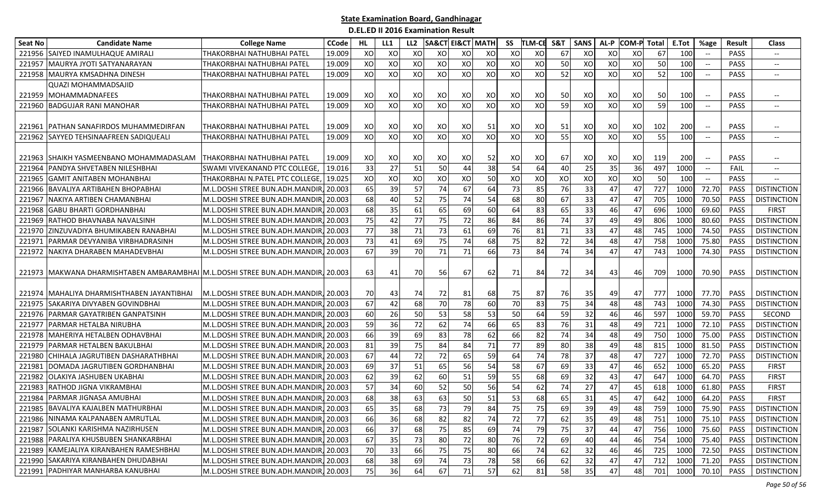| <b>Seat No</b> | <b>Candidate Name</b>                                                           | <b>College Name</b>                                              | <b>CCode</b>     | HL       | LL1      | LL <sub>2</sub> |          | <b>SA&amp;CT EI&amp;CT MATH</b> |          | SS       | <b>TLM-CE</b> | S&T       | <b>SANS</b> | AL-P     | <b>COM-P</b> | Total | E.Tot        | %age                                                | Result              | <b>Class</b>             |
|----------------|---------------------------------------------------------------------------------|------------------------------------------------------------------|------------------|----------|----------|-----------------|----------|---------------------------------|----------|----------|---------------|-----------|-------------|----------|--------------|-------|--------------|-----------------------------------------------------|---------------------|--------------------------|
| 221956         | SAIYED INAMULHAQUE AMIRALI                                                      | THAKORBHAI NATHUBHAI PATEL                                       | 19.009           | XO       | XO       | XO              | XO       | XO                              | XO       | XO       | XO            | 67        | XO          | XO       | XO           | 67    | 100          |                                                     | <b>PASS</b>         | $\overline{\phantom{a}}$ |
| 221957         | MAURYA JYOTI SATYANARAYAN                                                       | THAKORBHAI NATHUBHAI PATEL                                       | 19.009           | XO       | XO       | XO              | XO       | XO                              | XO       | XO       | XO            | 50        | XO          | XO       | XO           | 50    | 100          | $\hspace{0.05cm} -\hspace{0.05cm} -\hspace{0.05cm}$ | PASS                | $\overline{\phantom{a}}$ |
| 221958         | MAURYA KMSADHNA DINESH                                                          | THAKORBHAI NATHUBHAI PATEL                                       | 19.009           | XO       | XO       | XO              | XO       | XO                              | XO       | XO       | XO            | 52        | XO          | XO       | XO           | 52    | 100          | $\hspace{0.05cm} -\hspace{0.05cm} -\hspace{0.05cm}$ | <b>PASS</b>         | $\overline{\phantom{a}}$ |
|                | <b>QUAZI MOHAMMADSAJID</b>                                                      |                                                                  |                  |          |          |                 |          |                                 |          |          |               |           |             |          |              |       |              |                                                     |                     |                          |
| 221959         | MOHAMMADNAFEES                                                                  | THAKORBHAI NATHUBHAI PATEL                                       | 19.009           | XO       | XO       | XO              | XO       | xol                             | XO       | XO       | XO            | 50        | XO          | XO       | XO           | 50    | 100          | $\hspace{0.05cm} -\hspace{0.05cm} -\hspace{0.05cm}$ | PASS                |                          |
| 221960         | <b>BADGUJAR RANI MANOHAR</b>                                                    | THAKORBHAI NATHUBHAI PATEL                                       | 19.009           | XO       | XO       | XO              | XO       | XO                              | XO       | XO       | XO            | 59        | XO          | XO       | XO           | 59    | 100          |                                                     | <b>PASS</b>         | $\overline{\phantom{a}}$ |
|                | 221961 PATHAN SANAFIRDOS MUHAMMEDIRFAN                                          | THAKORBHAI NATHUBHAI PATEL                                       | 19.009           | XO       | XO       | XO              | XO       | XO                              | 51       | XO       | XO            | 51        | XO          | XO       | XO           | 102   | 200          | $-\hbox{--}$                                        | PASS                | $\overline{\phantom{a}}$ |
|                | 221962 SAYYED TEHSINAAFREEN SADIQUEALI                                          | THAKORBHAI NATHUBHAI PATEL                                       | 19.009           | XO       | XO       | XO              | XO       | XO                              | xol      | XO       | XO            | 55        | XO          | XO       | XO           | 55    | 100          | $\hspace{0.05cm} \ldots$                            | PASS                | $\overline{\phantom{a}}$ |
|                | 221963 SHAIKH YASMEENBANO MOHAMMADASLAM                                         | THAKORBHAI NATHUBHAI PATEL                                       | 19.009           | XO       | XO       | XO              | XO       | XO                              | 52       | XO       | XO            | 67        | XO          | XO       | XO           | 119   | 200          | $\hspace{0.1mm}-\hspace{0.1mm}-\hspace{0.1mm}$      | <b>PASS</b>         |                          |
| 221964         | PANDYA SHVETABEN NILESHBHAI                                                     | SWAMI VIVEKANAND PTC COLLEGE,                                    | 19.016           | 33       | 27       | 51              | 50       | 44                              | 38       | 54       | 64            | 40        | 25          | 35       | 36           | 497   | 1000         | $\overline{\phantom{a}}$                            | <b>FAIL</b>         | $\hspace{0.05cm} \ldots$ |
| 221965         | <b>GAMIT ANITABEN MOHANBHAI</b>                                                 | THAKORBHAI N.PATEL PTC COLLEGE,                                  | 19.025           | XO       | XO       | XO              | XO       | XO                              | 50       | XO       | XO            | XO        | XO          | XO       | XO           | 50    | 100          | $\overline{\phantom{a}}$                            | <b>PASS</b>         | $\overline{\phantom{a}}$ |
|                | BAVALIYA ARTIBAHEN BHOPABHAI                                                    |                                                                  |                  |          |          |                 |          | 67                              | 64       |          |               |           |             | 47       |              | 727   |              |                                                     |                     |                          |
| 221966         | NAKIYA ARTIBEN CHAMANBHAI                                                       | M.L.DOSHI STREE BUN.ADH.MANDIR                                   | 20.003           | 65       | 39<br>40 | 57              | 74       | 74                              | 54       | 73<br>68 | 85            | 76<br>67  | 33<br>33    |          | 47           | 705   | 1000         | 72.70                                               | <b>PASS</b>         | <b>DISTINCTION</b>       |
| 221967         | <b>GABU BHARTI GORDHANBHAI</b>                                                  | M.L.DOSHI STREE BUN.ADH.MANDIR                                   | 20.003           | 68<br>68 |          | 52              | 75       | 69                              |          |          | 80            |           |             | 47       | 47           | 696   | 1000         | 70.50<br>69.60                                      | <b>PASS</b><br>PASS | <b>DISTINCTION</b>       |
| 221968         | RATHOD BHAVNABA NAVALSINH                                                       | M.L.DOSHI STREE BUN.ADH.MANDIR                                   | 20.003<br>20.003 | 75       | 35<br>42 | 61<br>77        | 65<br>75 | 72                              | 60<br>86 | 64<br>84 | 83<br>86      | 65<br>74  | 33<br>37    | 46       | 47<br>49     | 806   | 1000<br>1000 | 80.60                                               | PASS                | <b>FIRST</b>             |
| 221969         |                                                                                 | M.L.DOSHI STREE BUN.ADH.MANDIR<br>M.L.DOSHI STREE BUN.ADH.MANDIR |                  | 77       |          |                 |          | 61                              |          |          |               | 71        |             | 49<br>47 |              | 745   |              | 74.50                                               |                     | <b>DISTINCTION</b>       |
| 221970         | ZINZUVADIYA BHUMIKABEN RANABHAI                                                 |                                                                  | 20.003           |          | 38       | 71              | 73       |                                 | 69       | 76       | 81            |           | 33          |          | 48           | 758   | 1000         |                                                     | PASS                | <b>DISTINCTION</b>       |
| 221971         | PARMAR DEVYANIBA VIRBHADRASINH                                                  | M.L.DOSHI STREE BUN.ADH.MANDIR                                   | 20.003           | 73       | 41       | 69              | 75       | 74                              | 68       | 75       | 82            | 72        | 34          | 48       | 47           |       | 1000         | 75.80                                               | PASS                | <b>DISTINCTION</b>       |
| 221972         | NAKIYA DHARABEN MAHADEVBHAI                                                     | M.L.DOSHI STREE BUN.ADH.MANDIR                                   | 20.003           | 67       | 39       | 70              | 71       | 71                              | 66       | 73       | 84            | 74        | 34          | 47       | 47           | 743   | 1000         | 74.30                                               | PASS                | <b>DISTINCTION</b>       |
|                | 221973 MAKWANA DHARMISHTABEN AMBARAMBHAI M.L.DOSHI STREE BUN.ADH.MANDIR, 20.003 |                                                                  |                  | 63       | 41       | 70              | 56       | 67                              | 62       | 71       | 84            | <b>72</b> | 34          | 43       | 46           | 709   | 1000         | 70.90                                               | PASS                | <b>DISTINCTION</b>       |
|                | 221974   MAHALIYA DHARMISHTHABEN JAYANTIBHAI                                    | M.L.DOSHI STREE BUN.ADH.MANDIR, 20.003                           |                  | 70       | 43       | 74              | 72       | 81                              | 68       | 75       | 87            | 76        | 35          | 49       | 47           | 777   | 1000         | 77.70                                               | <b>PASS</b>         | <b>DISTINCTION</b>       |
| 221975         | SAKARIYA DIVYABEN GOVINDBHAI                                                    | M.L.DOSHI STREE BUN.ADH.MANDIR                                   | 20.003           | 67       | 42       | 68              | 70       | 78                              | 60       | 70       | 83            | 75        | 34          | 48       | 48           | 743   | 1000         | 74.30                                               | PASS                | <b>DISTINCTION</b>       |
| 221976         | PARMAR GAYATRIBEN GANPATSINH                                                    | M.L.DOSHI STREE BUN.ADH.MANDIR                                   | 20.003           | 60       | 26       | 50              | 53       | 58                              | 53       | 50       | 64            | 59        | 32          | 46       | 46           | 597   | 1000         | 59.70                                               | PASS                | SECOND                   |
| 221977         | PARMAR HETALBA NIRUBHA                                                          | M.L.DOSHI STREE BUN.ADH.MANDIR                                   | 20.003           | 59       | 36       | 72              | 62       | 74                              | 66       | 65       | 83            | 76        | 31          | 48       | 49           | 721   | 1000         | 72.10                                               | PASS                | <b>DISTINCTION</b>       |
| 221978         | MAHERIYA HETALBEN ODHAVBHAI                                                     | M.L.DOSHI STREE BUN.ADH.MANDIR,                                  | 20.003           | 66       | 39       | 69              | 83       | 78                              | 62       | 66       | 82            | 74        | 34          | 48       | 49           | 750   | 1000         | 75.00                                               | PASS                | <b>DISTINCTION</b>       |
| 221979         | PARMAR HETALBEN BAKULBHAI                                                       | M.L.DOSHI STREE BUN.ADH.MANDIR                                   | 20.003           | 81       | 39       | 75              | 84       | 84                              | 71       | 77       | 89            | 80        | 38          | 49       | 48           | 815   | 1000         | 81.50                                               | PASS                | <b>DISTINCTION</b>       |
| 221980         | CHIHALA JAGRUTIBEN DASHARATHBHAI                                                | M.L.DOSHI STREE BUN.ADH.MANDIR,                                  | 20.003           | 67       | 44       | 72              | 72       | 65                              | 59       | 64       | 74            | 78        | 37          | 48       | 47           | 727   | 1000         | 72.70                                               | PASS                | <b>DISTINCTION</b>       |
| 221981         | DOMADA JAGRUTIBEN GORDHANBHAI                                                   | M.L.DOSHI STREE BUN.ADH.MANDIR                                   | 20.003           | 69       | 37       | 51              | 65       | 56                              | 54       | 58       | 67            | 69        | 33          | 47       | 46           | 652   | 1000         | 65.20                                               | PASS                | <b>FIRST</b>             |
| 221982         | OLAKIYA JASHUBEN UKABHAI                                                        | M.L.DOSHI STREE BUN.ADH.MANDIR                                   | 20.003           | 62       | 39       | 62              | 60       | 51                              | 59       | 55       | 68            | 69        | 32          | 43       | 47           | 647   | 1000         | 64.70                                               | PASS                | <b>FIRST</b>             |
| 221983         | RATHOD JIGNA VIKRAMBHAI                                                         | M.L.DOSHI STREE BUN.ADH.MANDIR                                   | 20.003           | 57       | 34       | 60              | 52       | 50                              | 56       | 54       | 62            | 74        | 27          | 47       | 45           | 618   | 1000         | 61.80                                               | PASS                | <b>FIRST</b>             |
|                | 221984 PARMAR JIGNASA AMUBHAI                                                   | M.L.DOSHI STREE BUN.ADH.MANDIR, 20.003                           |                  | 68       | 38       | 63              | 63       | 50                              | 51       | 53       | 68            | 65        | 31          | 45       | 47           | 642   | 1000         | 64.20                                               | PASS                | <b>FIRST</b>             |
|                | 221985 BAVALIYA KAJALBEN MATHURBHAI                                             | M.L.DOSHI STREE BUN.ADH.MANDIR, 20.003                           |                  | 65       | 35       | 68              | 73       | 79                              | 84       | 75       | 75            | 69        | 39          | 49       | 48           | 759   |              | 1000 75.90                                          | PASS                | <b>DISTINCTION</b>       |
|                | 221986 NINAMA KALPANABEN AMRUTLAL                                               | M.L.DOSHI STREE BUN.ADH.MANDIR, 20.003                           |                  | 66       | 36       | 68              | 82       | 82                              | 74       | 72       | 77            | 62        | 35          | 49       | 48           | 751   | 1000         | 75.10                                               | PASS                | <b>DISTINCTION</b>       |
|                | 221987 SOLANKI KARISHMA NAZIRHUSEN                                              | M.L.DOSHI STREE BUN.ADH.MANDIR, 20.003                           |                  | 66       | 37       | 68              | 75       | 85                              | 69       | 74       | 79            | 75        | 37          | 44       | 47           | 756   | 1000         | 75.60                                               | PASS                | <b>DISTINCTION</b>       |
|                | 221988 PARALIYA KHUSBUBEN SHANKARBHAI                                           | M.L.DOSHI STREE BUN.ADH.MANDIR, 20.003                           |                  | 67       | 35       | 73              | 80       | 72                              | 80       | 76       | 72            | 69        | 40          | 44       | 46           | 754   | 1000         | 75.40                                               | PASS                | <b>DISTINCTION</b>       |
|                | 221989 KAMEJALIYA KIRANBAHEN RAMESHBHAI                                         | M.L.DOSHI STREE BUN.ADH.MANDIR, 20.003                           |                  | 70       | 33       | 66              | 75       | 75                              | 80       | 66       | 74            | 62        | 32          | 46       | 46           | 725   | 1000         | 72.50                                               | PASS                | <b>DISTINCTION</b>       |
|                | 221990 SAKARIYA KIRANBAHEN DHUDABHAI                                            | M.L.DOSHI STREE BUN.ADH.MANDIR, 20.003                           |                  | 68       | 38       | 69              | 74       | 73                              | 78       | 58       | 66            | 62        | 32          | 47       | 47           | 712   | 1000         | 71.20                                               | PASS                | <b>DISTINCTION</b>       |
|                | 221991 PADHIYAR MANHARBA KANUBHAI                                               | M.L.DOSHI STREE BUN.ADH.MANDIR, 20.003                           |                  | 75       | 36       | 64              | 67       | 71                              | 57       | 62       | 81            | 58        | 35          | 47       | 48           | 701   | 1000         | 70.10                                               | PASS                | <b>DISTINCTION</b>       |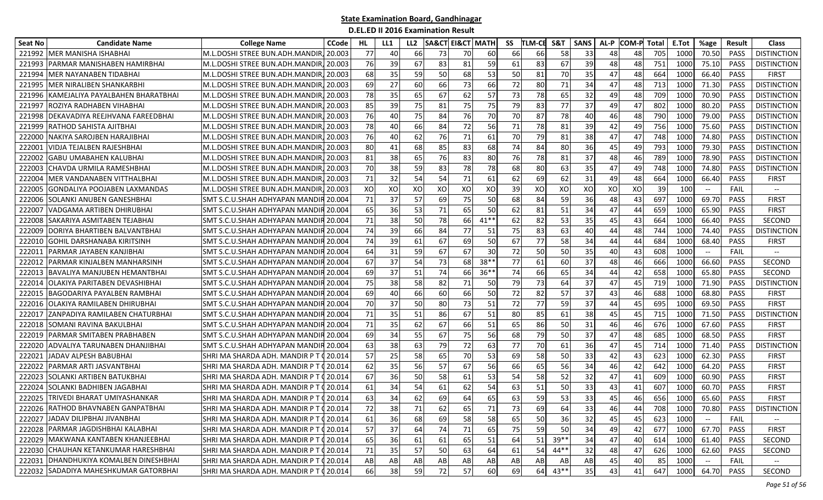| Seat No | <b>Candidate Name</b>                  | <b>College Name</b>                     | CCode    | HL. | LL1 | LL <sub>2</sub> | SA&CT | <b>EI&amp;CT MATH</b> |                        | SS | TLM-CE | S&T    | <b>SANS</b> | AL-P | <b>COM-P Total</b> |     | E.Tot | %age                          | Result      | <b>Class</b>             |
|---------|----------------------------------------|-----------------------------------------|----------|-----|-----|-----------------|-------|-----------------------|------------------------|----|--------|--------|-------------|------|--------------------|-----|-------|-------------------------------|-------------|--------------------------|
| 221992  | MER MANISHA ISHABHAI                   | M.L.DOSHI STREE BUN.ADH.MANDIR          | 20.003   | 77  | 40  | 66              | 73    | 70                    | 60                     | 66 | 66     | 58     | 33          | 48   | 48                 | 705 | 1000  | 70.50                         | <b>PASS</b> | <b>DISTINCTION</b>       |
| 22199   | PARMAR MANISHABEN HAMIRBHAI            | M.L.DOSHI STREE BUN.ADH.MANDIR          | 20.003   | 76  | 39  | 67              | 83    | 81                    | 59                     | 61 | 83     | 67     | 39          | 48   | 48                 | 751 | 1000  | 75.10                         | PASS        | <b>DISTINCTION</b>       |
| 221994  | MER NAYANABEN TIDABHAI                 | M.L.DOSHI STREE BUN.ADH.MANDIR.         | 20.003   | 68  | 35  | 59              | 50    | 68                    | 53                     | 50 | 81     | 70     | 35          | 47   | 48                 | 664 | 1000  | 66.40                         | <b>PASS</b> | <b>FIRST</b>             |
| 221995  | <b>MER NIRALIBEN SHANKARBHI</b>        | M.L.DOSHI STREE BUN.ADH.MANDIR, 20.003  |          | 69  | 27  | 60              | 66    | 73                    | 66                     | 72 | 80     | 71     | 34          | 47   | 48                 | 713 | 1000  | 71.30                         | <b>PASS</b> | <b>DISTINCTION</b>       |
| 221996  | KAMEJALIYA PAYALBAHEN BHARATBHAI       | M.L.DOSHI STREE BUN.ADH.MANDIR, 20.003  |          | 78  | 35  | 65              | 67    | 62                    | 57                     | 73 | 78     | 65     | 32          | 49   | 48                 | 709 | 1000  | 70.90                         | <b>PASS</b> | <b>DISTINCTION</b>       |
| 22199   | ROZIYA RADHABEN VIHABHAI               | M.L.DOSHI STREE BUN.ADH.MANDIR, 20.003  |          | 85  | 39  | 75              | 81    | 75                    | 75                     | 79 | 83     | 77     | 37          | 49   | 47                 | 802 | 1000  | 80.20                         | <b>PASS</b> | <b>DISTINCTION</b>       |
| 221998  | DEKAVADIYA REEJHVANA FAREEDBHAI        | M.L.DOSHI STREE BUN.ADH.MANDIR,         | 20.003   | 76  | 40  | 75              | 84    | 76                    | 70                     | 70 | 87     | 78     | 40          | 46   | 48                 | 790 | 1000  | 79.00                         | <b>PASS</b> | <b>DISTINCTION</b>       |
| 221999  | RATHOD SAHISTA AJITBHAI                | M.L.DOSHI STREE BUN.ADH.MANDIR,         | 20.003   | 78  | 40  | 66              | 84    | 72                    | 56                     | 71 | 78     | 81     | 39          | 42   | 49                 | 756 | 1000  | 75.60                         | <b>PASS</b> | <b>DISTINCTION</b>       |
| 22200   | NAKIYA SAROJBEN HARAJIBHAI             | M.L.DOSHI STREE BUN.ADH.MANDIR.         | 20.003   | 76  | 40  | 62              | 76    | 71                    | 61                     | 70 | 79     | 81     | 38          | 47   | 47                 | 748 | 1000  | 74.80                         | PASS        | <b>DISTINCTION</b>       |
| 22200   | VIDJA TEJALBEN RAJESHBHAI              | M.L.DOSHI STREE BUN.ADH.MANDIR,         | 20.003   | 80  | 41  | 68              | 85    | 83                    | 68                     | 74 | 84     | 80     | 36          | 45   | 49                 | 793 | 1000  | 79.30                         | PASS        | <b>DISTINCTION</b>       |
| 22200   | <b>GABU UMABAHEN KALUBHAI</b>          | M.L.DOSHI STREE BUN.ADH.MANDIR.         | 20.003   | 81  | 38  | 65              | 76    | 83                    | 80                     | 76 | 78     | 81     | 37          | 48   | 46                 | 789 | 1000  | 78.90                         | <b>PASS</b> | <b>DISTINCTION</b>       |
| 222003  | ICHAVDA URMILA RAMESHBHAI              | M.L.DOSHI STREE BUN.ADH.MANDIR. 20.003  |          | 70  | 38  | 59              | 83    | 78                    | 78                     | 68 | 80     | 63     | 35          | 47   | 49                 | 748 | 1000  | 74.80                         | <b>PASS</b> | <b>DISTINCTION</b>       |
| 222004  | MER VANDANABEN VITTHALBHAI             | M.L.DOSHI STREE BUN.ADH.MANDIR, 20.003  |          | 71  | 32  | 54              | 54    | 71                    | 61                     | 62 | 69     | 62     | 31          | 49   | 48                 | 664 | 1000  | 66.40                         | PASS        | <b>FIRST</b>             |
| 222005  | <b>GONDALIYA POOJABEN LAXMANDAS</b>    | M.L.DOSHI STREE BUN.ADH.MANDIR.         | 20.003   | XO  | XO  | XO              | XO    | XO                    | XO                     | 39 | XO     | XO     | XO          | XO   | XO                 | 39  | 100   | $\overline{\phantom{a}}$      | <b>FAIL</b> | $\overline{\phantom{a}}$ |
| 222006  | <b>SOLANKI ANUBEN GANESHBHAI</b>       | SMT S.C.U.SHAH ADHYAPAN MANDIR          | 20.004   | 71  | 37  | 57              | 69    | 75                    | 50                     | 68 | 84     | 59     | 36          | 48   | 43                 | 697 | 1000  | 69.70                         | PASS        | <b>FIRST</b>             |
| 222007  | VADGAMA ARTIBEN DHIRUBHAI              | SMT S.C.U.SHAH ADHYAPAN MANDIR          | 20.004   | 65  | 36  | 53              | 71    | 65                    | 50                     | 62 | 81     | 51     | 34          | 47   | 44                 | 659 | 1000  | 65.90                         | PASS        | <b>FIRST</b>             |
| 22200   | SAKARIYA ASMITABEN TEJABHAI            | <b>SMT S.C.U.SHAH ADHYAPAN MANDI</b>    | 20.004   | 71  | 38  | 50              | 78    | <b>66</b>             | $41**$                 | 62 | 82     | 53     | 35          | 45   | 43                 | 664 | 1000  | 66.40                         | PASS        | SECOND                   |
| 222009  | DORIYA BHARTIBEN BALVANTBHAI           | SMT S.C.U.SHAH ADHYAPAN MANDI           | 20.004   | 74  | 39  | 66              | 84    | 77                    | 51                     | 75 | 83     | 63     | 40          | 44   | 48                 | 744 | 1000  | 74.40                         | <b>PASS</b> | <b>DISTINCTION</b>       |
| 222010  | <b>GOHIL DARSHANABA KIRITSINH</b>      | <b>SMT S.C.U.SHAH ADHYAPAN MANDI</b>    | 20.004   | 74  | 39  | 61              | 67    | 69                    | 50                     | 67 | 77     | 58     | 34          | 44   | 44                 | 684 | 1000  | 68.40                         | PASS        | <b>FIRST</b>             |
| 222011  | <b> PARMAR JAYABEN KANJIBHAI</b>       | SMT S.C.U.SHAH ADHYAPAN MANDIR 20.004   |          | 64  | 31  | 59              | 67    | 67                    | 30                     | 72 | 50     | 50     | 35          | 40   | 43                 | 608 | 1000  | $\hspace{0.05cm} \textbf{--}$ | FAIL        | $\hspace{0.05cm} \ldots$ |
| 222012  | PARMAR KINJALBEN MANHARSINH            | SMT S.C.U.SHAH ADHYAPAN MANDIR 20.004   |          | 67  | 37  | 54              | 73    | 68                    | $38*$                  | 77 | 61     | 60     | 37          | 48   | 46                 | 666 | 1000  | 66.60                         | <b>PASS</b> | SECOND                   |
| 222013  | <b>BAVALIYA MANJUBEN HEMANTBHAI</b>    | SMT S.C.U.SHAH ADHYAPAN MANDIR 20.004   |          | 69  | 37  | 51              | 74    | 66                    | $36*$                  | 74 | 66     | 65     | 34          | 44   | 42                 | 658 | 1000  | 65.80                         | PASS        | SECOND                   |
| 22201   | OLAKIYA PARITABEN DEVASHIBHAI          | SMT S.C.U.SHAH ADHYAPAN MANDIR          | 20.004   | 75  | 38  | 58              | 82    | 71                    | 50                     | 79 | 73     | 64     | 37          | 47   | 45                 | 719 | 1000  | 71.90                         | <b>PASS</b> | <b>DISTINCTION</b>       |
| 22201   | BAGODARIYA PAYALBEN RAMBHAI            | SMT S.C.U.SHAH ADHYAPAN MANDIR 20.004   |          | 69  | 40  | 66              | 60    | 66                    | 50                     | 72 | 82     | 57     | 37          | 43   | 46                 | 688 | 1000  | 68.80                         | <b>PASS</b> | <b>FIRST</b>             |
| 222016  | OLAKIYA RAMILABEN DHIRUBHAI            | SMT S.C.U.SHAH ADHYAPAN MANDI           | 20.004   | 70  | 37  | 50              | 80    | 73                    | 51                     | 72 | 77     | 59     | 37          | 44   | 45                 | 695 | 1000  | 69.50                         | PASS        | <b>FIRST</b>             |
| 22201   | ZANPADIYA RAMILABEN CHATURBHAI         | <b>SMT S.C.U.SHAH ADHYAPAN MANDI</b>    | 20.004   | 71  | 35  | 51              | 86    | 67                    | 51                     | 80 | 85     | 61     | 38          | 45   | 45                 | 715 | 1000  | 71.50                         | <b>PASS</b> | <b>DISTINCTION</b>       |
| 222018  | <b>SOMANI RAVINA BAKULBHAI</b>         | SMT S.C.U.SHAH ADHYAPAN MANDIR 20.004   |          | 71  | 35  | 62              | 67    | 66                    | 51                     | 65 | 86     | 50     | 31          | 46   | 46                 | 676 | 1000  | 67.60                         | <b>PASS</b> | FIRST                    |
| 222019  | IPARMAR SMITABEN PRABHABEN             | SMT S.C.U.SHAH ADHYAPAN MANDIR 20.004   |          | 69  | 34  | 55              | 67    | 75                    | 56                     | 68 | 79     | 50     | 37          | 47   | 48                 | 685 | 1000  | 68.50                         | PASS        | <b>FIRST</b>             |
| 222020  | ADVALIYA TARUNABEN DHANJIBHAI          | SMT S.C.U.SHAH ADHYAPAN MANDIR 20.004   |          | 63  | 38  | 63              | 79    | 72                    | 63                     | 77 | 70     | 61     | 36          | 47   | 45                 | 714 | 1000  | 71.40                         | PASS        | <b>DISTINCTION</b>       |
| 22202   | JADAV ALPESH BABUBHAI                  | SHRI MA SHARDA ADH. MANDIR P T          | 20.014   | 57  | 25  | 58              | 65    | 70                    | 53                     | 69 | 58     | 50     | 33          | 42   | 43                 | 623 | 1000  | 62.30                         | PASS        | <b>FIRST</b>             |
| 222022  | PARMAR ARTI JASVANTBHAI                | SHRI MA SHARDA ADH. MANDIR P T          | 20.014   | 62  | 35  | 56              | 57    | 67                    | 56                     | 66 | 65     | 56     | 34          | 46   | 42                 | 642 | 1000  | 64.20                         | PASS        | <b>FIRST</b>             |
| 22202   | SOLANKI ARTIBEN BATUKBHAI              | SHRI MA SHARDA ADH. MANDIR P T          | 20.014   | 67  | 36  | 50              | 58    | 61                    | 53                     | 54 | 58     | 52     | 32          | 47   | 41                 | 609 | 1000  | 60.90                         | PASS        | <b>FIRST</b>             |
| 222024  | SOLANKI BADHIBEN JAGABHAI              | SHRI MA SHARDA ADH. MANDIR P T          | 20.014   | 61  | 34  | 54              | 61    | 62                    | 54                     | 63 | 51     | 50     | 33          | 43   | 41                 | 607 | 1000  | 60.70                         | PASS        | <b>FIRST</b>             |
|         | 222025 TRIVEDI BHARAT UMIYASHANKAR     | SHRI MA SHARDA ADH. MANDIR P T          | 20.014   | 63  | 34  | 62              | 69    | 64                    | 65                     | 63 | 59     | 53     | 33          | 45   | 46                 | 656 | 1000  | 65.60                         | PASS        | <b>FIRST</b>             |
|         | 222026 RATHOD BHAVNABEN GANPATBHAI     | SHRI MA SHARDA ADH. MANDIR P T 0 20.014 |          | 72  | 38  | 71              | 62    | 65                    | 71                     | 73 | 69     | 64     | 33          | 46   | 44                 | 708 | 1000  | 70.80                         | PASS        | <b>DISTINCTION</b>       |
|         | 222027 JADAV DILIPBHAI JIVANBHAI       | SHRI MA SHARDA ADH. MANDIR P T (20.014  |          | 61  | 36  | 68              | 69    | 58                    | 58                     | 65 | 50     | 36     | 32          | 45   | 45                 | 623 | 1000  |                               | <b>FAIL</b> |                          |
|         | 222028 PARMAR JAGDISHBHAI KALABHAI     | SHRI MA SHARDA ADH. MANDIR P T (20.014  |          | 57  | 37  | 64              | 74    | $71\,$                | 65                     | 75 | 59     | 50     | 34          | 49   | 42                 | 677 | 1000  | 67.70                         | PASS        | <b>FIRST</b>             |
|         | 222029 MAKWANA KANTABEN KHANJEEBHAI    | SHRI MA SHARDA ADH. MANDIR P T (20.014  |          | 65  | 36  | 61              | 61    | 65                    | 51                     | 64 | 51     | $39**$ | 34          | 47   | 40                 | 614 | 1000  | 61.40                         | PASS        | SECOND                   |
|         | 222030 CHAUHAN KETANKUMAR HARESHBHAI   | SHRI MA SHARDA ADH. MANDIR PT (20.014   |          | 71  | 35  | 57              | 50    | 63                    | 64                     | 61 | 54     | $44**$ | 32          | 48   | 47                 | 626 | 1000  | 62.60                         | PASS        | SECOND                   |
|         | 222031 DHANDHUKIYA KOMALBEN DINESHBHAI | SHRI MA SHARDA ADH. MANDIR PT (20.014   |          | AB  | AB  | AB              | AB    | AB                    | $\mathsf{A}\mathsf{B}$ | AB | AB     | AB     | AB          | 45   | 40                 | 85  | 1000  |                               | FAIL        | $\overline{\phantom{a}}$ |
|         | 222032 SADADIYA MAHESHKUMAR GATORBHAI  | SHRI MA SHARDA ADH. MANDIR P T          | (20.014) | 66  | 38  | 59              | 72    | 57                    | 60                     | 69 | 64     | $43**$ | 35          | 43   | 41                 | 647 | 1000  | 64.70                         | PASS        | SECOND                   |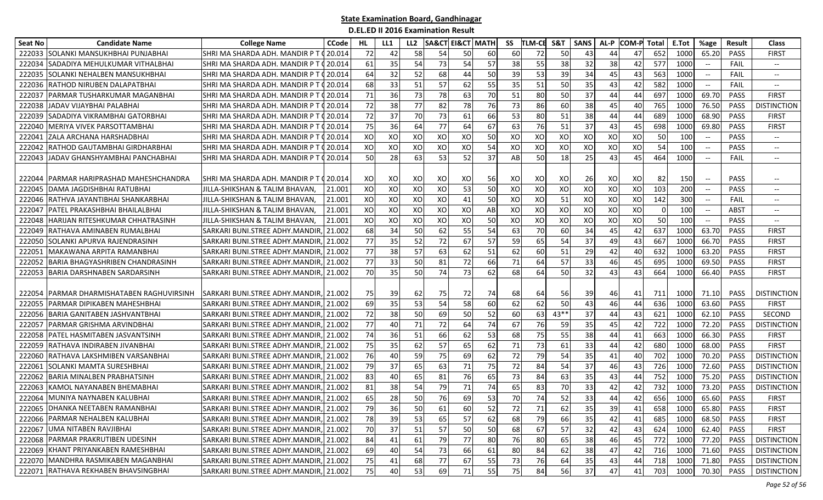| <b>Seat No</b> | <b>Candidate Name</b>                | <b>College Name</b>                     | <b>CCode</b>   | HL. | LL1 | LL <sub>2</sub> |    | <b>SA&amp;CT EI&amp;CT   MATH</b> |    | SS | <b>TLM-CE</b> | S&T    | <b>SANS</b> | AL-P | <b>COM-P</b> | Total | E.Tot           | %age                                                | <b>Result</b> | <b>Class</b>                      |
|----------------|--------------------------------------|-----------------------------------------|----------------|-----|-----|-----------------|----|-----------------------------------|----|----|---------------|--------|-------------|------|--------------|-------|-----------------|-----------------------------------------------------|---------------|-----------------------------------|
| 222033         | ISOLANKI MANSUKHBHAI PUNJABHAI       | SHRI MA SHARDA ADH. MANDIR P T          | 20.014         | 72  | 42  | 58              | 54 | 50                                | 60 | 60 | 72            | 50     | 43          | 44   | 47           | 652   | 1000            | 65.20                                               | <b>PASS</b>   | <b>FIRST</b>                      |
| 222034         | SADADIYA MEHULKUMAR VITHALBHAI       | SHRI MA SHARDA ADH. MANDIR P T          | 20.014         | 61  | 35  | 54              | 73 | 54                                | 57 | 38 | 55            | 38     | 32          | 38   | 42           | 577   | 1000            | $\hspace{0.05cm} \ldots$                            | FAIL          | $\overline{\phantom{a}}$          |
| 222035         | SOLANKI NEHALBEN MANSUKHBHAI         | SHRI MA SHARDA ADH. MANDIR P T          | 20.014         | 64  | 32  | 52              | 68 | 44                                | 50 | 39 | 53            | 39     | 34          | 45   | 43           | 563   | 1000            | $\overline{\phantom{a}}$                            | FAIL          | $\overline{\phantom{a}}$          |
| 222036         | RATHOD NIRUBEN DALAPATBHAI           | SHRI MA SHARDA ADH. MANDIR P T          | 20.014         | 68  | 33  | 51              | 57 | 62                                | 55 | 35 | 51            | 50     | 35          | 43   | 42           | 582   | 1000            | $\hspace{0.1mm}-\hspace{-0.1mm}-\hspace{-0.1mm}$    | FAIL          | $\hspace{0.05cm} \textbf{--}$     |
| 22203          | PARMAR TUSHARKUMAR MAGANBHAI         | SHRI MA SHARDA ADH. MANDIR P T ( 20.014 |                | 71  | 36  | 73              | 78 | 63                                | 70 | 51 | 80            | 50     | 37          | 44   | 44           | 697   | 1000            | 69.70                                               | <b>PASS</b>   | <b>FIRST</b>                      |
| 222038         | JADAV VIJAYBHAI PALABHAI             | SHRI MA SHARDA ADH. MANDIR PT           | <b>020.014</b> | 72  | 38  | 77              | 82 | 78                                | 76 | 73 | 86            | 60     | 38          | 45   | 40           | 765   | 1000            | 76.50                                               | <b>PASS</b>   | <b>DISTINCTION</b>                |
| 222039         | <b>SADADIYA VIKRAMBHAI GATORBHAI</b> | SHRI MA SHARDA ADH. MANDIR PT           | 120.014        | 72  | 37  | 70              | 73 | 61                                | 66 | 53 | 80            | 51     | 38          | 44   | 44           | 689   | 1000            | 68.90                                               | PASS          | <b>FIRST</b>                      |
| 222040         | MERIYA VIVEK PARSOTTAMBHAI           | SHRI MA SHARDA ADH. MANDIR P T          | 20.014         | 75  | 36  | 64              | 77 | 64                                | 67 | 63 | 76            | 51     | 37          | 43   | 45           | 698   | 1000            | 69.80                                               | <b>PASS</b>   | <b>FIRST</b>                      |
| 22204          | IZALA ARCHANA HARSHADBHAI            | SHRI MA SHARDA ADH. MANDIR PT           | 20.014         | XO  | XO  | XO              | XO | XO                                | 50 | XO | XO            | XO     | XO          | XO   | XO           | 50    | 100             | $\hspace{0.05cm} -\hspace{0.05cm} -\hspace{0.05cm}$ | PASS          | $\hspace{0.05cm} \dashrightarrow$ |
| 222042         | RATHOD GAUTAMBHAI GIRDHARBHAI        | SHRI MA SHARDA ADH. MANDIR P T          | 20.014         | XO  | XO  | XO              | XO | XO                                | 54 | XO | XO            | XO     | XO          | XO   | XO           | 54    | 10 <sub>C</sub> | $\overline{\phantom{a}}$                            | <b>PASS</b>   | $- -$                             |
| 222043         | JADAV GHANSHYAMBHAI PANCHABHAI       | SHRI MA SHARDA ADH. MANDIR P T          | 20.014         | 50  | 28  | 63              | 53 | 52                                | 37 | AB | 50            | 18     | 25          | 43   | 45           | 464   | 1000            |                                                     | FAIL          | --                                |
|                |                                      |                                         |                |     |     |                 |    |                                   |    |    |               |        |             |      |              |       |                 |                                                     |               |                                   |
| 222044         | PARMAR HARIPRASHAD MAHESHCHANDRA     | SHRI MA SHARDA ADH. MANDIR P T (20.014  |                | XO  | XO  | XO              | XO | XO                                | 56 | xo | XO            | XO     | 26          | XO   | XO           | 82    | 150             | $\hspace{0.1mm}-\hspace{-0.1mm}-\hspace{-0.1mm}$    | <b>PASS</b>   | $\overline{\phantom{a}}$          |
| 222045         | DAMA JAGDISHBHAI RATUBHAI            | JILLA-SHIKSHAN & TALIM BHAVAN,          | 21.001         | XO  | XO  | XO              | XO | 53                                | 50 | XO | XO            | XO     | XO          | XO   | XO           | 103   | 200             |                                                     | <b>PASS</b>   | --                                |
| 222046         | RATHVA JAYANTIBHAI SHANKARBHAI       | JILLA-SHIKSHAN & TALIM BHAVAN,          | 21.001         | XO  | XO  | XO              | XO | 41                                | 50 | XO | XO            | 51     | XO          | XO   | XO           | 142   | 300             |                                                     | FAIL          | $- -$                             |
| 222047         | PATEL PRAKASHBHAI BHAILALBHAI        | JILLA-SHIKSHAN & TALIM BHAVAN,          | 21.001         | XO  | XO  | XO              | XO | XO                                | AB | XO | XO            | XO     | XO          | XO   | XO           | - 0   | 100             | $-$                                                 | <b>ABST</b>   | --                                |
| 222048         | HARIJAN RITESHKUMAR CHHATRASINH      | JILLA-SHIKSHAN & TALIM BHAVAN.          | 21.001         | XO  | XO  | XO              | XO | XO                                | 50 | XO | XO            | XO     | XO          | XO   | XO           | 50    | 100             | $\hspace{0.05cm} -\hspace{0.05cm} -\hspace{0.05cm}$ | <b>PASS</b>   | $\overline{\phantom{a}}$          |
| 222049         | RATHAVA AMINABEN RUMALBHAI           | SARKARI BUNI.STREE ADHY.MANDIR          | 21.002         | 68  | 34  | 50              | 62 | 55                                | 54 | 63 | 70            | 60     | 34          | 45   | 42           | 637   | 1000            | 63.70                                               | PASS          | <b>FIRST</b>                      |
| 222050         | <b>SOLANKI APURVA RAJENDRASINH</b>   | SARKARI BUNI.STREE ADHY.MANDIR          | 21.002         | 77  | 35  | 52              | 72 | 67                                | 57 | 59 | 65            | 54     | 37          | 49   | 43           | 667   | 1000            | 66.70                                               | PASS          | <b>FIRST</b>                      |
| 22205          | MAKAWANA ARPITA RAMANBHAI            | SARKARI BUNI.STREE ADHY.MANDIR          | 21.002         | 77  | 38  | 57              | 63 | 62                                | 51 | 62 | 60            | 51     | 29          | 42   | 40           | 632   | 1000            | 63.20                                               | PASS          | <b>FIRST</b>                      |
| 222052         | BARIA BHAGYASHRIBEN CHANDRASINH      | SARKARI BUNI.STREE ADHY.MANDIR          | 21.002         | 77  | 33  | 50              | 81 | 72                                | 66 | 71 | 64            | 57     | 33          | 46   | 45           | 695   | 1000            | 69.50                                               | PASS          | <b>FIRST</b>                      |
| 222053         | BARIA DARSHNABEN SARDARSINH          | SARKARI BUNI.STREE ADHY.MANDIR          | 21.002         | 70  | 35  | 50              | 74 | 73                                | 62 | 68 | 64            | 50     | 32          | 43   | 43           | 664   | 1000            | 66.40                                               | PASS          | <b>FIRST</b>                      |
|                |                                      |                                         |                |     |     |                 |    |                                   |    |    |               |        |             |      |              |       |                 |                                                     |               |                                   |
| 222054         | PARMAR DHARMISHATABEN RAGHUVIRSINH   | SARKARI BUNI.STREE ADHY.MANDIR,  21.002 |                | 75  | 39  | 62              | 75 | 72                                | 74 | 68 | 64            | 56     | 39          | 46   | 41           | 711   | 1000            | 71.10                                               | <b>PASS</b>   | <b>DISTINCTION</b>                |
| 22205          | PARMAR DIPIKABEN MAHESHBHAI          | SARKARI BUNI.STREE ADHY.MANDIR          | 21.002         | 69  | 35  | 53              | 54 | 58                                | 60 | 62 | 62            | 50     | 43          | 46   | 44           | 636   | 1000            | 63.60                                               | <b>PASS</b>   | <b>FIRST</b>                      |
| 222056         | BARIA GANITABEN JASHVANTBHAI         | SARKARI BUNI.STREE ADHY.MANDIR          | 21.002         | 72  | 38  | 50              | 69 | 50                                | 52 | 60 | 63            | $43**$ | 37          | 44   | 43           | 621   | 1000            | 62.10                                               | PASS          | SECOND                            |
| 22205          | PARMAR GRISHMA ARVINDBHAI            | SARKARI BUNI.STREE ADHY.MANDIR          | 21.002         | 77  | 40  | 71              | 72 | 64                                | 74 | 67 | 76            | 59     | 35          | 45   | 42           | 722   | 100             | 72.20                                               | <b>PASS</b>   | <b>DISTINCTION</b>                |
| 222058         | PATEL HASMITABEN JASVANTSINH         | SARKARI BUNI.STREE ADHY.MANDIR          | 21.002         | 74  | 36  | 51              | 66 | 62                                | 53 | 68 | 75            | 55     | 38          | 44   | 41           | 663   | 1000            | 66.30                                               | PASS          | <b>FIRST</b>                      |
| 222059         | RATHAVA INDIRABEN JIVANBHAI          | SARKARI BUNI.STREE ADHY.MANDIR          | 21.002         | 75  | 35  | 62              | 57 | 65                                | 62 | 71 | 73            | 61     | 33          | 44   | 42           | 680   | 1000            | 68.00                                               | PASS          | <b>FIRST</b>                      |
| 222060         | RATHAVA LAKSHMIBEN VARSANBHAI        | SARKARI BUNI.STREE ADHY.MANDIR          | 21.002         | 76  | 40  | 59              | 75 | 69                                | 62 | 72 | 79            | 54     | 35          | 41   | 40           | 702   | 1000            | 70.20                                               | PASS          | <b>DISTINCTION</b>                |
| 22206          | SOLANKI MAMTA SURESHBHAI             | SARKARI BUNI.STREE ADHY.MANDIR          | 21.002         | 79  | 37  | 65              | 63 | 71                                | 75 | 72 | 84            | 54     | 37          | 46   | 43           | 726   | 1000            | 72.60                                               | PASS          | <b>DISTINCTION</b>                |
| 222062         | BARIA MINALBEN PRABHATSINH           | SARKARI BUNI.STREE ADHY.MANDIR          | 21.002         | 83  | 40  | 65              | 81 | 76                                | 65 | 73 | 84            | 63     | 35          | 43   | 44           | 752   | 1000            | 75.20                                               | <b>PASS</b>   | <b>DISTINCTION</b>                |
| 222063         | KAMOL NAYANABEN BHEMABHAI            | SARKARI BUNI.STREE ADHY.MANDIR          | 21.002         | 81  | 38  | 54              | 79 | 71                                | 74 | 65 | 83            | 70     | 33          | 42   | 42           | 732   | 1000            | 73.20                                               | PASS          | <b>DISTINCTION</b>                |
| 222064         | MUNIYA NAYNABEN KALUBHAI             | SARKARI BUNI.STREE ADHY.MANDIR          | 21.002         | 65  | 28  | 50              | 76 | 69                                | 53 | 70 | 74            | 52     | 33          | 44   | 42           | 656   | 1000            | 65.60                                               | PASS          | <b>FIRST</b>                      |
|                | 222065 DHANKA NEETABEN RAMANBHAI     | SARKARI BUNI.STREE ADHY.MANDIR, 21.002  |                | 79  | 36  | 50              | 61 | 60                                | 52 | 72 | 71            | 62     | 35          | -39  | 41           | 658   | 1000            | 65.80                                               | PASS          | <b>FIRST</b>                      |
|                | 222066 PARMAR NEHALBEN KALUBHAI      | SARKARI BUNI.STREE ADHY.MANDIR, 21.002  |                | 78  | 39  | 53              | 65 | 57                                | 62 | 68 | 79            | 66     | 35          | 42   | 41           | 685   | 1000            | 68.50                                               | PASS          | <b>FIRST</b>                      |
| 222067         | UMA NITABEN RAVJIBHAI                | SARKARI BUNI.STREE ADHY.MANDIR, 21.002  |                | 70  | 37  | 51              | 57 | 50                                | 50 | 68 | 67            | 57     | 32          | 42   | 43           | 624   | 1000            | 62.40                                               | PASS          | <b>FIRST</b>                      |
|                | 222068 PARMAR PRAKRUTIBEN UDESINH    | SARKARI BUNI.STREE ADHY.MANDIR, 21.002  |                | 84  | 41  | 61              | 79 | 77                                | 80 | 76 | 80            | 65     | 38          | 46   | 45           | 772   | 1000            | 77.20                                               | PASS          | <b>DISTINCTION</b>                |
|                | 222069 KHANT PRIYANKABEN RAMESHBHAI  | SARKARI BUNI.STREE ADHY.MANDIR, 21.002  |                | 69  | 40  | 54              | 73 | 66                                | 61 | 80 | 84            | 62     | 38          | 47   | 42           | 716   | 1000            | 71.60                                               | PASS          | <b>DISTINCTION</b>                |
|                | 222070 MANDHRA RASMIKABEN MAGANBHAI  | SARKARI BUNI.STREE ADHY.MANDIR, 21.002  |                | 75  | 41  | 68              | 77 | 67                                | 55 | 73 | 76            | 64     | 35          | 43   | 44           | 718   | 1000            | 71.80                                               | PASS          | <b>DISTINCTION</b>                |
|                | 222071 RATHAVA REKHABEN BHAVSINGBHAI | SARKARI BUNI.STREE ADHY.MANDIR, 21.002  |                | 75  | 40  | 53              | 69 | 71                                | 55 | 75 | 84            | 56     | 37          | 47   | 41           | 703   | 1000            | 70.30                                               | PASS          | <b>DISTINCTION</b>                |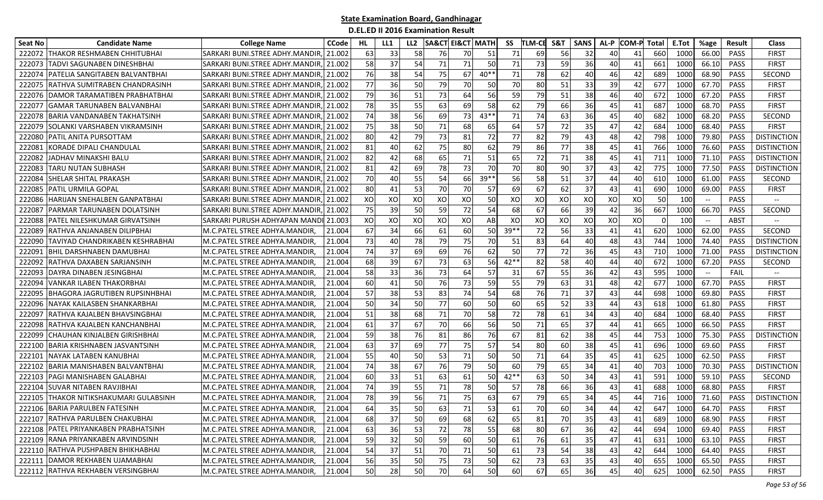| Seat No | <b>Candidate Name</b>                  | <b>College Name</b>                  | <b>CCode</b> | HL | LL1 | LL <sub>2</sub> | <b>SA&amp;CT EI&amp;CT MATH</b> |    |        | SS     | <b>TLM-CE</b> | S&T       | <b>SANS</b> | AL-P            | <b>COM-P</b> | Total | E.Tot           | %age                          | <b>Result</b> | <b>Class</b>             |
|---------|----------------------------------------|--------------------------------------|--------------|----|-----|-----------------|---------------------------------|----|--------|--------|---------------|-----------|-------------|-----------------|--------------|-------|-----------------|-------------------------------|---------------|--------------------------|
| 222072  | THAKOR RESHMABEN CHHITUBHAI            | ISARKARI BUNI.STREE ADHY.MANDIR      | 21.002       | 63 | 33  | 58              | 76                              | 70 | 51     | 71     | 69            | <b>56</b> | 32          | 40              | 41           | 660   | 1000            | 66.00                         | <b>PASS</b>   | <b>FIRST</b>             |
| 222073  | TADVI SAGUNABEN DINESHBHAI             | SARKARI BUNI.STREE ADHY.MANDIR       | 21.002       | 58 | 37  | 54              | 71                              | 71 | 50     | 71     | 73            | 59        | 36          | 40              | 41           | 661   | 1000            | 66.10                         | PASS          | <b>FIRST</b>             |
| 222074  | PATELIA SANGITABEN BALVANTBHAI         | SARKARI BUNI.STREE ADHY.MANDIR       | 21.002       | 76 | 38  | 54              | 75                              | 67 | $40**$ | 71     | 78            | 62        | 40          | 46              | 42           | 689   | 1000            | 68.90                         | PASS          | SECOND                   |
| 222075  | RATHVA SUMITRABEN CHANDRASINH          | SARKARI BUNI.STREE ADHY.MANDIR       | 21.002       | 77 | 36  | 50              | 79                              | 70 | 50     | 70     | 80            | 51        | 33          | 39              | 42           | 677   | 1000            | 67.70                         | PASS          | <b>FIRST</b>             |
| 222076  | IDAMOR TARAMATIBEN PRABHATBHAI         | ISARKARI BUNI.STREE ADHY.MANDIR      | 21.002       | 79 | 36  | 51              | 73                              | 64 | 56     | 59     | 79            | 51        | 38          | 46              | 40           | 672   | 1000            | 67.20                         | <b>PASS</b>   | <b>FIRST</b>             |
| 22207   | GAMAR TARUNABEN BALVANBHAI             | SARKARI BUNI.STREE ADHY.MANDIR       | 21.002       | 78 | 35  | 55              | 63                              | 69 | 58     | 62     | 79            | 66        | 36          | 45              | 41           | 687   | 1000            | 68.70                         | PASS          | <b>FIRST</b>             |
| 222078  | <b>BARIA VANDANABEN TAKHATSINH</b>     | SARKARI BUNI.STREE ADHY.MANDIR       | 21.002       | 74 | 38  | 56              | 69                              | 73 | $43**$ | 71     | 74            | 63        | 36          | 45              | 40           | 682   | 1000            | 68.20                         | PASS          | SECOND                   |
| 222079  | SOLANKI VARSHABEN VIKRAMSINH           | SARKARI BUNI.STREE ADHY.MANDIR       | 21.002       | 75 | 38  | 50              | 71                              | 68 | 65     | 64     | 57            | 72        | 35          | 47              | 42           | 684   | 1000            | 68.40                         | PASS          | <b>FIRST</b>             |
| 222080  | PATIL ANITA PURSOTTAM                  | SARKARI BUNI.STREE ADHY.MANDIR       | 21.002       | 80 | 42  | 79              | 73                              | 81 | 72     | 77     | 82            | 79        | 43          | 48              | 42           | 798   | 1000            | 79.80                         | <b>PASS</b>   | <b>DISTINCTION</b>       |
| 22208   | <b>CORADE DIPALI CHANDULAL</b>         | SARKARI BUNI.STREE ADHY.MANDIR       | 21.002       | 81 | 40  | 62              | 75                              | 80 | 62     | 79     | 86            | 77        | 38          | 45              | 41           | 766   | 1000            | 76.60                         | <b>PASS</b>   | <b>DISTINCTION</b>       |
| 22208   | ADHAV MINAKSHI BALU                    | SARKARI BUNI.STREE ADHY.MANDIR       | 21.002       | 82 | 42  | 68              | 65                              | 71 | 51     | 65     | 72            | 71        | 38          | 45              | 41           | 711   | 1000            | 71.10                         | PASS          | <b>DISTINCTION</b>       |
| 22208   | TARU NUTAN SUBHASH                     | SARKARI BUNI.STREE ADHY.MANDIR       | 21.002       | 81 | 42  | 69              | 78                              | 73 | 70     | 70     | 80            | 90        | 37          | 43 <sub>l</sub> | 42           | 775   | 1000            | 77.50                         | PASS          | <b>DISTINCTION</b>       |
| 222084  | ISHELAR SHITAL PRAKASH                 | ISARKARI BUNI.STREE ADHY.MANDIR      | 21.002       | 70 | 40  | 55              | 54                              | 66 | $39**$ | 56     | 58            | 51        | 37          | 44              | 40           | 610   | 1000            | 61.00                         | <b>PASS</b>   | SECOND                   |
| 222085  | PATIL URMILA GOPAL                     | SARKARI BUNI.STREE ADHY.MANDIR       | 21.002       | 80 | 41  | 53              | 70                              | 70 | 57     | 69     | 67            | 62        | 37          | 43              | 41           | 690   | 1000            | 69.00                         | PASS          | <b>FIRST</b>             |
| 222086  | HARIJAN SNEHALBEN GANPATBHAI           | SARKARI BUNI.STREE ADHY.MANDIR       | 21.002       | XO | XO  | XO              | XO                              | XO | 50     | XO     | XO            | XO        | XO          | XO              | XO           | 50    | 10 <sup>C</sup> | $\overline{\phantom{m}}$      | PASS          |                          |
| 22208   | PARMAR TARUNABEN DOLATSINH             | SARKARI BUNI.STREE ADHY.MANDIR       | 21.002       | 75 | 39  | 50              | 59                              | 72 | 54     | 68     | 67            | 66        | 39          | 42              | 36           | 667   | 1000            | 66.70                         | <b>PASS</b>   | SECOND                   |
| 222088  | PATEL NILESHKUMAR GIRVATSINH           | SARKARI PURUSH ADHYAPAN MANDI 21.003 |              | XO | XO  | XO              | XO                              | XO | AB     | XO     | XO            | XO        | XO          | XO              | XO           |       | 100             | $\hspace{0.05cm} \textbf{--}$ | ABST          | $\overline{\phantom{a}}$ |
| 222089  | RATHVA ANJANABEN DILIPBHAI             | M.C.PATEL STREE ADHYA.MANDIR,        | 21.004       | 67 | 34  | 66              | 61                              | 60 | 50     | 39**   | 72            | 56        | 33          | 41              | 41           | 620   | 1000            | 62.00                         | <b>PASS</b>   | <b>SECOND</b>            |
| 22209   | TAVIYAD CHANDRIKABEN KESHRABHAI        | M.C.PATEL STREE ADHYA.MANDIR,        | 21.004       | 73 | 40  | 78              | 79                              | 75 | 70     | 51     | 83            | 64        | 40          | 48              | 43           | 744   | 1000            | 74.40                         | <b>PASS</b>   | <b>DISTINCTION</b>       |
| 22209   | BHIL DARSHNABEN DAMUBHAI               | M.C.PATEL STREE ADHYA.MANDIR,        | 21.004       | 74 | 37  | 69              | 69                              | 76 | 62     | 50     | 77            | 72        | 36          | 45              | 43           | 710   | 1000            | 71.00                         | <b>PASS</b>   | <b>DISTINCTION</b>       |
| 222092  | RATHVA DAXABEN SARJANSINH              | M.C.PATEL STREE ADHYA.MANDIR,        | 21.004       | 68 | 39  | 67              | 73                              | 63 | 56     | $42**$ | 82            | 58        | 40          | 44              | 40           | 672   | 1000            | 67.20                         | <b>PASS</b>   | SECOND                   |
| 22209   | DAYRA DINABEN JESINGBHAI               | M.C.PATEL STREE ADHYA.MANDIR,        | 21.004       | 58 | 33  | 36              | 73                              | 64 | 57     | 31     | 67            | 55        | 36          | 42              | 43           | 595   | 1000            | $\overline{\phantom{a}}$      | FAIL          |                          |
| 22209   | VANKAR ILABEN THAKORBHAI               | M.C.PATEL STREE ADHYA.MANDIR,        | 21.004       | 60 | 41  | 50              | 76                              | 73 | 59     | 55     | 79            | 63        | 31          | 48              | 42           | 677   | 1000            | 67.70                         | PASS          | <b>FIRST</b>             |
| 22209   | IHAGORA JAGRUTIBEN RUPSINHBHAI         | M.C.PATEL STREE ADHYA.MANDIR,        | 21.004       | 57 | 38  | 53              | 83                              | 74 | 54     | 68     | 76            | 71        | 37          | 43              | 44           | 698   | 1000            | 69.80                         | PASS          | <b>FIRST</b>             |
| 22209   | NAYAK KAILASBEN SHANKARBHAI            | M.C.PATEL STREE ADHYA.MANDIR,        | 21.004       | 50 | 34  | 50              | 77                              | 60 | 50     | 60     | 65            | 52        | 33          | 44              | 43           | 618   | 1000            | 61.80                         | <b>PASS</b>   | <b>FIRST</b>             |
| 22209   | RATHVA KAJALBEN BHAVSINGBHAI           | M.C.PATEL STREE ADHYA.MANDIR,        | 21.004       | 51 | 38  | 68              | 71                              | 70 | 58     | 72     | 78            | 61        | 34          | 43              | 40           | 684   | 1000            | 68.40                         | PASS          | <b>FIRST</b>             |
| 222098  | RATHVA KAJALBEN KANCHANBHAI            | M.C.PATEL STREE ADHYA.MANDIR,        | 21.004       | 61 | 37  | 67              | 70                              | 66 | 56     | 50     | 71            | 65        | 37          | 44              | 41           | 665   | 1000            | 66.50                         | PASS          | <b>FIRST</b>             |
| 222099  | CHAUHAN KINJALBEN GIRISHBHAI           | M.C.PATEL STREE ADHYA.MANDIR,        | 21.004       | 59 | 38  | 76              | 81                              | 86 | 76     | 67     | 81            | 62        | 38          | 45              | 44           | 753   | 1000            | 75.30                         | <b>PASS</b>   | <b>DISTINCTION</b>       |
| 222100  | BARIA KRISHNABEN JASVANTSINH           | M.C.PATEL STREE ADHYA.MANDIR,        | 21.004       | 63 | 37  | 69              | 77                              | 75 | 57     | 54     | 80            | 60        | 38          | 45              | 41           | 696   | 1000            | 69.60                         | PASS          | <b>FIRST</b>             |
| 22210   | NAYAK LATABEN KANUBHAI                 | M.C.PATEL STREE ADHYA.MANDIR,        | 21.004       | 55 | 40  | 50              | 53                              | 71 | 50     | 50     | 71            | 64        | 35          | 45              | 41           | 625   | 1000            | 62.50                         | PASS          | <b>FIRST</b>             |
| 222102  | BARIA MANISHABEN BALVANTBHAI           | M.C.PATEL STREE ADHYA.MANDIR,        | 21.004       | 74 | 38  | 67              | 76                              | 79 | 50     | 60     | 79            | 65        | 34          | 41              | 40           | 703   | 1000            | 70.30                         | <b>PASS</b>   | <b>DISTINCTION</b>       |
| 222103  | PAGI MANISHABEN GALABHAI               | M.C.PATEL STREE ADHYA.MANDIR,        | 21.004       | 60 | 33  | 51              | 63                              | 61 | 50     | $42**$ | 63            | 50        | 34          | 43              | 41           | 591   | 1000            | 59.10                         | <b>PASS</b>   | SECOND                   |
| 222104  | <b>SUVAR NITABEN RAVJIBHAI</b>         | M.C.PATEL STREE ADHYA.MANDIR,        | 21.004       | 74 | 39  | 55              | 71                              | 78 | 50     | 57     | 78            | 66        | 36          | 43              | 41           | 688   | 1000            | 68.80                         | <b>PASS</b>   | <b>FIRST</b>             |
|         | 222105 THAKOR NITIKSHAKUMARI GULABSINH | M.C.PATEL STREE ADHYA.MANDIR,        | 21.004       | 78 | 39  | 56              | 71                              | 75 | 63     | 67     | 79            | 65        | 34          | 45              | 44           | 716   | 1000            | 71.60                         | PASS          | <b>DISTINCTION</b>       |
|         | 222106 BARIA PARULBEN FATESINH         | M.C.PATEL STREE ADHYA.MANDIR,        | 21.004       | 64 | 35  | 50              | 63                              | 71 | 53     | 61     | 70            | 60        | 34          | 44              | 42           | 647   | 1000            | 64.70                         | PASS          | <b>FIRST</b>             |
|         | 222107 RATHVA PARULBEN CHAKUBHAI       | M.C.PATEL STREE ADHYA.MANDIR,        | 21.004       | 68 | 37  | 50              | 69                              | 68 | 62     | 65     | 81            | 70        | 35          | 43              | 41           | 689   | 1000            | 68.90                         | PASS          | <b>FIRST</b>             |
|         | 222108 PATEL PRIYANKABEN PRABHATSINH   | M.C.PATEL STREE ADHYA.MANDIR,        | 21.004       | 63 | 36  | 53              | 72                              | 78 | 55     | 68     | 80            | 67        | 36          | 42              | 44           | 694   | 1000            | 69.40                         | PASS          | <b>FIRST</b>             |
|         | 222109 RANA PRIYANKABEN ARVINDSINH     | M.C.PATEL STREE ADHYA.MANDIR,        | 21.004       | 59 | 32  | 50              | 59                              | 60 | 50     | 61     | 76            | 61        | 35          | 47              | 41           | 631   | 1000            | 63.10                         | PASS          | <b>FIRST</b>             |
|         | 222110 RATHVA PUSHPABEN BHIKHABHAI     | M.C.PATEL STREE ADHYA.MANDIR,        | 21.004       | 54 | 37  | 51              | 70                              | 71 | 50     | 61     | 73            | 54        | 38          | 43              | 42           | 644   | 1000            | 64.40                         | PASS          | <b>FIRST</b>             |
|         | 222111 DAMOR REKHABEN UJAMABHAI        | M.C.PATEL STREE ADHYA.MANDIR,        | 21.004       | 56 | 35  | 50              | 75                              | 73 | 50     | 62     | 73            | 63        | 35          | 43              | 40           | 655   | 1000            | 65.50                         | PASS          | <b>FIRST</b>             |
|         | 222112 RATHVA REKHABEN VERSINGBHAI     | M.C.PATEL STREE ADHYA.MANDIR,        | 21.004       | 50 | 28  | 50              | 70                              | 64 | 50     | 60     | 67            | 65        | 36          | 45              | 40           | 625   | 1000            | 62.50                         | PASS          | <b>FIRST</b>             |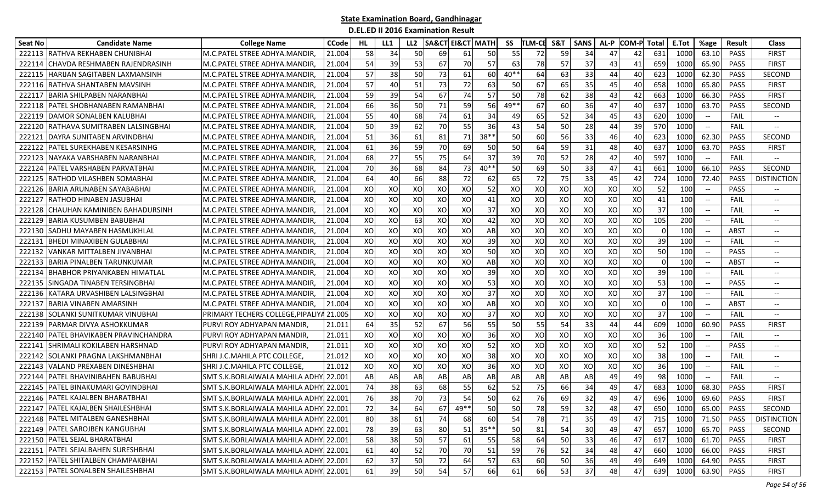| Seat No | <b>Candidate Name</b>               | <b>College Name</b>                      | <b>CCode</b> | HL   | LL1 | LL <sub>2</sub> | <b>SA&amp;CT EI&amp;CT MATH</b> |      |         | SS        | <b>TLM-CE</b> | S&T | <b>SANS</b> | AL-P            | <b>COM-P</b> | Total    | E.Tot           | %age                     | <b>Result</b> | <b>Class</b>                                        |
|---------|-------------------------------------|------------------------------------------|--------------|------|-----|-----------------|---------------------------------|------|---------|-----------|---------------|-----|-------------|-----------------|--------------|----------|-----------------|--------------------------|---------------|-----------------------------------------------------|
| 222113  | <b>RATHVA REKHABEN CHUNIBHAI</b>    | M.C.PATEL STREE ADHYA.MANDIR,            | 21.004       | 58   | 34  | 50              | 69                              | 61   | 50      | 55        | 72            | 59  | 34          | 47              | 42           | 631      | 1000            | 63.10                    | PASS          | <b>FIRST</b>                                        |
| 222114  | CHAVDA RESHMABEN RAJENDRASINH       | M.C.PATEL STREE ADHYA.MANDIR.            | 21.004       | 54   | 39  | 53              | 67                              | 70   | 57      | 63        | 78            | 57  | 37          | 43              | 41           | 659      | 1000            | 65.90                    | PASS          | <b>FIRST</b>                                        |
| 222115  | HARIJAN SAGITABEN LAXMANSINH        | M.C.PATEL STREE ADHYA.MANDIR,            | 21.004       | 57   | 38  | 50              | 73                              | 61   | 60      | $40**$    | 64            | 63  | 33          | 44              | 40           | 623      | 1000            | 62.30                    | PASS          | <b>SECOND</b>                                       |
| 222116  | RATHVA SHANTABEN MAVSINH            | M.C.PATEL STREE ADHYA.MANDIR,            | 21.004       | 57   | 40  | 51              | 73                              | 72   | 63      | 50        | 67            | 65  | 35          | 45              | 40           | 658      | 1000            | 65.80                    | PASS          | <b>FIRST</b>                                        |
| 222117  | <b>BARIA SHILPABEN NARANBHAI</b>    | M.C.PATEL STREE ADHYA.MANDIR,            | 21.004       | 59   | 39  | 54              | 67                              | 74   | 57      | 50        | 78            | 62  | 38          | 43 <sub>l</sub> | 42           | 663      | 1000            | 66.30                    | PASS          | <b>FIRST</b>                                        |
| 222118  | PATEL SHOBHANABEN RAMANBHAI         | M.C.PATEL STREE ADHYA.MANDIR,            | 21.004       | 66   | 36  | 50              | 71                              | 59   | 56      | 49**      | 67            | 60  | 36          | 47              | 40           | 637      | 1000            | 63.70                    | PASS          | <b>SECOND</b>                                       |
| 222119  | IDAMOR SONALBEN KALUBHAI            | M.C.PATEL STREE ADHYA.MANDIR,            | 21.004       | 55   | 40  | 68              | 74                              | 61   | 34      | 49        | 65            | 52  | 34          | 45              | 43           | 620      | 1000            | $\overline{\phantom{a}}$ | <b>FAIL</b>   | $\hspace{0.05cm} \dashrightarrow$                   |
| 222120  | RATHAVA SUMITRABEN LALSINGBHAI      | M.C.PATEL STREE ADHYA.MANDIR,            | 21.004       | 50   | 39  | 62              | 70                              | 55   | 36      | 43        | 54            | 50  | 28          | 44              | 39           | 570      | 1000            | $\overline{\phantom{m}}$ | FAIL          |                                                     |
| 22212   | DAYRA SUNITABEN ARVINDBHAI          | M.C.PATEL STREE ADHYA.MANDIR,            | 21.004       | 51   | 36  | 61              | 81                              | 71   | $38*$   | 50        | 60            | 56  | 33          | 46              | 40           | 623      | 1000            | 62.30                    | PASS          | SECOND                                              |
| 222122  | PATEL SUREKHABEN KESARSINHG         | M.C.PATEL STREE ADHYA.MANDIR,            | 21.004       | 61   | 36  | 59              | 70                              | 69   | 50      | 50        | 64            | 59  | 31          | 48              | 40           | 637      | 1000            | 63.70                    | <b>PASS</b>   | <b>FIRST</b>                                        |
| 222123  | NAYAKA VARSHABEN NARANBHAI          | M.C.PATEL STREE ADHYA.MANDIR,            | 21.004       | 68   | 27  | 55              | 75                              | 64   | 37      | 39        | <b>70</b>     | 52  | 28          | 42              | 40           | 597      | 1000            | $--$                     | <b>FAIL</b>   | $-\hbox{--}$                                        |
| 222124  | PATEL VARSHABEN PARVATBHAI          | M.C.PATEL STREE ADHYA.MANDIR,            | 21.004       | 70   | 36  | 68              | 84                              | 73   | $40**$  | 50        | 69            | 50  | 33          | 47              | 41           | 661      | 1000            | 66.10                    | PASS          | SECOND                                              |
| 222125  | <b>RATHOD VILASHBEN SOMABHAI</b>    | M.C.PATEL STREE ADHYA.MANDIR.            | 21.004       | 64   | 40  | 66              | 88                              | 72   | 62      | 65        | 72            | 75  | 33          | 45              | 42           | 724      | 1000            | 72.40                    | <b>PASS</b>   | <b>DISTINCTION</b>                                  |
| 222126  | <b>BARIA ARUNABEN SAYABABHAI</b>    | M.C.PATEL STREE ADHYA.MANDIR,            | 21.004       | XO   | XO  | XO              | XO                              | XO   | 52      | XO        | XO            | XO  | XO          | XO              | XO           | 52       | 10 <sup>C</sup> | $-\hbox{--}$             | PASS          | $\overline{\phantom{a}}$                            |
| 222127  | RATHOD HINABEN JASUBHAI             | M.C.PATEL STREE ADHYA.MANDIR,            | 21.004       | XO   | XO  | XO              | XO                              | XO   | 41      | XO        | XO            | XO  | XO          | XO              | XO           | 41       | 100             | $\overline{\phantom{a}}$ | <b>FAIL</b>   | $\hspace{0.05cm} \ldots$                            |
| 222128  | CHAUHAN KAMINIBEN BAHADURSINH       | M.C.PATEL STREE ADHYA.MANDIR,            | 21.004       | XO   | XO  | XO              | XO                              | XO   | 37      | XO        | XO            | XO  | XO          | XO              | XO           | 37       | 100             |                          | FAIL          |                                                     |
| 222129  | BARIA KUSUMBEN BABUBHAI             | M.C.PATEL STREE ADHYA.MANDIR.            | 21.004       | XO   | XO  | 63              | XO                              | XO   | 42      | XO        | XO            | XO  | XO          | XO              | XO           | 105      | 200             | $\overline{\phantom{a}}$ | FAIL          |                                                     |
| 222130  | lSADHU MAYABEN HASMUKHLAI           | M.C.PATEL STREE ADHYA.MANDIR,            | 21.004       | XO   | XO  | XO              | XO                              | XO   | AB      | XO        | XO            | XO  | XO          | XO              | XO           | $\Omega$ | 100             | $-\hbox{--}$             | ABST          | $\hspace{0.05cm} \dashrightarrow$                   |
| 22213   | BHEDI MINAXIBEN GULABBHAI           | M.C.PATEL STREE ADHYA.MANDIR,            | 21.004       | XO   | XO  | XO              | XO                              | XO   | 39      | XO        | XO            | XO  | XO          | XO              | XO           | 39       | 100             |                          | FAIL          | $-\hbox{--}$                                        |
| 222132  | VANKAR MITTALBEN JIVANBHAI          | M.C.PATEL STREE ADHYA.MANDIR,            | 21.004       | XO   | XO  | XO              | XO                              | XO   | 50      | XO        | XO            | XO  | XO          | XO              | XO           | 50       | 100             |                          | PASS          | $-\hbox{--}$                                        |
| 222133  | BARIA PINALBEN TARUNKUMAR           | M.C.PATEL STREE ADHYA.MANDIR,            | 21.004       | XO   | XO  | XO              | XO                              | XO   | AB      | XO        | XO            | XO  | XO          | XO              | XO           | $\Omega$ | 10 <sup>C</sup> | $-\hbox{--}$             | ABST          | $\overline{\phantom{a}}$                            |
| 222134  | <b>BHABHOR PRIYANKABEN HIMATLAL</b> | M.C.PATEL STREE ADHYA.MANDIR,            | 21.004       | XO   | XO  | XO              | XO                              | XO   | 39      | XO        | XO            | XO  | XO          | XO              | XO           | 39       | 10 <sup>C</sup> | $\overline{\phantom{a}}$ | FAIL          | $\hspace{0.05cm} \ldots$                            |
| 222135  | SINGADA TINABEN TERSINGBHA          | M.C.PATEL STREE ADHYA.MANDIR,            | 21.004       | XO   | XO  | XO              | XO                              | XO   | 53      | XO        | XO            | XO  | XO          | XO              | XO           | 53       | 100             |                          | PASS          | $\hspace{0.05cm} \ldots$                            |
| 222136  | KATARA URVASHIBEN LALSINGBHAI       | M.C.PATEL STREE ADHYA.MANDIR,            | 21.004       | XO   | XO  | XO              | XO                              | XO   | 37      | XO        | XO            | XO  | XO          | XO              | XO           | 37       | 100             |                          | FAIL          |                                                     |
| 222137  | BARIA VINABEN AMARSINH              | M.C.PATEL STREE ADHYA.MANDIR,            | 21.004       | XO   | XO  | XO              | XO                              | XO   | AB      | XO        | XO            | XO  | XO          | XO              | XO           | $\Omega$ | 10 <sup>C</sup> | $\overline{\phantom{a}}$ | ABST          |                                                     |
| 222138  | SOLANKI SUNITKUMAR VINUBHAI         | PRIMARY TECHERS COLLEGE, PIPALIYA 21.005 |              | XO   | XO  | XO              | XO                              | XO   | 37      | XO        | XO            | XO  | XO          | XO              | XO           | 37       | 100             | $\qquad \qquad -$        | FAIL          | $\hspace{0.05cm} \ldots$                            |
| 222139  | PARMAR DIVYA ASHOKKUMAR             | PURVI ROY ADHYAPAN MANDIR,               | 21.011       | 64   | 35  | 52              | 67                              | 56   | 55      | 50        | 55            | 54  | 33          | 44              | 44           | 609      | 1000            | 60.90                    | PASS          | <b>FIRST</b>                                        |
| 222140  | PATEL BHAVIKABEN PRAVINCHANDRA      | PURVI ROY ADHYAPAN MANDIR                | 21.011       | XO   | XO  | XO              | XO                              | XO   | 36      | XO        | XO            | XO  | XO          | XO              | XO           | 36       | 10 <sup>C</sup> | $-\hbox{--}$             | <b>FAIL</b>   | $- -$                                               |
| 222141  | <b>SHRIMALI KOKILABEN HARSHNAD</b>  | PURVI ROY ADHYAPAN MANDIR,               | 21.011       | XO   | XO  | XO              | XO                              | XO   | 52      | XO        | XO            | XO  | XO          | XO              | XO           | 52       | 10 <sup>C</sup> | $-\hbox{--}$             | <b>PASS</b>   | $\hspace{0.05cm} \dashrightarrow$                   |
| 222142  | SOLANKI PRAGNA LAKSHMANBHAI         | ISHRI J.C.MAHILA PTC COLLEGE.            | 21.012       | XO   | XO  | XO              | XO                              | XO   | 38      | XO        | XO            | XO  | XO          | XO              | XO           | 38       | 100             | $\overline{\phantom{a}}$ | <b>FAIL</b>   | $\hspace{0.05cm} \ldots$                            |
| 222143  | <b>VALAND PREXABEN DINESHBHAI</b>   | SHRI J.C.MAHILA PTC COLLEGE,             | 21.012       | XO   | XO  | XO              | XO                              | XO   | 36      | XO        | XO            | XO  | XO          | XO              | XO           | 36       | 100             | $\overline{\phantom{a}}$ | <b>FAIL</b>   | $\hspace{0.05cm} -\hspace{0.05cm} -\hspace{0.05cm}$ |
| 222144  | PATEL BHAVINIBAHEN BABUBHAI         | SMT S.K.BORLAIWALA MAHILA ADHY           | 22.001       | AB   | AB  | AB              | AB                              | AB   | AB      | AB        | AB            | AB  | AB          | 49              | 49           | 98       | 1000            | $-\hbox{--}$             | FAIL          |                                                     |
| 222145  | PATEL BINAKUMARI GOVINDBHAI         | SMT S.K.BORLAIWALA MAHILA ADHY 22.001    |              | 74   | 38  | 63              | 68                              | 55   | 62      | 52        | 75            | 66  | 34          | 49              | 47           | 683      | 1000            | 68.30                    | <b>PASS</b>   | <b>FIRST</b>                                        |
|         | 222146 PATEL KAJALBEN BHARATBHAI    | SMT S.K.BORLAIWALA MAHILA ADHY 22.001    |              | 76   | 38  | 70              | 73                              | 54   | 50      | 62        | 76            | 69  | 32          | 49              | 47           | 696      | 1000            | 69.60                    | PASS          | <b>FIRST</b>                                        |
|         | 222147 PATEL KAJALBEN SHAILESHBHAI  | SMT S.K.BORLAIWALA MAHILA ADHY 22.001    |              | 72 I | 34  | 64              | 67                              | 49** | 50      | <b>50</b> | 78            | 59  | 32          | 48              | 47           | 650      | 1000            | 65.00                    | PASS          | SECOND                                              |
|         | 222148 PATEL MITALBEN GANESHBHAI    | SMT S.K.BORLAIWALA MAHILA ADHY 22.001    |              | 80   | 38  | 61              | 74                              | 68   | 60      | 54        | 78            | 71  | 35          | 49              | 47           | 715      | 1000            | 71.50                    | PASS          | <b>DISTINCTION</b>                                  |
|         | 222149 PATEL SAROJBEN KANGUBHAI     | SMT S.K.BORLAIWALA MAHILA ADHY 22.001    |              | 78   | 39  | 63              | 80                              | 51   | $35***$ | 50        | 81            | 54  | 30          | 49              | 47           | 657      | 1000            | 65.70                    | PASS          | SECOND                                              |
|         | 222150 PATEL SEJAL BHARATBHAI       | SMT S.K.BORLAIWALA MAHILA ADHY 22.001    |              | 58   | 38  | 50              | 57                              | 61   | 55      | 58        | 64            | 50  | 33          | 46              | 47           | 617      | 1000            | 61.70                    | PASS          | <b>FIRST</b>                                        |
|         | 222151 PATEL SEJALBAHEN SURESHBHAI  | SMT S.K.BORLAIWALA MAHILA ADHY 22.001    |              | 61   | 40  | 52              | 70                              | 70   | 51      | 59        | 76            | 52  | 34          | 48              | 47           | 660      | 1000            | 66.00                    | PASS          | <b>FIRST</b>                                        |
|         | 222152 PATEL SHITALBEN CHAMPAKBHAI  | SMT S.K.BORLAIWALA MAHILA ADHY 22.001    |              | 62   | 37  | 50              | 72                              | 64   | 57      | 63        | <b>60</b>     | 50  | 36          | 49              | 49           | 649      | 1000            | 64.90                    | PASS          | <b>FIRST</b>                                        |
|         | 222153 PATEL SONALBEN SHAILESHBHAI  | SMT S.K.BORLAIWALA MAHILA ADHY 22.001    |              | 61   | 39  | 50              | 54                              | 57   | 66      | 61        | 66            | 53  | 37          | 48              | 47           | 639      | 1000            | 63.90                    | PASS          | <b>FIRST</b>                                        |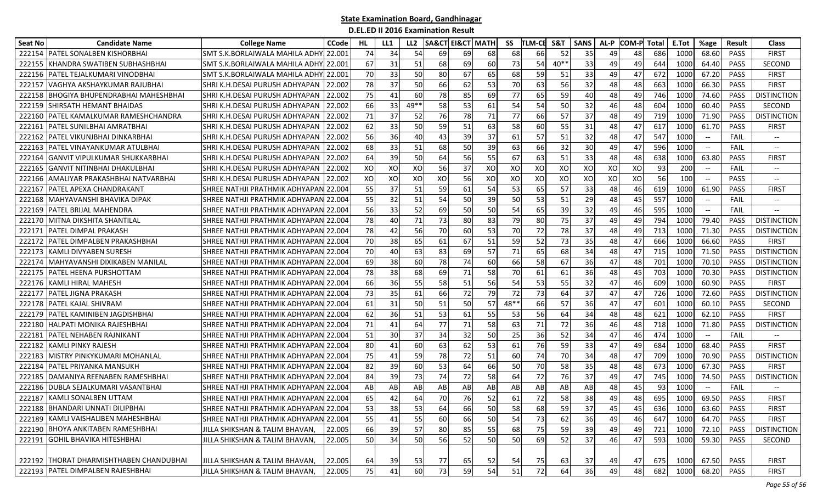| Seat No | <b>Candidate Name</b>                   | <b>College Name</b>                       | <b>CCode</b> | HL. | LL1       | LL <sub>2</sub> | <b>SA&amp;CT EI&amp;CT MATH</b> |    |    | SS   | <b>TLM-CE</b> | S&T    | <b>SANS</b> | AL-P | <b>COM-P</b> | Total | E.Tot | %age                                                | Result      | <b>Class</b>                  |
|---------|-----------------------------------------|-------------------------------------------|--------------|-----|-----------|-----------------|---------------------------------|----|----|------|---------------|--------|-------------|------|--------------|-------|-------|-----------------------------------------------------|-------------|-------------------------------|
| 222154  | PATEL SONALBEN KISHORBHAI               | SMT S.K.BORLAIWALA MAHILA ADHY            | 22.00:       | 74  | 34        | 54              | 69                              | 69 | 68 | 68   | 66            | 52     | 35          | 49   | 48           | 686   | 1000  | 68.60                                               | <b>PASS</b> | FIRST                         |
| 22215   | KHANDRA SWATIBEN SUBHASHBHAI            | <b>SMT S.K.BORLAIWALA MAHILA ADHY</b>     | 22.001       | 67  | 31        | 51              | 68                              | 69 | 60 | 73   | 54            | $40**$ | 33          | 49   | 49           | 644   | 1000  | 64.40                                               | PASS        | SECOND                        |
| 222156  | PATEL TEJALKUMARI VINODBHAI             | SMT S.K.BORLAIWALA MAHILA ADHY            | 22.001       | 70  | 33        | 50              | 80                              | 67 | 65 | 68   | 59            | 51     | 33          | 49   | 47           | 672   | 1000  | 67.20                                               | PASS        | <b>FIRST</b>                  |
| 222157  | VAGHYA AKSHAYKUMAR RAJUBHAI             | SHRI K.H.DESAI PURUSH ADHYAPAN            | 22.002       | 78  | 37        | 50              | 66                              | 62 | 53 | 70   | 63            | 56     | 32          | 48   | 48           | 663   | 1000  | 66.30                                               | PASS        | <b>FIRST</b>                  |
| 222158  | BHOGIYA BHUPENDRABHAI MAHESHBHAI        | SHRI K.H.DESAI PURUSH ADHYAPAN            | 22.002       | 75  | 41        | 60              | 78                              | 85 | 69 | 77   | 65            | 59     | 40          | 48   | 49           | 746   | 1000  | 74.60                                               | <b>PASS</b> | <b>DISTINCTION</b>            |
| 222159  | SHIRSATH HEMANT BHAIDAS                 | SHRI K.H.DESAI PURUSH ADHYAPAN            | 22.002       | 66  | 33        | 49**            | 58                              | 53 | 61 | 54   | 54            | 50     | 32          | 46   | 48           | 604   | 1000  | 60.40                                               | <b>PASS</b> | SECOND                        |
| 222160  | <b>PATEL KAMALKUMAR RAMESHCHANDRA</b>   | SHRI K.H.DESAI PURUSH ADHYAPAN            | 22.002       | 71  | 37        | 52              | 76                              | 78 | 71 | 77   | 66            | 57     | 37          | 48   | 49           | 719   | 1000  | 71.90                                               | PASS        | <b>DISTINCTION</b>            |
| 22216   | PATEL SUNILBHAI AMRATBHAI               | SHRI K.H.DESAI PURUSH ADHYAPAN            | 22.002       | 62  | 33        | 50              | 59                              | 51 | 63 | 58   | 60            | 55     | 31          | 48   | 47           | 617   | 1000  | 61.70                                               | <b>PASS</b> | <b>FIRST</b>                  |
| 222162  | PATEL VIKUNJBHAI DINKARBHAI             | SHRI K.H.DESAI PURUSH ADHYAPAN            | 22.002       | 56  | 36        | 40              | 43                              | 39 | 37 | 61   | 57            | 51     | 32          | 48   | 47           | 547   | 1000  | $\overline{\phantom{a}}$                            | FAIL        | $- -$                         |
| 222163  | PATEL VINAYANKUMAR ATULBHAI             | SHRI K.H.DESAI PURUSH ADHYAPAN            | 22.002       | 68  | 33        | 51              | 68                              | 50 | 39 | 63   | 66            | 32     | 30          | 49   | 47           | 596   | 1000  | $-\hbox{--}$                                        | FAIL        | $\hspace{0.05cm} \ldots$      |
| 22216   | GANVIT VIPULKUMAR SHUKKARBHAI           | SHRI K.H.DESAI PURUSH ADHYAPAN            | 22.002       | 64  | 39        | 50              | 64                              | 56 | 55 | 67   | 63            | 51     | 33          | 48   | 48           | 638   | 1000  | 63.80                                               | PASS        | FIRST                         |
| 222165  | <b>GANVIT NITINBHAI DHAKULBHAI</b>      | SHRI K.H.DESAI PURUSH ADHYAPAN            | 22.002       | XO  | XO        | XO              | 56                              | 37 | XO | XO   | XO            | XO     | XO          | XO   | XO           | 93    | 200   | $\hspace{0.05cm} -\hspace{0.05cm} -\hspace{0.05cm}$ | FAIL        | $\hspace{0.05cm} \textbf{--}$ |
| 222166  | AMALIYAR PRAKASHBHAI NATVARBHAI         | SHRI K.H.DESAI PURUSH ADHYAPAN            | 22.002       | XO  | XO        | XO              | XO                              | 56 | XO | XO   | XO            | XO     | XO          | XO   | XO           | 56    | 100   | $\overline{\phantom{a}}$                            | <b>PASS</b> | $-\!$                         |
| 222167  | PATEL APEXA CHANDRAKANT                 | SHREE NATHJI PRATHMIK ADHYAPAN 22.004     |              | 55  | 37        | 51              | 59                              | 61 | 54 | 53   | 65            | 57     | 33          | 48   | 46           | 619   | 1000  | 61.90                                               | PASS        | <b>FIRST</b>                  |
| 222168  | MAHYAVANSHI BHAVIKA DIPAK               | SHREE NATHJI PRATHMIK ADHYAPAN 22.004     |              | 55  | 32        | 51              | 54                              | 50 | 39 | 50   | 53            | 51     | 29          | 48   | 45           | 557   | 1000  |                                                     | FAIL        |                               |
| 222169  | PATEL BRIJAL MAHENDRA                   | SHREE NATHJI PRATHMIK ADHYAPAN 22.004     |              | 56  | 33        | 52              | 69                              | 50 | 50 | 54   | 65            | 39     | 32          | 49   | 46           | 595   | 1000  | $\hspace{0.05cm} \dashrightarrow$                   | FAIL        |                               |
| 222170  | MITNA DIKSHITA SHANTILAL                | SHREE NATHJI PRATHMIK ADHYAPAN 22.004     |              | 78  | 40        | 71              | 73                              | 80 | 83 | 79   | 80            | 75     | 37          | 49   | 49           | 794   | 1000  | 79.40                                               | <b>PASS</b> | <b>DISTINCTION</b>            |
| 22217   | PATEL DIMPAL PRAKASH                    | SHREE NATHJI PRATHMIK ADHYAPAN 22.004     |              | 78  | 42        | 56              | 70                              | 60 | 53 | 70   | 72            | 78     | 37          | 48   | 49           | 713   | 1000  | 71.30                                               | <b>PASS</b> | <b>DISTINCTION</b>            |
| 222172  | PATEL DIMPALBEN PRAKASHBHAI             | SHREE NATHJI PRATHMIK ADHYAPAN 22.004     |              | 70  | 38        | 65              | 61                              | 67 | 51 | 59   | 52            | 73     | 35          | 48   | 47           | 666   | 1000  | 66.60                                               | PASS        | <b>FIRST</b>                  |
| 222173  | <b>KAMLI DIVYABEN SURESH</b>            | SHREE NATHJI PRATHMIK ADHYAPAN 22.004     |              | 70  | 40        | 63              | 83                              | 69 | 57 | 71   | 65            | 68     | 34          | 48   | 47           | 715   | 1000  | 71.50                                               | <b>PASS</b> | <b>DISTINCTION</b>            |
| 222174  | MAHYAVANSHI DIXIKABEN MANILAL           | SHREE NATHJI PRATHMIK ADHYAPAN 22.004     |              | 69  | 38        | 60              | 78                              | 74 | 60 | 66   | 58            | 67     | 36          | 47   | 48           | 701   | 1000  | 70.10                                               | <b>PASS</b> | <b>DISTINCTION</b>            |
| 222175  | <b>PATEL HEENA PURSHOTTAM</b>           | SHREE NATHJI PRATHMIK ADHYAPAN 22.004     |              | 78  | 38        | 68              | 69                              | 71 | 58 | 70   | 61            | 61     | 36          | 48   | 45           | 703   | 1000  | 70.30                                               | <b>PASS</b> | <b>DISTINCTION</b>            |
| 222176  | <b>KAMLI HIRAL MAHESH</b>               | SHREE NATHJI PRATHMIK ADHYAPAN 22.004     |              | 66  | 36        | 55              | 58                              | 51 | 56 | 54   | 53            | 55     | 32          | 47   | 46           | 609   | 1000  | 60.90                                               | <b>PASS</b> | FIRST                         |
| 222177  | PATEL JIGNA PRAKASH                     | SHREE NATHJI PRATHMIK ADHYAPAN 22.004     |              | 73  | 35        | 61              | 66                              | 72 | 79 | 72   | 73            | 64     | 37          | 47   | 47           | 726   | 1000  | 72.60                                               | <b>PASS</b> | <b>DISTINCTION</b>            |
| 222178  | PATEL KAJAL SHIVRAM                     | SHREE NATHJI PRATHMIK ADHYAPAN 22.004     |              | 61  | 31        | 50              | 51                              | 50 | 57 | 48** | 66            | 57     | 36          | 47   | 47           | 601   | 1000  | 60.10                                               | <b>PASS</b> | SECOND                        |
| 222179  | PATEL KAMINIBEN JAGDISHBHAI             | SHREE NATHJI PRATHMIK ADHYAPAN 22.004     |              | 62  | 36        | 51              | 53                              | 61 | 55 | 53   | 56            | 64     | 34          | 48   | 48           | 621   | 1000  | 62.10                                               | PASS        | <b>FIRST</b>                  |
| 222180  | HALPATI MONIKA RAJESHBHAI               | SHREE NATHJI PRATHMIK ADHYAPAN 22.004     |              | 71  | 41        | 64              | 77                              | 71 | 58 | 63   | 71            | 72     | 36          | 46   | 48           | 718   | 1000  | 71.80                                               | <b>PASS</b> | <b>DISTINCTION</b>            |
| 222181  | PATEL NEHABEN RAJNIKANT                 | SHREE NATHJI PRATHMIK ADHYAPAN 22.004     |              | 51  | <b>30</b> | 37              | 34                              | 32 | 50 | 25   | 36            | 52     | 34          | 47   | 46           | 474   | 1000  | $- -$                                               | FAIL        |                               |
| 222182  | KAMLI PINKY RAJESH                      | SHREE NATHJI PRATHMIK ADHYAPAN 22.004     |              | 80  | 41        | 60              | 63                              | 62 | 53 | 61   | 76            | 59     | 33          | 47   | 49           | 684   | 1000  | 68.40                                               | PASS        | <b>FIRST</b>                  |
| 22218   | MISTRY PINKYKUMARI MOHANLAL             | SHREE NATHJI PRATHMIK ADHYAPAN 22.004     |              | 75  | 41        | 59              | 78                              | 72 | 51 | 60   | 74            | 70     | 34          | 48   | 47           | 709   | 1000  | 70.90                                               | PASS        | <b>DISTINCTION</b>            |
| 222184  | PATEL PRIYANKA MANSUKH                  | SHREE NATHJI PRATHMIK ADHYAPAN 22.004     |              | 82  | 39        | 60              | 53                              | 64 | 66 | 50   | 70            | 58     | 35          | 48   | 48           | 673   | 1000  | 67.30                                               | <b>PASS</b> | <b>FIRST</b>                  |
| 22218   | DAMANIYA REENABEN RAMESHBHAI            | SHREE NATHJI PRATHMIK ADHYAPAN 22.004     |              | 84  | 39        | 73              | 74                              | 72 | 58 | 64   | 72            | 76     | 37          | 49   | 47           | 745   | 1000  | 74.50                                               | <b>PASS</b> | <b>DISTINCTION</b>            |
| 222186  | DUBLA SEJALKUMARI VASANTBHAI            | SHREE NATHJI PRATHMIK ADHYAPAI            | 22.004       | AB  | AB        | AB              | AB                              | AB | AB | AB   | AB            | AB     | AB          | 48   | 45           | 93    | 1000  | $\overline{\phantom{a}}$                            | FAIL        |                               |
| 222187  | <b>KAMLI SONALBEN UTTAM</b>             | SHREE NATHJI PRATHMIK ADHYAPAN 22.004     |              | 65  | 42        | 64              | 70                              | 76 | 52 | 61   | 72            | 58     | 38          | 49   | 48           | 695   | 1000  | 69.50                                               | PASS        | FIRST                         |
|         | 222188 BHANDARI UNNATI DILIPBHAI        | SHREE NATHJI PRATHMIK ADHYAPAN 22.004     |              | 53  | 38        | 53              | 64                              | 66 | 50 | 58   | 68            | 59     | 37          | 45   | 45           | 636   | 1000  | 63.60                                               | <b>PASS</b> | <b>FIRST</b>                  |
|         | 222189 KAMLI VAISHALIBEN MAHESHBHAI     | SHREE NATHJI PRATHMIK ADHYAPAN 22.004     |              | 55  | 41        | 55              | 60                              | 66 | 50 | 54   | 73            | 62     | 36          | 49   | 46           | 647   | 1000  | 64.70                                               | PASS        | <b>FIRST</b>                  |
|         | 222190 BHOYA ANKITABEN RAMESHBHAI       | JILLA SHIKSHAN & TALIM BHAVAN,            | 22.005       | 66  | 39        | 57              | 80                              | 85 | 55 | 68   | 75            | 59     | 39          | 49   | 49           | 721   | 1000  | 72.10                                               | PASS        | <b>DISTINCTION</b>            |
|         | 222191 GOHIL BHAVIKA HITESHBHAI         | JILLA SHIKSHAN & TALIM BHAVAN,            | 22.005       | 50  | 34        | 50              | 56                              | 52 | 50 | 50   | 69            | 52     | 37          | 46   | 47           | 593   | 1000  | 59.30                                               | PASS        | SECOND                        |
|         |                                         |                                           |              |     |           |                 |                                 |    |    |      |               |        |             |      |              |       |       |                                                     |             |                               |
|         | 222192 THORAT DHARMISHTHABEN CHANDUBHAI | JILLA SHIKSHAN & TALIM BHAVAN,            | 22.005       | 64  | 39        | 53              | 77                              | 65 | 52 | 54   | 75            | 63     | 37          | 49   | 47           | 675   | 1000  | 67.50                                               | PASS        | <b>FIRST</b>                  |
|         | 222193 PATEL DIMPALBEN RAJESHBHAI       | <b>JILLA SHIKSHAN &amp; TALIM BHAVAN,</b> | 22.005       | 75  | 41        | 60              | 73                              | 59 | 54 | 51   | 72            | 64     | 36          | 49   | 48           | 682   | 1000  | 68.20                                               | PASS        | <b>FIRST</b>                  |